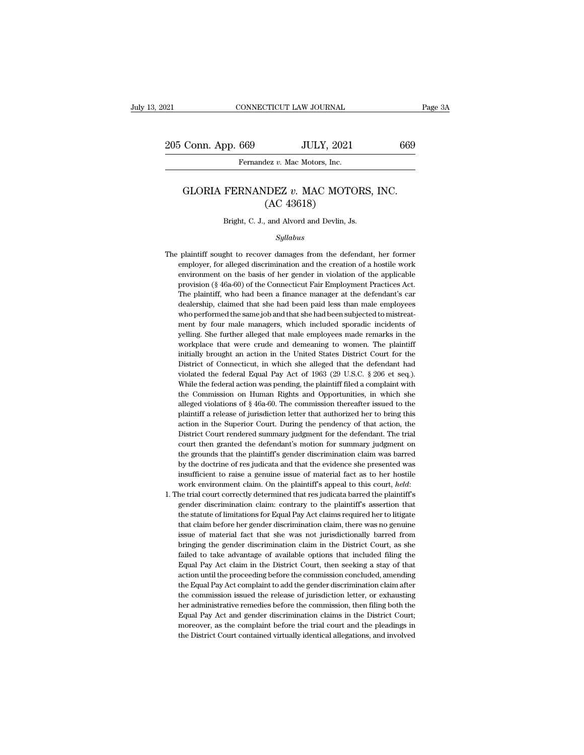## Conn. App. 669 JULY, 2021 669<br>Fernandez *v.* Mac Motors, Inc.<br>GLORIA FERNANDEZ *v.* MAC MOTORS, INC.<br>(AC 43618) JULY, 2021<br>
lez v. Mac Motors, Inc.<br>
IDEZ v. MAC MOTO<br>
(AC 43618)<br>
and Alvord and Devlin, J. GLORIA FERNANDEZ  $v$ . MAC MOTORS, INC.<br>(AC 43618)<br>Bright, C. J., and Alvord and Devlin, Js.

## *Syllabus*

- $(AC 43618)$ <br>Bright, C. J., and Alvord and Devlin, Js.<br> $Syllabus$ <br>The plaintiff sought to recover damages from the defendant, her former<br>employer, for alleged discrimination and the creation of a hostile work Bright, C. J., and Alvord and Devlin, Js.<br> *Syllabus*<br>
plaintiff sought to recover damages from the defendant, her former<br>
employer, for alleged discrimination and the creation of a hostile work<br>
environment on the basis o Bright, C. J., and Alvord and Devlin, Js.<br>
Syllabus<br>
plaintiff sought to recover damages from the defendant, her former<br>
employer, for alleged discrimination and the creation of a hostile work<br>
environment on the basis of  $Syllabus$ <br>plaintiff sought to recover damages from the defendant, her former<br>employer, for alleged discrimination and the creation of a hostile work<br>environment on the basis of her gender in violation of the applicable<br>provi Syllabus<br>plaintiff sought to recover damages from the defendant, her former<br>employer, for alleged discrimination and the creation of a hostile work<br>environment on the basis of her gender in violation of the applicable<br>prov plaintiff sought to recover damages from the defendant, her former employer, for alleged discrimination and the creation of a hostile work environment on the basis of her gender in violation of the applicable provision (§ employer, for alleged discrimination and the creation of a hostile work<br>environment on the basis of her gender in violation of the applicable<br>provision (§ 46a-60) of the Connecticut Fair Employment Practices Act.<br>The plai entified as the manager of the pender in violation of the applicable provision (§ 46a-60) of the Connecticut Fair Employment Practices Act. The plaintiff, who had been a finance manager at the defendant's car dealership, provision (§ 46a-60) of the Connecticut Fair Employment Practices Act.<br>The plaintiff, who had been a finance manager at the defendant's car<br>dealership, claimed that she had been paid less than male employees<br>who performed The plaintiff, who had been a finance manager at the defendant's car<br>dealership, claimed that she had been paid less than male employees<br>who performed the same job and that she had been subjected to mistreat-<br>ment by four Inceleration, claimed that she had been paid less than male employees who performed the same job and that she had been subjected to mistreatment by four male managers, which included sporadic incidents of yelling. She furt who performed the same job and that she had been subjected to mistreat-<br>ment by four male managers, which included sporadic incidents of<br>yelling. She further alleged that male employees made remarks in the<br>workplace that w ment by four male managers, which included sporadic incidents of yelling. She further alleged that male employees made remarks in the workplace that were crude and demeaning to women. The plaintiff initially brought an act welling. She further alleged that male employees made remarks in the workplace that were crude and demeaning to women. The plaintiff initially brought an action in the United States District Court for the District of Conne yourk<br>place that were crude and demeaning to women. The plaintiff<br>initially brought an action in the United States District Court for the<br>District of Connecticut, in which she alleged that the defendant had<br>violated the fe initially brought an action in the United States District Court for the District of Connecticut, in which she alleged that the defendant had violated the federal Equal Pay Act of 1963 (29 U.S.C.  $\S 206$  et seq.). While th District of Connecticut, in which she alleged that the defendant had violated the federal Equal Pay Act of 1963 (29 U.S.C. § 206 et seq.). While the federal action was pending, the plaintiff filed a complaint with the Com builded the federal Equal Pay Act of 1963 (29 U.S.C. § 206 et seq.).<br>While the federal Equal Pay Act of 1963 (29 U.S.C. § 206 et seq.).<br>While the federal action was pending, the plaintiff filed a complaint with<br>the Commis While the federal action was pending, the plaintiff filed a complaint with the Commission on Human Rights and Opportunities, in which she alleged violations of  $\S$  46a-60. The commission thereafter issued to the plaintiff The Commission on Human Rights and Opportunities, in which she<br>alleged violations of § 46a-60. The commission thereafter issued to the<br>plaintiff a release of jurisdiction letter that authorized her to bring this<br>action in alleged violations of § 46a-60. The commission thereafter issued to the plaintiff a release of jurisdiction letter that authorized her to bring this action in the Superior Court. During the pendency of that action, the Di malgo the doctrine of guitariant and the that authorized her to bring this action in the Superior Court. During the pendency of that action, the District Court rendered summary judgment for the defendant. The trial court t action in the Superior Court. During the pendency of that action, the District Court rendered summary judgment for the defendant. The trial court then granted the defendant's motion for summary judgment on the grounds tha District Court rendered summary judgment for the defendant. The trial court then granted the defendant's motion for summary judgment on the grounds that the plaintiff's gender discrimination claim was barred by the doctrin the grounds that the plaintiff's gender discrimination claim was barred<br>by the doctrine of res judicata and that the evidence she presented was<br>insufficient to raise a genuine issue of material fact as to her hostile<br>work
- by the doctrine of res judicata and that the evidence she presented was insufficient to raise a genuine issue of material fact as to her hostile work environment claim. On the plaintiff's appeal to this court, *held*: the insufficient to raise a genuine issue of material fact as to her hostile<br>work environment claim. On the plaintiff's appeal to this court, *held*:<br>he trial court correctly determined that res judicata barred the plaintiff's work environment claim. On the plaintiff's appeal to this court, *held*:<br>he trial court correctly determined that res judicata barred the plaintiff's<br>gender discrimination claim: contrary to the plaintiff's assertion that<br> he trial court correctly determined that res judicata barred the plaintiff's gender discrimination claim: contrary to the plaintiff's assertion that the statute of limitations for Equal Pay Act claims required her to litig gender discrimination claim: contrary to the plaintiff's assertion that the statute of limitations for Equal Pay Act claims required her to litigate that claim before her gender discrimination claim, there was no genuine i the statute of limitations for Equal Pay Act claims required her to litigate that claim before her gender discrimination claim, there was no genuine issue of material fact that she was not jurisdictionally barred from brin that claim before her gender discrimination claim, there was no genuine<br>issue of material fact that she was not jurisdictionally barred from<br>bringing the gender discrimination claim in the District Court, as she<br>failed to issue of material fact that she was not jurisdictionally barred from bringing the gender discrimination claim in the District Court, as she failed to take advantage of available options that included filing the Equal Pay A bringing the gender discrimination claim in the District Court, as she failed to take advantage of available options that included filing the Equal Pay Act claim in the District Court, then seeking a stay of that action un Failed to take advantage of available options that included filing the Equal Pay Act claim in the District Court, then seeking a stay of that action until the proceeding before the commission concluded, amending the Equal Equal Pay Act claim in the District Court, then seeking a stay of that action until the proceeding before the commission concluded, amending the Equal Pay Act complaint to add the gender discrimination claim after the comm action until the proceeding before the commission concluded, amending<br>the Equal Pay Act complaint to add the gender discrimination claim after<br>the commission issued the release of jurisdiction letter, or exhausting<br>her adm action until the proceeding before the commission concluded, amending the Equal Pay Act complaint to add the gender discrimination claim after the commission issued the release of jurisdiction letter, or exhausting her adm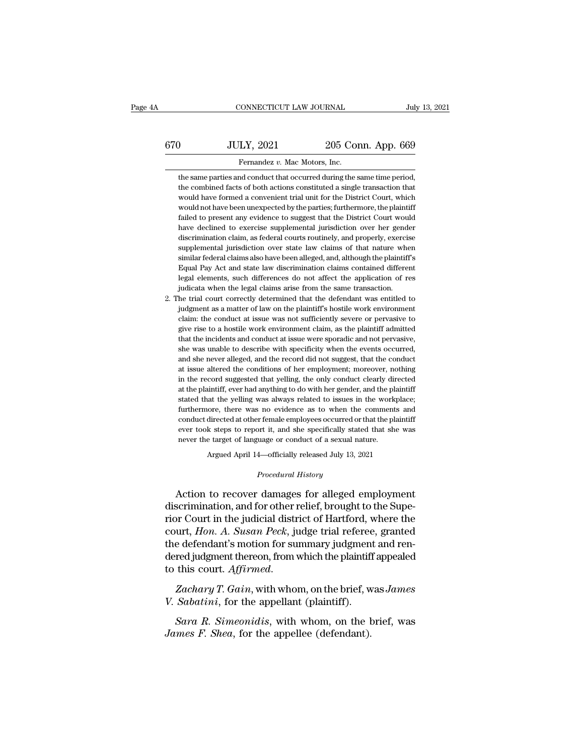# CONNECTICUT LAW JOURNAL July 13, 2021<br>670 JULY, 2021 205 Conn. App. 669<br>Fernandez v. Mac Motors, Inc. Fernandez *v. Mac Motors, Inc.*<br>The same parties and conduct that occurred during the same time period.<br>The same parties and conduct that occurred during the same time period.

JULY, 2021 205 Conn. App. 669<br>Fernandez v. Mac Motors, Inc.<br>the same parties and conduct that occurred during the same time period,<br>the combined facts of both actions constituted a single transaction that  $\begin{array}{r} \text{JULY, 2021} \qquad \qquad \text{205 Conn. App. 669} \ \text{Fernandez } v. \text{ Mac Motors, Inc.} \end{array}$ <br>the same parties and conduct that occurred during the same time period, the combined facts of both actions constituted a single transaction that would h JULY, 2021 205 Conn. App. 669<br>Fernandez v. Mac Motors, Inc.<br>the same parties and conduct that occurred during the same time period,<br>the combined facts of both actions constituted a single transaction that<br>would have formed Fernandez v. Mac Motors, Inc.<br>the same parties and conduct that occurred during the same time period,<br>the combined facts of both actions constituted a single transaction that<br>would have formed a convenient trial unit for t Fernandez v. Mac Motors, Inc.<br>the same parties and conduct that occurred during the same time period,<br>the combined facts of both actions constituted a single transaction that<br>would have formed a convenient trial unit for t the same parties and conduct that occurred during the same time period, the combined facts of both actions constituted a single transaction that would have formed a convenient trial unit for the District Court, which would the combined facts of both actions constituted a single transaction that would have formed a convenient trial unit for the District Court, which would not have been unexpected by the parties; furthermore, the plaintiff fai would have formed a convenient trial unit for the District Court, which<br>would not have been unexpected by the parties; furthermore, the plaintiff<br>failed to present any evidence to suggest that the District Court would<br>have would not have been unexpected by the parties; furthermore, the plaintiff failed to present any evidence to suggest that the District Court would have declined to exercise supplemental jurisdiction over her gender discrimi failed to present any evidence to suggest that the District Court would have declined to exercise supplemental jurisdiction over her gender discrimination claim, as federal courts routinely, and properly, exercise suppleme have declined to exercise supplemental jurisdiction over her gender discrimination claim, as federal courts routinely, and properly, exercise supplemental jurisdiction over state law claims of that nature when similar fede discrimination claim, as federal courts routinely, and properly, exercis<br>supplemental jurisdiction over state law claims of that nature whe<br>similar federal claims also have been alleged, and, although the plaintiff<br>Equal P supplemental jurisdiction over state law claims of that nature when<br>similar federal claims also have been alleged, and, although the plaintiff's<br>Equal Pay Act and state law discrimination claims contained different<br>legal e similar federal claims also have been alleged, and, although the plaintiff's Equal Pay Act and state law discrimination claims contained different legal elements, such differences do not affect the application of res judic

Equal Pay Act and state law discrimination claims contained different legal elements, such differences do not affect the application of res judicata when the legal claims arise from the same transaction. He trial court cor legal elements, such differences do not affect the application of res<br>judicata when the legal claims arise from the same transaction.<br>he trial court correctly determined that the defendant was entitled to<br>judgment as a mat judicata when the legal claims arise from the same transaction.<br>he trial court correctly determined that the defendant was entitled to<br>judgment as a matter of law on the plaintiff's hostile work environment<br>claim: the cond she trial court correctly determined that the defendant was entitled to judgment as a matter of law on the plaintiff's hostile work environment claim: the conduct at issue was not sufficiently severe or pervasive to give r judgment as a matter of law on the plaintiff's hostile work environment claim: the conduct at issue was not sufficiently severe or pervasive to give rise to a hostile work environment claim, as the plaintiff admitted that claim: the conduct at issue was not sufficiently severe or pervasive to give rise to a hostile work environment claim, as the plaintiff admitted that the incidents and conduct at issue were sporadic and not pervasive, she give rise to a hostile work environment claim, as the plaintiff admitted that the incidents and conduct at issue were sporadic and not pervasive, she was unable to describe with specificity when the events occurred, and sh that the incidents and conduct at issue were sporadic and not pervasive, she was unable to describe with specificity when the events occurred, and she never alleged, and the record did not suggest, that the conduct at issu she was unable to describe with specificity when the events occurred, and she never alleged, and the record did not suggest, that the conduct at issue altered the conditions of her employment; moreover, nothing in the reco and she never alleged, and the record did not suggest, that the conduct<br>at issue altered the conditions of her employment; moreover, nothing<br>in the record suggested that yelling, the only conduct clearly directed<br>at the pl at issue altered the conditions of her employment; moreover, nothing<br>in the record suggested that yelling, the only conduct clearly directed<br>at the plaintiff, ever had anything to do with her gender, and the plaintiff<br>stat in the record suggested that yelling, the only conduct clearly directed at the plaintiff, ever had anything to do with her gender, and the plaintiff stated that the yelling was always related to issues in the workplace; fu in the record suggested that yelling, the only conduct clearly directed at the plaintiff, ever had anything to do with her gender, and the plaintiff stated that the yelling was always related to issues in the workplace; fu furthermore, there was no evidence as to when the comments and conduct directed at other female employees occurred or that the plaintiff ever took steps to report it, and she specifically stated that she was never the tar conduct directed at other female employees occurred or that the plaintiff<br>ever took steps to report it, and she specifically stated that she was<br>never the target of language or conduct of a sexual nature.<br>Argued April 14—o

Argued April 14—officially released July 13, 2021<br>*Procedural History*<br>Action to recover damages for alleged employment ever took steps to report it, and she specifically stated that she was<br>never the target of language or conduct of a sexual nature.<br>Argued April 14—officially released July 13, 2021<br>Procedural History<br>Action to recover dama rior the target of language or conduct of a sexual nature.<br>
Argued April 14—officially released July 13, 2021<br>
Procedural History<br>
Action to recover damages for alleged employment<br>
discrimination, and for other relief, bro Argued April 14—officially released July 13, 2021<br> *Procedural History*<br>
Action to recover damages for alleged employment<br>
discrimination, and for other relief, brought to the Supe-<br>
rior Court in the judicial district of Procedural History<br>Action to recover damages for alleged employment<br>discrimination, and for other relief, brought to the Supe-<br>rior Court in the judicial district of Hartford, where the<br>court, Hon. A. Susan Peck, judge tri Action to recover damages for alleged employment<br>discrimination, and for other relief, brought to the Supe-<br>rior Court in the judicial district of Hartford, where the<br>court, *Hon. A. Susan Peck*, judge trial referee, grant Action to recover damages for alleged employment<br>discrimination, and for other relief, brought to the Supe-<br>rior Court in the judicial district of Hartford, where the<br>court, *Hon. A. Susan Peck*, judge trial referee, grant *V. Sabatini*, *Hon. A. Susan Peck, judge trial referee*<br>the defendant's motion for summary judgment<br>dered judgment thereon, from which the plaintiff<br>to this court. *Affirmed.*<br>Zachary T. Gain, with whom, on the brief, w.<br> *Sara R. Simeonidis*, with whom, on the brief, was James Sabatini, for the appellant (plaintiff appealed this court. Affirmed.<br> *Zachary T. Gain*, with whom, on the brief, was James Sabatini, for the appellant (plaintiff).

*James F. Shea, form which the plaintif*<br>to this court. *Affirmed.*<br>*Zachary T. Gain, with whom, on the brief, w*<br>*J. Sabatini, for the appellant (plaintiff).*<br>*James F. Shea, for the appellee (defendant).*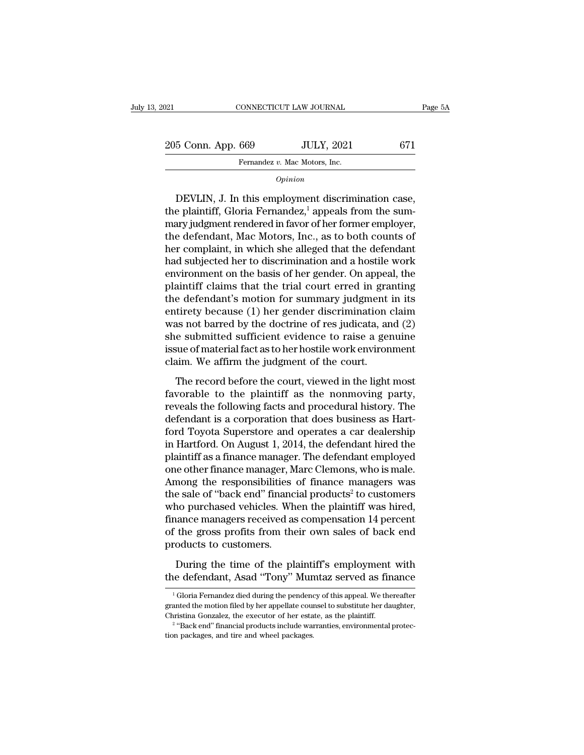205 Conn. App. 669 JULY, 2021 671<br>
External degree of the Multy and September 2015 Conn. App. 669 JULY, 2021 671 Fernandez *v.* Mac Motors, Inc.<br>
Fernandez *v.* Mac Motors, Inc.<br> *Ominion* 

*Opinion*

 $\begin{array}{r} \text{5 Conn. App. 669} \quad \text{JULY, 2021} \quad \text{671} \ \text{Fernandes } v. \text{ Mac Motors, Inc.} \ \text{*Opinion} \ \text{DEVLIN, J. In this employment discrimination case, e plaintiff, Gloria Fernandes<sup>1</sup>, appears from the summary judgment rendered in favor of her former employer.} \end{array}*$ 205 Conn. App. 669 JULY, 2021 671<br>
Fernandez v. Mac Motors, Inc.<br> *Opinion*<br>
DEVLIN, J. In this employment discrimination case,<br>
the plaintiff, Gloria Fernandez,<sup>1</sup> appeals from the sum-<br>
mary judgment rendered in favor o 205 Conn. App. 669 JULY, 2021 6/1<br>
Fernandez v. Mac Motors, Inc.<br>
Opinion<br>
DEVLIN, J. In this employment discrimination case,<br>
the plaintiff, Gloria Fernandez,<sup>1</sup> appeals from the sum-<br>
mary judgment rendered in favor of Fernandez v. Mac Motors, Inc.<br>
opinion<br>
DEVLIN, J. In this employment discrimination case,<br>
the plaintiff, Gloria Fernandez,<sup>1</sup> appeals from the sum-<br>
mary judgment rendered in favor of her former employer,<br>
the defendant,  $o_{pinion}$ <br>DEVLIN, J. In this employment discrimination case,<br>the plaintiff, Gloria Fernandez,<sup>1</sup> appeals from the sum-<br>mary judgment rendered in favor of her former employer,<br>the defendant, Mac Motors, Inc., as to both coun DEVLIN, J. In this employment discrimination case,<br>the plaintiff, Gloria Fernandez,<sup>1</sup> appeals from the sum-<br>mary judgment rendered in favor of her former employer,<br>the defendant, Mac Motors, Inc., as to both counts of<br>he DEVLIN, J. In this employment discrimination case,<br>the plaintiff, Gloria Fernandez,<sup>1</sup> appeals from the sum-<br>mary judgment rendered in favor of her former employer,<br>the defendant, Mac Motors, Inc., as to both counts of<br>he the plaintiff, Gloria Fernandez,<sup>1</sup> appeals from the sum-<br>mary judgment rendered in favor of her former employer,<br>the defendant, Mac Motors, Inc., as to both counts of<br>her complaint, in which she alleged that the defendant mary judgment rendered in favor of her former employer,<br>the defendant, Mac Motors, Inc., as to both counts of<br>her complaint, in which she alleged that the defendant<br>had subjected her to discrimination and a hostile work<br>en the defendant, Mac Motors, Inc., as to both counts of<br>her complaint, in which she alleged that the defendant<br>had subjected her to discrimination and a hostile work<br>environment on the basis of her gender. On appeal, the<br>pla her complaint, in which she alleged that the defendant<br>had subjected her to discrimination and a hostile work<br>environment on the basis of her gender. On appeal, the<br>plaintiff claims that the trial court erred in granting<br>t had subjected her to discrimination and a hostile work<br>environment on the basis of her gender. On appeal, the<br>plaintiff claims that the trial court erred in granting<br>the defendant's motion for summary judgment in its<br>entir environment on the basis of her gender. On appeal, the plaintiff claims that the trial court erred in granting the defendant's motion for summary judgment in its entirety because (1) her gender discrimination claim was not plaintiff claims that the trial court erred in granting<br>the defendant's motion for summary judgment in its<br>entirety because (1) her gender discrimination claim<br>was not barred by the doctrine of res judicata, and (2)<br>she su The record of the record of the recordination of the same discrimination claim<br>as not barred by the doctrine of res judicata, and (2)<br>e submitted sufficient evidence to raise a genuine<br>sue of material fact as to her hostil was not barred by the doctrine of res judicata, and  $(2)$ <br>she submitted sufficient evidence to raise a genuine<br>issue of material fact as to her hostile work environment<br>claim. We affirm the judgment of the court.<br>The reco

reveals the following factor of the following she submitted sufficient evidence to raise a genuine<br>issue of material fact as to her hostile work environment<br>claim. We affirm the judgment of the court.<br>The record before the Since Sammond Sammond Channel of the court.<br>
Sisue of material fact as to her hostile work environment<br>
claim. We affirm the judgment of the court.<br>
The record before the court, viewed in the light most<br>
favorable to the p For the state of the court.<br>
The record before the court, viewed in the light most<br>
favorable to the plaintiff as the nonmoving party,<br>
reveals the following facts and procedural history. The<br>
defendant is a corporation th The record before the court, viewed in the light most<br>favorable to the plaintiff as the nonmoving party,<br>reveals the following facts and procedural history. The<br>defendant is a corporation that does business as Hart-<br>ford T The record before the court, viewed in the light most<br>favorable to the plaintiff as the nonmoving party,<br>reveals the following facts and procedural history. The<br>defendant is a corporation that does business as Hart-<br>ford T favorable to the plaintiff as the nonmoving party,<br>reveals the following facts and procedural history. The<br>defendant is a corporation that does business as Hart-<br>ford Toyota Superstore and operates a car dealership<br>in Hart reveals the following facts and procedural history. The<br>defendant is a corporation that does business as Hart-<br>ford Toyota Superstore and operates a car dealership<br>in Hartford. On August 1, 2014, the defendant hired the<br>pl defendant is a corporation that does business as Hart-<br>ford Toyota Superstore and operates a car dealership<br>in Hartford. On August 1, 2014, the defendant hired the<br>plaintiff as a finance manager. The defendant employed<br>one ford Toyota Superstore and operates a car dealership<br>in Hartford. On August 1, 2014, the defendant hired the<br>plaintiff as a finance manager. The defendant employed<br>one other finance manager, Marc Clemons, who is male.<br>Amon in Hartford. On August 1, 2014, the defendant hired the<br>plaintiff as a finance manager. The defendant employed<br>one other finance manager, Marc Clemons, who is male.<br>Among the responsibilities of finance managers was<br>the sa plaintiff as a finance manager. The defendant employed<br>one other finance manager, Marc Clemons, who is male.<br>Among the responsibilities of finance managers was<br>the sale of "back end" financial products<sup>2</sup> to customers<br>who one other finance manager, M<br>Among the responsibilities<br>the sale of "back end" financ<br>who purchased vehicles. Wh<br>finance managers received as<br>of the gross profits from the<br>products to customers.<br>During the time of the pl e sale of "back end" financial products<sup>2</sup> to customers<br>no purchased vehicles. When the plaintiff was hired,<br>nance managers received as compensation 14 percent<br>the gross profits from their own sales of back end<br>oducts to c who purchased vehicles. When the plaintiff was hired,<br>finance managers received as compensation 14 percent<br>of the gross profits from their own sales of back end<br>products to customers.<br>During the time of the plaintiff's emp

<sup>1</sup> Formalist Constants Containers Constants Constants Constants Constants (Constants Constants Fernandez died during the pendency of this appeal. We thereafter anted the motion filed by her appellate counsel to substitute h During the time of the plaintiff's employment with<br>the defendant, Asad "Tony" Mumtaz served as finance<br><sup>1</sup>Gloria Fernandez died during the pendency of this appeal. We thereafter<br>granted the motion filed by her appellate co During the time of the plaintiff's employment<br>the defendant, Asad "Tony" Mumtaz served as fin<br> $\frac{1}{1}$ Gloria Fernandez died during the pendency of this appeal. We the<br>granted the motion filed by her appellate counsel to The defendant, Asad "Tony" Mumtaz served as finance<br>
Gloria Fernandez died during the pendency of this appeal. We thereafter<br>
defendant warranties by her appellate counsel to substitute her daughter,<br>
stina Gonzalez, the e <sup>1</sup> Gloria Fernandez died during the pendency of this appeal. We thereafter granted the motion filed by her appellate counsel to substitute her daughter, Christina Gonzalez, the executor of her estate, as the plaintiff.<br><sup></sup>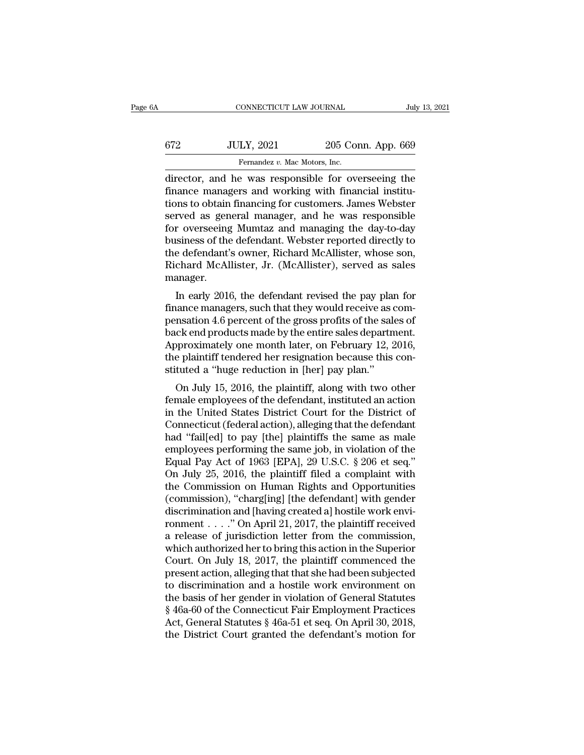| A   | CONNECTICUT LAW JOURNAL                            |                    | July 13, 2021 |
|-----|----------------------------------------------------|--------------------|---------------|
|     |                                                    |                    |               |
| 672 | <b>JULY, 2021</b>                                  | 205 Conn. App. 669 |               |
|     | Fernandez v. Mac Motors, Inc.                      |                    |               |
|     | director and he was responsible for overseeing the |                    |               |

CONNECTICUT LAW JOURNAL July 13, 2021<br>
GT2 JULY, 2021 205 Conn. App. 669<br>
Fernandez v. Mac Motors, Inc.<br>
director, and he was responsible for overseeing the<br>
finance managers and working with financial institu $f(572)$  JULY, 2021 205 Conn. App. 669<br>Fernandez v. Mac Motors, Inc.<br>director, and he was responsible for overseeing the<br>finance managers and working with financial institu-<br>tions to obtain financing for customers. James  $t = \frac{1}{\text{minimize } v. \text{ Mac Motors, Inc.}}$ <br>  $\frac{1}{\text{minimize } v. \text{ Mac Motors, Inc.}}$ <br>
Alirector, and he was responsible for overseeing the finance managers and working with financial institutions to obtain financing for customers. James Webster<br>
served  $$\text{572}\qquad \qquad 2021\qquad \qquad 205 \text{ Conn. App. 669}}$ \text{Fernandes } v$. Mac Motors, Inc.}\ \text{director, and he was responsible for overseeing the finance managers and working with financial institutions to obtain financing for customers. James Webster served as general manager, and he was responsible for overseeing Muntaz and managing the day-to-day business of the defendant. Wokter reported directly to$ Fernandez v. Mac Motors, Inc.<br>
director, and he was responsible for overseeing the<br>
finance managers and working with financial institu-<br>
tions to obtain financing for customers. James Webster<br>
served as general manager, Fernandez *v. Mac Motors, Inc.*<br>
director, and he was responsible for overseeing the<br>
finance managers and working with financial institu-<br>
tions to obtain financing for customers. James Webster<br>
served as general manager, director, and he was responsible for overseeing the<br>finance managers and working with financial institu-<br>tions to obtain financing for customers. James Webster<br>served as general manager, and he was responsible<br>for overseei finance managers and working with financial institutions to obtain financing for customers. James Webster<br>served as general manager, and he was responsible<br>for overseeing Mumtaz and managing the day-to-day<br>business of the manager. Ived as general manager, and he was responsible<br>
r overseeing Mumtaz and managing the day-to-day<br>
siness of the defendant. Webster reported directly to<br>
e defendant's owner, Richard McAllister, whose son,<br>
chard McAllister for overseeing munitaz and managing the day-to-day<br>business of the defendant. Webster reported directly to<br>the defendant's owner, Richard McAllister, whose son,<br>Richard McAllister, Jr. (McAllister), served as sales<br>manager

business of the defendant. Webster reported directly to<br>the defendant's owner, Richard McAllister, whose son,<br>Richard McAllister, Jr. (McAllister), served as sales<br>manager.<br>In early 2016, the defendant revised the pay plan the defendant s owner, Kichard McAllister, Whose son,<br>Richard McAllister, Jr. (McAllister), served as sales<br>manager.<br>In early 2016, the defendant revised the pay plan for<br>finance managers, such that they would receive as c Michard McAllister, 31. (McAllister), served as sales<br>manager.<br>In early 2016, the defendant revised the pay plan for<br>finance managers, such that they would receive as com-<br>pensation 4.6 percent of the gross profits of the In early 2016, the defendant revised the pay plan for<br>finance managers, such that they would receive as com-<br>pensation 4.6 percent of the gross profits of the sales of<br>back end products made by the entire sales department. In early 2016, the defendant revised the pay plare<br>finance managers, such that they would receive as a<br>pensation 4.6 percent of the gross profits of the sale<br>back end products made by the entire sales departm<br>Approximately ration 4.6 percent of the gross profits of the sales of<br>ck end products made by the entire sales department.<br>proximately one month later, on February 12, 2016,<br>e plaintiff tendered her resignation because this con-<br>tuted a pensation 4.0 percent of the gross profits of the sales of<br>back end products made by the entire sales department.<br>Approximately one month later, on February 12, 2016,<br>the plaintiff tendered her resignation because this con

back end products made by the entire sales department.<br>Approximately one month later, on February 12, 2016,<br>the plaintiff tendered her resignation because this con-<br>stituted a "huge reduction in [her] pay plan."<br>On July 15 Approximately one month later, on February 12, 2010,<br>the plaintiff tendered her resignation because this con-<br>stituted a "huge reduction in [her] pay plan."<br>On July 15, 2016, the plaintiff, along with two other<br>female empl the plantific endered her resignation because this constituted a "huge reduction in [her] pay plan."<br>On July 15, 2016, the plaintiff, along with two other<br>female employees of the defendant, instituted an action<br>in the Uni Sututed a Truge retuction in [her] pay pian.<br>
On July 15, 2016, the plaintiff, along with two other<br>
female employees of the defendant, instituted an action<br>
in the United States District Court for the District of<br>
Connec On July 15, 2016, the plaintiff, along with two other<br>female employees of the defendant, instituted an action<br>in the United States District Court for the District of<br>Connecticut (federal action), alleging that the defendan female employees of the defendant, instituted an action<br>in the United States District Court for the District of<br>Connecticut (federal action), alleging that the defendant<br>had "fail[ed] to pay [the] plaintiffs the same as ma in the United States District Court for the District of<br>Connecticut (federal action), alleging that the defendant<br>had "fail[ed] to pay [the] plaintiffs the same as male<br>employees performing the same job, in violation of th Connecticut (federal action), alleging that the defendant<br>had "fail[ed] to pay [the] plaintiffs the same as male<br>employees performing the same job, in violation of the<br>Equal Pay Act of 1963 [EPA], 29 U.S.C. § 206 et seq."<br> had "fail[ed] to pay [the] plaintiffs the same as male<br>employees performing the same job, in violation of the<br>Equal Pay Act of 1963 [EPA], 29 U.S.C. § 206 et seq."<br>On July 25, 2016, the plaintiff filed a complaint with<br>th employees performing the same job, in violation of the<br>Equal Pay Act of 1963 [EPA], 29 U.S.C. § 206 et seq."<br>On July 25, 2016, the plaintiff filed a complaint with<br>the Commission on Human Rights and Opportunities<br>(commissi Equal Pay Act of 1963 [EPA], 29 U.S.C. § 206 et seq."<br>On July 25, 2016, the plaintiff filed a complaint with<br>the Commission on Human Rights and Opportunities<br>(commission), "charg[ing] [the defendant] with gender<br>discrimin On July 25, 2016, the plaintiff filed a complaint with<br>the Commission on Human Rights and Opportunities<br>(commission), "charg[ing] [the defendant] with gender<br>discrimination and [having created a] hostile work envi-<br>ronment the Commission on Human Rights and Opportunities<br>(commission), "charg[ing] [the defendant] with gender<br>discrimination and [having created a] hostile work envi-<br>ronment . . . . " On April 21, 2017, the plaintiff received<br>a (commission), "charg[ing] [the defendant] with gender<br>discrimination and [having created a] hostile work environment . . . ." On April 21, 2017, the plaintiff received<br>a release of jurisdiction letter from the commission, discrimination and [having created a] hostile work environment . . . ." On April 21, 2017, the plaintiff received<br>a release of jurisdiction letter from the commission,<br>which authorized her to bring this action in the Supe ronment . . . . . " On April 21, 2017, the plaintiff received<br>a release of jurisdiction letter from the commission,<br>which authorized her to bring this action in the Superior<br>Court. On July 18, 2017, the plaintiff commence a release of jurisdiction letter from the commission,<br>which authorized her to bring this action in the Superior<br>Court. On July 18, 2017, the plaintiff commenced the<br>present action, alleging that that she had been subjected which authorized her to bring this action in the Superior<br>Court. On July 18, 2017, the plaintiff commenced the<br>present action, alleging that that she had been subjected<br>to discrimination and a hostile work environment on<br>t Court. On July 18, 2017, the plaintiff commenced the present action, alleging that that she had been subjected to discrimination and a hostile work environment on the basis of her gender in violation of General Statutes §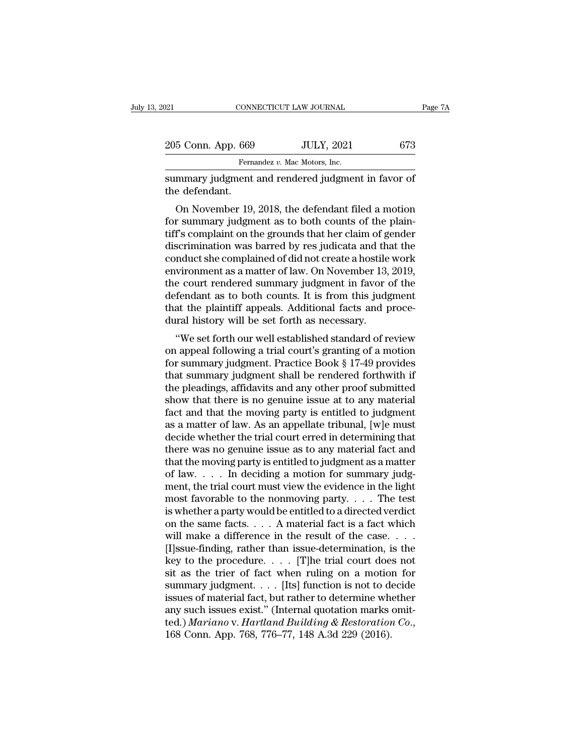| :021               | CONNECTICUT LAW JOURNAL                                                                                                                                                | Page 7A |
|--------------------|------------------------------------------------------------------------------------------------------------------------------------------------------------------------|---------|
| 205 Conn. App. 669 | <b>JULY, 2021</b>                                                                                                                                                      | 673     |
|                    | Fernandez v. Mac Motors, Inc.                                                                                                                                          |         |
| the defendant.     | summary judgment and rendered judgment in favor of                                                                                                                     |         |
|                    | On November 19, 2018, the defendant filed a motion<br>for summary judgment as to both counts of the plain-<br>tiff's complaint on the grounds that her claim of gonder |         |

205 Conn. App. 669 JULY, 2021 673<br>
Fernandez v. Mac Motors, Inc.<br>
summary judgment and rendered judgment in favor of<br>
the defendant.<br>
On November 19, 2018, the defendant filed a motion<br>
for summary judgment as to both cou Fernandez v. Mac Motors, Inc.<br>
summary judgment and rendered judgment in favor of<br>
the defendant.<br>
On November 19, 2018, the defendant filed a motion<br>
for summary judgment as to both counts of the plain-<br>
tiff's complaint summary judgment and rendered judgment in favor of<br>the defendant.<br>On November 19, 2018, the defendant filed a motion<br>for summary judgment as to both counts of the plain-<br>tiff's complaint on the grounds that her claim of ge summary judgment and rendered judgment in favor of<br>the defendant.<br>On November 19, 2018, the defendant filed a motion<br>for summary judgment as to both counts of the plain-<br>tiff's complaint on the grounds that her claim of ge On November 19, 2018, the defendant filed a motion<br>for summary judgment as to both counts of the plain-<br>tiff's complaint on the grounds that her claim of gender<br>discrimination was barred by res judicata and that the<br>conduc On November 19, 2018, the defendant filed a motion<br>for summary judgment as to both counts of the plain-<br>tiff's complaint on the grounds that her claim of gender<br>discrimination was barred by res judicata and that the<br>conduc for summary judgment as to both counts of the plain-<br>tiff's complaint on the grounds that her claim of gender<br>discrimination was barred by res judicata and that the<br>conduct she complained of did not create a hostile work<br>e tiff's complaint on the grounds that her claim of gender<br>discrimination was barred by res judicata and that the<br>conduct she complained of did not create a hostile work<br>environment as a matter of law. On November 13, 2019,<br> discrimination was barred by res judicata and the conduct she complained of did not create a hostile environment as a matter of law. On November 13, the court rendered summary judgment in favor defendant as to both counts. Mudet she complained of duriful create a nosthe work<br>
vironment as a matter of law. On November 13, 2019,<br>
e court rendered summary judgment in favor of the<br>
fendant as to both counts. It is from this judgment<br>
at the plai environment as a matter of law. On November 15, 2019,<br>the court rendered summary judgment in favor of the<br>defendant as to both counts. It is from this judgment<br>that the plaintiff appeals. Additional facts and proce-<br>dural

for summary judgment. It is from this judgment<br>that the plaintiff appeals. Additional facts and proce-<br>dural history will be set forth as necessary.<br>"We set forth our well established standard of review<br>on appeal following defendant as to both counts. It is from this judgment<br>that the plaintiff appeals. Additional facts and proce-<br>dural history will be set forth as necessary.<br>"We set forth our well established standard of review<br>on appeal fo that the plantin appeals. Additional facts and procedural history will be set forth as necessary.<br>
"We set forth our well established standard of review<br>
on appeal following a trial court's granting of a motion<br>
for summar show that is no general thermal standard of review<br>on appeal following a trial court's granting of a motion<br>for summary judgment. Practice Book § 17-49 provides<br>that summary judgment shall be rendered forthwith if<br>the ple "We set forth our well established standard of review<br>on appeal following a trial court's granting of a motion<br>for summary judgment. Practice Book § 17-49 provides<br>that summary judgment shall be rendered forthwith if<br>the on appeal following a trial court's granting of a motion<br>for summary judgment. Practice Book § 17-49 provides<br>that summary judgment shall be rendered forthwith if<br>the pleadings, affidavits and any other proof submitted<br>sho for summary judgment. Practice Book § 17-49 provides<br>that summary judgment shall be rendered forthwith if<br>the pleadings, affidavits and any other proof submitted<br>show that there is no genuine issue at to any material<br>fact that summary judgment shall be rendered forthwith if<br>the pleadings, affidavits and any other proof submitted<br>show that there is no genuine issue at to any material<br>fact and that the moving party is entitled to judgment<br>as the pleadings, affidavits and any other proof submitted<br>show that there is no genuine issue at to any material<br>fact and that the moving party is entitled to judgment<br>as a matter of law. As an appellate tribunal, [w]e must<br> show that there is no genuine issue at to any material fact and that the moving party is entitled to judgment as a matter of law. As an appellate tribunal, [w]e must decide whether the trial court erred in determining tha fact and that the moving party is entitled to judgment<br>as a matter of law. As an appellate tribunal, [w]e must<br>decide whether the trial court erred in determining that<br>there was no genuine issue as to any material fact an as a matter of law. As an appellate tribunal, [w]e must<br>decide whether the trial court erred in determining that<br>there was no genuine issue as to any material fact and<br>that the moving party is entitled to judgment as a ma decide whether the trial court erred in determining that<br>there was no genuine issue as to any material fact and<br>that the moving party is entitled to judgment as a matter<br>of law.... In deciding a motion for summary judg-<br>m there was no genuine issue as to any material fact and<br>that the moving party is entitled to judgment as a matter<br>of law.... In deciding a motion for summary judg-<br>ment, the trial court must view the evidence in the light<br> that the moving party is entitled to judgment as a matter<br>of law. . . . . In deciding a motion for summary judg-<br>ment, the trial court must view the evidence in the light<br>most favorable to the nonmoving party. . . . The t of law. . . . In deciding a motion for summary judgment, the trial court must view the evidence in the light most favorable to the nonmoving party. . . . The test is whether a party would be entitled to a directed verdict ment, the trial court must view the evidence in the light<br>most favorable to the nonmoving party. . . . The test<br>is whether a party would be entitled to a directed verdict<br>on the same facts. . . . A material fact is a fact most favorable to the nonmoving party. . . . The test<br>is whether a party would be entitled to a directed verdict<br>on the same facts. . . . A material fact is a fact which<br>will make a difference in the result of the case. . is whether a party would be entitled to a directed verdict<br>on the same facts. . . . A material fact is a fact which<br>will make a difference in the result of the case. . . .<br>[I]ssue-finding, rather than issue-determination, on the same facts. . . . A material fact is a fact which<br>will make a difference in the result of the case. . . .<br>[I]ssue-finding, rather than issue-determination, is the<br>key to the procedure. . . . . [T]he trial court doe will make a difference in the result of the case. . . . . [I]ssue-finding, rather than issue-determination, is the key to the procedure. . . . . [T]he trial court does not sit as the trier of fact when ruling on a motion [I]ssue-finding, rather than issue-determination, is the key to the procedure. . . . [T]he trial court does not sit as the trier of fact when ruling on a motion for summary judgment. . . . [Its] function is not to decide i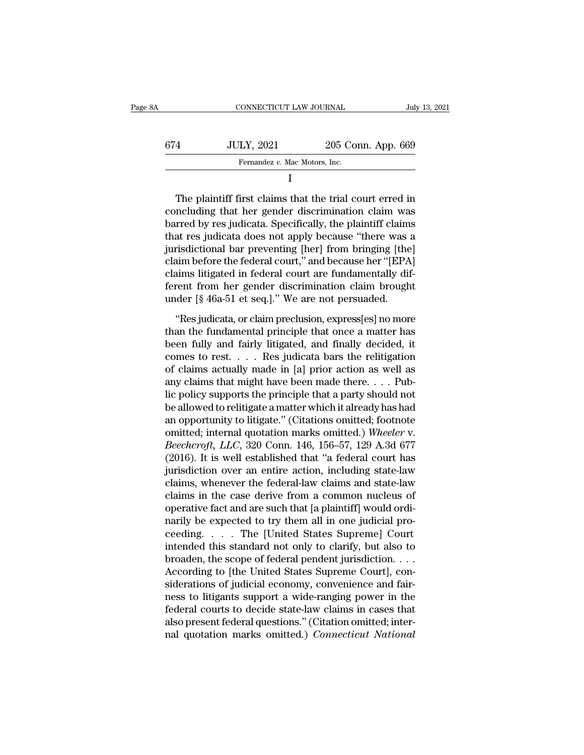| 8A  | CONNECTICUT LAW JOURNAL       |                    | July 13, 2021 |
|-----|-------------------------------|--------------------|---------------|
| 674 | <b>JULY, 2021</b>             | 205 Conn. App. 669 |               |
|     | Fernandez v. Mac Motors, Inc. |                    |               |
|     | L                             |                    |               |

 $\begin{array}{c|c} \text{674} & \text{JULY, 2021} & \text{205 Conn. App. 669} \\ \hline \text{Fernandez } v. \text{ Mac Motors, Inc.} & & \\ \text{I} & & \\ \text{Coneluding that her gender discrimination claim was barred by res judicial. Specifically, the plaintiff claims that res indicated does not apply because "those was a$  $\begin{array}{c|l} \hline \text{674} & \text{JULY, } 2021 & \text{205 Conn. App. 669} \\ \hline \hline \text{Fernandez } v. \text{ Mac Motors, Inc.} \end{array}$ <br>
The plaintiff first claims that the trial court erred in concluding that her gender discrimination claim was barred by res judicata. Spec Fernandez v. Mac Motors, Inc.<br>
I<br>
The plaintiff first claims that the trial court erred in<br>
concluding that her gender discrimination claim was<br>
barred by res judicata. Specifically, the plaintiff claims<br>
that res judicata I<br>
The plaintiff first claims that the trial court erred in<br>
concluding that her gender discrimination claim was<br>
barred by res judicata. Specifically, the plaintiff claims<br>
that res judicata does not apply because "there The plaintiff first claims that the trial court erred in<br>concluding that her gender discrimination claim was<br>barred by res judicata. Specifically, the plaintiff claims<br>that res judicata does not apply because "there was a<br> The plaintiff first claims that the trial court erred in<br>concluding that her gender discrimination claim was<br>barred by res judicata. Specifically, the plaintiff claims<br>that res judicata does not apply because "there was a<br> concluding that her gender discrimination claim was<br>barred by res judicata. Specifically, the plaintiff claims<br>that res judicata does not apply because "there was a<br>jurisdictional bar preventing [her] from bringing [the]<br>c barred by res judicata. Specifically, the plaintiff claim<br>that res judicata does not apply because "there was a<br>jurisdictional bar preventing [her] from bringing [the<br>claim before the federal court," and because her "[EPA<br> risdictional bar preventing [her] from bringing [the]<br>aim before the federal court," and because her "[EPA]<br>aims litigated in federal court are fundamentally dif-<br>rent from her gender discrimination claim brought<br>der [§ 46 Frame before the federal court," and because her "[EPA]<br>claims litigated in federal court are fundamentally dif-<br>ferent from her gender discrimination claim brought<br>under [§ 46a-51 et seq.]." We are not persuaded.<br>"Res jud

claims litigated in federal court are fundamentally different from her gender discrimination claim brought<br>under [§ 46a-51 et seq.]." We are not persuaded.<br>"Res judicata, or claim preclusion, express[es] no more<br>than the French from her gender discrimination claim brought<br>under [§ 46a-51 et seq.]." We are not persuaded.<br>"Res judicata, or claim preclusion, express[es] no more<br>than the fundamental principle that once a matter has<br>been fully of claims actually made in [a] prior action as well as<br>any claim of claim preclusion, express[es] no more<br>than the fundamental principle that once a matter has<br>been fully and fairly litigated, and finally decided, it<br>comes "Res judicata, or claim preclusion, express[es] no more<br>than the fundamental principle that once a matter has<br>been fully and fairly litigated, and finally decided, it<br>comes to rest. . . . Res judicata bars the relitigatio "Res judicata, or claim preclusion, express[es] no more<br>than the fundamental principle that once a matter has<br>been fully and fairly litigated, and finally decided, it<br>comes to rest. . . . Res judicata bars the relitigatio than the fundamental principle that once a matter has<br>been fully and fairly litigated, and finally decided, it<br>comes to rest.  $\dots$  Res judicata bars the relitigation<br>of claims actually made in [a] prior action as well as<br> been fully and fairly litigated, and finally decided, it<br>comes to rest. . . . Res judicata bars the relitigation<br>of claims actually made in [a] prior action as well as<br>any claims that might have been made there. . . . Pub comes to rest. . . . . Res judicata bars the relitigation<br>of claims actually made in [a] prior action as well as<br>any claims that might have been made there. . . . Pub-<br>lic policy supports the principle that a party should of claims actually made in [a] prior action as well as<br>any claims that might have been made there. . . . Pub-<br>lic policy supports the principle that a party should not<br>be allowed to relitigate a matter which it already has any claims that might have been made there. . . . Pub-<br>lic policy supports the principle that a party should not<br>be allowed to relitigate a matter which it already has had<br>an opportunity to litigate." (Citations omitted; lic policy supports the principle that a party should not<br>be allowed to relitigate a matter which it already has had<br>an opportunity to litigate." (Citations omitted; footnote<br>omitted; internal quotation marks omitted.) Whe be allowed to relitigate a matter which it already has had<br>an opportunity to litigate." (Citations omitted; footnote<br>omitted; internal quotation marks omitted.) Wheeler v.<br>Beechcroft, LLC, 320 Conn. 146, 156–57, 129 A.3d 6 an opportunity to litigate." (Citations omitted; footnote<br>omitted; internal quotation marks omitted.) Wheeler v.<br>Beechcroft, LLC, 320 Conn. 146, 156–57, 129 A.3d 677<br>(2016). It is well established that "a federal court has omitted; internal quotation marks omitted.) Wheeler v.<br>Beechcroft, LLC, 320 Conn. 146, 156–57, 129 A.3d 677<br>(2016). It is well established that "a federal court has<br>jurisdiction over an entire action, including state-law<br>c Beechcroft, LLC, 320 Conn. 146, 156–57, 129 A.3d 677 (2016). It is well established that "a federal court has jurisdiction over an entire action, including state-law claims, whenever the federal-law claims and state-law cl (2016). It is well established that "a federal court has<br>jurisdiction over an entire action, including state-law<br>claims, whenever the federal-law claims and state-law<br>claims in the case derive from a common nucleus of<br>ope jurisdiction over an entire action, including state-law<br>claims, whenever the federal-law claims and state-law<br>claims in the case derive from a common nucleus of<br>operative fact and are such that [a plaintiff] would ordi-<br>n claims, whenever the federal-law claims and state-law<br>claims in the case derive from a common nucleus of<br>operative fact and are such that [a plaintiff] would ordi-<br>narily be expected to try them all in one judicial pro-<br>ce claims in the case derive from a common nucleus of<br>operative fact and are such that [a plaintiff] would ordi-<br>narily be expected to try them all in one judicial pro-<br>ceeding. . . . . The [United States Supreme] Court<br>inten operative fact and are such that [a plaintiff] would ordinarily be expected to try them all in one judicial proceeding. . . . The [United States Supreme] Court intended this standard not only to clarify, but also to broade narily be expected to try them all in one judicial proceeding. . . . . The [United States Supreme] Court<br>intended this standard not only to clarify, but also to<br>broaden, the scope of federal pendent jurisdiction. . . .<br>Acc ceeding. . . . The [United States Supreme] Court<br>intended this standard not only to clarify, but also to<br>broaden, the scope of federal pendent jurisdiction. . . .<br>According to [the United States Supreme Court], con-<br>sidera intended this standard not only to clarify, but also to<br>broaden, the scope of federal pendent jurisdiction....<br>According to [the United States Supreme Court], con-<br>siderations of judicial economy, convenience and fair-<br>ne broaden, the scope of federal pendent jurisdiction. . . . According to [the United States Supreme Court], considerations of judicial economy, convenience and fairness to litigants support a wide-ranging power in the federa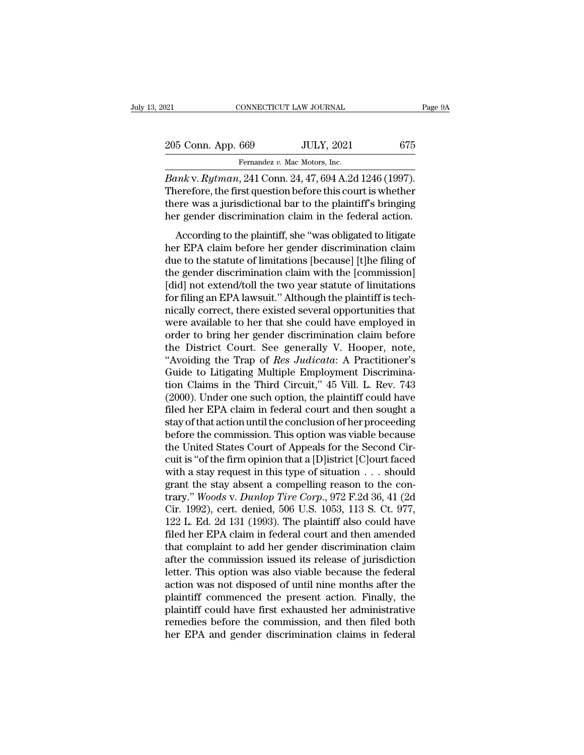| :021               | CONNECTICUT LAW JOURNAL       |                                                         |     | Page 9A |
|--------------------|-------------------------------|---------------------------------------------------------|-----|---------|
| 205 Conn. App. 669 |                               | <b>JULY, 2021</b>                                       | 675 |         |
|                    | Fernandez v. Mac Motors, Inc. |                                                         |     |         |
|                    |                               | <i>Banky Butman</i> 241 Conn 24 47 694 A 2d 1246 (1997) |     |         |

Page<br> *Bank* v. *Rytman*, 241 Conn. 24, 47, 694 A.2d 1246 (1997).<br> *Bank* v. *Rytman*, 241 Conn. 24, 47, 694 A.2d 1246 (1997).<br> *Bank* v. *Rytman*, 241 Conn. 24, 47, 694 A.2d 1246 (1997).<br>
Therefore, the first question bef 205 Conn. App. 669 JULY, 2021 675<br>Fernandez v. Mac Motors, Inc.<br>Bank v. Rytman, 241 Conn. 24, 47, 694 A.2d 1246 (1997).<br>Therefore, the first question before this court is whether<br>there was a jurisdictional bar to the plain 205 Conn. App. 669 JULY, 2021 675<br>Fernandez v. Mac Motors, Inc.<br>Bank v. Rytman, 241 Conn. 24, 47, 694 A.2d 1246 (1997).<br>Therefore, the first question before this court is whether<br>there was a jurisdictional bar to the plai 205 Conn. App. 669 JULY, 2021 675<br>Fernandez v. Mac Motors, Inc.<br>Bank v. Rytman, 241 Conn. 24, 47, 694 A.2d 1246 (1997).<br>Therefore, the first question before this court is whether<br>there was a jurisdictional bar to the plain Fernandez v. Mac Motors, Inc.<br>  $m k$  v.  $Rytman$ , 241 Conn. 24, 47, 694 A.2d 1246 (1997).<br>
Recefore, the first question before this court is whether<br>
rere was a jurisdictional bar to the plaintiff's bringing<br>
regender discrim *Bank* v. *Rytman*, 241 Conn. 24, 47, 694 A.2d 1246 (1997).<br>Therefore, the first question before this court is whether<br>there was a jurisdictional bar to the plaintiff's bringing<br>her gender discrimination claim in the fede

Durin  $\alpha$ ,  $\beta$  is the statute of limit of limitations and the statute of limitations and in the federal action.<br>
According to the plaintiff, she "was obligated to litigate<br>
her EPA claim before her gender discrimination Therefore, are mee question servere ans courts where<br>there was a jurisdictional bar to the plaintiff's bringing<br>her gender discrimination claim in the federal action.<br>According to the plaintiff, she "was obligated to litig France was a gansaceonal bat to the plaintin's binging<br>her gender discrimination claim in the federal action.<br>According to the plaintiff, she "was obligated to litigate<br>her EPA claim before her gender discrimination claim<br> for filing and the plaintiff, she "was obligated to litigate<br>her EPA claim before her gender discrimination claim<br>due to the statute of limitations [because] [t]he filing of<br>the gender discrimination claim with the [commis According to the plaintiff, she "was obligated to litigate<br>her EPA claim before her gender discrimination claim<br>due to the statute of limitations [because] [t]he filing of<br>the gender discrimination claim with the [commissi her EPA claim before her gender discrimination claim<br>due to the statute of limitations [because] [t]he filing of<br>the gender discrimination claim with the [commission]<br>[did] not extend/toll the two year statute of limitatio due to the statute of limitations [because] [t]he filing of<br>the gender discrimination claim with the [commission]<br>[did] not extend/toll the two year statute of limitations<br>for filing an EPA lawsuit." Although the plaintiff the gender discrimination claim with the [commission]<br>[did] not extend/toll the two year statute of limitations<br>for filing an EPA lawsuit." Although the plaintiff is tech-<br>nically correct, there existed several opportuniti [did] not extend/toll the two year statute of limitations<br>for filing an EPA lawsuit." Although the plaintiff is tech-<br>nically correct, there existed several opportunities that<br>were available to her that she could have empl for filing an EPA lawsuit." Although the plaintiff is technically correct, there existed several opportunities that<br>were available to her that she could have employed in<br>order to bring her gender discrimination claim befo nically correct, there existed several opportunities that<br>were available to her that she could have employed in<br>order to bring her gender discrimination claim before<br>the District Court. See generally V. Hooper, note,<br>"Avoi were available to her that she could have employed in<br>order to bring her gender discrimination claim before<br>the District Court. See generally V. Hooper, note,<br>"Avoiding the Trap of *Res Judicata*: A Practitioner's<br>Guide to order to bring her gender discrimination claim before<br>the District Court. See generally V. Hooper, note,<br>"Avoiding the Trap of *Res Judicata*: A Practitioner's<br>Guide to Litigating Multiple Employment Discrimina-<br>tion Claim the District Court. See generally V. Hooper, note,<br>"Avoiding the Trap of *Res Judicata*: A Practitioner's<br>Guide to Litigating Multiple Employment Discrimina-<br>tion Claims in the Third Circuit," 45 Vill. L. Rev. 743<br>(2000). "Avoiding the Trap of *Res Judicata*: A Practitioner's<br>Guide to Litigating Multiple Employment Discrimina-<br>tion Claims in the Third Circuit," 45 Vill. L. Rev. 743<br>(2000). Under one such option, the plaintiff could have<br>fi Guide to Litigating Multiple Employment Discrimination Claims in the Third Circuit," 45 Vill. L. Rev. 743 (2000). Under one such option, the plaintiff could have filed her EPA claim in federal court and then sought a stay tion Claims in the Third Circuit," 45 Vill. L. Rev. 743<br>(2000). Under one such option, the plaintiff could have<br>filed her EPA claim in federal court and then sought a<br>stay of that action until the conclusion of her procee (2000). Under one such option, the plaintiff could have<br>filed her EPA claim in federal court and then sought a<br>stay of that action until the conclusion of her proceeding<br>before the commission. This option was viable becau filed her EPA claim in federal court and then sought a<br>stay of that action until the conclusion of her proceeding<br>before the commission. This option was viable because<br>the United States Court of Appeals for the Second Cir stay of that action until the conclusion of her proceeding<br>before the commission. This option was viable because<br>the United States Court of Appeals for the Second Cir-<br>cuit is "of the firm opinion that a [D]istrict [C]ourt before the commission. This option was viable because<br>the United States Court of Appeals for the Second Cir-<br>cuit is "of the firm opinion that a [D]istrict [C]ourt faced<br>with a stay request in this type of situation . . . the United States Court of Appeals for the Second Circuit is "of the firm opinion that a [D]istrict [C]ourt faced<br>with a stay request in this type of situation  $\ldots$  should<br>grant the stay absent a compelling reason to the cuit is "of the firm opinion that a [D]istrict [C]ourt faced<br>with a stay request in this type of situation  $\ldots$  should<br>grant the stay absent a compelling reason to the con-<br>trary." Woods v. Dunlop Tire Corp., 972 F.2d 36 with a stay request in this type of situation  $\ldots$  should<br>grant the stay absent a compelling reason to the con-<br>trary." *Woods v. Dunlop Tire Corp.*, 972 F.2d 36, 41 (2d<br>Cir. 1992), cert. denied, 506 U.S. 1053, 113 S. Ct grant the stay absent a compelling reason to the con-<br>trary." Woods v. Dunlop Tire Corp., 972 F.2d 36, 41 (2d<br>Cir. 1992), cert. denied, 506 U.S. 1053, 113 S. Ct. 977,<br>122 L. Ed. 2d 131 (1993). The plaintiff also could have trary." *Woods v. Dunlop Tire Corp.*, 972 F.2d 36, 41 (2d<br>Cir. 1992), cert. denied, 506 U.S. 1053, 113 S. Ct. 977,<br>122 L. Ed. 2d 131 (1993). The plaintiff also could have<br>filed her EPA claim in federal court and then amend Cir. 1992), cert. denied, 506 U.S. 1053, 113 S. Ct. 977,<br>122 L. Ed. 2d 131 (1993). The plaintiff also could have<br>filed her EPA claim in federal court and then amended<br>that complaint to add her gender discrimination claim<br>a 122 L. Ed. 2d 131 (1993). The plaintiff also could have<br>filed her EPA claim in federal court and then amended<br>that complaint to add her gender discrimination claim<br>after the commission issued its release of jurisdiction<br>le filed her EPA claim in federal court and then amended<br>that complaint to add her gender discrimination claim<br>after the commission issued its release of jurisdiction<br>letter. This option was also viable because the federal<br>ac that complaint to add her gender discrimination claim<br>after the commission issued its release of jurisdiction<br>letter. This option was also viable because the federal<br>action was not disposed of until nine months after the<br>p after the commission issued its release of jurisdiction<br>letter. This option was also viable because the federal<br>action was not disposed of until nine months after the<br>plaintiff commenced the present action. Finally, the<br>pl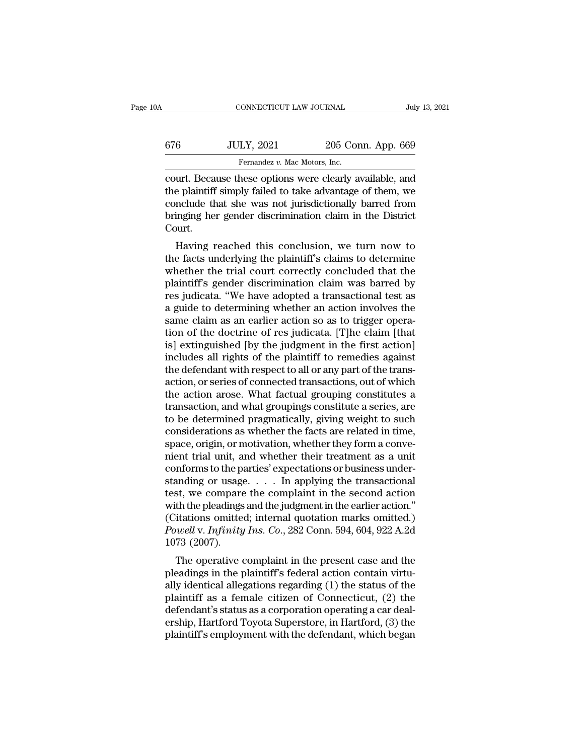| 0A  | CONNECTICUT LAW JOURNAL                                                                                                                                                         |                    | July 13, 2021 |
|-----|---------------------------------------------------------------------------------------------------------------------------------------------------------------------------------|--------------------|---------------|
|     |                                                                                                                                                                                 |                    |               |
| 676 | <b>JULY, 2021</b>                                                                                                                                                               | 205 Conn. App. 669 |               |
|     | Fernandez v. Mac Motors, Inc.                                                                                                                                                   |                    |               |
|     | court. Because these options were clearly available, and<br>the plaintiff simply failed to take advantage of them, we<br>conclude that she was not jurisdictionally barred from |                    |               |

 $t = 676$  JULY, 2021 205 Conn. App. 669<br>Fernandez v. Mac Motors, Inc.<br>Court. Because these options were clearly available, and<br>the plaintiff simply failed to take advantage of them, we<br>conclude that she was not jurisdictio 676 JULY, 2021 205 Conn. App. 669<br>
Fernandez v. Mac Motors, Inc.<br>
court. Because these options were clearly available, and<br>
the plaintiff simply failed to take advantage of them, we<br>
conclude that she was not jurisdiction 676 JULY, 2021 205 Conn. App. 669<br>Fernandez v. Mac Motors, Inc.<br>court. Because these options were clearly available, and<br>the plaintiff simply failed to take advantage of them, we<br>conclude that she was not jurisdictionally Court. urt. Because these options were clearly available, and<br>e plaintiff simply failed to take advantage of them, we<br>nclude that she was not jurisdictionally barred from<br>inging her gender discrimination claim in the District<br>bur Fourt. Because these options were clearly available, and<br>the plaintiff simply failed to take advantage of them, we<br>conclude that she was not jurisdictionally barred from<br>bringing her gender discrimination claim in the Dist

the plantin simply laned to take advantage of them, we<br>conclude that she was not jurisdictionally barred from<br>bringing her gender discrimination claim in the District<br>Court.<br>Having reached this conclusion, we turn now to<br>t conclude that she was not jurisdictionally barred from<br>bringing her gender discrimination claim in the District<br>Court.<br>Having reached this conclusion, we turn now to<br>the facts underlying the plaintiff's claims to determine Forthermal contribution of the matter in the system.<br>
Having reached this conclusion, we turn now to<br>
the facts underlying the plaintiff's claims to determine<br>
whether the trial court correctly concluded that the<br>
plaintif Flaving reached this conclusion, we turn now to<br>the facts underlying the plaintiff's claims to determine<br>whether the trial court correctly concluded that the<br>plaintiff's gender discrimination claim was barred by<br>res judica Having reached this conclusion, we turn now to<br>the facts underlying the plaintiff's claims to determine<br>whether the trial court correctly concluded that the<br>plaintiff's gender discrimination claim was barred by<br>res judicat the facts underlying the plaintiff's claims to determine<br>whether the trial court correctly concluded that the<br>plaintiff's gender discrimination claim was barred by<br>res judicata. "We have adopted a transactional test as<br>a g whether the trial court correctly concluded that the plaintiff's gender discrimination claim was barred by res judicata. "We have adopted a transactional test as a guide to determining whether an action involves the same c plaintiff's gender discrimination claim was barred by<br>res judicata. "We have adopted a transactional test as<br>a guide to determining whether an action involves the<br>same claim as an earlier action so as to trigger opera-<br>tio res judicata. "We have adopted a transactional test as<br>a guide to determining whether an action involves the<br>same claim as an earlier action so as to trigger opera-<br>tion of the doctrine of res judicata. [T]he claim [that<br>i a guide to determining whether an action involves the<br>same claim as an earlier action so as to trigger opera-<br>tion of the doctrine of res judicata. [T]he claim [that<br>is] extinguished [by the judgment in the first action]<br>i same claim as an earlier action so as to trigger operation of the doctrine of res judicata. [T]he claim [that is] extinguished [by the judgment in the first action] includes all rights of the plaintiff to remedies against tion of the doctrine of res judicata. [T]he claim [that<br>is] extinguished [by the judgment in the first action]<br>includes all rights of the plaintiff to remedies against<br>the defendant with respect to all or any part of the t is] extinguished [by the judgment in the first action]<br>includes all rights of the plaintiff to remedies against<br>the defendant with respect to all or any part of the trans-<br>action, or series of connected transactions, out o includes all rights of the plaintiff to remedies against<br>the defendant with respect to all or any part of the trans-<br>action, or series of connected transactions, out of which<br>the action arose. What factual grouping constit the defendant with respect to all or any part of the trans-<br>action, or series of connected transactions, out of which<br>the action arose. What factual grouping constitutes a<br>transaction, and what groupings constitute a serie action, or series of connected transactions, out of which<br>the action arose. What factual grouping constitutes a<br>transaction, and what groupings constitute a series, are<br>to be determined pragmatically, giving weight to such the action arose. What factual grouping constitutes a<br>transaction, and what groupings constitute a series, are<br>to be determined pragmatically, giving weight to such<br>considerations as whether the facts are related in time,<br> transaction, and what groupings constitute a series, are<br>to be determined pragmatically, giving weight to such<br>considerations as whether the facts are related in time,<br>space, origin, or motivation, whether they form a conv to be determined pragmatically, giving weight to such<br>considerations as whether the facts are related in time,<br>space, origin, or motivation, whether they form a conve-<br>nient trial unit, and whether their treatment as a uni considerations as whether the facts are related in time,<br>space, origin, or motivation, whether they form a conve-<br>nient trial unit, and whether their treatment as a unit<br>conforms to the parties' expectations or business u space, origin, or motivation, whether they form a conve-<br>nient trial unit, and whether their treatment as a unit<br>conforms to the parties' expectations or business under-<br>standing or usage. . . . In applying the transactio mient trial unit, and whether their treatment as a unit<br>conforms to the parties' expectations or business under-<br>standing or usage. . . . . In applying the transactional<br>test, we compare the complaint in the second action<br> conforms to the p:<br>standing or usage<br>test, we compare<br>with the pleadings<br>(Citations omitte<br>*Powell v. Infinity*<br>1073 (2007).<br>The operative c The operative complaint in the second action<br>th the pleadings and the judgment in the earlier action."<br>itations omitted; internal quotation marks omitted.)<br>well v. *Infinity Ins. Co.*, 282 Conn. 594, 604, 922 A.2d<br>73 (200 best, we compare the compaint in the second action<br>with the pleadings and the judgment in the earlier action."<br>(Citations omitted; internal quotation marks omitted.)<br>Powell v. Infinity Ins. Co., 282 Conn. 594, 604, 922 A.

with the pleadings and the judgment in the earlier action.<br>
(Citations omitted; internal quotation marks omitted.)<br> *Powell v. Infinity Ins. Co.*, 282 Conn. 594, 604, 922 A.2d<br>
1073 (2007).<br>
The operative complaint in the plantificantly as a female citizen of Connection and the pleadings in the plaintiff's federal action contain virtually identical allegations regarding (1) the status of the plaintiff as a female citizen of Connecticut, (2 defeated in the present case and the pleadings in the plaintiff's federal action contain virtually identical allegations regarding (1) the status of the plaintiff as a female citizen of Connecticut, (2) the defendant's st Toyota The operative complaint in the present case and the pleadings in the plaintiff's federal action contain virtually identical allegations regarding (1) the status of the plaintiff as a female citizen of Connecticut, ( The operative complaint in the present case and the pleadings in the plaintiff's federal action contain virtually identical allegations regarding (1) the status of the plaintiff as a female citizen of Connecticut, (2) the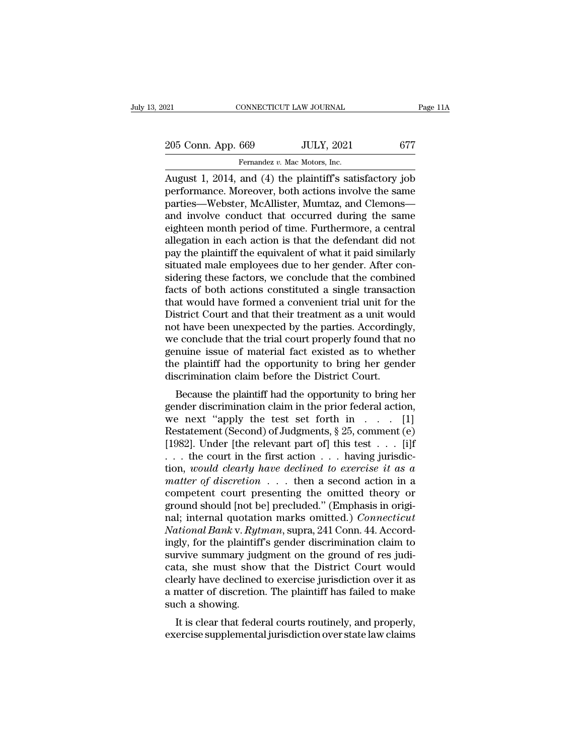| 021                | CONNECTICUT LAW JOURNAL                                    | Page 11A |
|--------------------|------------------------------------------------------------|----------|
| 205 Conn. App. 669 | <b>JULY, 2021</b>                                          | 677      |
|                    | Fernandez v. Mac Motors, Inc.                              |          |
|                    | August 1, 2014, and $(4)$ the plaintiff's satisfactory ioh |          |

Page 11A<br>
205 Conn. App. 669 JULY, 2021 677<br>
Fernandez v. Mac Motors, Inc.<br>
August 1, 2014, and (4) the plaintiff's satisfactory job<br>
performance. Moreover, both actions involve the same 205 Conn. App. 669 JULY, 2021 677<br>Fernandez v. Mac Motors, Inc.<br>August 1, 2014, and (4) the plaintiff's satisfactory job<br>performance. Moreover, both actions involve the same<br>parties—Webster, McAllister, Mumtaz, and Clemons 205 Conn. App. 669 JULY, 2021 677<br>
Fernandez v. Mac Motors, Inc.<br>
August 1, 2014, and (4) the plaintiff's satisfactory job<br>
performance. Moreover, both actions involve the same<br>
parties—Webster, McAllister, Mumtaz, and Cl 205 Conn. App. 669 JULY, 2021 677<br>
Fernandez v. Mac Motors, Inc.<br>
August 1, 2014, and (4) the plaintiff's satisfactory job<br>
performance. Moreover, both actions involve the same<br>
parties—Webster, McAllister, Mumtaz, and Cl Fernandez v. Mac Motors, Inc.<br>
August 1, 2014, and (4) the plaintiff's satisfactory job<br>
performance. Moreover, both actions involve the same<br>
parties—Webster, McAllister, Mumtaz, and Clemons—<br>
and involve conduct that oc Fernandez v. Mac Motors, Inc.<br>August 1, 2014, and (4) the plaintiff's satisfactory job<br>performance. Moreover, both actions involve the same<br>parties—Webster, McAllister, Mumtaz, and Clemons—<br>and involve conduct that occurre August 1, 2014, and (4) the plaintiff's satisfactory job<br>performance. Moreover, both actions involve the same<br>parties—Webster, McAllister, Mumtaz, and Clemons—<br>and involve conduct that occurred during the same<br>eighteen mon performance. Moreover, both actions involve the same<br>parties—Webster, McAllister, Mumtaz, and Clemons—<br>and involve conduct that occurred during the same<br>eighteen month period of time. Furthermore, a central<br>allegation in e parties—Webster, McAllister, Mumtaz, and Clemons—<br>and involve conduct that occurred during the same<br>eighteen month period of time. Furthermore, a central<br>allegation in each action is that the defendant did not<br>pay the plai and involve conduct that occurred during the same<br>eighteen month period of time. Furthermore, a central<br>allegation in each action is that the defendant did not<br>pay the plaintiff the equivalent of what it paid similarly<br>sit eighteen month period of time. Furthermore, a central<br>allegation in each action is that the defendant did not<br>pay the plaintiff the equivalent of what it paid similarly<br>situated male employees due to her gender. After conallegation in each action is that the defendant did not<br>pay the plaintiff the equivalent of what it paid similarly<br>situated male employees due to her gender. After con-<br>sidering these factors, we conclude that the combined pay the plaintiff the equivalent of what it paid similarly<br>situated male employees due to her gender. After con-<br>sidering these factors, we conclude that the combined<br>facts of both actions constituted a single transaction<br> situated male employees due to her gender. After considering these factors, we conclude that the combined facts of both actions constituted a single transaction that would have formed a convenient trial unit for the Distri sidering these factors, we conclude that the combined<br>facts of both actions constituted a single transaction<br>that would have formed a convenient trial unit for the<br>District Court and that their treatment as a unit would<br>no facts of both actions constituted a single transaction<br>that would have formed a convenient trial unit for the<br>District Court and that their treatment as a unit would<br>not have been unexpected by the parties. Accordingly,<br>we that would have formed a convenient trial unit for the District Court and that their treatment as a unit wou not have been unexpected by the parties. According we conclude that the trial court properly found that genuine i strict Court and that their treatment as a unit would<br>t have been unexpected by the parties. Accordingly,<br>e conclude that the trial court properly found that no<br>nuine issue of material fact existed as to whether<br>e plaintif For the plant of the trial court properly found that no<br>genuine issue of material fact existed as to whether<br>the plaintiff had the opportunity to bring her gender<br>discrimination claim before the District Court.<br>Because th

we conclude that the that court properly found that ho<br>genuine issue of material fact existed as to whether<br>the plaintiff had the opportunity to bring her gender<br>discrimination claim before the District Court.<br>Because the genume issue of material fact existed as to whether<br>the plaintiff had the opportunity to bring her gender<br>discrimination claim before the District Court.<br>Because the plaintiff had the opportunity to bring her<br>gender discri the plantificant rate opportunity to bring her genter<br>discrimination claim before the District Court.<br>Because the plaintiff had the opportunity to bring her<br>gender discrimination claim in the prior federal action,<br>we next discrimination claim before the District Court.<br>Because the plaintiff had the opportunity to bring her<br>gender discrimination claim in the prior federal action,<br>we next "apply the test set forth in  $\dots$  [1]<br>Restatement (Se Because the plaintiff had the opportunity to bring her<br>gender discrimination claim in the prior federal action,<br>we next "apply the test set forth in  $\dots$  [1]<br>Restatement (Second) of Judgments, § 25, comment (e)<br>[1982]. Un gender discrimination claim in the prior federal action,<br>we next "apply the test set forth in . . . [1]<br>Restatement (Second) of Judgments, § 25, comment (e)<br>[1982]. Under [the relevant part of] this test . . . [i]f<br>. . . we next "apply the test set forth in . . . [1]<br>Restatement (Second) of Judgments, § 25, comment (e)<br>[1982]. Under [the relevant part of] this test . . . [i]f<br>. . . the court in the first action . . . having jurisdic-<br>tion Restatement (Second) of Judgments, § 25, comment (e) [1982]. Under [the relevant part of] this test . . . [i]f . . . the court in the first action . . . having jurisdiction, *would clearly have declined to exercise it as* [1982]. Under [the relevant part of] this test  $\ldots$  [i]f  $\ldots$  the court in the first action  $\ldots$  having jurisdiction, *would clearly have declined to exercise it as a* matter of discretion  $\ldots$  then a second action in *National Constrains in the first action ...* having jurisdiction, *would clearly have declined to exercise it as a matter of discretion* ... then a second action in a competent court presenting the omitted theory or groun tion, *would clearly have declined to exercise it as a*<br>matter of discretion  $\ldots$ , then a second action in a<br>competent court presenting the omitted theory or<br>ground should [not be] precluded." (Emphasis in origi-<br>nal; in matter of discretion . . . then a second action in a<br>competent court presenting the omitted theory or<br>ground should [not be] precluded." (Emphasis in origi-<br>nal; internal quotation marks omitted.) *Connecticut*<br>National Ba competent court presenting the omitted theory or<br>ground should [not be] precluded." (Emphasis in origi-<br>nal; internal quotation marks omitted.) *Connecticut*<br>National Bank v. Rytman, supra, 241 Conn. 44. Accord-<br>ingly, for ground should [not be] precluded." (Emphasis in original; internal quotation marks omitted.) *Connecticut*<br>National Bank v. Rytman, supra, 241 Conn. 44. Accordingly, for the plaintiff's gender discrimination claim to<br>survi nal; internal quotation marks omitted.) *Connecticut*<br>National Bank v. Rytman, supra, 241 Conn. 44. Accord-<br>ingly, for the plaintiff's gender discrimination claim to<br>survive summary judgment on the ground of res judi-<br>cata National Bank v. Ryth<br>
ingly, for the plaintiff<br>
survive summary jud;<br>
cata, she must show<br>
clearly have declined<br>
a matter of discretior<br>
such a showing.<br>
It is clear that feder gly, for the plantiff is gender discrimination claim to<br>rvive summary judgment on the ground of res judi-<br>ta, she must show that the District Court would<br>early have declined to exercise jurisdiction over it as<br>matter of di survive summary judgment on the ground of res judicata, she must show that the District Court would clearly have declined to exercise jurisdiction over it as a matter of discretion. The plaintiff has failed to make such a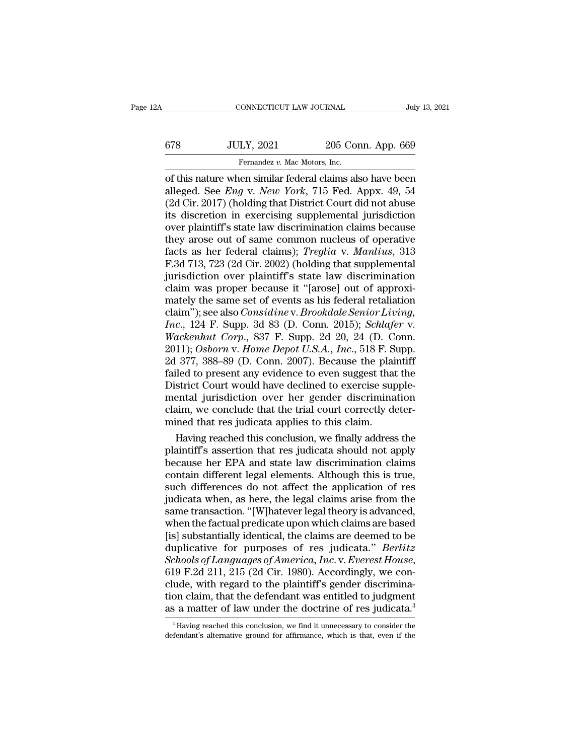# CONNECTICUT LAW JOURNAL July 13, 2021<br>678 JULY, 2021 205 Conn. App. 669<br>Fernandez v. Mac Motors, Inc. CONNECTICUT LAW JOURNAL Jul<br>
11 Jul<br>
578 JULY, 2021 205 Conn. App. 669<br>
Fernandez *v.* Mac Motors, Inc.<br>
11 of this nature when similar federal claims also have been

CONNECTICUT LAW JOURNAL July 13, 2021<br>
678 JULY, 2021 205 Conn. App. 669<br>
Fernandez v. Mac Motors, Inc.<br>
of this nature when similar federal claims also have been<br>
alleged. See *Eng v. New York*, 715 Fed. Appx. 49, 54<br>
(2d alleged. See *Eng* v. *New York*, 715 Fed. App. 669<br>
alleged. See *Eng* v. *New York*, 715 Fed. Appx. 49, 54<br>
alleged. See *Eng* v. *New York*, 715 Fed. Appx. 49, 54<br>
(2d Cir. 2017) (holding that District Court did not abu (2021 are 2016) (678 and 2017). The Motors, Inc.<br>
2018 Conn. App. 669<br>
10 Fernandez v. Mac Motors, Inc.<br>
2017 (holding that District Court did not abuse its discretion in exercising supplemental jurisdiction<br>
2017 (holdin  $\begin{array}{r} \text{578} & \text{JULY, } 2021 & 205 \text{ Conn. App. } 669 \\ \hline \text{Fernandez } v. \text{ Mac Motors, Inc.} \end{array}$ <br>of this nature when similar federal claims also have been alleged. See *Eng v. New York*, 715 Fed. Appx. 49, 54 (2d Cir. 2017) (holding that Dist Fernandez v. Mac Motors, Inc.<br>
of this nature when similar federal claims also have been<br>
alleged. See *Eng v. New York*, 715 Fed. Appx. 49, 54<br>
(2d Cir. 2017) (holding that District Court did not abuse<br>
its discretion in Fernandez v. Mac Motors, Inc.<br>
of this nature when similar federal claims also have been<br>
alleged. See *Eng v. New York*, 715 Fed. Appx. 49, 54<br>
(2d Cir. 2017) (holding that District Court did not abuse<br>
its discretion in of this nature when similar federal claims also have been<br>alleged. See *Eng v. New York*, 715 Fed. Appx. 49, 54<br>(2d Cir. 2017) (holding that District Court did not abuse<br>its discretion in exercising supplemental jurisdicti alleged. See *Eng* v. *New York*, 715 Fed. Appx. 49, 54 (2d Cir. 2017) (holding that District Court did not abuse its discretion in exercising supplemental jurisdiction over plaintiff's state law discrimination claims beca (2d Cir. 2017) (holding that District Court did not abuse<br>its discretion in exercising supplemental jurisdiction<br>over plaintiff's state law discrimination claims because<br>they arose out of same common nucleus of operative<br> its discretion in exercising supplemental jurisdiction<br>over plaintiff's state law discrimination claims because<br>they arose out of same common nucleus of operative<br>facts as her federal claims); *Treglia* v. *Manlius*, 313<br> over plaintiff's state law discrimination claims because<br>they arose out of same common nucleus of operative<br>facts as her federal claims); *Treglia* v. *Manlius*, 313<br>F.3d 713, 723 (2d Cir. 2002) (holding that supplemental<br> they arose out of same common nucleus of operative<br>facts as her federal claims); *Treglia v. Manlius*, 313<br>F.3d 713, 723 (2d Cir. 2002) (holding that supplemental<br>jurisdiction over plaintiff's state law discrimination<br>clai *Facts as her federal claims); <i>Treglia v. Manlius*, 313 *F.3d 713, 723 (2d Cir. 2002) (holding that supplemental jurisdiction over plaintiff's state law discrimination claim was proper because it "[arose] out of approxima F.3d 713, 723 (2d Cir. 2002) (holding that supplemental jurisdiction over plaintiff's state law discrimination claim was proper because it "[arose] out of approximately the same set of events as his federal retaliation cl* jurisdiction over plaintiff's state law discrimination<br>claim was proper because it "[arose] out of approxi-<br>mately the same set of events as his federal retaliation<br>claim"); see also *Considine* v. *Brookdale Senior Living* claim was proper because it "[arose] out of approximately the same set of events as his federal retaliation<br>claim"); see also *Considine* v. *Brookdale Senior Living*,<br>*Inc.*, 124 F. Supp. 3d 83 (D. Conn. 2015); *Schlafer* mately the same set of events as his federal retaliation<br>claim"); see also *Considine* v. *Brookdale Senior Living*,<br>*Inc.*, 124 F. Supp. 3d 83 (D. Conn. 2015); *Schlafer* v.<br>*Wackenhut Corp.*, 837 F. Supp. 2d 20, 24 (D. C claim"); see also *Considine* v. *Brookdale Senior Living, Inc.*, 124 F. Supp. 3d 83 (D. Conn. 2015); *Schlafer* v. *Wackenhut Corp.*, 837 F. Supp. 2d 20, 24 (D. Conn. 2011); *Osborn* v. *Home Depot U.S.A., Inc.*, 518 F. Inc., 124 F. Supp. 3d 83 (D. Conn. 2015); *Schlafer* v.<br>Wackenhut Corp., 837 F. Supp. 2d 20, 24 (D. Conn.<br>2011); Osborn v. Home Depot U.S.A., Inc., 518 F. Supp.<br>2d 377, 388–89 (D. Conn. 2007). Because the plaintiff<br>failed Wackenhut Corp., 837 F. Supp. 2d 20, 24 (D. Conn. 2011); Osborn v. Home Depot U.S.A., Inc., 518 F. Supp. 2d 377, 388–89 (D. Conn. 2007). Because the plaintiff failed to present any evidence to even suggest that the Distric 2011); Osborn v. Home Depot U.S.A., Inc., 518 F. S<br>2d 377, 388–89 (D. Conn. 2007). Because the plai<br>failed to present any evidence to even suggest that<br>District Court would have declined to exercise sup<br>mental jurisdiction  $H_3$  and state law discrimination claims<br>conclusion over the plantified to present any evidence to even suggest that the<br>strict Court would have declined to exercise supple-<br>ental jurisdiction over her gender discriminat failed to present any evidence to even suggest that the<br>District Court would have declined to exercise supple-<br>mental jurisdiction over her gender discrimination<br>claim, we conclude that the trial court correctly deter-<br>min

District Court would have declined to exercise supple-<br>mental jurisdiction over her gender discrimination<br>claim, we conclude that the trial court correctly deter-<br>mined that res judicata applies to this claim.<br>Having reach mental jurisdiction over her gender discrimination<br>claim, we conclude that the trial court correctly deter-<br>mined that res judicata applies to this claim.<br>Having reached this conclusion, we finally address the<br>plaintiff's claim, we conclude that the trial court correctly deter-<br>mined that res judicata applies to this claim.<br>Having reached this conclusion, we finally address the<br>plaintiff's assertion that res judicata should not apply<br>becaus mined that res judicata applies to this claim.<br>Having reached this conclusion, we finally address the<br>plaintiff's assertion that res judicata should not apply<br>because her EPA and state law discrimination claims<br>contain dif Having reached this conclusion, we finally address the plaintiff's assertion that res judicata should not apply because her EPA and state law discrimination claims contain different legal elements. Although this is true, s plaintiff's assertion that res judicata should not apply<br>because her EPA and state law discrimination claims<br>contain different legal elements. Although this is true,<br>such differences do not affect the application of res<br>ju because her EPA and state law discrimination claims<br>contain different legal elements. Although this is true,<br>such differences do not affect the application of res<br>judicata when, as here, the legal claims arise from the<br>sam contain different legal elements. Although this is true,<br>such differences do not affect the application of res<br>judicata when, as here, the legal claims arise from the<br>same transaction. "[W]hatever legal theory is advanced, such differences do not affect the application of res<br>judicata when, as here, the legal claims arise from the<br>same transaction. "[W]hatever legal theory is advanced,<br>when the factual predicate upon which claims are based<br>[ same transaction. "[W]hatever legal theory is advanced,<br>when the factual predicate upon which claims are based<br>[is] substantially identical, the claims are deemed to be<br>duplicative for purposes of res judicata." *Berlitz* when the factual predicate upon which claims are based<br>[is] substantially identical, the claims are deemed to be<br>duplicative for purposes of res judicata." *Berlitz*<br>Schools of Languages of America, Inc. v. Everest House,<br> [is] substantially identical, the claims are deemed to be duplicative for purposes of res judicata." *Berlitz Schools of Languages of America, Inc.* v. *Everest House*, 619 F.2d 211, 215 (2d Cir. 1980). Accordingly, we 19 F.2d 211, 215 (2d Cir. 1980). Accordingly, we con-<br>ude, with regard to the plaintiff's gender discrimina-<br>on claim, that the defendant was entitled to judgment<br>s a matter of law under the doctrine of res judicata.<sup>3</sup><br>H clude, with regard to the plaintiff's gender discrimination claim, that the defendant was entitled to judgment as a matter of law under the doctrine of res judicata.<sup>3</sup> Having reached this conclusion, we find it unnecessar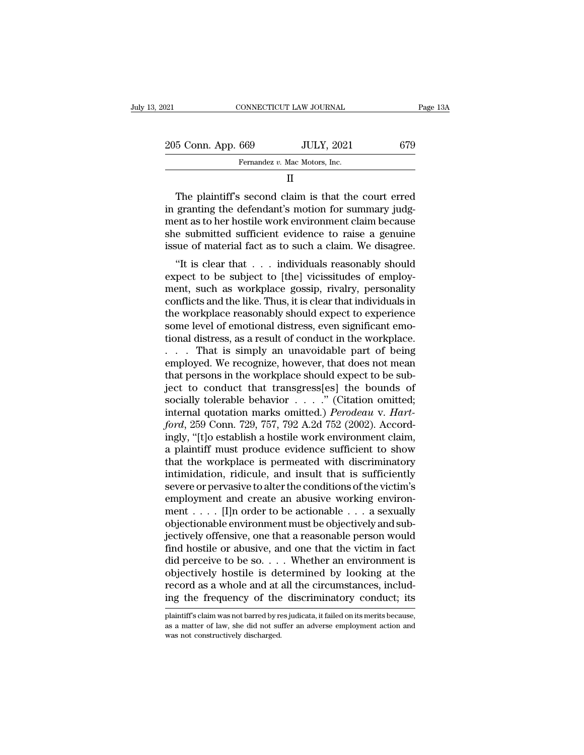| 2021 |                    | CONNECTICUT LAW JOURNAL                                                                                                                                               | Page 13A |
|------|--------------------|-----------------------------------------------------------------------------------------------------------------------------------------------------------------------|----------|
|      | 205 Conn. App. 669 | <b>JULY, 2021</b>                                                                                                                                                     | 679      |
|      |                    | Fernandez v. Mac Motors, Inc.                                                                                                                                         |          |
|      |                    | н                                                                                                                                                                     |          |
|      |                    | The plaintiff's second claim is that the court erred<br>in granting the defendant's motion for summary judg-<br>ment as to ber hostile work environment claim because |          |

 $\frac{205 \text{ Conn. App. } 669}$  JULY, 2021 679<br>
Fernandez v. Mac Motors, Inc.<br>
II<br>
The plaintiff's second claim is that the court erred<br>
in granting the defendant's motion for summary judg-<br>
ment as to her hostile work environment 205 Conn. App. 669 JULY, 2021 679<br>
Fernandez v. Mac Motors, Inc.<br>
II<br>
The plaintiff's second claim is that the court erred<br>
in granting the defendant's motion for summary judg-<br>
ment as to her hostile work environment cla Fernandez v. Mac Motors, Inc.<br>
II<br>
The plaintiff's second claim is that the court erred<br>
in granting the defendant's motion for summary judg-<br>
ment as to her hostile work environment claim because<br>
she submitted sufficient II<br>In The plaintiff's second claim is that the court erred<br>in granting the defendant's motion for summary judg-<br>ment as to her hostile work environment claim because<br>she submitted sufficient evidence to raise a genuine<br>iss The plaintiff's second claim is that the court erred<br>granting the defendant's motion for summary judg-<br>ent as to her hostile work environment claim because<br>e submitted sufficient evidence to raise a genuine<br>sue of material The plantin is second claim is that the court effect<br>in granting the defendant's motion for summary judg-<br>ment as to her hostile work environment claim because<br>she submitted sufficient evidence to raise a genuine<br>issue of

ment as to her hostile work environment claim because<br>she submitted sufficient evidence to raise a genuine<br>issue of material fact as to such a claim. We disagree.<br>"It is clear that . . . individuals reasonably should<br>expec ment as to her hostne work environment claim because<br>she submitted sufficient evidence to raise a genuine<br>issue of material fact as to such a claim. We disagree.<br>"It is clear that . . . individuals reasonably should<br>expect she subfilled sufficient evidence to fase a genuite<br>issue of material fact as to such a claim. We disagree.<br>"It is clear that . . . individuals reasonably should<br>expect to be subject to [the] vicissitudes of employ-<br>ment, some of material fact as to such a claim. We usagree.<br>
"It is clear that  $\ldots$  individuals reasonably should<br>
expect to be subject to [the] vicissitudes of employ-<br>
ment, such as workplace gossip, rivalry, personality<br>
co "It is clear that  $\ldots$  individuals reasonably should<br>expect to be subject to [the] vicissitudes of employ-<br>ment, such as workplace gossip, rivalry, personality<br>conflicts and the like. Thus, it is clear that individuals i expect to be subject to [the] vicissitudes of employ-<br>ment, such as workplace gossip, rivalry, personality<br>conflicts and the like. Thus, it is clear that individuals in<br>the workplace reasonably should expect to experience<br> ment, such as workplace gossip, rivalry, personality<br>conflicts and the like. Thus, it is clear that individuals in<br>the workplace reasonably should expect to experience<br>some level of emotional distress, even significant emo conflicts and the like. Thus, it is clear that individuals in<br>the workplace reasonably should expect to experience<br>some level of emotional distress, even significant emo-<br>tional distress, as a result of conduct in the work the workplace reasonably should expect to experience<br>some level of emotional distress, even significant emo-<br>tional distress, as a result of conduct in the workplace.<br> $\dots$  That is simply an unavoidable part of being<br>emplo some level of emotional distress, even significant emotional distress, as a result of conduct in the workplace.<br>
. . . . That is simply an unavoidable part of being<br>
employed. We recognize, however, that does not mean<br>
th tional distress, as a result of conduct in the workplace.<br>
. . . . That is simply an unavoidable part of being<br>
employed. We recognize, however, that does not mean<br>
that persons in the workplace should expect to be sub-<br>
j *fordatory* an unavoidable part of being employed. We recognize, however, that does not mean that persons in the workplace should expect to be subject to conduct that transgress[es] the bounds of socially tolerable behavio employed. We recognize, however, that does not mean<br>that persons in the workplace should expect to be sub-<br>ject to conduct that transgress[es] the bounds of<br>socially tolerable behavior  $\dots$ ." (Citation omitted;<br>internal q that persons in the workplace should expect to be sub-<br>ject to conduct that transgress[es] the bounds of<br>socially tolerable behavior  $\dots$ ." (Citation omitted;<br>internal quotation marks omitted.) *Perodeau* v. *Hart-*<br>ford, ject to conduct that transgress[es] the bounds of socially tolerable behavior  $\dots$ ." (Citation omitted; internal quotation marks omitted.) *Perodeau v. Hartford*, 259 Conn. 729, 757, 792 A.2d 752 (2002). Accordingly, "[t] socially tolerable behavior  $\ldots$ ." (Citation omitted;<br>internal quotation marks omitted.) *Perodeau* v. *Hart-<br>ford*, 259 Conn. 729, 757, 792 A.2d 752 (2002). Accord-<br>ingly, "[t]o establish a hostile work environment clai internal quotation marks omitted.) *Perodeau v. Hart-<br>ford*, 259 Conn. 729, 757, 792 A.2d 752 (2002). Accord-<br>ingly, "[t]o establish a hostile work environment claim,<br>a plaintiff must produce evidence sufficient to show<br>th ford, 259 Conn. 729, 757, 792 A.2d 752 (2002). Accordingly, "[t]o establish a hostile work environment claim,<br>a plaintiff must produce evidence sufficient to show<br>that the workplace is permeated with discriminatory<br>intimi ingly, "[t]o establish a hostile work environment claim,<br>a plaintiff must produce evidence sufficient to show<br>that the workplace is permeated with discriminatory<br>intimidation, ridicule, and insult that is sufficiently<br>seve a plaintiff must produce evidence sufficient to show<br>that the workplace is permeated with discriminatory<br>intimidation, ridicule, and insult that is sufficiently<br>severe or pervasive to alter the conditions of the victim's<br> that the workplace is permeated with discriminatory<br>intimidation, ridicule, and insult that is sufficiently<br>severe or pervasive to alter the conditions of the victim's<br>employment and create an abusive working environ-<br>men intimidation, ridicule, and insult that is sufficiently<br>severe or pervasive to alter the conditions of the victim's<br>employment and create an abusive working environ-<br>ment . . . . [I]n order to be actionable . . . a sexual severe or pervasive to alter the conditions of the victim's<br>employment and create an abusive working environ-<br>ment . . . . [I]n order to be actionable . . . a sexually<br>objectionable environment must be objectively and sub employment and create an abusive working environ-<br>ment . . . . [I]n order to be actionable . . . a sexually<br>objectionable environment must be objectively and sub-<br>jectively offensive, one that a reasonable person would<br>fi ment . . . . . [I]n order to be actionable . . . a sexually objectionable environment must be objectively and subjectively offensive, one that a reasonable person would find hostile or abusive, and one that the victim in objectionable environment must be objectively and sub-<br>jectively offensive, one that a reasonable person would<br>find hostile or abusive, and one that the victim in fact<br>did perceive to be so.... Whether an environment is<br>ob did perceive to be so. . . . Whether an environment is<br>objectively hostile is determined by looking at the<br>record as a whole and at all the circumstances, includ-<br>ing the frequency of the discriminatory conduct; its<br>plaint objectively hostile is determined by looking at the record as a whole and at all the circumstances, including the frequency of the discriminatory conduct; its plaintiff's claim was not barred by resjudicata, it failed on i record as a whole and at a<br>ing the frequency of the<br>plaintiff's claim was not barred by re<br>as a matter of law, she did not su<br>was not constructively discharged.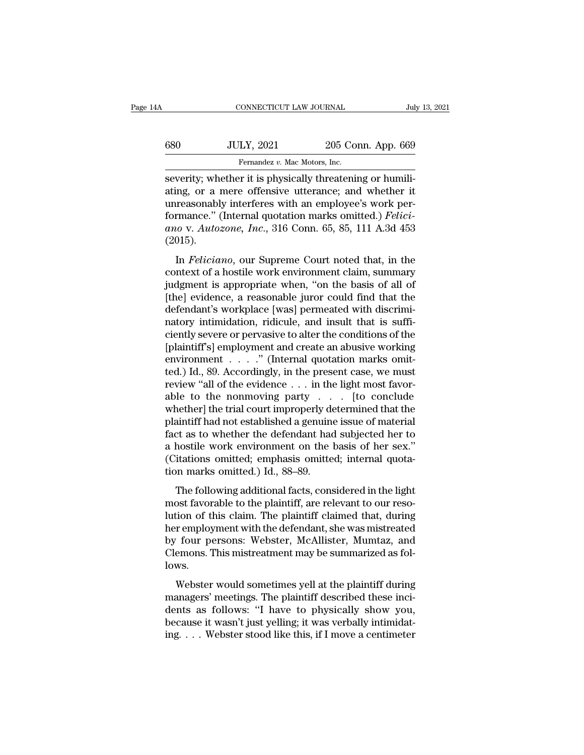| 4A  | CONNECTICUT LAW JOURNAL                                                                                                                                                  |                    | July 13, 2021 |
|-----|--------------------------------------------------------------------------------------------------------------------------------------------------------------------------|--------------------|---------------|
| 680 | <b>JULY, 2021</b>                                                                                                                                                        | 205 Conn. App. 669 |               |
|     | Fernandez v. Mac Motors, Inc.                                                                                                                                            |                    |               |
|     | severity; whether it is physically threatening or humili-<br>ating, or a mere offensive utterance; and whether it<br>unroasonably interferes with an employee's work per |                    |               |

 $\begin{array}{r} \text{3680} & \text{JULY, 2021} & \text{205 Conn. App. 669} \\ \hline \text{Fernandes } v. \text{ Mac Motors, Inc.} \end{array}$ <br>severity; whether it is physically threatening or humiliating, or a mere offensive utterance; and whether it unreasonably interferes with an emplo 680 UULY, 2021 205 Conn. App. 669<br>
Fernandez v. Mac Motors, Inc.<br>
severity; whether it is physically threatening or humiliating, or a mere offensive utterance; and whether it<br>
unreasonably interferes with an employee's wo formance *S* and *Fernandez v. Mac Motors, Inc.*<br>
Fernandez *v. Mac Motors, Inc.*<br>
Severity; whether it is physically threatening or humiliating, or a mere offensive utterance; and whether it unreasonably interferes with a **and SCCP CONCET, 2021**<br> **band CONNET CONDUCTS**<br> **and CONNET CONNET CONNET CONNET CONNET CONNET ALSO SEVERENT AND AND ALTON SURVEY CONNET CONNET CONNET CONNET CONNET CONNET CONNET CONNET CONNET CONNET CONNET CONNET CONNET** (2015). Felix Court The Bury Security included that in the present of the present and whether it reasonably interferes with an employee's work per-<br>
Felixinov V. Autozone, Inc., 316 Conn. 65, 85, 111 A.3d 453<br>
015).<br>
In *Feliciano* diang, or a mere onensive diterative, and wheater is<br>unreasonably interferes with an employee's work per-<br>formance." (Internal quotation marks omitted.) *Felici-*<br>ano v. Autozone, Inc., 316 Conn. 65, 85, 111 A.3d 453<br>(2015

difference." (Internal quotation marks omitted.) *Feliciano* v. *Autozone*, *Inc.*, 316 Conn. 65, 85, 111 A.3d 453 (2015).<br>In *Feliciano*, our Supreme Court noted that, in the context of a hostile work environment claim, s ano v. Autozone, Inc., 316 Conn. 65, 85, 111 A.3d 453<br>(2015).<br>In *Feliciano*, our Supreme Court noted that, in the<br>context of a hostile work environment claim, summary<br>judgment is appropriate when, "on the basis of all of (2015).<br>
In *Feliciano*, our Supreme Court noted that, in the<br>
context of a hostile work environment claim, summary<br>
judgment is appropriate when, "on the basis of all of<br>
[the] evidence, a reasonable juror could find tha In *Feliciano*, our Supreme Court noted that, in the context of a hostile work environment claim, summary judgment is appropriate when, "on the basis of all of [the] evidence, a reasonable juror could find that the defend In *Feliciano*, our Supreme Court noted that, in the context of a hostile work environment claim, summary judgment is appropriate when, "on the basis of all of [the] evidence, a reasonable juror could find that the defenda context of a hostile work environment claim, summary<br>judgment is appropriate when, "on the basis of all of<br>[the] evidence, a reasonable juror could find that the<br>defendant's workplace [was] permeated with discrimi-<br>natory judgment is appropriate when, "on the basis of all of [the] evidence, a reasonable juror could find that the defendant's workplace [was] permeated with discriminatory intimidation, ridicule, and insult that is sufficiently [the] evidence, a reasonable juror could find that the<br>defendant's workplace [was] permeated with discrimi-<br>natory intimidation, ridicule, and insult that is suffi-<br>ciently severe or pervasive to alter the conditions of t defendant's workplace [was] permeated with discriminatory intimidation, ridicule, and insult that is sufficiently severe or pervasive to alter the conditions of the [plaintiff's] employment and create an abusive working en natory intimidation, ridicule, and insult that is suffi-<br>ciently severe or pervasive to alter the conditions of the<br>[plaintiff's] employment and create an abusive working<br>environment . . . . . " (Internal quotation marks ciently severe or pervasive to alter the conditions of the<br>[plaintiff's] employment and create an abusive working<br>environment  $\ldots$   $\ldots$ " (Internal quotation marks omit-<br>ted.) Id., 89. Accordingly, in the present case, w [plaintiff's] employment and create an abusive working<br>environment . . . . " (Internal quotation marks omit-<br>ted.) Id., 89. Accordingly, in the present case, we must<br>review "all of the evidence . . . in the light most favo environment . . . . ." (Internal quotation marks omit-<br>ted.) Id., 89. Accordingly, in the present case, we must<br>review "all of the evidence  $\ldots$  in the light most favor-<br>able to the nonmoving party  $\ldots$  [to conclude<br>whe ted.) Id., 89. Accordingly, in the present case, we must<br>review "all of the evidence  $\dots$  in the light most favor-<br>able to the nonmoving party  $\dots$  [to conclude<br>whether] the trial court improperly determined that the<br>plai review "all of the evidence  $\dots$  in the light most favorable to the nonmoving party  $\dots$  [to conclude whether] the trial court improperly determined that the plaintiff had not established a genuine issue of material fact able to the nonmoving party . .<br>whether] the trial court improperly deplaintiff had not established a genuine<br>fact as to whether the defendant had<br>a hostile work environment on the l<br>(Citations omitted; emphasis omitte<br>tio Example and example perty determined and the<br>aintiff had not established a genuine issue of material<br>ct as to whether the defendant had subjected her to<br>hostile work environment on the basis of her sex."<br>itations omitted; plantant had not established a genante issue of material<br>fact as to whether the defendant had subjected her to<br>a hostile work environment on the basis of her sex."<br>(Citations omitted; emphasis omitted; internal quota-<br>tion

lution of this claim. The plaintiff claimed that, during the sensors of the sensitive clitations omitted.) Id., 88–89.<br>The following additional facts, considered in the light most favorable to the plaintiff, are relevant t de nostate work environment on the stats of her sent.<br>
(Citations omitted, emphasis omitted; internal quotation marks omitted.) Id., 88–89.<br>
The following additional facts, considered in the light<br>
most favorable to the pl by four persons: University of the same of the set allowing additional facts, considered in the light<br>most favorable to the plaintiff, are relevant to our reso-<br>lution of this claim. The plaintiff claimed that, during<br>her The following additional facts, considered in the light<br>most favorable to the plaintiff, are relevant to our reso-<br>lution of this claim. The plaintiff claimed that, during<br>her employment with the defendant, she was mistrea lows. Box factorable to are plaintiff, are felcturate to our reso<br>tion of this claim. The plaintiff claimed that, during<br>r employment with the defendant, she was mistreated<br>four persons: Webster, McAllister, Mumtaz, and<br>emons. T managers' meetings. The plant of states and, daring<br>ther employment with the defendant, she was mistreated<br>by four persons: Webster, McAllister, Mumtaz, and<br>Clemons. This mistreatment may be summarized as fol-<br>lows.<br>Webste

dentically four persons: Webster, McAllister, Mumtaz, and<br>Clemons. This mistreatment may be summarized as follows.<br>Webster would sometimes yell at the plaintiff during<br>managers' meetings. The plaintiff described these inci because it was interesting intermodes. This mistreatment may be summarized as follows.<br>Webster would sometimes yell at the plaintiff during managers' meetings. The plaintiff described these incidents as follows: "I have t Iows.<br>Webster would sometimes yell at the plaintiff during<br>managers' meetings. The plaintiff described these inci-<br>dents as follows: "I have to physically show you,<br>because it wasn't just yelling; it was verbally intimidat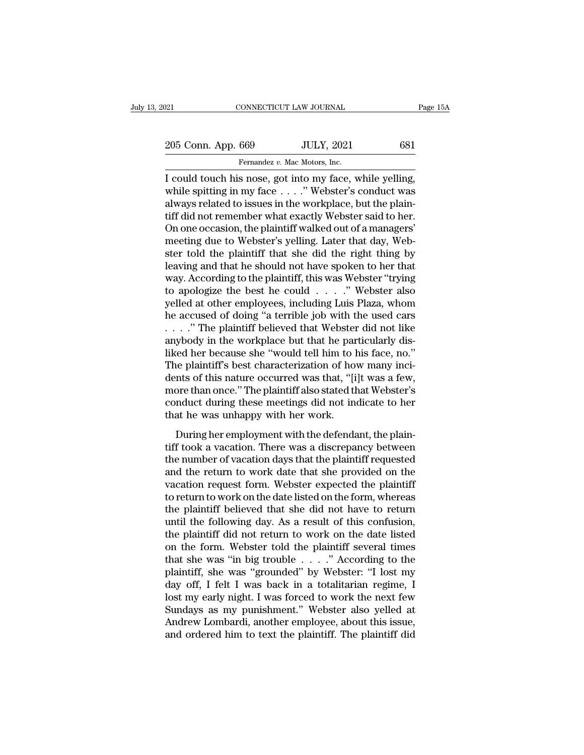205 Conn. App. 669 JULY, 2021 681<br>
Fernandez v. Mac Motors, Inc. Fernandez *v. Mac Motors, Inc.*<br>Fernandez *v. Mac Motors, Inc.*<br>S nose of into my face v

Fage 1<br>
205 Conn. App. 669 JULY, 2021 681<br>
Fernandez v. Mac Motors, Inc.<br>
I could touch his nose, got into my face, while yelling,<br>
while spitting in my face . . . . " Webster's conduct was 205 Conn. App. 669 JULY, 2021 681<br>Fernandez v. Mac Motors, Inc.<br>I could touch his nose, got into my face, while yelling,<br>while spitting in my face . . . .'' Webster's conduct was<br>always related to issues in the workplace, 205 Conn. App. 669 JULY, 2021 681<br>
Fernandez v. Mac Motors, Inc.<br>
I could touch his nose, got into my face, while yelling,<br>
while spitting in my face . . . . . " Webster's conduct was<br>
always related to issues in the work 205 Conn. App. 669 JULY, 2021 681<br>
Fernandez v. Mac Motors, Inc.<br>
I could touch his nose, got into my face, while yelling,<br>
while spitting in my face . . . . " Webster's conduct was<br>
always related to issues in the workpl Fernandez v. Mac Motors, Inc.<br>
I could touch his nose, got into my face, while yelling,<br>
while spitting in my face . . . . " Webster's conduct was<br>
always related to issues in the workplace, but the plain-<br>
tiff did not re Fernandez v. Mac Motors, Inc.<br>
I could touch his nose, got into my face, while yelling,<br>
while spitting in my face  $\ldots$ ." Webster's conduct was<br>
always related to issues in the workplace, but the plain-<br>
tiff did not rem I could touch his nose, got into my face, while yelling,<br>while spitting in my face  $\ldots$ ." Webster's conduct was<br>always related to issues in the workplace, but the plain-<br>tiff did not remember what exactly Webster said to while spitting in my face  $\dots$ ." Webster's conduct was always related to issues in the workplace, but the plain-<br>tiff did not remember what exactly Webster said to her.<br>On one occasion, the plaintiff walked out of a manag always related to issues in the workplace, but the plaintiff did not remember what exactly Webster said to her.<br>On one occasion, the plaintiff walked out of a managers'<br>meeting due to Webster's yelling. Later that day, Web tiff did not remember what exactly Webster said to her.<br>On one occasion, the plaintiff walked out of a managers'<br>meeting due to Webster's yelling. Later that day, Web-<br>ster told the plaintiff that she did the right thing b On one occasion, the plaintiff walked out of a managers'<br>meeting due to Webster's yelling. Later that day, Web-<br>ster told the plaintiff that she did the right thing by<br>leaving and that he should not have spoken to her that meeting due to Webster's yelling. Later that day, Webster told the plaintiff that she did the right thing by<br>leaving and that he should not have spoken to her that<br>way. According to the plaintiff, this was Webster "trying<br> ster told the plaintiff that she did the right thing by<br>leaving and that he should not have spoken to her that<br>way. According to the plaintiff, this was Webster "trying<br>to apologize the best he could . . . . ." Webster als leaving and that he should not have spoken to her that way. According to the plaintiff, this was Webster "trying to apologize the best he could  $\ldots$ " Webster also yelled at other employees, including Luis Plaza, whom he way. According to the plaintiff, this was Webster "trying<br>to apologize the best he could  $\ldots$ ." Webster also<br>yelled at other employees, including Luis Plaza, whom<br>he accused of doing "a terrible job with the used cars<br> $\$ to apologize the best he could  $\ldots$ ." Webster also<br>yelled at other employees, including Luis Plaza, whom<br>he accused of doing "a terrible job with the used cars<br> $\ldots$ ." The plaintiff believed that Webster did not like<br>any yelled at other employees, including Luis Plaza, whom<br>he accused of doing "a terrible job with the used cars<br>...." The plaintiff believed that Webster did not like<br>anybody in the workplace but that he particularly dis-<br>lik he accused of doing "a terrible job with the used cars<br>
. . . . " The plaintiff believed that Webster did not like<br>
anybody in the workplace but that he particularly dis-<br>
liked her because she "would tell him to his face, . . . ." The plaintiff believed that Webster did not like<br>anybody in the workplace but that he particularly dis-<br>liked her because she "would tell him to his face, no."<br>The plaintiff's best characterization of how many inc anybody in the workplace but that he pareliked her because she "would tell him to l<br>The plaintiff's best characterization of hordents of this nature occurred was that, "[i<br>more than once." The plaintiff also stated th<br>cond Example 12 and the main to the head of the plaintiff's best characterization of how many incitions of this nature occurred was that, "[i]t was a few, ore than once." The plaintiff also stated that Webster's nduct during th The plantatic stock characterization of now many first<br>dents of this nature occurred was that, "[i]t was a few,<br>more than once." The plaintiff also stated that Webster's<br>conduct during these meetings did not indicate to he

the number of vacation of the plaintiff also stated that Webster's<br>conduct during these meetings did not indicate to her<br>that he was unhappy with her work.<br>During her employment with the defendant, the plain-<br>tiff took a v return to work on the distribution of the provided on the form when<br>that he was unhappy with her work.<br>During her employment with the defendant, the plain-<br>tiff took a vacation. There was a discrepancy between<br>the number o value of the was unhappy with her work.<br>
During her employment with the defendant, the plaintiff took a vacation. There was a discrepancy between<br>
the number of vacation days that the plaintiff requested<br>
and the return to During her employment with the defendant, the plain-<br>tiff took a vacation. There was a discrepancy between<br>the number of vacation days that the plaintiff requested<br>and the return to work date that she provided on the<br>vaca During her employment with the defendant, the plain-<br>tiff took a vacation. There was a discrepancy between<br>the number of vacation days that the plaintiff requested<br>and the return to work date that she provided on the<br>vacat tiff took a vacation. There was a discrepancy between<br>the number of vacation days that the plaintiff requested<br>and the return to work date that she provided on the<br>vacation request form. Webster expected the plaintiff<br>to r the number of vacation days that the plaintiff requested<br>and the return to work date that she provided on the<br>vacation request form. Webster expected the plaintiff<br>to return to work on the date listed on the form, whereas<br> and the return to work date that she provided on the vacation request form. Webster expected the plaintiff to return to work on the date listed on the form, whereas the plaintiff believed that she did not have to return u vacation request form. Webster expected the plaintiff<br>to return to work on the date listed on the form, whereas<br>the plaintiff believed that she did not have to return<br>until the following day. As a result of this confusion, to return to work on the date listed on the form, whereas<br>the plaintiff believed that she did not have to return<br>until the following day. As a result of this confusion,<br>the plaintiff did not return to work on the date list the plaintiff believed that she did not have to return<br>until the following day. As a result of this confusion,<br>the plaintiff did not return to work on the date listed<br>on the form. Webster told the plaintiff several times<br>t until the following day. As a result of this confusion,<br>the plaintiff did not return to work on the date listed<br>on the form. Webster told the plaintiff several times<br>that she was "in big trouble . . . . ." According to the the plaintiff did not return to work on the date listed<br>on the form. Webster told the plaintiff several times<br>that she was "in big trouble  $\ldots$ ." According to the<br>plaintiff, she was "grounded" by Webster: "I lost my<br>day on the form. Webster told the plaintiff several times<br>that she was "in big trouble  $\ldots$ ." According to the<br>plaintiff, she was "grounded" by Webster: "I lost my<br>day off, I felt I was back in a totalitarian regime, I<br>lost that she was "in big trouble  $\ldots$ " According to the plaintiff, she was "grounded" by Webster: "I lost my day off, I felt I was back in a totalitarian regime, I lost my early night. I was forced to work the next few Sunda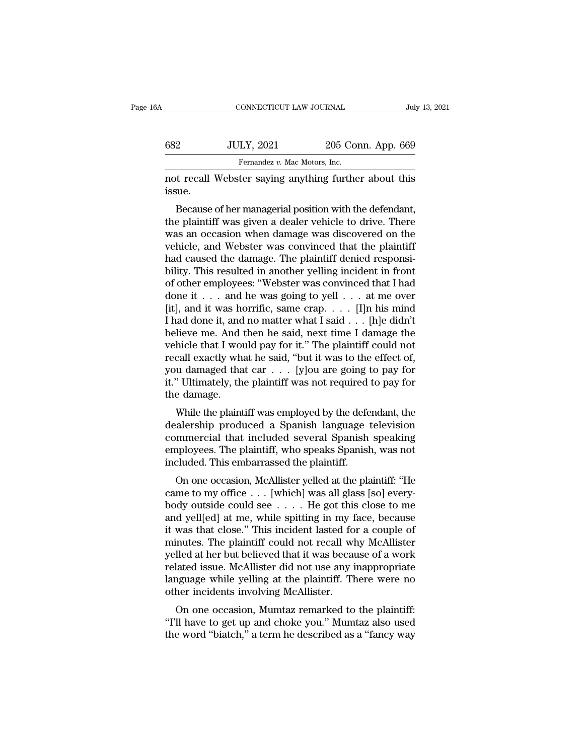| ЗA     | CONNECTICUT LAW JOURNAL                               |                    | July 13, 2021 |
|--------|-------------------------------------------------------|--------------------|---------------|
| 682    | <b>JULY, 2021</b>                                     | 205 Conn. App. 669 |               |
|        | Fernandez v. Mac Motors, Inc.                         |                    |               |
| issue. | not recall Webster saying anything further about this |                    |               |

 $\nu$  Because of her managerial position with the defendant,<br>Because of her managerial position with the defendant,<br>a plaintiff was given a dealer vehicle to drive. There  $t = 682$  JULY, 2021 205 Conn. App. 669<br>
Fernandez v. Mac Motors, Inc.<br>
not recall Webster saying anything further about this<br>
issue.<br>
Because of her managerial position with the defendant,<br>
the plaintiff was given a deale Fernandez v. Mac Motors, Inc.<br>
not recall Webster saying anything further about this<br>
issue.<br>
Because of her managerial position with the defendant,<br>
the plaintiff was given a dealer vehicle to drive. There<br>
was an occasio not recall Webster saying anything further about this<br>issue.<br>Because of her managerial position with the defendant,<br>the plaintiff was given a dealer vehicle to drive. There<br>was an occasion when damage was discovered on the hot recan webster saying anything rurther about this<br>issue.<br>Because of her managerial position with the defendant,<br>the plaintiff was given a dealer vehicle to drive. There<br>was an occasion when damage was discovered on the<br> Because of her managerial position with the defendant,<br>the plaintiff was given a dealer vehicle to drive. There<br>was an occasion when damage was discovered on the<br>vehicle, and Webster was convinced that the plaintiff<br>had ca Because of her managerial position with the defendant,<br>the plaintiff was given a dealer vehicle to drive. There<br>was an occasion when damage was discovered on the<br>vehicle, and Webster was convinced that the plaintiff<br>had c the plaintiff was given a dealer vehicle to drive. There<br>was an occasion when damage was discovered on the<br>vehicle, and Webster was convinced that the plaintiff<br>had caused the damage. The plaintiff denied responsi-<br>bility. was an occasion when damage was discovered on the vehicle, and Webster was convinced that the plaintiff had caused the damage. The plaintiff denied responsibility. This resulted in another yelling incident in front of oth vehicle, and Webster was convinced that the plaintiff<br>had caused the damage. The plaintiff denied responsi-<br>bility. This resulted in another yelling incident in front<br>of other employees: "Webster was convinced that I had<br> had caused the damage. The plaintiff denied responsi-<br>bility. This resulted in another yelling incident in front<br>of other employees: "Webster was convinced that I had<br>done it . . . and he was going to yell . . . at me ove bility. This resulted in another yelling incident in front<br>of other employees: "Webster was convinced that I had<br>done it . . . and he was going to yell . . . at me over<br>[it], and it was horrific, same crap. . . . [I]n his of other employees: "Webster was convinced that I had done it . . . and he was going to yell . . . at me over [it], and it was horrific, same crap. . . . [I]n his mind I had done it, and no matter what I said . . . [h]e d done it . . . and he was going to yell . . . at me over<br>[it], and it was horrific, same crap. . . . [I]n his mind<br>I had done it, and no matter what I said . . . [h]e didn't<br>believe me. And then he said, next time I damage [it], and it was horrific, same crap. . . . [I]n his mind I had done it, and no matter what I said . . . [h]e didn't believe me. And then he said, next time I damage the vehicle that I would pay for it." The plaintiff cou I had done it, and no matter what I said  $\ldots$  [h]e didn't believe me. And then he said, next time I damage the vehicle that I would pay for it." The plaintiff could not recall exactly what he said, "but it was to the eff meve the. And then he said, hext three I dantage the<br>hicle that I would pay for it." The plaintiff could not<br>call exactly what he said, "but it was to the effect of,<br>u damaged that car . . . [y]ou are going to pay for<br>"Ult venicle that I would pay for it. The plaintiff could not<br>recall exactly what he said, "but it was to the effect of,<br>you damaged that car . . . [y]ou are going to pay for<br>it." Ultimately, the plaintiff was not required to p

recall exactly what he sald, but ht was to the effect of,<br>you damaged that car  $\dots$  [y]ou are going to pay for<br>it." Ultimately, the plaintiff was not required to pay for<br>the damage.<br>While the plaintiff was employed by the Figure 1.1 The plaintiff was not required to pay for it." Ultimately, the plaintiff was not required to pay for the damage.<br>While the plaintiff was employed by the defendant, the dealership produced a Spanish language tele Inc. Uninately, the plaintiff was not required<br>the damage.<br>While the plaintiff was employed by the defe<br>dealership produced a Spanish language t<br>commercial that included several Spanish<br>employees. The plaintiff, who speaks While the plaintiff was employed by the defendant, the alership produced a Spanish language television<br>mmercial that included several Spanish speaking<br>ployees. The plaintiff, who speaks Spanish, was not<br>cluded. This embarr while the plantific was employed by the defierdant, the dealership produced a Spanish language television commercial that included several Spanish speaking employees. The plaintiff, who speaks Spanish, was not included. T

dealership produced a spanish language television<br>commercial that included several Spanish speaking<br>employees. The plaintiff, who speaks Spanish, was not<br>included. This embarrassed the plaintiff.<br>On one occasion, McAlliste commercial that included several opalism speaking<br>employees. The plaintiff, who speaks Spanish, was not<br>included. This embarrassed the plaintiff.<br>On one occasion, McAllister yelled at the plaintiff: "He<br>came to my office . imployees. The plantiff, who speaks spanish, was not<br>included. This embarrassed the plaintiff.<br>On one occasion, McAllister yelled at the plaintiff: "He<br>came to my office . . . [which] was all glass [so] every-<br>body outside on one occasion, McAllister yelled at the plaintiff: "He came to my office  $\dots$  [which] was all glass [so] every-<br>body outside could see  $\dots$  . He got this close to me<br>and yell[ed] at me, while spitting in my face, becaus On one occasion, McAllister yelled at the plaintiff: "He<br>came to my office  $\ldots$  [which] was all glass [so] every-<br>body outside could see  $\ldots$ . He got this close to me<br>and yell[ed] at me, while spitting in my face, becau came to my office  $\ldots$  [which] was all glass [so] every-<br>body outside could see  $\ldots$ . He got this close to me<br>and yell[ed] at me, while spitting in my face, because<br>it was that close." This incident lasted for a couple body outside could see  $\ldots$ . He got this close to me<br>and yell[ed] at me, while spitting in my face, because<br>it was that close." This incident lasted for a couple of<br>minutes. The plaintiff could not recall why McAllister<br> and yell[ed] at me, while spitting in my face, because<br>it was that close." This incident lasted for a couple of<br>minutes. The plaintiff could not recall why McAllister<br>yelled at her but believed that it was because of a wor was that close. This incluent lasted for a couple of<br>inutes. The plaintiff could not recall why McAllister<br>lled at her but believed that it was because of a work<br>lated issue. McAllister did not use any inappropriate<br>nguage Final Solution of Fecan Wilty McAllister<br>
yelled at her but believed that it was because of a work<br>
related issue. McAllister did not use any inappropriate<br>
language while yelling at the plaintiff. There were no<br>
other inc yehed at her but beheved that it was because of a work<br>related issue. McAllister did not use any inappropriate<br>language while yelling at the plaintiff. There were no<br>other incidents involving McAllister.<br>On one occasion, M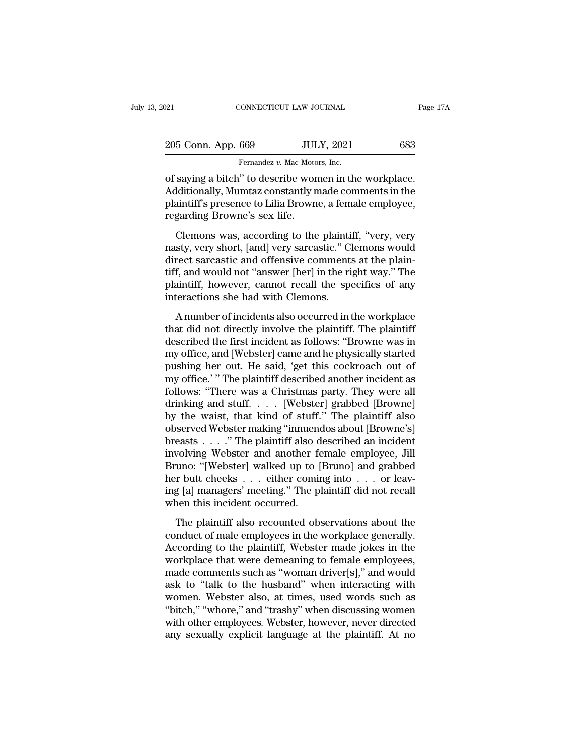| 2021                                                                                                                                                                       | CONNECTICUT LAW JOURNAL       | Page 17A |
|----------------------------------------------------------------------------------------------------------------------------------------------------------------------------|-------------------------------|----------|
| 205 Conn. App. 669                                                                                                                                                         | <b>JULY, 2021</b>             | 683      |
|                                                                                                                                                                            | Fernandez v. Mac Motors, Inc. |          |
| of saying a bitch" to describe women in the workplace.<br>Additionally, Mumtaz constantly made comments in the<br>plaintiff's prosongo to Lilia Province a fomalo employee |                               |          |

205 Conn. App. 669 JULY, 2021 683<br>Fernandez v. Mac Motors, Inc.<br>of saying a bitch" to describe women in the workplace.<br>Additionally, Mumtaz constantly made comments in the<br>plaintiff's presence to Lilia Browne, a female emp 205 Conn. App. 669 JULY, 2021 683<br>Fernandez v. Mac Motors, Inc.<br>of saying a bitch" to describe women in the workplace.<br>Additionally, Mumtaz constantly made comments in the<br>plaintiff's presence to Lilia Browne, a female emp 205 Conn. App. 669 JUL<br>
Fernandez v. Mac Moto<br>
of saying a bitch" to describe won<br>
Additionally, Mumtaz constantly n<br>
plaintiff's presence to Lilia Brown<br>
regarding Browne's sex life.<br>
Clemons was, according to the Fernandez v. Mac Motors, Inc.<br>
saying a bitch" to describe women in the workplace.<br>
Iditionally, Mumtaz constantly made comments in the<br>
aintiff's presence to Lilia Browne, a female employee,<br>
garding Browne's sex life.<br>
C of saying a bitch" to describe women in the workplace.<br>Additionally, Mumtaz constantly made comments in the<br>plaintiff's presence to Lilia Browne, a female employee,<br>regarding Browne's sex life.<br>Clemons was, according to th

or saying a bitch to describe wonter in the workplace.<br>Additionally, Mumtaz constantly made comments in the<br>plaintiff's presence to Lilia Browne, a female employee,<br>regarding Browne's sex life.<br>Clemons was, according to th redationally, maintaix constantly made conditents in the plaintiff's presence to Lilia Browne, a female employee, regarding Browne's sex life.<br>
Clemons was, according to the plaintiff, "very, very masty, very short, [and] plaintiff, specific to final browne, a rentate employee, regarding Browne's sex life.<br>Clemons was, according to the plaintiff, "very, very nasty, very short, [and] very sarcastic." Clemons would<br>direct sarcastic and offens Examing Drowne 5 sex me.<br>Clemons was, according to the plainti<br>nasty, very short, [and] very sarcastic." C<br>direct sarcastic and offensive comment<br>tiff, and would not "answer [her] in the ri<br>plaintiff, however, cannot recal Extribute Mas, according to the plantin, very, very<br>sty, very short, [and] very sarcastic." Clemons would<br>rect sarcastic and offensive comments at the plain-<br>f, and would not "answer [her] in the right way." The<br>aintiff, h that direct sarcastic and offensive comments at the plain-<br>tiff, and would not "answer [her] in the right way." The<br>plaintiff, however, cannot recall the specifics of any<br>interactions she had with Clemons.<br>A number of inci

described the first incidents are the plant<br>tiff, and would not "answer [her] in the right way." The<br>plaintiff, however, cannot recall the specifics of any<br>interactions she had with Clemons.<br>A number of incidents also occu my office, and we have the physically started pushing the specifics of any interactions she had with Clemons.<br>A number of incidents also occurred in the workplace that did not directly involve the plaintiff. The plaintiff plantari, nowever, cannot recall and specifies of any<br>interactions she had with Clemons.<br>A number of incidents also occurred in the workplace<br>that did not directly involve the plaintiff. The plaintiff<br>described the first i A number of incidents also occurred in the workplace<br>that did not directly involve the plaintiff. The plaintiff<br>described the first incident as follows: "Browne was in<br>my office, and [Webster] came and he physically starte A number of incidents also occurred in the workplace<br>that did not directly involve the plaintiff. The plaintiff<br>described the first incident as follows: "Browne was in<br>my office, and [Webster] came and he physically starte that did not directly involve the plaintiff. The plaintiff<br>described the first incident as follows: "Browne was in<br>my office, and [Webster] came and he physically started<br>pushing her out. He said, 'get this cockroach out o described the first incident as follows: "Browne was in<br>my office, and [Webster] came and he physically started<br>pushing her out. He said, 'get this cockroach out of<br>my office.' " The plaintiff described another incident as my office, and [Webster] came and he physically started<br>pushing her out. He said, 'get this cockroach out of<br>my office.'" The plaintiff described another incident as<br>follows: "There was a Christmas party. They were all<br>dri pushing her out. He said, 'get this cockroach out of<br>my office.' " The plaintiff described another incident as<br>follows: "There was a Christmas party. They were all<br>drinking and stuff. . . . [Webster] grabbed [Browne]<br>by th my office.' " The plaintiff described another incident as<br>follows: "There was a Christmas party. They were all<br>drinking and stuff. . . . [Webster] grabbed [Browne]<br>by the waist, that kind of stuff." The plaintiff also<br>obse follows: "There was a Christmas party. They were all<br>drinking and stuff. . . . [Webster] grabbed [Browne]<br>by the waist, that kind of stuff." The plaintiff also<br>observed Webster making "innuendos about [Browne's]<br>breasts . drinking and stuff. . . . [Webster] grabbed [Browne]<br>by the waist, that kind of stuff." The plaintiff also<br>observed Webster making "innuendos about [Browne's]<br>breasts . . . . " The plaintiff also described an incident<br>invo by the waist, that kind of stuff." The plaintiff also<br>observed Webster making "innuendos about [Browne's]<br>breasts . . . . ." The plaintiff also described an incident<br>involving Webster and another female employee, Jill<br>Brun observed Webster making "innueno<br>breasts . . . . " The plaintiff also d<br>involving Webster and another fe<br>Bruno: "[Webster] walked up to [<br>her butt cheeks . . . either comin<br>ing [a] managers' meeting." The pl<br>when this inci volving Webster and another female employee, Jill<br>value ("Webster") walked up to [Bruno] and grabbed<br>r butt cheeks  $\dots$  either coming into  $\dots$  or leav-<br>g [a] managers' meeting." The plaintiff did not recall<br>nen this inci moodeling websiter and ansatic remain employee, om<br>Bruno: "[Webster] walked up to [Bruno] and grabbed<br>her butt cheeks . . . either coming into . . . or leav-<br>ing [a] managers' meeting." The plaintiff did not recall<br>when th

Branc. [Webser] wanced ap to [Branc] and grassed<br>her butt cheeks  $\ldots$  either coming into  $\ldots$  or leav-<br>ing [a] managers' meeting." The plaintiff did not recall<br>when this incident occurred.<br>The plaintiff also recounted o ing [a] managers' meeting." The plaintiff did not recall<br>when this incident occurred.<br>The plaintiff also recounted observations about the<br>conduct of male employees in the workplace generally.<br>According to the plaintiff, W mand a not recall when this incident occurred.<br>
The plaintiff also recounted observations about the<br>
conduct of male employees in the workplace generally.<br>
According to the plaintiff, Webster made jokes in the<br>
workplace t The plaintiff also recounted observations about the<br>conduct of male employees in the workplace generally.<br>According to the plaintiff, Webster made jokes in the<br>workplace that were demeaning to female employees,<br>made commen The plaintiff also recounted observations about the<br>conduct of male employees in the workplace generally.<br>According to the plaintiff, Webster made jokes in the<br>workplace that were demeaning to female employees,<br>made commen conduct of male employees in the workplace generally.<br>According to the plaintiff, Webster made jokes in the<br>workplace that were demeaning to female employees,<br>made comments such as "woman driver[s]," and would<br>ask to "talk According to the plaintiff, Webster made jokes in the workplace that were demeaning to female employees, made comments such as "woman driver[s]," and would ask to "talk to the husband" when interacting with women. Webster workplace that were demeaning to female employees,<br>made comments such as "woman driver[s]," and would<br>ask to "talk to the husband" when interacting with<br>women. Webster also, at times, used words such as<br>"bitch," "whore," a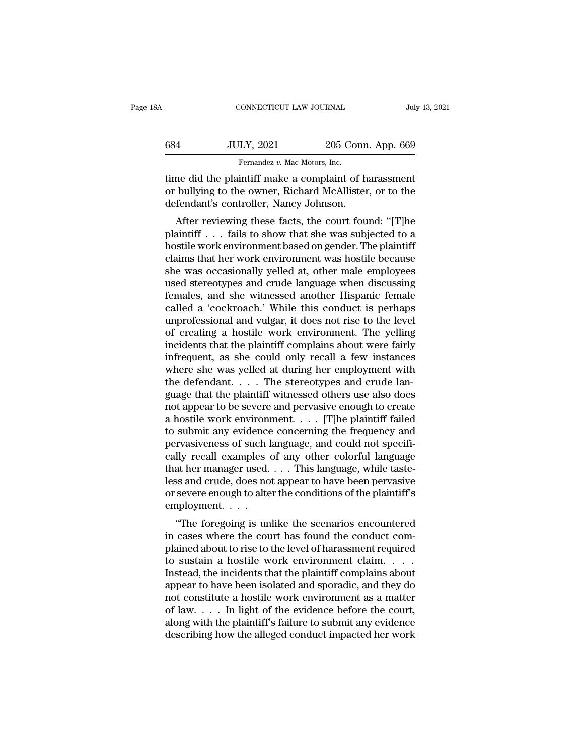| 8Α  | CONNECTICUT LAW JOURNAL                                                                                                                                  |                    | July 13, 2021 |
|-----|----------------------------------------------------------------------------------------------------------------------------------------------------------|--------------------|---------------|
|     |                                                                                                                                                          |                    |               |
| 684 | <b>JULY, 2021</b>                                                                                                                                        | 205 Conn. App. 669 |               |
|     | Fernandez v. Mac Motors, Inc.                                                                                                                            |                    |               |
|     | time did the plaintiff make a complaint of harassment<br>or bullying to the owner, Richard McAllister, or to the<br>defendent's controller Nancy Johnson |                    |               |

or bullying to the owner, Richard McAllister, or to the defendant's controller, Nancy Johnson. defendant's controller, Nancy Johnson.<br>
1995 Connection of the plaint of the plaint of the plaint of the owner, Richard McAllister defendant's controller, Nancy Johnson.<br>
1991 After reviewing these facts, the court four  $\frac{100 \text{ JULY, } 2021}{4}$   $\frac{205 \text{ Conn. } \text{App. } 669}{4}$ <br>
Fernandez *v.* Mac Motors, Inc.<br>
The did the plaintiff make a complaint of harassment<br>
bullying to the owner, Richard McAllister, or to the<br>
fendant's controller, Nanc

Fernandez v. Mac Motors, Inc.<br>
time did the plaintiff make a complaint of harassment<br>
or bullying to the owner, Richard McAllister, or to the<br>
defendant's controller, Nancy Johnson.<br>
After reviewing these facts, the court ime did the plaintiff make a complaint of harassment<br>or bullying to the owner, Richard McAllister, or to the<br>defendant's controller, Nancy Johnson.<br>After reviewing these facts, the court found: "[T]he<br>plaintiff . . . fails claims that her work environment was hostile because<br>that the work environment of the defendant's controller, Nancy Johnson.<br>After reviewing these facts, the court found: "[T]he<br>plaintiff . . . fails to show that she was s or bunying to the owner, Kichard McAinster, or to the<br>defendant's controller, Nancy Johnson.<br>After reviewing these facts, the court found: "[T]he<br>plaintiff . . . fails to show that she was subjected to a<br>hostile work envir defendant s' controner, ivancy Johnson.<br>
After reviewing these facts, the court found: "[T]he<br>
plaintiff . . . fails to show that she was subjected to a<br>
hostile work environment based on gender. The plaintiff<br>
claims that After reviewing these facts, the court found: "[T]he<br>plaintiff . . . fails to show that she was subjected to a<br>hostile work environment based on gender. The plaintiff<br>claims that her work environment was hostile because<br>s plaintiff . . . fails to show that she was subjected to a<br>hostile work environment based on gender. The plaintiff<br>claims that her work environment was hostile because<br>she was occasionally yelled at, other male employees<br>us hostile work environment based on gender. The plaintiff<br>claims that her work environment was hostile because<br>she was occasionally yelled at, other male employees<br>used stereotypes and crude language when discussing<br>females, claims that her work environment was hostile because<br>she was occasionally yelled at, other male employees<br>used stereotypes and crude language when discussing<br>females, and she witnessed another Hispanic female<br>called a 'coc she was occasionally yelled at, other male employees<br>used stereotypes and crude language when discussing<br>females, and she witnessed another Hispanic female<br>called a 'cockroach.' While this conduct is perhaps<br>unprofessional used stereotypes and crude language when discussing<br>females, and she witnessed another Hispanic female<br>called a 'cockroach.' While this conduct is perhaps<br>unprofessional and vulgar, it does not rise to the level<br>of creatin females, and she witnessed another Hispanic female<br>called a 'cockroach.' While this conduct is perhaps<br>unprofessional and vulgar, it does not rise to the level<br>of creating a hostile work environment. The yelling<br>incidents called a 'cockroach.' While this conduct is perhaps<br>unprofessional and vulgar, it does not rise to the leve<br>of creating a hostile work environment. The yelling<br>incidents that the plaintiff complains about were fairly<br>infre unprofessional and vulgar, it does not rise to the level<br>of creating a hostile work environment. The yelling<br>incidents that the plaintiff complains about were fairly<br>infrequent, as she could only recall a few instances<br>whe of creating a hostile work environment. The yelling<br>incidents that the plaintiff complains about were fairly<br>infrequent, as she could only recall a few instances<br>where she was yelled at during her employment with<br>the defen incidents that the plaintiff complains about were fairly<br>infrequent, as she could only recall a few instances<br>where she was yelled at during her employment with<br>the defendant.... The stereotypes and crude lan-<br>guage that infrequent, as she could only recall a few instances<br>where she was yelled at during her employment with<br>the defendant.... The stereotypes and crude lan-<br>guage that the plaintiff witnessed others use also does<br>not appear t where she was yelled at during her employment with<br>the defendant. . . . The stereotypes and crude language that the plaintiff witnessed others use also does<br>not appear to be severe and pervasive enough to create<br>a hostile the defendant. . . . . The stereotypes and crude language that the plaintiff witnessed others use also does<br>not appear to be severe and pervasive enough to create<br>a hostile work environment. . . . [T]he plaintiff failed<br>t guage that the plaintiff witnessed others use also does<br>not appear to be severe and pervasive enough to create<br>a hostile work environment. . . . . [T]he plaintiff failed<br>to submit any evidence concerning the frequency and<br> not appear to be severe and pervasive enough to create<br>a hostile work environment. . . . [T]he plaintiff failed<br>to submit any evidence concerning the frequency and<br>pervasiveness of such language, and could not specifi-<br>ca a hostile work environment. . . . [T]he plaintiff failed<br>to submit any evidence concerning the frequency and<br>pervasiveness of such language, and could not specifi-<br>cally recall examples of any other colorful language<br>that to submit any evidence<br>pervasiveness of such l<br>cally recall examples of<br>that her manager used.<br>less and crude, does no<br>or severe enough to alte<br>employment. . . . .<br>"The foregoing is un Transferress of such language, and could not specify<br>
lly recall examples of any other colorful language<br>
at her manager used.... This language, while taste-<br>
ss and crude, does not appear to have been pervasive<br>
severe en Easy recall examples of any other coloriul language<br>that her manager used.  $\dots$  This language, while taste-<br>less and crude, does not appear to have been pervasive<br>or severe enough to alter the conditions of the plaintiff'

 $\alpha$  above the landser used.  $\ldots$  is ranguage, while taste-<br>less and crude, does not appear to have been pervasive<br>or severe enough to alter the conditions of the plaintiff's<br>employment.  $\ldots$ <br>"The foregoing is unlike th these and crude, does not appear to have been pervasive<br>or severe enough to alter the conditions of the plaintiff's<br>employment. . . .<br>"The foregoing is unlike the scenarios encountered<br>in cases where the court has found th or severe enough to atter the conditions of the plaintiff s<br>employment....<br>"The foregoing is unlike the scenarios encountered<br>in cases where the court has found the conduct com-<br>plained about to rise to the level of harass "The foregoing is unlike the scenarios encountered<br>in cases where the court has found the conduct com-<br>plained about to rise to the level of harassment required<br>to sustain a hostile work environment claim.....<br>Instead, th "The foregoing is unlike the scenarios encountered<br>in cases where the court has found the conduct com-<br>plained about to rise to the level of harassment required<br>to sustain a hostile work environment claim....<br>Instead, the in cases where the court has found the conduct complained about to rise to the level of harassment required<br>to sustain a hostile work environment claim. . . . .<br>Instead, the incidents that the plaintiff complains about<br>ap plained about to rise to the level of harassment required<br>to sustain a hostile work environment claim. . . . .<br>Instead, the incidents that the plaintiff complains about<br>appear to have been isolated and sporadic, and they d to sustain a hostile work environment claim.  $\ldots$  Instead, the incidents that the plaintiff complains about appear to have been isolated and sporadic, and they do not constitute a hostile work environment as a matter of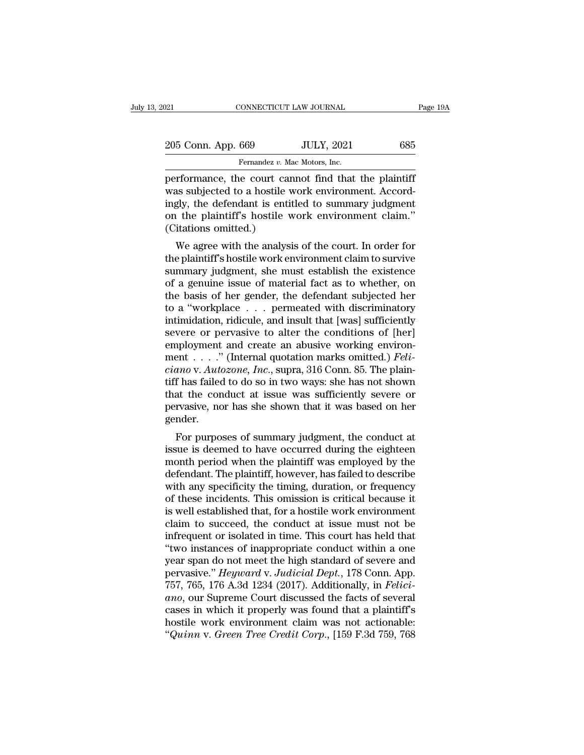| :021               | CONNECTICUT LAW JOURNAL                                                                                                                                              | Page 19A |
|--------------------|----------------------------------------------------------------------------------------------------------------------------------------------------------------------|----------|
| 205 Conn. App. 669 | <b>JULY, 2021</b>                                                                                                                                                    | 685      |
|                    | Fernandez v. Mac Motors, Inc.                                                                                                                                        |          |
|                    | performance, the court cannot find that the plaintiff<br>was subjected to a hostile work environment. Accord-<br>ingly the defendant is entitled to summary judgment |          |

205 Conn. App. 669 JULY, 2021 685<br>
Fernandez v. Mac Motors, Inc.<br>
performance, the court cannot find that the plaintiff<br>
was subjected to a hostile work environment. Accord-<br>
ingly, the defendant is entitled to summary jud 205 Conn. App. 669 JULY, 2021 685<br>
Fernandez v. Mac Motors, Inc.<br>
performance, the court cannot find that the plaintiff<br>
was subjected to a hostile work environment. Accord-<br>
ingly, the defendant is entitled to summary ju 205 Conn. App. 669 JULY, 2021 685<br>
Fernandez v. Mac Motors, Inc.<br>
performance, the court cannot find that the plaintiff<br>was subjected to a hostile work environment. Accord-<br>
ingly, the defendant is entitled to summary judg Fernandez  $v$ . May be contain 1-p-p-  $\frac{1}{2}$  contain 1-p-p-  $\frac{1}{2}$  contains  $v$ . May be count can was subjected to a hostile v ingly, the defendant is entire (Citations omitted.) We agree with the analysis rformance, the court cannot find that the plaintiff<br>as subjected to a hostile work environment. Accord-<br>gly, the defendant is entitled to summary judgment<br>it the plaintiff's hostile work environment claim."<br>itations omitte performance, the court cannot find that the plaintiff<br>was subjected to a hostile work environment. Accord-<br>ingly, the defendant is entitled to summary judgment<br>on the plaintiff's hostile work environment claim."<br>(Citations

was subjected to a nostife work environment. Accordingly, the defendant is entitled to summary judgment<br>on the plaintiff's hostile work environment claim."<br>(Citations omitted.)<br>We agree with the analysis of the court. In o Ingly, the defendant is entitled to summary judgment<br>on the plaintiff's hostile work environment claim."<br>(Citations omitted.)<br>We agree with the analysis of the court. In order for<br>the plaintiff's hostile work environment c of the plantificant substitute work environment claim.<br>
(Citations omitted.)<br>
We agree with the analysis of the court. In order for<br>
the plaintiff's hostile work environment claim to survive<br>
summary judgment, she must est We agree with the analysis of the court. In order for<br>the plaintiff's hostile work environment claim to survive<br>summary judgment, she must establish the existence<br>of a genuine issue of material fact as to whether, on<br>the We agree with the analysis of the court. In order for<br>the plaintiff's hostile work environment claim to survive<br>summary judgment, she must establish the existence<br>of a genuine issue of material fact as to whether, on<br>the b the plaintiff's hostile work environment claim to survive<br>summary judgment, she must establish the existence<br>of a genuine issue of material fact as to whether, on<br>the basis of her gender, the defendant subjected her<br>to a summary judgment, she must establish the existence<br>of a genuine issue of material fact as to whether, on<br>the basis of her gender, the defendant subjected her<br>to a "workplace . . . permeated with discriminatory<br>intimidatio of a genuine issue of material fact as to whether, on<br>the basis of her gender, the defendant subjected her<br>to a "workplace . . . permeated with discriminatory<br>intimidation, ridicule, and insult that [was] sufficiently<br>seve *ch* the basis of her gender, the defendant subjected her to a "workplace . . . permeated with discriminatory intimidation, ridicule, and insult that [was] sufficiently severe or pervasive to alter the conditions of [her] to a "workplace . . . permeated with discriminatory<br>intimidation, ridicule, and insult that [was] sufficiently<br>severe or pervasive to alter the conditions of [her]<br>employment and create an abusive working environ-<br>ment . intimidation, ridicule, and insult that [was] sufficiently<br>severe or pervasive to alter the conditions of [her]<br>employment and create an abusive working environ-<br>ment . . . . " (Internal quotation marks omitted.) *Feli-*<br> severe or pervasive to alter the conditions of [her]<br>employment and create an abusive working environ-<br>ment . . . ." (Internal quotation marks omitted.) *Feli-*<br>ciano v. Autozone, Inc., supra, 316 Conn. 85. The plain-<br>tif gender. For purposes of summary judgment, the conduct at sue is deemed to have occurred during the eighteen and positional summary judgment, the conduct at sue is deemed to have occurred during the eighteen and position the posit  $ciamo$  v. Autozone, Fnc., supra, 310 Collit. 85. The plant-<br>tiff has failed to do so in two ways: she has not shown<br>that the conduct at issue was sufficiently severe or<br>pervasive, nor has she shown that it was based on her

monthat the conduct at issue was sufficiently severe or<br>pervasive, nor has she shown that it was based on her<br>gender.<br>For purposes of summary judgment, the conduct at<br>issue is deemed to have occurred during the eighteen<br>mo definite that the conduct at issue was sufficiently severe of<br>pervasive, nor has she shown that it was based on her<br>gender.<br>For purposes of summary judgment, the conduct at<br>issue is deemed to have occurred during the eight pervasive, nor has site shown that it was based on her<br>gender.<br>For purposes of summary judgment, the conduct at<br>issue is deemed to have occurred during the eighteen<br>month period when the plaintiff was employed by the<br>defen For purposes of summary judgment, the conduct at<br>issue is deemed to have occurred during the eighteen<br>month period when the plaintiff was employed by the<br>defendant. The plaintiff, however, has failed to describe<br>with any s For purposes of summary judgment, the conduct at<br>issue is deemed to have occurred during the eighteen<br>month period when the plaintiff was employed by the<br>defendant. The plaintiff, however, has failed to describe<br>with any s issue is deemed to have occurred during the eighteen<br>month period when the plaintiff was employed by the<br>defendant. The plaintiff, however, has failed to describe<br>with any specificity the timing, duration, or frequency<br>of month period when the plaintiff was employed by the<br>defendant. The plaintiff, however, has failed to describe<br>with any specificity the timing, duration, or frequency<br>of these incidents. This omission is critical because it defendant. The plaintiff, however, has failed to describe<br>with any specificity the timing, duration, or frequency<br>of these incidents. This omission is critical because it<br>is well established that, for a hostile work enviro with any specificity the timing, duration, or frequency<br>of these incidents. This omission is critical because it<br>is well established that, for a hostile work environment<br>claim to succeed, the conduct at issue must not be<br>i of these incidents. This omission is critical because it<br>is well established that, for a hostile work environment<br>claim to succeed, the conduct at issue must not be<br>infrequent or isolated in time. This court has held that<br> is well established that, for a hostile work environment<br>claim to succeed, the conduct at issue must not be<br>infrequent or isolated in time. This court has held that<br>"two instances of inappropriate conduct within a one<br>year claim to succeed, the conduct at issue must not be<br>infrequent or isolated in time. This court has held that<br>"two instances of inappropriate conduct within a one<br>year span do not meet the high standard of severe and<br>pervasi infrequent or isolated in time. This court has held that<br>
"two instances of inappropriate conduct within a one<br>
year span do not meet the high standard of severe and<br>
pervasive." *Heyward* v. Judicial Dept., 178 Conn. App "two instances of inappropriate conduct within a one<br>year span do not meet the high standard of severe and<br>pervasive." *Heyward* v. Judicial Dept., 178 Conn. App.<br>757, 765, 176 A.3d 1234 (2017). Additionally, in *Felici*year span do not meet the high standard of severe and<br>pervasive." *Heyward* v. *Judicial Dept.*, 178 Conn. App.<br>757, 765, 176 A.3d 1234 (2017). Additionally, in *Felici-*<br>*ano*, our Supreme Court discussed the facts of sev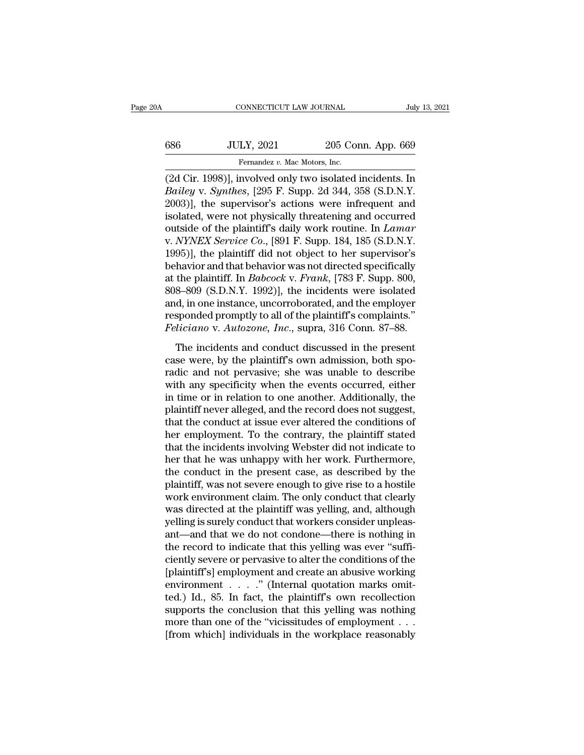# CONNECTICUT LAW JOURNAL July 13, 2021<br>686 JULY, 2021 205 Conn. App. 669<br>Fernandez v. Mac Motors, Inc. Fernandez *v. Mac Motors, Inc.*<br>The Motors, Inc.<br>Involved only two isolated

(2d Cir. 1998)], involved only two isolated incidents. In<br>
2012 205 Conn. App. 669<br>
(2d Cir. 1998)], involved only two isolated incidents. In<br>
2d Cir. 1998)], involved only two isolated incidents. In<br>
2003)1 the supervisor *Bailey* v. *Bynthes*, [295 Conn. App. 669]<br> *Bailey* v. *Synthes*, [295 F. Supp. 2d 344, 358 (S.D.N.Y. 2003)], the supervisor's actions were infrequent and isolated wore not physically threatening and eccurred  $303$  JULY, 2021 205 Conn. App. 669<br>
Fernandez v. Mac Motors, Inc.<br>
(2d Cir. 1998)], involved only two isolated incidents. In<br> *Bailey* v. *Synthes*, [295 F. Supp. 2d 344, 358 (S.D.N.Y.<br>
2003)], the supervisor's actions w 686 JULY, 2021 205 Conn. App. 669<br>
Fernandez v. Mac Motors, Inc.<br>
(2d Cir. 1998)], involved only two isolated incidents. In<br> *Bailey* v. *Synthes*, [295 F. Supp. 2d 344, 358 (S.D.N.Y.<br>
2003)], the supervisor's actions wer Fernandez v. Mac Motors, Inc.<br>
(2d Cir. 1998)], involved only two isolated incidents. In<br> *Bailey* v. *Synthes*, [295 F. Supp. 2d 344, 358 (S.D.N.Y.<br>
2003)], the supervisor's actions were infrequent and<br>
isolated, were not Fernandez v. Mac Motors, Inc.<br>
(2d Cir. 1998)], involved only two isolated incidents. In<br> *Bailey* v. *Synthes*, [295 F. Supp. 2d 344, 358 (S.D.N.Y.<br>
2003)], the supervisor's actions were infrequent and<br>
isolated, were not (2d Cir. 1998)], involved only two isolated incidents. In *Bailey* v. *Synthes*, [295 F. Supp. 2d 344, 358 (S.D.N.Y. 2003)], the supervisor's actions were infrequent and isolated, were not physically threatening and occur *Bailey v. Synthes*, [295 F. Supp. 2d 344, 358 (S.D.N.Y.<br>2003)], the supervisor's actions were infrequent and<br>isolated, were not physically threatening and occurred<br>outside of the plaintiff's daily work routine. In *Lamar* 2003)], the supervisor's actions were infrequent and<br>isolated, were not physically threatening and occurred<br>outside of the plaintiff's daily work routine. In *Lamar*<br>v. *NYNEX Service Co.*, [891 F. Supp. 184, 185 (S.D.N.Y. isolated, were not physically threatening and occurred<br>outside of the plaintiff's daily work routine. In *Lamar*<br>v. *NYNEX Service Co.*, [891 F. Supp. 184, 185 (S.D.N.Y.<br>1995)], the plaintiff did not object to her supervis outside of the plaintiff's daily work routine. In *Lamar* v. *NYNEX Service Co.*, [891 F. Supp. 184, 185 (S.D.N.Y. 1995)], the plaintiff did not object to her supervisor's behavior and that behavior was not directed specif v. *NYNEX Service Co.*, [891 F. Supp. 184, 185 (S.D.N.Y.<br>1995)], the plaintiff did not object to her supervisor's<br>behavior and that behavior was not directed specifically<br>at the plaintiff. In *Babcock* v. *Frank*, [783 F. 1995)], the plaintiff did not object to her supervisor's<br>behavior and that behavior was not directed specifically<br>at the plaintiff. In *Babcock* v. *Frank*, [783 F. Supp. 800,<br>808–809 (S.D.N.Y. 1992)], the incidents were i the plaintiff. In *Babcock v. Frank*, [783 F. Supp. 800, 8–809 (S.D.N.Y. 1992)], the incidents were isolated d, in one instance, uncorroborated, and the employer sponded promptly to all of the plaintiff's complaints." *li* case were, hy the planting method and, in one instance, uncorroborated, and the employer responded promptly to all of the plaintiff's complaints."<br>Feliciano v. Autozone, Inc., supra, 316 Conn. 87–88.<br>The incidents and con

and, in one instance, uncorroborated, and the employer<br>responded promptly to all of the plaintiff's complaints."<br>Feliciano v. Autozone, Inc., supra, 316 Conn. 87–88.<br>The incidents and conduct discussed in the present<br>case responded promptly to all of the plaintiff's complaints."<br>Feliciano v. Autozone, Inc., supra, 316 Conn. 87–88.<br>The incidents and conduct discussed in the present<br>case were, by the plaintiff's own admission, both spo-<br>radic Feliciano v. Autozone, Inc., supra, 316 Conn. 87–88.<br>The incidents and conduct discussed in the present<br>case were, by the plaintiff's own admission, both spo-<br>radic and not pervasive; she was unable to describe<br>with any sp The incidents and conduct discussed in the present<br>case were, by the plaintiff's own admission, both spo-<br>radic and not pervasive; she was unable to describe<br>with any specificity when the events occurred, either<br>in time or The incidents and conduct discussed in the present<br>case were, by the plaintiff's own admission, both spo-<br>radic and not pervasive; she was unable to describe<br>with any specificity when the events occurred, either<br>in time or case were, by the plaintiff's own admission, both sporadic and not pervasive; she was unable to describe<br>with any specificity when the events occurred, either<br>in time or in relation to one another. Additionally, the<br>plaint radic and not pervasive; she was unable to describe<br>with any specificity when the events occurred, either<br>in time or in relation to one another. Additionally, the<br>plaintiff never alleged, and the record does not suggest,<br>t with any specificity when the events occurred, either<br>in time or in relation to one another. Additionally, the<br>plaintiff never alleged, and the record does not suggest,<br>that the conduct at issue ever altered the conditions in time or in relation to one another. Additionally, the plaintiff never alleged, and the record does not suggest, that the conduct at issue ever altered the conditions of her employment. To the contrary, the plaintiff sta plaintiff never alleged, and the record does not suggest,<br>that the conduct at issue ever altered the conditions of<br>her employment. To the contrary, the plaintiff stated<br>that the incidents involving Webster did not indicate that the conduct at issue ever altered the conditions of<br>her employment. To the contrary, the plaintiff stated<br>that the incidents involving Webster did not indicate to<br>her that he was unhappy with her work. Furthermore,<br>th her employment. To the contrary, the plaintiff stated<br>that the incidents involving Webster did not indicate to<br>her that he was unhappy with her work. Furthermore,<br>the conduct in the present case, as described by the<br>plaint that the incidents involving Webster did not indicate to<br>her that he was unhappy with her work. Furthermore,<br>the conduct in the present case, as described by the<br>plaintiff, was not severe enough to give rise to a hostile<br>w her that he was unhappy with her work. Furthermore,<br>the conduct in the present case, as described by the<br>plaintiff, was not severe enough to give rise to a hostile<br>work environment claim. The only conduct that clearly<br>was the conduct in the present case, as described by the plaintiff, was not severe enough to give rise to a hostile work environment claim. The only conduct that clearly was directed at the plaintiff was yelling, and, although plaintiff, was not severe enough to give rise to a hostile<br>work environment claim. The only conduct that clearly<br>was directed at the plaintiff was yelling, and, although<br>yelling is surely conduct that workers consider unpl work environment claim. The only conduct that clearly<br>was directed at the plaintiff was yelling, and, although<br>yelling is surely conduct that workers consider unpleas-<br>ant—and that we do not condone—there is nothing in<br>th was directed at the plaintiff was yelling, and, although<br>yelling is surely conduct that workers consider unpleas-<br>ant—and that we do not condone—there is nothing in<br>the record to indicate that this yelling was ever "suffi yelling is surely conduct that workers consider unpleas-<br>ant—and that we do not condone—there is nothing in<br>the record to indicate that this yelling was ever "suffi-<br>ciently severe or pervasive to alter the conditions of t ant—and that we do not condone—there is nothing in<br>the record to indicate that this yelling was ever "suffi-<br>ciently severe or pervasive to alter the conditions of the<br>[plaintiff's] employment and create an abusive working the record to indicate that this yelling was ever "sufficiently severe or pervasive to alter the conditions of the [plaintiff's] employment and create an abusive working environment  $\dots$  . " (Internal quotation marks omit ciently severe or pervasive to alter the conditions of the [plaintiff's] employment and create an abusive working environment  $\ldots$  ." (Internal quotation marks omitted.) Id., 85. In fact, the plaintiff's own recollection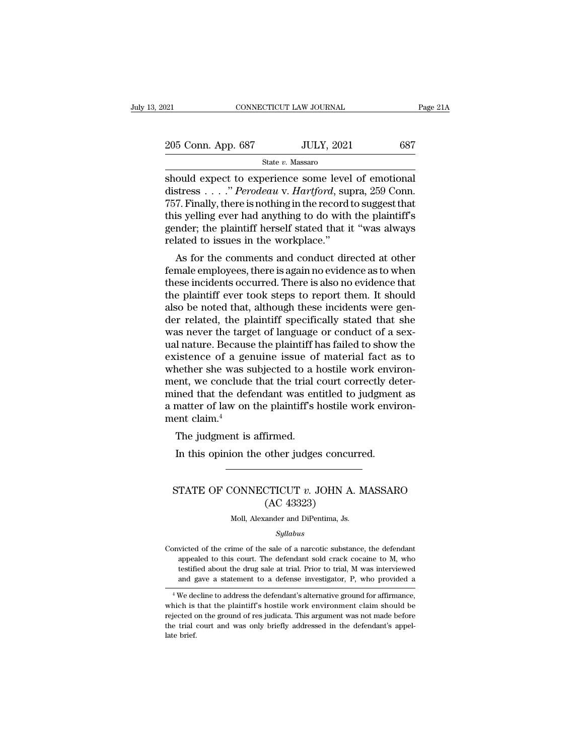| :021               | CONNECTICUT LAW JOURNAL | Page 21A |
|--------------------|-------------------------|----------|
| 205 Conn. App. 687 | <b>JULY, 2021</b>       | 687      |
|                    | State v. Massaro        |          |

Solution Connect Transformal Page 2<br>
Should expect to experience some level of emotional<br>
distress . . . . *" Perodeau v. Hartford*, supra, 259 Conn.<br>
757 Finally there is nothing in the record to suggest that 205 Conn. App. 687 JULY, 2021 687<br>State v. Massaro<br>Should expect to experience some level of emotional<br>distress . . . ." *Perodeau* v. *Hartford*, supra, 259 Conn.<br>757. Finally, there is nothing in the record to suggest th 205 Conn. App. 687 JULY, 2021 687<br>
State v. Massaro<br>
Should expect to experience some level of emotional<br>
distress . . . ." *Perodeau* v. *Hartford*, supra, 259 Conn.<br>
757. Finally, there is nothing in the record to sugge 205 Conn. App. 687 JULY, 2021 687<br>
State v. Massaro<br>
Should expect to experience some level of emotional<br>
distress . . . ." *Perodeau* v. *Hartford*, supra, 259 Conn.<br>
757. Finally, there is nothing in the record to sugge State v. Massaro<br>Should expect to experience some level of emotional<br>distress . . . ." *Perodeau* v. *Hartford*, supra, 259 Conn.<br>757. Finally, there is nothing in the record to suggest that<br>this yelling ever had anything state v. Massaro<br>should expect to experience some level<br>distress  $\dots$ ." *Perodeau* v. *Hartford*, sup<br>757. Finally, there is nothing in the record<br>this yelling ever had anything to do with<br>gender; the plaintiff herself st bound expect to experience some lever of emotional stress  $\dots$  "." Perodeau v. Hartford, supra, 259 Conn.<br>7. Finally, there is nothing in the record to suggest that is yelling ever had anything to do with the plaintiff's<br> for Finally, there is nothing in the record to suggest that<br>this yelling ever had anything to do with the plaintiff's<br>gender; the plaintiff herself stated that it "was always<br>related to issues in the workplace."<br>As for th

Fort Finany, there is nothing in the record to suggest that<br>this yelling ever had anything to do with the plaintiff's<br>gender; the plaintiff herself stated that it "was always<br>related to issues in the workplace."<br>As for the the plaintiff herself stated that it "was always<br>related to issues in the workplace."<br>As for the comments and conduct directed at other<br>female employees, there is again no evidence as to when<br>these incidents occurred. Ther gender; the plaintiff nersen stated that it was always<br>related to issues in the workplace."<br>As for the comments and conduct directed at other<br>female employees, there is again no evidence as to when<br>these incidents occurred related to issues in the workplace.<br>
As for the comments and conduct directed at other<br>
female employees, there is again no evidence as to when<br>
these incidents occurred. There is also no evidence that<br>
the plaintiff ever As for the comments and conduct directed at other<br>female employees, there is again no evidence as to when<br>these incidents occurred. There is also no evidence that<br>the plaintiff ever took steps to report them. It should<br>als female employees, there is again no evidence as to when<br>these incidents occurred. There is also no evidence that<br>the plaintiff ever took steps to report them. It should<br>also be noted that, although these incidents were gen these incidents occurred. There is also no evidence that<br>the plaintiff ever took steps to report them. It should<br>also be noted that, although these incidents were gen-<br>der related, the plaintiff specifically stated that sh the plaintiff ever took steps to report them. It should<br>also be noted that, although these incidents were gen-<br>der related, the plaintiff specifically stated that she<br>was never the target of language or conduct of a sex-<br>u also be noted that, although these incidents were gender related, the plaintiff specifically stated that she<br>was never the target of language or conduct of a sex-<br>ual nature. Because the plaintiff has failed to show the<br>ex der related, the plaintiff specifically stated that she<br>was never the target of language or conduct of a sex-<br>ual nature. Because the plaintiff has failed to show the<br>existence of a genuine issue of material fact as to<br>whe was never the target of language or conduct of a sex-<br>ual nature. Because the plaintiff has failed to show the<br>existence of a genuine issue of material fact as to<br>whether she was subjected to a hostile work environ-<br>ment, ual nature. Becaus<br>existence of a ge:<br>whether she was s<br>ment, we conclude<br>mined that the def<br>a matter of law on<br>ment claim.<sup>4</sup><br>The judgment is The judgment is affirmed.<br>In the vasing subjected to a lent, we conclude that the trial of<br>ined that the defendant was en<br>matter of law on the plaintiff's lent claim.<sup>4</sup><br>The judgment is affirmed.<br>In this opinion the other In the conclude that the trial court correctly defined that the defendant was entitled to judgment matter of law on the plaintiff's hostile work envirsent claim.<sup>4</sup><br>The judgment is affirmed.<br>In this opinion the other judge

## %)<br>The judgment is affirmed.<br>In this opinion the other judges concurred.<br>STATE OF CONNECTICUT *v.* JOHN A. MASSARO<br>(AC 43323) The judgment is affirmed.<br>
In this opinion the other judges concurred.<br>  $\overline{\phantom{1}}$ <br>
STATE OF CONNECTICUT  $v$ . JOHN A. MA:<br>  $\overline{\phantom{1}}$  (AC 43323)<br>  $\overline{\phantom{1}}$  Moll, Alexander and DiPentima, Js. STATE OF CONNECTICUT  $v$ . JOHN A. MASSARO

## *Syllabus*

CONVECTIVE TV. SOITY A. MASSARY<br>
(AC 43323)<br>
Moll, Alexander and DiPentima, Js.<br>
Syllabus<br>
Convicted of the crime of the sale of a narcotic substance, the defendant<br>
appealed to this court. The defendant sold crack cocain  $(AC 43323)$ <br>Moll, Alexander and DiPentima, Js.<br> $Syllabus$ <br>victed of the crime of the sale of a narcotic substance, the defendant<br>appealed to this court. The defendant sold crack cocaine to M, who<br>testified about the drug sale Moll, Alexander and DiPentima, Js.<br> *Syllabus*<br>
victed of the crime of the sale of a narcotic substance, the defendant<br>
appealed to this court. The defendant sold crack cocaine to M, who<br>
testified about the drug sale at t *Syllabus*<br>*Syllabus*<br>wicted of the crime of the sale of a narcotic substance, the defendant<br>appealed to this court. The defendant sold crack cocaine to M, who<br>testified about the drug sale at trial. Prior to trial, M was % onvicted of the crime of the sale of a narcotic substance, the defendant appealed to this court. The defendant sold crack cocaine to  $M$ , who testified about the drug sale at trial. Prior to trial,  $M$  was interviewed a Convicted of the crime of the sale of a narcotic substance, the defendant appealed to this court. The defendant sold crack cocaine to M, who testified about the drug sale at trial. Prior to trial, M was interviewed and ga

appealed to this court. The defendant sold crack cocaine to M, who testified about the drug sale at trial. Prior to trial, M was interviewed and gave a statement to a defense investigator, P, who provided a  $\overline{ }$  <sup>4</sup> We testined about the drug sale at trial. Prior to trial, M was interviewed<br>and gave a statement to a defense investigator, P, who provided a<br><sup>4</sup>We decline to address the defendant's alternative ground for affirmance,<br>which i and  $\frac{1}{4}$  We de<br>which is<br>rejected c<br>the trial<br>late brief.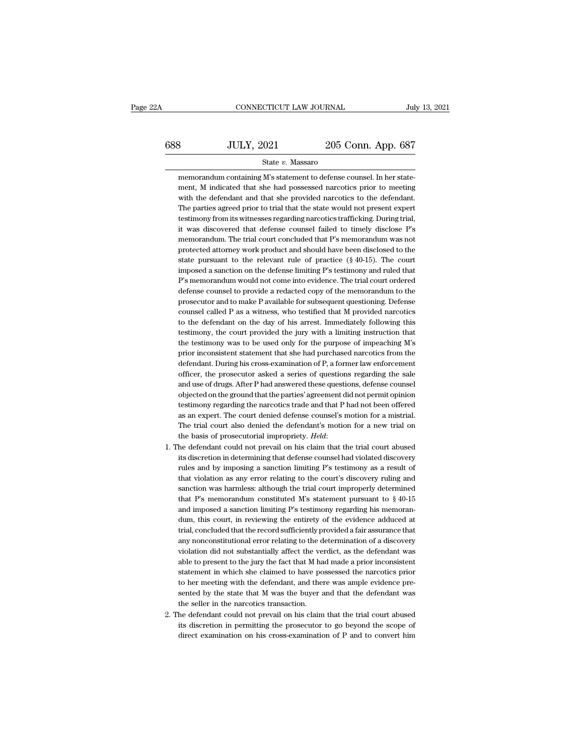# $\begin{tabular}{c} \multicolumn{1}{c|}{\text{CONNECTICUT LAW JOURNAL}} & July 13, 2021 \\ \hline \end{tabular}$   $\begin{tabular}{c} \multicolumn{1}{c|}{\text{July 13, 2021}} \\ \multicolumn{1}{c|}{\text{S88}} \\ \multicolumn{1}{c|}{\text{JULY, 2021}} \\ \multicolumn{1}{c|}{\text{State $v$}. Massaro} \end{tabular}$ State *v.* Massaro

688 JULY, 2021 205 Conn. App. 687<br>
State v. Massaro<br>
memorandum containing M's statement to defense counsel. In her state-<br>
ment, M indicated that she had possessed narcotics prior to meeting<br>
with the defendant and that  $3$  JULY, 2021 205 Conn. App. 687<br>State v. Massaro<br>memorandum containing M's statement to defense counsel. In her statement, M indicated that she had possessed narcotics prior to meeting<br>with the defendant and that she pr  $3.5$  UULY, 2021 205 Conn. App. 687<br>State v. Massaro<br>memorandum containing M's statement to defense counsel. In her statement, M indicated that she had possessed narcotics prior to meeting<br>with the defendant and that she State v. Massaro<br>
State v. Massaro<br>
memorandum containing M's statement to defense counsel. In her statement, M indicated that she had possessed narcotics prior to meeting<br>
with the defendant and that she provided narcotic State  $v$ . Massaro<br>
memorandum containing M's statement to defense counsel. In her statement, M indicated that she had possessed narcotics prior to meeting<br>
with the defendant and that she provided narcotics to the defend memorandum containing M's statement to defense counsel. In her statement, M indicated that she had possessed narcotics prior to meeting with the defendant and that she provided narcotics to the defendant. The parties agree ment, M indicated that she had possessed narcotics prior to meeting<br>with the defendant and that she provided narcotics to the defendant.<br>The parties agreed prior to trial that the state would not present expert<br>testimony f with the defendant and that she provided narcotics to the defendant.<br>The parties agreed prior to trial that the state would not present expert<br>testimony from its witnesses regarding narcotics trafficking. During trial,<br>it The parties agreed prior to trial that the state would not present expert testimony from its witnesses regarding narcotics trafficking. During trial, it was discovered that defense counsel failed to timely disclose P's mem testimony from its witnesses regarding narcotics trafficking. During trial,<br>it was discovered that defense counsel failed to timely disclose P's<br>memorandum. The trial court concluded that P's memorandum was not<br>protected a it was discovered that defense counsel failed to timely disclose P's<br>memorandum. The trial court concluded that P's memorandum was not<br>protected attorney work product and should have been disclosed to the<br>state pursuant to memorandum. The trial court concluded that P's memorandum was not<br>protected attorney work product and should have been disclosed to the<br>state pursuant to the relevant rule of practice (§ 40-15). The court<br>imposed a sanctio protected attorney work product and should have been disclosed to the state pursuant to the relevant rule of practice (§ 40-15). The court imposed a sanction on the defense limiting P's testimony and ruled that P's memoran state pursuant to the relevant rule of practice (§ 40-15). The court<br>imposed a sanction on the defense limiting P's testimony and ruled that<br>P's memorandum would not come into evidence. The trial court ordered<br>defense coun imposed a sanction on the defense limiting P's testimony and ruled that P's memorandum would not come into evidence. The trial court ordered defense counsel to provide a redacted copy of the memorandum to the prosecutor an P's memorandum would not come into evidence. The trial court ordered defense counsel to provide a redacted copy of the memorandum to the prosecutor and to make P available for subsequent questioning. Defense counsel called defense counsel to provide a redacted copy of the memorandum to the prosecutor and to make P available for subsequent questioning. Defense counsel called P as a witness, who testified that M provided narcotics to the defen prosecutor and to make P available for subsequent questioning. Defense<br>counsel called P as a witness, who testified that M provided narcotics<br>to the defendant on the day of his arrest. Immediately following this<br>testimony, counsel called P as a witness, who testified that M provided narcotics<br>to the defendant on the day of his arrest. Immediately following this<br>testimony, the court provided the jury with a limiting instruction that<br>the testi to the defendant on the day of his arrest. Immediately following this testimony, the court provided the jury with a limiting instruction that the testimony was to be used only for the purpose of impeaching M's prior incons testimony, the court provided the jury with a limiting instruction that<br>the testimony was to be used only for the purpose of impeaching M's<br>prior inconsistent statement that she had purchased narcotics from the<br>defendant. the testimony was to be used only for the purpose of impeaching M's<br>prior inconsistent statement that she had purchased narcotics from the<br>defendant. During his cross-examination of P, a former law enforcement<br>officer, the prior inconsistent statement that she had purchased narcotics from the defendant. During his cross-examination of P, a former law enforcement officer, the prosecutor asked a series of questions regarding the sale and use o defendant. During his cross-examination of P, a former law enforcement officer, the prosecutor asked a series of questions regarding the sale and use of drugs. After P had answered these questions, defense counsel objecte officer, the prosecutor asked a series of questions regarding the sale<br>and use of drugs. After P had answered these questions, defense counsel<br>objected on the ground that the parties' agreement did not permit opinion<br>testi and use of drugs. After P had answered these questions, defense counsel<br>objected on the ground that the parties' agreement did not permit opinion<br>testimony regarding the narcotics trade and that P had not been offered<br>as a testimony regarding the narcotics trade and that P had not been offered<br>as an expert. The court denied defense counsel's motion for a mistrial.<br>The trial court also denied the defendant's motion for a new trial on<br>the basi

- as an expert. The court denied defense counsel's motion for a mistrial.<br>The trial court also denied the defendant's motion for a new trial on<br>the basis of prosecutorial impropriety. *Held*:<br>he defendant could not prevail o The trial court also denied the defendant's motion for a new trial on<br>the basis of prosecutorial impropriety. *Held*:<br>he defendant could not prevail on his claim that the trial court abused<br>its discretion in determining th the basis of prosecutorial impropriety. *Held*:<br>he defendant could not prevail on his claim that the trial court abused<br>its discretion in determining that defense counsel had violated discovery<br>rules and by imposing a san the defendant could not prevail on his claim that the trial court abused<br>its discretion in determining that defense counsel had violated discovery<br>rules and by imposing a sanction limiting P's testimony as a result of<br>tha its discretion in determining that defense counsel had violated discovery<br>rules and by imposing a sanction limiting P's testimony as a result of<br>that violation as any error relating to the court's discovery ruling and<br>san rules and by imposing a sanction limiting P's testimony as a result of that violation as any error relating to the court's discovery ruling and sanction was harmless: although the trial court improperly determined that P's that violation as any error relating to the court's discovery ruling and sanction was harmless: although the trial court improperly determined that P's memorandum constituted M's statement pursuant to  $\S$  40-15 and impose sanction was harmless: although the trial court improperly determined<br>that P's memorandum constituted M's statement pursuant to  $\S$  40-15<br>and imposed a sanction limiting P's testimony regarding his memoran-<br>dum, this cour that P's memorandum constituted M's statement pursuant to  $\S$  40-15 and imposed a sanction limiting P's testimony regarding his memorandum, this court, in reviewing the entirety of the evidence adduced at trial, concluded and imposed a sanction limiting P's testimony regarding his memorandum, this court, in reviewing the entirety of the evidence adduced at trial, concluded that the record sufficiently provided a fair assurance that any nonc dum, this court, in reviewing the entirety of the evidence adduced at trial, concluded that the record sufficiently provided a fair assurance that any nonconstitutional error relating to the determination of a discovery vi trial, concluded that the record sufficiently provided a fair assurance that<br>any nonconstitutional error relating to the determination of a discovery<br>violation did not substantially affect the verdict, as the defendant was any nonconstitutional error relating to the determination of a discovery violation did not substantially affect the verdict, as the defendant was able to present to the jury the fact that M had made a prior inconsistent st violation did not substantially affect the ve<br>able to present to the jury the fact that M ha<br>statement in which she claimed to have po<br>to her meeting with the defendant, and the<br>sented by the state that M was the buyer  $\vare$ able to present to the jury the fact that M had made a prior inconsistent statement in which she claimed to have possessed the narcotics prior to her meeting with the defendant, and there was ample evidence presented by th statement in which she claimed to have possessed the narcotics prior<br>to her meeting with the defendant, and there was ample evidence pre-<br>sented by the state that M was the buyer and that the defendant was<br>the seller in th to her meeting with the defendant, and there was ample evidence presented by the state that M was the buyer and that the defendant was the seller in the narcotics transaction.<br>2. The defendant could not prevail on his clai
-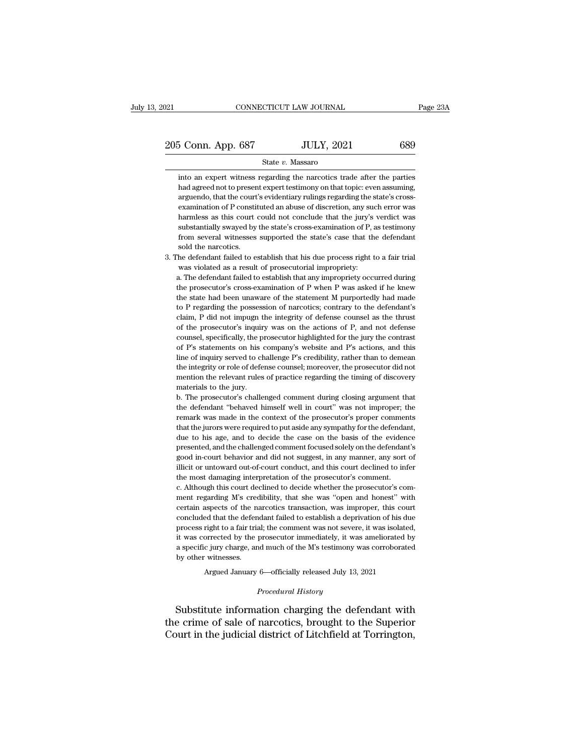## State *v.* Massaro

into an expert witness regarding the narcotics trade after the parties<br>had agreed not to present expert testimony on that topic: even assuming, had agreed not to present expert testimony on that topic: even assuming, 205 Conn. App. 687 JULY, 2021 689<br>
State v. Massaro<br>
into an expert witness regarding the narcotics trade after the parties<br>
had agreed not to present expert testimony on that topic: even assuming,<br>
arguendo, that the cou State v. Massaro<br>into an expert witness regarding the narcotics trade after the parties<br>had agreed not to present expert testimony on that topic: even assuming,<br>arguendo, that the court's evidentiary rulings regarding the State  $v$ . Massaro<br>into an expert witness regarding the narcotics trade after the parties<br>had agreed not to present expert testimony on that topic: even assuming,<br>arguendo, that the court's evidentiary rulings regarding t into an expert witness regarding the narcotics trade after the parties<br>had agreed not to present expert testimony on that topic: even assuming,<br>arguendo, that the court's evidentiary rulings regarding the state's cross-<br>ex from several witness in expect testimony on that topic: even assuming, arguendo, that the court's evidentiary rulings regarding the state's cross-examination of P constituted an abuse of discretion, any such error was harm harmless as this court could not conclude that the jury's verdict was substantially swayed by the state's cross-examination of P, as testimony from several witnesses supported the state's case that the defendant sold the n Examination of P constituted an abuse of discretion, any such error was harmless as this court could not conclude that the jury's verdict was substantially swayed by the state's cross-examination of P, as testimony from se harmless as this court could not conclude that the jury's substantially swayed by the state's cross-examination of P, as from several witnesses supported the state's case that the sold the narcotics.<br>He defendant failed to substantially swayed by the state's cross-examination of P, as testimony from several witnesses supported the state's case that the defendant sold the narcotics.<br>The defendant failed to establish that his due process righ

from several witnesses supported the state's case that the defendant sold the narcotics.<br>The defendant failed to establish that his due process right to a fair trial was violated as a result of prosecutorial impropriety:<br>a sold the narcotics.<br>The defendant failed to establish that his due process right to a fair trial<br>was violated as a result of prosecutorial impropriety:<br>a. The defendant failed to establish that any impropriety occurred dur The defendant failed to establish that his due process right to a fair trial was violated as a result of prosecutorial impropriety:<br>a. The defendant failed to establish that any impropriety occurred during<br>the prosecutor's was violated as a result of prosecutorial impropriety:<br>a. The defendant failed to establish that any impropriety occurred during<br>the prosecutor's cross-examination of P when P was asked if he knew<br>the state had been unawar a. The defendant failed to establish that any impropriety occurred during the prosecutor's cross-examination of P when P was asked if he knew the state had been unaware of the statement M purportedly had made to P regardin in the prosecutor's cross-examination of P when P was asked if he knew<br>the prosecutor's cross-examination of P when P was asked if he knew<br>the state had been unaware of the statement M purportedly had made<br>to P regarding t the state had been unaware of the statement M purportedly had made<br>to P regarding the possession of narcotics; contrary to the defendant's<br>claim, P did not impugn the integrity of defense counsel as the thrust<br>of the prose to P regarding the possession of narcotics; contrary to the defendant's claim, P did not impugn the integrity of defense counsel as the thrust of the prosecutor's inquiry was on the actions of P, and not defense counsel, s claim, P did not impugn the integrity of defense counsel as the thrust<br>of the prosecutor's inquiry was on the actions of P, and not defense<br>counsel, specifically, the prosecutor highlighted for the jury the contrast<br>of P's of the prosecutor's inquiry was on the actions of P, and not defense counsel, specifically, the prosecutor highlighted for the jury the contrast of P's statements on his company's website and P's actions, and this line of or counsel, specifically, the p<br>counsel, specifically, the p<br>of P's statements on his<br>tine of inquiry served to ch<br>the integrity or role of defe<br>mention the relevant rules<br>materials to the jury. of P's statements on his company's website and P's actions, and this line of inquiry served to challenge P's credibility, rather than to demean the integrity or role of defense counsel; moreover, the prosecutor did not men line of inquiry served to challenge P's credibility, rather than to demean<br>the integrity or role of defense counsel; moreover, the prosecutor did not<br>mention the relevant rules of practice regarding the timing of discovery

the integrity or role of defense counsel; moreover, the prosecutor did not mention the relevant rules of practice regarding the timing of discovery materials to the jury.<br>b. The prosecutor's challenged comment during closi mention the relevant rules of practice regarding the timing of discovery<br>materials to the jury.<br>b. The prosecutor's challenged comment during closing argument that<br>the defendant "behaved himself well in court" was not impr materials to the jury.<br>
b. The prosecutor's challenged comment during closing argument that<br>
the defendant "behaved himself well in court" was not improper; the<br>
remark was made in the context of the prosecutor's proper co b. The prosecutor's challenged comment during closing argument that the defendant "behaved himself well in court" was not improper; the remark was made in the context of the prosecutor's proper comments that the jurors wer behavior of the defendant "behaved himself well in court" was not improper; the the defendant "behaved himself well in court" was not improper; the remark was made in the context of the prosecutor's proper comments that th illicit or untoward out-of-court conduct, and this court declined to infer mark was made in the context of the prosecutor's proper comments that the jurors were required to put aside any sympathy for the defendant, due to Final that the jurors were required to put aside any sympathy for the defendant due to his age, and to decide the case on the basis of the eviden presented, and the challenged comment focused solely on the defendant good i due to his age, and to decide the case on the basis of the evidence<br>presented, and the challenged comment focused solely on the defendant's<br>good in-court behavior and did not suggest, in any manner, any sort of<br>illicit or presented, and the challenged comment focused solely on the defendant's good in-court behavior and did not suggest, in any manner, any sort of illicit or untoward out-of-court conduct, and this court declined to infer the

good in-court behavior and did not suggest, in any manner, any sort of illicit or untoward out-of-court conduct, and this court declined to infer the most damaging interpretation of the prosecutor's comment.<br>c. Although th illicit or untoward out-of-court conduct, and this court declined to infer<br>the most damaging interpretation of the prosecutor's comment.<br>c. Although this court declined to decide whether the prosecutor's com-<br>ment regardin the most damaging interpretation of the prosecutor's comment.<br>
c. Although this court declined to decide whether the prosecutor's comment regarding M's credibility, that she was "open and honest" with<br>
certain aspects of t c. Although this court declined to decide whether the prosecutor's comment regarding M's credibility, that she was "open and honest" with certain aspects of the narcotics transaction, was improper, this court concluded tha entatively a specific jury charge, and much of the M's testimony was improper, this court concluded that the defendant failed to establish a deprivation of his due process right to a fair trial; the comment was not severe, ment regarding M's credibility, that she was "open and honest" with certain aspects of the narcotics transaction, was improper, this court concluded that the defendant failed to establish a deprivation of his due process % process right to a fair trial; the comment was not severe, it was isolated, it was corrected by the prosecutor immediately, it was ameliorated by a specific jury charge, and much of the M's testimony was corroborated by it was corrected by the prosecutor immediately, it was ameliorated by<br>a specific jury charge, and much of the M's testimony was corroborated<br>by other witnesses.<br>Argued January 6—officially released July 13, 2021<br>*Procedura* 

Argued January 6—officially released July 13, 2021<br>*Procedural History*<br>Substitute information charging the defendant with a specific jury charge, and much of the M's testimony was corroborated<br>by other witnesses.<br>Argued January 6—officially released July 13, 2021<br>Procedural History<br>Substitute information charging the defendant with<br>the crime by other witnesses.<br>Argued January 6—officially released July 13, 2021<br>Procedural History<br>Substitute information charging the defendant with<br>the crime of sale of narcotics, brought to the Superior<br>Court in the judicial dis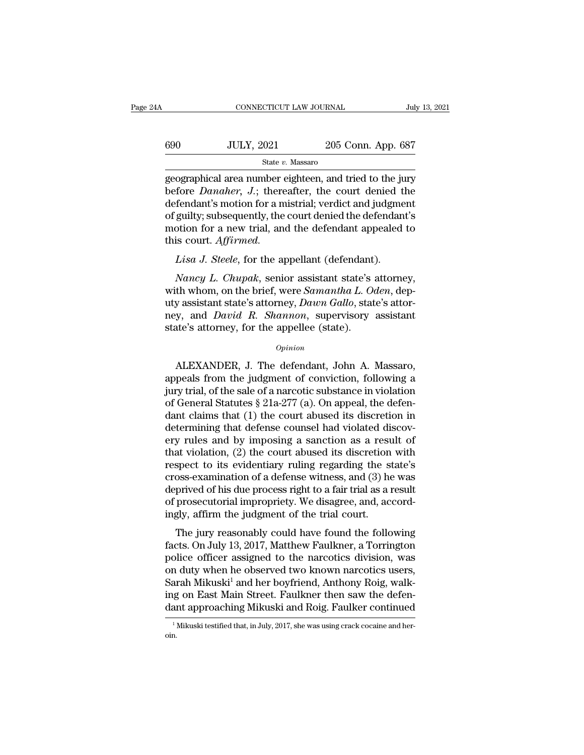| A   | CONNECTICUT LAW JOURNAL |                    | July 13, 2021 |
|-----|-------------------------|--------------------|---------------|
| 690 | <b>JULY, 2021</b>       | 205 Conn. App. 687 |               |
|     | State v. Massaro        |                    |               |

 $\begin{array}{lll}\n & \text{COMNETICUT LAW JOURNAL} & \text{July 13, 2021} \\
 & & \text{G90} & \text{JULY, 2021} & \text{205 Conn. App. 687} \\
 & & \text{State } v. \text{ Massaro} & \text{geographical area number eightteen, and tried to the jury before *Danaher*, J.; thereafter, the court denied the defondant's motion for a material: wordict and judgment.\n\end{array}$ before *Danaher, J.*; thereafter, the court denied the defendant's motion for a mistrial; verdict and judgment of multive subsequently the court denied the defendant's  $\begin{array}{c|c} \text{690} & \text{JULY, } 2021 & \text{205 Conn. App. 687} \\ \hline \text{state } v. \text{ Massaro} \\ \text{geographical area number eighteen, and tried to the jury before *Danaher*, J.; thereafter, the court denied the defendant's motion for a mistrial; verdict and judgment of guilty; subsequently, the court denied the defendant's motion for a now trial, and the defendant approach to a good.} \end{array}$  $\frac{\text{G00}}{\text{State } v. \text{ Massaro}}$ <br>  $\frac{\text{State } v. \text{ Massaro}}{\text{geographical area number eighteen, and tried to the jury}}$ <br>
before *Danaher*, *J*.; thereafter, the court denied the defendant's motion for a mistrial; verdict and judgment<br>
of guilty; subsequently, the court denied the State v. Massaro<br>
State v. Massaro<br>
geographical area number eighteen, and tried to the jury<br>
before *Danaher*, *J*.; thereafter, the court denied the<br>
defendant's motion for a mistrial; verdict and judgment<br>
of guilty; s State *v*.<br>geographical area number  $\epsilon$ <br>before *Danaher*, *J*.; there<br>defendant's motion for a m<br>of guilty; subsequently, the<br>motion for a new trial, and<br>this court. Affirmed.<br>Lisa *J. Steele*, for the ap *Lisa J. Steele, for the appellant (defendant)*. *Lisa J. Steele, for the appellant appearantly, the court denied the defendant smotion for a mistrial; verdict and judgme guilty; subsequently, the court denied the defendan Fendant's motion for a mistrial; verdict and judgment*<br>guilty; subsequently, the court denied the defendant's<br>bion for a new trial, and the defendant appealed to<br>is court. *Affirmed.*<br>*Lisa J. Steele*, for the appellant (

of guilty; subsequently, the court denied the defendant's<br>motion for a new trial, and the defendant appealed to<br>this court. *Affirmed.*<br>Lisa J. Steele, for the appellant (defendant).<br>Nancy L. Chupak, senior assistant state motion for a new trial, and the defendant appealed to<br>this court. *Affirmed.*<br>*Lisa J. Steele*, for the appellant (defendant).<br>*Nancy L. Chupak*, senior assistant state's attorney,<br>with whom, on the brief, were *Samantha L* this court. *Affirmed.*<br> *Lisa J. Steele*, for the appellant (defendant).<br> *Nancy L. Chupak*, senior assistant state's attorney,<br>
with whom, on the brief, were *Samantha L. Oden*, dep-<br>
uty assistant state's attorney, *Daw* Lisa J. Steele, for the appellant (defendant<br>Nancy L. Chupak, senior assistant state's<br>with whom, on the brief, were Samantha L. O<br>uty assistant state's attorney, Dawn Gallo, stat<br>ney, and David R. Shannon, supervisory<br>sta th whom, on the brief, were *Samantha L. Oden*, dep-<br>y assistant state's attorney, *Dawn Gallo*, state's attor-<br>y, and *David R. Shannon*, supervisory assistant<br>ate's attorney, for the appellee (state).<br>*Opinion*<br>ALEXANDER

## *Opinion*

uty assistant state's attorney, *Dawn Gallo*, state's attorney, and *David R. Shannon*, supervisory assistant<br>state's attorney, for the appellee (state).<br>*Opinion*<br>ALEXANDER, J. The defendant, John A. Massaro,<br>appeals from mey, and *David R. Shannon*, supervisory assistant<br>state's attorney, for the appellee (state).<br> $opinion$ <br>ALEXANDER, J. The defendant, John A. Massaro,<br>appeals from the judgment of conviction, following a<br>jury trial, of the sal state's attorney, for the appellee (state).<br>  $\phi_{pinion}$ <br>
ALEXANDER, J. The defendant, John A. Massaro,<br>
appeals from the judgment of conviction, following a<br>
jury trial, of the sale of a narcotic substance in violation<br>
of G  $opinion$ <br>ALEXANDER, J. The defendant, John A. Massaro,<br>appeals from the judgment of conviction, following a<br>jury trial, of the sale of a narcotic substance in violation<br>of General Statutes § 21a-277 (a). On appeal, the defen ALEXANDER, J. The defendant, John A. Massaro,<br>appeals from the judgment of conviction, following a<br>jury trial, of the sale of a narcotic substance in violation<br>of General Statutes § 21a-277 (a). On appeal, the defen-<br>dant ALEXANDER, J. The defendant, John A. Massaro,<br>appeals from the judgment of conviction, following a<br>jury trial, of the sale of a narcotic substance in violation<br>of General Statutes § 21a-277 (a). On appeal, the defen-<br>dant appeals from the judgment of conviction, following a<br>jury trial, of the sale of a narcotic substance in violation<br>of General Statutes  $\S 21a-277$  (a). On appeal, the defen-<br>dant claims that (1) the court abused its discre jury trial, of the sale of a narcotic substance in violation<br>of General Statutes § 21a-277 (a). On appeal, the defen-<br>dant claims that (1) the court abused its discretion in<br>determining that defense counsel had violated di of General Statutes § 21a-277 (a). On appeal, the defen-<br>dant claims that (1) the court abused its discretion in<br>determining that defense counsel had violated discov-<br>ery rules and by imposing a sanction as a result of<br>th dant claims that (1) the court abused its discretion in<br>determining that defense counsel had violated discov-<br>ery rules and by imposing a sanction as a result of<br>that violation, (2) the court abused its discretion with<br>res determining that defense counsel had violated discovery rules and by imposing a sanction as a result of that violation, (2) the court abused its discretion with respect to its evidentiary ruling regarding the state's cross ery rules and by imposing a sanction as a resu<br>that violation, (2) the court abused its discretion<br>respect to its evidentiary ruling regarding the st<br>cross-examination of a defense witness, and (3) he<br>deprived of his due p spect to its evidentiary ruling regarding the state's<br>oss-examination of a defense witness, and (3) he was<br>prived of his due process right to a fair trial as a result<br>prosecutorial impropriety. We disagree, and, accord-<br>g respect to its evidentary ruing regarding the state s<br>cross-examination of a defense witness, and (3) he was<br>deprived of his due process right to a fair trial as a result<br>of prosecutorial impropriety. We disagree, and, acc

eloss-examination of a defense whitess, and (b) he was<br>deprived of his due process right to a fair trial as a result<br>of prosecutorial impropriety. We disagree, and, accord-<br>ingly, affirm the judgment of the trial court.<br>Th deprived of his due process right to a fait that as a result<br>of prosecutorial impropriety. We disagree, and, accord-<br>ingly, affirm the judgment of the trial court.<br>The jury reasonably could have found the following<br>facts. or prosecuorial impropricty. We disagree, and, accordingly, affirm the judgment of the trial court.<br>The jury reasonably could have found the following<br>facts. On July 13, 2017, Matthew Faulkner, a Torrington<br>police officer Ingly, amout the Judgment of the trial court.<br>The jury reasonably could have found the following<br>facts. On July 13, 2017, Matthew Faulkner, a Torrington<br>police officer assigned to the narcotics division, was<br>on duty when h The jury reasonably could have found the following<br>facts. On July 13, 2017, Matthew Faulkner, a Torrington<br>police officer assigned to the narcotics division, was<br>on duty when he observed two known narcotics users,<br>Sarah Mi % on duty when he observed two known narcotics users, Sarah Mikuski<sup>1</sup> and her boyfriend, Anthony Roig, walking on East Main Street. Faulkner then saw the defendant approaching Mikuski and Roig. Faulker continued imitiall

oin.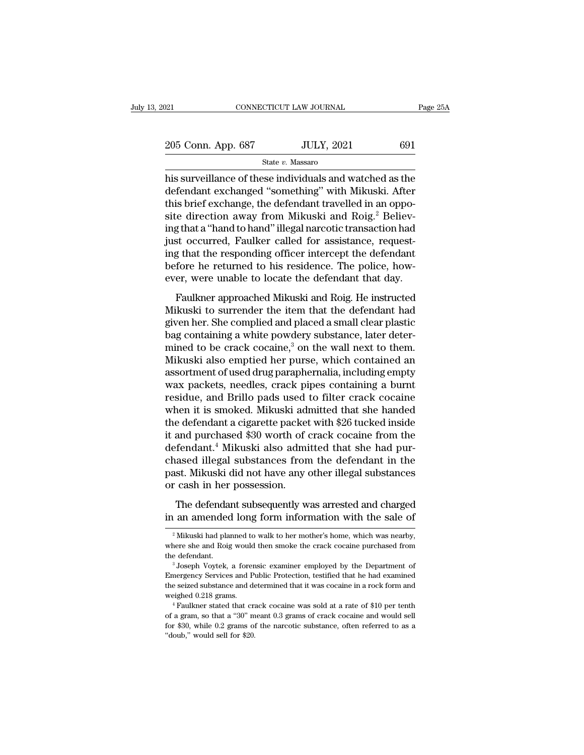21 CONNECTICUT LAW JOURNAL Page 25A<br>
205 Conn. App. 687 JULY, 2021 691<br>
State v. Massaro

State *v.* Massaro

Page 25A<br>
205 Conn. App. 687 JULY, 2021 691<br>
31 State v. Massaro<br>
his surveillance of these individuals and watched as the<br>
defendant exchanged "something" with Mikuski. After<br>
this brief exchanged the defendant travelled 205 Conn. App. 687 JULY, 2021 691<br>State v. Massaro<br>his surveillance of these individuals and watched as the<br>defendant exchanged "something" with Mikuski. After<br>this brief exchange, the defendant travelled in an oppo-<br>site 205 Conn. App. 687 JULY, 2021 691<br>
State v. Massaro<br>
his surveillance of these individuals and watched as the<br>
defendant exchanged "something" with Mikuski. After<br>
this brief exchange, the defendant travelled in an oppo-<br>  $\frac{205 \text{ Conn. App. } 687}$  JULY, 2021  $691$ <br>
State v. Massaro<br>
his surveillance of these individuals and watched as the<br>
defendant exchanged "something" with Mikuski. After<br>
this brief exchange, the defendant travelled in an o State v. Massaro<br>
his surveillance of these individuals and watched as the<br>
defendant exchanged "something" with Mikuski. After<br>
this brief exchange, the defendant travelled in an oppo-<br>
site direction away from Mikuski a state  $v$ . Massaro<br>his surveillance of these individuals and watched as the<br>defendant exchanged "something" with Mikuski. After<br>this brief exchange, the defendant travelled in an oppo-<br>site direction away from Mikuski and his surveillance of these individuals and watched as the defendant exchanged "something" with Mikuski. After this brief exchange, the defendant travelled in an opposite direction away from Mikuski and Roig.<sup>2</sup> Believing th defendant exchanged "something" with Mikuski. After<br>this brief exchange, the defendant travelled in an oppo-<br>site direction away from Mikuski and Roig.<sup>2</sup> Believ-<br>ing that a "hand to hand" illegal narcotic transaction had<br> this brief exchange, the defendant travelled in an opposite direction away from Mikuski and Roig.<sup>2</sup> Believing that a "hand to hand" illegal narcotic transaction had just occurred, Faulker called for assistance, requesting g that a "hand to hand" illegal narcotic transaction had<br>st occurred, Faulker called for assistance, request-<br>g that the responding officer intercept the defendant<br>fore he returned to his residence. The police, how-<br>er, we mig and a hand of hand megal half over a dimension had<br>just occurred, Faulker called for assistance, request-<br>ing that the responding officer intercept the defendant<br>before he returned to his residence. The police, how-<br>ev

given because, Tallince called for assistance, requesting that the responding officer intercept the defendant before he returned to his residence. The police, however, were unable to locate the defendant that day.<br>Faulkner before he returned to his residence. The police, how-<br>ever, were unable to locate the defendant that day.<br>Faulkner approached Mikuski and Roig. He instructed<br>Mikuski to surrender the item that the defendant had<br>given her. before he retained to his restaurance. The ponee, now<br>ever, were unable to locate the defendant that day.<br>Faulkner approached Mikuski and Roig. He instructed<br>Mikuski to surrender the item that the defendant had<br>given her. Faulkner approached Mikuski and Roig. He instructed<br>Mikuski to surrender the item that the defendant had<br>given her. She complied and placed a small clear plastic<br>bag containing a white powdery substance, later deter-<br>mined Faulkner approached Mikuski and Roig. He instructed<br>Mikuski to surrender the item that the defendant had<br>given her. She complied and placed a small clear plastic<br>bag containing a white powdery substance, later deter-<br>mined Mikuski to surrender the item that the defendant had<br>given her. She complied and placed a small clear plastic<br>bag containing a white powdery substance, later deter-<br>mined to be crack cocaine,<sup>3</sup> on the wall next to them.<br>M given her. She complied and placed a small clear plastic<br>bag containing a white powdery substance, later deter-<br>mined to be crack cocaine,<sup>3</sup> on the wall next to them.<br>Mikuski also emptied her purse, which contained an<br>ass bag containing a white powdery substance, later deter-<br>mined to be crack cocaine,<sup>3</sup> on the wall next to them.<br>Mikuski also emptied her purse, which contained an<br>assortment of used drug paraphernalia, including empty<br>wax p mined to be crack cocaine,<sup>3</sup> on the wall next to them.<br>Mikuski also emptied her purse, which contained an<br>assortment of used drug paraphernalia, including empty<br>wax packets, needles, crack pipes containing a burnt<br>residu Mikuski also emptied her purse, which contained an<br>assortment of used drug paraphernalia, including empty<br>wax packets, needles, crack pipes containing a burnt<br>residue, and Brillo pads used to filter crack cocaine<br>when it i assortment of used drug paraphernalia, including empty<br>wax packets, needles, crack pipes containing a burnt<br>residue, and Brillo pads used to filter crack cocaine<br>when it is smoked. Mikuski admitted that she handed<br>the defe wax packets, needles, crack pipes containing a burnt<br>residue, and Brillo pads used to filter crack cocaine<br>when it is smoked. Mikuski admitted that she handed<br>the defendant a cigarette packet with \$26 tucked inside<br>it and residue, and Brillo pads used to filter crack cocaine<br>when it is smoked. Mikuski admitted that she handed<br>the defendant a cigarette packet with \$26 tucked inside<br>it and purchased \$30 worth of crack cocaine from the<br>defenda when it is smoked. Mikuski adi<br>the defendant a cigarette packet<br>it and purchased \$30 worth of d<br>defendant.<sup>4</sup> Mikuski also admi<br>chased illegal substances from<br>past. Mikuski did not have any or<br>cash in her possession.<br>The d and purchased \$30 worth of crack cocaine from the fendant.<sup>4</sup> Mikuski also admitted that she had purased illegal substances from the defendant in the st. Mikuski did not have any other illegal substances cash in her posses in an amended vss world of state obtained from the defendant.<sup>4</sup> Mikuski also admitted that she had purchased illegal substances from the defendant in the past. Mikuski did not have any other illegal substances or cash in

<sup>%</sup> or cash in her possession.<br>
2 The defendant subsequently was arrested and charged<br>
in an amended long form information with the sale of<br>
2 Mikuski had planned to walk to her mother's home, which was nearby,<br>
where she a The defendant subsequently was arrested and charged<br>in an amended long form information with the sale of<br><sup>2</sup> Mikuski had planned to walk to her mother's home, which was nearby,<br>where she and Roig would then smoke the crack The defendant subsequently was arrested and charged<br>in an amended long form information with the sale of<br> $\frac{1}{2}$ Mikuski had planned to walk to her mother's home, which was nearby,<br>where she and Roig would then smoke the

<sup>&</sup>lt;sup>2</sup> Mikuski had planned to walk to her mother's home, which was nearby,<br><sup>2</sup> Mikuski had planned to walk to her mother's home, which was nearby,<br>where she and Roig would then smoke the crack cocaine purchased from<br>the defen <sup>2</sup> Mikuski had planned to walk to her mother's home, which was nearby, where she and Roig would then smoke the crack cocaine purchased from the defendant.<br><sup>3</sup> Joseph Voytek, a forensic examiner employed by the Department where she and Roig would then smoke the crack cocaine purchased from<br>the defendant.<br><sup>3</sup> Joseph Voytek, a forensic examiner employed by the Department of<br>Emergency Services and Public Protection, testified that he had exami <sup>3</sup> Joseph Voytek, a forensic examiner employed by the Department of Emergency Services and Public Protection, testified that he had examined the seized substance and determined that it was cocaine in a rock form and weig the seized substance and determined that it was cocaine in a rock form and

Emergency Services and Public Protection, testified that he had examined the seized substance and determined that it was cocaine in a rock form and weighed 0.218 grams.<br>
<sup>4</sup> Faulkner stated that crack cocaine was sold at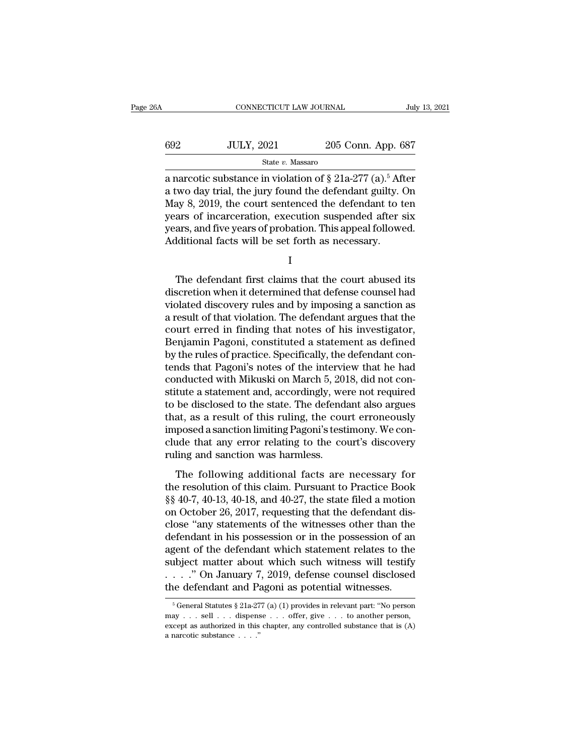| 6A  | CONNECTICUT LAW JOURNAL                                                                                                                                                                        |                    | July 13, 2021 |
|-----|------------------------------------------------------------------------------------------------------------------------------------------------------------------------------------------------|--------------------|---------------|
| 692 | <b>JULY, 2021</b>                                                                                                                                                                              | 205 Conn. App. 687 |               |
|     | State v. Massaro                                                                                                                                                                               |                    |               |
|     | a narcotic substance in violation of $\S 21a-277$ (a). <sup>5</sup> After<br>a two day trial, the jury found the defendant guilty. On<br>May 8, 2010, the court contenged the defendant to ten |                    |               |

692 JULY, 2021 205 Conn. App. 687<br>
State v. Massaro<br>
a narcotic substance in violation of  $\S 21a-277$  (a).<sup>5</sup> After<br>
a two day trial, the jury found the defendant guilty. On<br>
May 8, 2019, the court sentenced the defendant May 8, 2021 205 Conn. App. 687<br>
State v. Massaro<br>
a narcotic substance in violation of  $\S 21a-277$  (a).<sup>5</sup> After<br>
a two day trial, the jury found the defendant guilty. On<br>
May 8, 2019, the court sentenced the defendant to  $\frac{\text{502}}{\text{State } v. \text{ Massaro}}$ <br>  $\frac{\text{State } v. \text{ Massaro}}{\text{Rate } v. \text{ Massaro}}$ <br>
a narcotic substance in violation of § 21a-277 (a).<sup>5</sup> After<br>
a two day trial, the jury found the defendant guilty. On<br>
May 8, 2019, the court sentenced the defend State v. Massaro<br>
a narcotic substance in violation of  $\S 21a-277$  (a).<sup>5</sup> After<br>
a two day trial, the jury found the defendant guilty. On<br>
May 8, 2019, the court sentenced the defendant to ten<br>
years of incarceration, ex State v. Massaro<br>
a narcotic substance in violation of § 21a-277 (a).<sup>5</sup> Aft<br>
a two day trial, the jury found the defendant guilty. Compared May 8, 2019, the court sentenced the defendant to t<br>
years of incarceration, exe ay 8, 2019, the court sentenced the defendant to ten<br>ars of incarceration, execution suspended after six<br>ars, and five years of probation. This appeal followed.<br>Iditional facts will be set forth as necessary.<br>I<br>The defenda

I

years of incarceration, execution suspended after six<br>years, and five years of probation. This appeal followed.<br>Additional facts will be set forth as necessary.<br>I<br>The defendant first claims that the court abused its<br>discre years, and five years of probation. This appeal followed.<br>Additional facts will be set forth as necessary.<br>I<br>The defendant first claims that the court abused its<br>discretion when it determined that defense counsel had<br>viola Additional facts will be set forth as necessary.<br>
I<br>
The defendant first claims that the court abused its<br>
discretion when it determined that defense counsel had<br>
violated discovery rules and by imposing a sanction as<br>
a r I<br>
The defendant first claims that the court abused its<br>
discretion when it determined that defense counsel had<br>
violated discovery rules and by imposing a sanction as<br>
a result of that violation. The defendant argues that The defendant first claims that the court abused its<br>discretion when it determined that defense counsel had<br>violated discovery rules and by imposing a sanction as<br>a result of that violation. The defendant argues that the<br>c The defendant first claims that the court abused its<br>discretion when it determined that defense counsel had<br>violated discovery rules and by imposing a sanction as<br>a result of that violation. The defendant argues that the<br>c discretion when it determined that defense counsel had<br>violated discovery rules and by imposing a sanction as<br>a result of that violation. The defendant argues that the<br>court erred in finding that notes of his investigator, violated discovery rules and by imposing a sanction as<br>a result of that violation. The defendant argues that the<br>court erred in finding that notes of his investigator,<br>Benjamin Pagoni, constituted a statement as defined<br>by a result of that violation. The defendant argues that the<br>court erred in finding that notes of his investigator,<br>Benjamin Pagoni, constituted a statement as defined<br>by the rules of practice. Specifically, the defendant con court erred in finding that notes of his investigator,<br>Benjamin Pagoni, constituted a statement as defined<br>by the rules of practice. Specifically, the defendant con-<br>tends that Pagoni's notes of the interview that he had<br>c Benjamin Pagoni, constituted a statement as defined<br>by the rules of practice. Specifically, the defendant con-<br>tends that Pagoni's notes of the interview that he had<br>conducted with Mikuski on March 5, 2018, did not con-<br>st by the rules of practice. Specifically, the defendant contends that Pagoni's notes of the interview that he had conducted with Mikuski on March 5, 2018, did not constitute a statement and, accordingly, were not required to tends that Pagoni's notes of the interview that he had conducted with Mikuski on March 5, 2018, did not constitute a statement and, accordingly, were not required to be disclosed to the state. The defendant also argues tha conducted with Mikuski on March 5, 20<br>stitute a statement and, accordingly, we<br>to be disclosed to the state. The defend<br>that, as a result of this ruling, the cou<br>imposed a sanction limiting Pagoni's test<br>clude that any err the disclosed to the state. The defendant also argues<br>at, as a result of this ruling, the court erroneously<br>posed a sanction limiting Pagoni's testimony. We con-<br>ide that any error relating to the court's discovery<br>ling an that, as a result of this ruling, the court erroneously<br>imposed a sanction limiting Pagoni's testimony. We con-<br>clude that any error relating to the court's discovery<br>ruling and sanction was harmless.<br>The following additio

Finally as a result of this raing, the education charactery<br>imposed a sanction limiting Pagoni's testimony. We conclude that any error relating to the court's discovery<br>ruling and sanction was harmless.<br>The following addit mapposed as altered minimal general essention, the sont<br>clude that any error relating to the court's discovery<br>ruling and sanction was harmless.<br>The following additional facts are necessary for<br>the resolution of this claim ruling and sanction was harmless.<br>The following additional facts are necessary for<br>the resolution of this claim. Pursuant to Practice Book<br>§§ 40-7, 40-13, 40-18, and 40-27, the state filed a motion<br>on October 26, 2017, req The following additional facts are necessary for<br>the resolution of this claim. Pursuant to Practice Book<br>§§ 40-7, 40-13, 40-18, and 40-27, the state filed a motion<br>on October 26, 2017, requesting that the defendant dis-<br>cl The following additional facts are necessary for<br>the resolution of this claim. Pursuant to Practice Book<br>§§ 40-7, 40-13, 40-18, and 40-27, the state filed a motion<br>on October 26, 2017, requesting that the defendant dis-<br>c the resolution of this claim. Pursuant to Practice Book  $\S$ § 40-7, 40-13, 40-18, and 40-27, the state filed a motion<br>on October 26, 2017, requesting that the defendant dis-<br>close "any statements of the witnesses other tha §§ 40-7, 40-13, 40-18, and 40-27, the state filed a motion<br>on October 26, 2017, requesting that the defendant dis-<br>close "any statements of the witnesses other than the<br>defendant in his possession or in the possession of a on October 26, 2017, requesting that the defendant disclose "any statements of the witnesses other than the defendant in his possession or in the possession of an agent of the defendant which statement relates to the subj Superior of the defendant which statement relates to the ubject matter about which such witness will testify . . ." On January 7, 2019, defense counsel disclosed in edefendant and Pagoni as potential witnesses.<br>  $\frac{1}{6}$ subject matter about which such witness will testify<br>
. . . . " On January 7, 2019, defense counsel disclosed<br>
the defendant and Pagoni as potential witnesses.<br>
Foreneral Statutes § 21a-277 (a) (1) provides in relevant pa

<sup>....&</sup>quot; On January 7, 2019, defense counsel disclosed<br>the defendant and Pagoni as potential witnesses.<br> $\frac{1}{6}$  General Statutes  $\frac{8}{2}$ 1a-277 (a) (1) provides in relevant part: "No person<br>may ... sell ... dispense ... o ...." On January 7, 2019, defense counsel disclosed<br>the defendant and Pagoni as potential witnesses.<br> $\frac{1}{6}$  General Statutes § 21a-277 (a) (1) provides in relevant part: "No person<br>may ... sell ... dispense ... offer,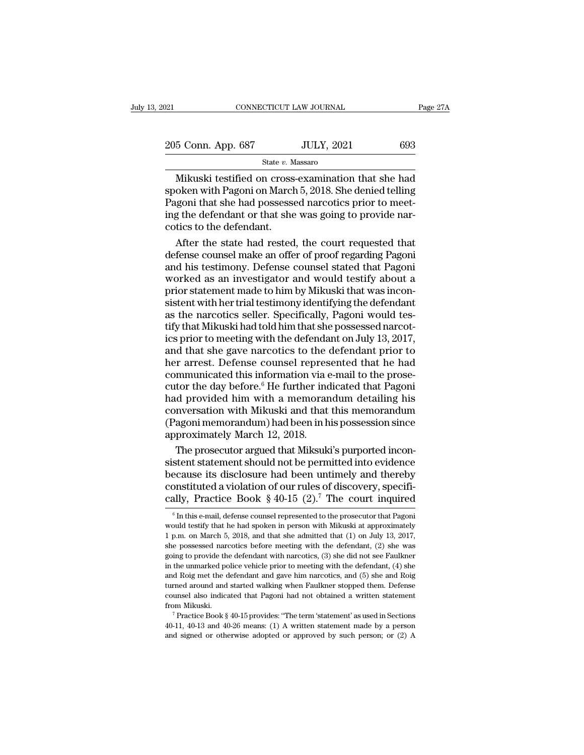205 Conn. App. 687 JULY, 2021 693

State *v.* Massaro

CONNECTICUT LAW JOURNAL Page 27A<br>
5 Conn. App. 687 JULY, 2021 693<br>
State v. Massaro<br>
Mikuski testified on cross-examination that she had<br>
oken with Pagoni on March 5, 2018. She denied telling<br>
organi that she had possessed  $\begin{array}{r} \text{205 Conn. App. 687} \hline \text{State } v. \text{ Massaro} \ \hline \text{Mikuski testified on cross-examination that she had spoken with Pagoni on March 5, 2018. She denied telling Pagoni that she had possessed narcotics prior to meeting the defendant or that she was going to provide narrow.} \end{array}$ 205 Conn. App. 687 JULY, 2021 693<br>
State v. Massaro<br>
Mikuski testified on cross-examination that she had<br>
spoken with Pagoni on March 5, 2018. She denied telling<br>
Pagoni that she had possessed narcotics prior to meet-<br>
in 205 Conn. App. 687 JULY, 2021 693<br>
State v. Massaro<br>
Mikuski testified on cross-examination that she had<br>
spoken with Pagoni on March 5, 2018. She denied telling<br>
Pagoni that she had possessed narcotics prior to meet-<br>
ing Mikuski testified on cross<br>spoken with Pagoni on March<br>Pagoni that she had possessed<br>ing the defendant or that she<br>cotics to the defendant.<br>After the state had rested Mikuski testified on cross-examination that she had<br>oken with Pagoni on March 5, 2018. She denied telling<br>goni that she had possessed narcotics prior to meet-<br>g the defendant or that she was going to provide nar-<br>tics to t Mikuski testified on cross-examination that she had<br>spoken with Pagoni on March 5, 2018. She denied telling<br>Pagoni that she had possessed narcotics prior to meet-<br>ing the defendant or that she was going to provide nar-<br>cot

spoken with Pagoni on March 5, 2018. She denied telling<br>Pagoni that she had possessed narcotics prior to meet-<br>ing the defendant or that she was going to provide nar-<br>cotics to the defendant.<br>After the state had rested, th Pagoni that she had possessed narcotics prior to meet-<br>ing the defendant or that she was going to provide nar-<br>cotics to the defendant.<br>After the state had rested, the court requested that<br>defense counsel make an offer of ing the defendant or that she was going to provide narcotics to the defendant.<br>
After the state had rested, the court requested that<br>
defense counsel make an offer of proof regarding Pagoni<br>
and his testimony. Defense coun cotics to the defendant.<br>After the state had rested, the court requested that<br>defense counsel make an offer of proof regarding Pagoni<br>and his testimony. Defense counsel stated that Pagoni<br>worked as an investigator and woul After the state had rested, the court requested that<br>defense counsel make an offer of proof regarding Pagoni<br>and his testimony. Defense counsel stated that Pagoni<br>worked as an investigator and would testify about a<br>prior s defense counsel make an offer of proof regarding Pagoni<br>and his testimony. Defense counsel stated that Pagoni<br>worked as an investigator and would testify about a<br>prior statement made to him by Mikuski that was incon-<br>siste and his testimony. Defense counsel stated that Pagoni<br>worked as an investigator and would testify about a<br>prior statement made to him by Mikuski that was incon-<br>sistent with her trial testimony identifying the defendant<br>as worked as an investigator and would testify about a<br>prior statement made to him by Mikuski that was incon-<br>sistent with her trial testimony identifying the defendant<br>as the narcotics seller. Specifically, Pagoni would tesprior statement made to him by Mikuski that was inconsistent with her trial testimony identifying the defendant<br>as the narcotics seller. Specifically, Pagoni would tes-<br>tify that Mikuski had told him that she possessed nar sistent with her trial testimony identifying the defendant<br>as the narcotics seller. Specifically, Pagoni would tes-<br>tify that Mikuski had told him that she possessed narcot-<br>ics prior to meeting with the defendant on July as the narcotics seller. Specifically, Pagoni would tes-<br>tify that Mikuski had told him that she possessed narcot-<br>ics prior to meeting with the defendant on July 13, 2017,<br>and that she gave narcotics to the defendant prio tify that Mikuski had told him that she possessed narcotics prior to meeting with the defendant on July 13, 2017, and that she gave narcotics to the defendant prior to her arrest. Defense counsel represented that he had co ics prior to meeting with the defendant on July 13, 2017,<br>and that she gave narcotics to the defendant prior to<br>her arrest. Defense counsel represented that he had<br>communicated this information via e-mail to the prose-<br>cut and that she gave narcotics to the defendant prior to<br>her arrest. Defense counsel represented that he had<br>communicated this information via e-mail to the prose-<br>cutor the day before.<sup>6</sup> He further indicated that Pagoni<br>had her arrest. Defense counsel repres<br>communicated this information via  $\epsilon$ <br>cutor the day before.<sup>6</sup> He further ind<br>had provided him with a memoran<br>conversation with Mikuski and that<br>(Pagoni memorandum) had been in h<br>approxi mmunicated this information via e-mail to the prosetor the day before.<sup>6</sup> He further indicated that Pagoni<br>d provided him with a memorandum detailing his<br>nversation with Mikuski and that this memorandum<br>agoni memorandum) h cutor the day before.<sup>6</sup> He further indicated that Pagoni<br>had provided him with a memorandum detailing his<br>conversation with Mikuski and that this memorandum<br>(Pagoni memorandum) had been in his possession since<br>approximate

had provided him with a memorandum detailing his<br>conversation with Mikuski and that this memorandum<br>(Pagoni memorandum) had been in his possession since<br>approximately March 12, 2018.<br>The prosecutor argued that Miksuki's p conversation with Mikuski and that this memorandum<br>(Pagoni memorandum) had been in his possession since<br>approximately March 12, 2018.<br>The prosecutor argued that Miksuki's purported incon-<br>sistent statement should not be p (Pagoni memorandum) had been in his possession since<br>approximately March 12, 2018.<br>The prosecutor argued that Miksuki's purported incon-<br>sistent statement should not be permitted into evidence<br>because its disclosure had b stent statement should not be permitted into evidence<br>ecause its disclosure had been untimely and thereby<br>onstituted a violation of our rules of discovery, specifi-<br>ally, Practice Book § 40-15 (2).<sup>7</sup> The court inquired<br><sup></sup> because its disclosure had been untimely and thereby<br>constituted a violation of our rules of discovery, specifi-<br>cally, Practice Book § 40-15  $(2)^{7}$  The court inquired<br><sup>6</sup> In this e-mail, defense counsel represented to

constituted a violation of our rules of discovery, specifically, Practice Book § 40-15 (2).<sup>7</sup> The court inquired  $\frac{1}{6}$  In this e-mail, defense counsel represented to the prosecutor that Pagoni would testify that he h cally, Practice Book § 40-15 (2).<sup>7</sup> The court inquired<br>  $\overline{\phantom{a}}$  <sup>6</sup> In this e-mail, defense counsel represented to the prosecutor that Pagoni<br>
would testify that he had spoken in person with Mikuski at approximately<br> Cally, Fractice BOOK  $\frac{9}{40-15}$  ( $\angle$ ). The Court inquired<br>
<sup>6</sup> In this e-mail, defense counsel represented to the prosecutor that Pagoni<br>
would testify that he had spoken in person with Mikuski at approximately<br>
1 p.m <sup>6</sup> In this e-mail, defense counsel represented to the prosecutor that Pagoni would testify that he had spoken in person with Mikuski at approximately 1 p.m. on March 5, 2018, and that she admitted that (1) on July 13, 20 would testify that he had spoken in person with Mikuski at approximately 1 p.m. on March 5, 2018, and that she admitted that  $(1)$  on July 13, 2017, she possessed narcotics before meeting with the defendant,  $(2)$  she was The mass of Handard and started walking when Faulkner and  $\mu$  p.m. on March 5, 2018, and that she admitted that (1) on July 13, 2017, she possessed narcotics before meeting with the defendant, (2) she was going to provid Figure 3.1 and the defendant with the defendant, (2) she was shown by consistent and a metallicated police vehicle prior to meeting with the defendant, (4) she and Roig met the defendant and gave him narcotics, and (5) sh going to provide the defendant with narcotics, (3) she did not see Faulther in the unmarked police vehicle prior to meeting with the defendant, (4) she and Roig met the defendant and gave him narcotics, and (5) she and Ro and Roig met the defendant and gave him narcotics, and (5) she and Roig turned around and started walking when Faulkner stopped them. Defense counsel also indicated that Pagoni had not obtained a written statement from Mi and Roig met the defendant and gave him narcotics, and (5) she and Roig turned around and started walking when Faulkner stopped them. Defense counsel also indicated that Pagoni had not obtained a written statement from Mi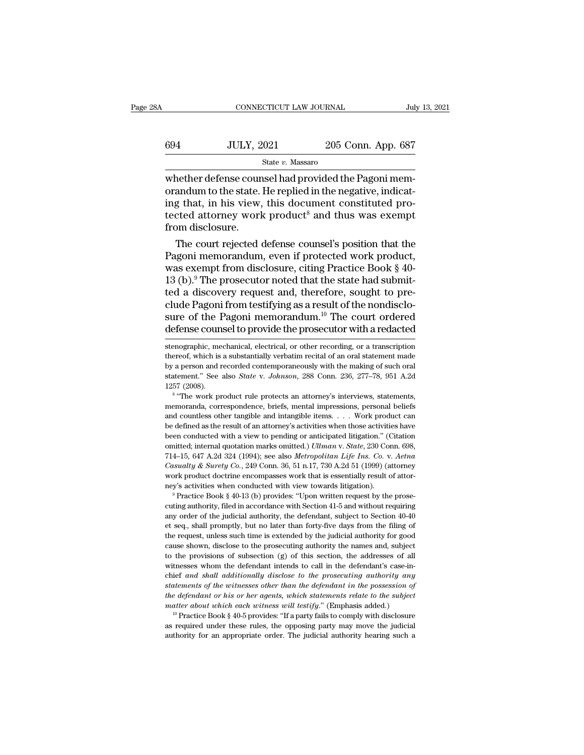| A   | CONNECTICUT LAW JOURNAL |                    | July 13, 2021 |
|-----|-------------------------|--------------------|---------------|
| 694 | <b>JULY, 2021</b>       | 205 Conn. App. 687 |               |
|     | State v. Massaro        |                    |               |

CONNECTICUT LAW JOURNAL<br>
SUMBER SEARCH SUBSET ON MANUS STATE OF STATE OF STATE OF STATE OF STARS WHET DEFINENCING THE PAGONI MEM-<br>
STATE OF STATE OF STATE OF STATE OF STATE OF STATE OF STATE OF STATE OF STATE OF STATE OF S  $\begin{array}{ll} \text{694} & \text{JULY, } 2021 & 205 \text{ Conn.} \text{ App. 687} \\ \text{State } v. \text{ Massaro} \end{array}$  whether defense counsel had provided the Pagoni memorandum to the state. He replied in the negative, indicating that, in his view, this document const  $\frac{694}{\text{N}}$  JULY, 2021 205 Conn. App. 687<br>  $\frac{\text{State } v. \text{ Massaro}}{\text{Whether } \text{defense} \text{ counts}}$ <br>
whether defense counsel had provided the Pagoni memorandum to the state. He replied in the negative, indicating that, in his view, this docu  $\begin{tabular}{ll} \bf 694 & \tt JULY, 2021 & \tt 205 Conn. App. 687 \\ & \tt state $v$. Massaro \\ \end{tabular} \end{tabular} \end{tabular} \text{where the degree of the two-dimensional symmetry and the corresponding matrix, and the corresponding matrix, and the corresponding matrix, and the first is the same as the number of the two-dimensional symmetry. The first is the number of the two-dimensional symmetry, the first is the number of the two-dimensional symmetry. The first is the number of the two-dimensional symmetry, the second is the number of the two-dimensional symmetry. The first is the number of the two-dimensional symmetry, the second is the number of the two-dimensional symmetry, and the second is the number of the two-dimensional symmetry. The second is the number of the two-dimensional symmetry, the second is the number of the two-dimensional symmetry, and the second is the number of the two$ whether defense cour<br>orandum to the state.<br>ing that, in his view,<br>tected attorney work<br>from disclosure.<br>The court rejected Example 1 massage of massage counsel had provided the Pagoni memandum to the state. He replied in the negative, indicated that, in his view, this document constituted proceded attorney work product<sup>8</sup> and thus was exempt p whether defense counsel had provided the Pagoni memorandum to the state. He replied in the negative, indicating that, in his view, this document constituted protected attorney work product<sup>8</sup> and thus was exempt from disc

orandum to the state. He replied in the negative, indicating that, in his view, this document constituted protected attorney work product<sup>8</sup> and thus was exempt from disclosure.<br>The court rejected defense counsel's positio ing that, in his view, this document constituted pro-<br>tected attorney work product<sup>8</sup> and thus was exempt<br>from disclosure.<br>The court rejected defense counsel's position that the<br>Pagoni memorandum, even if protected work p tected attorney work product<sup>3</sup> and thus was exempt<br>from disclosure.<br>The court rejected defense counsel's position that the<br>Pagoni memorandum, even if protected work product,<br>was exempt from disclosure, citing Practice Bo from disclosure.<br>The court rejected defense counsel's position that the<br>Pagoni memorandum, even if protected work product,<br>was exempt from disclosure, citing Practice Book § 40-<br>13 (b).<sup>9</sup> The prosecutor noted that the st The court rejected defense counsel's position that the<br>Pagoni memorandum, even if protected work product,<br>was exempt from disclosure, citing Practice Book § 40-<br>13 (b).<sup>9</sup> The prosecutor noted that the state had submit-<br>t Pagoni memorandum, even if protected work product,<br>was exempt from disclosure, citing Practice Book § 40-<br>13 (b).<sup>9</sup> The prosecutor noted that the state had submit-<br>ted a discovery request and, therefore, sought to pre-<br>c ted a discovery request and, therefore, sought to pre-<br>clude Pagoni from testifying as a result of the nondisclo-<br>sure of the Pagoni memorandum.<sup>10</sup> The court ordered<br>defense counsel to provide the prosecutor with a redact clude Pagoni from testifying as a result of the nondisclosure of the Pagoni memorandum.<sup>10</sup> The court ordered defense counsel to provide the prosecutor with a redacted stenographic, mechanical, electrical, or other recordi

by a person and recorded contemporaneously with the making of such oral statement." See also *State v. Johnson*, 288 Conn. 236, 277–78, 951 A.2d 1257 (2008).<br><sup>8</sup> "The work product rule protects an attorney's interviews, st be defined as the result of an attorney's activities when those activities when conducts are work product rule protects an attorney's interviews, statements, we "The work product rule protects an attorney's interviews, st 1257 (2008).<br>
<sup>8</sup> "The work product rule protects an attorney's interviews, statements,<br>
<sup>8</sup> "The work product rule protects an attorney's interviews, statements,<br>
memoranda, correspondence, briefs, mental impressions, pe <sup>18</sup> "The work product rule protects an attorney's interviews, statements,<br>memoranda, correspondence, briefs, mental impressions, personal beliefs<br>and countless other tangible and intangible items. . . . Work product can<br>b 114–15, 647 A.2d 324 (1994); see also *Metropolitan Life Ins.* Coasial beliefs and countless other tangible and intangible items. . . . Work product can be defined as the result of an attorney's activities when those activ and countless other tangible and intangible items. . . . Work product can<br>be defined as the result of an attorney's activities when those activities have<br>been conducted with a view to pending or anticipated litigation." (C and countless other tangible and intangible items. . . . Work product can<br>be defined as the result of an attorney's activities when those activities have<br>been conducted with a view to pending or anticipated litigation." ( been conducted with a view to pending or anticipated litigation." (Citation omitted, internal quotation marks omitted.) *Ullman* v. *State*, 230 Conn. 698, 714–15, 647 A.2d 324 (1994); see also *Metropolitan Life Ins. Co.* 714–15, 647 A.2d 324 (1994); see also *Metropolitan Life Ins. Co. v. Aetna* Casualty & Surety Co., 249 Conn. 36, 51 n.17, 730 A.2d 51 (1999) (attorney work product doctrine encompasses work that is essentially result of a

Casualty & Surety Co., 249 Conn. 36, 51 n.17, 730 A.2d 51 (1999) (attorney work product doctrine encompasses work that is essentially result of attorney's activities when conducted with view towards litigation).<br>
<sup>9</sup> Prac work product doctrine encompasses work that is essentially result of attor-<br>ney's activities when conducted with view towards litigation).<br><sup>9</sup> Practice Book § 40-13 (b) provides: "Upon written request by the prose-<br>cuting ney's activities when conducted with view towards litigation).<br>
<sup>9</sup> Practice Book § 40-13 (b) provides: "Upon written request by the prose-<br>
cuting authority, filed in accordance with Section 41-5 and without requiring<br>
an <sup>e</sup> Practice Book § 40-13 (b) provides: "Upon written request by the prosecuting authority, filed in accordance with Section 41-5 and without requiring any order of the judicial authority, the defendant, subject to Sectio exting authority, filed in accordance with Section 41-5 and without requiring<br>any order of the judicial authority, the defendant, subject to Section 40-40<br>et seq., shall promptly, but no later than forty-five days from the cuting authority, filed in accordance with Section 41-5 and without requiring<br>any order of the judicial authority, the defendant, subject to Section 40-40<br>et seq., shall promptly, but no later than forty-five days from th et seq., shall promptly, but no later than forty-five days from the filing of<br>the request, unless such time is extended by the judicial authority for good<br>cause shown, disclose to the prosecuting authority the names and, s *statements, where were the winesses of all the request, unless such time is extended by the judicial authority for good cause shown, disclose to the prosecuting authority the names and, subject to the provisions of subsec the defendant or his or her agents, which statements of the subject* to the provisions of subsection (g) of this section, the addresses of all witnesses whom the defendant intends to call in the defendant's case-inchief a cause shown, allocate to the prosecularly districtly the haddresses of all<br>to the provisions of subsection (g) of this section, the addresses of all<br>witnesses whom the defendant intends to call in the defendant's case-in-<br> the sesses whom the defendant intends to call in the defendant's case-in-<br>ief and shall additionally disclose to the prosecuting authority any<br>interments of the witnesses other than the defendant in the possession of<br>e de chief and shall additionally disclose to the prosecuting authority any<br>statements of the witnesses other than the defendant in the possession of<br>the defendant or his or her agents, which statements relate to the subject<br>m statements of the witnesses other than the defendant in the possession of<br>the defendant or his or her agents, which statements relate to the subject<br>matter about which each witness will testify." (Emphasis added.)<br><sup>10</sup> Pr

sure of the Pagoni memorandum.<sup>10</sup> The court ordered defense counsel to provide the prosecutor with a redacted stenographic, mechanical, electrical, or other recording, or a transcription thereof, which is a substantially defense counsel to provide the prosecutor with a redacted<br>
stenographic, mechanical, electrical, or other recording, or a transcription<br>
thereof, which is a substantially verbatim recital of an oral statement made<br>
by a pe stenographic, mechanical, electrical, or other recording, or a transcription thereof, which is a substantially verbatim recital of an oral statement made by a person and recorded contemporaneously with the making of such nographic, mechanical, electrical, or other recording, or a transcription<br>reof, which is a substantially verbatim recital of an oral statement made<br>a person and recorded contemporaneously with the making of such oral<br>ement thereof, which is a substantially verbatim recital of an oral statement made<br>by a person and recorded contemporaneously with the making of such oral<br>statement." See also *State* v. Johnson, 288 Conn. 236, 277–78, 951 A.2d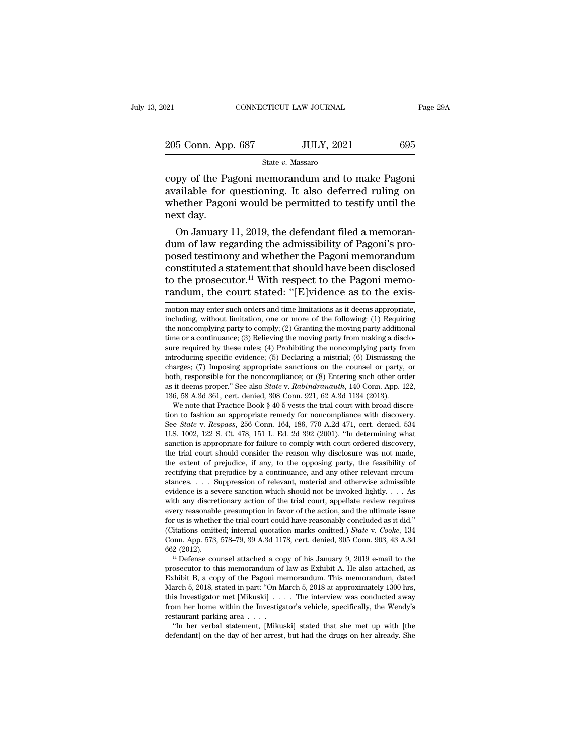| 021                | CONNECTICUT LAW JOURNAL |                   | Page 29A |  |
|--------------------|-------------------------|-------------------|----------|--|
| 205 Conn. App. 687 |                         | <b>JULY, 2021</b> | 695      |  |
|                    | State v. Massaro        |                   |          |  |

connectricut LAW JOURNAL Page 2:<br>
205 Conn. App. 687 JULY, 2021 695<br>
State v. Massaro<br>
copy of the Pagoni memorandum and to make Pagoni<br>
available for questioning. It also deferred ruling on<br>
whether Pagoni would be permi 205 Conn. App. 687 JULY, 2021 695<br>
State v. Massaro<br>
Copy of the Pagoni memorandum and to make Pagoni<br>
available for questioning. It also deferred ruling on<br>
whether Pagoni would be permitted to testify until the<br>
next da 205 Conn. App. 687 JULY, 2021 695<br>
State v. Massaro<br>
copy of the Pagoni memorandum and to make Pagoni<br>
available for questioning. It also deferred ruling on<br>
whether Pagoni would be permitted to testify until the<br>
next da 205 Conn. App<br>
copy of the Pa<br>
available for<br>
whether Pagon<br>
next day.<br>
On January State  $v$ . Massaro<br>
py of the Pagoni memorandum and to make Pagoni<br>
ailable for questioning. It also deferred ruling on<br>
nether Pagoni would be permitted to testify until the<br>
xt day.<br>
On January 11, 2019, the defendant f dum of the Pagoni memorandum and to make Pagoni<br>available for questioning. It also deferred ruling on<br>whether Pagoni would be permitted to testify until the<br>next day.<br>On January 11, 2019, the defendant filed a memoran-<br>dum

copy of the Pagoni memorandum and to make Pagoni<br>available for questioning. It also deferred ruling on<br>whether Pagoni would be permitted to testify until the<br>next day.<br>On January 11, 2019, the defendant filed a memoran-<br>du available for questioning. It also deferred ruling on<br>whether Pagoni would be permitted to testify until the<br>next day.<br>On January 11, 2019, the defendant filed a memoran-<br>dum of law regarding the admissibility of Pagoni's whether Pagoni would be permitted to testify until the<br>next day.<br>On January 11, 2019, the defendant filed a memoran-<br>dum of law regarding the admissibility of Pagoni's pro-<br>posed testimony and whether the Pagoni memorandu next day.<br>
On January 11, 2019, the defendant filed a memoran-<br>
dum of law regarding the admissibility of Pagoni's pro-<br>
posed testimony and whether the Pagoni memorandum<br>
constituted a statement that should have been disc posed testimony and whether the Pagoni memorandum<br>constituted a statement that should have been disclosed<br>to the prosecutor.<sup>11</sup> With respect to the Pagoni memo-<br>randum, the court stated: "[E]vidence as to the exis-<br>motion constituted a statement that should have been disclosed<br>to the prosecutor.<sup>11</sup> With respect to the Pagoni memo-<br>randum, the court stated: "[E]vidence as to the exis-<br>motion may enter such orders and time limitations as it

charges; (*i*) imposing appropriate sanctions on the counser or party, or both, responsible for the noncompliance; or (8) Entering such other order as it deems proper." See also *State* v. *Rabindranauth*, 140 Conn. App. 1 bout, responsible for the noncompliance; or (8) Entering such other order<br>as it deems proper." See also *State* v. *Rabindranauth*, 140 Conn. App. 122,<br>136, 58 A.3d 361, cert. denied, 308 Conn. 921, 62 A.3d 1134 (2013).<br>We as a deems proper. See also *state v. Raunaramatum*, 140 Comit. App. 122, 136, 58 A.3d 361, cert. denied, 308 Conn. 921, 62 A.3d 1134 (2013). We note that Practice Book § 40-5 vests the trial court with broad discretion t 150, 38 A.50 301, cent. defined, 308 Collit. 921, 02 A.50 1154 (2015).<br>We note that Practice Book § 40-5 vests the trial court with broad discre-<br>tion to fashion an appropriate remedy for noncompliance with discovery.<br>See We note that Practice Book § 40-5 vests the that court with broad discretion to fashion an appropriate remedy for noncompliance with discovery.<br>See *State* v. *Respass*, 256 Conn. 164, 186, 770 A.2d 471, cert. denied, 534 tion to fashion an appropriate remedy for noncompliance with discovery.<br>See *State* v. *Respass*, 256 Conn. 164, 186, 770 A.2d 471, cert. denied, 534 U.S. 1002, 122 S. Ct. 478, 151 L. Ed. 2d 392 (2001). "In determining wh See *Sulte* v. *Respuss*, 250 Collit. 104, 100, 770 A.2d 471, cert. defiled, 354 U.S. 1002, 122 S. Ct. 478, 151 L. Ed. 2d 392 (2001). "In determining what sanction is appropriate for failure to comply with court ordered d U.S. 1002, 122 S. U. 478, 151 L. Ed. 2d 392 (2001). In determining what sanction is appropriate for failure to comply with court ordered discovery, the trial court should consider the reason why disclosure was not made, t sanction is appropriate for failure to comply which court ordered uscovery, the trial court should consider the reason why disclosure was not made, the extent of prejudice, if any, to the opposing party, the feasibility o the transformation in favor the reason will discuss the sextent of prejudice, if any, to the opposing party, the feasibility of rectifying that prejudice by a continuance, and any other relevant circumstances. . . . Suppr the extent of prejudice, if any, to the opposing party, the reasibility of rectifying that prejudice by a continuance, and any other relevant circum-<br>stances. . . . Suppression of relevant, material and otherwise admissib Fectuying that prejudice by a continuance, and any other relevant circum-<br>stances. . . . Suppression of relevant, material and otherwise admissible<br>evidence is a severe sanction which should not be invoked lightly. . . . A stances.  $\ldots$  suppression of relevant, material and otherwise admissible evidence is a severe sanction which should not be invoked lightly.  $\ldots$  As with any discretionary action of the trial court, appellate review requ evidence is a severe sanction which should not be invoked ightly.  $\ldots$  As with any discretionary action of the trial court, appellate review requires every reasonable presumption in favor of the action, and the ultimate every reasonable presumption in favor of the action, and the untinate issue<br>for us is whether the trial court could have reasonably concluded as it did."<br>(Citations omitted; internal quotation marks omitted.) *State* v. *C* 

for us is whether the that court collid nave reasonably concluded as it did.<br>
(Citations omitted; internal quotation marks omitted.) *State* v. *Cooke*, 134<br>
Conn. App. 573, 578–79, 39 A.3d 1178, cert. denied, 305 Conn. 90 Chations omitted; internal quotation marks omitted.) *State V. Cooke*, 154 Conn. App. 573, 578–79, 39 A.3d 1178, cert. denied, 305 Conn. 903, 43 A.3d 662 (2012).<br><sup>11</sup> Defense counsel attached a copy of his January 9, 2019 Conti. App. 975, 976–79, 59 A.3d 1176, cert. denied, 309 Conti. 905, 45 A.3d 662 (2012).<br>
<sup>11</sup> Defense counsel attached a copy of his January 9, 2019 e-mail to the prosecutor to this memorandum of law as Exhibit A. He als <sup>602</sup> (2012).<br>
<sup>11</sup> Defense counsel attached a copy of his January 9, 2019 e-mail to the<br>
prosecutor to this memorandum of law as Exhibit A. He also attached, as<br>
Exhibit B, a copy of the Pagoni memorandum. This memorandu Freense counser attached a coprosecutor to this memorandum of<br>Exhibit B, a copy of the Pagoni m<br>March 5, 2018, stated in part: "On M<br>this Investigator met [Mikuski] . .<br>from her home within the Investigate<br>restaurant parki Secutor to this intentoration of law as Exhibit A. He also attached, as<br>
chibit B, a copy of the Pagoni memorandum. This memorandum, dated<br>
arch 5, 2018, stated in part: "On March 5, 2018 at approximately 1300 hrs,<br>
is Inv Exhibit B, a copy of the Pagoni inemorantum. This inemorantum, dated March 5, 2018, stated in part: "On March 5, 2018 at approximately 1300 hrs, this Investigator met [Mikuski] . . . . The interview was conducted away fro

to the prosecutor.<sup>11</sup> With respect to the Pagoni memo-<br>randum, the court stated: "[E]vidence as to the exis-<br>motion may enter such orders and time limitations as it deems appropriate,<br>including, without limitation, one o randum, the court stated: "[E]vidence as to the exis-<br>motion may enter such orders and time limitations as it deems appropriate,<br>including, without limitation, one or more of the following: (1) Requiring<br>the noncomplying **randum, the court stated:** "[E]vIdence as to the exis-<br>motion may enter such orders and time limitations as it deems appropriate,<br>including, without limitation, one or more of the following: (1) Requiring<br>the noncomplyin motion may enter such orders and time limitations as it deems appropriate, including, without limitation, one or more of the following: (1) Requiring the noncomplying party to comply; (2) Granting the moving party addition including, without limitation, one or more of the following: (1) Requiring the noncomplying party to comply; (2) Granting the moving party additional time or a continuance; (3) Relieving the moving party from making a dis both, responsible for the noncompliance; or (8) Entering such the noncomplying party to comply; (2) Granting the moving party additional time or a continuance; (3) Relieving the moving party from making a disclosure requi the noncomptying party to compty; (2) crianting the moving party additional<br>time or a continuance; (3) Relieving the moving party from making a disclo-<br>sure required by these rules; (4) Prohibiting the noncomplying party f time or a commutate; (3) Neilevilly the moving party from making a disc<br>sure required by these rules; (4) Prohibiting the noncomplying party from<br>introducing specific evidence; (5) Declaring a mistrial; (6) Dismissing t<br>ch For Fequinear by these rules; (4) From<br>During the noncomplying party from troducing specific evidence; (5) Declaring a mistrial; (6) Dismissing the<br>arges; (7) Imposing appropriate sanctions on the coursel or party, or<br>th, Introducing specinc evidence; (b) Declaring a mistrial; (b) Dishussing the<br>charges; (7) Imposing appropriate sanctions on the counsel or party, or<br>both, responsible for the noncompliance; or (8) Entering such other order<br>a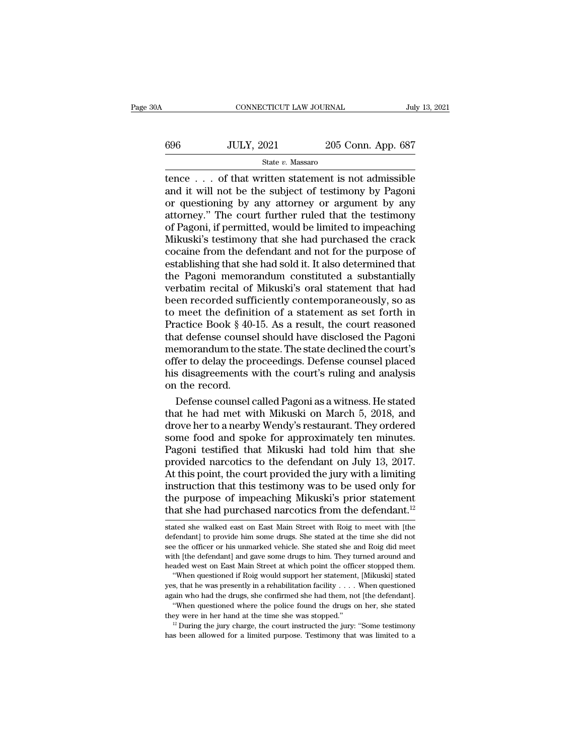| ЭA  | CONNECTICUT LAW JOURNAL |                    | July 13, 2021 |
|-----|-------------------------|--------------------|---------------|
| 696 | <b>JULY, 2021</b>       | 205 Conn. App. 687 |               |
|     | State v. Massaro        |                    |               |

CONNECTICUT LAW JOURNAL July 13, 2021<br>  $\frac{1}{100}$   $\frac{1}{13}$   $\frac{1}{202}$ <br>  $\frac{1}{100}$ <br>  $\frac{1}{100}$ <br>  $\frac{1}{100}$ <br>  $\frac{1}{100}$ <br>  $\frac{1}{100}$ <br>  $\frac{1}{100}$ <br>  $\frac{1}{100}$ <br>  $\frac{1}{100}$ <br>  $\frac{1}{100}$ <br>  $\frac{1}{100}$ <br>  $\frac{1}{100}$ <br>  $\frac$  $\noindent\text{JULY, } 2021 \quad 205 \text{ Conn. App. } 687$ <br>  $\text{State } v. \text{ Massaro}$ <br>  $\text{tence } \ldots$  of that written statement is not admissible<br>
and it will not be the subject of testimony by Pagoni<br>
or questioning by any attorney or argument by any<br>
att  $\begin{array}{c|c} \n696 & \text{JULY, } 2021 & \text{205 Conn. App. 687} \\
 \hline\n\text{State } v. \text{ Massaro} \\
 \hline\n \text{tence } . . . \text{ of that written statement is not admissible} \\
 \text{and it will not be the subject of testimony by Pagoni} \\
 \text{or questioning by any attorney or argument by any} \\
 \text{attorney." The court further ruled that the testimony} \\
 \text{of Pagoni if permitted would be limited to image,} \n\end{array}$  $\frac{\text{506}}{\text{State } v. \text{ Massaro}}$ <br>  $\frac{\text{State } v. \text{ Massaro}}{\text{Hence } \ldots \text{ of that written statement is not admissible}}$ <br>
and it will not be the subject of testimony by Pagoni<br>
or questioning by any attorney or argument by any<br>
attorney." The court further ruled that the testi State v. Massaro<br>
State v. Massaro<br>
Theoretical contribution of the subject of testimony by Pagoni<br>
or questioning by any attorney or argument by any<br>
attorney." The court further ruled that the testimony<br>
of Pagoni, if p State  $v$ . Massaro<br>
tence . . . of that written statement is not admissible<br>
and it will not be the subject of testimony by Pagoni<br>
or questioning by any attorney or argument by any<br>
attorney." The court further ruled tha tence  $\dots$  of that written statement is not admissible<br>and it will not be the subject of testimony by Pagoni<br>or questioning by any attorney or argument by any<br>attorney." The court further ruled that the testimony<br>of Pagon and it will not be the subject of testimony by Pagoni<br>or questioning by any attorney or argument by any<br>attorney." The court further ruled that the testimony<br>of Pagoni, if permitted, would be limited to impeaching<br>Mikuski' or questioning by any attorney or argument by any<br>attorney." The court further ruled that the testimony<br>of Pagoni, if permitted, would be limited to impeaching<br>Mikuski's testimony that she had purchased the crack<br>cocaine f attorney." The court further ruled that the testimony<br>of Pagoni, if permitted, would be limited to impeaching<br>Mikuski's testimony that she had purchased the crack<br>cocaine from the defendant and not for the purpose of<br>estab of Pagoni, if permitted, would be limited to impeaching<br>Mikuski's testimony that she had purchased the crack<br>cocaine from the defendant and not for the purpose of<br>establishing that she had sold it. It also determined that<br> Mikuski's testimony that she had purchased the crack<br>cocaine from the defendant and not for the purpose of<br>establishing that she had sold it. It also determined that<br>the Pagoni memorandum constituted a substantially<br>verbat cocaine from the defendant and not for the purpose of<br>establishing that she had sold it. It also determined that<br>the Pagoni memorandum constituted a substantially<br>verbatim recital of Mikuski's oral statement that had<br>been establishing that she had sold it. It also determined that<br>the Pagoni memorandum constituted a substantially<br>verbatim recital of Mikuski's oral statement that had<br>been recorded sufficiently contemporaneously, so as<br>to meet the Pagoni memorandum constituted a substantially<br>verbatim recital of Mikuski's oral statement that had<br>been recorded sufficiently contemporaneously, so as<br>to meet the definition of a statement as set forth in<br>Practice Boo verbatim recital of Mikuski's oral statement that had<br>been recorded sufficiently contemporaneously, so as<br>to meet the definition of a statement as set forth in<br>Practice Book § 40-15. As a result, the court reasoned<br>that de been recorded sufficiently contemporaneously, so as<br>to meet the definition of a statement as set forth in<br>Practice Book § 40-15. As a result, the court reasoned<br>that defense counsel should have disclosed the Pagoni<br>memoran to meet the definit<br>Practice Book § 40-<br>that defense counse<br>memorandum to the<br>offer to delay the pi<br>his disagreements v<br>on the record.<br>Defense counsel of actice Book § 40-15. As a result, the court reasoned<br>at defense counsel should have disclosed the Pagoni<br>emorandum to the state. The state declined the court's<br>fer to delay the proceedings. Defense counsel placed<br>s disagre that defense counsel should have disclosed the Pagoni<br>memorandum to the state. The state declined the court's<br>offer to delay the proceedings. Defense counsel placed<br>his disagreements with the court's ruling and analysis<br>on

memorandum to the state. The state declined the court's<br>offer to delay the proceedings. Defense counsel placed<br>his disagreements with the court's ruling and analysis<br>on the record.<br>Defense counsel called Pagoni as a witnes offer to delay the proceedings. Defense counsel placed<br>his disagreements with the court's ruling and analysis<br>on the record.<br>Defense counsel called Pagoni as a witness. He stated<br>that he had met with Mikuski on March 5, 20 his disagreements with the court's ruling and analysis<br>on the record.<br>Defense counsel called Pagoni as a witness. He stated<br>that he had met with Mikuski on March 5, 2018, and<br>drove her to a nearby Wendy's restaurant. They on the record.<br>
Defense counsel called Pagoni as a witness. He stated<br>
that he had met with Mikuski on March 5, 2018, and<br>
drove her to a nearby Wendy's restaurant. They ordered<br>
some food and spoke for approximately ten m Defense counsel called Pagoni as a witness. He stated<br>that he had met with Mikuski on March 5, 2018, and<br>drove her to a nearby Wendy's restaurant. They ordered<br>some food and spoke for approximately ten minutes.<br>Pagoni test that he had met with Mikuski on March 5, 2018, and<br>drove her to a nearby Wendy's restaurant. They ordered<br>some food and spoke for approximately ten minutes.<br>Pagoni testified that Mikuski had told him that she<br>provided narc drove her to a nearby Wendy's restaurant. They ordered<br>some food and spoke for approximately ten minutes.<br>Pagoni testified that Mikuski had told him that she<br>provided narcotics to the defendant on July 13, 2017.<br>At this po some food and spoke for approximately ten minutes.<br>Pagoni testified that Mikuski had told him that she<br>provided narcotics to the defendant on July 13, 2017.<br>At this point, the court provided the jury with a limiting<br>instru At this point, the court provided the jury with a limiting<br>instruction that this testimony was to be used only for<br>the purpose of impeaching Mikuski's prior statement<br>that she had purchased narcotics from the defendant.<sup>12</sup> instruction that this testimony was to be used only for<br>the purpose of impeaching Mikuski's prior statement<br>that she had purchased narcotics from the defendant.<sup>12</sup><br>stated she walked east on East Main Street with Roig to m

see the officer or his unmarked vehicle. She stated she and Roig did meet with the defendant.<sup>12</sup> stated she walked east on East Main Street with Roig to meet with [the defendant] to provide him some drugs. She stated at t that she had purchased narcotics from the defendant.<sup>12</sup><br>stated she walked east on East Main Street with Roig to meet with [the<br>defendant] to provide him some drugs. She stated at the time she did not<br>see the officer or hi stated she walked east on East Main Street with Roig to meet with [the defendant] to provide him some drugs. She stated at the time she did not see the officer or his unmarked vehicle. She stated she and Roig did meet with ated she walked east on East Main Street with Roig to meet with [the fendant] to provide him some drugs. She stated at the time she did not the officer or his unmarked vehicle. She stated she and Roig did meet th [the defe stated she wanted east on East main sucet whil holg to meet whil jue<br>defendant] to provide him some drugs. She stated she and Roig did meet<br>with [the defendant] and gave some drugs to him. They turned around and<br>headed wes aternality to provide finit some drugs, she stated at the drive see the officer or his unmarked vehicle. She stated she and Roig did meet with [the defendant] and gave some drugs to him. They turned around and headed west

th [the defendant] and gave some drugs to him. They turned around and aded west on East Main Street at which point the officer stopped them.<br>
"When questioned if Roig would support her statement, [Mikuski] stated<br>
s, that the ded west on East Main Street at which point the officer stopped them.<br>
"When questioned if Roig would support her statement, [Mikuski] stated<br>
yes, that he was presently in a rehabilitation facility . . . . When quest west, that he was presently in a rehabilitation facility . . . . When questioned again who had the drugs, she confirmed she had them, not [the defendant]. "When questioned where the police found the drugs on her, she stat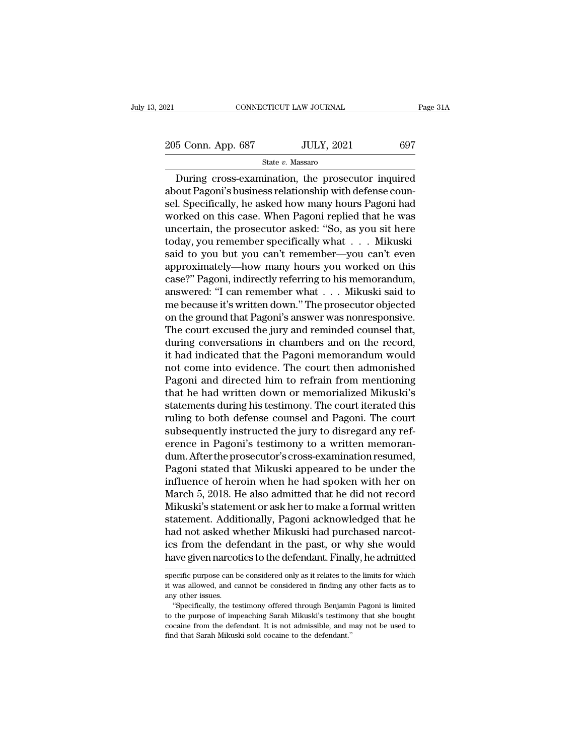21 CONNECTICUT LAW JOURNAL Page 31A<br>
205 Conn. App. 687 JULY, 2021 697<br>
State v. Massaro

State *v.* Massaro

CONNECTICUT LAW JOURNAL Page 31A<br>
5 Conn. App. 687 JULY, 2021 697<br>
State v. Massaro<br>
During cross-examination, the prosecutor inquired<br>
out Pagoni's business relationship with defense coun-205 Conn. App. 687 JULY, 2021 697<br>State v. Massaro<br>During cross-examination, the prosecutor inquired<br>about Pagoni's business relationship with defense coun-<br>sel. Specifically, he asked how many hours Pagoni had<br>worked on  $\frac{205 \text{ Conn. App. } 687}{}$  JULY, 2021 697<br>
State v. Massaro<br>
During cross-examination, the prosecutor inquired<br>
about Pagoni's business relationship with defense counsel. Specifically, he asked how many hours Pagoni had<br>
work 205 Conn. App. 687 JULY, 2021 697<br>
State v. Massaro<br>
During cross-examination, the prosecutor inquired<br>
about Pagoni's business relationship with defense counsel. Specifically, he asked how many hours Pagoni had<br>
worked o State v. Massaro<br>
During cross-examination, the prosecutor inquired<br>
about Pagoni's business relationship with defense coun-<br>
sel. Specifically, he asked how many hours Pagoni had<br>
worked on this case. When Pagoni replied State v. Massaro<br>
During cross-examination, the prosecutor inquired<br>
about Pagoni's business relationship with defense coun-<br>
sel. Specifically, he asked how many hours Pagoni had<br>
worked on this case. When Pagoni replied During cross-examination, the prosecutor inquired<br>about Pagoni's business relationship with defense coun-<br>sel. Specifically, he asked how many hours Pagoni had<br>worked on this case. When Pagoni replied that he was<br>uncertain about Pagoni's business relationship with defense counsel. Specifically, he asked how many hours Pagoni had<br>worked on this case. When Pagoni replied that he was<br>uncertain, the prosecutor asked: "So, as you sit here<br>today, sel. Specifically, he asked how many hours Pagoni had<br>worked on this case. When Pagoni replied that he was<br>uncertain, the prosecutor asked: "So, as you sit here<br>today, you remember specifically what . . . Mikuski<br>said to y worked on this case. When Pagoni replied that he was<br>uncertain, the prosecutor asked: "So, as you sit here<br>today, you remember specifically what . . . Mikuski<br>said to you but you can't remember—you can't even<br>approximately uncertain, the prosecutor asked: "So, as you sit here<br>today, you remember specifically what . . . Mikuski<br>said to you but you can't remember—you can't even<br>approximately—how many hours you worked on this<br>case?" Pagoni, ind today, you remember specifically what . . . Mikuski<br>said to you but you can't remember—you can't even<br>approximately—how many hours you worked on this<br>case?" Pagoni, indirectly referring to his memorandum,<br>answered: "I can said to you but you can't remember—you can't even<br>approximately—how many hours you worked on this<br>case?" Pagoni, indirectly referring to his memorandum,<br>answered: "I can remember what . . . Mikuski said to<br>me because it's approximately—how many hours you worked on this<br>case?" Pagoni, indirectly referring to his memorandum,<br>answered: "I can remember what . . . Mikuski said to<br>me because it's written down." The prosecutor objected<br>on the grou case?" Pagoni, indirectly referring to his memorandum,<br>answered: "I can remember what . . . Mikuski said to<br>me because it's written down." The prosecutor objected<br>on the ground that Pagoni's answer was nonresponsive.<br>The c answered: "I can remember what . . . Mikuski said to<br>me because it's written down." The prosecutor objected<br>on the ground that Pagoni's answer was nonresponsive.<br>The court excused the jury and reminded counsel that,<br>during me because it's written down." The prosecutor objected<br>on the ground that Pagoni's answer was nonresponsive.<br>The court excused the jury and reminded counsel that,<br>during conversations in chambers and on the record,<br>it had on the ground that Pagoni's answer was nonresponsive.<br>The court excused the jury and reminded counsel that,<br>during conversations in chambers and on the record,<br>it had indicated that the Pagoni memorandum would<br>not come int The court excused the jury and reminded counsel that,<br>during conversations in chambers and on the record,<br>it had indicated that the Pagoni memorandum would<br>not come into evidence. The court then admonished<br>Pagoni and direc during conversations in chambers and on the record,<br>it had indicated that the Pagoni memorandum would<br>not come into evidence. The court then admonished<br>Pagoni and directed him to refrain from mentioning<br>that he had written it had indicated that the Pagoni memorandum would<br>not come into evidence. The court then admonished<br>Pagoni and directed him to refrain from mentioning<br>that he had written down or memorialized Mikuski's<br>statements during hi not come into evidence. The court then admonished<br>Pagoni and directed him to refrain from mentioning<br>that he had written down or memorialized Mikuski's<br>statements during his testimony. The court iterated this<br>ruling to bot Pagoni and directed him to refrain from mentioning<br>that he had written down or memorialized Mikuski's<br>statements during his testimony. The court iterated this<br>ruling to both defense counsel and Pagoni. The court<br>subsequent that he had written down or memorialized Mikuski's<br>statements during his testimony. The court iterated this<br>ruling to both defense counsel and Pagoni. The court<br>subsequently instructed the jury to disregard any ref-<br>erence statements during his testimony. The court iterated this<br>ruling to both defense counsel and Pagoni. The court<br>subsequently instructed the jury to disregard any ref-<br>erence in Pagoni's testimony to a written memoran-<br>dum. A ruling to both defense counsel and Pagoni. The court<br>subsequently instructed the jury to disregard any ref-<br>erence in Pagoni's testimony to a written memoran-<br>dum. After the prosecutor's cross-examination resumed,<br>Pagoni s subsequently instructed the jury to disregard any reference in Pagoni's testimony to a written memorandum. After the prosecutor's cross-examination resumed, Pagoni stated that Mikuski appeared to be under the influence of erence in Pagoni's testimony to a written memoran-<br>dum. After the prosecutor's cross-examination resumed,<br>Pagoni stated that Mikuski appeared to be under the<br>influence of heroin when he had spoken with her on<br>March 5, 2018 dum. After the prosecutor's cross-examination resumed,<br>Pagoni stated that Mikuski appeared to be under the<br>influence of heroin when he had spoken with her on<br>March 5, 2018. He also admitted that he did not record<br>Mikuski's Pagoni stated that Mikuski appeared to be under the<br>influence of heroin when he had spoken with her on<br>March 5, 2018. He also admitted that he did not record<br>Mikuski's statement or ask her to make a formal written<br>statemen influence of heroin when he had spoken with her on<br>March 5, 2018. He also admitted that he did not record<br>Mikuski's statement or ask her to make a formal written<br>statement. Additionally, Pagoni acknowledged that he<br>had not statement. Additionally, Pagoni acknowledged that he<br>had not asked whether Mikuski had purchased narcot-<br>ics from the defendant in the past, or why she would<br>have given narcotics to the defendant. Finally, he admitted<br>spec had not asked whether Mikuski had purchased narcotics from the defendant in the past, or why she would have given narcotics to the defendant. Finally, he admitted specific purpose can be considered only as it relates to th

ics from the def<br>have given narcol<br>specific purpose can b<br>it was allowed, and ca<br>any other issues.<br>"Specifically, the te it was allowed, and cannot be considered in finding any other facts as to

have given narcotics to the defendant. Finally, he admitted<br>
specific purpose can be considered only as it relates to the limits for which<br>
it was allowed, and cannot be considered in finding any other facts as to<br>
any oth specific purpose can be considered only as it relates to the limits for which<br>it was allowed, and cannot be considered in finding any other facts as to<br>any other issues.<br>"Specifically, the testimony offered through Benjami specific purpose can be considered only as it relates to the limits for which<br>it was allowed, and cannot be considered in finding any other facts as to<br>any other issues.<br>"Specifically, the testimony offered through Benjami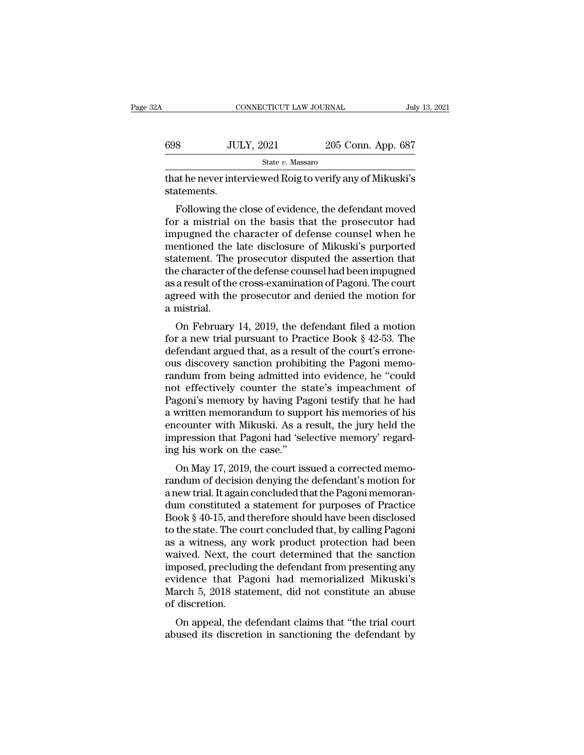| 2A  | CONNECTICUT LAW JOURNAL                                   |                    | July 13, 2021 |
|-----|-----------------------------------------------------------|--------------------|---------------|
| 698 | <b>JULY, 2021</b>                                         | 205 Conn. App. 687 |               |
|     | State v. Massaro                                          |                    |               |
|     | that he never interviewed Roig to verify any of Mikuski's |                    |               |

Following the close of evidence, the defendant moved<br>  $\frac{\text{State } v. \text{ Massaro}}{\text{attements.}}$ <br>
Following the close of evidence, the defendant moved<br>
Following the close of evidence, the defendant moved<br>
Following the character of defen  $f_{\text{state } v. \text{ Massaro}}$ <br>  $f_{\text{state } v. \text{ Massaro}}$ <br>  $f_{\text{state } v. \text{ Massaro}}$ <br>  $f_{\text{state } v. \text{ Massaro}}$ <br>  $f_{\text{state } v. \text{ Massaro}}$ <br>  $f_{\text{state } v. \text{ Massano}}$ <br>  $f_{\text{state } v. \text{ Massano}}$ <br>  $f_{\text{state } v. \text{ Massano}}$ <br>  $f_{\text{state } v. \text{ Massano}}$ <br>  $f_{\text{state } v. \text{ Massano}}$ <br>  $f_{\text{state } v. \text{ Massano}}$ <br>  $f_{\text{state } v. \text$ State  $v$ . Massaro<br>
that he never interviewed Roig to verify any of Mikuski's<br>
statements.<br>
Following the close of evidence, the defendant moved<br>
for a mistrial on the basis that the prosecutor had<br>
impugned the character that he never interviewed Roig to verify any of Mikuski's<br>statements.<br>Following the close of evidence, the defendant moved<br>for a mistrial on the basis that the prosecutor had<br>impugned the character of defense counsel when statements.<br>
Following the close of evidence, the defendant moved<br>
for a mistrial on the basis that the prosecutor had<br>
impugned the character of defense counsel when he<br>
mentioned the late disclosure of Mikuski's purporte Following the close of evidence, the defendant moved<br>for a mistrial on the basis that the prosecutor had<br>impugned the character of defense counsel when he<br>mentioned the late disclosure of Mikuski's purported<br>statement. The Following the close of evidence, the defendant moved<br>for a mistrial on the basis that the prosecutor had<br>impugned the character of defense counsel when he<br>mentioned the late disclosure of Mikuski's purported<br>statement. The for a mistrial on the basis that the prosecutor had<br>impugned the character of defense counsel when he<br>mentioned the late disclosure of Mikuski's purported<br>statement. The prosecutor disputed the assertion that<br>the character impugned the<br>mentioned the<br>statement. The<br>the character of<br>as a result of the<br>agreed with the<br>a mistrial.<br>On February entioned the fate disclosure of Mikuski's purported<br>atement. The prosecutor disputed the assertion that<br>e character of the defense counsel had been impugned<br>a result of the cross-examination of Pagoni. The court<br>reed with statement. The prosecutor usputed the assertion that<br>the character of the defense counsel had been impugned<br>as a result of the cross-examination of Pagoni. The court<br>agreed with the prosecutor and denied the motion for<br>a m

defendant of the defense counsertial been implighed<br>as a result of the cross-examination of Pagoni. The court<br>agreed with the prosecutor and denied the motion for<br>a mistrial.<br>On February 14, 2019, the defendant filed a mot as a result of the cross-examination of ragoni. The court<br>agreed with the prosecutor and denied the motion for<br>a mistrial.<br>On February 14, 2019, the defendant filed a motion<br>for a new trial pursuant to Practice Book § 42-5 a mistrial.<br>
On February 14, 2019, the defendant filed a motion<br>
for a new trial pursuant to Practice Book § 42-53. The<br>
defendant argued that, as a result of the court's errone-<br>
ous discovery sanction prohibiting the Pag a mistrial.<br>
On February 14, 2019, the defendant filed a motion<br>
for a new trial pursuant to Practice Book § 42-53. The<br>
defendant argued that, as a result of the court's errone-<br>
ous discovery sanction prohibiting the Pag On February 14, 2019, the defendant filed a motion<br>for a new trial pursuant to Practice Book § 42-53. The<br>defendant argued that, as a result of the court's errone-<br>ous discovery sanction prohibiting the Pagoni memo-<br>randu for a new trial pursuant to Practice Book § 42-53. The<br>defendant argued that, as a result of the court's errone-<br>ous discovery sanction prohibiting the Pagoni memo-<br>randum from being admitted into evidence, he "could<br>not e defendant argued that, as a result of the court's errone-<br>ous discovery sanction prohibiting the Pagoni memo-<br>randum from being admitted into evidence, he "could<br>not effectively counter the state's impeachment of<br>Pagoni's ous discovery sanction prohibiting the Pagoni memo-<br>randum from being admitted into evidence, he "could<br>not effectively counter the state's impeachment of<br>Pagoni's memory by having Pagoni testify that he had<br>a written memo randum from being admitted in<br>not effectively counter the st<br>Pagoni's memory by having Pa<br>a written memorandum to supp<br>encounter with Mikuski. As a m<br>impression that Pagoni had 'sel<br>ing his work on the case."<br>On May 17, 20 on's memory by having Pagoni testify that he had<br>written memorandum to support his memories of his<br>counter with Mikuski. As a result, the jury held the<br>pression that Pagoni had 'selective memory' regard-<br>g his work on the ragoni's inemory by naving 1 agoni testry that he had<br>a written memorandum to support his memories of his<br>encounter with Mikuski. As a result, the jury held the<br>impression that Pagoni had 'selective memory' regard-<br>ing his

a written inemotalidant to support ins inemores of inseries and experience in the impression that Pagoni had 'selective memory' regarding his work on the case."<br>On May 17, 2019, the court issued a corrected memorandum of d encounter with Mikuski. As a result, the jury held the<br>impression that Pagoni had 'selective memory' regard-<br>ing his work on the case."<br>On May 17, 2019, the court issued a corrected memo-<br>randum of decision denying the def mipression that I agont had selective memory Tegatu-<br>ing his work on the case."<br>On May 17, 2019, the court issued a corrected memo-<br>randum of decision denying the defendant's motion for<br>a new trial. It again concluded that Ing ins work on the case.<br>
On May 17, 2019, the court issued a corrected memo-<br>
randum of decision denying the defendant's motion for<br>
a new trial. It again concluded that the Pagoni memoran-<br>
dum constituted a statement f On May 17, 2019, the court issued a corrected memo-<br>randum of decision denying the defendant's motion for<br>a new trial. It again concluded that the Pagoni memoran-<br>dum constituted a statement for purposes of Practice<br>Book § randum of decision denying the defendant's motion for<br>a new trial. It again concluded that the Pagoni memoran-<br>dum constituted a statement for purposes of Practice<br>Book § 40-15, and therefore should have been disclosed<br>to a new trial. It again concluded that the Pagoni memorandum constituted a statement for purposes of Practice<br>Book § 40-15, and therefore should have been disclosed<br>to the state. The court concluded that, by calling Pagoni<br>a dum constituted a statement for purposes of Practice<br>Book § 40-15, and therefore should have been disclosed<br>to the state. The court concluded that, by calling Pagoni<br>as a witness, any work product protection had been<br>waive Book § 40-15, and therefore should have been disclosed<br>to the state. The court concluded that, by calling Pagoni<br>as a witness, any work product protection had been<br>waived. Next, the court determined that the sanction<br>impos to the state. The co<br>as a witness, any<br>waived. Next, the<br>imposed, precludir<br>evidence that Pa<br>March 5, 2018 stat<br>of discretion.<br>On appeal, the d a whiless, any work product protection had been<br>aived. Next, the court determined that the sanction<br>posed, precluding the defendant from presenting any<br>idence that Pagoni had memorialized Mikuski's<br>arch 5, 2018 statement, marved. Next, the court determined that the sanction<br>imposed, precluding the defendant from presenting any<br>evidence that Pagoni had memorialized Mikuski's<br>March 5, 2018 statement, did not constitute an abuse<br>of discretion.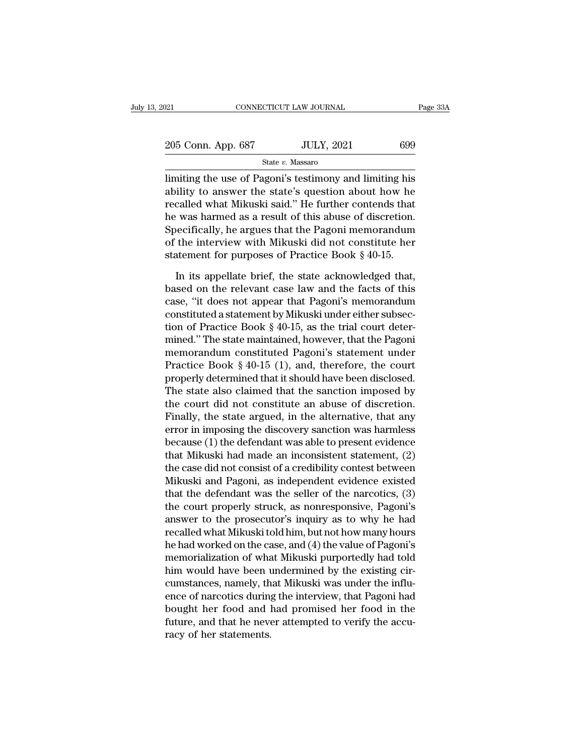| 2021               | CONNECTICUT LAW JOURNAL | Page 33A |
|--------------------|-------------------------|----------|
| 205 Conn. App. 687 | <b>JULY, 2021</b>       | 699      |
|                    | State v. Massaro        |          |

Page 33A<br>
205 Conn. App. 687 JULY, 2021 699<br>
31 State v. Massaro<br>
205 Conn. App. 687 JULY, 2021 699<br>
31 State v. Massaro<br>
205 Conn. App. 687 JULY, 2021 699<br>
32 State v. Massaro<br>
2011 State v. Massaro<br>
2011 State v. Massaro 205 Conn. App. 687 JULY, 2021 699<br>
State v. Massaro<br>
limiting the use of Pagoni's testimony and limiting his<br>
ability to answer the state's question about how he<br>
recalled what Mikuski said." He further contends that<br>
he 205 Conn. App. 687 JULY, 2021 699<br>
State v. Massaro<br>
limiting the use of Pagoni's testimony and limiting his<br>
ability to answer the state's question about how he<br>
recalled what Mikuski said.'' He further contends that<br>
th 205 Conn. App. 687 JULY, 2021 699<br>  $\frac{\text{State } v. \text{ Massaro}}{\text{limiting the use of Pagoni's testimony and limiting his ability to answer the state's question about how he recalled what Mikuski said." He further contents that he was harmed as a result of this abuse of discretion. Specifically, he argues that the Pagoni memorandum of the interweighted by the  $v = 0.004$ .$ State v. Massaro<br>
State v. Massaro<br>
limiting the use of Pagoni's testimony and limiting his<br>
ability to answer the state's question about how he<br>
recalled what Mikuski said." He further contends that<br>
the was harmed as a State *v.* Massaro<br>limiting the use of Pagoni's testimony and limiting his<br>ability to answer the state's question about how he<br>recalled what Mikuski said." He further contends that<br>he was harmed as a result of this abuse limiting the use of Pagoni's testimony and limiting his<br>ability to answer the state's question about how he<br>recalled what Mikuski said." He further contends that<br>he was harmed as a result of this abuse of discretion.<br>Speci called what Mikuski said." He further contends that<br>
was harmed as a result of this abuse of discretion.<br>
secifically, he argues that the Pagoni memorandum<br>
the interview with Mikuski did not constitute her<br>
atement for pu he was harmed as a result of this abuse of discretion.<br>Specifically, he argues that the Pagoni memorandum<br>of the interview with Mikuski did not constitute her<br>statement for purposes of Practice Book § 40-15.<br>In its appella

Specifically, he argues that the Pagoni memorandum<br>of the interview with Mikuski did not constitute her<br>statement for purposes of Practice Book § 40-15.<br>In its appellate brief, the state acknowledged that,<br>based on the re of the interview with Mikuski did not constitute her statement for purposes of Practice Book  $\S$  40-15.<br>In its appellate brief, the state acknowledged that, based on the relevant case law and the facts of this case, "it d statement for purposes of Practice Book § 40-15.<br>In its appellate brief, the state acknowledged that,<br>based on the relevant case law and the facts of this<br>case, "it does not appear that Pagoni's memorandum<br>constituted a st In its appellate brief, the state acknowledged that,<br>based on the relevant case law and the facts of this<br>case, "it does not appear that Pagoni's memorandum<br>constituted a statement by Mikuski under either subsec-<br>tion of In its appellate brief, the state acknowledged that,<br>based on the relevant case law and the facts of this<br>case, "it does not appear that Pagoni's memorandum<br>constituted a statement by Mikuski under either subsec-<br>tion of based on the relevant case law and the facts of this<br>case, "it does not appear that Pagoni's memorandum<br>constituted a statement by Mikuski under either subsec-<br>tion of Practice Book § 40-15, as the trial court deter-<br>mine case, "it does not appear that Pagoni's memorandum<br>constituted a statement by Mikuski under either subsec-<br>tion of Practice Book § 40-15, as the trial court deter-<br>mined." The state maintained, however, that the Pagoni<br>mem constituted a statement by Mikuski under either subsection of Practice Book § 40-15, as the trial court determined." The state maintained, however, that the Pagoni memorandum constituted Pagoni's statement under Practice B tion of Practice Book § 40-15, as the trial court deter-<br>mined." The state maintained, however, that the Pagoni<br>memorandum constituted Pagoni's statement under<br>Practice Book § 40-15 (1), and, therefore, the court<br>properly mined." The state maintained, however, that the Pagoni<br>memorandum constituted Pagoni's statement under<br>Practice Book § 40-15 (1), and, therefore, the court<br>properly determined that it should have been disclosed.<br>The state memorandum constituted Pagoni's statement under<br>Practice Book § 40-15 (1), and, therefore, the court<br>properly determined that it should have been disclosed.<br>The state also claimed that the sanction imposed by<br>the court did Practice Book § 40-15 (1), and, therefore, the court<br>properly determined that it should have been disclosed.<br>The state also claimed that the sanction imposed by<br>the court did not constitute an abuse of discretion.<br>Finally, properly determined that it should have been disclosed.<br>The state also claimed that the sanction imposed by<br>the court did not constitute an abuse of discretion.<br>Finally, the state argued, in the alternative, that any<br>error The state also claimed that the sanction imposed by<br>the court did not constitute an abuse of discretion.<br>Finally, the state argued, in the alternative, that any<br>error in imposing the discovery sanction was harmless<br>because the court did not constitute an abuse of discretion.<br>Finally, the state argued, in the alternative, that any<br>error in imposing the discovery sanction was harmless<br>because (1) the defendant was able to present evidence<br>that Finally, the state argued, in the alternative, that any<br>error in imposing the discovery sanction was harmless<br>because (1) the defendant was able to present evidence<br>that Mikuski had made an inconsistent statement, (2)<br>the error in imposing the discovery sanction was harmless<br>because (1) the defendant was able to present evidence<br>that Mikuski had made an inconsistent statement, (2)<br>the case did not consist of a credibility contest between<br>Mi because (1) the defendant was able to present evidence<br>that Mikuski had made an inconsistent statement, (2)<br>the case did not consist of a credibility contest between<br>Mikuski and Pagoni, as independent evidence existed<br>that that Mikuski had made an inconsistent statement, (2)<br>the case did not consist of a credibility contest between<br>Mikuski and Pagoni, as independent evidence existed<br>that the defendant was the seller of the narcotics, (3)<br>the the case did not consist of a credibility contest between<br>Mikuski and Pagoni, as independent evidence existed<br>that the defendant was the seller of the narcotics, (3)<br>the court properly struck, as nonresponsive, Pagoni's<br>an Mikuski and Pagoni, as independent evidence existed<br>that the defendant was the seller of the narcotics, (3)<br>the court properly struck, as nonresponsive, Pagoni's<br>answer to the prosecutor's inquiry as to why he had<br>recalled that the defendant was the seller of the narcotics, (3)<br>the court properly struck, as nonresponsive, Pagoni's<br>answer to the prosecutor's inquiry as to why he had<br>recalled what Mikuski told him, but not how many hours<br>he ha the court properly struck, as nonresponsive, Pagoni's<br>answer to the prosecutor's inquiry as to why he had<br>recalled what Mikuski told him, but not how many hours<br>he had worked on the case, and (4) the value of Pagoni's<br>memo answer to the prosecutor's inquiry as to why he had<br>recalled what Mikuski told him, but not how many hours<br>he had worked on the case, and (4) the value of Pagoni's<br>memorialization of what Mikuski purportedly had told<br>him w recalled what Mikuski told him, but not how many hours<br>he had worked on the case, and (4) the value of Pagoni's<br>memorialization of what Mikuski purportedly had told<br>him would have been undermined by the existing cir-<br>cumst he had worked on the case, and (4) the value of Pagoni's<br>memorialization of what Mikuski purportedly had told<br>him would have been undermined by the existing cir-<br>cumstances, namely, that Mikuski was under the influ-<br>ence o memorialization of what<br>him would have been unstances, namely, thence of narcotics during<br>bought her food and l<br>future, and that he neveracy of her statements.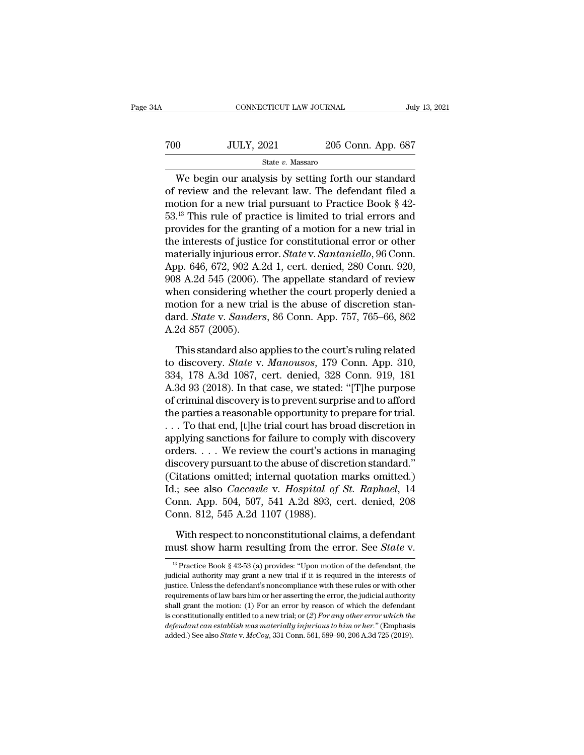| 4A  | CONNECTICUT LAW JOURNAL |                    | July 13, 2021 |
|-----|-------------------------|--------------------|---------------|
| 700 | <b>JULY, 2021</b>       | 205 Conn. App. 687 |               |
|     | State v. Massaro        |                    |               |

CONNECTICUT LAW JOURNAL July 13, 2021<br>
O JULY, 2021 205 Conn. App. 687<br>
State v. Massaro<br>
We begin our analysis by setting forth our standard<br>
review and the relevant law. The defendant filed a<br>
otion for a new trial pure To review and the relevant law. The defendant filed a<br>state v. Massaro<br>We begin our analysis by setting forth our standard<br>of review and the relevant law. The defendant filed a<br>motion for a new trial pursuant to Practice To the motion for a new trial pursuant of a motion for a new trial pursuant to Practice Book § 42-<br>This rule of practice is limited to trial errors and provides for the graphing of a motion for a new trial pursuant to Pra  $53.13$  This rule of practice is limited to trial errors and provides for the practice is limited to trial errors and provides for the granting of a motion for a new trial provides for the granting of a motion for a new t State v. Massaro<br>
We begin our analysis by setting forth our standard<br>
of review and the relevant law. The defendant filed a<br>
motion for a new trial pursuant to Practice Book § 42-<br>
53.<sup>13</sup> This rule of practice is limite State *v.* Massaro<br>
We begin our analysis by setting forth our standard<br>
of review and the relevant law. The defendant filed a<br>
motion for a new trial pursuant to Practice Book § 42-<br>
53.<sup>13</sup> This rule of practice is limi We begin our analysis by setting forth our standard<br>of review and the relevant law. The defendant filed a<br>motion for a new trial pursuant to Practice Book § 42-<br>53.<sup>13</sup> This rule of practice is limited to trial errors and<br> of review and the relevant law. The defendant filed a<br>motion for a new trial pursuant to Practice Book § 42-<br>53.<sup>13</sup> This rule of practice is limited to trial errors and<br>provides for the granting of a motion for a new tri motion for a new trial pursuant to Practice Book § 42-<br>53.<sup>13</sup> This rule of practice is limited to trial errors and<br>provides for the granting of a motion for a new trial in<br>the interests of justice for constitutional erro 53.<sup>13</sup> This rule of practice is limited to trial errors and<br>provides for the granting of a motion for a new trial in<br>the interests of justice for constitutional error or other<br>materially injurious error. *State* v. *Sant* provides for the granting of a motion for a new trial in<br>the interests of justice for constitutional error or other<br>materially injurious error. *State* v. *Santaniello*, 96 Conn.<br>App. 646, 672, 902 A.2d 1, cert. denied, 28 the interests of justice for constitutional error or other<br>materially injurious error. *State* v. *Santaniello*, 96 Conn.<br>App. 646, 672, 902 A.2d 1, cert. denied, 280 Conn. 920,<br>908 A.2d 545 (2006). The appellate standard materially injurious er<br>App. 646, 672, 902 A.:<br>908 A.2d 545 (2006).<br>when considering wh<br>motion for a new tria<br>dard. *State* v. *Sander*.<br>A.2d 857 (2005).<br>This standard also a  $\frac{1}{8}$  A.2d 545 (2006). The appellate standard of review<br>nen considering whether the court properly denied a<br>otion for a new trial is the abuse of discretion stan-<br>rd. *State* v. *Sanders*, 86 Conn. App. 757, 765–66, 8 when considering whether the court properly denied a<br>motion for a new trial is the abuse of discretion stan-<br>dard. *State* v. *Sanders*, 86 Conn. App. 757, 765–66, 862<br>A.2d 857 (2005).<br>This standard also applies to the cou

motion for a new trial is the abuse of discretion stan-<br>dard. *State* v. *Sanders*, 86 Conn. App. 757, 765–66, 862<br>A.2d 857 (2005).<br>This standard also applies to the court's ruling related<br>to discovery. *State* v. *Manouso* dard. *State* v. *Sanders*, 86 Conn. App. 757, 765–66, 862<br>A.2d 857 (2005).<br>This standard also applies to the court's ruling related<br>to discovery. *State* v. *Manousos*, 179 Conn. App. 310,<br>334, 178 A.3d 1087, cert. denied A.2d 857 (2005).<br>
This standard also applies to the court's ruling related<br>
to discovery. *State v. Manousos*, 179 Conn. App. 310,<br>
334, 178 A.3d 1087, cert. denied, 328 Conn. 919, 181<br>
A.3d 93 (2018). In that case, we sta This standard also applies to the court's ruling related<br>to discovery. *State* v. *Manousos*, 179 Conn. App. 310,<br>334, 178 A.3d 1087, cert. denied, 328 Conn. 919, 181<br>A.3d 93 (2018). In that case, we stated: "[T]he purpose This standard also applies to the court's ruling related<br>to discovery. *State* v. *Manousos*, 179 Conn. App. 310,<br>334, 178 A.3d 1087, cert. denied, 328 Conn. 919, 181<br>A.3d 93 (2018). In that case, we stated: "[T]he purpos to discovery. *State* v. *Manousos*, 179 Conn. App. 310, 334, 178 A.3d 1087, cert. denied, 328 Conn. 919, 181 A.3d 93 (2018). In that case, we stated: "[T]he purpose of criminal discovery is to prevent surprise and to aff 334, 178 A.3d 1087, cert. denied, 328 Conn. 919, 181<br>A.3d 93 (2018). In that case, we stated: "[T]he purpose<br>of criminal discovery is to prevent surprise and to afford<br>the parties a reasonable opportunity to prepare for tr A.3d 93 (2018). In that case, we stated: "[T]he purpose<br>of criminal discovery is to prevent surprise and to afford<br>the parties a reasonable opportunity to prepare for trial.<br>... To that end, [t]he trial court has broad di of criminal discovery is to prevent surprise and to afford<br>the parties a reasonable opportunity to prepare for trial.<br>... To that end, [t]he trial court has broad discretion in<br>applying sanctions for failure to comply wit the parties a reasonable opportunity to prepare for trial.<br>
. . . To that end, [t]he trial court has broad discretion in<br>
applying sanctions for failure to comply with discovery<br>
orders. . . . We review the court's actions ... To that end, [t]he trial court has broad discretion in<br>applying sanctions for failure to comply with discovery<br>orders.... We review the court's actions in managing<br>discovery pursuant to the abuse of discretion standard applying sanctions for failure to complorders.... We review the court's actional discovery pursuant to the abuse of disc.<br>(Citations omitted; internal quotation Id.; see also *Caccavle* v. *Hospital of* Conn. App. 504, 507 scovery pursuant to the abuse of discretion standard."<br>itations omitted; internal quotation marks omitted.)<br>.; see also *Caccavle* v. *Hospital of St. Raphael*, 14<br>pnn. App. 504, 507, 541 A.2d 893, cert. denied, 208<br>pnn. 8 (Citations omitted; internal quotation marks omitted.)<br>Id.; see also *Caccavle* v. *Hospital of St. Raphael*, 14<br>Conn. App. 504, 507, 541 A.2d 893, cert. denied, 208<br>Conn. 812, 545 A.2d 1107 (1988).<br>With respect to noncons

001. 812, 545 A.2d 1107 (1988).<br>
With respect to nonconstitutional claims, a defendant<br>
ust show harm resulting from the error. See *State* v.<br>
<sup>13</sup> Practice Book § 42-53 (a) provides: "Upon motion of the defendant, the<br>

With respect to nonconstitutional claims, a defendant<br>must show harm resulting from the error. See *State* v.<br><sup>13</sup> Practice Book § 42-53 (a) provides: "Upon motion of the defendant, the<br>judicial authority may grant a new With respect to nonconstitutional claims, a defendant<br>must show harm resulting from the error. See *State* v.<br> $\frac{1}{12}$  Practice Book § 42-53 (a) provides: "Upon motion of the defendant, the<br>judicial authority may grant must show harm resulting from the error. See *State* v.<br>
<sup>13</sup> Practice Book § 42-53 (a) provides: "Upon motion of the defendant, the judicial authority may grant a new trial if it is required in the interests of justice. <sup>13</sup> Practice Book § 42-53 (a) provides: "Upon motion of the defendant, the judicial authority may grant a new trial if it is required in the interests of justice. Unless the defendant's noncompliance with these rules or <sup>13</sup> Practice Book § 42-53 (a) provides: "Upon motion of the defendant, the judicial authority may grant a new trial if it is required in the interests of justice. Unless the defendant's noncompliance with these rules or judicial authority may grant a new trial if it is required in the interests of justice. Unless the defendant's noncompliance with these rules or with other requirements of law bars him or her asserting the error, the judic justice. Unless the defendant's noncompliance with these rules or with other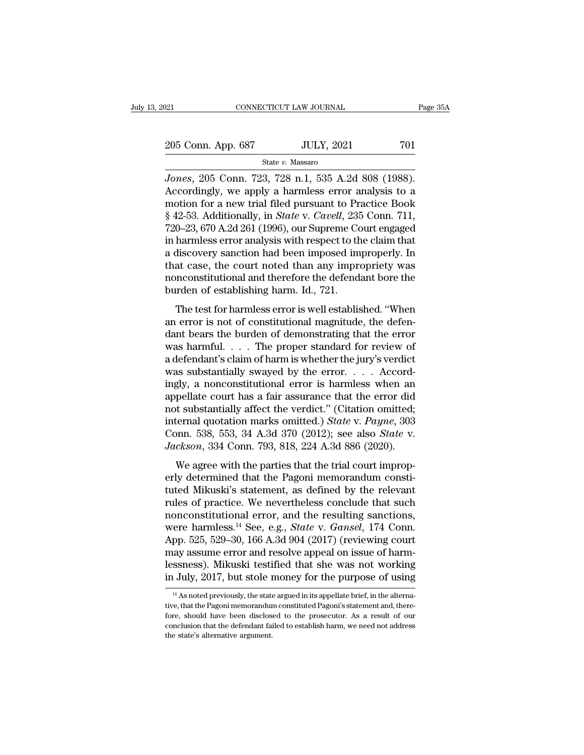21 CONNECTICUT LAW JOURNAL Page 35A<br>
205 Conn. App. 687 JULY, 2021 701<br>
State v. Massaro

State *v.* Massaro

*Jones*, 205 Conn. App. 687 *JULY*, 2021 701<br>*State v. Massaro*<br>*Jones*, 205 Conn. 723, 728 n.1, 535 A.2d 808 (1988).<br>Accordingly, we apply a harmless error analysis to a motion for a new trial filed purguant to Practice B 205 Conn. App. 687 JULY, 2021 701<br>
State v. Massaro<br>
Jones, 205 Conn. 723, 728 n.1, 535 A.2d 808 (1988).<br>
Accordingly, we apply a harmless error analysis to a<br>
motion for a new trial filed pursuant to Practice Book<br>
8.42. 205 Conn. App. 687 JULY, 2021 701<br>
State v. Massaro<br>
Jones, 205 Conn. 723, 728 n.1, 535 A.2d 808 (1988).<br>
Accordingly, we apply a harmless error analysis to a<br>
motion for a new trial filed pursuant to Practice Book<br>
§ 42-Fig. 205 Conn. App. 687 JULY, 2021 701<br>
State *v.* Massaro<br>
Jones, 205 Conn. 723, 728 n.1, 535 A.2d 808 (1988).<br>
Accordingly, we apply a harmless error analysis to a<br>
motion for a new trial filed pursuant to Practice Book<br> State v. Massaro<br>
Jones, 205 Conn. 723, 728 n.1, 535 A.2d 808 (1988).<br>
Accordingly, we apply a harmless error analysis to a<br>
motion for a new trial filed pursuant to Practice Book<br>
§ 42-53. Additionally, in *State* v. *Ca* state v. Massaro<br>
Jones, 205 Conn. 723, 728 n.1, 535 A.2d 808 (1988).<br>
Accordingly, we apply a harmless error analysis to a<br>
motion for a new trial filed pursuant to Practice Book<br>
§ 42-53. Additionally, in *State* v. *Ca* Jones, 205 Conn. 723, 728 n.1, 535 A.2d 808 (1988).<br>Accordingly, we apply a harmless error analysis to a<br>motion for a new trial filed pursuant to Practice Book<br>§ 42-53. Additionally, in *State* v. *Cavell*, 235 Conn. 711,<br> Accordingly, we apply a harmless error analysis to a<br>motion for a new trial filed pursuant to Practice Book<br>§ 42-53. Additionally, in *State* v. *Cavell*, 235 Conn. 711,<br>720–23, 670 A.2d 261 (1996), our Supreme Court enga motion for a new trial filed pursuant to Practice Book  $\S$  42-53. Additionally, in *State* v. *Cavell*, 235 Conn. 711, 720–23, 670 A.2d 261 (1996), our Supreme Court engaged in harmless error analysis with respect to the  $§$  42-53. Additionally, in *State* v. *Cavell*, 235<br>720–23, 670 A.2d 261 (1996), our Supreme Co<br>in harmless error analysis with respect to th<br>a discovery sanction had been imposed im<br>that case, the court noted than any i o 25, 313 H2d 201 (1990), old Superine Codre engaged<br>harmless error analysis with respect to the claim that<br>discovery sanction had been imposed improperly. In<br>at case, the court noted than any impropriety was<br>meconstitutio an discovery sanction had been imposed improperly. In<br>a discovery sanction had been imposed improperly. In<br>that case, the court noted than any impropriety was<br>nonconstitutional and therefore the defendant bore the<br>burden o

de unseavery stated and been imposed improperty. In<br>that case, the court noted than any impropriety was<br>nonconstitutional and therefore the defendant bore the<br>burden of establishing harm. Id., 721.<br>The test for harmless er monconstitutional and therefore the defendant bore the<br>burden of establishing harm. Id., 721.<br>The test for harmless error is well established. "When<br>an error is not of constitutional magnitude, the defen-<br>dant bears the b burden of establishing harm. Id., 721.<br>
The test for harmless error is well established. "When<br>
an error is not of constitutional magnitude, the defen-<br>
dant bears the burden of demonstrating that the error<br>
was harmful... The test for harmless error is well established. "When<br>an error is not of constitutional magnitude, the defen-<br>dant bears the burden of demonstrating that the error<br>was harmful.... The proper standard for review of<br>a defe The test for harmless error is well established. "When<br>an error is not of constitutional magnitude, the defen-<br>dant bears the burden of demonstrating that the error<br>was harmful. . . . The proper standard for review of<br>a d an error is not of constitutional magnitude, the defendant bears the burden of demonstrating that the error was harmful. . . . The proper standard for review of a defendant's claim of harm is whether the jury's verdict wa dant bears the burden of demonstrating that the error<br>was harmful.... The proper standard for review of<br>a defendant's claim of harm is whether the jury's verdict<br>was substantially swayed by the error.... Accord-<br>ingly, a was harmful. . . . The proper standard for review of<br>a defendant's claim of harm is whether the jury's verdict<br>was substantially swayed by the error. . . . Accord-<br>ingly, a nonconstitutional error is harmless when an<br>appel a defendant's claim of harm is whether the jury's verdict<br>was substantially swayed by the error. . . . Accord-<br>ingly, a nonconstitutional error is harmless when an<br>appellate court has a fair assurance that the error did<br>no was substantially swayed by the error. . . . Accordingly, a nonconstitutional error is harmless when an appellate court has a fair assurance that the error did not substantially affect the verdict." (Citation omitted; inte pellate court has a fair assurance that the error did<br>t substantially affect the verdict." (Citation omitted;<br>ternal quotation marks omitted.) *State* v. *Payne*, 303<br>pnn. 538, 553, 34 A.3d 370 (2012); see also *State* v. depended court has a fait assumed that the effort and<br>not substantially affect the verdict." (Citation omitted;<br>internal quotation marks omitted.) *State* v. *Payne*, 303<br>Conn. 538, 553, 34 A.3d 370 (2012); see also *State* 

the substantially affect the vertice. (Challon officied,<br>internal quotation marks omitted.) *State* v. *Payne*, 303<br>Conn. 538, 553, 34 A.3d 370 (2012); see also *State* v.<br>*Jackson*, 334 Conn. 793, 818, 224 A.3d 886 (2020) Fractional quotation matrix of matted.) Data V. Tagne, 555<br>Conn. 538, 553, 34 A.3d 370 (2012); see also *State* v.<br>Jackson, 334 Conn. 793, 818, 224 A.3d 886 (2020).<br>We agree with the parties that the trial court improp-<br>e Jackson, 334 Conn. 793, 818, 224 A.3d 886 (2020).<br>We agree with the parties that the trial court improperly determined that the Pagoni memorandum constituted Mikuski's statement, as defined by the relevant rules of practi We agree with the parties that the trial court improperly determined that the Pagoni memorandum constituted Mikuski's statement, as defined by the relevant rules of practice. We nevertheless conclude that such nonconstitut We agree with the parties that the trial court improperly determined that the Pagoni memorandum constituted Mikuski's statement, as defined by the relevant rules of practice. We nevertheless conclude that such nonconstitut erly determined that the Pagoni memorandum constituted Mikuski's statement, as defined by the relevant rules of practice. We nevertheless conclude that such nonconstitutional error, and the resulting sanctions, were harmle tuted Mikuski's statement, as defined by the relevant<br>rules of practice. We nevertheless conclude that such<br>nonconstitutional error, and the resulting sanctions,<br>were harmless.<sup>14</sup> See, e.g., *State* v. *Gansel*, 174 Conn. rules of practice. We nevertheless conclude that such<br>nonconstitutional error, and the resulting sanctions,<br>were harmless.<sup>14</sup> See, e.g., *State* v. *Gansel*, 174 Conn.<br>App. 525, 529–30, 166 A.3d 904 (2017) (reviewing cour pp. 525, 529–30, 166 A.3d 904 (2017) (reviewing court<br>ay assume error and resolve appeal on issue of harm-<br>ssness). Mikuski testified that she was not working<br>July, 2017, but stole money for the purpose of using<br><sup>14</sup> As no may assume error and resolve appeal on issue of harm-<br>lessness). Mikuski testified that she was not working<br>in July, 2017, but stole money for the purpose of using<br><sup>14</sup> As noted previously, the state argued in its appellat

lessness). Mikuski testified that she was not working<br>in July, 2017, but stole money for the purpose of using<br> $\frac{14}{4}$  As noted previously, the state argued in its appellate brief, in the alterna-<br>tive, that the Pagoni in July, 2017, but stole money for the purpose of using<br> $\frac{14}{4}$  As noted previously, the state argued in its appellate brief, in the alternative, that the Pagoni memorandum constituted Pagoni's statement and, therefore  $^{14}$  As noted previously, the state argued in its appellate brief, in the alternative, that the Pagoni memorandum constituted Pagoni's statement and, therefore, should have been disclosed to the prosecutor. As a result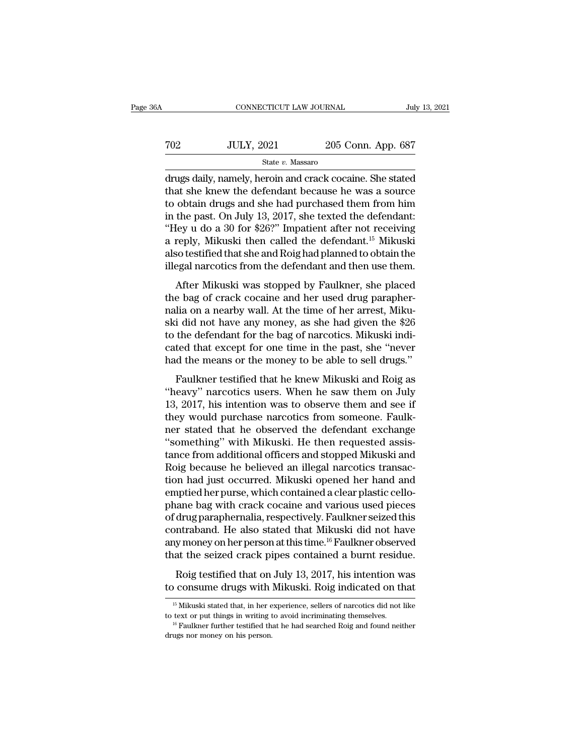| 36A | CONNECTICUT LAW JOURNAL |                    | July 13, 2021 |
|-----|-------------------------|--------------------|---------------|
| 702 | <b>JULY, 2021</b>       | 205 Conn. App. 687 |               |
|     | State v. Massaro        |                    |               |

CONNECTICUT LAW JOURNAL July 13, 2021<br>
JULY, 2021 205 Conn. App. 687<br>
State v. Massaro<br>
drugs daily, namely, heroin and crack cocaine. She stated<br>
that she knew the defendant because he was a source<br>
to obtain drugs and sh TO2 JULY, 2021 205 Conn. App. 687<br>State v. Massaro<br>drugs daily, namely, heroin and crack cocaine. She stated<br>that she knew the defendant because he was a source<br>to obtain drugs and she had purchased them from him<br>in the p To a state v. Massaro<br>
State v. Massaro<br>
State v. Massaro<br>
drugs daily, namely, heroin and crack cocaine. She stated<br>
that she knew the defendant because he was a source<br>
to obtain drugs and she had purchased them from hi TO2 JULY, 2021 205 Conn. App. 687<br>
State v. Massaro<br>
drugs daily, namely, heroin and crack cocaine. She stated<br>
that she knew the defendant because he was a source<br>
to obtain drugs and she had purchased them from him<br>
in State v. Massaro<br>
The State v. Massaro<br>
drugs daily, namely, heroin and crack cocaine. She stated<br>
that she knew the defendant because he was a source<br>
to obtain drugs and she had purchased them from him<br>
in the past. On state v. Massaro<br>drugs daily, namely, heroin and crack cocaine. She stated<br>that she knew the defendant because he was a source<br>to obtain drugs and she had purchased them from him<br>in the past. On July 13, 2017, she texted drugs daily, namely, heroin and crack cocaine. She stated<br>that she knew the defendant because he was a source<br>to obtain drugs and she had purchased them from him<br>in the past. On July 13, 2017, she texted the defendant:<br>"He that she knew the defendant because he was a source<br>to obtain drugs and she had purchased them from him<br>in the past. On July 13, 2017, she texted the defendant:<br>"Hey u do a 30 for \$26?" Impatient after not receiving<br>a repl bodan drags and she had purenased arent from film<br>the past. On July 13, 2017, she texted the defendant:<br>ley u do a 30 for \$26?" Impatient after not receiving<br>reply, Mikuski then called the defendant.<sup>15</sup> Mikuski<br>so testifi they u do a 30 for \$26?" Impatient after not receiving<br>
"Hey u do a 30 for \$26?" Impatient after not receiving<br>
a reply, Mikuski then called the defendant.<sup>15</sup> Mikuski<br>
also testified that she and Roig had planned to obtai

ney a as a so for  $426$ . Impatement after not becoming<br>a reply, Mikuski then called the defendant.<sup>15</sup> Mikuski<br>also testified that she and Roig had planned to obtain the<br>illegal narcotics from the defendant and then use th also testified that she and Roighad planned to obtain the<br>illegal narcotics from the defendant and then use them.<br>After Mikuski was stopped by Faulkner, she placed<br>the bag of crack cocaine and her used drug parapher-<br>nalia tillegal narcotics from the defendant and then use them.<br>After Mikuski was stopped by Faulkner, she placed<br>the bag of crack cocaine and her used drug parapher-<br>nalia on a nearby wall. At the time of her arrest, Miku-<br>ski d After Mikuski was stopped by Faulkner, she placed<br>the bag of crack cocaine and her used drug parapher-<br>nalia on a nearby wall. At the time of her arrest, Miku-<br>ski did not have any money, as she had given the \$26<br>to the de After Mikuski was stopped by Faulkner, she placed<br>the bag of crack cocaine and her used drug parapher-<br>nalia on a nearby wall. At the time of her arrest, Miku-<br>ski did not have any money, as she had given the \$26<br>to the de Faulkner testified that he knew Mikuski and Roightain and Her areast, Miku-<br>i did not have any money, as she had given the \$26<br>the defendant for the bag of narcotics. Mikuski indi-<br>ted that except for one time in the past The skill did not have any money, as she had given the \$26<br>to the defendant for the bag of narcotics. Mikuski indi-<br>cated that except for one time in the past, she "never<br>had the means or the money to be able to sell drugs

25 to the defendant for the bag of narcotics. Mikuski indicated that except for one time in the past, she "never had the means or the money to be able to sell drugs."<br>Faulkner testified that he knew Mikuski and Roig as "he they diverties that except for one time in the past, she "never<br>had the means or the money to be able to sell drugs."<br>Faulkner testified that he knew Mikuski and Roig as<br>"heavy" narcotics users. When he saw them on July<br>13 had the means or the money to be able to sell drugs."<br>Faulkner testified that he knew Mikuski and Roig as<br>"heavy" narcotics users. When he saw them on July<br>13, 2017, his intention was to observe them and see if<br>they would Faulkner testified that he knew Mikuski and Roig as<br>
"heavy" narcotics users. When he saw them on July<br>
13, 2017, his intention was to observe them and see if<br>
they would purchase narcotics from someone. Faulk-<br>
ner stated Faulkner testified that he knew Mikuski and Roig as<br>"heavy" narcotics users. When he saw them on July<br>13, 2017, his intention was to observe them and see if<br>they would purchase narcotics from someone. Faulk-<br>ner stated tha "heavy" narcotics users. When he saw them on July<br>13, 2017, his intention was to observe them and see if<br>they would purchase narcotics from someone. Faulk-<br>ner stated that he observed the defendant exchange<br>"something" wit 13, 2017, his intention was to observe them and see if<br>they would purchase narcotics from someone. Faulk-<br>ner stated that he observed the defendant exchange<br>"something" with Mikuski. He then requested assis-<br>tance from add they would purchase narcotics from someone. Faulk-<br>ner stated that he observed the defendant exchange<br>"something" with Mikuski. He then requested assis-<br>tance from additional officers and stopped Mikuski and<br>Roig because h ner stated that he observed the defendant exchange<br>"something" with Mikuski. He then requested assistance from additional officers and stopped Mikuski and<br>Roig because he believed an illegal narcotics transaction had just "something" with Mikuski. He then requested assistance from additional officers and stopped Mikuski and<br>Roig because he believed an illegal narcotics transaction had just occurred. Mikuski opened her hand and<br>emptied her tance from additional officers and stopped Mikuski and<br>Roig because he believed an illegal narcotics transaction had just occurred. Mikuski opened her hand and<br>emptied her purse, which contained a clear plastic cello-<br>phan Roig because he believed an illegal narcotics transaction had just occurred. Mikuski opened her hand and emptied her purse, which contained a clear plastic cellophane bag with crack cocaine and various used pieces of drug tion had just occurred. Mikuski opened her hand and<br>emptied her purse, which contained a clear plastic cello-<br>phane bag with crack cocaine and various used pieces<br>of drug paraphernalia, respectively. Faulkner seized this<br>c representer purse, in their containment a crotal practice correlation<br>and bag with crack cocaine and various used pieces<br>drug paraphernalia, respectively. Faulkner seized this<br>ntraband. He also stated that Mikuski did not of drug paraphernalia, respectively. Faulkner seized this contraband. He also stated that Mikuski did not have any money on her person at this time.<sup>16</sup> Faulkner observed that the seized crack pipes contained a burnt resi

that the seized crack pipes contained a burnt residue.<br>
Roig testified that on July 13, 2017, his intention was<br>
to consume drugs with Mikuski. Roig indicated on that<br>  $\frac{15 \text{ Mikuski stated that, in her experience, sellers of narcotics did not like}}{16 \text{ text or put things in writing to avoid incriminating themselves.}}$ Roig testified that on July 13, 2017, his intention was<br>to consume drugs with Mikuski. Roig indicated on that<br> $\frac{15 \text{ Mikuski stated that, in her experience, sellers of narcotics did not like}{}$  to text or put things in writing to avoid incriminating themselves.<br> $\frac{16 \text{ Faulk$ 

to consume drugs with<br>
<sup>15</sup> Mikuski stated that, in her e<br>
<sup>16</sup> Faulkner further testified th<br>
<sup>16</sup> Faulkner further testified th<br>
drugs nor money on his person.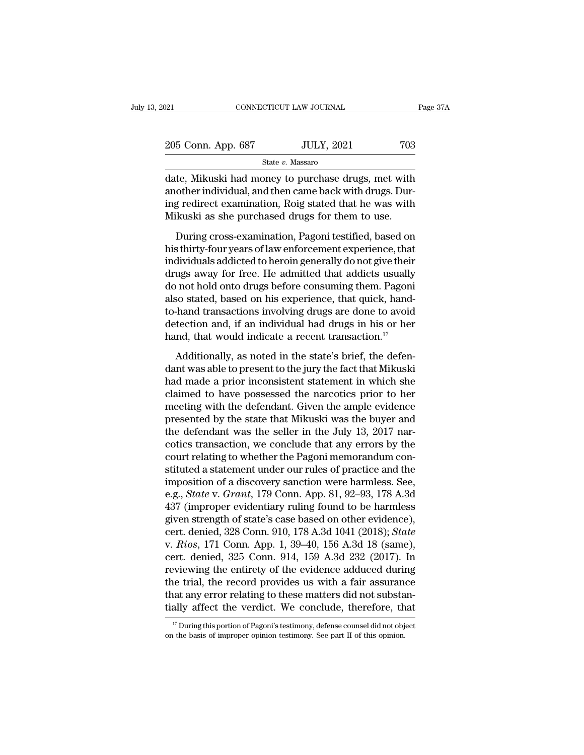| 2021               | CONNECTICUT LAW JOURNAL | Page 37A |
|--------------------|-------------------------|----------|
| 205 Conn. App. 687 | <b>JULY, 2021</b>       | 703      |
|                    | State v. Massaro        |          |

 $\begin{array}{lll} \text{18.1}\qquad \qquad & \text{COMRECTICUT LAW JOURNAL} \qquad \qquad & \text{Page 37A} \ \end{array}$ <br>  $\begin{array}{lll} \text{205 Conn. App. 687} & \text{JULY, 2021} & \text{703} \ \end{array}$ <br>  $\begin{array}{lll} \text{State } v. \text{ Massaro} \ \end{array}$ <br>
date, Mikuski had money to purchase drugs, met with another individual, a 205 Conn. App. 687 JULY, 2021 703<br>State v. Massaro<br>date, Mikuski had money to purchase drugs, met with<br>another individual, and then came back with drugs. Dur-<br>ing redirect examination, Roig stated that he was with<br>Milauski 205 Conn. App. 687 JULY, 2021 703<br>
State v. Massaro<br>
date, Mikuski had money to purchase drugs, met with<br>
another individual, and then came back with drugs. Dur-<br>
ing redirect examination, Roig stated that he was with<br>
Mi 205 Conn. App. 687 JULY, 2021 703<br>
State v. Massaro<br>
date, Mikuski had money to purchase drugs, met with<br>
another individual, and then came back with drugs. Dur-<br>
ing redirect examination, Roig stated that he was with<br>
Mi State  $v$ . Massaro<br>te, Mikuski had money to purchase drugs, met with<br>other individual, and then came back with drugs. Dur-<br>g redirect examination, Roig stated that he was with<br>kuski as she purchased drugs for them to use. date, Mikuski had money to purchase drugs, met with<br>another individual, and then came back with drugs. During redirect examination, Roig stated that he was with<br>Mikuski as she purchased drugs for them to use.<br>During cross-

another individual, and then came back with drugs. During redirect examination, Roig stated that he was with<br>Mikuski as she purchased drugs for them to use.<br>During cross-examination, Pagoni testified, based on<br>his thirty-f drivener and readay, and after state search with analysis 2 and<br>ing redirect examination, Roig stated that he was with<br>Mikuski as she purchased drugs for them to use.<br>During cross-examination, Pagoni testified, based on<br>hi do not hold onto drugs before consuming them.<br>During cross-examination, Pagoni testified, based on<br>his thirty-four years of law enforcement experience, that<br>individuals addicted to heroin generally do not give their<br>drugs During cross-examination, Pagoni testified, based on<br>his thirty-four years of law enforcement experience, that<br>individuals addicted to heroin generally do not give their<br>drugs away for free. He admitted that addicts usuall During cross-examination, Pagoni testified, based on<br>his thirty-four years of law enforcement experience, that<br>individuals addicted to heroin generally do not give their<br>drugs away for free. He admitted that addicts usual his thirty-four years of law enforcement experience, that<br>individuals addicted to heroin generally do not give their<br>drugs away for free. He admitted that addicts usually<br>do not hold onto drugs before consuming them. Pagon individuals addicted to heroin generally do not give their<br>drugs away for free. He admitted that addicts usually<br>do not hold onto drugs before consuming them. Pagoni<br>also stated, based on his experience, that quick, hand-<br> Additionally, as noted in the state's deninging them. Pagoniso stated, based on his experience, that quick, hand-hand transactions involving drugs are done to avoid tection and, if an individual had drugs in his or her nd, also stated, based on his experience, that quick, hand-<br>to-hand transactions involving drugs are done to avoid<br>detection and, if an individual had drugs in his or her<br>hand, that would indicate a recent transaction.<sup>17</sup><br>Ad

had transactions involving drugs are done to avoid<br>detection and, if an individual had drugs in his or her<br>hand, that would indicate a recent transaction.<sup>17</sup><br>Additionally, as noted in the state's brief, the defen-<br>dant wa detection and, if an individual had drugs in his or her hand, that would indicate a recent transaction.<sup>17</sup><br>Additionally, as noted in the state's brief, the defendant was able to present to the jury the fact that Mikuski<br> hand, that would indicate a recent transaction.<sup>17</sup><br>Additionally, as noted in the state's brief, the defendant was able to present to the jury the fact that Mikuski<br>had made a prior inconsistent statement in which she<br>cla Additionally, as noted in the state's brief, the defendant was able to present to the jury the fact that Mikuski had made a prior inconsistent statement in which she claimed to have possessed the narcotics prior to her mee Additionally, as noted in the state's brief, the defendant was able to present to the jury the fact that Mikuski had made a prior inconsistent statement in which she claimed to have possessed the narcotics prior to her mee dant was able to present to the jury the fact that Mikuski<br>had made a prior inconsistent statement in which she<br>claimed to have possessed the narcotics prior to her<br>meeting with the defendant. Given the ample evidence<br>pres had made a prior inconsistent statement in which she<br>claimed to have possessed the narcotics prior to her<br>meeting with the defendant. Given the ample evidence<br>presented by the state that Mikuski was the buyer and<br>the defen claimed to have possessed the narcotics prior to her<br>meeting with the defendant. Given the ample evidence<br>presented by the state that Mikuski was the buyer and<br>the defendant was the seller in the July 13, 2017 nar-<br>cotics meeting with the defendant. Given the ample evidence<br>presented by the state that Mikuski was the buyer and<br>the defendant was the seller in the July 13, 2017 nar-<br>cotics transaction, we conclude that any errors by the<br>court presented by the state that Mikuski was the buyer and<br>the defendant was the seller in the July 13, 2017 nar-<br>cotics transaction, we conclude that any errors by the<br>court relating to whether the Pagoni memorandum con-<br>stitu the defendant was the seller in the July 13, 2017 narcotics transaction, we conclude that any errors by the court relating to whether the Pagoni memorandum constituted a statement under our rules of practice and the impos cotics transaction, we conclude that any errors by the<br>court relating to whether the Pagoni memorandum con-<br>stituted a statement under our rules of practice and the<br>imposition of a discovery sanction were harmless. See,<br>e court relating to whether the Pagoni memorandum constituted a statement under our rules of practice and the imposition of a discovery sanction were harmless. See, e.g., *State* v. *Grant*, 179 Conn. App. 81, 92–93, 178 A.3 stituted a statement under our rules of practice and the<br>imposition of a discovery sanction were harmless. See,<br>e.g., *State* v. *Grant*, 179 Conn. App. 81, 92–93, 178 A.3d<br>437 (improper evidentiary ruling found to be harm imposition of a discovery sanction were harmless. See,<br>e.g., *State* v. *Grant*, 179 Conn. App. 81, 92–93, 178 A.3d<br>437 (improper evidentiary ruling found to be harmless<br>given strength of state's case based on other eviden e.g., *State* v. *Grant*, 179 Conn. App. 81, 92–93, 178 A.3d<br>437 (improper evidentiary ruling found to be harmless<br>given strength of state's case based on other evidence),<br>cert. denied, 328 Conn. 910, 178 A.3d 1041 (2018); 437 (improper evidentiary ruling found to be harmless<br>given strength of state's case based on other evidence),<br>cert. denied, 328 Conn. 910, 178 A.3d 1041 (2018); *State*<br>v. *Rios*, 171 Conn. App. 1, 39–40, 156 A.3d 18 (sa given strength of state's case based on other evidence),<br>cert. denied, 328 Conn. 910, 178 A.3d 1041 (2018); *State*<br>v. *Rios*, 171 Conn. App. 1, 39–40, 156 A.3d 18 (same),<br>cert. denied, 325 Conn. 914, 159 A.3d 232 (2017). cert. denied, 328 Conn. 910, 178 A.3d 1041 (2018); *State* v. *Rios*, 171 Conn. App. 1, 39–40, 156 A.3d 18 (same), cert. denied, 325 Conn. 914, 159 A.3d 232 (2017). In reviewing the entirety of the evidence adduced during reviewing the entirety of the evidence adduced during<br>the trial, the record provides us with a fair assurance<br>that any error relating to these matters did not substan-<br>tially affect the verdict. We conclude, therefore, th tially affect the verdict. We conclude, therefore, that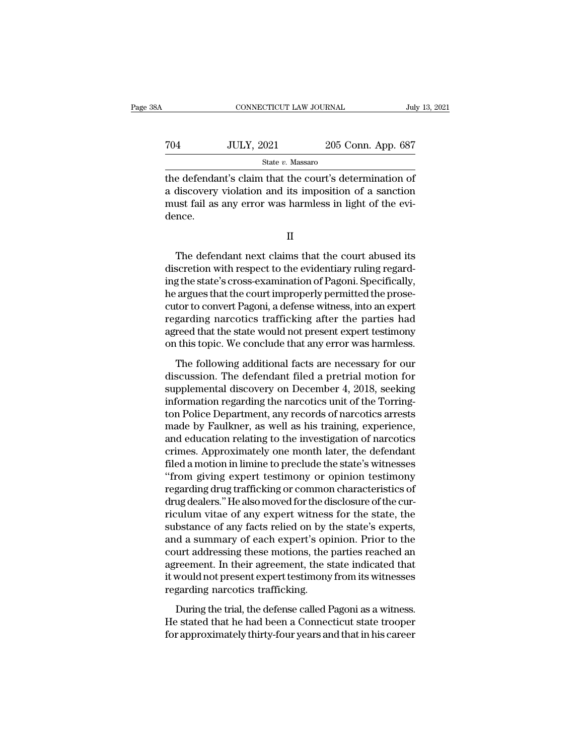| šΑ  | CONNECTICUT LAW JOURNAL |                    | July 13, 2021 |
|-----|-------------------------|--------------------|---------------|
| 704 | <b>JULY, 2021</b>       | 205 Conn. App. 687 |               |
|     | State v. Massaro        |                    |               |

CONNECTICUT LAW JOURNAL July 13, 202<br>
TO4 JULY, 2021 205 Conn. App. 687<br>
State v. Massaro<br>
The defendant's claim that the court's determination of<br>
a discovery violation and its imposition of a sanction<br>
must fail as any a  $\n \text{JULY, 2021}$  205 Conn. App. 687<br>  $\text{State } v. \text{ Massaro}$ <br>
the defendant's claim that the court's determination of a discovery violation and its imposition of a sanction<br>
must fail as any error was harmless in light of the ev To the Mustave Mustave and State v. Massaro<br>must fail as any error was harmless in light of the evidence.<br>The evidence as any error was harmless in light of the evidence. dence. e defendant's claim that the court's determination of<br>discovery violation and its imposition of a sanction<br>ust fail as any error was harmless in light of the evi-<br>nce.<br>II<br>The defendant next claims that the court abused its

II

a discovery violation and its imposition of a sanction<br>must fail as any error was harmless in light of the evi-<br>dence.<br>II<br>The defendant next claims that the court abused its<br>discretion with respect to the evidentiary rulin must fail as any error was harmless in light of the evidence.<br>
II<br>
The defendant next claims that the court abused its<br>
discretion with respect to the evidentiary ruling regard-<br>
ing the state's cross-examination of Pagoni II<br>II<br>The defendant next claims that the court abused its<br>discretion with respect to the evidentiary ruling regard-<br>ing the state's cross-examination of Pagoni. Specifically,<br>he argues that the court improperly permitted t II<br>The defendant next claims that the court abused its<br>discretion with respect to the evidentiary ruling regard-<br>ing the state's cross-examination of Pagoni. Specifically,<br>he argues that the court improperly permitted the The defendant next claims that the court abused its<br>discretion with respect to the evidentiary ruling regard-<br>ing the state's cross-examination of Pagoni. Specifically,<br>he argues that the court improperly permitted the pro The defendant next claims that the court abused its<br>discretion with respect to the evidentiary ruling regard-<br>ing the state's cross-examination of Pagoni. Specifically,<br>he argues that the court improperly permitted the pro discretion with respect to the evidentiary ruling regarding the state's cross-examination of Pagoni. Specifically, he argues that the court improperly permitted the prosecutor to convert Pagoni, a defense witness, into an argues that the court improperly permitted the prosetor to convert Pagoni, a defense witness, into an expert<br>garding narcotics trafficking after the parties had<br>reed that the state would not present expert testimony<br>this Evaluation is convert Pagoni, a defense witness, into an expert<br>regarding narcotics trafficking after the parties had<br>agreed that the state would not present expert testimony<br>on this topic. We conclude that any error was h

regarding narcotics trafficking after the parties had<br>agreed that the state would not present expert testimony<br>on this topic. We conclude that any error was harmless.<br>The following additional facts are necessary for our<br>di Figures and a state would not present expert testimony<br>agreed that the state would not present expert testimony<br>on this topic. We conclude that any error was harmless.<br>The following additional facts are necessary for our<br>d the following additional facts are necessary for our discussion. The defendant filed a pretrial motion for supplemental discovery on December 4, 2018, seeking information regarding the narcotics unit of the Torrington Poli The following additional facts are necessary for our discussion. The defendant filed a pretrial motion for supplemental discovery on December 4, 2018, seeking information regarding the narcotics unit of the Torrington Poli The following additional facts are necessary for our<br>discussion. The defendant filed a pretrial motion for<br>supplemental discovery on December 4, 2018, seeking<br>information regarding the narcotics unit of the Torring-<br>ton Po discussion. The defendant filed a pretrial motion for<br>supplemental discovery on December 4, 2018, seeking<br>information regarding the narcotics unit of the Torring-<br>ton Police Department, any records of narcotics arrests<br>mad supplemental discovery on December 4, 2018, seeking<br>information regarding the narcotics unit of the Torring-<br>ton Police Department, any records of narcotics arrests<br>made by Faulkner, as well as his training, experience,<br>an information regarding the narcotics unit of the Torrington Police Department, any records of narcotics arrests<br>made by Faulkner, as well as his training, experience,<br>and education relating to the investigation of narcotics ton Police Department, any records of narcotics arrests<br>made by Faulkner, as well as his training, experience,<br>and education relating to the investigation of narcotics<br>crimes. Approximately one month later, the defendant<br>f made by Faulkner, as well as his training, experience,<br>and education relating to the investigation of narcotics<br>crimes. Approximately one month later, the defendant<br>filed a motion in limine to preclude the state's witnesse and education relating to the investigation of narcotics<br>crimes. Approximately one month later, the defendant<br>filed a motion in limine to preclude the state's witnesses<br>"from giving expert testimony or opinion testimony<br>re crimes. Approximately one month later, the defendant<br>filed a motion in limine to preclude the state's witnesses<br>"from giving expert testimony or opinion testimony<br>regarding drug trafficking or common characteristics of<br>dru filed a motion in limine to preclude the state's witnesses<br>"from giving expert testimony or opinion testimony<br>regarding drug trafficking or common characteristics of<br>drug dealers." He also moved for the disclosure of the c "from giving expert testimony or opinion testimony<br>regarding drug trafficking or common characteristics of<br>drug dealers." He also moved for the disclosure of the cur-<br>riculum vitae of any expert witness for the state, the<br> regarding drug trafficking or common characteristics of<br>drug dealers." He also moved for the disclosure of the cur-<br>riculum vitae of any expert witness for the state, the<br>substance of any facts relied on by the state's exp drug dealers." He also moved for the disclosure of the curriculum vitae of any expert witness for the state, the substance of any facts relied on by the state's experts, and a summary of each expert's opinion. Prior to the riculum vitae of any expert witness<br>substance of any facts relied on by t<br>and a summary of each expert's op<br>court addressing these motions, the<br>agreement. In their agreement, the s<br>it would not present expert testimony<br>reg In a summary of each expert's opinion. Prior to the<br>urt addressing these motions, the parties reached an<br>reement. In their agreement, the state indicated that<br>would not present expert testimony from its witnesses<br>garding n He state that the state inclusions, the parties reached an agreement. In their agreement, the state indicated that it would not present expert testimony from its witnesses regarding narcotics trafficking.<br>During the trial, agreement. In their agreement, the state indicated that<br>it would not present expert testimony from its witnesses<br>regarding narcotics trafficking.<br>During the trial, the defense called Pagoni as a witness.<br>He stated that he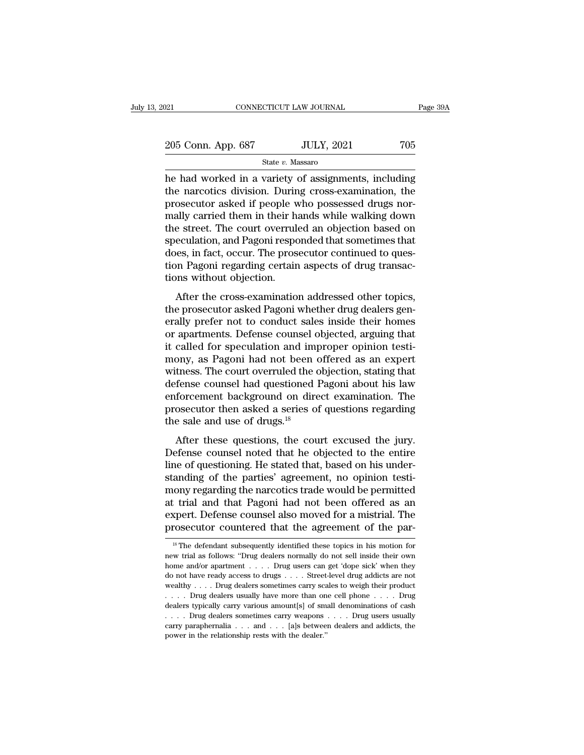| 2021               | CONNECTICUT LAW JOURNAL | Page 39A |
|--------------------|-------------------------|----------|
| 205 Conn. App. 687 | <b>JULY, 2021</b>       | 705      |
|                    | State v. Massaro        |          |

 $\begin{array}{ccc}\n 0.21 & \text{CONPECTICUT LAW JOURNAL} & \text{Page 39A} \\
 205 & \text{Conn. App. } 687 & \text{JULY, } 2021 & 705 \\
 \hline\n & \text{State } v. \text{ Massaro} \\
 \hline\n \end{array}$  he had worked in a variety of assignments, including the narcotics division. During cross-examination, the prosecut 205 Conn. App. 687 JULY, 2021 705<br>State v. Massaro<br>he had worked in a variety of assignments, including<br>the narcotics division. During cross-examination, the<br>prosecutor asked if people who possessed drugs nor-<br>mally carri 205 Conn. App. 687 JULY, 2021 705<br>
State v. Massaro<br>
he had worked in a variety of assignments, including<br>
the narcotics division. During cross-examination, the<br>
prosecutor asked if people who possessed drugs nor-<br>
mally 205 Conn. App. 687 JULY, 2021 705<br>
State v. Massaro<br>
he had worked in a variety of assignments, including<br>
the narcotics division. During cross-examination, the<br>
prosecutor asked if people who possessed drugs nor-<br>
mally State v. Massaro<br>
The had worked in a variety of assignments, including<br>
the narcotics division. During cross-examination, the<br>
prosecutor asked if people who possessed drugs nor-<br>
mally carried them in their hands while state  $v$ . Massaro<br>he had worked in a variety of assignments, including<br>the narcotics division. During cross-examination, the<br>prosecutor asked if people who possessed drugs nor-<br>mally carried them in their hands while wal he had worked in a variety of assignments, including<br>the narcotics division. During cross-examination, the<br>prosecutor asked if people who possessed drugs nor-<br>mally carried them in their hands while walking down<br>the street the narcotics division. During cross-examination, the prosecutor asked if people who possessed drugs normally carried them in their hands while walking down the street. The court overruled an objection based on speculation prosecutor asked if people w<br>mally carried them in their has<br>the street. The court overrule<br>speculation, and Pagoni respo<br>does, in fact, occur. The pros<br>tion Pagoni regarding certain<br>tions without objection.<br>After the cros range after the court overruled an objection based on<br>eculation, and Pagoni responded that sometimes that<br>les, in fact, occur. The prosecutor continued to ques-<br>on Pagoni regarding certain aspects of drug transac-<br>ms witho the street. The court overtuce an objection based on<br>speculation, and Pagoni responded that sometimes that<br>does, in fact, occur. The prosecutor continued to ques-<br>tion Pagoni regarding certain aspects of drug transac-<br>tion

epeculation, and I agoni responded that somethines that<br>does, in fact, occur. The prosecutor continued to ques-<br>tions without objection.<br>After the cross-examination addressed other topics,<br>the prosecutor asked Pagoni wheth does, in fact, ocean: The prosecutor continued to question Pagoni regarding certain aspects of drug transactions without objection.<br>
After the cross-examination addressed other topics,<br>
the prosecutor asked Pagoni whether Fraction Figures of and statistics of and international distributions without objection.<br>
After the cross-examination addressed other topics,<br>
the prosecutor asked Pagoni whether drug dealers gen-<br>
erally prefer not to con After the cross-examination addressed other topics,<br>the prosecutor asked Pagoni whether drug dealers gen-<br>erally prefer not to conduct sales inside their homes<br>or apartments. Defense counsel objected, arguing that<br>it calle After the cross-examination addressed other topics,<br>the prosecutor asked Pagoni whether drug dealers gen-<br>erally prefer not to conduct sales inside their homes<br>or apartments. Defense counsel objected, arguing that<br>it calle the prosecutor asked Pagoni whether drug dealers generally prefer not to conduct sales inside their homes<br>or apartments. Defense counsel objected, arguing that<br>it called for speculation and improper opinion testi-<br>mony, as erally prefer not to conduct sales inside their homes<br>or apartments. Defense counsel objected, arguing that<br>it called for speculation and improper opinion testi-<br>mony, as Pagoni had not been offered as an expert<br>witness. T or apartments. Defense counsel objected, arguing that<br>it called for speculation and improper opinion testi-<br>mony, as Pagoni had not been offered as an expert<br>witness. The court overruled the objection, stating that<br>defense it called for speculation and im<br>mony, as Pagoni had not been of<br>witness. The court overruled the d<br>defense counsel had questioned l<br>enforcement background on dire<br>prosecutor then asked a series of<br>the sale and use of drug  $\mu$ , as Tagon had not been offered as an experiment these. The court overruled the objection, stating that fense counsel had questioned Pagoni about his law forcement background on direct examination. The osecutor then a mates. The court overtured are objection, stating and<br>defense counsel had questioned Pagoni about his law<br>enforcement background on direct examination. The<br>prosecutor then asked a series of questions regarding<br>the sale and

defense coulser had questioned 1 agont about his law<br>enforcement background on direct examination. The<br>prosecutor then asked a series of questions regarding<br>the sale and use of drugs.<sup>18</sup><br>After these questions, the court e emocement background on uncer examination. The<br>prosecutor then asked a series of questions regarding<br>the sale and use of drugs.<sup>18</sup><br>After these questions, the court excused the jury.<br>Defense counsel noted that he objected the sale and use of drugs.<sup>18</sup><br>the sale and use of drugs.<sup>18</sup><br>After these questions, the court excused the jury.<br>Defense counsel noted that he objected to the entire<br>line of questioning. He stated that, based on his under-After these questions, the court excused the jury.<br>Defense counsel noted that he objected to the entire<br>line of questioning. He stated that, based on his under-<br>standing of the parties' agreement, no opinion testi-<br>mony re After these questions, the court excused the jury.<br>Defense counsel noted that he objected to the entire<br>line of questioning. He stated that, based on his under-<br>standing of the parties' agreement, no opinion testi-<br>mony re Defense counsel noted that he objected to the entire<br>line of questioning. He stated that, based on his under-<br>standing of the parties' agreement, no opinion testi-<br>mony regarding the narcotics trade would be permitted<br>at t 18 The defendant subsequently identified these topics in his motion for we trial and that Pagoni had not been offered as an spert. Defense counsel also moved for a mistrial. The rosecutor countered that the agreement of th at trial and that Pagoni had not been offered as an expert. Defense counsel also moved for a mistrial. The prosecutor countered that the agreement of the par-<br><sup>18</sup> The defendant subsequently identified these topics in his

expert. Defense counsel also moved for a mistrial. The prosecutor countered that the agreement of the par-<br><sup>18</sup> The defendant subsequently identified these topics in his motion for new trial as follows: "Drug dealers norm expert. Defense counsel also moved for a mistrial. The prosecutor countered that the agreement of the par-<br><sup>18</sup>The defendant subsequently identified these topics in his motion for new trial as follows: "Drug dealers norma new trial as follows: "Drug dealers normally do not sell inside their own<br>home and/or apartment . . . . Drug users can get 'dope sick' when they<br>do not have ready access to drugs . . . . Street-level drug addicts are not<br> <sup>18</sup> The defendant subsequently identified these topics in his motion for new trial as follows: "Drug dealers normally do not sell inside their own home and/or apartment . . . . Drug users can get 'dope sick' when they do new trial as follows: "Drug dealers normally do not sell inside their own<br>home and/or apartment . . . . Drug users can get 'dope sick' when they<br>do not have ready access to drugs . . . . Street-level drug addicts are not<br>w nome and/or apartment . . . . Drug users can get 'dope sick' when they<br>do not have ready access to drugs . . . . Street-level drug addicts are not<br>wealthy . . . . Drug dealers sometimes carry scales to weigh their product<br> carry paraphernalia  $\ldots$  and  $\ldots$  [a]s between dealers and addicts are not wealthy . . . . Drug dealers sometimes carry scales to weigh their product  $\ldots$  . Drug dealers usually have more than one cell phone  $\ldots$  . Dr wealthy . . . . Drug dealers sometimes carry scales to weigh their product . . . . Drug dealers usually have more than one cell phone . . . . Drug dealers typically carry various amount[s] of small denominations of cash .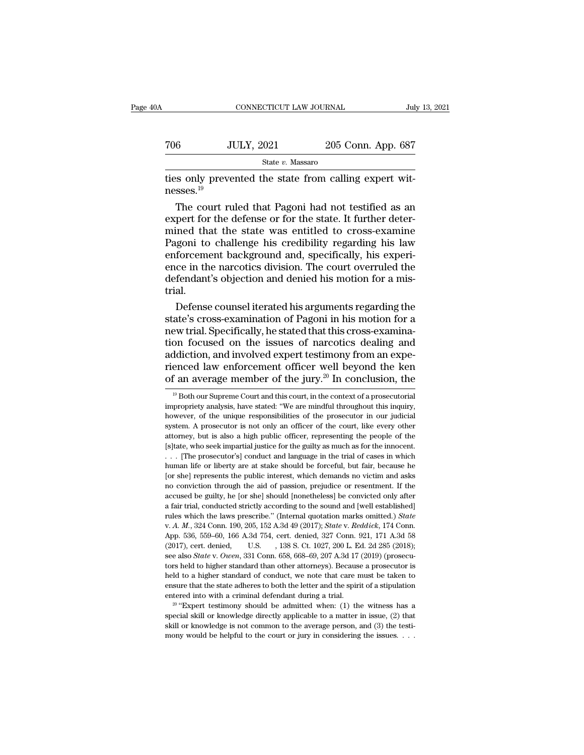| )A                    | CONNECTICUT LAW JOURNAL                                |                    | July 13, 2021 |
|-----------------------|--------------------------------------------------------|--------------------|---------------|
| 706                   | <b>JULY, 2021</b>                                      | 205 Conn. App. 687 |               |
|                       | State v. Massaro                                       |                    |               |
| nesses. <sup>19</sup> | ties only prevented the state from calling expert wit- |                    |               |

 $\frac{\text{5} + \text{5} + \text{5} + \text{5}}{10}$ <br>  $\frac{\text{5} + \text{5} + \text{5} + \text{5}}{10}$ <br>
So only prevented the state from calling expert wit-<br>
Sses.<sup>19</sup><br>
The court ruled that Pagoni had not testified as an<br>
pert for the defense or for the state TO THE TREE THE SUCKER THE STATE OF STATE STATE STATE STATE STATE ONLY THE COULT THE COULT THE COULT THE COULT THE COULT THE COULT THE COULT THE COULT THE COULT THE COULT THE STATE OF THE STATE OF THE STATE OF THE STATE O State v. Massaro<br>ties only prevented the state from calling expert wit-<br>nesses.<sup>19</sup><br>The court ruled that Pagoni had not testified as an<br>expert for the defense or for the state. It further deter-<br>mined that the state was e  $\frac{50a\alpha}{100}$  challenges are mass and the state from calling expert with the court ruled that Pagoni had not testified as an expert for the defense or for the state. It further determined that the state was entitled to ties only prevented the state from calling expert witnesses.<sup>19</sup><br>The court ruled that Pagoni had not testified as an<br>expert for the defense or for the state. It further deter-<br>mined that the state was entitled to cross-exa messes.<sup>19</sup><br>The court ruled that Pagoni had not testified as an<br>expert for the defense or for the state. It further deter-<br>mined that the state was entitled to cross-examine<br>Pagoni to challenge his credibility regarding hi The court ruled that Pagoni had not testified as an expert for the defense or for the state. It further determined that the state was entitled to cross-examine Pagoni to challenge his credibility regarding his law enforcem trial. ined that the state was entitled to cross-examine<br>igoni to challenge his credibility regarding his law<br>forcement background and, specifically, his experi-<br>ce in the narcotics division. The court overruled the<br>fendant's obj Pagoni to challenge his credibility regarding his law<br>enforcement background and, specifically, his experi-<br>ence in the narcotics division. The court overruled the<br>defendant's objection and denied his motion for a mis-<br>tri

enforcement background and, specifically, his experience in the narcotics division. The court overruled the defendant's objection and denied his motion for a mistrial.<br>Defense counsel iterated his arguments regarding the s ence in the narcotics division. The court overruled the<br>defendant's objection and denied his motion for a mis-<br>trial.<br>Defense counsel iterated his arguments regarding the<br>state's cross-examination of Pagoni in his motion f defendant's objection and denied his motion for a mistrial.<br>Defense counsel iterated his arguments regarding the<br>state's cross-examination of Pagoni in his motion for a<br>new trial. Specifically, he stated that this cross-ex trial.<br>
Defense counsel iterated his arguments regarding the<br>
state's cross-examination of Pagoni in his motion for a<br>
new trial. Specifically, he stated that this cross-examina-<br>
tion focused on the issues of narcotics de Defense counsel iterated his arguments regarding the state's cross-examination of Pagoni in his motion for a new trial. Specifically, he stated that this cross-examination focused on the issues of narcotics dealing and ad on focused on the issues of narcotics dealing and ddiction, and involved expert testimony from an experienced law enforcement officer well beyond the ken f an average member of the jury.<sup>20</sup> In conclusion, the  $\frac{19}{19}$ addiction, and involved expert testimony from an experienced law enforcement officer well beyond the ken of an average member of the jury.<sup>20</sup> In conclusion, the <sup>19</sup> Both our Supreme Court and this court, in the context o

rienced law enforcement officer well beyond the ken<br>of an average member of the jury.<sup>20</sup> In conclusion, the<br> $\frac{10}{10}$ Both our Supreme Court and this court, in the context of a prosecutorial<br>impropriety analysis, have s Solution and a prosecutor is not only an officer of the context of a prosecutorial impropriety analysis, have stated: "We are mindful throughout this inquiry, however, of the unique responsibilities of the prosecutor in o attracture of the Jury.<sup>--</sup> In Conclusion, the<br>
<sup>19</sup> Both our Supreme Court and this court, in the context of a prosecutorial<br>
impropriety analysis, have stated: "We are mindful throughout this inquiry,<br>
however, of the u <sup>19</sup> Both our Supreme Court and this court, in the context of a prosecutorial impropriety analysis, have stated: "We are mindful throughout this inquiry, however, of the unique responsibilities of the prosecutor in our ju impropriety analysis, have stated: "We are mindful throughout this inquiry, however, of the unique responsibilities of the prosecutor in our judicial system. A prosecutor is not only an officer of the court, like every oth however, of the unique responsibilities of the prosecutor in our judicial system. A prosecutor is not only an officer of the court, like every other attorney, but is also a high public officer, representing the people of t Exystem. A prosecutor is not only an officer of the court, like every other attorney, but is also a high public officer, representing the people of the [s]tate, who seek impartial justice for the guilty as much as for the Expectively. The same of the passion, prejudice of the passion of the same stattorney, but is also a high public officer, representing the people of the  $[s]$ tate, who seek impartial justice for the guilty as much as for t accused be guilty, he for shell in the guilty as much as for the innocent.<br>  $\ldots$  [The prosecutor's] conduct and language in the trial of cases in which<br>
human life or liberty are at stake should be forceful, but fair, be ... [The prosecutor's] conduct and language in the trial of cases in which human life or liberty are at stake should be forceful, but fair, because he [or she] represents the public interest, which demands no victim and a Furnal life or liberty are at stake should be forceful, but fair, because he lor she lor shell remember the public interest, which demands no victim and asks no conviction through the aid of passion, prejudice or resentmen For any represent through the aid of passion, prejudice or resentment. If the accused be guilty, he [or she] should [nonetheless] be convicted only after a fair trial, conducted strictly according to the sound and [well e accused be guilty, he [or she] should [nonetheless] be convicted only after a fair trial, conducted strictly according to the sound and [well established] rules which the laws prescribe." (Internal quotation marks omitted. a fair trial, conducted strictly according to the sound and [well established]<br>rules which the laws prescribe." (Internal quotation marks omitted.) *State*<br>v. *A. M.*, 324 Conn. 190, 205, 152 A.3d 49 (2017); *State* v. *Re* rules which the laws prescribe." (Internal quotation marks omitted.) *State* v. A. M., 324 Conn. 190, 205, 152 A.3d 49 (2017); *State* v. Reddick, 174 Conn. App. 536, 559–60, 166 A.3d 754, cert. denied, 327 Conn. 921, 171 v. A. M., 324 Conn. 190, 205, 152 A.3d 49 (2017); *State* v. *Reddick*, 174 Conn. App. 536, 559–60, 166 A.3d 754, cert. denied, 327 Conn. 921, 171 A.3d 58 (2017), cert. denied, U.S. , 138 S. Ct. 1027, 200 L. Ed. 2d 285 (2 App. 536, 559–60, 166 A.3d 754, cert. denied, 327 Conn. 921, 171 A.3d 58 (2017), cert. denied, U.S. , 138 S. Ct. 1027, 200 L. Ed. 2d 285 (2018); see also *State* v. *Owen*, 331 Conn. 658, 668–69, 207 A.3d 17 (2019) (prose (2017), cert. denied, U.S. , 138 S. Ct. 1027, 200 L. Ed. 2d 285 (2018); see also *State* v. *Owen*, 331 Conn. 658, 668–69, 207 A.3d 17 (2019) (prosecutors held to higher standard than other attorneys). Because a prosecuto see also *State* v. *Owen*, 331 Conn. 658, 668–69, 207 A.3d 17 (2019) (prosecutors held to higher standard than other attorneys). Because a prosecutor is held to a higher standard of conduct, we note that care must be tak held to a higher standard of conduct, we note that care must be taken to ensure that the state adheres to both the letter and the spirit of a stipulation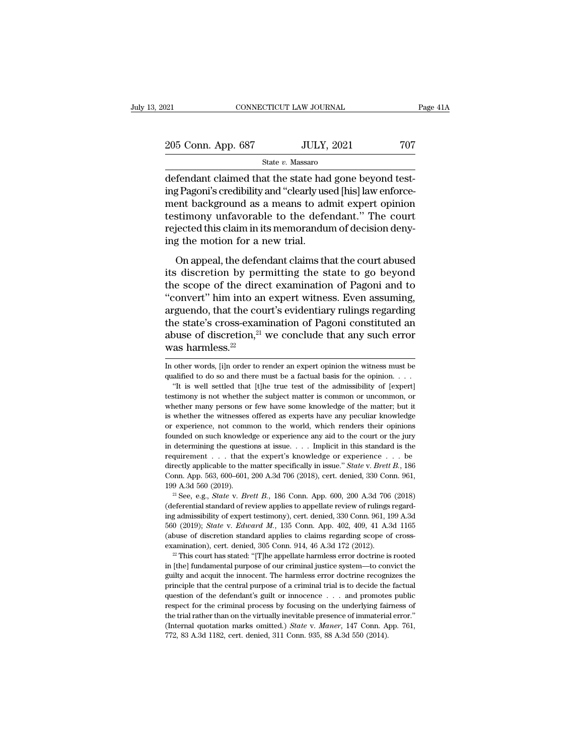| 2021               | CONNECTICUT LAW JOURNAL | Page 41A |
|--------------------|-------------------------|----------|
| 205 Conn. App. 687 | <b>JULY, 2021</b>       | 707      |
|                    | State v. Massaro        |          |

CONNECTICUT LAW JOURNAL<br>
205 Conn. App. 687 JULY, 2021 707<br>
State v. Massaro<br>
defendant claimed that the state had gone beyond test-<br>
ing Pagoni's credibility and "clearly used [his] law enforce-205 Conn. App. 687 JULY, 2021 707<br>
State v. Massaro<br>
defendant claimed that the state had gone beyond test-<br>
ing Pagoni's credibility and "clearly used [his] law enforce-<br>
ment background as a means to admit expert opinio 205 Conn. App. 687 JULY, 2021 707<br>
State v. Massaro<br>
defendant claimed that the state had gone beyond test-<br>
ing Pagoni's credibility and "clearly used [his] law enforce-<br>
ment background as a means to admit expert opinio 205 Conn. App. 687 JULY, 2021 707<br>
State v. Massaro<br>
defendant claimed that the state had gone beyond test-<br>
ing Pagoni's credibility and "clearly used [his] law enforce-<br>
ment background as a means to admit expert opinio State v. Massaro<br>defendant claimed that the state had gone beyond test-<br>ing Pagoni's credibility and "clearly used [his] law enforce-<br>ment background as a means to admit expert opinion<br>testimony unfavorable to the defenda  $\begin{array}{l} \text{state } v \text{. Massaro} \\ \text{defendant claimed that the state had a \\ \text{ing Pagoni's credibility and "clearly us} \\ \text{ment background as a means to ad} \\ \text{testimony unfavorable to the defect} \\ \text{rejected this claim in its memorandum} \\ \text{ing the motion for a new trial.} \\ \text{On appeal, the defendant claims that} \end{array}$ rentiant claims that the state had gone seyond test<br>g Pagoni's credibility and "clearly used [his] law enforce-<br>ent background as a means to admit expert opinion<br>stimony unfavorable to the defendant." The court<br>jected this ing i again's dreaming and "dearly asset plus) and values<br>ment background as a means to admit expert opinion<br>testimony unfavorable to the defendant." The court<br>rejected this claim in its memorandum of decision deny-<br>ing th

testimony unfavorable to the defendant." The court<br>rejected this claim in its memorandum of decision deny-<br>ing the motion for a new trial.<br>On appeal, the defendant claims that the court abused<br>its discretion by permitting The control of the defendant. The court<br>
rejected this claim in its memorandum of decision deny-<br>
ing the motion for a new trial.<br>
On appeal, the defendant claims that the court abused<br>
its discretion by permitting the sta rejected and claim intermediated of decision deriy<br>ing the motion for a new trial.<br>On appeal, the defendant claims that the court abused<br>its discretion by permitting the state to go beyond<br>the scope of the direct examinat In the state is discretion by permitting the state to go beyond<br>the scope of the direct examination of Pagoni and to<br>"convert" him into an expert witness. Even assuming,<br>arguendo, that the court's evidentiary rulings rega On appeal, the defendant claims that the court abused<br>its discretion by permitting the state to go beyond<br>the scope of the direct examination of Pagoni and to<br>"convert" him into an expert witness. Even assuming,<br>arguendo, its discretion by per<br>the scope of the dire<br>"convert" him into an<br>arguendo, that the cou<br>the state's cross-exam<br>abuse of discretion,<sup>21</sup><br>was harmless.<sup>22</sup><br>In other words, [i]n order to r arguendo, that the court's evidentiary ruings regarding<br>the state's cross-examination of Pagoni constituted an<br>abuse of discretion,<sup>21</sup> we conclude that any such error<br>was harmless.<sup>22</sup><br>In other words, [i]n order to rende the state's cross-examination of Pagoni constituted an abuse of discretion,<sup>21</sup> we conclude that any such error was harmless.<sup>22</sup><br>In other words, [i]n order to render an expert opinion the witness must be qualified to do by our of discretion,<sup>21</sup> we conclude that any such error as harmless.<sup>22</sup><br>
other words, [i]n order to render an expert opinion the witness must be alified to do so and there must be a factual basis for the opinion. . . .

**EXECUTE THE SURFER CONCERTED WAS harmless**.<sup>22</sup><br>In other words, [i]n order to render an expert opinion the witness must be qualified to do so and there must be a factual basis for the opinion. . . . "It is well settled t We have the words, [i]n order to render an expert opinion the witness must be qualified to do so and there must be a factual basis for the opinion. . . . "It is well settled that [t]he true test of the admissibility of [ex In other words, [i]n order to render an expert opinion the witness must be qualified to do so and there must be a factual basis for the opinion.  $\dots$  "It is well settled that [t]he true test of the admissibility of [exper or experience, not common to the world, which renders their opinions "It is well settled that [t]he true test of the admissibility of [expert]<br>testimony is not whether the subject matter is common or uncommon, or<br>whether many persons or few have some knowledge of the matter; but it<br>is wheth in determining the questions at issue. . . . Implicit in this standard is the requirement of the matter; but it is whether the witnesses offered as experts have any peculiar knowledge or experience, not common to the worl whether many persons or few have some knowledge of the matter; but it<br>is whether many persons or few have some knowledge of the matter; but it<br>is whether the witnesses offered as experts have any peculiar knowledge<br>or exp is whether the witnesses offered as experts have any peculiar knowledge<br>or experience, not common to the world, which renders their opinions<br>founded on such knowledge or experience any aid to the court or the jury<br>in deter or experience, not common to the world, which renders their opinions founded on such knowledge or experience any aid to the court or the jury in determining the questions at issue. . . . Implicit in this standard is the re founded on such knowledge or experience any aid to the court or the jury<br>in determining the questions at issue. . . . Implicit in this standard is the<br>requirement . . . that the expert's knowledge or experience . . . be<br>di requirement . . . that the expert's knowledge or experience . . . be directly applicable to the matter specifically in issue." *State v. Brett B.*, 186 Conn. App. 563, 600–601, 200 A.3d 706 (2018), cert. denied, 330 Conn.

Equality applicable to the matter specifically in issue." State v. Brett B., 186<br>Conn. App. 563, 600–601, 200 A.3d 706 (2018), cert. denied, 330 Conn. 961,<br>199 A.3d 560 (2019).<br><sup>21</sup> See, e.g., State v. Brett B., 186 Conn. decay depicts of the ladder spectrically in Essae. Each (1.21662.), com. App. 563, 600-601, 200 A.3d 706 (2018), cert. denied, 330 Conn. 961, 199 A.3d 560 (2019).<br><sup>21</sup> See, e.g., *State* v. *Brett B.*, 186 Conn. App. 600, 560 (2019); *State v. Edward M.*, 135 Conn. App. 402, 409, 41 A.3d 1165 (abuse of discretion standard applies to claims regarding scope of cross-examination), cert. denied, 305 Conn. 914, 46 A.3d 172 (2012).<br><sup>22</sup> This cou <sup>21</sup> See, e.g., *State* v. *Brett B.*, 186 Conn. App. 600, 200 A.3d 706 (2018) (deferential standard of review applies to appellate review of rulings regarding admissibility of expert testimony), cert. denied, 330 Conn. 9 ing admissibility of expert testimony), cert. denied, 330 Conn. 961, 199 A.3d 560 (2019); *State v. Edward M.*, 135 Conn. App. 402, 409, 41 A.3d 1165 (abuse of discretion standard applies to claims regarding scope of cros

<sup>560 (2019);</sup> *State v. Edward M.*, 135 Conn. App. 402, 409, 41 A.3d 1165 (abuse of discretion standard applies to claims regarding scope of cross-examination), cert. denied, 305 Conn. 914, 46 A.3d 172 (2012).<br><sup>22</sup> This cou (abuse of discretion standard applies to claims regarding scope of cross-<br>examination), cert. denied, 305 Conn. 914, 46 A.3d 172 (2012).<br><sup>22</sup> This court has stated: "[T]he appellate harmless error doctrine is rooted<br>in [t examination), cert. denied, 305 Conn. 914, 46 A.3d 172 (2012).<br>
<sup>22</sup> This court has stated: "[T]he appellate harmless error doctrine is rooted in [the] fundamental purpose of our criminal justice system—to convict the gui <sup>22</sup> This court has stated: "[T]he appellate harmless error doctrine is rooted in [the] fundamental purpose of our criminal justice system—to convict the guilty and acquit the innocent. The harmless error doctrine recogni in [the] fundamental purpose of our criminal justice system—to convict the guilty and acquit the innocent. The harmless error doctrine recognizes the principle that the central purpose of a criminal trial is to decide the guilty and acquit the innocent. The harmless error doctrine recognizes the principle that the central purpose of a criminal trial is to decide the factual question of the defendant's guilt or innocence . . . and promotes p principle that the central purpose of a criminal trial is to decide the factual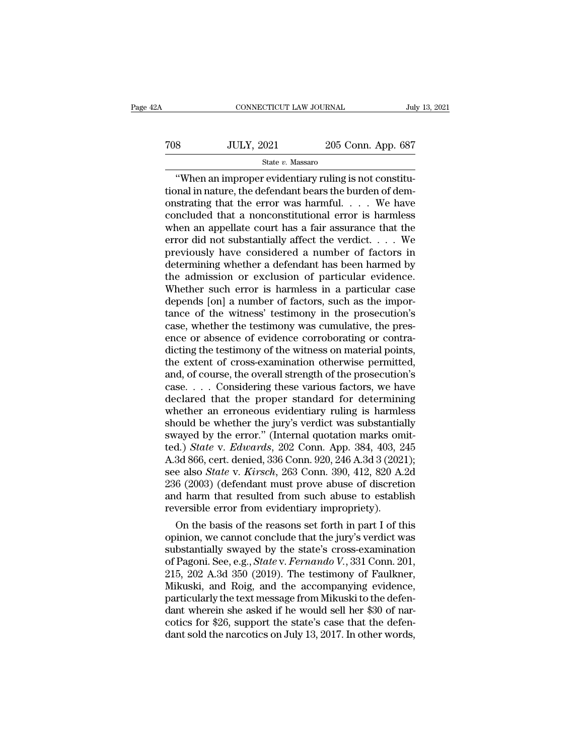# $\begin{tabular}{ll} \multicolumn{2}{l} \multicolumn{2}{l}{{\text{CONNECTICUT LAW JOURNAL}}} & \multicolumn{2}{l} {\text{July 13, 2021}} \\ \multicolumn{2}{l}{{\text{708}}} & \multicolumn{2}{l}{{\text{JULY, 2021}}} & \multicolumn{2}{l}{{\text{205 Conn. App. 687}}} \\ & \multicolumn{2}{l}{{\text{State $v$}}}.~{\text{Massaro}} & \multicolumn{2}{l}{{\text{50}}}\end{tabular}$ State *v.* Massaro

CONNECTICUT LAW JOURNAL<br>
SUMPRESE SUBSET ON THE SUBSET OF STATE OF STATE OF STATE OF STATE OF STATE OF STAR When an improper evidentiary ruling is not constitu-<br>
The main mature, the defendant bears the burden of demants t TOS JULY, 2021 205 Conn. App. 687<br>State v. Massaro<br>"When an improper evidentiary ruling is not constitu-<br>tional in nature, the defendant bears the burden of dem-<br>onstrating that the error was harmful.... We have TOS JULY, 2021 205 Conn. App. 687<br>
State v. Massaro<br>
"When an improper evidentiary ruling is not constitu-<br>
tional in nature, the defendant bears the burden of demonstrating that the error was harmful. . . . . We have<br>
co TOS JULY, 2021 205 Conn. App. 687<br>
State v. Massaro<br>
"When an improper evidentiary ruling is not constitu-<br>
tional in nature, the defendant bears the burden of dem-<br>
onstrating that the error was harmful. . . . We have<br>
c State v. Massaro<br>
State v. Massaro<br>
"When an improper evidentiary ruling is not constitu-<br>
tional in nature, the defendant bears the burden of dem-<br>
onstrating that the error was harmful. . . . We have<br>
concluded that a n State v. Massaro<br>
"When an improper evidentiary ruling is not constitu-<br>
tional in nature, the defendant bears the burden of dem-<br>
onstrating that the error was harmful. . . . We have<br>
concluded that a nonconstitutional e "When an improper evidentiary ruling is not constitutional in nature, the defendant bears the burden of demonstrating that the error was harmful. . . . We have concluded that a nonconstitutional error is harmless when an tional in nature, the defendant bears the burden of demonstrating that the error was harmful. . . . We have<br>concluded that a nonconstitutional error is harmless<br>when an appellate court has a fair assurance that the<br>error onstrating that the error was harmful. . . . We have<br>concluded that a nonconstitutional error is harmless<br>when an appellate court has a fair assurance that the<br>error did not substantially affect the verdict. . . . We<br>prev concluded that a nonconstitutional error is harmless<br>when an appellate court has a fair assurance that the<br>error did not substantially affect the verdict.  $\dots$  We<br>previously have considered a number of factors in<br>determin when an appellate court has a fair assurance that the error did not substantially affect the verdict.  $\dots$  We previously have considered a number of factors in determining whether a defendant has been harmed by the admiss error did not substantially affect the verdict. . . . We<br>previously have considered a number of factors in<br>determining whether a defendant has been harmed by<br>the admission or exclusion of particular evidence.<br>Whether such previously have considered a number of factors in<br>determining whether a defendant has been harmed by<br>the admission or exclusion of particular evidence.<br>Whether such error is harmless in a particular case<br>depends [on] a num determining whether a defendant has been harmed by<br>the admission or exclusion of particular evidence.<br>Whether such error is harmless in a particular case<br>depends [on] a number of factors, such as the impor-<br>tance of the wi the admission or exclusion of particular evidence.<br>Whether such error is harmless in a particular case<br>depends [on] a number of factors, such as the impor-<br>tance of the witness' testimony in the prosecution's<br>case, whether Whether such error is harmless in a particular case<br>depends [on] a number of factors, such as the impor-<br>tance of the witness' testimony in the prosecution's<br>case, whether the testimony was cumulative, the pres-<br>ence or ab depends [on] a number of factors, such as the importance of the witness' testimony in the prosecution's case, whether the testimony was cumulative, the presence or absence of evidence corroborating or contradicting the tes tance of the witness' testimony in the prosecution's<br>case, whether the testimony was cumulative, the pres-<br>ence or absence of evidence corroborating or contra-<br>dicting the testimony of the witness on material points,<br>the e case, whether the testimony was cumulative, the presence or absence of evidence corroborating or contradicting the testimony of the witness on material points, the extent of cross-examination otherwise permitted, and, of c ence or absence of evidence corroborating or contra-<br>dicting the testimony of the witness on material points,<br>the extent of cross-examination otherwise permitted,<br>and, of course, the overall strength of the prosecution's<br>c dicting the testimony of the witness on material points,<br>the extent of cross-examination otherwise permitted,<br>and, of course, the overall strength of the prosecution's<br>case.... Considering these various factors, we have<br>d the extent of cross-examination otherwise permitted, and, of course, the overall strength of the prosecution's case. . . . Considering these various factors, we have declared that the proper standard for determining wheth and, of course, the overall strength of the prosecution's<br>
case. . . . Considering these various factors, we have<br>
declared that the proper standard for determining<br>
whether an erroneous evidentiary ruling is harmless<br>
sho case. . . . Considering these various factors, we have<br>declared that the proper standard for determining<br>whether an erroneous evidentiary ruling is harmless<br>should be whether the jury's verdict was substantially<br>swayed by declared that the proper standard for determining<br>whether an erroneous evidentiary ruling is harmless<br>should be whether the jury's verdict was substantially<br>swayed by the error." (Internal quotation marks omit-<br>ted.) *Stat* whether an erroneous evidentiary ruling is harmless<br>should be whether the jury's verdict was substantially<br>swayed by the error." (Internal quotation marks omit-<br>ted.) *State* v. *Edwards*, 202 Conn. App. 384, 403, 245<br>A.3d should be whether the jury's verdict was substantially<br>swayed by the error." (Internal quotation marks omit-<br>ted.) *State v. Edwards*, 202 Conn. App. 384, 403, 245<br>A.3d 866, cert. denied, 336 Conn. 920, 246 A.3d 3 (2021);<br> swayed by the error." (Internal quotation marks om<br>ted.) *State* v. *Edwards*, 202 Conn. App. 384, 403, 2<br>A.3d 866, cert. denied, 336 Conn. 920, 246 A.3d 3 (202<br>see also *State* v. *Kirsch*, 263 Conn. 390, 412, 820 A.<br>236 (a.) *State v. Eawaras*, 202 Conn. App. 384, 403, 245<br>3d 866, cert. denied, 336 Conn. 920, 246 A.3d 3 (2021);<br>e also *State v. Kirsch*, 263 Conn. 390, 412, 820 A.2d<br>6 (2003) (defendant must prove abuse of discretion<br>d har A.3d 800, cert. denied, 330 Conn. 920, 240 A.3d 3 (2021);<br>see also *State* v. *Kirsch*, 263 Conn. 390, 412, 820 A.2d<br>236 (2003) (defendant must prove abuse of discretion<br>and harm that resulted from such abuse to establish

see also *State* v. *Kirsch*, 263 Conn. 390, 412, 820 A.2d<br>236 (2003) (defendant must prove abuse of discretion<br>and harm that resulted from such abuse to establish<br>reversible error from evidentiary impropriety).<br>On the bas 236 (2003) (defendant must prove abuse of discretion<br>and harm that resulted from such abuse to establish<br>reversible error from evidentiary impropriety).<br>On the basis of the reasons set forth in part I of this<br>opinion, we c and narm that resulted from such abuse to establish<br>reversible error from evidentiary impropriety).<br>On the basis of the reasons set forth in part I of this<br>opinion, we cannot conclude that the jury's verdict was<br>substantia reversible error from evidentiary impropriety).<br>
On the basis of the reasons set forth in part I of this<br>
opinion, we cannot conclude that the jury's verdict was<br>
substantially swayed by the state's cross-examination<br>
of P On the basis of the reasons set forth in part I of this<br>opinion, we cannot conclude that the jury's verdict was<br>substantially swayed by the state's cross-examination<br>of Pagoni. See, e.g., *State* v. *Fernando V.*, 331 Conn opinion, we cannot conclude that the jury's verdict was<br>substantially swayed by the state's cross-examination<br>of Pagoni. See, e.g., *State* v. *Fernando V.*, 331 Conn. 201,<br>215, 202 A.3d 350 (2019). The testimony of Faulkn substantially swayed by the state's cross-examination<br>of Pagoni. See, e.g., *State* v. *Fernando V.*, 331 Conn. 201,<br>215, 202 A.3d 350 (2019). The testimony of Faulkner,<br>Mikuski, and Roig, and the accompanying evidence,<br>pa of Pagoni. See, e.g., *State* v. *Fernando V.*, 331 Conn. 201, 215, 202 A.3d 350 (2019). The testimony of Faulkner, Mikuski, and Roig, and the accompanying evidence, particularly the text message from Mikuski to the defend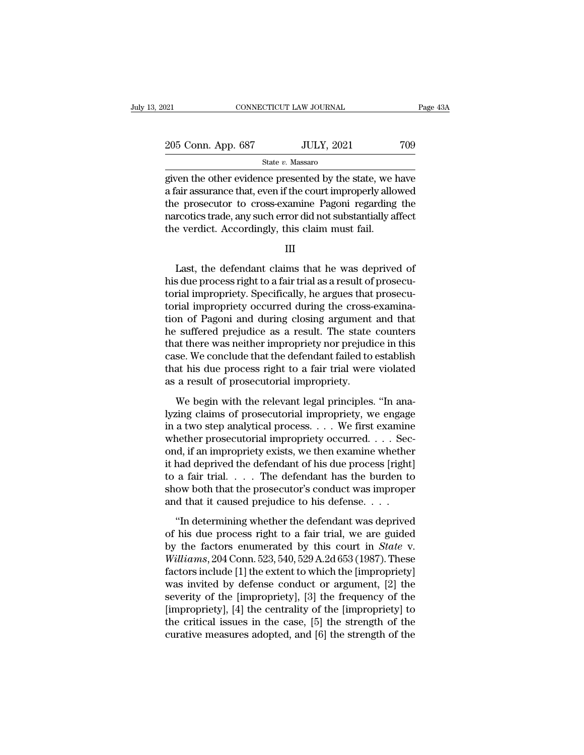| 121                | CONNECTICUT LAW JOURNAL |     | Page 43A |
|--------------------|-------------------------|-----|----------|
|                    |                         |     |          |
| 205 Conn. App. 687 | <b>JULY, 2021</b>       | 709 |          |
|                    | State v. Massaro        |     |          |

Page 43A<br>
205 Conn. App. 687 JULY, 2021 709<br>
State v. Massaro<br>
given the other evidence presented by the state, we have<br>
a fair assurance that, even if the court improperly allowed<br>
the presention to gross symming Bosoni 205 Conn. App. 687 JULY, 2021 709<br>
State v. Massaro<br>
given the other evidence presented by the state, we have<br>
a fair assurance that, even if the court improperly allowed<br>
the prosecutor to cross-examine Pagoni regarding 205 Conn. App. 687 JULY, 2021 709<br>
State v. Massaro<br>
given the other evidence presented by the state, we have<br>
a fair assurance that, even if the court improperly allowed<br>
the prosecutor to cross-examine Pagoni regarding 205 Conn. App. 687 JULY, 2021 709<br>
State v. Massaro<br>
given the other evidence presented by the state, we have<br>
a fair assurance that, even if the court improperly allowed<br>
the prosecutor to cross-examine Pagoni regarding  $\begin{array}{l} \hline \text{State $v$. Massaro} \\ \hline \text{given the other evidence presented by the state, we I a fair assurance that, even if the court improperly allo the prosecutor to cross-examine Pagoni regarding narcotics trade, any such error did not substantially at the verdict. Accordingly, this claim must fail.} \hline \text{III} \end{array}$ are assurance that, even if the court improperly allowed<br>
e prosecutor to cross-examine Pagoni regarding the<br>
rcotics trade, any such error did not substantially affect<br>
e verdict. Accordingly, this claim must fail.<br>
III<br>

|--|

the prosecutor to cross-examine Pagoni regarding the<br>narcotics trade, any such error did not substantially affect<br>the verdict. Accordingly, this claim must fail.<br>III<br>Last, the defendant claims that he was deprived of<br>his d narcotics trade, any such error did not substantially affect<br>the verdict. Accordingly, this claim must fail.<br>III<br>Last, the defendant claims that he was deprived of<br>his due process right to a fair trial as a result of prose the verdict. Accordingly, this claim must fail.<br>III<br>III<br>Last, the defendant claims that he was deprived of<br>his due process right to a fair trial as a result of prosecu-<br>torial impropriety. Specifically, he argues that pros III<br>Last, the defendant claims that he was deprived of<br>his due process right to a fair trial as a result of prosecu-<br>torial impropriety. Specifically, he argues that prosecu-<br>torial impropriety occurred during the cross-ex Last, the defendant claims that he was deprived of<br>his due process right to a fair trial as a result of prosecu-<br>torial impropriety. Specifically, he argues that prosecu-<br>torial impropriety occurred during the cross-examin Last, the defendant claims that he was deprived of<br>his due process right to a fair trial as a result of prosecu-<br>torial impropriety. Specifically, he argues that prosecu-<br>torial impropriety occurred during the cross-examin his due process right to a fair trial as a result of prosecutorial impropriety. Specifically, he argues that prosecutorial impropriety occurred during the cross-examination of Pagoni and during closing argument and that he torial impropriety. Specifically, he argues that prosecutorial impropriety occurred during the cross-examination of Pagoni and during closing argument and that he suffered prejudice as a result. The state counters that the torial impropriety occurred during the cross-<br>tion of Pagoni and during closing argument<br>he suffered prejudice as a result. The state<br>that there was neither impropriety nor prejudi<br>case. We conclude that the defendant fail Example in the religion is a sessued in the religion of suffered prejudice as a result. The state counters at there was neither impropriety nor prejudice in this se. We conclude that the defendant failed to establish at hi In that there was neither impropriety nor prejudice in this<br>case. We conclude that the defendant failed to establish<br>that his due process right to a fair trial were violated<br>as a result of prosecutorial impropriety.<br>We beg

Figure 2.1 The conclude that the defendant failed to establish<br>that his due process right to a fair trial were violated<br>as a result of prosecutorial impropriety.<br>We begin with the relevant legal principles. "In ana-<br>lyzing that his due process right to a fair trial were violated<br>as a result of prosecutorial impropriety.<br>We begin with the relevant legal principles. "In ana-<br>lyzing claims of prosecutorial impropriety, we engage<br>in a two step as a result of prosecutorial impropriety.<br>We begin with the relevant legal principles. "In ana-<br>lyzing claims of prosecutorial impropriety, we engage<br>in a two step analytical process. . . . We first examine<br>whether prosecu We begin with the relevant legal principles. "In ana-<br>lyzing claims of prosecutorial impropriety, we engage<br>in a two step analytical process.  $\dots$  We first examine<br>whether prosecutorial impropriety occurred.  $\dots$  Sec-<br>ond We begin with the relevant legal principles. "In ana-<br>lyzing claims of prosecutorial impropriety, we engage<br>in a two step analytical process. . . . We first examine<br>whether prosecutorial impropriety occurred. . . . Sec-<br>o lyzing claims of prosecutorial impropriety, we engage<br>in a two step analytical process. . . . We first examine<br>whether prosecutorial impropriety occurred. . . . Sec-<br>ond, if an impropriety exists, we then examine whether<br> in a two step analytical process. . . . We first examine<br>whether prosecutorial impropriety occurred. . . . Sec<br>ond, if an impropriety exists, we then examine whether<br>it had deprived the defendant of his due process [right In determining whether the defendant was deprived the defendant of his due process [right] a fair trial.  $\ldots$  The defendant has the burden to ow both that the prosecutor's conduct was impropered that it caused prejudice of the defendant of his due process [right]<br>it had deprived the defendant of his due process [right]<br>to a fair trial, we are guided to show both that the prosecutor's conduct was improper<br>and that it caused prejudice to h

by the factors are distributed by this date process [1.9.1.]<br>to a fair trial. . . . The defendant has the burden to<br>show both that the prosecutor's conduct was improper<br>and that it caused prejudice to his defense. . . .<br>"I *We define that the prosecutor's conduct was improper*<br>
and that it caused prejudice to his defense. . . .<br>
"In determining whether the defendant was deprived<br>
of his due process right to a fair trial, we are guided<br>
by th and that it caused prejudice to his defense.  $\ldots$ <br>
"In determining whether the defendant was deprived<br>
of his due process right to a fair trial, we are guided<br>
by the factors enumerated by this court in *State* v.<br>
Willi "In determining whether the defendant was deprived<br>of his due process right to a fair trial, we are guided<br>by the factors enumerated by this court in *State* v.<br>Williams, 204 Conn. 523, 540, 529 A.2d 653 (1987). These<br>fac "In determining whether the defendant was deprived<br>of his due process right to a fair trial, we are guided<br>by the factors enumerated by this court in *State* v.<br>Williams, 204 Conn. 523, 540, 529 A.2d 653 (1987). These<br>fac of his due process right to a fair trial, we are guided<br>by the factors enumerated by this court in *State* v.<br>Williams, 204 Conn. 523, 540, 529 A.2d 653 (1987). These<br>factors include [1] the extent to which the [improprie by the factors enumerated by this court in *State* v.<br>Williams, 204 Conn. 523, 540, 529 A.2d 653 (1987). These<br>factors include [1] the extent to which the [impropriety]<br>was invited by defense conduct or argument, [2] the<br> *Williams*, 204 Conn. 523, 540, 529 A.2d 653 (1987). These factors include [1] the extent to which the [impropriety] was invited by defense conduct or argument, [2] the severity of the [impropriety], [3] the frequency of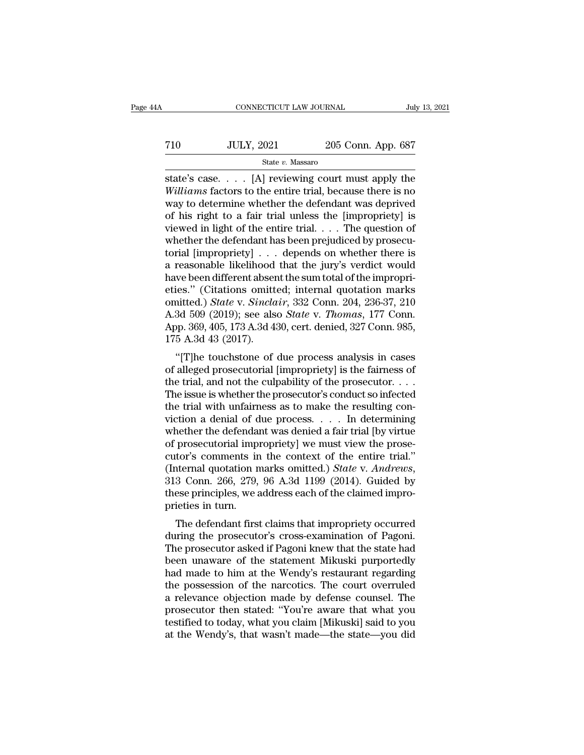| A   | CONNECTICUT LAW JOURNAL |                    | July 13, 2021 |
|-----|-------------------------|--------------------|---------------|
|     |                         |                    |               |
| 710 | <b>JULY, 2021</b>       | 205 Conn. App. 687 |               |
|     | State v. Massaro        |                    |               |

CONNECTICUT LAW JOURNAL July 13, 2021<br>
State V. Massaro<br>
State's case. . . . [A] reviewing court must apply the<br>
Williams factors to the entire trial, because there is no *WILY, 2021* 205 Conn. App. 687<br> *State v. Massaro*<br> *State's case.* . . . [A] reviewing court must apply the<br> *Williams* factors to the entire trial, because there is no<br>
way to determine whether the defendant was deprive T10 JULY, 2021 205 Conn. App. 687<br>
State's case.... [A] reviewing court must apply the<br>
Williams factors to the entire trial, because there is no<br>
way to determine whether the defendant was deprived<br>
of his right to a fai The state v. Massaro<br>
State v. Massaro<br>
State's case. . . . [A] reviewing court must apply the<br>
Williams factors to the entire trial, because there is no<br>
way to determine whether the defendant was deprived<br>
of his right State in Lieu Contract to the entire trial.<br>
State's case. . . . [A] reviewing court must apply the<br>
Williams factors to the entire trial, because there is no<br>
way to determine whether the defendant was deprived<br>
of his r state's case.  $\ldots$  [A] reviewing court must apply the *Williams* factors to the entire trial, because there is no way to determine whether the defendant was deprived of his right to a fair trial unless the [impropriety] state's case. . . . [A] reviewing court must apply the *Williams* factors to the entire trial, because there is no way to determine whether the defendant was deprived of his right to a fair trial unless the [impropriety] *Williams* factors to the entire trial, because there is no<br>way to determine whether the defendant was deprived<br>of his right to a fair trial unless the [impropriety] is<br>viewed in light of the entire trial.... The question way to determine whether the defendant was deprived<br>of his right to a fair trial unless the [impropriety] is<br>viewed in light of the entire trial.... The question of<br>whether the defendant has been prejudiced by prosecu-<br>to of his right to a fair trial unless the [impropriety] is<br>
viewed in light of the entire trial. . . . The question of<br>
whether the defendant has been prejudiced by prosecu-<br>
torial [impropriety] . . . depends on whether th viewed in light of the entire trial. . . . The question of<br>whether the defendant has been prejudiced by prosecu-<br>torial [impropriety] . . . depends on whether there is<br>a reasonable likelihood that the jury's verdict would<br> whether the defendant has been prejudiced by prosecutorial [impropriety] . . . depends on whether there is<br>a reasonable likelihood that the jury's verdict would<br>have been different absent the sum total of the impropri-<br>eti torial [impropriety] . . . depends on whether there is<br>a reasonable likelihood that the jury's verdict would<br>have been different absent the sum total of the impropri-<br>eties." (Citations omitted; internal quotation marks<br>om a reasonable likelihood<br>have been different abser<br>eties." (Citations omitt<br>omitted.) *State* v. *Sincla*<br>A.3d 509 (2019); see als<br>App. 369, 405, 173 A.3d 4:<br>175 A.3d 43 (2017).<br>"[T]he touchstone of ies." (Citations omitted; internal quotation marks<br>
intted.) *State v. Sinclair*, 332 Conn. 204, 236-37, 210<br>
3d 509 (2019); see also *State v. Thomas*, 177 Conn.<br>
pp. 369, 405, 173 A.3d 430, cert. denied, 327 Conn. 985,<br> ettes. (Chattons officient, internal quotation marks<br>omitted.) State v. Sinclair, 332 Conn. 204, 236-37, 210<br>A.3d 509 (2019); see also State v. Thomas, 177 Conn.<br>App. 369, 405, 173 A.3d 430, cert. denied, 327 Conn. 985,<br>1

A.3d 509 (2019); see also *State v. Thomas*, 177 Conn.<br>App. 369, 405, 173 A.3d 430, cert. denied, 327 Conn. 985, 175 A.3d 43 (2017).<br>"[T]he touchstone of due process analysis in cases<br>of alleged prosecutorial [impropriety A.5d 509 (2019), see also *State V. Thomas*, 177 Com.<br>App. 369, 405, 173 A.3d 430, cert. denied, 327 Conn. 985,<br>175 A.3d 43 (2017).<br>"[T]he touchstone of due process analysis in cases<br>of alleged prosecutorial [impropriety] Expp. 309, 409, 173 A.3d 430, cert. defined, 327 Coluit 369, 175 A.3d 43 (2017).<br>
"[T]he touchstone of due process analysis in cases<br>
of alleged prosecutorial [impropriety] is the fairness of<br>
the trial, and not the culpa The touchstone of due process analysis in cases<br>of alleged prosecutorial [impropriety] is the fairness of<br>the trial, and not the culpability of the prosecutor. . . .<br>The issue is whether the prosecutor's conduct so infect "[T]he touchstone of due process analysis in cases<br>of alleged prosecutorial [impropriety] is the fairness of<br>the trial, and not the culpability of the prosecutor....<br>The issue is whether the prosecutor's conduct so infect of alleged prosecutorial [impropriety] is the fairness of<br>the trial, and not the culpability of the prosecutor. . . . The issue is whether the prosecutor's conduct so infected<br>the trial with unfairness as to make the resu the trial, and not the culpability of the prosecutor. . . . The issue is whether the prosecutor's conduct so infected<br>the trial with unfairness as to make the resulting con-<br>viction a denial of due process. . . . . In det The issue is whether the prosecutor's conduct so infected<br>the trial with unfairness as to make the resulting con-<br>viction a denial of due process. . . . In determining<br>whether the defendant was denied a fair trial [by virt viction a denial of due process. . . . . In determining whether the defendant was denied a fair trial [by virtue of prosecutorial impropriety] we must view the prosecutor's comments in the context of the entire trial." (I whether the defendanced of prosecutorial implements in (Internal quotation no 313 Conn. 266, 279, these principles, we apprecise in turn.<br>The defendant first principles we apprecise in turn. prosecutorial impropriety] we must view the prose-<br>tor's comments in the context of the entire trial."<br>ternal quotation marks omitted.) State v. Andrews,<br>3 Conn. 266, 279, 96 A.3d 1199 (2014). Guided by<br>see principles, we cutor's confinents in the context of the entire trial.<br>(Internal quotation marks omitted.) *State v. Andrews*,<br>313 Conn. 266, 279, 96 A.3d 1199 (2014). Guided by<br>these principles, we address each of the claimed impro-<br>prie

(internal quotation marks onlited.) *State V. Andrews*,<br>313 Conn. 266, 279, 96 A.3d 1199 (2014). Guided by<br>these principles, we address each of the claimed impro-<br>prieties in turn.<br>The defendant first claims that improprie  $\frac{1}{2}$  becoming 200, 279, 90 A.5d 1199 (2014). Guided by<br>these principles, we address each of the claimed impro-<br>prieties in turn.<br>The defendant first claims that impropriety occurred<br>during the prosecutor's cross-exam these principles, we address each of the claimed improprieties in turn.<br>The defendant first claims that impropriety occurred<br>during the prosecutor's cross-examination of Pagoni.<br>The prosecutor asked if Pagoni knew that the The defendant first claims that impropriety occurred<br>during the prosecutor's cross-examination of Pagoni.<br>The prosecutor asked if Pagoni knew that the state had<br>been unaware of the statement Mikuski purportedly<br>had made to The defendant first claims that impropriety occurred<br>during the prosecutor's cross-examination of Pagoni.<br>The prosecutor asked if Pagoni knew that the state had<br>been unaware of the statement Mikuski purportedly<br>had made to during the prosecutor's cross-examination of Pagoni.<br>The prosecutor asked if Pagoni knew that the state had<br>been unaware of the statement Mikuski purportedly<br>had made to him at the Wendy's restaurant regarding<br>the possessi The prosecutor asked if Pagoni knew that the state had<br>been unaware of the statement Mikuski purportedly<br>had made to him at the Wendy's restaurant regarding<br>the possession of the narcotics. The court overruled<br>a relevance been unaware of the statement Mikuski purportedly<br>had made to him at the Wendy's restaurant regarding<br>the possession of the narcotics. The court overruled<br>a relevance objection made by defense counsel. The<br>prosecutor then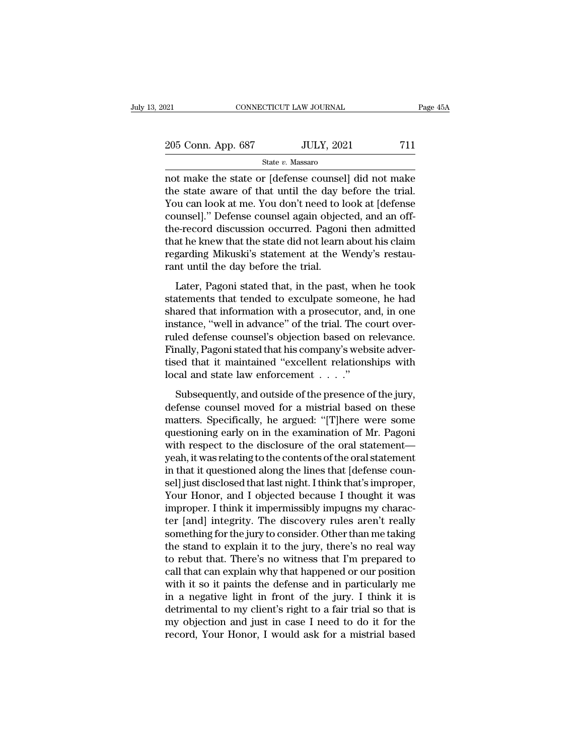| 2021               | CONNECTICUT LAW JOURNAL | Page 45A |
|--------------------|-------------------------|----------|
| 205 Conn. App. 687 | <b>JULY, 2021</b>       | 711      |
|                    | State v. Massaro        |          |

 $\frac{1}{202}$  connectricut LAW JOURNAL Page 45A<br>  $\frac{205 \text{ Conn. App. } 687}$  JULY, 2021 711<br>
State v. Massaro<br>
not make the state or [defense counsel] did not make<br>
the state aware of that until the day before the trial.<br>
You can 205 Conn. App. 687 JULY, 2021 711<br>
State v. Massaro<br>
not make the state or [defense counsel] did not make<br>
the state aware of that until the day before the trial.<br>
You can look at me. You don't need to look at [defense<br>
s 205 Conn. App. 687 JULY, 2021 711<br>
State v. Massaro<br>
not make the state or [defense counsel] did not make<br>
the state aware of that until the day before the trial.<br>
You can look at me. You don't need to look at [defense<br>
c 205 Conn. App. 687 JULY, 2021 711<br>
State v. Massaro<br>
not make the state or [defense counsel] did not make<br>
the state aware of that until the day before the trial.<br>
You can look at me. You don't need to look at [defense<br>
c State v. Massaro<br>
not make the state or [defense counsel] did not make<br>
the state aware of that until the day before the trial.<br>
You can look at me. You don't need to look at [defense<br>
counsel]." Defense counsel again obj state  $v$ . Massaro<br>
not make the state or [defense counsel] did not make<br>
the state aware of that until the day before the trial.<br>
You can look at me. You don't need to look at [defense<br>
counsel]." Defense counsel again o not make the state or [defense counsel] did not make<br>the state aware of that until the day before the trial.<br>You can look at me. You don't need to look at [defense<br>counsel]." Defense counsel again objected, and an off-<br>the the state aware of that until the day **l** You can look at me. You don't need to l counsel]." Defense counsel again objecthe-record discussion occurred. Pagonithat he knew that the state did not learn regarding Mikuski's st Later, Pagoni stated that, in the past, when he took at<br>the precord discussion occurred. Pagoni then admitted<br>at he knew that the state did not learn about his claim<br>garding Mikuski's statement at the Wendy's restau-<br>nt un statute of discussion occurred. Pagoni then admitted<br>that he knew that the state did not learn about his claim<br>regarding Mikuski's statement at the Wendy's restau-<br>rant until the day before the trial.<br>Later, Pagoni stated

shared that he knew that the state did not learn about his claim<br>regarding Mikuski's statement at the Wendy's restau-<br>rant until the day before the trial.<br>Later, Pagoni stated that, in the past, when he took<br>statements tha Fregarding Mikuski's statement at the Wendy's restaurant until the day before the trial.<br>Later, Pagoni stated that, in the past, when he took<br>statements that tended to exculpate someone, he had<br>shared that information with rant until the day before the trial.<br>
Later, Pagoni stated that, in the past, when he took<br>
statements that tended to exculpate someone, he had<br>
shared that information with a prosecutor, and, in one<br>
instance, "well in ad Later, Pagoni stated that, in the past, when he took<br>statements that tended to exculpate someone, he had<br>shared that information with a prosecutor, and, in one<br>instance, "well in advance" of the trial. The court over-<br>rule Later, Pagoni stated that, in the past, when he took<br>statements that tended to exculpate someone, he had<br>shared that information with a prosecutor, and, in one<br>instance, "well in advance" of the trial. The court over-<br>rul statements that tended to exculpate someon<br>shared that information with a prosecutor, an<br>instance, "well in advance" of the trial. The c<br>ruled defense counsel's objection based on i<br>Finally, Pagoni stated that his company' stance, "well in advance" of the trial. The court over-<br>led defense counsel's objection based on relevance.<br>nally, Pagoni stated that his company's website adver-<br>ed that it maintained "excellent relationships with<br>cal and ruled defense counsel's objection based on relevance.<br>Finally, Pagoni stated that his company's website advertised that it maintained "excellent relationships with<br>local and state law enforcement . . . ."<br>Subsequently, and

Finally, Pagoni stated that his company's website advertised that it maintained "excellent relationships with<br>local and state law enforcement  $\dots$ ."<br>Subsequently, and outside of the presence of the jury,<br>defense counsel m tised that it maintained "excellent relationships with<br>local and state law enforcement  $\dots$ ."<br>Subsequently, and outside of the presence of the jury,<br>defense counsel moved for a mistrial based on these<br>matters. Specificall local and state law enforcement  $\dots$ ."<br>
Subsequently, and outside of the presence of the jury,<br>
defense counsel moved for a mistrial based on these<br>
matters. Specifically, he argued: "[T]here were some<br>
questioning early Subsequently, and outside of the presence of the jury,<br>defense counsel moved for a mistrial based on these<br>matters. Specifically, he argued: "[T]here were some<br>questioning early on in the examination of Mr. Pagoni<br>with res Subsequently, and outside of the presence of the jury,<br>defense counsel moved for a mistrial based on these<br>matters. Specifically, he argued: "[T]here were some<br>questioning early on in the examination of Mr. Pagoni<br>with res defense counsel moved for a mistrial based on these<br>matters. Specifically, he argued: "[T]here were some<br>questioning early on in the examination of Mr. Pagoni<br>with respect to the disclosure of the oral statement—<br>yeah, it matters. Specifically, he argued: "[T]here were some<br>questioning early on in the examination of Mr. Pagoni<br>with respect to the disclosure of the oral statement—<br>yeah, it was relating to the contents of the oral statement<br>i questioning early on in the examination of Mr. Pagoni<br>with respect to the disclosure of the oral statement—<br>yeah, it was relating to the contents of the oral statement<br>in that it questioned along the lines that [defense co with respect to the disclosure of the oral statement—<br>yeah, it was relating to the contents of the oral statement<br>in that it questioned along the lines that [defense coun-<br>sel] just disclosed that last night. I think that' yeah, it was relating to the contents of the oral statement<br>in that it questioned along the lines that [defense coun-<br>sel] just disclosed that last night. I think that's improper,<br>Your Honor, and I objected because I thoug in that it questioned along the lines that [defense counsel] just disclosed that last night. I think that's improper,<br>Your Honor, and I objected because I thought it was<br>improper. I think it impermissibly impugns my charac sel] just disclosed that last night. I think that's improper,<br>Your Honor, and I objected because I thought it was<br>improper. I think it impermissibly impugns my charac-<br>ter [and] integrity. The discovery rules aren't really Your Honor, and I objected because I thought it was<br>improper. I think it impermissibly impugns my charac-<br>ter [and] integrity. The discovery rules aren't really<br>something for the jury to consider. Other than me taking<br>the improper. I think it impermissibly impugns my character [and] integrity. The discovery rules aren't really something for the jury to consider. Other than me taking the stand to explain it to the jury, there's no real way t ter [and] integrity. The discovery rules aren't really<br>something for the jury to consider. Other than me taking<br>the stand to explain it to the jury, there's no real way<br>to rebut that. There's no witness that I'm prepared t something for the jury to consider. Other than me taking<br>the stand to explain it to the jury, there's no real way<br>to rebut that. There's no witness that I'm prepared to<br>call that can explain why that happened or our positi the stand to explain it to the jury, there's no real way<br>to rebut that. There's no witness that I'm prepared to<br>call that can explain why that happened or our position<br>with it so it paints the defense and in particularly m to rebut that. There's no witness that I'm prepared to call that can explain why that happened or our position with it so it paints the defense and in particularly me in a negative light in front of the jury. I think it is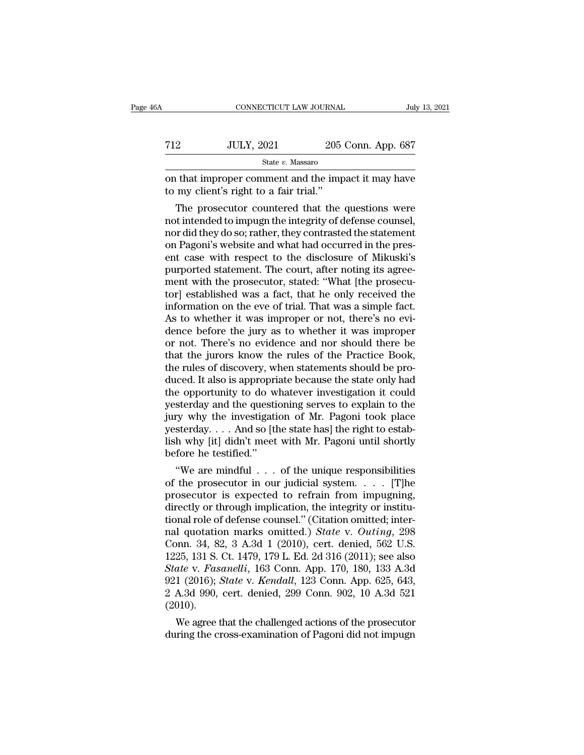| iA  | CONNECTICUT LAW JOURNAL                                                                       |                    | July 13, 2021 |
|-----|-----------------------------------------------------------------------------------------------|--------------------|---------------|
| 712 | <b>JULY, 2021</b>                                                                             | 205 Conn. App. 687 |               |
|     | State v. Massaro                                                                              |                    |               |
|     | on that improper comment and the impact it may have<br>to my client's right to a fair trial." |                    |               |
|     | The prosecutor countered that the questions were                                              |                    |               |

 $32$  JULY, 2021 205 Conn. App. 687<br>  $\frac{84}{100}$  State v. Massaro<br>
The prosecutor countered that the questions were<br>
the prosecutor countered that the questions were<br>
the prosecutor countered that the questions were<br>
the T12 JULY, 2021 205 Conn. App. 687<br>  $\frac{\text{State } v. \text{ Massaro}}{\text{State } v. \text{ Massaro}}$ <br>
on that improper comment and the impact it may have<br>
to my client's right to a fair trial."<br>
The prosecutor countered that the questions were<br>
not intende State  $v$ . Massaro<br>
on that improper comment and the impact it may have<br>
to my client's right to a fair trial."<br>
The prosecutor countered that the questions were<br>
not intended to impugn the integrity of defense counsel,<br> on that improper comment and the impact it may have<br>to my client's right to a fair trial."<br>The prosecutor countered that the questions were<br>not intended to impugn the integrity of defense counsel,<br>nor did they do so; rathe on that improper comment and the impact it may nave<br>to my client's right to a fair trial."<br>The prosecutor countered that the questions were<br>not intended to impugn the integrity of defense counsel,<br>nor did they do so; rathe to my chent s right to a fair trial.<br>The prosecutor countered that the questions were<br>not intended to impugn the integrity of defense counsel,<br>nor did they do so; rather, they contrasted the statement<br>on Pagoni's website a The prosecutor countered that the questions were<br>not intended to impugn the integrity of defense counsel,<br>nor did they do so; rather, they contrasted the statement<br>on Pagoni's website and what had occurred in the pres-<br>ent not intended to impugn the integrity of defense counsel,<br>nor did they do so; rather, they contrasted the statement<br>on Pagoni's website and what had occurred in the pres-<br>ent case with respect to the disclosure of Mikuski's nor did they do so; rather, they contrasted the statement<br>on Pagoni's website and what had occurred in the pres-<br>ent case with respect to the disclosure of Mikuski's<br>purported statement. The court, after noting its agree-<br> on Pagoni's website and what had occurred in the present case with respect to the disclosure of Mikuski's<br>purported statement. The court, after noting its agree-<br>ment with the prosecutor, stated: "What [the prosecu-<br>tor] e ent case with respect to the disclosure of Mikuski's<br>purported statement. The court, after noting its agree-<br>ment with the prosecutor, stated: "What [the prosecu-<br>tor] established was a fact, that he only received the<br>info purported statement. The court, after noting its agreement with the prosecutor, stated: "What [the prosecutor] established was a fact, that he only received the information on the eve of trial. That was a simple fact. As t ment with the prosecutor, stated: "What [the prosecutor] established was a fact, that he only received the information on the eve of trial. That was a simple fact. As to whether it was improper or not, there's no evidence tor] established was a fact, that he only received the information on the eve of trial. That was a simple fact.<br>As to whether it was improper or not, there's no evidence before the jury as to whether it was improper<br>or not information on the eve of trial. That was a simple fact.<br>As to whether it was improper or not, there's no evi-<br>dence before the jury as to whether it was improper<br>or not. There's no evidence and nor should there be<br>that th As to whether it was improper or not, there's no evi-<br>dence before the jury as to whether it was improper<br>or not. There's no evidence and nor should there be<br>that the jurors know the rules of the Practice Book,<br>the rules o dence before the jury as to whether it was improper<br>or not. There's no evidence and nor should there be<br>that the jurors know the rules of the Practice Book,<br>the rules of discovery, when statements should be pro-<br>duced. It or not. There's no evidence and nor should there be<br>that the jurors know the rules of the Practice Book,<br>the rules of discovery, when statements should be pro-<br>duced. It also is appropriate because the state only had<br>the o that the jurors know the rules of the Practice Book,<br>the rules of discovery, when statements should be pro-<br>duced. It also is appropriate because the state only had<br>the opportunity to do whatever investigation it could<br>yes the rules of discovery, when statements should be pro-<br>duced. It also is appropriate because the state only had<br>the opportunity to do whatever investigation it could<br>yesterday and the questioning serves to explain to the<br>j duced. It also is appropri<br>the opportunity to do w<br>yesterday and the questi<br>jury why the investigati<br>yesterday....And so [tl<br>lish why [it] didn't meet<br>before he testified."<br>"We are mindful... e opportunity to do whatever investigation it could<br>sterday and the questioning serves to explain to the<br>ry why the investigation of Mr. Pagoni took place<br>sterday....And so [the state has] the right to estab-<br>h why [it] d yesterday and the questioning serves to explain to the<br>jury why the investigation of Mr. Pagoni took place<br>yesterday.... And so [the state has] the right to estab-<br>lish why [it] didn't meet with Mr. Pagoni until shortly<br>be

jury why the investigation of Mr. Pagoni took place<br>yesterday.... And so [the state has] the right to establish why [it] didn't meet with Mr. Pagoni until shortly<br>before he testified."<br>"We are mindful ... of the unique re yesteraay.... And so [the state has] the right to establish why [it] didn't meet with Mr. Pagoni until shortly<br>before he testified."<br>"We are mindful ... of the unique responsibilities<br>of the prosecutor in our judicial sys the must meet with Mr. Pagoni until shortly<br>before he testified."<br>"We are mindful . . . of the unique responsibilities<br>of the prosecutor in our judicial system. . . . [T]<br>he prosecutor is expected to refrain from impugnin before he testined.<br>
"We are mindful . . . of the unique responsibilities<br>
of the prosecutor in our judicial system. . . . [T]he<br>
prosecutor is expected to refrain from impugning,<br>
directly or through implication, the inte "We are mindful  $\ldots$  of the unique responsibilities<br>of the prosecutor in our judicial system.  $\ldots$  [T]he<br>prosecutor is expected to refrain from impugning,<br>directly or through implication, the integrity or institu-<br>tiona of the prosecutor in our judicial system. . . . . [T]he<br>prosecutor is expected to refrain from impugning,<br>directly or through implication, the integrity or institu-<br>tional role of defense counsel." (Citation omitted; inte prosecutor is expected to refrain from impugning,<br>directly or through implication, the integrity or institu-<br>tional role of defense counsel." (Citation omitted; inter-<br>nal quotation marks omitted.) *State* v. *Outing*, 298 directly or through implication, the integrity or institu-<br>tional role of defense counsel." (Citation omitted; inter-<br>nal quotation marks omitted.) *State* v. *Outing*, 298<br>Conn. 34, 82, 3 A.3d 1 (2010), cert. denied, 562 tional role of defense counsel." (Citation omitted; internal quotation marks omitted.)  $State$  v.  $Outing$ , 298 Conn. 34, 82, 3 A.3d 1 (2010), cert. denied, 562 U.S. 1225, 131 S. Ct. 1479, 179 L. Ed. 2d 316 (2011); see also *Stat* (2010). 25, 131 S. Ct. 1479, 179 L. Ed. 2d 316 (2011); see also<br>25, 131 S. Ct. 1479, 179 L. Ed. 2d 316 (2011); see also<br>ate v. Fasanelli, 163 Conn. App. 170, 180, 133 A.3d<br>1 (2016); *State* v. *Kendall*, 123 Conn. App. 625, 643,<br>A 1225, 131 S. Ct. 1479, 179 L. Ed. 2d 316 (2011); see also<br> *State v. Fasanelli*, 163 Conn. App. 170, 180, 133 A.3d<br>
921 (2016); *State v. Kendall*, 123 Conn. App. 625, 643,<br>
2 A.3d 990, cert. denied, 299 Conn. 902, 10 A.3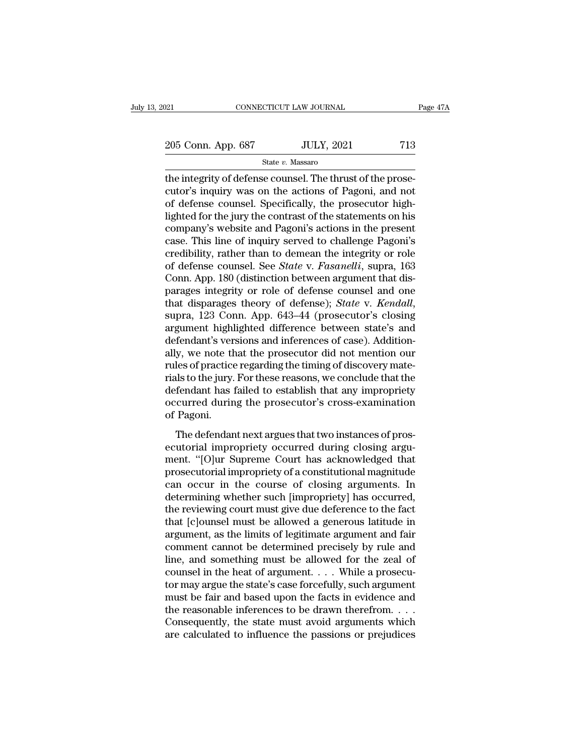State *v.* Massaro

The integrity of defense counsel. The thrust of the prose-<br>
The integrity of defense counsel. The thrust of the prose-<br>
The thrust of the prose-<br>
The thrust of the prose-<br>
The thrust of the prose-<br>
The defense counsel. Spe 205 Conn. App. 687 JULY, 2021 713<br>
State v. Massaro<br>
the integrity of defense counsel. The thrust of the prose-<br>
cutor's inquiry was on the actions of Pagoni, and not<br>
of defense counsel. Specifically, the prosecutor high  $\frac{205 \text{ Conn. App. } 687}{}$  JULY, 2021 713<br>
State v. Massaro<br>
the integrity of defense counsel. The thrust of the prosecutor's inquiry was on the actions of Pagoni, and not<br>
of defense counsel. Specifically, the prosecutor hig 205 Conn. App. 687 JULY, 2021 713<br>
State v. Massaro<br>
the integrity of defense counsel. The thrust of the prose-<br>
cutor's inquiry was on the actions of Pagoni, and not<br>
of defense counsel. Specifically, the prosecutor high State v. Massaro<br>
the integrity of defense counsel. The thrust of the prose-<br>
cutor's inquiry was on the actions of Pagoni, and not<br>
of defense counsel. Specifically, the prosecutor high-<br>
lighted for the jury the contrast state v. Massaro<br>the integrity of defense counsel. The thrust of the prose-<br>cutor's inquiry was on the actions of Pagoni, and not<br>of defense counsel. Specifically, the prosecutor high-<br>lighted for the jury the contrast of the integrity of defense counsel. The thrust of the prose-<br>cutor's inquiry was on the actions of Pagoni, and not<br>of defense counsel. Specifically, the prosecutor high-<br>lighted for the jury the contrast of the statements on cutor's inquiry was on the actions of Pagoni, and not<br>of defense counsel. Specifically, the prosecutor high-<br>lighted for the jury the contrast of the statements on his<br>company's website and Pagoni's actions in the present<br> of defense counsel. Specifically, the prosecutor high-<br>lighted for the jury the contrast of the statements on his<br>company's website and Pagoni's actions in the present<br>case. This line of inquiry served to challenge Pagoni' lighted for the jury the contrast of the statements on his<br>company's website and Pagoni's actions in the present<br>case. This line of inquiry served to challenge Pagoni's<br>credibility, rather than to demean the integrity or r company's website and Pagoni's actions in the present<br>case. This line of inquiry served to challenge Pagoni's<br>credibility, rather than to demean the integrity or role<br>of defense counsel. See *State* v. *Fasanelli*, supra, credibility, rather than to demean the integrity or role<br>of defense counsel. See *State* v. *Fasanelli*, supra, 163<br>Conn. App. 180 (distinction between argument that dis-<br>parages integrity or role of defense counsel and on of defense counsel. See *State* v. Fasanelli, supra, 163<br>Conn. App. 180 (distinction between argument that dis-<br>parages integrity or role of defense counsel and one<br>that disparages theory of defense); *State* v. *Kendall*, Conn. App. 180 (distinction between argument that dis-<br>parages integrity or role of defense counsel and one<br>that disparages theory of defense); *State* v. *Kendall*,<br>supra, 123 Conn. App. 643–44 (prosecutor's closing<br>argum parages integrity or role of defense counsel and one<br>that disparages theory of defense); *State* v. *Kendall*,<br>supra, 123 Conn. App. 643–44 (prosecutor's closing<br>argument highlighted difference between state's and<br>defendan that disparages theory of defense); *State* v. *Kendall*, supra, 123 Conn. App. 643–44 (prosecutor's closing argument highlighted difference between state's and defendant's versions and inferences of case). Additionally, w supra, 123 Conn. App. 643–44 (prosecutor's closing<br>argument highlighted difference between state's and<br>defendant's versions and inferences of case). Addition-<br>ally, we note that the prosecutor did not mention our<br>rules of argument highlighted difference between state's and<br>defendant's versions and inferences of case). Addition-<br>ally, we note that the prosecutor did not mention our<br>rules of practice regarding the timing of discovery mate-<br>ri defendant's ver<br>ally, we note th<br>rules of practice<br>rials to the jury.<br>defendant has 1<br>occurred durin<br>of Pagoni.<br>The defendan The defendant next argues that two instances of prosecular different less of practice regarding the timing of discovery mate-<br>dist to the jury. For these reasons, we conclude that the<br>fendant has failed to establish that a rials to the jury. For these reasons, we conclude that the<br>defendant has failed to establish that any impropriety<br>occurred during the prosecutor's cross-examination<br>of Pagoni.<br>The defendant next argues that two instances o

man to the jury. To these reasons, we conclude that are<br>defendant has failed to establish that any impropriety<br>occurred during the prosecutor's cross-examination<br>of Pagoni.<br>The defendant next argues that two instances of p procurred during the prosecutor's cross-examination<br>of Pagoni.<br>The defendant next argues that two instances of pros-<br>ecutorial impropriety occurred during closing argu-<br>ment. "[O]ur Supreme Court has acknowledged that<br>pros occurred daring the prosecutor's cross examination<br>of Pagoni.<br>The defendant next argues that two instances of pros-<br>ecutorial impropriety occurred during closing argument. "[O]ur Supreme Court has acknowledged that<br>prosecu The defendant next argues that two instances of prosecutorial impropriety occurred during closing argument. "[O]ur Supreme Court has acknowledged that prosecutorial impropriety of a constitutional magnitude can occur in th The defendant next argues that two instances of prosecutorial impropriety occurred during closing argument. "[O]ur Supreme Court has acknowledged that prosecutorial impropriety of a constitutional magnitude can occur in th ecutorial impropriety occurred during closing argument. "[O]ur Supreme Court has acknowledged that<br>prosecutorial impropriety of a constitutional magnitude<br>can occur in the course of closing arguments. In<br>determining whethe ment. "[O]ur Supreme Court has acknowledged that<br>prosecutorial impropriety of a constitutional magnitude<br>can occur in the course of closing arguments. In<br>determining whether such [impropriety] has occurred,<br>the reviewing c prosecutorial impropriety of a constitutional magnitude<br>can occur in the course of closing arguments. In<br>determining whether such [impropriety] has occurred,<br>the reviewing court must give due deference to the fact<br>that [c] can occur in the course of closing arguments. In<br>determining whether such [impropriety] has occurred,<br>the reviewing court must give due deference to the fact<br>that [c]ounsel must be allowed a generous latitude in<br>argument, determining whether such [impropriety] has occurred,<br>the reviewing court must give due deference to the fact<br>that [c]ounsel must be allowed a generous latitude in<br>argument, as the limits of legitimate argument and fair<br>com the reviewing court must give due deference to the fact<br>that [c]ounsel must be allowed a generous latitude in<br>argument, as the limits of legitimate argument and fair<br>comment cannot be determined precisely by rule and<br>line, that [c]ounsel must be allowed a generous latitude in argument, as the limits of legitimate argument and fair comment cannot be determined precisely by rule and line, and something must be allowed for the zeal of counsel argument, as the limits of legitimate argument and fair<br>comment cannot be determined precisely by rule and<br>line, and something must be allowed for the zeal of<br>counsel in the heat of argument. . . . While a prosecu-<br>tor may comment cannot be determined precisely by rule and<br>line, and something must be allowed for the zeal of<br>counsel in the heat of argument.... While a prosecu-<br>tor may argue the state's case forcefully, such argument<br>must be line, and something must be allowed for the zeal of counsel in the heat of argument. . . . While a prosecutor may argue the state's case forcefully, such argument must be fair and based upon the facts in evidence and the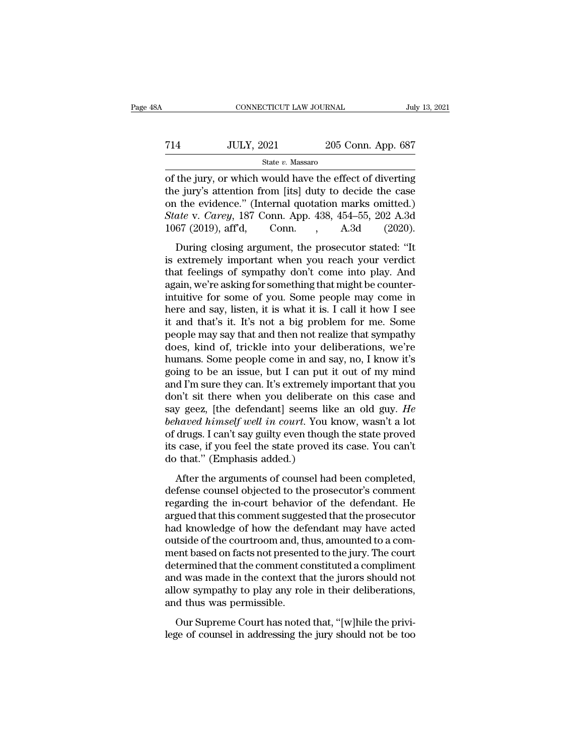# CONNECTICUT LAW JOURNAL July 13, 2021<br>
714 JULY, 2021 205 Conn. App. 687<br>
State v. Massaro State *v.* Massaro

CONNECTICUT LAW JOURNAL July 13, 2021<br>
T14 JULY, 2021 205 Conn. App. 687<br>
State v. Massaro<br>
of the jury, or which would have the effect of diverting<br>
the jury's attention from [its] duty to decide the case<br>
on the evidenc T14 JULY, 2021 205 Conn. App. 687<br>
State v. Massaro<br>
of the jury, or which would have the effect of diverting<br>
the jury's attention from [its] duty to decide the case<br>
on the evidence." (Internal quotation marks omitted.) T14 JULY, 2021 205 Conn. App. 687<br>
State v. Massaro<br>
of the jury, or which would have the effect of diverting<br>
the jury's attention from [its] duty to decide the case<br>
on the evidence.'' (Internal quotation marks omitted. *State v. Massaro*<br> *State v. Massaro*<br> *State v. Massaro*<br> *State v. Massaro*<br> *Conne Evidence. Carey, 187 Conn. App. 438, 454–55, 202 A.3d*<br> *A.3d 1067 (2019), aff'd,* Conn. , A.3d (2020). State v. Massaro<br>
State v. Massaro<br>
of the jury, or which would have the effect of diverting<br>
the jury's attention from [its] duty to decide the case<br>
on the evidence." (Internal quotation marks omitted.)<br>
State v. Carey, the jury, or which would have the effect of diverting<br>
e jury's attention from [its] duty to decide the case<br>  $\alpha$  the evidence." (Internal quotation marks omitted.)<br>
ate v. *Carey*, 187 Conn. App. 438, 454–55, 202 A.3d<br> of the jury's attention from [its] duty to decide the case<br>on the evidence." (Internal quotation marks omitted.)<br>State v. Carey, 187 Conn. App. 438, 454–55, 202 A.3d<br>1067 (2019), aff'd, Conn. , A.3d (2020).<br>During closing

the gary suddence." (Internal quotation marks omitted.)<br>
State v. Carey, 187 Conn. App. 438, 454–55, 202 A.3d<br>
1067 (2019), aff'd, Conn., A.3d (2020).<br>
During closing argument, the prosecutor stated: "It<br>
is extremely impo State v. Carey, 187 Conn. App. 438, 454–55, 202 A.3d 1067 (2019), aff'd, Conn., A.3d (2020).<br>During closing argument, the prosecutor stated: "It is extremely important when you reach your verdict that feelings of sympathy biate v. early, for some ripp. 180, 181 88, 282 1.88<br>1067 (2019), aff'd, Conn., A.3d (2020).<br>During closing argument, the prosecutor stated: "It<br>is extremely important when you reach your verdict<br>that feelings of sympathy here are all the procedure and say, listen, it is what it is. I call it how I see it and that's it. It's not a big problem for me. Some proplem moves when we are all and that's it. It's not a big problem for me. Some propl During closing argument, the prosecutor stated: "It<br>is extremely important when you reach your verdict<br>that feelings of sympathy don't come into play. And<br>again, we're asking for something that might be counter-<br>intuitive is extremely important when you reach your verdict<br>that feelings of sympathy don't come into play. And<br>again, we're asking for something that might be counter-<br>intuitive for some of you. Some people may come in<br>here and sa that feelings of sympathy don't come into play. And<br>again, we're asking for something that might be counter-<br>intuitive for some of you. Some people may come in<br>here and say, listen, it is what it is. I call it how I see<br>it again, we're asking for something that might be counter-<br>intuitive for some of you. Some people may come in<br>here and say, listen, it is what it is. I call it how I see<br>it and that's it. It's not a big problem for me. Some<br> intuitive for some of you. Some people may come in<br>here and say, listen, it is what it is. I call it how I see<br>it and that's it. It's not a big problem for me. Some<br>people may say that and then not realize that sympathy<br>do here and say, listen, it is what it is. I call it how I see<br>it and that's it. It's not a big problem for me. Some<br>people may say that and then not realize that sympathy<br>does, kind of, trickle into your deliberations, we'r it and that's it. It's not a big problem for me. Some<br>people may say that and then not realize that sympathy<br>does, kind of, trickle into your deliberations, we're<br>humans. Some people come in and say, no, I know it's<br>going people may say that and then not realize that sympathy<br>does, kind of, trickle into your deliberations, we're<br>humans. Some people come in and say, no, I know it's<br>going to be an issue, but I can put it out of my mind<br>and I' does, kind of, trickle into your deliberations, we're<br>humans. Some people come in and say, no, I know it's<br>going to be an issue, but I can put it out of my mind<br>and I'm sure they can. It's extremely important that you<br>don' humans. Some people come in and say, no, I know it's<br>going to be an issue, but I can put it out of my mind<br>and I'm sure they can. It's extremely important that you<br>don't sit there when you deliberate on this case and<br>say g going to be an issue, but I can put it out of my mind<br>and I'm sure they can. It's extremely important that you<br>don't sit there when you deliberate on this case and<br>say geez, [the defendant] seems like an old guy. *He<br>behav* and I'm sure they can. It's extremely if<br>don't sit there when you deliberate<br>say geez, [the defendant] seems lik<br>behaved himself well in court. You ]<br>of drugs. I can't say guilty even thoug<br>its case, if you feel the state by geez, [the defendant] seems like an old guy. He<br>haved himself well in court. You know, wasn't a lot<br>drugs. I can't say guilty even though the state proved<br>case, if you feel the state proved its case. You can't<br>that." ( behaved himself well in court. You know, wasn't a lot<br>of drugs. I can't say guilty even though the state proved<br>its case, if you feel the state proved its case. You can't<br>do that." (Emphasis added.)<br>After the arguments of

related himsey act in court. For them, wash't a for<br>of drugs. I can't say guilty even though the state proved<br>its case, if you feel the state proved its case. You can't<br>do that." (Emphasis added.)<br>After the arguments of co are state of the state proved its case. You can't<br>its case, if you feel the state proved its case. You can't<br>do that." (Emphasis added.)<br>After the arguments of counsel had been completed,<br>defense counsel objected to the pr had that." (Emphasis added.)<br>
After the arguments of counsel had been completed,<br>
defense counsel objected to the prosecutor's comment<br>
regarding the in-court behavior of the defendant. He<br>
argued that this comment suggest out and the arguments of counsel had been completed,<br>defense counsel objected to the prosecutor's comment<br>regarding the in-court behavior of the defendant. He<br>argued that this comment suggested that the prosecutor<br>had know After the arguments of counsel had been completed,<br>defense counsel objected to the prosecutor's comment<br>regarding the in-court behavior of the defendant. He<br>argued that this comment suggested that the prosecutor<br>had knowle defense counsel objected to the prosecutor's comment<br>regarding the in-court behavior of the defendant. He<br>argued that this comment suggested that the prosecutor<br>had knowledge of how the defendant may have acted<br>outside of regarding the in-court behavior of the defendant. He<br>argued that this comment suggested that the prosecutor<br>had knowledge of how the defendant may have acted<br>outside of the courtroom and, thus, amounted to a com-<br>ment base argued that this comment suggested that the prosecutor<br>had knowledge of how the defendant may have acted<br>outside of the courtroom and, thus, amounted to a com-<br>ment based on facts not presented to the jury. The court<br>deter had knowledge of how the defoutside of the courtroom and, th<br>ment based on facts not present<br>determined that the comment co<br>and was made in the context th<br>allow sympathy to play any role<br>and thus was permissible.<br>Our Supre Figure Court and that, thus, and the privited to determined that the comment constituted a compliment d was made in the context that the jurors should not ow sympathy to play any role in their deliberations, d thus was per determined that the comment constituted a compliment<br>determined that the comment constituted a compliment<br>and was made in the context that the jurors should not<br>allow sympathy to play any role in their deliberations,<br>and t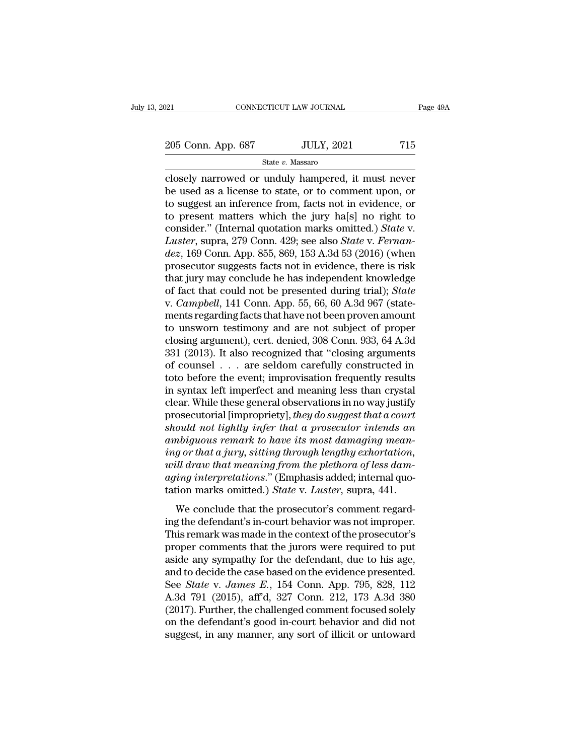## State *v.* Massaro

connectricut LAW JOURNAL Page 49A<br>
205 Conn. App. 687 JULY, 2021 715<br>
State v. Massaro<br>
closely narrowed or unduly hampered, it must never<br>
be used as a license to state, or to comment upon, or<br>
to suggest an informate fro  $\begin{array}{ccc} 205 \text{ Conn. App. } 687 & \text{JULY, } 2021 & 715 \\ & \text{State } v. \text{ Massaro} \end{array}$ <br>closely narrowed or unduly hampered, it must never be used as a license to state, or to comment upon, or to suggest an inference from, facts not in evidence 205 Conn. App. 687 JULY, 2021 715<br>
State v. Massaro<br>
closely narrowed or unduly hampered, it must never<br>
be used as a license to state, or to comment upon, or<br>
to suggest an inference from, facts not in evidence, or<br>
to p 205 Conn. App. 687 JULY, 2021 715<br>
State v. Massaro<br>
closely narrowed or unduly hampered, it must never<br>
be used as a license to state, or to comment upon, or<br>
to suggest an inference from, facts not in evidence, or<br>
to p State *v.* Massaro<br>
closely narrowed or unduly hampered, it must never<br>
be used as a license to state, or to comment upon, or<br>
to suggest an inference from, facts not in evidence, or<br>
to present matters which the jury ha[s <sup>21</sup> Exterministic results and the suppressed of all the suppressed as a license to state, or to comment upon, or to suggest an inference from, facts not in evidence, or to present matters which the jury ha[s] no right to closely narrowed or unduly hampered, it must never<br>be used as a license to state, or to comment upon, or<br>to suggest an inference from, facts not in evidence, or<br>to present matters which the jury ha[s] no right to<br>consider. be used as a license to state, or to comment upon, or<br>to suggest an inference from, facts not in evidence, or<br>to present matters which the jury ha[s] no right to<br>consider." (Internal quotation marks omitted.) *State* v.<br>*L* to suggest an inference from, facts not in evidence, or<br>to present matters which the jury ha[s] no right to<br>consider." (Internal quotation marks omitted.) *State* v.<br>*Luster*, supra, 279 Conn. 429; see also *State* v. *Fe* to present matters which the jury ha[s] no right to<br>consider." (Internal quotation marks omitted.) *State* v.<br>*Luster*, supra, 279 Conn. 429; see also *State* v. *Fernan-<br>dez*, 169 Conn. App. 855, 869, 153 A.3d 53 (2016) ( consider." (Internal quotation marks omitted.) *State v.*<br> *Luster*, supra, 279 Conn. 429; see also *State v. Fernan-*<br> *dez*, 169 Conn. App. 855, 869, 153 A.3d 53 (2016) (when<br>
prosecutor suggests facts not in evidence, t Luster, supra, 279 Conn. 429; see also *State* v. *Fernan-<br>dez*, 169 Conn. App. 855, 869, 153 A.3d 53 (2016) (when<br>prosecutor suggests facts not in evidence, there is risk<br>that jury may conclude he has independent knowled dez, 169 Conn. App. 855, 869, 153 A.3d 53 (2016) (when<br>prosecutor suggests facts not in evidence, there is risk<br>that jury may conclude he has independent knowledge<br>of fact that could not be presented during trial); *State* prosecutor suggests facts not in evidence, there is risk<br>that jury may conclude he has independent knowledge<br>of fact that could not be presented during trial); *State*<br>v. *Campbell*, 141 Conn. App. 55, 66, 60 A.3d 967 (sta that jury may conclude he has independent knowledge<br>of fact that could not be presented during trial); *State*<br>v. *Campbell*, 141 Conn. App. 55, 66, 60 A.3d 967 (state-<br>ments regarding facts that have not been proven amoun of fact that could not be presented during trial); *State*<br>v. *Campbell*, 141 Conn. App. 55, 66, 60 A.3d 967 (state-<br>ments regarding facts that have not been proven amount<br>to unsworn testimony and are not subject of proper v. *Campbell*, 141 Conn. App. 55, 66, 60 A.3d 967 (statements regarding facts that have not been proven amount<br>to unsworn testimony and are not subject of proper<br>closing argument), cert. denied, 308 Conn. 933, 64 A.3d<br>331 ments regarding facts that have not been proven amount<br>to unsworn testimony and are not subject of proper<br>closing argument), cert. denied, 308 Conn. 933, 64 A.3d<br>331 (2013). It also recognized that "closing arguments<br>of co to unsworn testimony and are not subject of proper<br>closing argument), cert. denied, 308 Conn. 933, 64 A.3d<br>331 (2013). It also recognized that "closing arguments<br>of counsel . . . are seldom carefully constructed in<br>toto b closing argument), cert. denied, 308 Conn. 933, 64 A.3d<br>331 (2013). It also recognized that "closing arguments<br>of counsel . . . are seldom carefully constructed in<br>toto before the event; improvisation frequently results<br>in 331 (2013). It also recognized that "closing arguments<br>of counsel . . . are seldom carefully constructed in<br>toto before the event; improvisation frequently results<br>in syntax left imperfect and meaning less than crystal<br>cle of counsel . . . . are seldom carefully constructed in<br>toto before the event; improvisation frequently results<br>in syntax left imperfect and meaning less than crystal<br>clear. While these general observations in no way justif *in syntax left imperfect and meaning less than crystal*<br>in syntax left imperfect and meaning less than crystal<br>clear. While these general observations in no way justify<br>prosecutorial [impropriety], *they do suggest that a* in syntax left imperfect and meaning less than crystal<br>clear. While these general observations in no way justify<br>prosecutorial [impropriety], *they do suggest that a court*<br>should not lightly infer that a prosecutor intend clear. While these general observations in no way justify<br>prosecutorial [impropriety], *they do suggest that a court*<br>should not lightly infer that a prosecutor intends an<br>ambiguous remark to have its most damaging mean-<br>i prosecutorial [impropriety], *they do suggest that a court*<br>should not lightly infer that a prosecutor intends an<br>ambiguous remark to have its most damaging mean-<br>ing or that a jury, sitting through lengthy exhortation,<br>wi  $\mu$  and the regard-off of that a procedure intended and<br>the properties are allows are allowed that a jury, sitting through lengthy exhortation,<br>ill draw that meaning from the plethora of less dam-<br>ing interpretations." ( ing or that a jury, sitting through lengthy exhortation,<br>will draw that meaning from the plethora of less dam-<br>aging interpretations." (Emphasis added; internal quo-<br>tation marks omitted.) State v. Luster, supra, 441.<br>We c

the performance of the performance in the performance in the performance in the performance in the prosecutor's dam-<br>aging interpretations." (Emphasis added; internal quo-<br>tation marks omitted.) *State* v. *Luster*, supra, *aging interpretations.*" (Emphasis added; internal quotation marks omitted.) *State* v. *Luster*, supra, 441.<br>We conclude that the prosecutor's comment regarding the defendant's in-court behavior was not improper.<br>This r tation marks omitted.) *State* v. *Luster*, supra, 441.<br>We conclude that the prosecutor's comment regard-<br>ing the defendant's in-court behavior was not improper.<br>This remark was made in the context of the prosecutor's<br>pro We conclude that the prosecutor's comment regard-<br>ing the defendant's in-court behavior was not improper.<br>This remark was made in the context of the prosecutor's<br>proper comments that the jurors were required to put<br>aside We conclude that the prosecutor's comment regard-<br>ing the defendant's in-court behavior was not improper.<br>This remark was made in the context of the prosecutor's<br>proper comments that the jurors were required to put<br>aside a ing the defendant's in-court behavior was not improper.<br>This remark was made in the context of the prosecutor's<br>proper comments that the jurors were required to put<br>aside any sympathy for the defendant, due to his age,<br>and This remark was made in the context of the prosecutor's<br>proper comments that the jurors were required to put<br>aside any sympathy for the defendant, due to his age,<br>and to decide the case based on the evidence presented.<br>See proper comments that the jurors were required to put<br>aside any sympathy for the defendant, due to his age,<br>and to decide the case based on the evidence presented.<br>See *State* v. James E., 154 Conn. App. 795, 828, 112<br>A.3d aside any sympathy for the defendant, due to his age, and to decide the case based on the evidence presented.<br>See *State* v. *James E.*, 154 Conn. App. 795, 828, 112<br>A.3d 791 (2015), aff'd, 327 Conn. 212, 173 A.3d 380<br>(201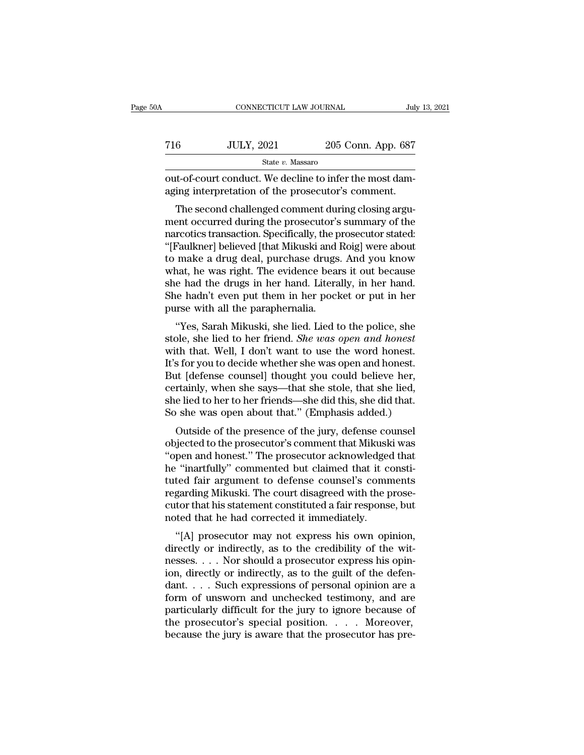| ۱A  | CONNECTICUT LAW JOURNAL                                                                                      |                    | July 13, 2021 |
|-----|--------------------------------------------------------------------------------------------------------------|--------------------|---------------|
| 716 | <b>JULY, 2021</b>                                                                                            | 205 Conn. App. 687 |               |
|     | State v. Massaro                                                                                             |                    |               |
|     | out-of-court conduct. We decline to infer the most dam-<br>aging interpretation of the prosecutor's comment. |                    |               |
|     | The second challenged comment during closing argu-                                                           |                    |               |

 $54$ <br>  $54$ <br>  $54$ <br>  $54$ <br>  $54$ <br>  $54$ <br>  $54$ <br>  $54$ <br>  $54$ <br>  $54$ <br>  $54$ <br>  $54$ <br>  $54$ <br>  $54$ <br>  $54$ <br>  $54$ <br>  $54$ <br>  $54$ <br>  $54$ <br>  $54$ <br>  $54$ <br>  $54$ <br>  $54$ <br>  $54$ <br>  $54$ <br>  $54$ <br>  $54$ <br>  $54$ <br>  $54$ <br>  $54$ <br>  $54$ <br>  $54$ <br>  $54$ <br>  $54$ <br>  $54$ <br>  $54$ <br>  $54$ <br> T16 JULY, 2021 205 Conn. App. 687<br>  $\frac{\text{State } v. \text{ Massaro}}{\text{out-of-court conduct. We decline to infer the most damaging interpretation of the prospectator's comment.}$ The second challenged comment during closing argument occurred during the prosecutor's summary of the narcotics transaction. Specifically, the State v. Massaro<br>
out-of-court conduct. We decline to infer the most dam-<br>
aging interpretation of the prosecutor's comment.<br>
The second challenged comment during closing argu-<br>
ment occurred during the prosecutor's summar out-of-court conduct. We decline to infer the most damaging interpretation of the prosecutor's comment.<br>The second challenged comment during closing argument occurred during the prosecutor's summary of the narcotics transa out-or-court conduct. We decline to finer the most dam-<br>aging interpretation of the prosecutor's comment.<br>The second challenged comment during closing argu-<br>ment occurred during the prosecutor's summary of the<br>narcotics tr aging interpretation of the prosection's continent.<br>The second challenged comment during closing argument occurred during the prosecutor's summary of the<br>narcotics transaction. Specifically, the prosecutor stated:<br>"[Faulkn The second challenged comment during closing argument occurred during the prosecutor's summary of the narcotics transaction. Specifically, the prosecutor stated: "[Faulkner] believed [that Mikuski and Roig] were about to m ment occurred during the prosecutor's summary of the<br>narcotics transaction. Specifically, the prosecutor stated:<br>"[Faulkner] believed [that Mikuski and Roig] were about<br>to make a drug deal, purchase drugs. And you know<br>wha narcotics transaction. Specifically, the p<br>"[Faulkner] believed [that Mikuski and<br>to make a drug deal, purchase drugs<br>what, he was right. The evidence bear<br>she had the drugs in her hand. Litera<br>She hadn't even put them in Faulther Deneved (that Mikuski and Rog) were about<br>
make a drug deal, purchase drugs. And you know<br>
nat, he was right. The evidence bears it out because<br>
e had the drugs in her hand. Literally, in her hand.<br>
le hadn't eve to hiake a urig deal, purchase urigs. And you know<br>what, he was right. The evidence bears it out because<br>she hadn't even put them in her pocket or put in her<br>purse with all the paraphernalia.<br>"Yes, Sarah Mikuski, she lied.

what, he was right. The evidence bears it out because<br>she had the drugs in her hand. Literally, in her hand.<br>She hadn't even put them in her pocket or put in her<br>purse with all the paraphernalia.<br>"Yes, Sarah Mikuski, she l She hadrif even put them in her pocket or put in her<br>She hadn't even put them in her pocket or put in her<br>purse with all the paraphernalia.<br>"Yes, Sarah Mikuski, she lied. Lied to the police, she<br>stole, she lied to her frie She hadn't even put them in her pocket of put in her<br>purse with all the paraphernalia.<br>"Yes, Sarah Mikuski, she lied. Lied to the police, she<br>stole, she lied to her friend. *She was open and honest*.<br>It's for you to decide purse with an the parapherinana.<br>
"Yes, Sarah Mikuski, she lied. Lied to the police, she<br>
stole, she lied to her friend. *She was open and honest*<br>
with that. Well, I don't want to use the word honest.<br>
It's for you to dec "Yes, Sarah Mikuski, she lied. Lied to the police, she<br>stole, she lied to her friend. *She was open and honest*<br>with that. Well, I don't want to use the word honest.<br>It's for you to decide whether she was open and honest.<br> stole, she lied to her friend. *She was open and honest*<br>with that. Well, I don't want to use the word honest.<br>It's for you to decide whether she was open and honest.<br>But [defense counsel] thought you could believe her,<br>ce In that. Wen, 1 don't want to use the word nonest.<br>
s for you to decide whether she was open and honest.<br>
it [defense counsel] thought you could believe her,<br>
rtainly, when she says—that she stole, that she lied,<br>
e lied t It is for you to decide whether she was open and honest.<br>But [defense counsel] thought you could believe her,<br>certainly, when she says—that she stole, that she lied,<br>she lied to her to her friends—she did this, she did tha

But [deferise counser] thought you could believe her,<br>certainly, when she says—that she stole, that she lied,<br>she lied to her to her friends—she did this, she did that.<br>So she was open about that.'' (Emphasis added.)<br>Outsi betanny, when she says—uat she stole, that she hed,<br>she lied to her to her friends—she did this, she did that.<br>So she was open about that." (Emphasis added.)<br>Outside of the presence of the jury, defense counsel<br>objected to So she was open about that." (Emphasis added.)<br>Outside of the presence of the jury, defense counsel<br>objected to the prosecutor's comment that Mikuski was<br>"open and honest." The prosecutor acknowledged that<br>he "inartfully" outside of the presence of the jury, defense counsel<br>objected to the prosecutor's comment that Mikuski was<br>"open and honest." The prosecutor acknowledged that<br>he "inartfully" commented but claimed that it consti-<br>tuted fai Outside of the presence of the jury, defense counsel<br>objected to the prosecutor's comment that Mikuski was<br>"open and honest." The prosecutor acknowledged that<br>he "inartfully" commented but claimed that it consti-<br>tuted fai objected to the prosecutor's comment that Mikusk<br>"open and honest." The prosecutor acknowledge<br>he "inartfully" commented but claimed that it corrected fair argument to defense counsel's comm<br>regarding Mikuski. The court di For and nonest. The prosecutor acknowledged that<br>
"inartfully" commented but claimed that it constituted fair argument to defense counsel's comments<br>
garding Mikuski. The court disagreed with the prose-<br>
tor that his state directly commented but claimed that it consult<br>tuted fair argument to defense counsel's comments<br>regarding Mikuski. The court disagreed with the prose-<br>cutor that his statement constituted a fair response, but<br>noted that h

regarding Mikuski. The court disagreed with the prose-<br>cutor that his statement constituted a fair response, but<br>noted that he had corrected it immediately.<br>"[A] prosecutor may not express his own opinion,<br>directly or indi regarding Mikdski. The court disagreed while the prose-<br>cutor that his statement constituted a fair response, but<br>noted that he had corrected it immediately.<br>"[A] prosecutor may not express his own opinion,<br>directly or ind cutor that its statement constructed a ran response, but<br>noted that he had corrected it immediately.<br>"[A] prosecutor may not express his own opinion,<br>directly or indirectly, as to the credibility of the wit-<br>nesses.... No for the diagnosis of the procedure in the corrected testimon opinion,<br>directly or indirectly, as to the credibility of the wit-<br>nesses.... Nor should a prosecutor express his opin-<br>ion, directly or indirectly, as to the g "[A] prosecutor may not express his own opinion,<br>directly or indirectly, as to the credibility of the wit-<br>nesses.... Nor should a prosecutor express his opin-<br>ion, directly or indirectly, as to the guilt of the defen-<br>da directly or indirectly, as to the credibility of the witnesses. . . . Nor should a prosecutor express his opinion, directly or indirectly, as to the guilt of the defendant. . . . Such expressions of personal opinion are a nesses. . . . Nor should a prosecutor express his opinion, directly or indirectly, as to the guilt of the defendant. . . . Such expressions of personal opinion are a form of unsworn and unchecked testimony, and are partic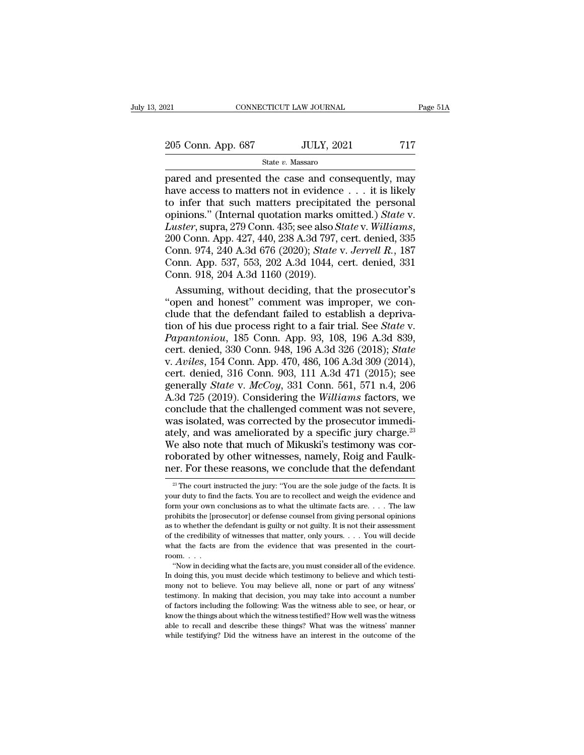### State *v.* Massaro

pared and presented the case and consequently, may<br>
that are  $v$ . Massaro<br>
pared and presented the case and consequently, may<br>
have access to matters not in evidence  $\ldots$  it is likely<br>
to infer that such matters precipit 205 Conn. App. 687 JULY, 2021 717<br>State v. Massaro<br>pared and presented the case and consequently, may<br>have access to matters not in evidence . . . it is likely<br>to infer that such matters precipitated the personal<br>opinions 205 Conn. App. 687 JULY, 2021 717<br>
State v. Massaro<br>
pared and presented the case and consequently, may<br>
have access to matters not in evidence . . . it is likely<br>
to infer that such matters precipitated the personal<br>
opi 205 Conn. App. 687 JULY, 2021 717<br>
State *v*. Massaro<br>
pared and presented the case and consequently, may<br>
have access to matters not in evidence . . . it is likely<br>
to infer that such matters precipitated the personal<br>
op *State v. Massaro*<br> *State v. Massaro*<br>
pared and presented the case and consequently, may<br>
have access to matters not in evidence . . . it is likely<br>
to infer that such matters precipitated the personal<br>
opinions." (Inter pared and presented the case and consequently, may<br>have access to matters not in evidence . . . it is likely<br>to infer that such matters precipitated the personal<br>opinions." (Internal quotation marks omitted.) *State* v.<br>*L* have access to matters not in evidence . . . it is likely<br>to infer that such matters precipitated the personal<br>opinions." (Internal quotation marks omitted.) *State v.*<br>Luster, supra, 279 Conn. 435; see also *State v. Will* to infer that such matters precipitat opinions." (Internal quotation marks c<br> *Luster*, supra, 279 Conn. 435; see also S<br>
200 Conn. App. 427, 440, 238 A.3d 797, Conn. 974, 240 A.3d 676 (2020); *State*<br>
Conn. App. 537, 553 inions." (Internal quotation marks omitted.) *State v.*<br> *uster*, supra, 279 Conn. 435; see also *State v. Williams*,<br>
0 Conn. App. 427, 440, 238 A.3d 797, cert. denied, 335<br>
pnn. 974, 240 A.3d 676 (2020); *State v. Jerrel* Luster, supra, 279 Conn. 435; see also *State* v. Williams, 200 Conn. App. 427, 440, 238 A.3d 797, cert. denied, 335 Conn. 974, 240 A.3d 676 (2020); *State* v. *Jerrell R.*, 187 Conn. App. 537, 553, 202 A.3d 1044, cert. d

200 Conn. App. 427, 440, 238 A.3d 797, cert. denied, 335<br>Conn. 974, 240 A.3d 676 (2020); *State v. Jerrell R.*, 187<br>Conn. App. 537, 553, 202 A.3d 1044, cert. denied, 331<br>Conn. 918, 204 A.3d 1160 (2019).<br>Assuming, without Conn. 974, 240 A.3d 676 (2020); *State* v. *Jerrell R.*, 187<br>Conn. App. 537, 553, 202 A.3d 1044, cert. denied, 331<br>Conn. 918, 204 A.3d 1160 (2019).<br>Assuming, without deciding, that the prosecutor's<br>"open and honest" commen Conn. App. 537, 553, 202 A.3d 1044, cert. denied, 331<br>
Conn. 918, 204 A.3d 1160 (2019).<br> **Assuming, without deciding, that the prosecutor's**<br>
"open and honest" comment was improper, we con-<br>
clude that the defendant failed Conn. 918, 204 A.3d 1160 (2019).<br>
Assuming, without deciding, that the prosecutor's<br>
"open and honest" comment was improper, we con-<br>
clude that the defendant failed to establish a depriva-<br>
tion of his due process right t Assuming, without deciding, that the prosecutor's<br>
"open and honest" comment was improper, we con-<br>
clude that the defendant failed to establish a depriva-<br>
tion of his due process right to a fair trial. See *State* v.<br> *P* "open and honest" comment was improper, we conclude that the defendant failed to establish a deprivation of his due process right to a fair trial. See *State v.* Papantoniou, 185 Conn. App. 93, 108, 196 A.3d 839, cert. de clude that the defendant failed to establish a deprivation of his due process right to a fair trial. See *State* v.<br>*Papantoniou*, 185 Conn. App. 93, 108, 196 A.3d 839, cert. denied, 330 Conn. 948, 196 A.3d 326 (2018); *St* tion of his due process right to a fair trial. See *State* v.<br>*Papantoniou*, 185 Conn. App. 93, 108, 196 A.3d 839,<br>cert. denied, 330 Conn. 948, 196 A.3d 326 (2018); *State*<br>v. *Aviles*, 154 Conn. App. 470, 486, 106 A.3d 30 Papantoniou, 185 Conn. App. 93, 108, 196 A.3d 839,<br>cert. denied, 330 Conn. 948, 196 A.3d 326 (2018); *State*<br>v. Aviles, 154 Conn. App. 470, 486, 106 A.3d 309 (2014),<br>cert. denied, 316 Conn. 903, 111 A.3d 471 (2015); see<br>g cert. denied, 330 Conn. 948, 196 A.3d 326 (2018); *State* v. *Aviles*, 154 Conn. App. 470, 486, 106 A.3d 309 (2014), cert. denied, 316 Conn. 903, 111 A.3d 471 (2015); see generally *State* v. *McCoy*, 331 Conn. 561, 571 n v. Aviles, 154 Conn. App. 470, 486, 106 A.3d 309 (2014),<br>cert. denied, 316 Conn. 903, 111 A.3d 471 (2015); see<br>generally *State* v. *McCoy*, 331 Conn. 561, 571 n.4, 206<br>A.3d 725 (2019). Considering the *Williams* factors, cert. denied, 316 Conn. 903, 111 A.3d 471 (2015); see<br>generally *State v. McCoy*, 331 Conn. 561, 571 n.4, 206<br>A.3d 725 (2019). Considering the *Williams* factors, we<br>conclude that the challenged comment was not severe,<br>wa generally *State* v.  $McCoy$ , 331 Conn. 561, 571 n.4, 206<br>A.3d 725 (2019). Considering the *Williams* factors, we<br>conclude that the challenged comment was not severe,<br>was isolated, was corrected by the prosecutor immedi-<br>at A.3d 725 (2019). Considering the *Williams* factors, we conclude that the challenged comment was not severe, was isolated, was corrected by the prosecutor immediately, and was ameliorated by a specific jury charge.<sup>23</sup> We ately, and was ameliorated by a specific jury charge.<sup>23</sup> We also note that much of Mikuski's testimony was corroborated by other witnesses, namely, Roig and Faulk-<br>ner. For these reasons, we conclude that the defendant We also note that much of Mikuski's testimony was corroborated by other witnesses, namely, Roig and Faulk-<br>ner. For these reasons, we conclude that the defendant<br> $\frac{1}{2}$  The court instructed the jury: "You are the sole

roborated by other witnesses, namely, Roig and Faulk-<br>ner. For these reasons, we conclude that the defendant<br> $\frac{1}{\sqrt{2}}$  The court instructed the jury: "You are the sole judge of the facts. It is<br>your duty to find the fa ner. For these reasons, we conclude that the defendant  $\frac{1}{2}$  The court instructed the jury: "You are the sole judge of the facts. It is your duty to find the facts. You are to recollect and weigh the evidence and form The the set of the set of the set of when the defendant  $\frac{28}{3}$  The court instructed the jury: "You are the sole judge of the facts. It is your duty to find the facts. You are to recollect and weigh the evidence and fo <sup>23</sup> The court instructed the jury: "You are the sole judge of the facts. It is your duty to find the facts. You are to recollect and weigh the evidence and form your own conclusions as to what the ultimate facts are. . . your duty to find the facts. You are to recollect and weigh the evidence and form your own conclusions as to what the ultimate facts are. . . . The law prohibits the [prosecutor] or defense counsel from giving personal opi Obibits the [prosecutor] or defense counsel from giving personal opinions to whether the defendant is guilty or not guilty. It is not their assessment the credibility of witnesses that matter, only yours. . . . You will de Fraction and the defendant is guilty or not guilty. It is not their assessment of the credibility of witnesses that matter, only yours.  $\ldots$  You will decide what the facts are from the evidence that was presented in the

as the credibility of witnesses that matter, only yours. . . . You will decide what the facts are from the evidence that was presented in the courtroom. . . . "Now in deciding what the facts are, you must consider all of t testimony. In making that decision, you may take into account a number of factors including the following: Was the witness able to see, or hear, or "Now in deciding what the facts are, you must consider all of the evidence.<br>In doing this, you must decide which testimony to believe and which testimony not to believe. You may believe all, none or part of any witness'<br>te In doing this, you must decide which testimony to believe and which testimony not to believe. You may believe all, none or part of any witness' testimony. In making that decision, you may take into account a number of fact meony not to believe. You may believe all, none or part of any witness'<br>mony not to believe. You may believe all, none or part of any witness'<br>testimony. In making that decision, you may take into account a number<br>of facto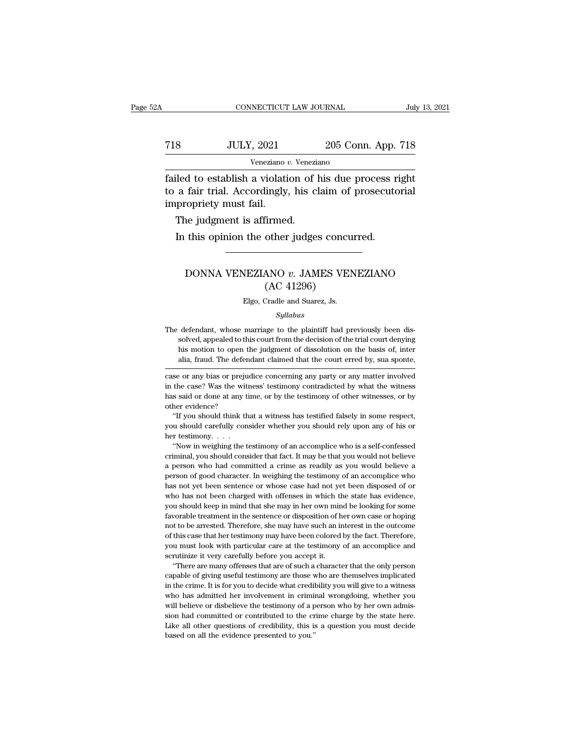# CONNECTICUT LAW JOURNAL July 13, 2021<br>
718 JULY, 2021 205 Conn. App. 718<br>
Veneziano v. Veneziano Veneziano *v.* Veneziano

Failed to establish a violation of his due process right<br>to a fair trial. Accordingly, his claim of prosecutorial<br>timenonioty must fail The Taurist Comment of the Taurist Comment of the Veneziano Veneziano Veneziano<br>Tailed to establish a violation of his due process right<br>to a fair trial. Accordingly, his claim of prosecutorial<br>impropriety must fail.  $\begin{array}{r} \text{718} & \text{JULY, } 2021 \ \hline \end{array}$   $\begin{array}{r} \text{Veneziano } v \ \text{failed to establish a violation} \ \text{to a fair trial. Accordingly,} \ \text{improperty must fail.} \ \text{The judgment is affine} \end{array}$  $\notag$   $\begin{array}{r} \text{JULY, 2021} \\ \text{Veneziano } v. \text{ Venezia} \\ \text{iled to establish a violation of } 1 \\ \text{a fair trial. Accordingly, his cl} \\ \text{property must fail.} \\ \text{The judgment is affirmed. \\ \text{In this opinion the other judge:} \end{array}$ Veneziano  $v$ . Veneziano<br>
Iled to establish a violation of his due process r<br>
a fair trial. Accordingly, his claim of prosecuto<br>
propriety must fail.<br>
The judgment is affirmed.<br>
In this opinion the other judges concurred.

## France Prince Contribution and Technology, your dimited to principal and principal and this opinion the other judges concurred.<br>
DONNA VENEZIANO *v.* JAMES VENEZIANO (AC 41296) firmed.<br>
other judges concu<br>
ANO v. JAMES VEI<br>
(AC 41296)<br>
Cradle and Suarez, Js. DONNA VENEZIANO v. JAMES VENEZIANO<br>(AC 41296)<br>Elgo, Cradle and Suarez, Js.

### *Syllabus*

The defendant, whose marriage to the plaintiff had previously been dissolved, appealed to this court from the decision of the trial court denying his motion to open the judgment of dissolution on the basis of, inter  $(AC 41296)$ <br>Elgo, Cradle and Suarez, Js.<br>Syllabus<br>defendant, whose marriage to the plaintiff had previously been dis-<br>solved, appealed to this court from the decision of the trial court denying<br>his motion to open the judg Elgo, Cradle and Suarez, Js.<br>
Syllabus<br>
defendant, whose marriage to the plaintiff had previously been dis-<br>
solved, appealed to this court from the decision of the trial court denying<br>
his motion to open the judgment of d *Syllabus*<br>*Syllabus*<br>defendant, whose marriage to the plaintiff had previously been dis-<br>solved, appealed to this court from the decision of the trial court denying<br>his motion to open the judgment of dissolution on the ba The defendant, whose marriage to the plaintiff had previously been dissolved, appealed to this court from the decision of the trial court denying his motion to open the judgment of dissolution on the basis of, inter alia, The detendant, whose marriage to the plaintif had previously been dissolved, appealed to this court from the decision of the trial court denying his motion to open the judgment of dissolution on the basis of, inter alia, f

solved, appealed to this court iron the decision of the trial court denying<br>his motion to open the judgment of dissolution on the basis of, inter<br>alia, fraud. The defendant claimed that the court erred by, sua sponte,<br>case alia, fraud. The defendant claimed that the court erred by, sua sponte,<br>case or any bias or prejudice concerning any party or any matter involved<br>in the case? Was the witness' testimony contradicted by what the witness<br>has alla, fraud. The defendant claimed that the court erred by, sua sponte,<br>se or any bias or prejudice concerning any party or any matter involved<br>the case? Was the witness' testimony contradicted by what the witness<br>s said o case or any bias or prejudice concerning any party or any matter involved<br>in the case? Was the witness' testimony contradicted by what the witness<br>has said or done at any time, or by the testimony of other witnesses, or by in the case? Was the witness' testimony contradicted by what the witness<br>has said or done at any time, or by the testimony of other witnesses, or by<br>other evidence?<br>"If you should think that a witness has testified falsel

It is a stad or done at any time, or by the testimony of other witnesses, or by the revidence?<br>
"If you should think that a witness has testified falsely in some respect, u should carefully consider whether you should rely

consider that fact. It may be that fact is a self-confessed with evidence?<br>
"If you should think that a witness has testified falsely in some respect,<br>
you should carefully consider whether you should rely upon any of his "If you should think that a witness has testified falsely in some respect, you should carefully consider whether you should rely upon any of his or her testimony. . . . "Now in weighing the testimony of an accomplice who pou should carefully consider whether you should rely upon any of his or her testimony.  $\ldots$  "Now in weighing the testimony of an accomplice who is a self-confessed criminal, you should consider that fact. It may be that has not been sentence or whose case had not yet been disposed or who had consider that fact. It may be that you would not believe a person who had committed a crime as readily as you would believe a person of good characte "Now in weighing the testimony of an accomplice who is a self-confessed criminal, you should consider that fact. It may be that you would not believe a person who had committed a crime as readily as you would believe a pe eriminal, you should consider that fact. It may be that you would not believe a person who had committed a crime as readily as you would believe a person of good character. In weighing the testimony of an accomplice who ha favorable treatment in the sentence or disposition of her outcome approximately a person of good character. In weighing the testimony of an accomplice who has not yet been sentence or whose case had not yet been disposed o not to be arrested. Therefore, she may have been colored by the fact. Therefore, the arrest in the state has evidence, you should keep in mind that she may in her own mind be looking for some favorable treatment in the sen plass not yet been sentence or whose case had not yet been disposed of or who has not been charged with offenses in which the state has evidence, you should keep in mind that she may in her own mind be looking for some fav who has not been charged with offenses in which the state has evidence, you should keep in mind that she may in her own mind be looking for some favorable treatment in the sentence or disposition of her own case or hoping wou should keep in mind that she may in her own mind<br>favorable treatment in the sentence or disposition of h<br>not to be arrested. Therefore, she may have such an in<br>of this case that her testimony may have been colored<br>you ""Yorable treatment in the sentence or disposition of her own case or hoping<br>to to be arrested. Therefore, she may have such an interest in the outcome<br>this case that her testimony may have been colored by the fact. Theref not to be arrested. Therefore, she may have such an interest in the outcome of this case that her testimony may have been colored by the fact. Therefore, you must look with particular care at the testimony of an accomplice

from the crime. It is for you to decide what credibility you will give to a witness of this case that her testimony may have been colored by the fact. Therefore, you must look with particular care at the testimony of an ac by a must look with particular care at the testimony of an accomplice and scrutinize it very carefully before you accept it.<br>
"There are many offenses that are of such a character that the only person capable of giving use where the very carefully before you accept it.<br>
"There are many offenses that are of such a character that the only person<br>
capable of giving useful testimony are those who are themselves implicated<br>
in the crime. It is fo There are many offenses that are of such a character that the only person capable of giving useful testimony are those who are themselves implicated in the crime. It is for you to decide what credibility you will give to a capable of giving useful testimony are those who are themselves implicated in the crime. It is for you to decide what credibility you will give to a witness who has admitted her involvement in criminal wrongdoing, whether in the crime. It is for you to decide what credibility you will give to a witness<br>who has admitted her involvement in criminal wrongdoing, whether you<br>will believe or disbelieve the testimony of a person who by her own adm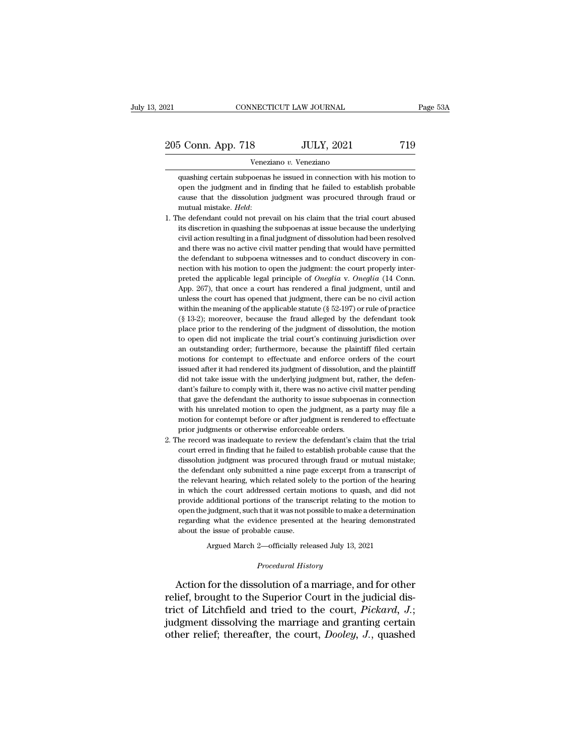Veneziano *v.* Veneziano

S Conn. App. 718 JULY, 2021 719<br>
Veneziano v. Veneziano<br>
quashing certain subpoenas he issued in connection with his motion to<br>
open the judgment and in finding that he failed to establish probable open the judgment and in finding that he failed to establish probable cause that the dissolution judgment was procured through fraud or 205 Conn. App. 718 JULY, 2021 719<br>
Veneziano v. Veneziano<br>
quashing certain subpoenas he issued in connection with his motion to<br>
open the judgment and in finding that he failed to establish probable<br>
cause that the disso Foreignal mathematic vertex of the second mathematic dependent and in finding that he failed to establish probable cause that the dissolution judgment was procured through fraud or mutual mistake. *Held*:<br>1. The defendant quashing certain subpoenas he issued in connection with his motion to open the judgment and in finding that he failed to establish probable cause that the dissolution judgment was procured through fraud or mutual mistake.

- open the judgment and in finding that he failed to establish probable<br>cause that the dissolution judgment was procured through fraud or<br>mutual mistake. Held:<br>he defendant could not prevail on his claim that the trial court cause that the dissolution judgment was procured through fraud or mutual mistake. *Held*:<br>he defendant could not prevail on his claim that the trial court abused<br>its discretion in quashing the subpoenas at issue because th mutual mistake. *Held*:<br>he defendant could not prevail on his claim that the trial court abused<br>its discretion in quashing the subpoenas at issue because the underlying<br>civil action resulting in a final judgment of dissolu the defendant could not prevail on his claim that the trial court abused<br>its discretion in quashing the subpoenas at issue because the underlying<br>civil action resulting in a final judgment of dissolution had been resolved its discretion in quashing the subpoenas at issue because the underlying<br>civil action resulting in a final judgment of dissolution had been resolved<br>and there was no active civil matter pending that would have permitted<br>th civil action resulting in a final judgment of dissolution had been resolved<br>and there was no active civil matter pending that would have permitted<br>the defendant to subpoena witnesses and to conduct discovery in con-<br>nectio and there was no active civil matter pending that would have permitted the defendant to subpoena witnesses and to conduct discovery in connection with his motion to open the judgment: the court properly interpreted the ap the defendant to subpoena witnesses and to conduct discovery in connection with his motion to open the judgment: the court properly interpreted the applicable legal principle of *Oneglia* v. *Oneglia* (14 Conn. App. 267), nection with his motion to open the judgment: the court properly inter-<br>preted the applicable legal principle of *Oneglia* v. *Oneglia* (14 Conn.<br>App. 267), that once a court has rendered a final judgment, until and<br>unles preted the applicable legal principle of *Oneglia* v. *Oneglia* (14 Conn. App. 267), that once a court has rendered a final judgment, until and unless the court has opened that judgment, there can be no civil action withi App. 267), that once a court has rendered a final judgment, until and unless the court has opened that judgment, there can be no civil action within the meaning of the applicable statute ( $\S$  52-197) or rule of practice ( unless the court has opened that judgment, there can be no civil action<br>within the meaning of the applicable statute ( $\S$  52-197) or rule of practice<br>( $\S$  13-2); moreover, because the fraud alleged by the defendant took<br>p within the meaning of the applicable statute (§ 52-197) or rule of practice (§ 13-2); moreover, because the fraud alleged by the defendant took place prior to the rendering of the judgment of dissolution, the motion to op (§ 13-2); moreover, because the fraud alleged by the defendant took place prior to the rendering of the judgment of dissolution, the motion to open did not implicate the trial court's continuing jurisdiction over an outsta (§ 13-2); moreover, because the fraud alleged by the defendant took place prior to the rendering of the judgment of dissolution, the motion to open did not implicate the trial court's continuing jurisdiction over an outst to open did not implicate the trial court's continuing jurisdiction over<br>an outstanding order; furthermore, because the plaintiff filed certain<br>motions for contempt to effectuate and enforce orders of the court<br>issued afte an outstanding order; furthermore, because the plaintiff filed certain motions for contempt to effectuate and enforce orders of the court issued after it had rendered its judgment of dissolution, and the plaintiff did not motions for contempt to effectuate and enforce orders of the court<br>issued after it had rendered its judgment of dissolution, and the plaintiff<br>did not take issue with the underlying judgment but, rather, the defen-<br>dant's issued after it had rendered its judgment of dissolution, and the plaintiff<br>did not take issue with the underlying judgment but, rather, the defen-<br>dant's failure to comply with it, there was no active civil matter pending did not take issue with the underlying judgment but, radant's failure to comply with it, there was no active civil<br>that gave the defendant the authority to issue subpoena<br>with his unrelated motion to open the judgment, as 2. The record was inadequate to review the factor with matter pending that gave the defendant the authority to issue subpoenas in connection with his unrelated motion to open the judgment, as a party may file a motion for that gave the defendant the authority to issue subpoenas in connection<br>with his unrelated motion to open the judgment, as a party may file a<br>motion for contempt before or after judgment is rendered to effectuate<br>prior judg
- with his unrelated motion to open the judgment, as a party may file a<br>motion for contempt before or after judgment is rendered to effectuate<br>prior judgments or otherwise enforceable orders.<br>he record was inadequate to revi motion for contempt before or after judgment is rendered to effectuate<br>prior judgments or otherwise enforceable orders.<br>he record was inadequate to review the defendant's claim that the trial<br>court erred in finding that he prior judgments or otherwise enforceable orders.<br>he record was inadequate to review the defendant's claim that the trial<br>court erred in finding that he failed to establish probable cause that the<br>dissolution judgment was p in the record was inadequate to review the defendant's claim that the trial court erred in finding that he failed to establish probable cause that the dissolution judgment was procured through fraud or mutual mistake; the court erred in finding that he failed to establish probable cause that the dissolution judgment was procured through fraud or mutual mistake; the defendant only submitted a nine page excerpt from a transcript of the releva dissolution judgment was procured through fraud or mutual mistake;<br>the defendant only submitted a nine page excerpt from a transcript of<br>the relevant hearing, which related solely to the portion of the hearing<br>in which the the defendant only submitted a nine page excerpt from a transcript of the relevant hearing, which related solely to the portion of the hearing in which the court addressed certain motions to quash, and did not provide addi the relevant hearing, which related sole<br>in which the court addressed certain 1<br>provide additional portions of the trans<br>open the judgment, such that it was not p<br>regarding what the evidence presented<br>about the issue of pr I the court addressed certain motions to quash, and did n additional portions of the transcript relating to the motion judgment, such that it was not possible to make a determinating what the evidence presented at the hear open the judgment, such that it was not possible to make a determination<br>regarding what the evidence presented at the hearing demonstrated<br>about the issue of probable cause.<br>Argued March 2—officially released July 13, 2021 open the judgment, such that it was not possible to make a determination<br>regarding what the evidence presented at the hearing demonstrated<br>about the issue of probable cause.<br>Argued March 2—officially released July 13, 2021

regarding what the evidence presented at the hearing demonstrated<br>about the issue of probable cause.<br>Argued March 2—officially released July 13, 2021<br>*Procedural History*<br>Action for the dissolution of a marriage, and for o about the issue of probable cause.<br>
Argued March 2—officially released July 13, 2021<br> *Procedural History*<br>
Action for the dissolution of a marriage, and for other<br>
relief, brought to the Superior Court in the judicial dis Argued March 2—officially released July 13, 2021<br>
Procedural History<br>
Action for the dissolution of a marriage, and for other<br>
relief, brought to the Superior Court in the judicial dis-<br>
trict of Litchfield and tried to th *Procedural History*<br>Action for the dissolution of a marriage, and for other<br>relief, brought to the Superior Court in the judicial dis-<br>trict of Litchfield and tried to the court, *Pickard*, *J.*;<br>judgment dissolving the m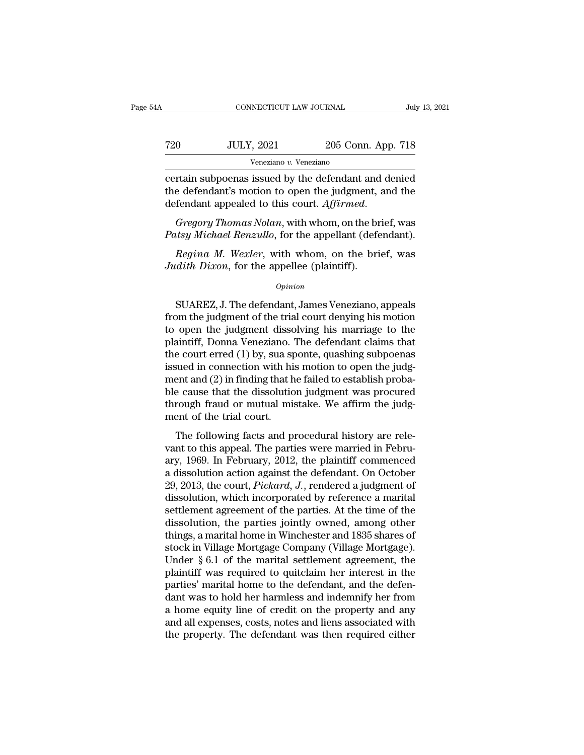| A   | CONNECTICUT LAW JOURNAL |                    | July 13, 2021 |
|-----|-------------------------|--------------------|---------------|
|     |                         |                    |               |
| 720 | <b>JULY, 2021</b>       | 205 Conn. App. 718 |               |
|     | Veneziano v. Veneziano  |                    |               |

CONNECTICUT LAW JOURNAL July 13, 2021<br>
T20 JULY, 2021 205 Conn. App. 718<br>
Veneziano v. Veneziano<br>
Certain subpoenas issued by the defendant and denied<br>
the defendant's motion to open the judgment, and the defendant anneale T20 JULY, 2021 205 Conn. App. 718<br>
Veneziano v. Veneziano<br>
Certain subpoenas issued by the defendant and denied<br>
the defendant's motion to open the judgment, and the<br>
defendant appealed to this court. Affirmed. defendant appealed to this court. App. 718<br>
defendant appealed to this court. *Affirmed.*<br> *Gregory Thomas Nolan*, with whom, on the brief, was<br> *Gregory Thomas Nolan*, with whom, on the brief, was<br> *Patsy Michael Renzullo Patriam Subpoenas* issued by the defendant and denied<br>the defendant's motion to open the judgment, and the<br>defendant appealed to this court. Affirmed.<br>*Gregory Thomas Nolan*, with whom, on the brief, was<br>*Patsy Michael Re* rtain subpoenas issued by the defendant and denied<br>e defendant's motion to open the judgment, and the<br>fendant appealed to this court. *Affirmed*.<br>*Gregory Thomas Nolan*, with whom, on the brief, was<br>*Regina M. Wexler*, wit *Judith defendant's motion to open the judgment, defendant appealed to this court. Affirmed.*<br>*Gregory Thomas Nolan*, with whom, on the br<br>*Patsy Michael Renzullo*, for the appellant (deferently *Regina M. Wexler*, with wh

### *Opinion*

Substrate Protation, what when, on the strest, was<br>they Michael Renzullo, for the appellant (defendant).<br>Regina M. Wexler, with whom, on the brief, was<br>dith Dixon, for the appellee (plaintiff).<br>Opinion<br>SUAREZ, J. The defen *Regina M. Wexler*, with whom, on the brief, was<br>*Judith Dixon*, for the appellee (plaintiff).<br>*Opinion*<br>SUAREZ, J. The defendant, James Veneziano, appeals<br>from the judgment of the trial court denying his motion<br>to open th Regina M. Wexler, with whom, on the brief, was<br>Judith Dixon, for the appellee (plaintiff).<br> $\frac{opinion}{D}$ <br>SUAREZ, J. The defendant, James Veneziano, appeals<br>from the judgment of the trial court denying his motion<br>to open the *Judith Dixon*, for the appellee (plaintiff).<br>  $\frac{Opinion}{P}$ <br>
SUAREZ, J. The defendant, James Veneziano, appeals<br>
from the judgment of the trial court denying his motion<br>
to open the judgment dissolving his marriage to the<br>  $o$ *pinion*<br>SUAREZ, J. The defendant, James Veneziano, appeals<br>from the judgment of the trial court denying his motion<br>to open the judgment dissolving his marriage to the<br>plaintiff, Donna Veneziano. The defendant claims t SUAREZ, J. The defendant, James Veneziano, appeals<br>from the judgment of the trial court denying his motion<br>to open the judgment dissolving his marriage to the<br>plaintiff, Donna Veneziano. The defendant claims that<br>the cour SUAREZ, J. The defendant, James Veneziano, appeals<br>from the judgment of the trial court denying his motion<br>to open the judgment dissolving his marriage to the<br>plaintiff, Donna Veneziano. The defendant claims that<br>the cour from the judgment of the trial court denying his motion<br>to open the judgment dissolving his marriage to the<br>plaintiff, Donna Veneziano. The defendant claims that<br>the court erred (1) by, sua sponte, quashing subpoenas<br>issue to open the judgment dissolving his marriage to the plaintiff, Donna Veneziano. The defendant claims that the court erred (1) by, sua sponte, quashing subpoenas issued in connection with his motion to open the judg-<br>ment a plaintiff, Donna Veneziano. '<br>the court erred (1) by, sua sp<br>issued in connection with hi<br>ment and (2) in finding that h<br>ble cause that the dissolutio<br>through fraud or mutual mis<br>ment of the trial court.<br>The following fact Following facts and procedural history are rele-<br>time following factors and (2) in finding that he failed to establish proba-<br>e cause that the dissolution judgment was procured<br>rough fraud or mutual mistake. We affirm the value of the dissolution with the field to establish probable cause that the dissolution judgment was procured<br>through fraud or mutual mistake. We affirm the judgment of the trial court.<br>The following facts and procedural

From and (2) It finding that it rance to establish probable cause that the dissolution judgment was procured<br>through fraud or mutual mistake. We affirm the judgment of the trial court.<br>The following facts and procedural h through fraud or mutual mistake. We affirm the judgment of the trial court.<br>The following facts and procedural history are relevant to this appeal. The parties were married in February, 1969. In February, 2012, the plainti Find the trial court.<br>
The following facts and procedural history are relevant to this appeal. The parties were married in February, 1969. In February, 2012, the plaintiff commenced<br>
a dissolution action against the defend The following facts and procedural history are relevant to this appeal. The parties were married in February, 1969. In February, 2012, the plaintiff commenced a dissolution action against the defendant. On October 29, 2013 The following facts and procedural history are relevant to this appeal. The parties were married in February, 1969. In February, 2012, the plaintiff commenced a dissolution action against the defendant. On October 29, 2013 vant to this appeal. The parties were married in February, 1969. In February, 2012, the plaintiff commenced<br>a dissolution action against the defendant. On October<br>29, 2013, the court, *Pickard*, J., rendered a judgment of<br> ary, 1969. In February, 2012, the plaintiff commenced<br>a dissolution action against the defendant. On October<br>29, 2013, the court, *Pickard*, J., rendered a judgment of<br>dissolution, which incorporated by reference a marital a dissolution action against the defendant. On October 29, 2013, the court, *Pickard*, *J*., rendered a judgment of dissolution, which incorporated by reference a marital settlement agreement of the parties. At the time of 29, 2013, the court, *Pickard*, J., rendered a judgment of dissolution, which incorporated by reference a marital settlement agreement of the parties. At the time of the dissolution, the parties jointly owned, among other dissolution, which incorporated by reference a marital<br>settlement agreement of the parties. At the time of the<br>dissolution, the parties jointly owned, among other<br>things, a marital home in Winchester and 1835 shares of<br>sto settlement agreement of the parties. At the time of the dissolution, the parties jointly owned, among other things, a marital home in Winchester and 1835 shares of stock in Village Mortgage Company (Village Mortgage). Unde dissolution, the parties jointly owned, among other<br>things, a marital home in Winchester and 1835 shares of<br>stock in Village Mortgage Company (Village Mortgage).<br>Under § 6.1 of the marital settlement agreement, the<br>plainti things, a marital home in Winchester and 1835 shares of<br>stock in Village Mortgage Company (Village Mortgage).<br>Under § 6.1 of the marital settlement agreement, the<br>plaintiff was required to quitclaim her interest in the<br>par stock in Village Mortgage Company (Village Mortgage).<br>Under § 6.1 of the marital settlement agreement, the<br>plaintiff was required to quitclaim her interest in the<br>parties' marital home to the defendant, and the defen-<br>dant Under  $\S 6.1$  of the marital settlement agreement, the plaintiff was required to quitclaim her interest in the parties' marital home to the defendant, and the defendant was to hold her harmless and indemnify her from a ho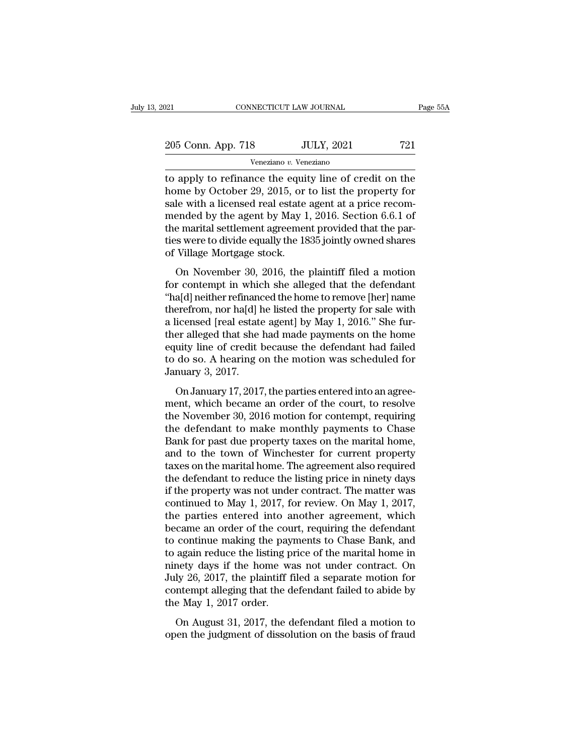| 2021               | CONNECTICUT LAW JOURNAL | Page 55A |
|--------------------|-------------------------|----------|
| 205 Conn. App. 718 | <b>JULY, 2021</b>       | 721      |
|                    | Veneziano v. Veneziano  |          |

The connective connection of the equity of the property of the equity of the equity line of credit on the equity line of credit on the home by October 29, 2015, or to list the property for sale with a ligensed real estate 205 Conn. App. 718 JULY, 2021 721<br>
Veneziano v. Veneziano<br>
to apply to refinance the equity line of credit on the<br>
home by October 29, 2015, or to list the property for<br>
sale with a licensed real estate agent at a price re  $\begin{tabular}{ c c c c} \multicolumn{1}{c}{{\text{205 Conn. App. 718}}} & {\text{JULY, 2021}} & {\text{721}}\\ \hline \hline \multicolumn{1}{c}{{\text{Veneziano }}v{\text{. Veneziano}}} & {\text{721}}\\ \hline \multicolumn{1}{c}{{\text{10}}} & {\text{10}} & {\text{11}} & {\text{11}} & {\text{12}} & {\text{12}}\\ \hline \multicolumn{1}{c}{{\text{11}}} & {\text{12}} & {\text{13}} & {\text{15}} & {\text{15}} & {\text{16}} & {\text{16}}\\ \hline$ 205 Conn. App. 718 JULY, 2021 721<br>
Veneziano v. Veneziano<br>
to apply to refinance the equity line of credit on the<br>
home by October 29, 2015, or to list the property for<br>
sale with a licensed real estate agent at a price r Veneziano v. Veneziano<br>to apply to refinance the equity line of credit on the<br>home by October 29, 2015, or to list the property for<br>sale with a licensed real estate agent at a price recom-<br>mended by the agent by May 1, 20 veneziano  $v$ . Veneziano<br>to apply to refinance the equity line of credit on the<br>home by October 29, 2015, or to list the property for<br>sale with a licensed real estate agent at a price recom-<br>mended by the agent by May 1, to apply to refinance the equit<br>home by October 29, 2015, or<br>sale with a licensed real estate<br>mended by the agent by May 1<br>the marital settlement agreemer<br>ties were to divide equally the 18<br>of Village Mortgage stock.<br>On No The by Secober 25, 2016, or to hist the property for<br>le with a licensed real estate agent at a price recom-<br>ended by the agent by May 1, 2016. Section 6.6.1 of<br>e marital settlement agreement provided that the par-<br>s were t sale with a necksed real estate agent at a price recommended by the agent by May 1, 2016. Section 6.6.1 of<br>the marital settlement agreement provided that the par-<br>ties were to divide equally the 1835 jointly owned shares<br>o

the marital settlement agreement provided that the parties were to divide equally the 1835 jointly owned shares<br>of Village Mortgage stock.<br>On November 30, 2016, the plaintiff filed a motion<br>for contempt in which she alleg the market settlem agreement provided that the parties were to divide equally the 1835 jointly owned shares<br>of Village Mortgage stock.<br>On November 30, 2016, the plaintiff filed a motion<br>for contempt in which she alleged th and Village Mortgage stock.<br>
On November 30, 2016, the plaintiff filed a motion<br>
for contempt in which she alleged that the defendant<br>
"ha[d] neither refinanced the home to remove [her] name<br>
therefrom, nor ha[d] he listed on November 30, 2016, the plaintiff filed a motion<br>for contempt in which she alleged that the defendant<br>"ha[d] neither refinanced the home to remove [her] name<br>therefrom, nor ha[d] he listed the property for sale with<br>a l On November 30, 2016, the plaintiff filed a motion<br>for contempt in which she alleged that the defendant<br>"ha[d] neither refinanced the home to remove [her] name<br>therefrom, nor ha[d] he listed the property for sale with<br>a l for contempt in which she alleged that the defendant<br>"ha[d] neither refinanced the home to remove [her] name<br>therefrom, nor ha[d] he listed the property for sale with<br>a licensed [real estate agent] by May 1, 2016." She fur "ha[d] neither refinance<br>therefrom, nor ha[d] h<br>a licensed [real estate<br>ther alleged that she<br>equity line of credit l<br>to do so. A hearing c<br>January 3, 2017.<br>On January 17, 2017 icensed [real estate agent] by May 1, 2016." She fur-<br>icensed [real estate agent] by May 1, 2016." She fur-<br>er alleged that she had made payments on the home<br>uity line of credit because the defendant had failed<br>do so. A he mentalleged that she had made payments on the home<br>equity line of credit because the defendant had failed<br>to do so. A hearing on the motion was scheduled for<br>January 3, 2017.<br>On January 17, 2017, the parties entered into

the alternative matches and the new equity line of credit because the defendant had failed<br>to do so. A hearing on the motion was scheduled for<br>January 3, 2017.<br>On January 17, 2017, the parties entered into an agree-<br>ment, to do so. A hearing on the motion was scheduled for<br>January 3, 2017.<br>On January 17, 2017, the parties entered into an agree-<br>ment, which became an order of the court, to resolve<br>the November 30, 2016 motion for contempt, r January 3, 2017.<br>
On January 17, 2017, the parties entered into an agreement, which became an order of the court, to resolve<br>
the November 30, 2016 motion for contempt, requiring<br>
the defendant to make monthly payments to on January 17, 2017, the parties entered into an agreement, which became an order of the court, to resolve<br>the November 30, 2016 motion for contempt, requiring<br>the defendant to make monthly payments to Chase<br>Bank for past On January 17, 2017, the parties entered into an agreement, which became an order of the court, to resolve<br>the November 30, 2016 motion for contempt, requiring<br>the defendant to make monthly payments to Chase<br>Bank for past ment, which became an order of the court, to resolve<br>the November 30, 2016 motion for contempt, requiring<br>the defendant to make monthly payments to Chase<br>Bank for past due property taxes on the marital home,<br>and to the to the November 30, 2016 motion for contempt, requiring<br>the defendant to make monthly payments to Chase<br>Bank for past due property taxes on the marital home,<br>and to the town of Winchester for current property<br>taxes on the mar the defendant to make monthly payments to Chase<br>Bank for past due property taxes on the marital home,<br>and to the town of Winchester for current property<br>taxes on the marital home. The agreement also required<br>the defendant Bank for past due property taxes on the marital home,<br>and to the town of Winchester for current property<br>taxes on the marital home. The agreement also required<br>the defendant to reduce the listing price in ninety days<br>if th and to the town of Winchester for current property<br>taxes on the marital home. The agreement also required<br>the defendant to reduce the listing price in ninety days<br>if the property was not under contract. The matter was<br>cont taxes on the marital home. The agreement also required<br>the defendant to reduce the listing price in ninety days<br>if the property was not under contract. The matter was<br>continued to May 1, 2017, for review. On May 1, 2017,<br>t the defendant to reduce the listing price in ninety days<br>if the property was not under contract. The matter was<br>continued to May 1, 2017, for review. On May 1, 2017,<br>the parties entered into another agreement, which<br>became if the property was not under contract. The matter was<br>continued to May 1, 2017, for review. On May 1, 2017,<br>the parties entered into another agreement, which<br>became an order of the court, requiring the defendant<br>to contin continued to May 1, 2017, for review. On May 1, 2017,<br>the parties entered into another agreement, which<br>became an order of the court, requiring the defendant<br>to continue making the payments to Chase Bank, and<br>to again redu the parties entered into another agreement, which<br>became an order of the court, requiring the defendant<br>to continue making the payments to Chase Bank, and<br>to again reduce the listing price of the marital home in<br>ninety day became an order of the cou<br>to continue making the pay<br>to again reduce the listing p<br>ninety days if the home w:<br>July 26, 2017, the plaintiff f<br>contempt alleging that the d<br>the May 1, 2017 order.<br>On August 31, 2017, the c Example manning are payments to ontace Baint, and<br>again reduce the listing price of the marital home in<br>nety days if the home was not under contract. On<br>ly 26, 2017, the plaintiff filed a separate motion for<br>ntempt allegin of discount reduce the home was not under contract. On July 26, 2017, the plaintiff filed a separate motion for contempt alleging that the defendant failed to abide by the May 1, 2017 order.<br>On August 31, 2017, the defenda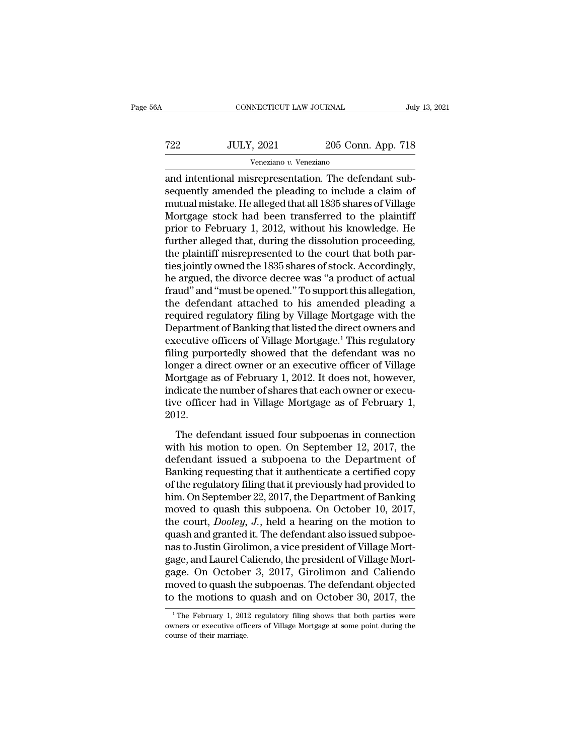# CONNECTICUT LAW JOURNAL July 13, 2021<br>
722 JULY, 2021 205 Conn. App. 718<br>
Veneziano v. Veneziano Veneziano *v.* Veneziano

CONNECTICUT LAW JOURNAL<br>
T22 JULY, 2021 205 Conn. App. 718<br>
Veneziano v. Veneziano<br>
and intentional misrepresentation. The defendant sub-<br>
sequently amended the pleading to include a claim of<br>
mutual misrake. He alloged th  $\noindent \begin{minipage}{0.5\textwidth} \begin{tabular}{c} \multicolumn{2}{c}{\textwidth} \begin{tabular}{c} \multicolumn{2}{c}{\textwidth} \multicolumn{2}{c}{\textwidth} \end{tabular} \end{minipage} \hline \begin{minipage}{0.5\textwidth} \begin{tabular}{c} \multicolumn{2}{c}{\textwidth} \multicolumn{2}{c}{\textwidth} \multicolumn{2}{c}{\textwidth} \multicolumn{2}{c}{\textwidth} \end{tabular} \end{minipage} \hline \begin{minipage}{0.5\textwidth} \begin{tabular}{c} \multicolumn{2}{c}{\textwidth} \multicolumn{2}{$ T22 JULY, 2021 205 Conn. App. 718<br>
Veneziano v. Veneziano<br>
and intentional misrepresentation. The defendant sub-<br>
sequently amended the pleading to include a claim of<br>
mutual mistake. He alleged that all 1835 shares of Vi  $\frac{1}{22}$  JULY, 2021 205 Conn. App. 718<br>
Veneziano v. Veneziano<br>
and intentional misrepresentation. The defendant sub-<br>
sequently amended the pleading to include a claim of<br>
mutual mistake. He alleged that all 1835 share Franch Consumer Controllery Consumer-<br>
The Veneziano<br>
and intentional misrepresentation. The defendant sub-<br>
sequently amended the pleading to include a claim of<br>
mutual mistake. He alleged that all 1835 shares of Village veneziano *v*. veneziano<br>and intentional misrepresentation. The defendant sub-<br>sequently amended the pleading to include a claim of<br>mutual mistake. He alleged that all 1835 shares of Village<br>Mortgage stock had been transf and intentional misrepresentation. The defendant subsequently amended the pleading to include a claim of mutual mistake. He alleged that all 1835 shares of Village Mortgage stock had been transferred to the plaintiff prior sequently amended the pleading to include a claim of<br>mutual mistake. He alleged that all 1835 shares of Village<br>Mortgage stock had been transferred to the plaintiff<br>prior to February 1, 2012, without his knowledge. He<br>furt mutual mistake. He alleged that all 1835 shares of Village<br>Mortgage stock had been transferred to the plaintiff<br>prior to February 1, 2012, without his knowledge. He<br>further alleged that, during the dissolution proceeding,<br> Mortgage stock had been transferred to the plaintiff<br>prior to February 1, 2012, without his knowledge. He<br>further alleged that, during the dissolution proceeding,<br>the plaintiff misrepresented to the court that both par-<br>ti prior to February 1, 2012, without his knowledge. He<br>further alleged that, during the dissolution proceeding,<br>the plaintiff misrepresented to the court that both par-<br>ties jointly owned the 1835 shares of stock. Accordingl further alleged that, during the dissolution proceeding,<br>the plaintiff misrepresented to the court that both par-<br>ties jointly owned the 1835 shares of stock. Accordingly,<br>he argued, the divorce decree was "a product of ac the plaintiff misrepresented to the court that both parties jointly owned the 1835 shares of stock. Accordingly,<br>he argued, the divorce decree was "a product of actual<br>fraud" and "must be opened." To support this allegatio ties jointly owned the 1835 shares of stock. Accordingly,<br>he argued, the divorce decree was "a product of actual<br>fraud" and "must be opened." To support this allegation,<br>the defendant attached to his amended pleading a<br>req he argued, the divorce decree was "a product of actual<br>fraud" and "must be opened." To support this allegation,<br>the defendant attached to his amended pleading a<br>required regulatory filing by Village Mortgage with the<br>Depar fraud" and "must be opened." To support this allegation,<br>the defendant attached to his amended pleading a<br>required regulatory filing by Village Mortgage with the<br>Department of Banking that listed the direct owners and<br>exec the defendant attached to his amended pleading a<br>required regulatory filing by Village Mortgage with the<br>Department of Banking that listed the direct owners and<br>executive officers of Village Mortgage.<sup>1</sup> This regulatory<br>fi required regulatory filing by Village Mortgage with the Department of Banking that listed the direct owners and executive officers of Village Mortgage.<sup>1</sup> This regulatory filing purportedly showed that the defendant was no Department of Banking that listed the direct owners and<br>executive officers of Village Mortgage.<sup>1</sup> This regulatory<br>filing purportedly showed that the defendant was no<br>longer a direct owner or an executive officer of Villag 2012. Ing parporecally showed and are defendant was no<br>nger a direct owner or an executive officer of Village<br>ortgage as of February 1, 2012. It does not, however,<br>dicate the number of shares that each owner or execu-<br>re officer English a time of the model of the Mortgage as of February 1, 2012. It does not, however,<br>indicate the number of shares that each owner or executive officer had in Village Mortgage as of February 1,<br>2012.<br>The defendant iss

indicate the number of shares that each owner or executive officer had in Village Mortgage as of February 1, 2012.<br>The defendant issued four subpoenas in connection with his motion to open. On September 12, 2017, the defe maleade are manker of smalles and each owner of eneed<br>tive officer had in Village Mortgage as of February 1,<br>2012.<br>The defendant issued four subpoenas in connection<br>with his motion to open. On September 12, 2017, the<br>defe The defendant issued four subpoenas in connection<br>with his motion to open. On September 12, 2017, the<br>defendant issued a subpoena to the Department of<br>Banking requesting that it authenticate a certified copy<br>of the regula The defendant issued four subpoenas in connection<br>with his motion to open. On September 12, 2017, the<br>defendant issued a subpoena to the Department of<br>Banking requesting that it authenticate a certified copy<br>of the regula The defendant issued four subpoenas in connection<br>with his motion to open. On September 12, 2017, the<br>defendant issued a subpoena to the Department of<br>Banking requesting that it authenticate a certified copy<br>of the regulat with his motion to open. On September 12, 2017, the<br>defendant issued a subpoena to the Department of<br>Banking requesting that it authenticate a certified copy<br>of the regulatory filing that it previously had provided to<br>him. defendant issued a subpoena to the Department of<br>Banking requesting that it authenticate a certified copy<br>of the regulatory filing that it previously had provided to<br>him. On September 22, 2017, the Department of Banking<br>mo Banking requesting that it authenticate a certified copy<br>of the regulatory filing that it previously had provided to<br>him. On September 22, 2017, the Department of Banking<br>moved to quash this subpoena. On October 10, 2017,<br> of the regulatory filing that it previously had provided to<br>him. On September 22, 2017, the Department of Banking<br>moved to quash this subpoena. On October 10, 2017,<br>the court, *Dooley*, J., held a hearing on the motion to<br> him. On September 22, 2017, the Department of Banking<br>moved to quash this subpoena. On October 10, 2017,<br>the court, *Dooley*, *J*., held a hearing on the motion to<br>quash and granted it. The defendant also issued subpoe-<br>na moved to quash this subpoena. On October 10, 2017,<br>the court, *Dooley*, *J*., held a hearing on the motion to<br>quash and granted it. The defendant also issued subpoe-<br>nas to Justin Girolimon, a vice president of Village Mor the court, *Dooley*, *J*., held a hearing on the motion to<br>quash and granted it. The defendant also issued subpoe-<br>nas to Justin Girolimon, a vice president of Village Mort-<br>gage, and Laurel Caliendo, the president of Vill age, and Laurel Callendo, the president of Village Mortage. On October 3, 2017, Girolimon and Callendo<br>loved to quash the subpoenas. The defendant objected<br>the motions to quash and on October 30, 2017, the<br><sup>1</sup>The February gage. On October 3, 2017, Girolimon and Caliendo<br>moved to quash the subpoenas. The defendant objected<br>to the motions to quash and on October 30, 2017, the<br><sup>1</sup>The February 1, 2012 regulatory filing shows that both parties w

moved to quash the<br>to the motions to<br> $\frac{1}{1}$ The February 1, 2013<br>owners or executive offic<br>course of their marriage.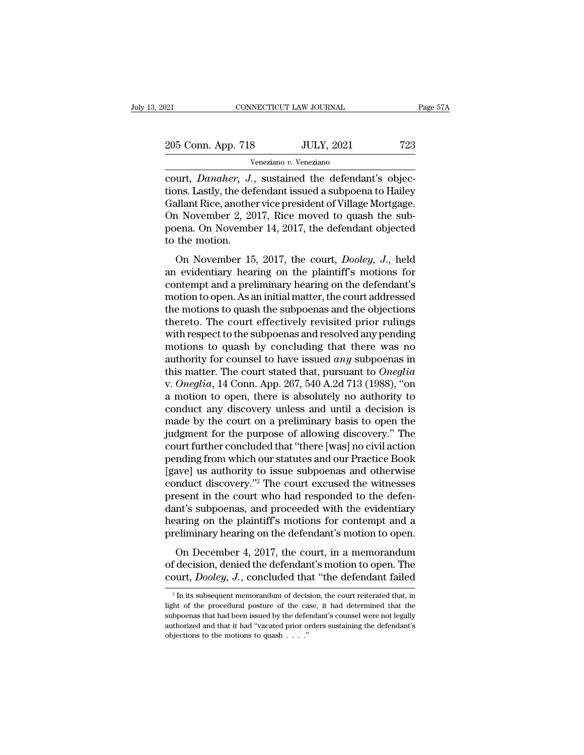| :021               | CONNECTICUT LAW JOURNAL | Page 57A |
|--------------------|-------------------------|----------|
| 205 Conn. App. 718 | <b>JULY, 2021</b>       | 723      |
|                    | Veneziano v. Veneziano  |          |

connectricut LAW JOURNAL<br>
205 Conn. App. 718 JULY, 2021 723<br>
<sup>Veneziano v. Veneziano<br>
court, *Danaher*, J., sustained the defendant's objec-<br>
tions. Lastly, the defendant issued a subpoena to Hailey<br>
Collant Pice, another </sup> 205 Conn. App. 718 JULY, 2021 723<br>
Veneziano v. Veneziano<br>
Court, *Danaher*, *J.*, sustained the defendant's objections.<br>
Lastly, the defendant issued a subpoena to Hailey<br>
Gallant Rice, another vice president of Village M  $\frac{205 \text{ Conn. App. 718}}{\text{Veneziano } v. \text{ Veneziano}}$ <br>  $\frac{Veneziano}{2021}$ <br>  $\frac{Veneziano}{2021}$ <br>  $\frac{Veneziano}{2021}$ <br>  $\frac{Veneziano}{2021}$ <br>  $\frac{Veneziano}{2021}$ <br>  $\frac{Veneziano}{2021}$ <br>  $\frac{Veneziano}{20211}$ <br>  $\frac{Veneziano}{20211}$ <br>  $\frac{Veneziano}{20117}$ <br>  $\frac{Vparano}{2017}$   $\frac{Vparano}{2017}$ <br>  $\frac{V$ 205 Conn. App. 718 JULY, 2021 723<br>
Veneziano v. Veneziano<br>
court, *Danaher*, *J*., sustained the defendant's objec-<br>
tions. Lastly, the defendant issued a subpoena to Hailey<br>
Gallant Rice, another vice president of Village Veneziano v. Veneziano<br>
court, *Danaher*, *J.*, sustained the defendant's objections. Lastly, the defendant issued a subpoena to Hailey<br>
Gallant Rice, another vice president of Village Mortgage.<br>
On November 2, 2017, Rice France ourt, *Danaher*, *J.*<br>tions. Lastly, the def<br>Gallant Rice, another<br>On November 2, 20<br>poena. On November<br>to the motion.<br>On November 15 on November 15, 2017, the court, *Dooley*, *J.*, held<br>evidence, another vice president of Village Mortgage.<br>1 November 2, 2017, Rice moved to quash the sub-<br>ena. On November 14, 2017, the defendant objected<br>the motion.<br>On Gallant Rice, another vice president of Village Mortgage.<br>
On November 2, 2017, Rice moved to quash the sub-<br>
poena. On November 14, 2017, the defendant objected<br>
to the motion.<br>
On November 15, 2017, the court, *Dooley*,

contain rice, abouter vice president of vinage mortgage.<br>On November 2, 2017, Rice moved to quash the sub-<br>poena. On November 14, 2017, the defendant objected<br>to the motion.<br>On November 15, 2017, the court, *Dooley*, *J*., on November 2, 2011, face moved to quash the sub-<br>poena. On November 14, 2017, the defendant objected<br>to the motion.<br>On November 15, 2017, the court, *Dooley*, *J.*, held<br>an evidentiary hearing on the plaintiff's motions to the motion.<br>
On November 15, 2017, the court, *Dooley*, *J.*, held<br>
an evidentiary hearing on the plaintiff's motions for<br>
contempt and a preliminary hearing on the defendant's<br>
motion to open. As an initial matter, the to the motion.<br>
On November 15, 2017, the court, *Dooley*, *J*., held<br>
an evidentiary hearing on the plaintiff's motions for<br>
contempt and a preliminary hearing on the defendant's<br>
motion to open. As an initial matter, the On November 15, 2017, the court, *Dooley*, *J.*, held<br>an evidentiary hearing on the plaintiff's motions for<br>contempt and a preliminary hearing on the defendant's<br>motion to open. As an initial matter, the court addressed<br>th an evidentiary hearing on the plaintiff's motions for<br>contempt and a preliminary hearing on the defendant's<br>motion to open. As an initial matter, the court addressed<br>the motions to quash the subpoenas and the objections<br>t contempt and a preliminary hearing on the defendant's<br>motion to open. As an initial matter, the court addressed<br>the motions to quash the subpoenas and the objections<br>thereto. The court effectively revisited prior rulings<br>w motion to open. As an initial matter, the court addressed<br>the motions to quash the subpoenas and the objections<br>thereto. The court effectively revisited prior rulings<br>with respect to the subpoenas and resolved any pending<br> the motions to quash the subpoenas and the objections<br>thereto. The court effectively revisited prior rulings<br>with respect to the subpoenas and resolved any pending<br>motions to quash by concluding that there was no<br>authority thereto. The court effectively revisited prior rulings<br>with respect to the subpoenas and resolved any pending<br>motions to quash by concluding that there was no<br>authority for counsel to have issued *any* subpoenas in<br>this ma with respect to the subpoenas and resolved any pending<br>motions to quash by concluding that there was no<br>authority for counsel to have issued *any* subpoenas in<br>this matter. The court stated that, pursuant to *Oneglia*<br>v. motions to quash by concluding that there was no<br>authority for counsel to have issued *any* subpoenas in<br>this matter. The court stated that, pursuant to *Oneglia*<br>v. *Oneglia*, 14 Conn. App. 267, 540 A.2d 713 (1988), "on<br> authority for counsel to have issued *any* subpoenas in<br>this matter. The court stated that, pursuant to *Oneglia*<br>v. *Oneglia*, 14 Conn. App. 267, 540 A.2d 713 (1988), "on<br>a motion to open, there is absolutely no authority this matter. The court stated that, pursuant to *Oneglia*<br>v. *Oneglia*, 14 Conn. App. 267, 540 A.2d 713 (1988), "on<br>a motion to open, there is absolutely no authority to<br>conduct any discovery unless and until a decision is v. *Oneglia*, 14 Conn. App. 267, 540 A.2d 713 (1988), "on<br>a motion to open, there is absolutely no authority to<br>conduct any discovery unless and until a decision is<br>made by the court on a preliminary basis to open the<br>judg a motion to open, there is absolutely no authority to<br>conduct any discovery unless and until a decision is<br>made by the court on a preliminary basis to open the<br>judgment for the purpose of allowing discovery." The<br>court fur conduct any discovery unless and until a decision is<br>made by the court on a preliminary basis to open the<br>judgment for the purpose of allowing discovery." The<br>court further concluded that "there [was] no civil action<br>pendi made by the court on a preliminary basis to open the<br>judgment for the purpose of allowing discovery." The<br>court further concluded that "there [was] no civil action<br>pending from which our statutes and our Practice Book<br>[gav judgment for the purpose of allowing discovery." The<br>court further concluded that "there [was] no civil action<br>pending from which our statutes and our Practice Book<br>[gave] us authority to issue subpoenas and otherwise<br>cond court further concluded that "there [was] no civil action<br>pending from which our statutes and our Practice Book<br>[gave] us authority to issue subpoenas and otherwise<br>conduct discovery."<sup>2</sup> The court excused the witnesses<br>pr pending from which our statutes and our Practice Book<br>[gave] us authority to issue subpoenas and otherwise<br>conduct discovery."<sup>2</sup> The court excused the witnesses<br>present in the court who had responded to the defen-<br>dant's and discovery."<sup>2</sup> The court excused the witnesses<br>esent in the court who had responded to the defen-<br>nt's subpoenas, and proceeded with the evidentiary<br>aring on the plaintiff's motions for contempt and a<br>eliminary hearin present in the court who had responded to the defendant's subpoenas, and proceeded with the evidentiary hearing on the plaintiff's motions for contempt and a preliminary hearing on the defendant's motion to open.<br>On Decemb present in the court who had responded to the defendant's subpoenas, and proceeded with the evidentiary hearing on the plaintiff's motions for contempt and a preliminary hearing on the defendant's motion to open.<br>On Decemb

On December 4, 2017, the court, in a memorandum<br>
f decision, denied the defendant's motion to open. The<br>
purt, *Dooley*, *J*., concluded that "the defendant failed<br>  $\frac{1}{2}$  In its subsequent memorandum of decision, the On December 4, 2017, the court, in a memorandum<br>of decision, denied the defendant's motion to open. The<br>court, *Dooley*, *J*., concluded that "the defendant failed<br> $\frac{1}{2}$  In its subsequent memorandum of decision, the c

of decision, denied the defendant's motion to open. The court, *Dooley*, *J*., concluded that "the defendant failed  $a^2$  In its subsequent memorandum of decision, the court reiterated that, in light of the procedural pos court, *Dooley*, *J.*, concluded that "the defendant failed<br>
<sup>2</sup> In its subsequent memorandum of decision, the court reiterated that, in light of the procedural posture of the case, it had determined that the subpoenas th  $^2$  In its subsequent memorandum of decision, the court reiterated that, in light of the procedural posture of the case, it had determined that the subpoenas that had been issued by the defendant's counsel were not legal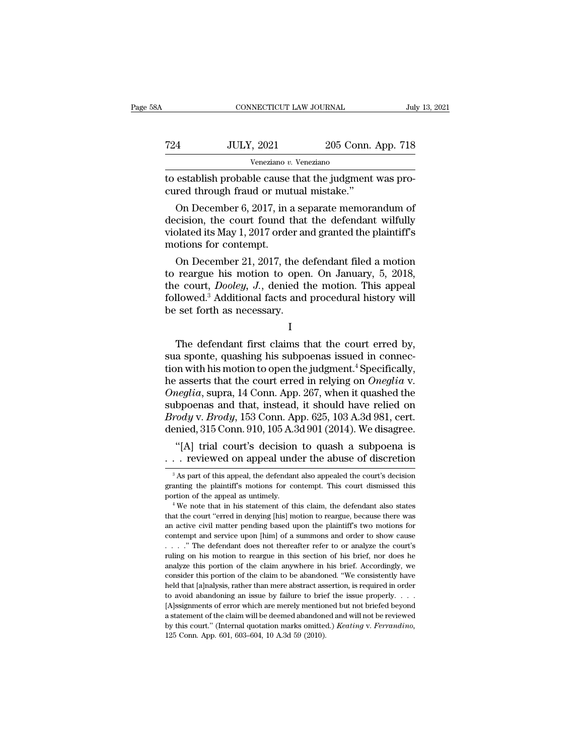| ۱A  | CONNECTICUT LAW JOURNAL                                                                           |                    | July 13, 2021 |
|-----|---------------------------------------------------------------------------------------------------|--------------------|---------------|
| 724 | <b>JULY, 2021</b>                                                                                 | 205 Conn. App. 718 |               |
|     | Veneziano v. Veneziano                                                                            |                    |               |
|     | to establish probable cause that the judgment was pro-<br>cured through fraud or mutual mistake." |                    |               |
|     | On December 6, 2017, in a separate memorandum of                                                  |                    |               |

 $\frac{1}{2021}$  205 Conn. App. 718<br>
Veneziano v. Veneziano<br>
establish probable cause that the judgment was pro-<br>
red through fraud or mutual mistake."<br>
On December 6, 2017, in a separate memorandum of<br>
cision, the court foun  $\begin{array}{r} \text{JULY, 2021} \text{ } \text{ } \text{ } \text{ } 205 \text{ Conn. } \text{App. } \text{ } 718 \text{} \end{array}$ <br>
to establish probable cause that the judgment was procured through fraud or mutual mistake."<br>
On December 6, 2017, in a separate memorandum of decis Veneziano  $v$ . Veneziano<br>to establish probable cause that the judgment was pro-<br>cured through fraud or mutual mistake."<br>On December 6, 2017, in a separate memorandum of<br>decision, the court found that the defendant wilfull to establish probable cause that the judgment was procured through fraud or mutual mistake."<br>On December 6, 2017, in a separate memorandum of decision, the court found that the defendant wilfully violated its May 1, 2017 The definition of mutual mistake."<br>
On December 6, 2017, in a separate memorandum of<br>
cision, the court found that the defendant wilfully<br>
plated its May 1, 2017 order and granted the plaintiff's<br>
otions for contempt.<br>
On On December 6, 2017, in a separate memorandum of<br>decision, the court found that the defendant wilfully<br>violated its May 1, 2017 order and granted the plaintiff's<br>motions for contempt.<br>On December 21, 2017, the defendant f

On December 6, 2017, in a separate memorandum of<br>decision, the court found that the defendant wilfully<br>violated its May 1, 2017 order and granted the plaintiff's<br>motions for contempt.<br>On December 21, 2017, the defendant fi decision, the court found that the defendant wilfully<br>violated its May 1, 2017 order and granted the plaintiff's<br>motions for contempt.<br>On December 21, 2017, the defendant filed a motion<br>to reargue his motion to open. On J violated its May 1, 2017 order an motions for contempt.<br>
On December 21, 2017, the d<br>
to reargue his motion to oper<br>
the court, *Dooley*, *J*., denied t<br>
followed.<sup>3</sup> Additional facts and<br>
be set forth as necessary. France his motion to open. On January, 5, 2018,<br>
e court, *Dooley*, *J.*, denied the motion. This appeal<br>
llowed.<sup>3</sup> Additional facts and procedural history will<br>
set forth as necessary.<br>
I<br>
The defendant first claims tha

I

sua sponte,  $Dooley$ ,  $J$ , denied the motion. This appeal<br>followed.<sup>3</sup> Additional facts and procedural history will<br>be set forth as necessary.<br>I<br>The defendant first claims that the court erred by,<br>sua sponte, quashing his su followed.<sup>3</sup> Additional facts and procedural history will<br>be set forth as necessary.<br> $I$ <br>The defendant first claims that the court erred by,<br>sua sponte, quashing his subpoenas issued in connec-<br>tion with his motion to ope he set forth as necessary.<br>
I<br>
The defendant first claims that the court erred by,<br>
sua sponte, quashing his subpoenas issued in connec-<br>
tion with his motion to open the judgment.<sup>4</sup> Specifically,<br>
he asserts that the cou <sup>1</sup><br> *I*<br> *Oneglia*, suppose the suppose of the court erred by,<br>
Sua sponte, quashing his subpoenas issued in connec-<br>
tion with his motion to open the judgment.<sup>4</sup> Specifically,<br>
the asserts that the court erred in relyin The defendant first claims that the court erred by,<br>sua sponte, quashing his subpoenas issued in connec-<br>tion with his motion to open the judgment.<sup>4</sup> Specifically,<br>he asserts that the court erred in relying on *Oneglia* The defendant first claims that the court erred by,<br>sua sponte, quashing his subpoenas issued in connec-<br>tion with his motion to open the judgment.<sup>4</sup> Specifically,<br>he asserts that the court erred in relying on *Oneglia* v sua sponte, quashing his subpoenas issued in connection with his motion to open the judgment.<sup>4</sup> Specifically, he asserts that the court erred in relying on *Oneglia* v. *Oneglia*, supra, 14 Conn. App. 267, when it quashed In with his motion to open the judgment." Specifically, asserts that the court erred in relying on *Oneglia* v. *ieglia*, supra, 14 Conn. App. 267, when it quashed the bpoenas and that, instead, it should have relied on he asserts that the court erred in relying on *Oneglia* v.<br> *Oneglia*, supra, 14 Conn. App. 267, when it quashed the<br>
subpoenas and that, instead, it should have relied on<br> *Brody* v. *Brody*, 153 Conn. App. 625, 103 A.3d

*Brody* v. *Brody*, 153 Conn. App. 625, 103 A.3d 981, cert.<br>denied, 315 Conn. 910, 105 A.3d 901 (2014). We disagree.<br>"[A] trial court's decision to quash a subpoena is<br>... reviewed on appeal under the abuse of discretion<br> denied, 315 Conn. 910, 105 A.3d 901 (2014). We disagree.<br>
"[A] trial court's decision to quash a subpoena is<br>  $\ldots$  reviewed on appeal under the abuse of discretion<br>  $\frac{1}{3}$ As part of this appeal, the defendant also app "[A] trial court's decision to quash a subpoena is<br>  $\ldots$  reviewed on appeal under the abuse of discretion<br>  $\frac{1}{3}$ As part of this appeal, the defendant also appealed the court's decision<br>
granting the plaintiff's motio

The court of this appear and the court's decision<br>  $^3$  As part of this appeal, the defendant also appealed the court's decision<br>
granting the plaintiff's motions for contempt. This court dismissed this<br>
portion of the ap <sup>3</sup> As part of this appeal, the defendant also appealed the court's decision granting the plaintiff's motions for contempt. This court dismissed this portion of the appeal as untimely.<br>
<sup>4</sup> We note that in his statement o parating the plaintiff's motions for contempt. This court dismissed this portion of the appeal as untimely.<br>
<sup>4</sup> We note that in his statement of this claim, the defendant also states that the court "erred in denying [his portion of the appeal as untimely.<br>
<sup>4</sup> We note that in his statement of this claim, the defendant also states<br>
that the court "erred in denying [his] motion to reargue, because there was<br>
an active civil matter pending ba <sup>4</sup> We note that in his statement of this claim, the defendant also states that the court "erred in denying [his] motion to reargue, because there was an active civil matter pending based upon the plaintiff's two motions that the court "erred in denying [his] motion to reargue, because there was an active civil matter pending based upon the plaintiff's two motions for contempt and service upon [him] of a summons and order to show cause  $\$ an active civil matter pending based upon the plaintiff's two motions for contempt and service upon [him] of a summons and order to show cause  $\ldots$ ." The defendant does not thereafter refer to or analyze the court's ruli contempt and service upon [him] of a summons and order to show cause  $\dots$  "The defendant does not thereafter refer to or analyze the court's ruling on his motion to reargue in this section of his brief, nor does he analyz  $\therefore$  The defendant does not thereafter refer to or analyze the court's ruling on his motion to reargue in this section of his brief, nor does he analyze this portion of the claim anywhere in his brief. Accordingly, we co Figure 1. The value of the claim anywhere in his section of his brief, nor does he analyze this portion of the claim anywhere in his brief. Accordingly, we consider this portion of the claim to be abandoned. "We consisten analyze this portion of the claim anywhere in his brief. Accordingly, we consider this portion of the claim to be abandoned. "We consistently have held that [a]nalysis, rather than mere abstract assertion, is required in analyze this portion of the claim anywhere in his brief. Accordingly, we consider this portion of the claim to be abandoned. "We consistently have held that [a]nalysis, rather than mere abstract assertion, is required in held that [a]nalysis, rather than mere abstract assertion, is required in order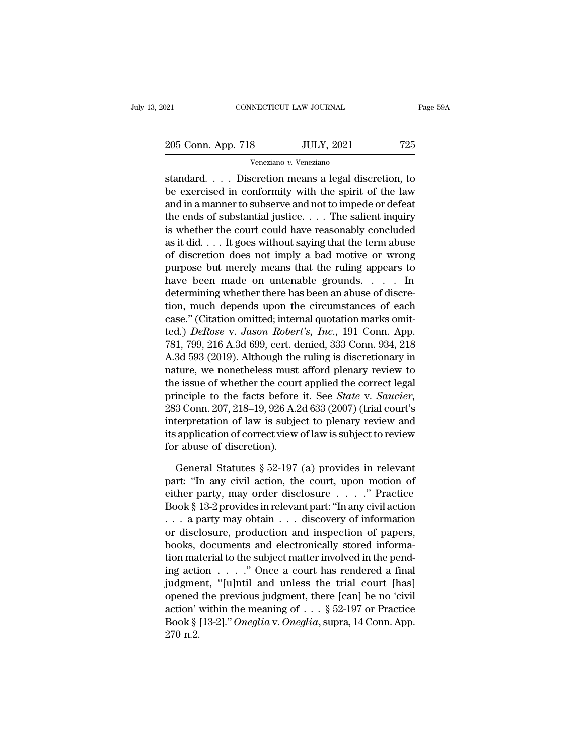205 Conn. App. 718 JULY, 2021 725<br>
Veneziano v. Veneziano

Veneziano *v.* Veneziano

Standard. . . . Discretion means a legal discretion, to<br>
standard. . . . Discretion means a legal discretion, to<br>
be exercised in conformity with the spirit of the law<br>
and in a mannenta subseque and not to impode an defec 205 Conn. App. 718 JULY, 2021 725<br>
Veneziano v. Veneziano<br>
standard.... Discretion means a legal discretion, to<br>
be exercised in conformity with the spirit of the law<br>
and in a manner to subserve and not to impede or defe 205 Conn. App. 718 JULY, 2021 725<br>
Veneziano v. Veneziano<br>
standard.... Discretion means a legal discretion, to<br>
be exercised in conformity with the spirit of the law<br>
and in a manner to subserve and not to impede or defe 205 Conn. App. 718 JULY, 2021 725<br>
Veneziano v. Veneziano<br>
standard. . . . Discretion means a legal discretion, to<br>
be exercised in conformity with the spirit of the law<br>
and in a manner to subserve and not to impede or d Veneziano v. Veneziano<br>
standard.... Discretion means a legal discretion, to<br>
be exercised in conformity with the spirit of the law<br>
and in a manner to subserve and not to impede or defeat<br>
the ends of substantial justice **Example 2.** We<br>assume that it did to the exercised in conformity with the spirit of the law<br>and in a manner to subserve and not to impede or defeat<br>the ends of substantial justice. . . . The salient inquiry<br>is whether th standard.... Discretion means a legal discretion, to<br>be exercised in conformity with the spirit of the law<br>and in a manner to subserve and not to impede or defeat<br>the ends of substantial justice.... The salient inquiry<br>is be exercised in conformity with the spirit of the law<br>and in a manner to subserve and not to impede or defeat<br>the ends of substantial justice.... The salient inquiry<br>is whether the court could have reasonably concluded<br>as and in a manner to subserve and not to impede or defeat<br>the ends of substantial justice. . . . The salient inquiry<br>is whether the court could have reasonably concluded<br>as it did. . . . It goes without saying that the term the ends of substantial justice. . . . The salient inquiry<br>is whether the court could have reasonably concluded<br>as it did. . . . It goes without saying that the term abuse<br>of discretion does not imply a bad motive or wron is whether the court could have reasonably concluded<br>as it did.... It goes without saying that the term abuse<br>of discretion does not imply a bad motive or wrong<br>purpose but merely means that the ruling appears to<br>have bee as it did.... It goes without saying that the term abuse<br>of discretion does not imply a bad motive or wrong<br>purpose but merely means that the ruling appears to<br>have been made on untenable grounds.... In<br>determining whethe of discretion does not imply a bad motive or wrong<br>purpose but merely means that the ruling appears to<br>have been made on untenable grounds. . . . In<br>determining whether there has been an abuse of discre-<br>tion, much depends purpose but merely means that the ruling appears to<br>have been made on untenable grounds. . . . . In<br>determining whether there has been an abuse of discre-<br>tion, much depends upon the circumstances of each<br>case." (Citation have been made on untenable grounds. . . . . In<br>determining whether there has been an abuse of discre-<br>tion, much depends upon the circumstances of each<br>case." (Citation omitted; internal quotation marks omit-<br>ted.) *DeRo* determining whether there has been an abuse of discretion, much depends upon the circumstances of each case." (Citation omitted; internal quotation marks omitted.) *DeRose v. Jason Robert's, Inc.*, 191 Conn. App. 781, 799, tion, much depends upon the circumstances of each<br>case." (Citation omitted; internal quotation marks omit-<br>ted.) *DeRose v. Jason Robert's, Inc.*, 191 Conn. App.<br>781, 799, 216 A.3d 699, cert. denied, 333 Conn. 934, 218<br>A. case." (Citation omitted; internal quotation marks omitted.) *DeRose v. Jason Robert's, Inc.*, 191 Conn. App.<br>781, 799, 216 A.3d 699, cert. denied, 333 Conn. 934, 218<br>A.3d 593 (2019). Although the ruling is discretionary i ted.) *DeRose v. Jason Robert's, Inc.*, 191 Conn. App.<br>781, 799, 216 A.3d 699, cert. denied, 333 Conn. 934, 218<br>A.3d 593 (2019). Although the ruling is discretionary in<br>nature, we nonetheless must afford plenary review to<br> 781, 799, 216 A.3d 699, cert. denied, 333 Conn. 934, 218<br>A.3d 593 (2019). Although the ruling is discretionary in<br>nature, we nonetheless must afford plenary review to<br>the issue of whether the court applied the correct leg A.3d 593 (2019). Although the ruling is discretionary in<br>nature, we nonetheless must afford plenary review to<br>the issue of whether the court applied the correct legal<br>principle to the facts before it. See *State* v. *Sauci* nature, we nonetheless must<br>the issue of whether the court<br>principle to the facts before<br>283 Conn. 207, 218–19, 926 A.2<br>interpretation of law is subje<br>its application of correct view<br>for abuse of discretion).<br>General Statu inciple to the facts before it. See *State v. Saucier*,<br>3 Conn. 207, 218–19, 926 A.2d 633 (2007) (trial court's<br>terpretation of law is subject to plenary review and<br>application of correct view of law is subject to review<br>r 283 Conn. 207, 218–19, 926 A.2d 633 (2007) (trial court's<br>interpretation of law is subject to plenary review and<br>its application of correct view of law is subject to review<br>for abuse of discretion).<br>General Statutes § 52-

interpretation of law is subject to plenary review and<br>its application of correct view of law is subject to review<br>for abuse of discretion).<br>General Statutes § 52-197 (a) provides in relevant<br>part: "In any civil action, th its application of correct view of law is subject to review<br>for abuse of discretion).<br>General Statutes § 52-197 (a) provides in relevant<br>part: "In any civil action, the court, upon motion of<br>either party, may order disclo for abuse of discretion).<br>
General Statutes § 52-197 (a) provides in relevant<br>
part: "In any civil action, the court, upon motion of<br>
either party, may order disclosure . . . . " Practice<br>
Book § 13-2 provides in relevant General Statutes § 52-197 (a) provides in relevant<br>part: "In any civil action, the court, upon motion of<br>either party, may order disclosure . . . . ." Practice<br>Book § 13-2 provides in relevant part: "In any civil action<br>. General Statutes § 52-197 (a) provides in relevant<br>part: "In any civil action, the court, upon motion of<br>either party, may order disclosure . . . ." Practice<br>Book § 13-2 provides in relevant part: "In any civil action<br>. . part: "In any civil action, the court, upon motion of<br>either party, may order disclosure . . . ." Practice<br>Book § 13-2 provides in relevant part: "In any civil action<br>. . . a party may obtain . . . discovery of information either party, may order disclosure . . . . ." Practice<br>Book § 13-2 provides in relevant part: "In any civil action<br>. . . a party may obtain . . . discovery of information<br>or disclosure, production and inspection of papers Book § 13-2 provides in relevant part: "In any civil action<br>
. . . . a party may obtain . . . discovery of information<br>
or disclosure, production and inspection of papers,<br>
books, documents and electronically stored infor ... a party may obtain ... discovery of information<br>or disclosure, production and inspection of papers,<br>books, documents and electronically stored informa-<br>tion material to the subject matter involved in the pend-<br>ing act or disclosure, production and inspection of papers,<br>books, documents and electronically stored informa-<br>tion material to the subject matter involved in the pend-<br>ing action . . . . " Once a court has rendered a final<br>judg books, documents and electronically stored information material to the subject matter involved in the pending action . . . . " Once a court has rendered a final judgment, "[u]ntil and unless the trial court [has] opened th tion material to the subject matter involved in the pending action . . . . " Once a court has rendered a final judgment, "[u]ntil and unless the trial court [has] opened the previous judgment, there [can] be no 'civil act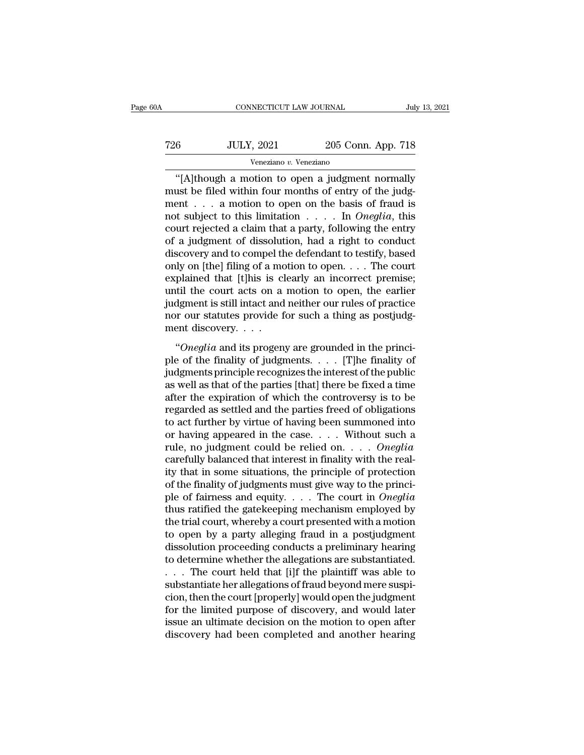| )A  | CONNECTICUT LAW JOURNAL |                    | July 13, 2021 |
|-----|-------------------------|--------------------|---------------|
| 726 | <b>JULY, 2021</b>       | 205 Conn. App. 718 |               |
|     | Veneziano v. Veneziano  |                    |               |

CONNECTICUT LAW JOURNAL July 13, 2021<br>
6 JULY, 2021 205 Conn. App. 718<br>
Veneziano v. Veneziano<br>
"[A]though a motion to open a judgment normally<br>
ust be filed within four months of entry of the judg-T26 JULY, 2021 205 Conn. App. 718<br>
Veneziano v. Veneziano<br>
"[A]though a motion to open a judgment normally<br>
must be filed within four months of entry of the judg-<br>
ment . . . a motion to open on the basis of fraud is<br>
not T26 JULY, 2021 205 Conn. App. 718<br>
Veneziano v. Veneziano<br>
"[A]though a motion to open a judgment normally<br>
must be filed within four months of entry of the judgment . . . a motion to open on the basis of fraud is<br>
not su T26 JULY, 2021 205 Conn. App. 718<br>
Veneziano v. Veneziano<br>
"[A]though a motion to open a judgment normally<br>
must be filed within four months of entry of the judgment<br>
... a motion to open on the basis of fraud is<br>
not subj Veneziano *v*. Veneziano<br>
"[A]though a motion to open a judgment normally<br>
must be filed within four months of entry of the judg-<br>
ment . . . a motion to open on the basis of fraud is<br>
not subject to this limitation . . . veneziano v. veneziano<br>
"[A]though a motion to open a judgment normally<br>
must be filed within four months of entry of the judg-<br>
ment . . . a motion to open on the basis of fraud is<br>
not subject to this limitation . . . . "[A]though a motion to open a judgment normally<br>must be filed within four months of entry of the judgment . . . . a motion to open on the basis of fraud is<br>not subject to this limitation . . . . In *Oneglia*, this<br>court r must be filed within four months of entry of the judgment . . . . a motion to open on the basis of fraud is not subject to this limitation . . . . In *Oneglia*, this court rejected a claim that a party, following the entr ment . . . a motion to open on the basis of fraud is<br>not subject to this limitation . . . . In *Oneglia*, this<br>court rejected a claim that a party, following the entry<br>of a judgment of dissolution, had a right to conduct<br> not subject to this limitation  $\ldots$  . In *Oneglia*, this court rejected a claim that a party, following the entry of a judgment of dissolution, had a right to conduct discovery and to compel the defendant to testify, bas court rejected a claim that a party, following the entry<br>of a judgment of dissolution, had a right to conduct<br>discovery and to compel the defendant to testify, based<br>only on [the] filing of a motion to open. . . . The cour of a judgment of dissolution, had a right to conduct<br>discovery and to compel the defendant to testify, based<br>only on [the] filing of a motion to open. . . . The court<br>explained that [t]his is clearly an incorrect premise; discovery and to compel the<br>only on [the] filing of a mc<br>explained that [t]his is cl<br>until the court acts on a<br>judgment is still intact and<br>nor our statutes provide f<br>ment discovery. . . . .<br>"Oneglia and its progen flate) ming of a model to open:  $\ldots$  The coant plained that [t]his is clearly an incorrect premise;<br>till the court acts on a motion to open, the earlier<br>dgment is still intact and neither our rules of practice<br>or our stat ple of the finality of social points of the earlier<br>including the final intervals of practice<br>nor our statutes provide for such a thing as postjudg-<br>ment discovery....<br>"Oneglia and its progeny are grounded in the princi-<br>

judgment is still intact and neither our rules of practice<br>nor our statutes provide for such a thing as postjudgment discovery.<br> $\cdots$ <br>"Oneglia and its progeny are grounded in the princi-<br>ple of the finality of judgments.. as well as that of the parties [that] there be fixed a time and its provide for start a time as postpace<br>
"Oneglia and its progeny are grounded in the princi-<br>
ple of the finality of judgments.... [T]he finality of<br>
judgments principle recognizes the interest of the public<br>
as wel "Oneglia and its progeny are grounded in the princi-<br>ple of the finality of judgments.... [T]he finality of<br>judgments principle recognizes the interest of the public<br>as well as that of the parties [that] there be fixed a "Oneglia and its progeny are grounded in the princi-<br>ple of the finality of judgments.... [T]he finality of<br>judgments principle recognizes the interest of the public<br>as well as that of the parties [that] there be fixed a ple of the finality of judgments. . . . . [T]he finality of<br>judgments principle recognizes the interest of the public<br>as well as that of the parties [that] there be fixed a time<br>after the expiration of which the controver judgments principle recognizes the interest of the public<br>as well as that of the parties [that] there be fixed a time<br>after the expiration of which the controversy is to be<br>regarded as settled and the parties freed of obli as well as that of the parties [that] there be fixed a time<br>after the expiration of which the controversy is to be<br>regarded as settled and the parties freed of obligations<br>to act further by virtue of having been summoned after the expiration of which the controversy is to be regarded as settled and the parties freed of obligations to act further by virtue of having been summoned into or having appeared in the case.... Without such a rule, regarded as settled and the parties freed of obligations<br>to act further by virtue of having been summoned into<br>or having appeared in the case. . . . Without such a<br>rule, no judgment could be relied on. . . . Oneglia<br>caref to act further by virtue of having been summoned into<br>or having appeared in the case. . . . . Without such a<br>rule, no judgment could be relied on. . . . *Oneglia*<br>carefully balanced that interest in finality with the real or having appeared in the case. . . . . Without such a<br>rule, no judgment could be relied on. . . . *Oneglia*<br>carefully balanced that interest in finality with the real-<br>ity that in some situations, the principle of protec rule, no judgment could be relied on. . . . Oneglia<br>carefully balanced that interest in finality with the real-<br>ity that in some situations, the principle of protection<br>of the finality of judgments must give way to the pr carefully balanced that interest in finality with the real-<br>ity that in some situations, the principle of protection<br>of the finality of judgments must give way to the princi-<br>ple of fairness and equity. . . . The court in ity that in some situations, the principle of protection<br>of the finality of judgments must give way to the princi-<br>ple of fairness and equity. . . . The court in *Oneglia*<br>thus ratified the gatekeeping mechanism employed of the finality of judgments must give way to the princi-<br>ple of fairness and equity. . . . The court in *Oneglia*<br>thus ratified the gatekeeping mechanism employed by<br>the trial court, whereby a court presented with a moti ple of fairness and equity. . . . The court in *Oneglia*<br>thus ratified the gatekeeping mechanism employed by<br>the trial court, whereby a court presented with a motion<br>to open by a party alleging fraud in a postjudgment<br>dis thus ratified the gatekeeping mechanism employed by<br>the trial court, whereby a court presented with a motion<br>to open by a party alleging fraud in a postjudgment<br>dissolution proceeding conducts a preliminary hearing<br>to dete

the trial court, whereby a court presented with a motion<br>to open by a party alleging fraud in a postjudgment<br>dissolution proceeding conducts a preliminary hearing<br>to determine whether the allegations are substantiated.<br>. . for the limit open by a party alleging fraud in a postjudgment<br>dissolution proceeding conducts a preliminary hearing<br>to determine whether the allegations are substantiated.<br>. . . The court held that [i]f the plaintiff was dissolution proceeding conducts a preliminary hearing<br>to determine whether the allegations are substantiated.<br>. . . The court held that [i]f the plaintiff was able to<br>substantiate her allegations of fraud beyond mere suspi to determine whether the allegations are substantiated.<br>
. . . The court held that [i]f the plaintiff was able to<br>
substantiate her allegations of fraud beyond mere suspi-<br>
cion, then the court [properly] would open the ju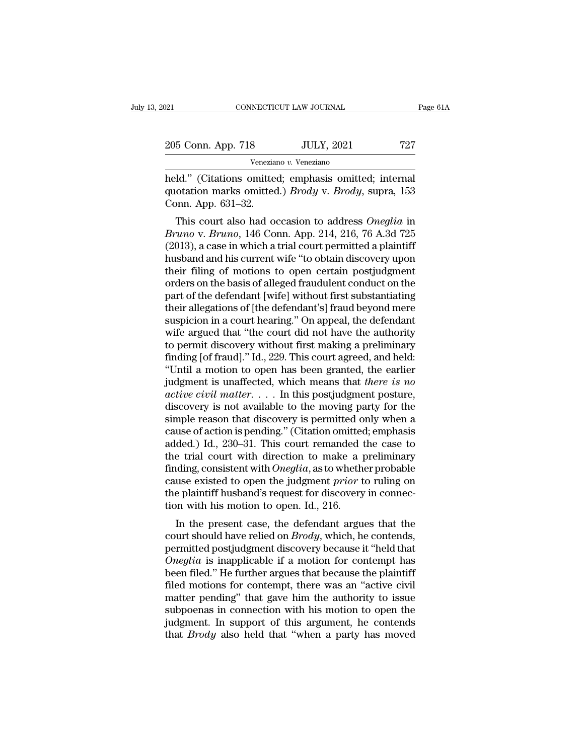| 021                | CONNECTICUT LAW JOURNAL | Page 61A |
|--------------------|-------------------------|----------|
| 205 Conn. App. 718 | <b>JULY, 2021</b>       | 727      |
|                    | Veneziano v. Veneziano  |          |

Fage 6<br>
1921 CONNECTICUT LAW JOURNAL Page 6<br>
205 Conn. App. 718 JULY, 2021 727<br>
Veneziano v. Veneziano<br>
held.'' (Citations omitted; emphasis omitted; internal<br>
quotation marks omitted.) *Brody* v. *Brody*, supra, 153<br>
Conn 205 Conn. App. 718 JULY, 2021 727<br>
Veneziano v. Veneziano<br>
held." (Citations omitted; emphasis omitted; internal<br>
quotation marks omitted.) *Brody* v. *Brody*, supra, 153<br>
Conn. App. 631–32. 205 Conn. App. 718<br>
Venezian<br>
held." (Citations omitted<br>
quotation marks omitted<br>
Conn. App. 631–32.<br>
This court also had on 5 Conn. App. 718 JULY, 2021 727<br>
Veneziano v. Veneziano<br>
Id." (Citations omitted; emphasis omitted; internal<br>
otation marks omitted.) *Brody* v. *Brody*, supra, 153<br>
Donn. App. 631–32.<br>
This court also had occasion to addr

*Brunov v. Veneziano*<br> **Bruno** (Citations omitted; emphasis omitted; internal<br>
quotation marks omitted.) *Brody* v. *Brody*, supra, 153<br>
Conn. App. 631–32.<br>
This court also had occasion to address *Oneglia* in<br> *Bruno* v. held." (Citations omitted; emphasis omitted; internal<br>quotation marks omitted.) *Brody* v. *Brody*, supra, 153<br>Conn. App. 631–32.<br>This court also had occasion to address *Oneglia* in<br>*Bruno* v. *Bruno*, 146 Conn. App. 214, held. (Chations onlitted, emphasis onlitted, internat<br>quotation marks omitted.) *Brody* v. *Brody*, supra, 153<br>Conn. App. 631–32.<br>This court also had occasion to address *Oneglia* in<br>*Bruno* v. *Bruno*, 146 Conn. App. 214, quotation marks omitted.) *Broug* v. *Broug*, supra, 155<br>Conn. App. 631–32.<br>This court also had occasion to address *Oneglia* in<br>*Bruno* v. *Bruno*, 146 Conn. App. 214, 216, 76 A.3d 725<br>(2013), a case in which a trial cou Conti. App. 051–52.<br>
This court also had occasion to address *Oneglia* in<br> *Bruno* v. *Bruno*, 146 Conn. App. 214, 216, 76 A.3d 725<br>
(2013), a case in which a trial court permitted a plaintiff<br>
husband and his current wife This court also had occasion to address *Oneglia* in<br>*Bruno* v. *Bruno*, 146 Conn. App. 214, 216, 76 A.3d 725<br>(2013), a case in which a trial court permitted a plaintiff<br>husband and his current wife "to obtain discovery up Bruno v. Bruno, 146 Conn. App. 214, 216, 76 A.3d 725<br>(2013), a case in which a trial court permitted a plaintiff<br>husband and his current wife "to obtain discovery upon<br>their filing of motions to open certain postjudgment<br>o (2013), a case in which a trial court permitted a plaintiff<br>husband and his current wife "to obtain discovery upon<br>their filing of motions to open certain postjudgment<br>orders on the basis of alleged fraudulent conduct on t husband and his current wife "to obtain discovery upon<br>their filing of motions to open certain postjudgment<br>orders on the basis of alleged fraudulent conduct on the<br>part of the defendant [wife] without first substantiating their filing of motions to open certain postjudgment<br>orders on the basis of alleged fraudulent conduct on the<br>part of the defendant [wife] without first substantiating<br>their allegations of [the defendant's] fraud beyond me orders on the basis of alleged fraudulent conduct on the<br>part of the defendant [wife] without first substantiating<br>their allegations of [the defendant's] fraud beyond mere<br>suspicion in a court hearing." On appeal, the defe part of the defendant [wife] without first substantiating<br>
their allegations of [the defendant's] fraud beyond mere<br>
suspicion in a court hearing." On appeal, the defendant<br>
wife argued that "the court did not have the aut their allegations of [the defendant's] fraud beyond mere<br>suspicion in a court hearing." On appeal, the defendant<br>wife argued that "the court did not have the authority<br>to permit discovery without first making a preliminary suspicion in a court hearing." On appeal, the defendant<br>wife argued that "the court did not have the authority<br>to permit discovery without first making a preliminary<br>finding [of fraud]." Id., 229. This court agreed, and he wife argued that "the court did not have the authority<br>to permit discovery without first making a preliminary<br>finding [of fraud]." Id., 229. This court agreed, and held:<br>"Until a motion to open has been granted, the earli to permit discovery without first making a preliminary<br>finding [of fraud]." Id., 229. This court agreed, and held:<br>"Until a motion to open has been granted, the earlier<br>judgment is unaffected, which means that *there is n* finding [of fraud]." Id., 229. This court agreed, and held:<br>"Until a motion to open has been granted, the earlier<br>judgment is unaffected, which means that *there is no*<br>*active civil matter*.... In this postjudgment postu "Until a motion to open has been granted, the earlier<br>judgment is unaffected, which means that *there is no*<br>*active civil matter*.... In this postjudgment posture,<br>discovery is not available to the moving party for the<br>s judgment is unaffected, which means that *there is no*<br>active civil matter. . . . In this postjudgment posture,<br>discovery is not available to the moving party for the<br>simple reason that discovery is permitted only when a<br> active civil matter. . . . . In this postjudgment posture,<br>discovery is not available to the moving party for the<br>simple reason that discovery is permitted only when a<br>cause of action is pending." (Citation omitted; emphas discovery is not available to the moving party for the<br>simple reason that discovery is permitted only when a<br>cause of action is pending." (Citation omitted; emphasis<br>added.) Id., 230–31. This court remanded the case to<br>the simple reason that discovery is permitted only when a cause of action is pending." (Citation omitted; emphasis added.) Id., 230–31. This court remanded the case to the trial court with direction to make a preliminary find cause of action is pending." (Citation omitted added.) Id., 230–31. This court remanded the trial court with direction to make a p finding, consistent with *Oneglia*, as to wheth cause existed to open the judgment *prior* deta.) Id., 250–51. This Court Tentanded the case to<br>
e trial court with direction to make a preliminary<br>
iding, consistent with *Oneglia*, as to whether probable<br>
use existed to open the judgment *prior* to ruling on<br>
e the trial court with direction to hiake a preintinary<br>finding, consistent with *Oneglia*, as to whether probable<br>cause existed to open the judgment *prior* to ruling on<br>the plaintiff husband's request for discovery in conn

miding, consistent with *Oneytu*, as to whether probable<br>cause existed to open the judgment *prior* to ruling on<br>the plaintiff husband's request for discovery in connec-<br>tion with his motion to open. Id., 216.<br>In the pres readse existed to open the judgment *prior* to ruling on<br>the plaintiff husband's request for discovery in connec-<br>tion with his motion to open. Id., 216.<br>In the present case, the defendant argues that the<br>court should have the plaintiff it is motion to open. Id., 216.<br>
In the present case, the defendant argues that the<br>
court should have relied on *Brody*, which, he contends,<br>
permitted postjudgment discovery because it "held that<br> *Oneglia* In the present case, the defendant argues that the<br>court should have relied on *Brody*, which, he contends,<br>permitted postjudgment discovery because it "held that<br>*Oneglia* is inapplicable if a motion for contempt has<br>bee In the present case, the defendant argues that the<br>court should have relied on *Brody*, which, he contends,<br>permitted postjudgment discovery because it "held that<br>*Oneglia* is inapplicable if a motion for contempt has<br>bee court should have relied on *Brody*, which, he contends,<br>permitted postjudgment discovery because it "held that<br>*Oneglia* is inapplicable if a motion for contempt has<br>been filed." He further argues that because the plainti permitted postjudgment discovery because it "held that *Oneglia* is inapplicable if a motion for contempt has been filed." He further argues that because the plaintiff filed motions for contempt, there was an "active civil Oneglia is inapplicable if a motion for contempt has<br>been filed." He further argues that because the plaintiff<br>filed motions for contempt, there was an "active civil<br>matter pending" that gave him the authority to issue<br>sub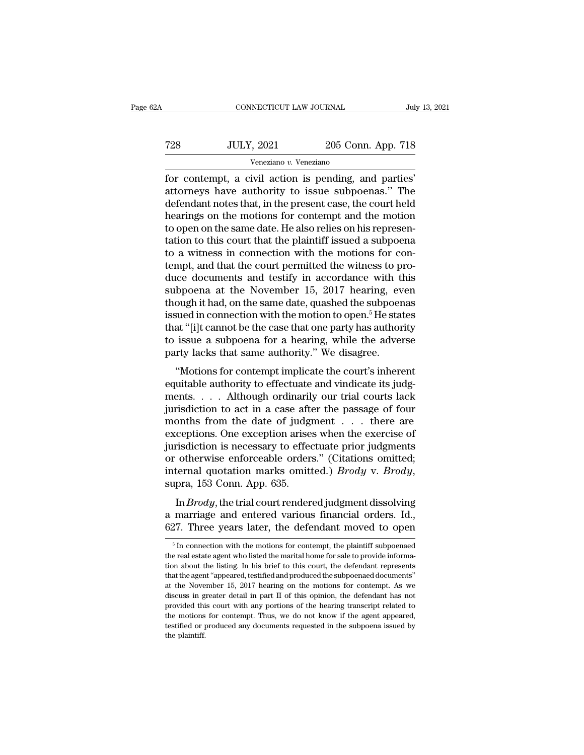| 2Α  | CONNECTICUT LAW JOURNAL |                    | July 13, 2021 |
|-----|-------------------------|--------------------|---------------|
| 728 | <b>JULY, 2021</b>       | 205 Conn. App. 718 |               |
|     | Veneziano v. Veneziano  |                    |               |

For connecticut can be connected to the set of the set of the set of the set of the contempt, a civil action is pending, and parties'<br>attorneys have authority to issue subpoenas." The defendent notes that in the present ca T28 JULY, 2021 205 Conn. App. 718<br>
Veneziano v. Veneziano<br>
for contempt, a civil action is pending, and parties'<br>
attorneys have authority to issue subpoenas.'' The<br>
defendant notes that, in the present case, the court hel  $\begin{array}{c|c} \text{728} & \text{JULY, 2021} & \text{205 Conn. App. 718} \\ \hline \text{Veneziano } v. \text{Veneziano} \\ \hline \text{for content, a civil action is pending, and parties' \\ \text{attorneys have authority to issue subpoenas." The  
defendant notes that, in the present case, the court held  
hearings on the motions for content and the motion to open on the same date. He also relies on his romesen.} \end{array}$  $\frac{1000 \text{ JULY, } 2021}{\text{Veneziano } v. \text{ Veneziano}}$ <br>
for contempt, a civil action is pending, and parties'<br>
attorneys have authority to issue subpoenas." The<br>
defendant notes that, in the present case, the court held<br>
hearings on the Veneziano v. Veneziano<br>
for contempt, a civil action is pending, and parties'<br>
attorneys have authority to issue subpoenas." The<br>
defendant notes that, in the present case, the court held<br>
hearings on the motions for cont Veneziano v. Veneziano<br>
for contempt, a civil action is pending, and parties'<br>
attorneys have authority to issue subpoenas." The<br>
defendant notes that, in the present case, the court held<br>
hearings on the motions for cont for contempt, a civil action is pending, and parties'<br>attorneys have authority to issue subpoenas." The<br>defendant notes that, in the present case, the court held<br>hearings on the motions for contempt and the motion<br>to open attorneys have authority to issue subpoenas." The<br>defendant notes that, in the present case, the court held<br>hearings on the motions for contempt and the motion<br>to open on the same date. He also relies on his represen-<br>tat defendant notes that, in the present case, the court held<br>hearings on the motions for contempt and the motion<br>to open on the same date. He also relies on his represen-<br>tation to this court that the plaintiff issued a subpo hearings on the motions for contempt and the motion<br>to open on the same date. He also relies on his represen-<br>tation to this court that the plaintiff issued a subpoena<br>to a witness in connection with the motions for con-<br> to open on the same date. He also relies on his representation to this court that the plaintiff issued a subpoena<br>to a witness in connection with the motions for con-<br>tempt, and that the court permitted the witness to protation to this court that the plaintiff issued a subpoena<br>to a witness in connection with the motions for con-<br>tempt, and that the court permitted the witness to pro-<br>duce documents and testify in accordance with this<br>sub to a witness in connection with the motions for con-<br>tempt, and that the court permitted the witness to pro-<br>duce documents and testify in accordance with this<br>subpoena at the November 15, 2017 hearing, even<br>though it had, tempt, and that the court permitted the witness to pro-<br>duce documents and testify in accordance with this<br>subpoena at the November 15, 2017 hearing, even<br>though it had, on the same date, quashed the subpoenas<br>issued in co duce documents and testify in accordance with t<br>subpoena at the November 15, 2017 hearing, ev<br>though it had, on the same date, quashed the subpoer<br>issued in connection with the motion to open.<sup>5</sup> He stat<br>that "[i]t cannot by both a at the Two embed 19, 2017 hearing, even<br>
ough it had, on the same date, quashed the subpoenas<br>
sued in connection with the motion to open.<sup>5</sup> He states<br>
at "[i]t cannot be the case that one party has authority<br>
i enough is had, on the same date, quashed the subpoemast<br>issued in connection with the motion to open.<sup>5</sup> He states<br>that "[i]t cannot be the case that one party has authority<br>to issue a subpoena for a hearing, while the adv

ments. . . . Although ordinarily our trial courts lack for issue a subpoena for a hearing, while the adverse<br>party lacks that same authority." We disagree.<br>"Motions for contempt implicate the court's inherent<br>equitable authority to effectuate and vindicate its judg-<br>ments.... party lacks that same authority." We disagree.<br>
"Motions for contempt implicate the court's inherent<br>
equitable authority to effectuate and vindicate its judg-<br>
ments.... Although ordinarily our trial courts lack<br>
jurisdi Fractions. For contempt implicate the court's inherent equitable authority to effectuate and vindicate its judgments. . . . Although ordinarily our trial courts lack jurisdiction to act in a case after the passage of four "Motions for contempt implicate the court's inherent<br>equitable authority to effectuate and vindicate its judg-<br>ments.... Although ordinarily our trial courts lack<br>jurisdiction to act in a case after the passage of four<br>mo equitable authority to effectuate and vindicate its judgments. . . . Although ordinarily our trial courts lack<br>jurisdiction to act in a case after the passage of four<br>months from the date of judgment . . . there are<br>excep ments. . . . Although ordinarily our trial courts lack<br>jurisdiction to act in a case after the passage of four<br>months from the date of judgment . . . there are<br>exceptions. One exception arises when the exercise of<br>jurisdic From the date of Jadgment Court rendered to the exercise of<br>
risdiction is necessary to effectuate prior judgments<br>
otherwise enforceable orders." (Citations omitted;<br>
ternal quotation marks omitted.) *Brody* v. *Brody*,<br> Execptions. One exception anses when the exercise of<br>jurisdiction is necessary to effectuate prior judgments<br>or otherwise enforceable orders." (Citations omitted;<br>internal quotation marks omitted.) *Brody* v. *Brody*,<br>supr or otherwise enforceable orders." (Citations omitted;<br>internal quotation marks omitted.) *Brody* v. *Brody*,<br>supra, 153 Conn. App. 635.<br>In *Brody*, the trial court rendered judgment dissolving<br>a marriage and entered vario

In *Brody*, the trial court rendered judgment dissolving<br>marriage and entered various financial orders. Id.,<br>27. Three years later, the defendant moved to open<br> $\frac{5}{n}$  In connection with the motions for contempt, the pl In *Brody*, the trial court rendered judgment dissolving<br>a marriage and entered various financial orders. Id.,<br>627. Three years later, the defendant moved to open<br><sup>5</sup> In connection with the motions for contempt, the plain

a marriage and entered various financial orders. Id.,  $627$ . Three years later, the defendant moved to open  $\frac{1}{100}$  in connection with the motions for contempt, the plaintiff subpoenaed the real estate agent who liste  $627$ . Three years later, the defendant moved to open  $\frac{1}{100}$  in connection with the motions for contempt, the plaintiff subpoenaed the real estate agent who listed the marital home for sale to provide information abo  $\frac{1}{2}$  is a fin connection with the motions for contempt, the plaintiff subpoenaed the real estate agent who listed the marital home for sale to provide information about the listing. In his brief to this court, the de <sup>5</sup> In connection with the motions for contempt, the plaintiff subpoenaed the real estate agent who listed the marital home for sale to provide information about the listing. In his brief to this court, the defendant repr the real estate agent who listed the marital home for sale to provide information about the listing. In his brief to this court, the defendant represents that the agent "appeared, testified and produced the subpoenaed docu the real estate agent who listed the marital home for sale to provide information about the listing. In his brief to this court, the defendant represents that the agent "appeared, testified and produced the subpoenaed docu that the agent "appeared, testified and produced the subpoenaed documents"<br>at the November 15, 2017 hearing on the motions for contempt. As we<br>discuss in greater detail in part II of this opinion, the defendant has not<br>pro at the November 15, 2017 hearing on the motions for contempt. As we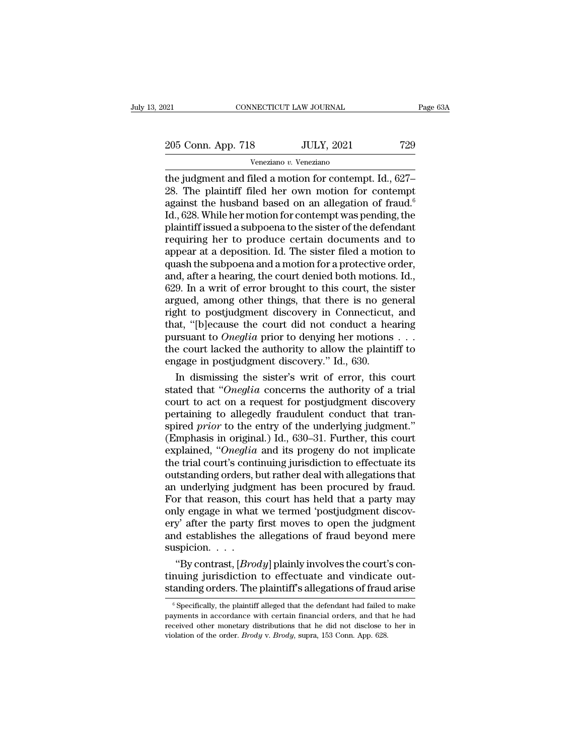205 Conn. App. 718 JULY, 2021 729<br>
Veneziano v. Veneziano

Veneziano *v.* Veneziano

The gradient method is a more contempt and filed a motion for contempt. Id., 627–28. The plaintiff filed her own motion for contempt against the bushind based on an allogation of fraud  $\frac{6}{5}$ 205 Conn. App. 718 JULY, 2021 729<br>
Veneziano v. Veneziano<br>
the judgment and filed a motion for contempt. Id., 627–<br>
28. The plaintiff filed her own motion for contempt<br>
against the husband based on an allegation of fraud. 205 Conn. App. 718 JULY, 2021 729<br>
Veneziano v. Veneziano<br>
the judgment and filed a motion for contempt. Id., 627–<br>
28. The plaintiff filed her own motion for contempt<br>
against the husband based on an allegation of fraud. 205 Conn. App. 718 JULY, 2021 729<br>
Veneziano v. Veneziano<br>
the judgment and filed a motion for contempt. Id., 627–<br>
28. The plaintiff filed her own motion for contempt<br>
against the husband based on an allegation of fraud. For the section of the sister filed a motion<br>the judgment and filed a motion for contempt. Id., 627–<br>28. The plaintiff filed her own motion for contempt<br>against the husband based on an allegation of fraud.<sup>6</sup><br>Id., 628. Wh Veneziano v. Veneziano<br>the judgment and filed a motion for contempt. Id., 627–<br>28. The plaintiff filed her own motion for contempt<br>against the husband based on an allegation of fraud.<sup>6</sup><br>Id., 628. While her motion for con the judgment and filed a motion for contempt. Id., 627–<br>28. The plaintiff filed her own motion for contempt<br>against the husband based on an allegation of fraud.<sup>6</sup><br>Id., 628. While her motion for contempt was pending, the<br>p 28. The plaintiff filed her own motion for contempt<br>against the husband based on an allegation of fraud.<sup>6</sup><br>Id., 628. While her motion for contempt was pending, the<br>plaintiff issued a subpoena to the sister of the defenda against the husband based on an allegation of fraud.<sup>6</sup><br>Id., 628. While her motion for contempt was pending, the<br>plaintiff issued a subpoena to the sister of the defendant<br>requiring her to produce certain documents and to<br> Id., 628. While her motion for contempt was pending, the plaintiff issued a subpoena to the sister of the defendant requiring her to produce certain documents and to appear at a deposition. Id. The sister filed a motion to plaintiff issued a subpoena to the sister of the defendant<br>requiring her to produce certain documents and to<br>appear at a deposition. Id. The sister filed a motion to<br>quash the subpoena and a motion for a protective order,<br> requiring her to produce certain documents and to<br>appear at a deposition. Id. The sister filed a motion to<br>quash the subpoena and a motion for a protective order,<br>and, after a hearing, the court denied both motions. Id.,<br>6 appear at a deposition. Id. The sister filed a motion to<br>quash the subpoena and a motion for a protective order,<br>and, after a hearing, the court denied both motions. Id.,<br>629. In a writ of error brought to this court, the quash the subpoena and a motion for a protective order,<br>and, after a hearing, the court denied both motions. Id.,<br>629. In a writ of error brought to this court, the sister<br>argued, among other things, that there is no gener and, after a hearing, the court denied both motions. Id., 629. In a writ of error brought to this court, the sister argued, among other things, that there is no general right to postjudgment discovery in Connecticut, and 629. In a writ of error brought to this court, the sargued, among other things, that there is no ger right to postjudgment discovery in Connecticut, that, "[b]ecause the court did not conduct a heap<br>pursuant to *Oneglia* gued, among other things, that there is no general<br>fht to postjudgment discovery in Connecticut, and<br>at, "[b]ecause the court did not conduct a hearing<br>rsuant to *Oneglia* prior to denying her motions . . .<br>e court lacked right to postjudgment discovery in Connecticut, and<br>that, "[b]ecause the court did not conduct a hearing<br>pursuant to *Oneglia* prior to denying her motions . . .<br>the court lacked the authority to allow the plaintiff to<br>en

that, "[b]ecause the court did not conduct a hearing<br>pursuant to *Oneglia* prior to denying her motions . . .<br>the court lacked the authority to allow the plaintiff to<br>engage in postjudgment discovery." Id., 630.<br>In dismis pursuant to *Oneglia* prior to denying her motions . . .<br>the court lacked the authority to allow the plaintiff to<br>engage in postjudgment discovery." Id., 630.<br>In dismissing the sister's writ of error, this court<br>stated th the court lacked the authority to allow the plaintiff to<br>engage in postjudgment discovery." Id., 630.<br>In dismissing the sister's writ of error, this court<br>stated that "Oneglia concerns the authority of a trial<br>court to act engage in postjudgment discovery." Id., 630.<br>
In dismissing the sister's writ of error, this court<br>
stated that "Oneglia concerns the authority of a trial<br>
court to act on a request for postjudgment discovery<br>
pertaining In dismissing the sister's writ of error, this court<br>stated that "*Oneglia* concerns the authority of a trial<br>court to act on a request for postjudgment discovery<br>pertaining to allegedly fraudulent conduct that tran-<br>spire stated that "Oneglia concerns the authority of a trial<br>court to act on a request for postjudgment discovery<br>pertaining to allegedly fraudulent conduct that tran-<br>spired *prior* to the entry of the underlying judgment."<br>(Em court to act on a request for postjudgment discovery<br>pertaining to allegedly fraudulent conduct that tran-<br>spired *prior* to the entry of the underlying judgment."<br>(Emphasis in original.) Id., 630–31. Further, this court<br>e pertaining to allegedly fraudulent conduct that tran-<br>spired *prior* to the entry of the underlying judgment."<br>(Emphasis in original.) Id., 630–31. Further, this court<br>explained, "Oneglia and its progeny do not implicate<br>t spired *prior* to the entry of the underlying judgment."<br>(Emphasis in original.) Id., 630–31. Further, this court<br>explained, "Oneglia and its progeny do not implicate<br>the trial court's continuing jurisdiction to effectuate (Emphasis in original.) Id., 630–31. Further, this court explained, "Oneglia and its progeny do not implicate the trial court's continuing jurisdiction to effectuate its outstanding orders, but rather deal with allegation explained, "Oneglia and its progeny do not implicate<br>the trial court's continuing jurisdiction to effectuate its<br>outstanding orders, but rather deal with allegations that<br>an underlying judgment has been procured by fraud.<br> the trial court's continuing jurisdiction to effectuate its<br>outstanding orders, but rather deal with allegations that<br>an underlying judgment has been procured by fraud.<br>For that reason, this court has held that a party may suspicion. . . . I underlying judgment has been procured by fraud.<br>
I underlying judgment has held that a party may<br>
ly engage in what we termed 'postjudgment discov-<br>
y' after the party first moves to open the judgment<br>
d establishes the For that reason, this court has held that a party may<br>only engage in what we termed 'postjudgment discov-<br>ery' after the party first moves to open the judgment<br>and establishes the allegations of fraud beyond mere<br>suspicion only engage in what we termed 'postjudgment discovery' after the party first moves to open the judgment<br>and establishes the allegations of fraud beyond mere<br>suspicion....<br>"By contrast, [*Brody*] plainly involves the court'

"By contrast,  $[Brod y]$  plainly involves the court's con-<br>nuing jurisdiction to effectuate and vindicate out-<br>anding orders. The plaintiff's allegations of fraud arise<br> $\frac{6}{5}$  Specifically, the plaintiff alleged that the d "By contrast,  $[Brod y]$  plainly involves the court's continuing jurisdiction to effectuate and vindicate outstanding orders. The plaintiff's allegations of fraud arise  $\frac{1}{\pi}$  Specifically, the plaintiff alleged that the

tinuing jurisdiction to effectuate and vindicate out-<br>standing orders. The plaintiff's allegations of fraud arise<br> $\frac{1}{\sqrt{2}}$  specifically, the plaintiff alleged that the defendant had failed to make<br>payments in accordan standing orders. The plaintiff's allegations of fraud arise<br>
<sup>6</sup> Specifically, the plaintiff alleged that the defendant had failed to make<br>
payments in accordance with certain financial orders, and that he had<br>
received ot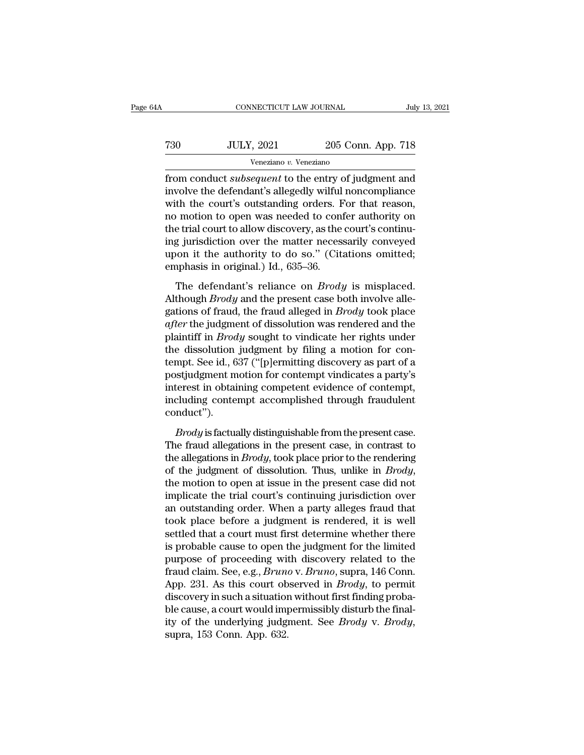| łΑ  | CONNECTICUT LAW JOURNAL |                    | July 13, 2021 |
|-----|-------------------------|--------------------|---------------|
| 730 | <b>JULY, 2021</b>       | 205 Conn. App. 718 |               |
|     | Veneziano v. Veneziano  |                    |               |

From CONNECTICUT LAW JOURNAL July 13, 2021<br>
T30 JULY, 2021 205 Conn. App. 718<br>
Veneziano v. Veneziano<br>
from conduct *subsequent* to the entry of judgment and<br>
involve the defendant's allegedly wilful noncompliance<br>
with th Tata Times JULY, 2021 205 Conn. App. 718<br>
Veneziano v. Veneziano<br>
from conduct *subsequent* to the entry of judgment and<br>
involve the defendant's allegedly wilful noncompliance<br>
with the court's outstanding orders. For tha  $\nu$   $\frac{100 \text{ UUV}}{1000 \text{ Veneziano } v \cdot \text{Veneziano}}$ <br>  $\frac{1000 \text{ Veneziano}}{1000 \text{ Veneziano}}$ <br>  $\frac{1000 \text{ Veneziano}}{1000 \text{ Vchezio}}$ <br>  $\frac{1000 \text{ Vchezio}}{1000 \text{ Vchezio}}$ <br>  $\frac{1000 \text{ Vchezio}}{1000 \text{ Vchezio}}$ <br>  $\frac{1000 \text{ Vchezio}}{1000 \text{ Vchezio}}$ <br>  $\frac{1000 \text{ Vchezio}}$ T30 JULY, 2021 205 Conn. App. 718<br>
Veneziano v. Veneziano<br>
from conduct *subsequent* to the entry of judgment and<br>
involve the defendant's allegedly wilful noncompliance<br>
with the court's outstanding orders. For that reas  $V$ <br>  $V$  eneziano  $v$ . Veneziano<br>
from conduct *subsequent* to the entry of judgment and<br>
involve the defendant's allegedly wilful noncompliance<br>
with the court's outstanding orders. For that reason,<br>
no motion to open wa veneziano v. veneziano<br>from conduct *subsequent* to the entry of judgment and<br>involve the defendant's allegedly wilful noncompliance<br>with the court's outstanding orders. For that reason,<br>no motion to open was needed to co from conduct *subsequent* to the entry of judgment and<br>involve the defendant's allegedly wilful noncompliance<br>with the court's outstanding orders. For that reason,<br>no motion to open was needed to confer authority on<br>the tr involve the defendant's allegedly wilful<br>with the court's outstanding orders. F<br>no motion to open was needed to cont<br>the trial court to allow discovery, as the<br>ing jurisdiction over the matter necess<br>upon it the authority In the boards basednairy states. The last reliability,<br>
in motion to open was needed to confer authority on<br>
g jurisdiction over the matter necessarily conveyed<br>
on it the authority to do so." (Citations omitted;<br>
imphasis The trial court to allow discovery, as the court's continu-<br>the trial court to allow discovery, as the court's continu-<br>ing jurisdiction over the matter necessarily conveyed<br>upon it the authority to do so." (Citations omit

ing jurisdiction over the matter necessarily conveyed<br>upon it the authority to do so." (Citations omitted;<br>emphasis in original.) Id., 635–36.<br>The defendant's reliance on *Brody* is misplaced.<br>Although *Brody* and the pres *after* the authority to do so." (Citations omitted;<br>
emphasis in original.) Id., 635–36.<br>
The defendant's reliance on *Brody* is misplaced.<br>
Although *Brody* and the present case both involve allegations of fraud, the fra emphasis in original.) Id., 635–36.<br>The defendant's reliance on *Brody* is misplaced.<br>Although *Brody* and the present case both involve alle-<br>gations of fraud, the fraud alleged in *Brody* took place<br>after the judgment of The defendant's reliance on *Brody* is misplaced.<br>Although *Brody* and the present case both involve allegations of fraud, the fraud alleged in *Brody* took place *after* the judgment of dissolution was rendered and the p The defendant's reliance on *Brody* is misplaced.<br>Although *Brody* and the present case both involve allegations of fraud, the fraud alleged in *Brody* took place<br>a*fter* the judgment of dissolution was rendered and the<br>p Although *Brody* and the present case both involve allegations of fraud, the fraud alleged in *Brody* took place *after* the judgment of dissolution was rendered and the plaintiff in *Brody* sought to vindicate her rights gations of fraud, the fraud alleged in *Brody* took place  $after$  the judgment of dissolution was rendered and the plaintiff in *Brody* sought to vindicate her rights under the dissolution judgment by filing a motion for cont after the judgment of dissolution was rendered and the plaintiff in *Brody* sought to vindicate her rights under the dissolution judgment by filing a motion for contempt. See id., 637 ("[p]ermitting discovery as part of a conduct''). mpt. See id., 637 ("[p]ermitting discovery as part of a<br>stjudgment motion for contempt vindicates a party's<br>terest in obtaining competent evidence of contempt,<br>cluding contempt accomplished through fraudulent<br>mduct").<br>*Bro* postjudgment motion for contempt vindicates a party's<br>interest in obtaining competent evidence of contempt,<br>including contempt accomplished through fraudulent<br>conduct").<br> $Brody$  is factually distinguishable from the present

interest in obtaining competent evidence of contempt,<br>including contempt accomplished through fraudulent<br>conduct").<br>*Brody* is factually distinguishable from the present case.<br>The fraud allegations in the present case, in including contempt accomplished through fraudulent<br>conduct").<br>*Brody* is factually distinguishable from the present case.<br>The fraud allegations in the present case, in contrast to<br>the allegations in *Brody*, took place pri *Brody* is factually distinguishable from the present case.<br>The fraud allegations in the present case, in contrast to the allegations in *Brody*, took place prior to the rendering of the judgment of dissolution. Thus, unl *Brody* is factually distinguishable from the present case.<br>The fraud allegations in the present case, in contrast to the allegations in *Brody*, took place prior to the rendering of the judgment of dissolution. Thus, unl The fraud allegations in the present case, in contrast to<br>the allegations in *Brody*, took place prior to the rendering<br>of the judgment of dissolution. Thus, unlike in *Brody*,<br>the motion to open at issue in the present c the allegations in *Brody*, took place prior to the rendering<br>of the judgment of dissolution. Thus, unlike in *Brody*,<br>the motion to open at issue in the present case did not<br>implicate the trial court's continuing jurisdic of the judgment of dissolution. Thus, unlike in *Brody*,<br>the motion to open at issue in the present case did not<br>implicate the trial court's continuing jurisdiction over<br>an outstanding order. When a party alleges fraud th the motion to open at issue in the present case did not<br>implicate the trial court's continuing jurisdiction over<br>an outstanding order. When a party alleges fraud that<br>took place before a judgment is rendered, it is well<br>s implicate the trial court's continuing jurisdiction over<br>an outstanding order. When a party alleges fraud that<br>took place before a judgment is rendered, it is well<br>settled that a court must first determine whether there<br>is an outstanding order. When a party alleges fraud that<br>took place before a judgment is rendered, it is well<br>settled that a court must first determine whether there<br>is probable cause to open the judgment for the limited<br>purp took place before a judgment is rendered, it is well<br>settled that a court must first determine whether there<br>is probable cause to open the judgment for the limited<br>purpose of proceeding with discovery related to the<br>fraud settled that a court must first determine whether there<br>is probable cause to open the judgment for the limited<br>purpose of proceeding with discovery related to the<br>fraud claim. See, e.g., *Bruno* v. *Bruno*, supra, 146 Con is probable cause to open the judgment for the limited<br>purpose of proceeding with discovery related to the<br>fraud claim. See, e.g., *Bruno* v. *Bruno*, supra, 146 Conn.<br>App. 231. As this court observed in *Brody*, to permit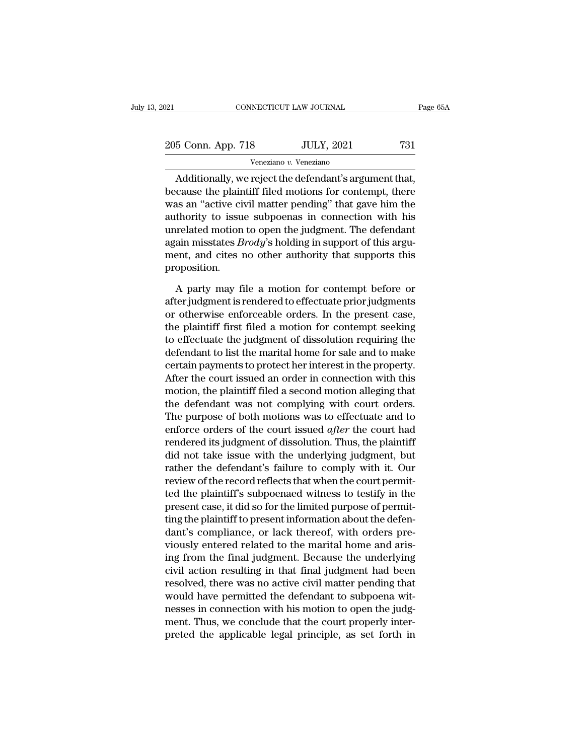| 2021               | CONNECTICUT LAW JOURNAL | Page 65A |
|--------------------|-------------------------|----------|
| 205 Conn. App. 718 | <b>JULY, 2021</b>       | 731      |
|                    | Veneziano v. Veneziano  |          |

CONNECTICUT LAW JOURNAL Page (<br>
5 Conn. App. 718 JULY, 2021 731<br>
Veneziano v. Veneziano<br>
Additionally, we reject the defendant's argument that,<br>
cause the plaintiff filed motions for contempt, there 205 Conn. App. 718 JULY, 2021 731<br>
Veneziano v. Veneziano<br>
Additionally, we reject the defendant's argument that,<br>
because the plaintiff filed motions for contempt, there<br>
was an "active civil matter pending" that gave him 205 Conn. App. 718 JULY, 2021 731<br>
Veneziano v. Veneziano<br>
Additionally, we reject the defendant's argument that,<br>
because the plaintiff filed motions for contempt, there<br>
was an "active civil matter pending" that gave hi 205 Conn. App. 718 JULY, 2021 731<br>
Veneziano v. Veneziano<br>
Additionally, we reject the defendant's argument that,<br>
because the plaintiff filed motions for contempt, there<br>
was an "active civil matter pending" that gave hi Veneziano v. Veneziano<br>
Additionally, we reject the defendant's argument that,<br>
because the plaintiff filed motions for contempt, there<br>
was an "active civil matter pending" that gave him the<br>
authority to issue subpoenas Additionally, we reject the defendant's argument that, because the plaintiff filed motions for contempt, there was an "active civil matter pending" that gave him the authority to issue subpoenas in connection with his unre Additionally, we reject the defendant's argument that,<br>because the plaintiff filed motions for contempt, there<br>was an "active civil matter pending" that gave him the<br>authority to issue subpoenas in connection with his<br>unr proposition. thority to issue subpoenas in connection with his<br>related motion to open the judgment. The defendant<br>ain misstates *Brody*'s holding in support of this argu-<br>ent, and cites no other authority that supports this<br>oposition.<br> unrelated motion to open the judgment. The defendant<br>again misstates *Brody's* holding in support of this argu-<br>ment, and cites no other authority that supports this<br>proposition.<br>A party may file a motion for contempt befo

again misstates *Brody's* holding in support of this argument, and cites no other authority that supports this proposition.<br>A party may file a motion for contempt before or after judgment is rendered to effectuate prior j ment, and cites no other authority that supports this<br>proposition.<br>A party may file a motion for contempt before or<br>after judgment is rendered to effectuate prior judgments<br>or otherwise enforceable orders. In the present c proposition.<br>A party may file a motion for contempt before or<br>after judgment is rendered to effectuate prior judgments<br>or otherwise enforceable orders. In the present case,<br>the plaintiff first filed a motion for contempt s A party may file a motion for contempt before or<br>after judgment is rendered to effectuate prior judgments<br>or otherwise enforceable orders. In the present case,<br>the plaintiff first filed a motion for contempt seeking<br>to eff A party may file a motion for contempt before or<br>after judgment is rendered to effectuate prior judgments<br>or otherwise enforceable orders. In the present case,<br>the plaintiff first filed a motion for contempt seeking<br>to eff after judgment is rendered to effectuate prior judgments<br>or otherwise enforceable orders. In the present case,<br>the plaintiff first filed a motion for contempt seeking<br>to effectuate the judgment of dissolution requiring the or otherwise enforceable orders. In the present case,<br>the plaintiff first filed a motion for contempt seeking<br>to effectuate the judgment of dissolution requiring the<br>defendant to list the marital home for sale and to make<br> the plaintiff first filed a motion for contempt seeking<br>to effectuate the judgment of dissolution requiring the<br>defendant to list the marital home for sale and to make<br>certain payments to protect her interest in the proper to effectuate the judgment of dissolution requiring the<br>defendant to list the marital home for sale and to make<br>certain payments to protect her interest in the property.<br>After the court issued an order in connection with t defendant to list the marital home for sale and to make<br>certain payments to protect her interest in the property.<br>After the court issued an order in connection with this<br>motion, the plaintiff filed a second motion alleging certain payments to protect her interest in the property.<br>After the court issued an order in connection with this<br>motion, the plaintiff filed a second motion alleging that<br>the defendant was not complying with court orders. After the court issued an order in connection with this<br>motion, the plaintiff filed a second motion alleging that<br>the defendant was not complying with court orders.<br>The purpose of both motions was to effectuate and to<br>enfo motion, the plaintiff filed a second motion alleging that<br>the defendant was not complying with court orders.<br>The purpose of both motions was to effectuate and to<br>enforce orders of the court issued *after* the court had<br>ren the defendant was not complying with court orders.<br>The purpose of both motions was to effectuate and to<br>enforce orders of the court issued *after* the court had<br>rendered its judgment of dissolution. Thus, the plaintiff<br>did The purpose of both motions was to effectuate and to<br>enforce orders of the court issued *after* the court had<br>rendered its judgment of dissolution. Thus, the plaintiff<br>did not take issue with the underlying judgment, but<br>r enforce orders of the court issued *after* the court had<br>rendered its judgment of dissolution. Thus, the plaintiff<br>did not take issue with the underlying judgment, but<br>rather the defendant's failure to comply with it. Our<br> rendered its judgment of dissolution. Thus, the plaintiff<br>did not take issue with the underlying judgment, but<br>rather the defendant's failure to comply with it. Our<br>review of the record reflects that when the court permitdid not take issue with the underlying judgment, but<br>rather the defendant's failure to comply with it. Our<br>review of the record reflects that when the court permit-<br>ted the plaintiff's subpoenaed witness to testify in the<br> rather the defendant's failure to comply with it. Our<br>review of the record reflects that when the court permit-<br>ted the plaintiff's subpoenaed witness to testify in the<br>present case, it did so for the limited purpose of pe review of the record reflects that when the court permit-<br>ted the plaintiff's subpoenaed witness to testify in the<br>present case, it did so for the limited purpose of permit-<br>ting the plaintiff to present information about ted the plaintiff's subpoenaed witness to testify in the<br>present case, it did so for the limited purpose of permit-<br>ting the plaintiff to present information about the defen-<br>dant's compliance, or lack thereof, with orders present case, it did so for the limited purpose of permitting the plaintiff to present information about the defendant's compliance, or lack thereof, with orders previously entered related to the marital home and arising f ting the plaintiff to present information about the defendant's compliance, or lack thereof, with orders previously entered related to the marital home and arising from the final judgment. Because the underlying civil acti dant's compliance, or lack thereof, with orders pre-<br>viously entered related to the marital home and aris-<br>ing from the final judgment. Because the underlying<br>civil action resulting in that final judgment had been<br>resolved viously entered related to the marital home and aris-<br>ing from the final judgment. Because the underlying<br>civil action resulting in that final judgment had been<br>resolved, there was no active civil matter pending that<br>would ing from the final judgment. Because the underlying<br>civil action resulting in that final judgment had been<br>resolved, there was no active civil matter pending that<br>would have permitted the defendant to subpoena wit-<br>nesses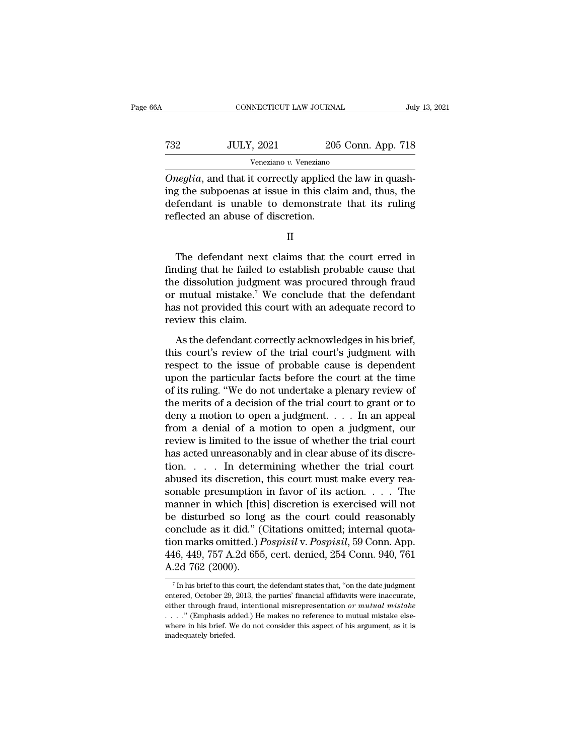| 6A  | CONNECTICUT LAW JOURNAL                                                                                                                                                           |                    | July 13, 2021 |
|-----|-----------------------------------------------------------------------------------------------------------------------------------------------------------------------------------|--------------------|---------------|
| 732 | <b>JULY, 2021</b>                                                                                                                                                                 | 205 Conn. App. 718 |               |
|     | Veneziano v. Veneziano                                                                                                                                                            |                    |               |
|     | <i>Oneglia</i> , and that it correctly applied the law in quash-<br>ing the subpoenas at issue in this claim and, thus, the<br>defendent is unable to demonstrate that its miling |                    |               |

 $\begin{array}{cc}\n 32 & \text{JULY, } 2021 & \text{205 Conn. App. 718}\n \hline\n \text{Veneziano } v. \text{Veneziano} \\
 \hline\n \text{Oneglia, and that it correctly applied the law in quashing the subpoenas at issue in this claim and, thus, the defendant is unable to demonstrate that its ruling reflected an above of discriminator.\n\end{array}$  $\frac{732}{\text{Veneziano } v. \text{ Veneziano}}$ <br>  $\frac{100}{\text{Veneziano } v. \text{ Veneziano}}$ <br>  $\frac{100}{\text{Oneglia}}$ , and that it correctly applied the law in quashing the subpoenas at issue in this claim and, thus, the defendant is unable to demonstrate that its rul T32 JULY, 2021 205<br>
Veneziano v. Veneziano<br>
Oneglia, and that it correctly applied ing the subpoenas at issue in this clai<br>
defendant is unable to demonstrate<br>
reflected an abuse of discretion.<br>
II *legua*, and that it correctly applied the law in quash-<br>g the subpoenas at issue in this claim and, thus, the<br>fendant is unable to demonstrate that its ruling<br>flected an abuse of discretion.<br>II<br>The defendant next claims t

finding the subpoenas at issue in this claim and, thus, the defendant is unable to demonstrate that its ruling reflected an abuse of discretion.<br>  $II$ <br>
The defendant next claims that the court erred in finding that he fail defendant is unable to demonstrate that its ruling<br>reflected an abuse of discretion.<br>II<br>The defendant next claims that the court erred in<br>finding that he failed to establish probable cause that<br>the dissolution judgment was The defendant next claims that the court erred in<br>
The defendant next claims that the court erred in<br>
finding that he failed to establish probable cause that<br>
the dissolution judgment was procured through fraud<br>
or mutual II<br>The defendant next claims that the court erred in<br>finding that he failed to establish probable cause that<br>the dissolution judgment was procured through fraud<br>or mutual mistake.<sup>7</sup> We conclude that the defendant<br>has not The defendant next claims that the court erred in finding that he failed to establish probable cause that the dissolution judgment was procured through fraud or mutual mistake.<sup>7</sup> We conclude that the defendant has not pro I<br>I ding that he failed to establish probable cause that<br>
e dissolution judgment was procured through fraud<br>
mutual mistake.<sup>7</sup> We conclude that the defendant<br>
s not provided this court with an adequate record to<br>
view thi the dissolution judgment was procured through fraud<br>or mutual mistake.<sup>7</sup> We conclude that the defendant<br>has not provided this court with an adequate record to<br>review this claim.<br>As the defendant correctly acknowledges in

or mutual mistake.<sup>7</sup> We conclude that the defendant<br>has not provided this court with an adequate record to<br>review this claim.<br>As the defendant correctly acknowledges in his brief,<br>this court's review of the trial court's has not provided this court with an adequate record to<br>review this claim.<br>As the defendant correctly acknowledges in his brief,<br>this court's review of the trial court's judgment with<br>respect to the issue of probable cause review this claim.<br>
As the defendant correctly acknowledges in his brief,<br>
this court's review of the trial court's judgment with<br>
respect to the issue of probable cause is dependent<br>
upon the particular facts before the c As the defendant correctly acknowledges in his brief,<br>this court's review of the trial court's judgment with<br>respect to the issue of probable cause is dependent<br>upon the particular facts before the court at the time<br>of it As the defendant correctly acknowledges in his brief,<br>this court's review of the trial court's judgment with<br>respect to the issue of probable cause is dependent<br>upon the particular facts before the court at the time<br>of it this court's review of the trial court's judgment with<br>respect to the issue of probable cause is dependent<br>upon the particular facts before the court at the time<br>of its ruling. "We do not undertake a plenary review of<br>the respect to the issue of probable cause is dependent<br>upon the particular facts before the court at the time<br>of its ruling. "We do not undertake a plenary review of<br>the merits of a decision of the trial court to grant or to<br> upon the particular facts before the court at the time<br>of its ruling. "We do not undertake a plenary review of<br>the merits of a decision of the trial court to grant or to<br>deny a motion to open a judgment. . . . In an appea of its ruling. "We do not undertake a plenary review of<br>the merits of a decision of the trial court to grant or to<br>deny a motion to open a judgment. . . . In an appeal<br>from a denial of a motion to open a judgment, our<br>rev the merits of a decision of the trial court to grant or to<br>deny a motion to open a judgment. . . . In an appeal<br>from a denial of a motion to open a judgment, our<br>review is limited to the issue of whether the trial court<br>h deny a motion to open a judgment. . . . In an appeal<br>from a denial of a motion to open a judgment, our<br>review is limited to the issue of whether the trial court<br>has acted unreasonably and in clear abuse of its discre-<br>tio from a denial of a motion to open a judgment, our<br>review is limited to the issue of whether the trial court<br>has acted unreasonably and in clear abuse of its discre-<br>tion. . . . In determining whether the trial court<br>abuse review is limited to the issue of whether the trial court<br>has acted unreasonably and in clear abuse of its discre-<br>tion. . . . . In determining whether the trial court<br>abused its discretion, this court must make every rea has acted unreasonably and in clear abuse of its discretion. . . . . In determining whether the trial court abused its discretion, this court must make every reasonable presumption in favor of its action. . . . The manner tion. . . . In determining whether the trial court<br>abused its discretion, this court must make every rea-<br>sonable presumption in favor of its action. . . . The<br>manner in which [this] discretion is exercised will not<br>be dis abused its discretion, this court must make every reasonable presumption in favor of its action. . . . The manner in which [this] discretion is exercised will not be disturbed so long as the court could reasonably conclud sonable presumption<br>manner in which [this<br>be disturbed so long<br>conclude as it did." (<br>tion marks omitted.)  $I$ <br>446, 449, 757 A.2d 655<br>A.2d 762 (2000). on marks omitted.)  $Pospisil$  v.  $Pospisil$ , 59 Conn. App.<br>16, 449, 757 A.2d 655, cert. denied, 254 Conn. 940, 761<br>2d 762 (2000).<br><sup>7</sup> In his brief to this court, the defendant states that, "on the date judgment<br>tered, October 29, 2 tion marks omitted.) *Pospisil* v. *Pospisil*, 59 Conn. App.<br>446, 449, 757 A.2d 655, cert. denied, 254 Conn. 940, 761<br>A.2d 762 (2000).<br><sup>7</sup> In his brief to this court, the defendant states that, "on the date judgment<br>enter

<sup>446, 449, 757</sup> A.2d 655, cert. denied, 254 Conn. 940, 761<br>A.2d 762 (2000).<br><sup>7</sup>In his brief to this court, the defendant states that, "on the date judgment<br>entered, October 29, 2013, the parties' financial affidavits were in A.2d 762 (2000).<br>
This brief to this court, the defendant states that, "on the date judgment<br>
entered, October 29, 2013, the parties' financial affidavits were inaccurate,<br>
either through fraud, intentional misrepresentat The intertace of this court, the defendant states that, "on the date judgment entered, October 29, 2013, the parties' financial affidavits were inaccurate, either through fraud, intentional misrepresentation *or mutual mi* <sup>7</sup> In his brief to this<br>entered, October 29,<br>either through fraud<br> $\ldots$ ." (Emphasis ad<br>where in his brief. W<br>inadequately briefed.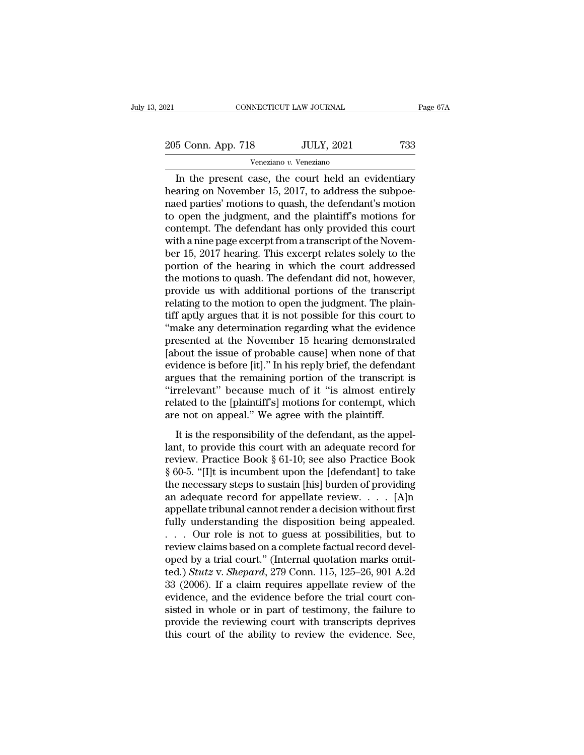205 Conn. App. 718 JULY, 2021 733

Veneziano *v.* Veneziano

CONNECTICUT LAW JOURNAL Page 67A<br>
5 Conn. App. 718 JULY, 2021 733<br>
Veneziano v. Veneziano<br>
In the present case, the court held an evidentiary<br>
aring on November 15, 2017, to address the subpoe-205 Conn. App. 718 JULY, 2021 733<br>
Veneziano v. Veneziano<br>
In the present case, the court held an evidentiary<br>
hearing on November 15, 2017, to address the subpoe-<br>
maed parties' motions to quash, the defendant's motion<br>
t 205 Conn. App. 718 JULY, 2021 733<br>
Veneziano v. Veneziano<br>
In the present case, the court held an evidentiary<br>
hearing on November 15, 2017, to address the subpoe-<br>
maed parties' motions to quash, the defendant's motion<br> 205 Conn. App. 718 JULY, 2021 733<br>
Veneziano v. Veneziano<br>
In the present case, the court held an evidentiary<br>
hearing on November 15, 2017, to address the subpoe-<br>
naed parties' motions to quash, the defendant's motion<br> For Fighter (Fighter 2021) 2022)<br>
Veneziano<br>
In the present case, the court held an evidentiary<br>
hearing on November 15, 2017, to address the subpoe-<br>
naed parties' motions to quash, the defendant's motion<br>
to open the ju From a transcribe the court held an evidentiary<br>hearing on November 15, 2017, to address the subpoe-<br>naed parties' motions to quash, the defendant's motion<br>to open the judgment, and the plaintiff's motions for<br>contempt. T In the present case, the court held an evidentiary<br>hearing on November 15, 2017, to address the subpoe-<br>naed parties' motions to quash, the defendant's motion<br>to open the judgment, and the plaintiff's motions for<br>contempt. hearing on November 15, 2017, to address the subpoe-<br>naed parties' motions to quash, the defendant's motion<br>to open the judgment, and the plaintiff's motions for<br>contempt. The defendant has only provided this court<br>with a naed parties' motions to quash, the defendant's motion<br>to open the judgment, and the plaintiff's motions for<br>contempt. The defendant has only provided this court<br>with a nine page excerpt from a transcript of the Novem-<br>ber to open the judgment, and the plaintiff's motions for<br>contempt. The defendant has only provided this court<br>with a nine page excerpt from a transcript of the Novem-<br>ber 15, 2017 hearing. This excerpt relates solely to the<br>p contempt. The defendant has only provided this court<br>with a nine page excerpt from a transcript of the Novem-<br>ber 15, 2017 hearing. This excerpt relates solely to the<br>portion of the hearing in which the court addressed<br>the with a nine page excerpt from a transcript of the November 15, 2017 hearing. This excerpt relates solely to the portion of the hearing in which the court addressed the motions to quash. The defendant did not, however, prov ber 15, 2017 hearing. This excerpt relates solely to the<br>portion of the hearing in which the court addressed<br>the motions to quash. The defendant did not, however,<br>provide us with additional portions of the transcript<br>relat portion of the hearing in which the court addressed<br>the motions to quash. The defendant did not, however,<br>provide us with additional portions of the transcript<br>relating to the motion to open the judgment. The plain-<br>tiff a the motions to quash. The defendant did not, however,<br>provide us with additional portions of the transcript<br>relating to the motion to open the judgment. The plain-<br>tiff aptly argues that it is not possible for this court t provide us with additional portions of the transcript<br>relating to the motion to open the judgment. The plain-<br>tiff aptly argues that it is not possible for this court to<br>"make any determination regarding what the evidence<br> relating to the motion to open the judgment. The plain-<br>tiff aptly argues that it is not possible for this court to<br>"make any determination regarding what the evidence<br>presented at the November 15 hearing demonstrated<br>[abo tiff aptly argues that it is not possible for this court to<br>
"make any determination regarding what the evidence<br>
presented at the November 15 hearing demonstrated<br>
[about the issue of probable cause] when none of that<br>
ev "make any determination regarding what the evidence<br>presented at the November 15 hearing demonstrated<br>[about the issue of probable cause] when none of that<br>evidence is before [it]." In his reply brief, the defendant<br>argues presented at the November 15 hearing demonstrate<br>[about the issue of probable cause] when none of tha<br>evidence is before [it]." In his reply brief, the defendar<br>argues that the remaining portion of the transcript<br>"irreleva It is the responsibility of the defendant and the remaining portion of the transcript is<br>relevant" because much of it "is almost entirely<br>lated to the [plaintiff's] motions for contempt, which<br>e not on appeal." We agree w argues that the remaining portion of the transcript is<br>
"irrelevant" because much of it "is almost entirely<br>
related to the [plaintiff's] motions for contempt, which<br>
are not on appeal." We agree with the plaintiff.<br>
It i

degrees and the conduction of it "is almost entirely<br>
"irrelevant" because much of it "is almost entirely<br>
related to the [plaintiff's] motions for contempt, which<br>
are not on appeal." We agree with the plaintiff.<br>
It is t related to the [plaintiff's] motions for contempt, which<br>are not on appeal." We agree with the plaintiff.<br>It is the responsibility of the defendant, as the appel-<br>lant, to provide this court with an adequate record for<br>re The necessary of the defendant, as the appellant, to provide this court with an adequate record for review. Practice Book § 61-10; see also Practice Book § 60-5. "[I]t is incumbent upon the [defendant] to take the necessa It is the responsibility of the defendant, as the appellant, to provide this court with an adequate record for<br>review. Practice Book § 61-10; see also Practice Book<br>§ 60-5. "[I]t is incumbent upon the [defendant] to take<br> It is the responsibility of the defendant, as the appellant, to provide this court with an adequate record for<br>review. Practice Book § 61-10; see also Practice Book<br>§ 60-5. "[I]t is incumbent upon the [defendant] to take<br> lant, to provide this court with an adequate record for<br>review. Practice Book § 61-10; see also Practice Book<br>§ 60-5. "[I]t is incumbent upon the [defendant] to take<br>the necessary steps to sustain [his] burden of providin review. Practice Book § 61-10; see also Practice Book<br>§ 60-5. "[I]t is incumbent upon the [defendant] to take<br>the necessary steps to sustain [his] burden of providing<br>an adequate record for appellate review. . . . [A]n<br>ap § 60-5. "[I]t is incumbent upon the [defendant] to take<br>the necessary steps to sustain [his] burden of providing<br>an adequate record for appellate review. . . . [A]n<br>appellate tribunal cannot render a decision without firs the necessary steps to sustain [his] burden of providing<br>an adequate record for appellate review. . . . [A]n<br>appellate tribunal cannot render a decision without first<br>fully understanding the disposition being appealed.<br>. an adequate record for appellate review.  $\ldots$  [A]n<br>appellate tribunal cannot render a decision without first<br>fully understanding the disposition being appealed.<br> $\ldots$  Our role is not to guess at possibilities, but to<br>rev appellate tribunal cannot render a decision without first<br>fully understanding the disposition being appealed.<br>... Our role is not to guess at possibilities, but to<br>review claims based on a complete factual record devel-<br>o fully understanding the disposition being appealed.<br>  $\ldots$  Our role is not to guess at possibilities, but to<br>
review claims based on a complete factual record devel-<br>
oped by a trial court." (Internal quotation marks omit ... Our role is not to guess at possibilities, but to<br>review claims based on a complete factual record devel-<br>oped by a trial court." (Internal quotation marks omit-<br>ted.) Stutz v. Shepard, 279 Conn. 115, 125–26, 901 A.2d review claims based on a complete factual record devel-<br>oped by a trial court." (Internal quotation marks omit-<br>ted.) *Stutz* v. *Shepard*, 279 Conn. 115, 125–26, 901 A.2d<br>33 (2006). If a claim requires appellate review of oped by a trial court." (Internal quotation marks omit-<br>ted.)  $Stutz$  v.  $Shepard$ , 279 Conn. 115, 125–26, 901 A.2d<br>33 (2006). If a claim requires appellate review of the<br>evidence, and the evidence before the trial court con-<br>si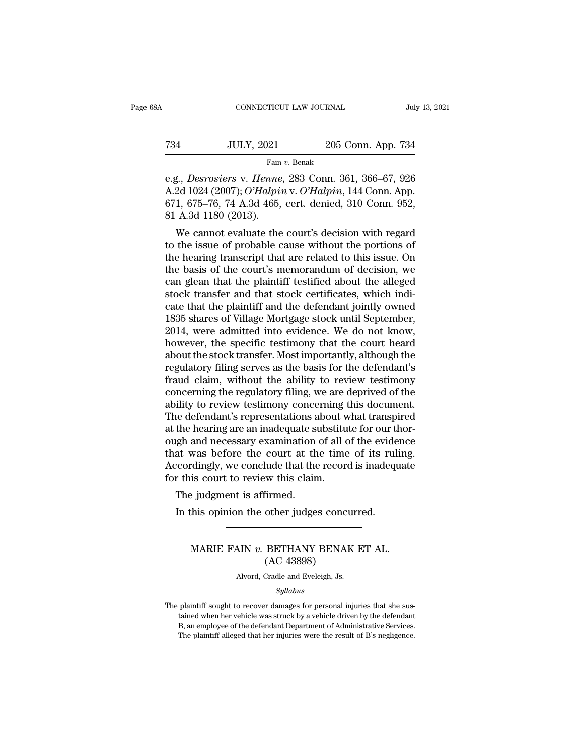|     | CONNECTICUT LAW JOURNAL |                    | July 13, 2021 |
|-----|-------------------------|--------------------|---------------|
| 734 | <b>JULY, 2021</b>       | 205 Conn. App. 734 |               |
|     | Fain v. Benak           |                    |               |

e. 2011<br>
e.g., *Desrosiers* v. *Henne*, 283 Conn. 361, 366–67, 926<br>
e.g., *Desrosiers* v. *Henne*, 283 Conn. 361, 366–67, 926<br>
A.2d 1024 (2007); *O'Halpin* v. *O'Halpin*, 144 Conn. App.<br>
671, 675, 76, 74, A 34, 465, ext, d V. 134 J. 1021 205 Conn. App. 734<br>
Fain v. Benak<br>
e.g., *Desrosiers* v. *Henne*, 283 Conn. 361, 366–67, 926<br>
A.2d 1024 (2007); *O'Halpin* v. *O'Halpin*, 144 Conn. App.<br>
671, 675–76, 74 A.3d 465, cert. denied, 310 Conn. 952 134 JULY, 2021 205 Conn. App. 734<br>
Fain v. Benak<br>
e.g., *Desrosiers v. Henne*, 283 Conn. 361, 366–67, 926<br>
A.2d 1024 (2007); *O'Halpin v. O'Halpin*, 144 Conn. App.<br>
671, 675–76, 74 A.3d 465, cert. denied, 310 Conn. 952,<br>
8 734 JULY, 2021<br>
Fain<br>
e.g., *Desrosiers v. Henne*<br>
A.2d 1024 (2007); *O'Halpii*<br>
671, 675–76, 74 A.3d 465,<br>
81 A.3d 1180 (2013).<br>
We cannot evaluate the Fain v. Benak<br>
E., Desrosiers v. Henne, 283 Conn. 361, 366–67, 926<br>
2d 1024 (2007); O'Halpin v. O'Halpin, 144 Conn. App.<br>
1, 675–76, 74 A.3d 465, cert. denied, 310 Conn. 952,<br>
A.3d 1180 (2013).<br>
We cannot evaluate the cou e.g., *Desrosiers v. Henne*, 283 Conn. 361, 366–67, 926<br>A.2d 1024 (2007); *O'Halpin v. O'Halpin*, 144 Conn. App.<br>671, 675–76, 74 A.3d 465, cert. denied, 310 Conn. 952,<br>81 A.3d 1180 (2013).<br>We cannot evaluate the court's de

e.g., *Desrosters v. Henne*, 283 Com. 361, 366–67, 926<br>A.2d 1024 (2007); *O'Halpin* v. *O'Halpin*, 144 Conn. App.<br>671, 675–76, 74 A.3d 465, cert. denied, 310 Conn. 952,<br>81 A.3d 1180 (2013).<br>We cannot evaluate the court's d A.2d 1024 (2007); O Hatpin v. O Hatpin, 144 Conn. App.<br>671, 675–76, 74 A.3d 465, cert. denied, 310 Conn. 952,<br>81 A.3d 1180 (2013).<br>We cannot evaluate the court's decision with regard<br>to the issue of probable cause without 671, 675–76, 74 A.3d 465, cert. denied, 310 Conn. 952,<br>81 A.3d 1180 (2013).<br>We cannot evaluate the court's decision with regard<br>to the issue of probable cause without the portions of<br>the hearing transcript that are related st A.3d 1180 (2013).<br>We cannot evaluate the court's decision with regard<br>to the issue of probable cause without the portions of<br>the hearing transcript that are related to this issue. On<br>the basis of the court's memorandum We cannot evaluate the court's decision with regard<br>to the issue of probable cause without the portions of<br>the hearing transcript that are related to this issue. On<br>the basis of the court's memorandum of decision, we<br>can g to the issue of probable cause without the portions of<br>the hearing transcript that are related to this issue. On<br>the basis of the court's memorandum of decision, we<br>can glean that the plaintiff testified about the alleged<br> the hearing transcript that are related to this issue. On<br>the basis of the court's memorandum of decision, we<br>can glean that the plaintiff testified about the alleged<br>stock transfer and that stock certificates, which indithe basis of the court's memorandum of decision, we<br>can glean that the plaintiff testified about the alleged<br>stock transfer and that stock certificates, which indi-<br>cate that the plaintiff and the defendant jointly owned<br>1 can glean that the plaintiff testified about the alleged<br>stock transfer and that stock certificates, which indi-<br>cate that the plaintiff and the defendant jointly owned<br>1835 shares of Village Mortgage stock until September stock transfer and that stock certificates, which indicate that the plaintiff and the defendant jointly owned<br>1835 shares of Village Mortgage stock until September,<br>2014, were admitted into evidence. We do not know,<br>howeve cate that the plaintiff and the defendant jointly owned<br>1835 shares of Village Mortgage stock until September,<br>2014, were admitted into evidence. We do not know,<br>however, the specific testimony that the court heard<br>about t 1835 shares of Village Mortgage stock until September,<br>2014, were admitted into evidence. We do not know,<br>however, the specific testimony that the court heard<br>about the stock transfer. Most importantly, although the<br>regula 2014, were admitted into evidence. We do not know,<br>however, the specific testimony that the court heard<br>about the stock transfer. Most importantly, although the<br>regulatory filing serves as the basis for the defendant's<br>fra however, the specific testimony that the court heard<br>about the stock transfer. Most importantly, although the<br>regulatory filing serves as the basis for the defendant's<br>fraud claim, without the ability to review testimony<br>c about the stock transfer. Most importantly, although the regulatory filing serves as the basis for the defendant's fraud claim, without the ability to review testimony concerning the regulatory filing, we are deprived of t regulatory filing serves as the basis for the defendant's<br>fraud claim, without the ability to review testimony<br>concerning the regulatory filing, we are deprived of the<br>ability to review testimony concerning this document.<br> fraud claim, without the ability to review testimony<br>concerning the regulatory filing, we are deprived of the<br>ability to review testimony concerning this document.<br>The defendant's representations about what transpired<br>at t concerning the regulatory filing, we are deprived of the ability to review testimony concerning this document.<br>The defendant's representations about what transpired at the hearing are an inadequate substitute for our thoro ability to review testimony concerning the defendant's representations about wat the hearing are an inadequate substituding ough and necessary examination of all court at the time Accordingly, we conclude that the record f ie derendant s representations a<br>the hearing are an inadequate si<br>igh and necessary examination<br>at was before the court at the<br>cordingly, we conclude that the<br>r this court to review this clain<br>The judgment is affirmed.<br>In In this discussory examination of all of the evident was before the court at the time of its rul coordingly, we conclude that the record is inadequally this court to review this claim.<br>The judgment is affirmed.<br>In this opi

## is court to review this claim.<br>
e judgment is affirmed.<br>
his opinion the other judges concurred.<br>
MARIE FAIN *v*. BETHANY BENAK ET AL.<br>
(AC 43898) firmed.<br>
other judges concu<br>
BETHANY BENAK<br>
(AC 43898)<br>
Cradle and Eveleigh, Js. MARIE FAIN  $v$ . BETHANY BENAK ET AL.<br>(AC 43898)<br>Alvord, Cradle and Eveleigh, Js.

*Syllabus*

MAKIE FAIN *V*. BETHANT BENAK ET AL.<br>  $(AC 43898)$ <br>
Alvord, Cradle and Eveleigh, Js.<br>  $Syllabus$ <br>
The plaintiff sought to recover damages for personal injuries that she sus-<br>
tained when her vehicle was struck by a vehicle driv  $(AC 43898)$ <br>Alvord, Cradle and Eveleigh, Js.<br>Syllabus<br>plaintiff sought to recover damages for personal injuries that she sus-<br>tained when her vehicle was struck by a vehicle driven by the defendant<br>B, an employee of the d Alvord, Cradle and Eveleigh, Js.<br>
Syllabus<br>
plaintiff sought to recover damages for personal injuries that she sus-<br>
tained when her vehicle was struck by a vehicle driven by the defendant<br>
B, an employee of the defendant Syllabus<br>Syllabus<br>plaintiff sought to recover damages for personal injuries that she sus-<br>tained when her vehicle was struck by a vehicle driven by the defendant<br>B, an employee of the defendant Department of Administrative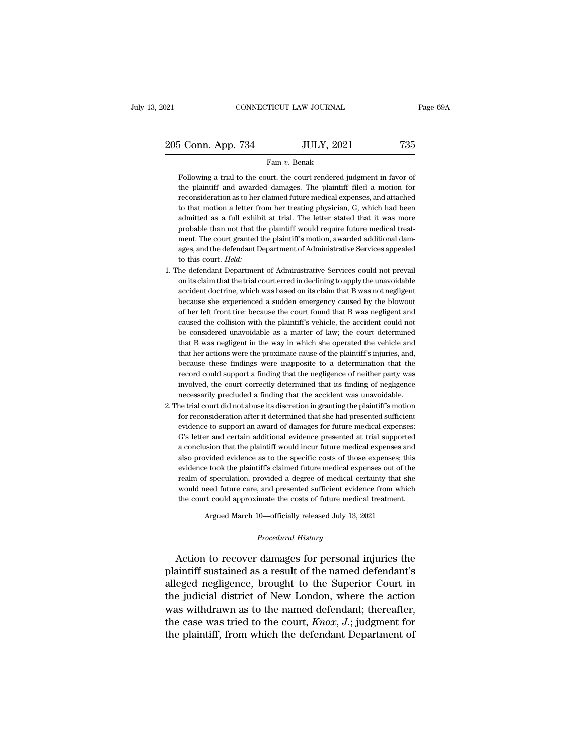205 Conn. App. 734 JULY, 2021 735

### Fain *v.* Benak

Following a trial to the court, the court rendered judgment in favor of the plaintiff and awarded damages. The plaintiff filed a motion for the plantiff and awarded damages. The plaintiff and awarded damages. The plaintiff filed a motion for reconsideration as to her claimed future medical expenses, and attached  $\frac{1}{2}$ Following a trial to the court, the court rendered judgment in favor of the plaintiff and awarded damages. The plaintiff filed a motion for reconsideration as to her claimed future medical expenses, and attached to that m Fain v. Benak<br>Following a trial to the court, the court rendered judgment in favor of<br>the plaintiff and awarded damages. The plaintiff filed a motion for<br>reconsideration as to her claimed future medical expenses, and attac Following a trial to the court, the court rendered judgment in favor of<br>the plaintiff and awarded damages. The plaintiff filed a motion for<br>reconsideration as to her claimed future medical expenses, and attached<br>to that mo Following a trial to the court, the court rendered judgment in favor of<br>the plaintiff and awarded damages. The plaintiff filed a motion for<br>reconsideration as to her claimed future medical expenses, and attached<br>to that mo the plaintiff and awarded damages. The plaintiff filed a motion for<br>reconsideration as to her claimed future medical expenses, and attached<br>to that motion a letter from her treating physician, G, which had been<br>admitted as reconsideration as to her claimed future medical expenses, and attached to that motion a letter from her treating physician, G, which had been admitted as a full exhibit at trial. The letter stated that it was more probabl to that motion a letter from her treating physician, G, which had been<br>admitted as a full exhibit at trial. The letter stated that it was more<br>probable than not that the plaintiff would require future medical treat-<br>ment. % admitted as a full exhibit at trial. The letter stated that it was more probable than not that the plaintiff would require future medical treatment. The court granted the plaintiff's motion, awarded additional damages, probable than not that the plaintiff would require future medical treat-<br>ment. The court granted the plaintiff's motion, awarded additional dam-<br>ages, and the defendant Department of Administrative Services appealed<br>to thi

- ment. The court granted the plaintiff's motion, awarded additional damages, and the defendant Department of Administrative Services appealed to this court. *Held:*<br>he defendant Department of Administrative Services could n ages, and the defendant Department of Administrative Services appealed<br>to this court. Held:<br>the defendant Department of Administrative Services could not prevail<br>on its claim that the trial court erred in declining to appl to this court. *Held:*<br>he defendant Department of Administrative Services could not prevail<br>on its claim that the trial court erred in declining to apply the unavoidable<br>accident doctrine, which was based on its claim that he defendant Department of Administrative Services could not prevail<br>on its claim that the trial court erred in declining to apply the unavoidable<br>accident doctrine, which was based on its claim that B was not negligent<br>be on its claim that the trial court erred in declining to apply the unavoidable accident doctrine, which was based on its claim that B was not negligent because she experienced a sudden emergency caused by the blowout of her accident doctrine, which was based on its claim that B was not negligent because she experienced a sudden emergency caused by the blowout of her left front tire: because the court found that B was negligent and caused the because she experienced a sudden emergency caused by the blowout<br>of her left front tire: because the court found that B was negligent and<br>caused the collision with the plaintiff's vehicle, the accident could not<br>be conside of her left front tire: because the court found that B was negligent and caused the collision with the plaintiff's vehicle, the accident could not be considered unavoidable as a matter of law; the court determined that B w caused the collision with the plaintiff's vehicle, the accident could not<br>be considered unavoidable as a matter of law; the court determined<br>that B was negligent in the way in which she operated the vehicle and<br>that her ac be considered unavoidable as a matter of law; the court determined<br>that B was negligent in the way in which she operated the vehicle and<br>that her actions were the proximate cause of the plaintiff's injuries, and,<br>because t that B was negligent in the way in which she operated the vehicle and that her actions were the proximate cause of the plaintiff's injuries, and, because these findings were inapposite to a determination that the record co that her actions were the proximate cause of the plaintiff's injuries, and, because these findings were inapposite to a determination that the record could support a finding that the negligence of neither party was involve because these findings were inapposite to a determination that the record could support a finding that the negligence of neither party was involved, the court correctly determined that its finding of negligence necessarily
- record could support a finding that the negligence of neither party was<br>involved, the court correctly determined that its finding of negligence<br>necessarily precluded a finding that the accident was unavoidable.<br>he trial co involved, the court correctly determined that its finding of negligence<br>necessarily precluded a finding that the accident was unavoidable.<br>he trial court did not abuse its discretion in granting the plaintiff's motion<br>for necessarily precluded a finding that the accident was unavoidable.<br>he trial court did not abuse its discretion in granting the plaintiff's motion<br>for reconsideration after it determined that she had presented sufficient<br>ev he trial court did not abuse its discretion in granting the plaintiff's motion<br>for reconsideration after it determined that she had presented sufficient<br>evidence to support an award of damages for future medical expenses:<br> for reconsideration after it determined that she had presented sufficient evidence to support an award of damages for future medical expenses: G's letter and certain additional evidence presented at trial supported a concl evidence to support an award of damages for future medical expenses:<br>G's letter and certain additional evidence presented at trial supported<br>a conclusion that the plaintiff would incur future medical expenses and<br>also prov G's letter and certain additional evidence presented at trial supported<br>a conclusion that the plaintiff would incur future medical expenses and<br>also provided evidence as to the specific costs of those expenses; this<br>eviden a conclusion that the plaintiff would incur future medical expenses and<br>also provided evidence as to the specific costs of those expenses; this<br>evidence took the plaintiff's claimed future medical expenses out of the<br>realm Wheel evidence as to the specific costs of those expenses, the took the plaintiff's claimed future medical expenses out of the specificial provided a degree of medical certainty that sheed future care, and presented suffic *Procedural diaglet of include the costs of future medical diaglet exists of future medical 10—officially released July 13, a Procedural History*

Framit of spectralicity, provided a degree of inedical testantly that she<br>would need future care, and presented sufficient evidence from which<br>the court could approximate the costs of future medical treatment.<br>Argued March the court could approximate the costs of future medical treatment.<br>
Argued March 10—officially released July 13, 2021<br>
Procedural History<br>
Action to recover damages for personal injuries the<br>
plaintiff sustained as a resul Argued March 10—officially released July 13, 2021<br>
Procedural History<br>
Action to recover damages for personal injuries the<br>
plaintiff sustained as a result of the named defendant's<br>
alleged negligence, brought to the Super Frocedural History<br>
Procedural History<br>
Action to recover damages for personal injuries the<br>
plaintiff sustained as a result of the named defendant's<br>
alleged negligence, brought to the Superior Court in<br>
the judicial dist *Procedural History*<br>Action to recover damages for personal injuries the<br>plaintiff sustained as a result of the named defendant's<br>alleged negligence, brought to the Superior Court in<br>the judicial district of New London, wh Action to recover damages for personal injuries the<br>plaintiff sustained as a result of the named defendant's<br>alleged negligence, brought to the Superior Court in<br>the judicial district of New London, where the action<br>was wi Action to recover damages for personal injuries the<br>plaintiff sustained as a result of the named defendant's<br>alleged negligence, brought to the Superior Court in<br>the judicial district of New London, where the action<br>was w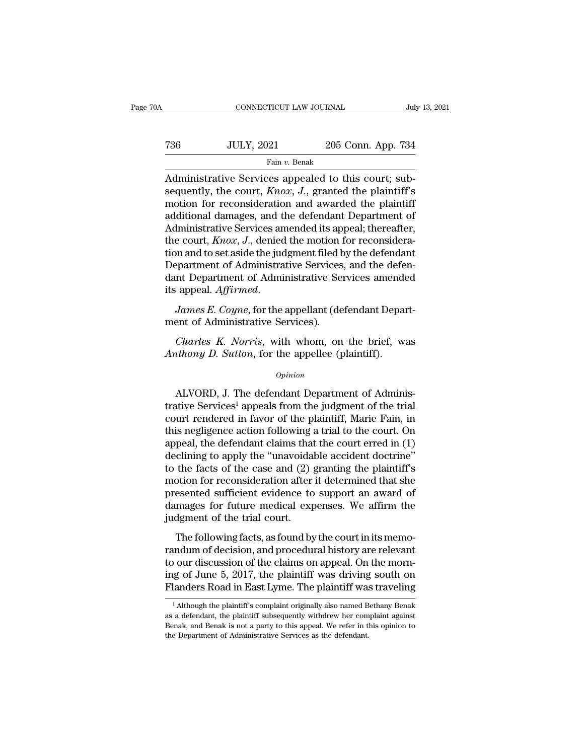| )A  | CONNECTICUT LAW JOURNAL |                    | July 13, 2021 |
|-----|-------------------------|--------------------|---------------|
| 736 | <b>JULY, 2021</b>       | 205 Conn. App. 734 |               |
|     | Fain v. Benak           |                    |               |

CONNECTICUT LAW JOURNAL<br>
TO JULY, 2021 205 Conn. App. 734<br>
Fain v. Benak<br>
Administrative Services appealed to this court; sub-<br>
sequently, the court, *Knox*, *J*., granted the plaintiff's<br>
motion for reconsideration and aw Table 1012, 1021 205 Conn. App. 734<br>
Fain v. Benak<br>
Administrative Services appealed to this court; sub-<br>
sequently, the court, *Knox*, *J*., granted the plaintiff's<br>
motion for reconsideration and awarded the plaintiff<br>
a Task JULY, 2021 205 Conn. App. 734<br>
Fain v. Benak<br>
Administrative Services appealed to this court; sub-<br>
sequently, the court,  $Knox$ , J., granted the plaintiff's<br>
motion for reconsideration and awarded the plaintiff<br>
addi Tamagnet The definition of the definition of the defendant Department of Administrative Services appealed to this court; subsequently, the court,  $Knox$ , J., granted the plaintiff's motion for reconsideration and awarded t Fain v. Benak<br>
Administrative Services appealed to this court; sub-<br>
sequently, the court,  $Knox$ , J., granted the plaintiff's<br>
motion for reconsideration and awarded the plaintiff<br>
additional damages, and the defendant De Fan v. Benak<br>Administrative Services appealed to this court; sub-<br>sequently, the court, *Knox*, *J*., granted the plaintiff's<br>motion for reconsideration and awarded the plaintiff<br>additional damages, and the defendant Depar Administrative Services appealed to this court; sub-<br>sequently, the court,  $Knox$ ,  $J$ ., granted the plaintiff's<br>motion for reconsideration and awarded the plaintiff<br>additional damages, and the defendant Department of<br>Admin sequently, the court,  $Knox$ ,  $J$ ., granted the plaintiff's<br>motion for reconsideration and awarded the plaintiff<br>additional damages, and the defendant Department of<br>Administrative Services amended its appeal; thereafter,<br>t motion for reconsideration and awarded the plaintiff<br>additional damages, and the defendant Department of<br>Administrative Services amended its appeal; thereafter,<br>the court,  $Knox$ , J., denied the motion for reconsidera-<br>tion additional damages, and the defendant Department of<br>Administrative Services amended its appeal; thereafter,<br>the court, *Knox*, *J*., denied the motion for reconsidera-<br>tion and to set aside the judgment filed by the defend ment of Administrative Services<br>dant Department of Administrative Services<br>dant Department of Administrative Services<br>its appeal. Affirmed.<br>James E. Coyne, for the appellant (de<br>ment of Administrative Services).<br>Charles K. Frament of Administrative Services, and the defention<br>*Charles K. Coyne*, for the appellant (defendant Departient of Administrative Services).<br>*Charles K. Norris*, with whom, on the brief, was *athony D. Sutton*, for the a

dant Department of Administrative Services amende<br>
its appeal. *Affirmed.*<br> *James E. Coyne*, for the appellant (defendant Depart<br>
ment of Administrative Services).<br> *Charles K. Norris*, with whom, on the brief, w.<br> *Antho* 

## *Opinion*

ent of Administrative Services).<br>
Charles K. Norris, with whom, on the brief, was<br>
uthony D. Sutton, for the appellee (plaintiff).<br>
Opinion<br>
ALVORD, J. The defendant Department of Adminis-<br>
tive Services<sup>1</sup> appeals from th Charles K. Norris, with whom, on the brief, was<br>Anthony D. Sutton, for the appellee (plaintiff).<br>  $\frac{Opinion}{1.5}$ <br>
ALVORD, J. The defendant Department of Adminis-<br>
trative Services<sup>1</sup> appeals from the judgment of the trial<br> Charles K. Norris, with whom, on the brief, was<br>Anthony D. Sutton, for the appellee (plaintiff).<br> $o$ <sub>pinion</sub><br>ALVORD, J. The defendant Department of Adminis-<br>trative Services<sup>1</sup> appeals from the judgment of the trial<br>court Anthony D. Sutton, for the appellee (plaintiff).<br>  $\omega_{pinion}$ <br>
ALVORD, J. The defendant Department of Administrative Services<sup>1</sup> appeals from the judgment of the trial<br>
court rendered in favor of the plaintiff, Marie Fain, i opinion<br>
ally CRD, J. The defendant Department of Administrative Services<sup>1</sup> appeals from the judgment of the trial<br>
court rendered in favor of the plaintiff, Marie Fain, in<br>
this negligence action following a trial to th ALVORD, J. The defendant Department of Administrative Services<sup>1</sup> appeals from the judgment of the trial court rendered in favor of the plaintiff, Marie Fain, in this negligence action following a trial to the court. On a ALVORD, J. The defendant Department of Administrative Services<sup>1</sup> appeals from the judgment of the trial<br>court rendered in favor of the plaintiff, Marie Fain, in<br>this negligence action following a trial to the court. On<br>ap trative Services<sup>1</sup> appeals from the judgment of the trial<br>court rendered in favor of the plaintiff, Marie Fain, in<br>this negligence action following a trial to the court. On<br>appeal, the defendant claims that the court erre court rendered in favor of the plaintiff, Marie Fain, in<br>this negligence action following a trial to the court. On<br>appeal, the defendant claims that the court erred in (1)<br>declining to apply the "unavoidable accident doctr this negligence action following a trial to the court. On<br>appeal, the defendant claims that the court erred in (1)<br>declining to apply the "unavoidable accident doctrine"<br>to the facts of the case and (2) granting the plaint appeal, the defendant claims that<br>declining to apply the "unavoidal<br>to the facts of the case and (2) ;<br>motion for reconsideration after<br>presented sufficient evidence to<br>damages for future medical exp<br>judgment of the trial the facts of the case and (2) granting the plaintiff's<br>the facts of the case and (2) granting the plaintiff's<br>otion for reconsideration after it determined that she<br>esented sufficient evidence to support an award of<br>mages randum of reconsideration after it determined that she<br>presented sufficient evidence to support an award of<br>damages for future medical expenses. We affirm the<br>judgment of the trial court.<br>The following facts, as found by

modori for reconsideration and readernation and of<br>presented sufficient evidence to support an award of<br>damages for future medical expenses. We affirm the<br>judgment of the trial court.<br>The following facts, as found by the c damages for future medical expenses. We affirm the<br>judgment of the trial court.<br>The following facts, as found by the court in its memo-<br>randum of decision, and procedural history are relevant<br>to our discussion of the claim judgment of the trial court.<br>The following facts, as found by the court in its memo-<br>randum of decision, and procedural history are relevant<br>to our discussion of the claims on appeal. On the morn-<br>ing of June 5, 2017, the ndum of decision, and procedural history are relevant<br>o our discussion of the claims on appeal. On the morn-<br>ig of June 5, 2017, the plaintiff was driving south on<br>landers Road in East Lyme. The plaintiff was traveling<br><sup>1</sup> to our discussion of the claims on appeal. On the morning of June 5, 2017, the plaintiff was driving south on Flanders Road in East Lyme. The plaintiff was traveling  $\frac{1}{1}$ Although the plaintiff's complaint originally a

ing of June 5, 2017, the plaintiff was driving south on Flanders Road in East Lyme. The plaintiff was traveling  $\frac{1}{1}$ Although the plaintiff's complaint originally also named Bethany Benak as a defendant, the plaintiff Flanders Road in East Lyme. The plaintiff was<br>
<sup>1</sup> Although the plaintiff's complaint originally also named B<br>
as a defendant, the plaintiff subsequently withdrew her com<br>
Benak, and Benak is not a party to this appeal. We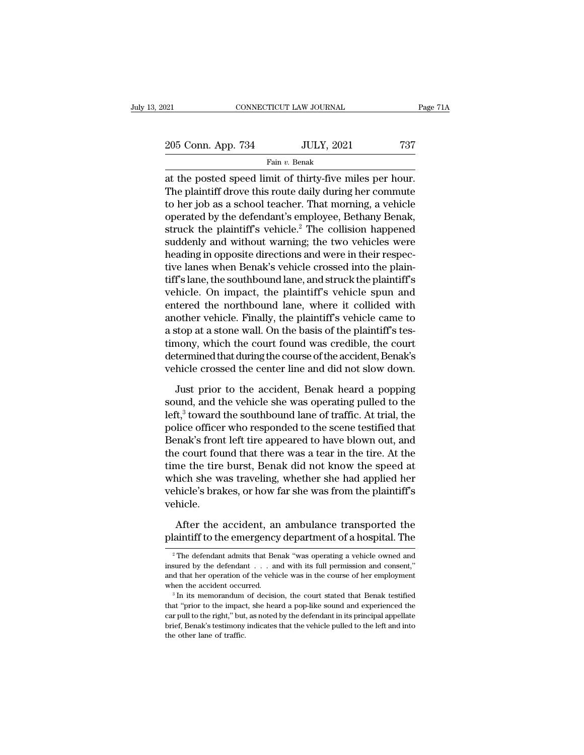| 021                | CONNECTICUT LAW JOURNAL | Page 71A |
|--------------------|-------------------------|----------|
| 205 Conn. App. 734 | <b>JULY, 2021</b>       | 737      |
|                    | Fain v. Benak           |          |

 $\begin{array}{ccc}\n & \text{COMRECTICUT LAW JOURNAL} & \text{Page 7} \\
 & \text{205 Conn. App. 734} & \text{JULY, 2021} & \text{737} \\
 \hline\n & \text{Fair } v. \text{ Benak} \\
 \text{at the posted speed limit of thirty-five miles per hour.} \n\end{array}$ The plaintiff drove this route daily during her commute to ber job as a school too ber. That morning a vo 205 Conn. App. 734 JULY, 2021 737<br>Fain v. Benak<br>at the posted speed limit of thirty-five miles per hour.<br>The plaintiff drove this route daily during her commute<br>to her job as a school teacher. That morning, a vehicle<br>cong 205 Conn. App. 734 JULY, 2021 737<br>
Fain v. Benak<br>
at the posted speed limit of thirty-five miles per hour.<br>
The plaintiff drove this route daily during her commute<br>
to her job as a school teacher. That morning, a vehicle<br> 205 Conn. App. 734 JULY, 2021 737<br>
Fain v. Benak<br>
at the posted speed limit of thirty-five miles per hour.<br>
The plaintiff drove this route daily during her commute<br>
to her job as a school teacher. That morning, a vehicle<br> Fain  $v$ . Benak<br>at the posted speed limit of thirty-five miles per hour.<br>The plaintiff drove this route daily during her commute<br>to her job as a school teacher. That morning, a vehicle<br>operated by the defendant's employee Fain v. Benak<br>at the posted speed limit of thirty-five miles per hour.<br>The plaintiff drove this route daily during her commute<br>to her job as a school teacher. That morning, a vehicle<br>operated by the defendant's employee, at the posted speed limit of thirty-five miles per hour.<br>The plaintiff drove this route daily during her commute<br>to her job as a school teacher. That morning, a vehicle<br>operated by the defendant's employee, Bethany Benak,<br> The plaintiff drove this route daily during her commute<br>to her job as a school teacher. That morning, a vehicle<br>operated by the defendant's employee, Bethany Benak,<br>struck the plaintiff's vehicle.<sup>2</sup> The collision happened to her job as a school teacher. That morning, a vehicle<br>operated by the defendant's employee, Bethany Benak,<br>struck the plaintiff's vehicle.<sup>2</sup> The collision happened<br>suddenly and without warning; the two vehicles were<br>hea operated by the defendant's employee, Bethany Benak,<br>struck the plaintiff's vehicle.<sup>2</sup> The collision happened<br>suddenly and without warning; the two vehicles were<br>heading in opposite directions and were in their respec-<br>ti struck the plaintiff's vehicle.<sup>2</sup> The collision happened<br>suddenly and without warning; the two vehicles were<br>heading in opposite directions and were in their respec-<br>tive lanes when Benak's vehicle crossed into the plainsuddenly and without warning; the two vehicles were<br>heading in opposite directions and were in their respec-<br>tive lanes when Benak's vehicle crossed into the plaint-<br>tiff's lane, the southbound lane, and struck the plainti heading in opposite directions and were in their respective lanes when Benak's vehicle crossed into the plaintiff's lane, the southbound lane, and struck the plaintiff's vehicle. On impact, the plaintiff's vehicle spun and tive lanes when Benak's vehicle crossed into the plain-<br>tiff's lane, the southbound lane, and struck the plaintiff's<br>vehicle. On impact, the plaintiff's vehicle spun and<br>entered the northbound lane, where it collided with<br> tiff's lane, the southbound lane, and struck the plaintiff's<br>vehicle. On impact, the plaintiff's vehicle spun and<br>entered the northbound lane, where it collided with<br>another vehicle. Finally, the plaintiff's vehicle came t vehicle. On impact, the plaintiff's vehicle spun and<br>entered the northbound lane, where it collided with<br>another vehicle. Finally, the plaintiff's vehicle came to<br>a stop at a stone wall. On the basis of the plaintiff's tes other vehicle. Finally, the plaintiff's vehicle came to<br>stop at a stone wall. On the basis of the plaintiff's tes-<br>nony, which the court found was credible, the court<br>termined that during the course of the accident, Benak' a stop at a stone wall. On the basis of the plaintiff's tes-<br>timony, which the court found was credible, the court<br>determined that during the course of the accident, Benak's<br>vehicle crossed the center line and did not slow

timony, which the court found was credible, the court<br>determined that during the course of the accident, Benak's<br>vehicle crossed the center line and did not slow down.<br>Just prior to the accident, Benak heard a popping<br>soun determined that during the course of the accident, Benak's<br>vehicle crossed the center line and did not slow down.<br>Just prior to the accident, Benak heard a popping<br>sound, and the vehicle she was operating pulled to the<br>lef vehicle crossed the center line and did not slow down.<br>Just prior to the accident, Benak heard a popping<br>sound, and the vehicle she was operating pulled to the<br>left,<sup>3</sup> toward the southbound lane of traffic. At trial, the<br> Just prior to the accident, Benak heard a popping<br>sound, and the vehicle she was operating pulled to the<br>left,<sup>3</sup> toward the southbound lane of traffic. At trial, the<br>police officer who responded to the scene testified tha Just prior to the accident, Benak heard a popping<br>sound, and the vehicle she was operating pulled to the<br>left,<sup>3</sup> toward the southbound lane of traffic. At trial, the<br>police officer who responded to the scene testified th sound, and the vehicle she was operating pulled to the<br>left,<sup>3</sup> toward the southbound lane of traffic. At trial, the<br>police officer who responded to the scene testified that<br>Benak's front left tire appeared to have blown o left,<sup>3</sup> toward the southbound lane of traffic. At trial, the police officer who responded to the scene testified that Benak's front left tire appeared to have blown out, and the court found that there was a tear in the ti vehicle. e court found that there was a tear in the tire. At the<br>me the tire burst, Benak did not know the speed at<br>nich she was traveling, whether she had applied her<br>hicle's brakes, or how far she was from the plaintiff's<br>hicle.<br> time the tire burst, Benak did not know the speed at<br>which she was traveling, whether she had applied her<br>vehicle's brakes, or how far she was from the plaintiff's<br>vehicle.<br>After the accident, an ambulance transported the<br>

2 Phicle.<br>
2 The defendant admits that Benak "was operating a vehicle owned and<br>
2 The defendant admits that Benak "was operating a vehicle owned and<br>
2 The defendant admits that Benak "was operating a vehicle owned and<br>

After the accident, an ambulance transported the plaintiff to the emergency department of a hospital. The  $\frac{1}{2}$  The defendant admits that Benak "was operating a vehicle owned and insured by the defendant . . . . and w After the accident, an ambulance transported the plaintiff to the emergency department of a hospital. The  $a^2$ The defendant admits that Benak "was operating a vehicle owned and insured by the defendant  $\dots$  and with its plaintiff to the emergency department of a hospital. The  $\frac{1}{2}$  The defendant admits that Benak "was operating a vehicle owned and insured by the defendant  $\ldots$  and with its full permission and consent," and that her <sup>2</sup> The defendant admits that Benak "was operating a vehicle owned and insured by the defendant . . . and with its full permission and consent," and that her operation of the vehicle was in the course of her employment wh

insured by the defendant  $\ldots$  and with its full permission and consent,"<br>and that her operation of the vehicle was in the course of her employment<br>when the accident occurred.<br> $\cdot$   $\frac{3}{10}$  In its memorandum of decision mad that her operation of the vehicle was in the course of her employment when the accident occurred.<br><sup>3</sup> In its memorandum of decision, the court stated that Benak testified that "prior to the impact, she heard a pop-like and that her operation of the vehicle was in the course of her employment<br>when the accident occurred.<br> $^3$  In its memorandum of decision, the court stated that Benak testified<br>that "prior to the impact, she heard a pop-li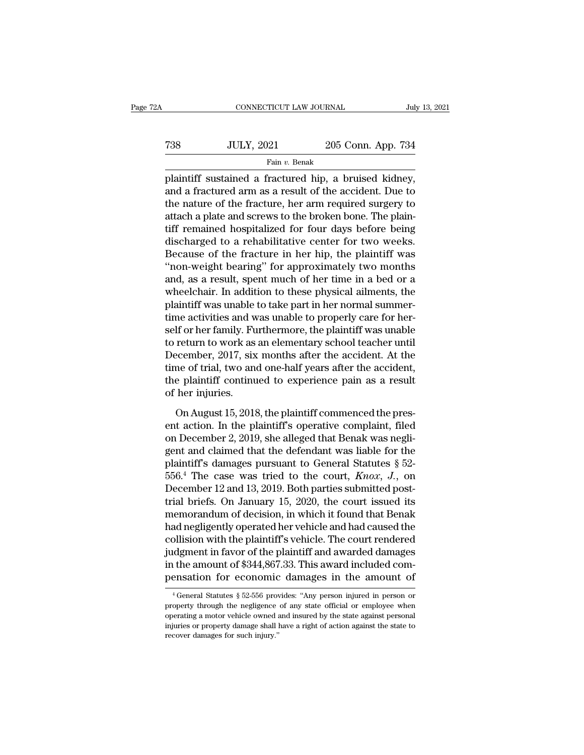| 2Α  | CONNECTICUT LAW JOURNAL |                    | July 13, 2021 |
|-----|-------------------------|--------------------|---------------|
| 738 | <b>JULY, 2021</b>       | 205 Conn. App. 734 |               |
|     | Fain v. Benak           |                    |               |

FREE CONNECTICUT LAW JOURNAL July 13, 20<br>
Fain v. Benak<br>
Plaintiff sustained a fractured hip, a bruised kidney,<br>
and a fractured arm as a result of the accident. Due to Tanack arm as a result of the accident. App. 734<br>
Fain v. Benak<br>
plaintiff sustained a fractured hip, a bruised kidney,<br>
and a fractured arm as a result of the accident. Due to<br>
the nature of the fracture, her arm require T38 JULY, 2021 205 Conn. App. 734<br>
Fain v. Benak<br>
plaintiff sustained a fractured hip, a bruised kidney,<br>
and a fractured arm as a result of the accident. Due to<br>
the nature of the fracture, her arm required surgery to<br>
a Tax Tax and a fractured arm  $v$ . Benak<br>
plaintiff sustained a fractured hip, a bruised kidney,<br>
and a fractured arm as a result of the accident. Due to<br>
the nature of the fracture, her arm required surgery to<br>
attach a pl Fain v. Benak<br>
plaintiff sustained a fractured hip, a bruised kidney,<br>
and a fractured arm as a result of the accident. Due to<br>
the nature of the fracture, her arm required surgery to<br>
attach a plate and screws to the bro  $\begin{array}{l} \hbox{ram $v$. Benak} \\ \hbox{plaintext of a factured hip, a bruised kidney, \\ \hbox{and a factured arm as a result of the accident. Due to \\ \hbox{the nature of the fracture, her arm required surgery to \\ \hbox{attach a plate and screws to the broken bone. The plain-  
tiff remained hospitalized for four days before being  
discharged to a rehabilitation for four days before being \\ \hbox{discharged to a rehabilitation for the high, the plaintiff was \\ \hbox{the case of the fracture in her hip, the plaintiff was \\ \hbox{the same weight beginning}'' for approximately two months. \end{array}$ plaintiff sustained a fractured hip, a bruised kidney,<br>and a fractured arm as a result of the accident. Due to<br>the nature of the fracture, her arm required surgery to<br>attach a plate and screws to the broken bone. The plain and a fractured arm as a result of the accident. Due to<br>the nature of the fracture, her arm required surgery to<br>attach a plate and screws to the broken bone. The plain-<br>tiff remained hospitalized for four days before being the nature of the fracture, her arm required surgery to<br>attach a plate and screws to the broken bone. The plain-<br>tiff remained hospitalized for four days before being<br>discharged to a rehabilitative center for two weeks.<br>Be attach a plate and screws to the broken bone. The plain-<br>tiff remained hospitalized for four days before being<br>discharged to a rehabilitative center for two weeks.<br>Because of the fracture in her hip, the plaintiff was<br>"non tiff remained hospitalized for four days before being<br>discharged to a rehabilitative center for two weeks.<br>Because of the fracture in her hip, the plaintiff was<br>"non-weight bearing" for approximately two months<br>and, as a r discharged to a rehabilitative center for two weeks.<br>Because of the fracture in her hip, the plaintiff was<br>"non-weight bearing" for approximately two months<br>and, as a result, spent much of her time in a bed or a<br>wheelchair Because of the fracture in her hip, the plaintiff was<br>"non-weight bearing" for approximately two months<br>and, as a result, spent much of her time in a bed or a<br>wheelchair. In addition to these physical ailments, the<br>plainti "non-weight bearing" for approximately two months<br>and, as a result, spent much of her time in a bed or a<br>wheelchair. In addition to these physical ailments, the<br>plaintiff was unable to take part in her normal summer-<br>time and, as a result, spent much of her time in a bed or a<br>wheelchair. In addition to these physical ailments, the<br>plaintiff was unable to take part in her normal summer-<br>time activities and was unable to properly care for her wheelchair. In addition to these physical ailments, the plaintiff was unable to take part in her normal summer-<br>time activities and was unable to properly care for her-<br>self or her family. Furthermore, the plaintiff was un plaintiff was unable to take part in her normal summertime activities and was unable to properly care for herself or her family. Furthermore, the plaintiff was unable to return to work as an elementary school teacher until time activities and w<br>self or her family. Fu<br>to return to work as<br>December, 2017, six<br>time of trial, two an<br>the plaintiff continu<br>of her injuries.<br>On August 15, 2018 return to work as an elementary school teacher until<br>ecember, 2017, six months after the accident. At the<br>me of trial, two and one-half years after the accident,<br>e plaintiff continued to experience pain as a result<br>her inj December, 2017, six months after the accident. At the<br>time of trial, two and one-half years after the accident,<br>the plaintiff continued to experience pain as a result<br>of her injuries.<br>On August 15, 2018, the plaintiff comm

time of trial, two and one-half years after the accident,<br>the plaintiff continued to experience pain as a result<br>of her injuries.<br>On August 15, 2018, the plaintiff commenced the pres-<br>ent action. In the plaintiff's operat the plaintiff continued to experience pain as a result<br>of her injuries.<br>On August 15, 2018, the plaintiff commenced the pres-<br>ent action. In the plaintiff's operative complaint, filed<br>on December 2, 2019, she alleged that of her injuries.<br>
On August 15, 2018, the plaintiff commenced the pres-<br>
ent action. In the plaintiff's operative complaint, filed<br>
on December 2, 2019, she alleged that Benak was negli-<br>
gent and claimed that the defenda On August 15, 2018, the plaintiff commenced the present action. In the plaintiff's operative complaint, filed<br>on December 2, 2019, she alleged that Benak was negli-<br>gent and claimed that the defendant was liable for the<br>p On August 15, 2018, the plaintiff commenced the present action. In the plaintiff's operative complaint, filed on December 2, 2019, she alleged that Benak was negligent and claimed that the defendant was liable for the pla ent action. In the plaintiff's operative complaint, filed<br>on December 2, 2019, she alleged that Benak was negli-<br>gent and claimed that the defendant was liable for the<br>plaintiff's damages pursuant to General Statutes § 52 on December 2, 2019, she alleged that Benak was negligent and claimed that the defendant was liable for the plaintiff's damages pursuant to General Statutes  $\S$  52-556.<sup>4</sup> The case was tried to the court, *Knox*, *J*., on gent and claimed that the defendant was liable for the<br>plaintiff's damages pursuant to General Statutes § 52-<br>556.<sup>4</sup> The case was tried to the court,  $Knox$ , J., on<br>December 12 and 13, 2019. Both parties submitted post-<br>t plaintiff's damages pursuant to General Statutes  $\S$  52-<br>556.<sup>4</sup> The case was tried to the court, *Knox*, *J*., on<br>December 12 and 13, 2019. Both parties submitted post-<br>trial briefs. On January 15, 2020, the court issued 556.<sup>4</sup> The case was tried to the court, *Knox*, *J.*, on<br>December 12 and 13, 2019. Both parties submitted post-<br>trial briefs. On January 15, 2020, the court issued its<br>memorandum of decision, in which it found that Benak December 12 and 13, 2019. Both parties submitted post-<br>trial briefs. On January 15, 2020, the court issued its<br>memorandum of decision, in which it found that Benak<br>had negligently operated her vehicle and had caused the<br>co trial briefs. On January 15, 2020, the court issued its<br>memorandum of decision, in which it found that Benak<br>had negligently operated her vehicle and had caused the<br>collision with the plaintiff's vehicle. The court render but the plaintiff status. The court rendered defined the amount of \$344,867.33. This award included compensation for economic damages in the amount of  $\frac{4}{9}$  General Statutes  $\frac{8}{9}$  52-556 provides: "Any person inju judgment in favor of the plaintiff and awarded damages<br>in the amount of \$344,867.33. This award included com-<br>pensation for economic damages in the amount of<br> $\frac{4}{1}$  General Statutes  $\frac{8}{52\cdot556}$  provides: "Any perso

in the amount of \$344,867.33. This award included compensation for economic damages in the amount of  $\frac{4 \text{ General Statistics } $52\text{-}556 \text{ provides: "Any person injured in person or property through the negligible need and insureed by the state against personal injuries or property damage shall have a right of action against the state to$ pensation for economic damages in the amount of<br>
<sup>4</sup> General Statutes § 52-556 provides: "Any person injured in person or<br>
property through the negligence of any state official or employee when<br>
operating a motor vehicle o <sup>4</sup> General Statutes  $\S$  52-556 provides: "Any person injured in person or property through the negligence of any state official or employee when operating a motor vehicle owned and insured by the state against personal i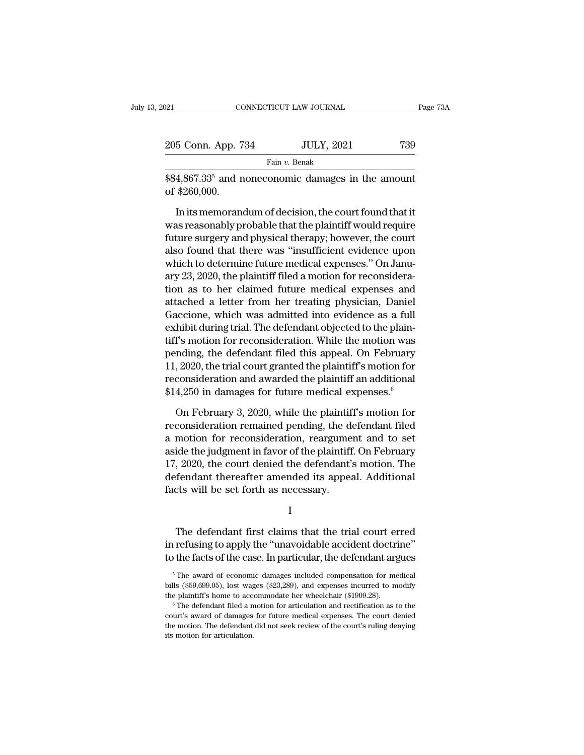| 121<br>CONNECTICUT LAW JOURNAL                                       |                  |                                                        |     | Page 73A |  |
|----------------------------------------------------------------------|------------------|--------------------------------------------------------|-----|----------|--|
|                                                                      |                  |                                                        |     |          |  |
| 205 Conn. App. 734                                                   |                  | <b>JULY, 2021</b>                                      | 739 |          |  |
|                                                                      | Fain $v$ . Benak |                                                        |     |          |  |
| $$84,867.335$ and noneconomic damages in the amount<br>of \$260,000. |                  |                                                        |     |          |  |
|                                                                      |                  | In its memorandum of decision, the court found that it |     |          |  |

 $\frac{5 \text{ Conn. App. 734}}{\text{Fan } v. \text{ Benak}}$ <br>  $\frac{4,867.33^5 \text{ and noneconomic damages in the amount}}{4,860,000.}$ <br>
In its memorandum of decision, the court found that it<br>
as reasonably probable that the plaintiff would require<br>
ture current and physical thereous Example 1998. To the set of the plaintiff would require<br>set  $\frac{1}{3}$   $\frac{84}{3}$  and noneconomic damages in the amount<br>of \$260,000.<br>In its memorandum of decision, the court found that it<br>was reasonably probable that the p Fain v. Benak<br>  $$84,867.33^5$  and noneconomic damages in the amount<br>
of \$260,000.<br>
In its memorandum of decision, the court found that it<br>
was reasonably probable that the plaintiff would require<br>
future surgery and physi  $$84,867.33<sup>5</sup>$  and noneconomic damages in the amount<br>of  $$260,000$ .<br>In its memorandum of decision, the court found that it<br>was reasonably probable that the plaintiff would require<br>future surgery and physical therapy; of \$260,000.<br>In its memorandum of decision, the court found that it<br>was reasonably probable that the plaintiff would require<br>future surgery and physical therapy; however, the court<br>also found that there was "insufficient e In its memorandum of decision, the court found that it<br>was reasonably probable that the plaintiff would require<br>future surgery and physical therapy; however, the court<br>also found that there was "insufficient evidence upon<br> In its memorandum of decision, the court found that it<br>was reasonably probable that the plaintiff would require<br>future surgery and physical therapy; however, the court<br>also found that there was "insufficient evidence upon<br> was reasonably probable that the plaintiff would require<br>future surgery and physical therapy; however, the court<br>also found that there was "insufficient evidence upon<br>which to determine future medical expenses." On Janu-<br>a future surgery and physical therapy; however, the court<br>also found that there was "insufficient evidence upon<br>which to determine future medical expenses." On Janu-<br>ary 23, 2020, the plaintiff filed a motion for reconsidera also found that there was "insufficient evidence upon<br>which to determine future medical expenses." On Janu-<br>ary 23, 2020, the plaintiff filed a motion for reconsidera-<br>tion as to her claimed future medical expenses and<br>att which to determine future medical expenses." On January 23, 2020, the plaintiff filed a motion for reconsideration as to her claimed future medical expenses and attached a letter from her treating physician, Daniel Gaccion ary 23, 2020, the plaintiff filed a motion for reconsideration as to her claimed future medical expenses and attached a letter from her treating physician, Daniel Gaccione, which was admitted into evidence as a full exhibi tion as to her claimed future medical expenses and<br>attached a letter from her treating physician, Daniel<br>Gaccione, which was admitted into evidence as a full<br>exhibit during trial. The defendant objected to the plain-<br>tiff attached a letter from her treating physician, Daniel<br>Gaccione, which was admitted into evidence as a full<br>exhibit during trial. The defendant objected to the plain-<br>tiff's motion for reconsideration. While the motion was<br> Gaccione, which was admitted into evidence as a full exhibit during trial. The defendant objected to the plaintiff's motion for reconsideration. While the motion was pending, the defendant filed this appeal. On February 1 f's motion for reconsideration. While the motion was<br>nding, the defendant filed this appeal. On February<br> $, 2020$ , the trial court granted the plaintiff's motion for<br>consideration and awarded the plaintiff an additional<br>pending, the defendant filed this appeal. On February<br>11, 2020, the trial court granted the plaintiff's motion for<br>reconsideration and awarded the plaintiff an additional<br>\$14,250 in damages for future medical expenses.<sup>6</sup><br>

11, 2020, the trial court granted the plaintiff's motion for<br>reconsideration and awarded the plaintiff an additional<br>\$14,250 in damages for future medical expenses.<sup>6</sup><br>On February 3, 2020, while the plaintiff's motion for reconsideration and awarded the plaintiff an additional<br>\$14,250 in damages for future medical expenses.<sup>6</sup><br>On February 3, 2020, while the plaintiff's motion for<br>reconsideration remained pending, the defendant filed<br>a motio \$14,250 in damages for future medical expenses.<sup>6</sup><br>On February 3, 2020, while the plaintiff's motion for<br>reconsideration remained pending, the defendant filed<br>a motion for reconsideration, reargument and to set<br>aside the j On February 3, 2020, while the plaintiff's motion for<br>reconsideration remained pending, the defendant filed<br>a motion for reconsideration, reargument and to set<br>aside the judgment in favor of the plaintiff. On February<br>17, On February 3, 2020, while the plaintif<br>reconsideration remained pending, the da<br>a motion for reconsideration, reargume<br>aside the judgment in favor of the plaintiff<br>17, 2020, the court denied the defendant':<br>defendant the The defendant first claims that the trial court erred<br>The defendant thereafter amended its appeal. Additional<br>that will be set forth as necessary.<br>I<br>The defendant first claims that the trial court erred<br>refusing to apply t

I and the set of  $\mathbf{I}$ 

IT, 2020, the court defield the defendant S motion. The<br>defendant thereafter amended its appeal. Additional<br>facts will be set forth as necessary.<br>I<br>The defendant first claims that the trial court erred<br>in refusing to apply facts will be set forth as necessary.<br>
I<br>
The defendant first claims that the trial court erred<br>
in refusing to apply the "unavoidable accident doctrine"<br>
to the facts of the case. In particular, the defendant argues<br>
Free The defendant first claims that the trial court erred<br>refusing to apply the "unavoidable accident doctrine"<br>the facts of the case. In particular, the defendant argues<br> $\frac{5}{10}$  The award of economic damages included comp The defendant first claims that the trial court erred<br>in refusing to apply the "unavoidable accident doctrine"<br>to the facts of the case. In particular, the defendant argues<br> $\frac{1}{10}$ <br> $\frac{1}{10}$ <br> $\frac{1}{10}$ <br> $\frac{1}{10}$ <br> $\frac{$ 

in refusing to apply the "unavoidable accident doctrine"<br>to the facts of the case. In particular, the defendant argues<br> $\frac{1}{\sqrt{5}}$  The award of economic damages included compensation for medical<br>bills (\$59,699.05), lost

The award of economic damages included compensation for medical bills (\$59,699.05), lost wages (\$23,289), and expenses incurred to modify the plaintiff's home to accommodate her wheelchair (\$1909.28).<br>
<sup>6</sup> The defendant f <sup>5</sup> The award of economic damages included compensation for medical bills (\$59,699.05), lost wages (\$23,289), and expenses incurred to modify the plaintiff's home to accommodate her wheelchair (\$1909.28). <sup>6</sup> The defendan bills (\$59,699.05), lost wages (\$23,289), and expenses incurred to modify the plaintiff's home to accommodate her wheelchair (\$1909.28).<br>  $^{\circ}$ The defendant filed a motion for articulation and rectification as to the cou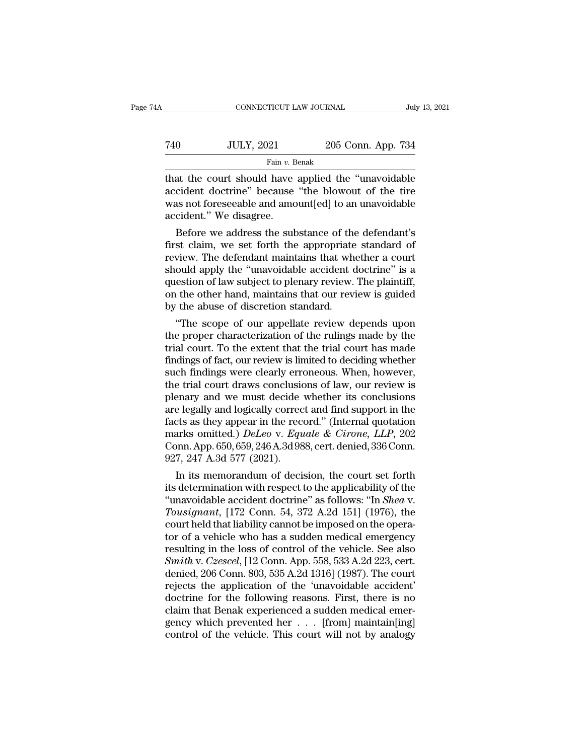| A   |                   | CONNECTICUT LAW JOURNAL |  |
|-----|-------------------|-------------------------|--|
|     |                   |                         |  |
| 740 | <b>JULY, 2021</b> | 205 Conn. App. 734      |  |
|     | Fain v. Benak     |                         |  |

CONNECTICUT LAW JOURNAL July 13, 2021<br>
T40 JULY, 2021 205 Conn. App. 734<br>
Fain v. Benak<br>
That the court should have applied the "unavoidable"<br>
accident doctrine" because "the blowout of the tire  $\nu$  accident doctrine'' because 'the blowout of the tire<br>was not foreseeable and amount[ed] to an unavoidable<br>accident "We discore Tata and Tully, 2021 205 Conn. App. 734<br>
Fain v. Benak<br>
that the court should have applied the "unavoidable<br>
accident doctrine" because "the blowout of the tire<br>
was not foreseeable and amount[ed] to an unavoidable<br>
accid that the court should have applied the "unavoidable<br>accident doctrine" because "the blowout of the tire<br>was not foreseeable and amount[ed] to an unavoidable<br>accident." We disagree.<br>Before we address the substance of the de Fain v. Benak<br>
at the court should have applied the "unavoidable<br>
cident doctrine" because "the blowout of the tire<br>
as not foreseeable and amount[ed] to an unavoidable<br>
cident." We disagree.<br>
Before we address the substa that the court should have applied the "unavoidable accident doctrine" because "the blowout of the tire was not foreseeable and amount[ed] to an unavoidable accident." We disagree.<br>Before we address the substance of the de

review. The defendant maintains that whether a court should apply the was not foreseeable and amount[ed] to an unavoidable accident." We disagree.<br>Before we address the substance of the defendant's first claim, we set fort accident doctrine because the blowout of the tire<br>was not foreseeable and amount[ed] to an unavoidable<br>accident." We disagree.<br>Before we address the substance of the defendant's<br>first claim, we set forth the appropriate st was not foreseeable and amount[ed] to an unavoidable<br>accident." We disagree.<br>Before we address the substance of the defendant's<br>first claim, we set forth the appropriate standard of<br>review. The defendant maintains that whe accident. We disagree.<br>
Before we address the substance of the defendant's<br>
first claim, we set forth the appropriate standard of<br>
review. The defendant maintains that whether a court<br>
should apply the "unavoidable acciden Before we address the substance of the<br>first claim, we set forth the appropriate<br>review. The defendant maintains that wh<br>should apply the "unavoidable accident c<br>question of law subject to plenary review.<br>on the other hand st claim, we set forth the appropriate standard of<br>
view. The defendant maintains that whether a court<br>
ould apply the "unavoidable accident doctrine" is a<br>
estion of law subject to plenary review. The plaintiff,<br>
i the ot review. The derendant maintains that whether a court<br>should apply the "unavoidable accident doctrine" is a<br>question of law subject to plenary review. The plaintiff,<br>on the other hand, maintains that our review is guided<br>by

should apply the "unavolable accident doctrine" is a<br>question of law subject to plenary review. The plaintiff,<br>on the other hand, maintains that our review is guided<br>by the abuse of discretion standard.<br>"The scope of our a question of law subject to pienary review. The plaintiff,<br>on the other hand, maintains that our review is guided<br>by the abuse of discretion standard.<br>"The scope of our appellate review depends upon<br>the proper characterizat on the other hand, maintains that our review is guided<br>by the abuse of discretion standard.<br>"The scope of our appellate review depends upon<br>the proper characterization of the rulings made by the<br>trial court. To the extent by the abuse of discretion standard.<br>
"The scope of our appellate review depends upon<br>
the proper characterization of the rulings made by the<br>
trial court. To the extent that the trial court has made<br>
findings of fact, our "The scope of our appellate review depends upon<br>the proper characterization of the rulings made by the<br>trial court. To the extent that the trial court has made<br>findings of fact, our review is limited to deciding whether<br>su the proper characterization of the rulings made by the<br>trial court. To the extent that the trial court has made<br>findings of fact, our review is limited to deciding whether<br>such findings were clearly erroneous. When, howev trial court. To the extent that the trial court has made<br>findings of fact, our review is limited to deciding whether<br>such findings were clearly erroneous. When, however,<br>the trial court draws conclusions of law, our review findings of fact, our review is limited to deciding whether<br>such findings were clearly erroneous. When, however,<br>the trial court draws conclusions of law, our review is<br>plenary and we must decide whether its conclusions<br>ar such findings were clearly erroneous. When, however,<br>the trial court draws conclusions of law, our review is<br>plenary and we must decide whether its conclusions<br>are legally and logically correct and find support in the<br>fact the trial court draws conclusion<br>plenary and we must decide<br>are legally and logically correc<br>facts as they appear in the reco<br>marks omitted.) DeLeo v. Equ<br>Conn. App. 650, 659, 246 A.3d 98<br>927, 247 A.3d 577 (2021).<br>In its m Example 12 and 10 must decide whether its conclusions<br>
e legally and logically correct and find support in the<br>
cts as they appear in the record." (Internal quotation<br>
arks omitted.) *DeLeo v. Equale & Cirone*, *LLP*, 202 are legally and logically correct and find support in the<br>facts as they appear in the record." (Internal quotation<br>marks omitted.) *DeLeo* v. *Equale & Cirone*, *LLP*, 202<br>Conn. App. 650, 659, 246 A.3d 988, cert. denied, 3

racts as they appear in the record. (Internal quotation<br>
marks omitted.) *DeLeo v. Equale & Cirone, LLP*, 202<br>
Conn. App. 650, 659, 246 A.3d 988, cert. denied, 336 Conn.<br>
927, 247 A.3d 577 (2021).<br>
In its memorandum of dec *Touried.* The U.S. Equale & Crone, LLP, 202<br>
Conn. App. 650, 659, 246 A.3d 988, cert. denied, 336 Conn.<br>
927, 247 A.3d 577 (2021).<br>
In its memorandum of decision, the court set forth<br>
its determination with respect to the Conn. App. 650, 659, 246 A.5d 988, cert. denied, 356 Conn.<br>927, 247 A.3d 577 (2021).<br>In its memorandum of decision, the court set forth<br>its determination with respect to the applicability of the<br>"unavoidable accident doctr 927, 247 A.3d 577 (2021).<br>
In its memorandum of decision, the court set forth<br>
its determination with respect to the applicability of the<br>
"unavoidable accident doctrine" as follows: "In *Shea v.<br>
Tousignant*, [172 Conn. In its memorandum of decision, the court set forth<br>its determination with respect to the applicability of the<br>"unavoidable accident doctrine" as follows: "In *Shea* v.<br>*Tousignant*, [172 Conn. 54, 372 A.2d 151] (1976), th its determination with respect to the applicability of the<br>
"unavoidable accident doctrine" as follows: "In *Shea* v.<br> *Tousignant*, [172 Conn. 54, 372 A.2d 151] (1976), the<br>
court held that liability cannot be imposed on "unavoidable accident doctrine" as follows: "In *Shea* v.<br> *Tousignant*, [172 Conn. 54, 372 A.2d 151] (1976), the<br>
court held that liability cannot be imposed on the opera-<br>
tor of a vehicle who has a sudden medical emerg Tousignant, [172 Conn. 54, 372 A.2d 151] (1976), the<br>court held that liability cannot be imposed on the opera-<br>tor of a vehicle who has a sudden medical emergency<br>resulting in the loss of control of the vehicle. See also<br>S court held that liability cannot be imposed on the operator of a vehicle who has a sudden medical emergency<br>resulting in the loss of control of the vehicle. See also<br>*Smith* v. *Czescel*, [12 Conn. App. 558, 533 A.2d 223, tor of a vehicle who has a sudden medical emergency<br>resulting in the loss of control of the vehicle. See also<br> $Smith$  v. Czescel, [12 Conn. App. 558, 533 A.2d 223, cert.<br>denied, 206 Conn. 803, 535 A.2d 1316] (1987). The court resulting in the loss of control of the vehicle. See also  $Smith$  v.  $Czescel$ , [12 Conn. App. 558, 533 A.2d 223, cert.<br>denied, 206 Conn. 803, 535 A.2d 1316] (1987). The court<br>rejects the application of the 'unavoidable accident Smith v. Czescel, [12 Conn. App. 558, 533 A.2d 223, cert.<br>denied, 206 Conn. 803, 535 A.2d 1316] (1987). The court<br>rejects the application of the 'unavoidable accident'<br>doctrine for the following reasons. First, there is n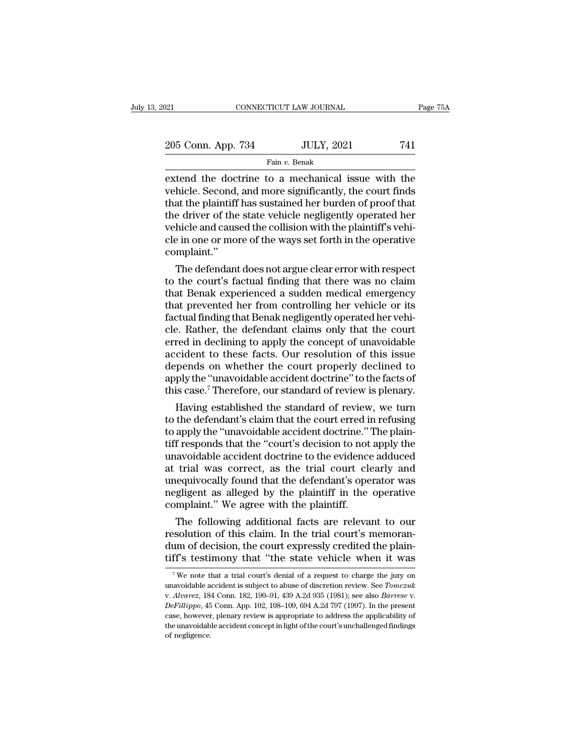| 2021               | CONNECTICUT LAW JOURNAL | Page 75A |
|--------------------|-------------------------|----------|
| 205 Conn. App. 734 | <b>JULY, 2021</b>       | 741      |
|                    | Fain v. Benak           |          |

Fain *v.* Benak

extend the doctrine to a mechanical issue with the vehicle. Second, and more significantly, the court finds<br>that the plaintiff has sustained berburden of proof that 205 Conn. App. 734 JULY, 2021 741<br>Fain v. Benak<br>extend the doctrine to a mechanical issue with the<br>vehicle. Second, and more significantly, the court finds<br>that the plaintiff has sustained her burden of proof that<br>the driv 205 Conn. App. 734 JULY, 2021 741<br>
Fain v. Benak<br>
extend the doctrine to a mechanical issue with the<br>
vehicle. Second, and more significantly, the court finds<br>
that the plaintiff has sustained her burden of proof that<br>
th 205 Conn. App. 734 JULY, 2021 741<br>
Fain v. Benak<br>
extend the doctrine to a mechanical issue with the<br>
vehicle. Second, and more significantly, the court finds<br>
that the plaintiff has sustained her burden of proof that<br>
th Fain v. Benak<br>
Extend the doctrine to a mechanical issue with the<br>
vehicle. Second, and more significantly, the court finds<br>
that the plaintiff has sustained her burden of proof that<br>
the driver of the state vehicle negli Fain v. Benak<br>extend the doctrine to a mechanical issue with the<br>vehicle. Second, and more significantly, the court finds<br>that the plaintiff has sustained her burden of proof that<br>the driver of the state vehicle negligent complaint.'' hicle. Second, and more significantly, the court finds<br>at the plaintiff has sustained her burden of proof that<br>e driver of the state vehicle negligently operated her<br>hicle and caused the collision with the plaintiff's vehi that the plaintiff has sustained her burden of proof that<br>the driver of the state vehicle negligently operated her<br>vehicle and caused the collision with the plaintiff's vehi-<br>cle in one or more of the ways set forth in the

the driver of the state venicle negligently operated her<br>vehicle and caused the collision with the plaintiff's vehi-<br>cle in one or more of the ways set forth in the operative<br>complaint."<br>The defendant does not argue clear vehicle and caused the collision with the plaintiff's vehi-<br>cle in one or more of the ways set forth in the operative<br>complaint."<br>The defendant does not argue clear error with respect<br>to the court's factual finding that th cle in one or more of the ways set forth in the operative<br>complaint."<br>The defendant does not argue clear error with respect<br>to the court's factual finding that there was no claim<br>that Benak experienced a sudden medical eme complaint."<br>The defendant does not argue clear error with respect<br>to the court's factual finding that there was no claim<br>that Benak experienced a sudden medical emergency<br>that prevented her from controlling her vehicle or The defendant does not argue clear error with respect<br>to the court's factual finding that there was no claim<br>that Benak experienced a sudden medical emergency<br>that prevented her from controlling her vehicle or its<br>factual to the court's factual finding that there was no claim<br>that Benak experienced a sudden medical emergency<br>that prevented her from controlling her vehicle or its<br>factual finding that Benak negligently operated her vehi-<br>cle. that Benak experienced a sudden medical emergency<br>that prevented her from controlling her vehicle or its<br>factual finding that Benak negligently operated her vehi-<br>cle. Rather, the defendant claims only that the court<br>erred that prevented her from controlling her vehicle or its<br>factual finding that Benak negligently operated her vehi-<br>cle. Rather, the defendant claims only that the court<br>erred in declining to apply the concept of unavoidable<br> factual finding that Benak negligently operated her vehicle. Rather, the defendant claims only that the court<br>erred in declining to apply the concept of unavoidable<br>accident to these facts. Our resolution of this issue<br>dep E. Kather, the defendant claims only that the court<br>red in declining to apply the concept of unavoidable<br>cident to these facts. Our resolution of this issue<br>pends on whether the court properly declined to<br>ply the "unavoida erred in declining to apply the concept of unavoidable<br>accident to these facts. Our resolution of this issue<br>depends on whether the court properly declined to<br>apply the "unavoidable accident doctrine" to the facts of<br>this

accident to these facts. Our resolution of this issue<br>depends on whether the court properly declined to<br>apply the "unavoidable accident doctrine" to the facts of<br>this case." Therefore, our standard of review is plenary.<br>Ha depends on whether the court properly declined to<br>apply the "unavoidable accident doctrine" to the facts of<br>this case.<sup>7</sup> Therefore, our standard of review is plenary.<br>Having established the standard of review, we turn<br>to apply the "unavoidable accident doctrine" to the facts of<br>this case.<sup>7</sup> Therefore, our standard of review is plenary.<br>Having established the standard of review, we turn<br>to the defendant's claim that the court erred in refu this case. Therefore, our standard of review is plenary.<br>
Having established the standard of review, we turn<br>
to the defendant's claim that the court erred in refusing<br>
to apply the "unavoidable accident doctrine." The pla Having established the standard of review, we turn<br>to the defendant's claim that the court erred in refusing<br>to apply the "unavoidable accident doctrine." The plain-<br>tiff responds that the "court's decision to not apply th to the defendant's claim that the court erred in refusing<br>to apply the "unavoidable accident doctrine." The plain-<br>tiff responds that the "court's decision to not apply the<br>unavoidable accident doctrine to the evidence add to apply the "unavoidable accident doctrine."<br>'tiff responds that the "court's decision to not unavoidable accident doctrine to the evidence<br>at trial was correct, as the trial court clear<br>unequivocally found that the defen I responds that the "court's decision to not apply the<br>avoidable accident doctrine to the evidence adduced<br>trial was correct, as the trial court clearly and<br>equivocally found that the defendant's operator was<br>gligent as al unavoidable accident doctrine to the evidence adduced<br>at trial was correct, as the trial court clearly and<br>unequivocally found that the defendant's operator was<br>negligent as alleged by the plaintiff in the operative<br>compla

at trial was correct, as the trial court clearly and<br>unequivocally found that the defendant's operator was<br>negligent as alleged by the plaintiff in the operative<br>complaint." We agree with the plaintiff.<br>The following addit unequivocally found that the defendant's operator was<br>negligent as alleged by the plaintiff in the operative<br>complaint." We agree with the plaintiff.<br>The following additional facts are relevant to our<br>resolution of this c The following additional facts are relevant to our esolution of this claim. In the trial court's memoran-<br>um of decision, the court expressly credited the plain-<br>ff's testimony that "the state vehicle when it was<br><sup>7</sup>We no resolution of this claim. In the trial court's memoran-<br>dum of decision, the court expressly credited the plain-<br>tiff's testimony that "the state vehicle when it was<br><sup>7</sup>We note that a trial court's denial of a request to c

dum of decision, the court expressly credited the plain-<br>tiff's testimony that "the state vehicle when it was<br><sup>7</sup>We note that a trial court's denial of a request to charge the jury on<br>unavoidable accident is subject to abu <sup>7</sup> We note that a trial court's denial of a request to charge the jury on unavoidable accident is subject to abuse of discretion review. See *Tomczuk* v. *Alvarez*, 184 Conn. 182, 190–91, 439 A.2d 935 (1981); see also *B* <sup>7</sup> We note that a trial court's denial of a request to charge the jury on unavoidable accident is subject to abuse of discretion review. See *Tomczuk* v. *Alvarez*, 184 Conn. 182, 190–91, 439 A.2d 935 (1981); see also *B* unavoidable accident is subject to abuse of discretion review. See *Tomczuk* v. Alvarez, 184 Conn. 182, 190–91, 439 A.2d 935 (1981); see also *Barrese* v. *DeFillippo*, 45 Conn. App. 102, 108–109, 694 A.2d 797 (1997). In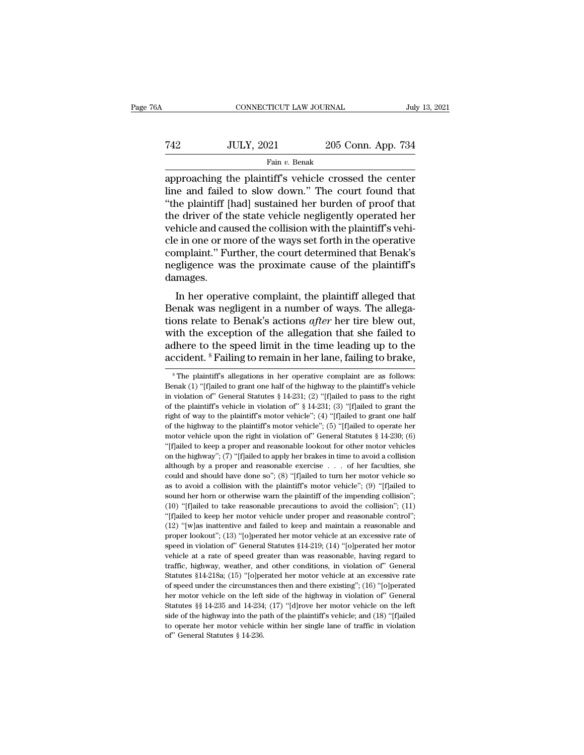# CONNECTICUT LAW JOURNAL July 13, 2021<br>
742 JULY, 2021 205 Conn. App. 734<br>
Fain v. Benak Fain *v.* Benak

CONNECTICUT LAW JOURNAL July 13, 2021<br>
T42 JULY, 2021 205 Conn. App. 734<br>
Fain v. Benak<br>
approaching the plaintiff's vehicle crossed the center<br>
line and failed to slow down." The court found that<br>
"the plaintiff lhad sust T42 JULY, 2021 205 Conn. App. 734<br>
Fain v. Benak<br>
approaching the plaintiff's vehicle crossed the center<br>
line and failed to slow down.'' The court found that<br>
"the plaintiff [had] sustained her burden of proof that<br>
the T42 JULY, 2021 205 Conn. App. 734<br>
Fain v. Benak<br>
Tapproaching the plaintiff's vehicle crossed the center<br>
line and failed to slow down." The court found that<br>
"the plaintiff [had] sustained her burden of proof that<br>
the Take The driver of the wave set forth in the operation of the state vehicle negligently operated her vehicle and caused the court found that the plaintiff [had] sustained her burden of proof that the driver of the state v Take JULY, 2021 205 Conn. App. 734<br>
Fain v. Benak<br>
Tapproaching the plaintiff's vehicle crossed the center<br>
line and failed to slow down." The court found that<br>
"the plaintiff [had] sustained her burden of proof that<br>
the Fam v. Benak<br>approaching the plaintiff's vehicle crossed the center<br>line and failed to slow down." The court found that<br>"the plaintiff [had] sustained her burden of proof that<br>the driver of the state vehicle negligently o approaching the plaintiff's vehicle crossed the center<br>line and failed to slow down." The court found that<br>"the plaintiff [had] sustained her burden of proof that<br>the driver of the state vehicle negligently operated her<br>ve line and failed to slow down." The court found that<br>"the plaintiff [had] sustained her burden of proof that<br>the driver of the state vehicle negligently operated her<br>vehicle and caused the collision with the plaintiff's veh damages. Further of the state ventric negligently operated her<br>hicle and caused the collision with the plaintiff's vehi-<br>e in one or more of the ways set forth in the operative<br>mplaint." Further, the court determined that Benak's<br>g Figures and caused the comsion with the plaintin's vent-<br>cle in one or more of the ways set forth in the operative<br>complaint." Further, the court determined that Benak's<br>negligence was the proximate cause of the plaintiff'

the mode of the ways set forth in the operative<br>complaint." Further, the court determined that Benak's<br>negligence was the proximate cause of the plaintiff's<br>damages.<br>In her operative complaint, the plaintiff alleged that<br>B Exceptional complaint. Further, the court determined that Benak is<br>negligence was the proximate cause of the plaintiff's<br>damages.<br>In her operative complaint, the plaintiff allegad that<br>Benak was negligent in a number of w damages.<br>
In her operative complaint, the plaintiff alleged that<br>
Benak was negligent in a number of ways. The allega-<br>
tions relate to Benak's actions *after* her tire blew out,<br>
with the exception of the allegation that In her operative complaint, the plaintiff alleged that<br>Benak was negligent in a number of ways. The allega-<br>tions relate to Benak's actions *after* her tire blew out,<br>with the exception of the allegation that she failed t ons relate to Benak's actions *after* her tire blew out,<br>ith the exception of the allegation that she failed to<br>dhere to the speed limit in the time leading up to the<br>ccident.  ${}^{8}$  Failing to remain in her lane, failing with the exception of the allegation that she failed to adhere to the speed limit in the time leading up to the accident. <sup>8</sup> Failing to remain in her lane, failing to brake,  $^8$ The plaintiff's allegations in her operati

adhere to the speed limit in the time leading up to the accident. <sup>8</sup> Failing to remain in her lane, failing to brake,<br><sup>8</sup> The plaintiff's allegations in her operative complaint are as follows:<br>Benak (1) "[f]ailed to gran accident. <sup>8</sup> Failing to remain in her lane, failing to brake,<br>
<sup>8</sup> The plaintiff's allegations in her operative complaint are as follows:<br>
Benak (1) "[f]ailed to grant one half of the highway to the plaintiff's vehicle<br> **EXECTMENT. FRAILLY OF CHEMIT IT THET TATTLE, TATTLIFY OF DTAKE,**<br><sup>8</sup> The plaintiff's allegations in her operative complaint are as follows:<br>Benak (1) "[f]ailed to grant one half of the highway to the plaintiff's vehicl <sup>8</sup> The plaintiff's allegations in her operative complaint are as follows:<br>Benak (1) "[f]ailed to grant one half of the highway to the plaintiff's vehicle<br>in violation of" General Statutes § 14-231; (2) "[f]ailed to pass Benak (1) "[F]ailed to grant one half of the highway to the plaintiff's vehicle in violation of" General Statutes § 14-231; (2) "[F]ailed to pass to the right of the plaintiff's vehicle in violation of" § 14-231; (3) "[F] in violation of" General Statutes § 14-231; (2) "[f]ailed to pass to the right of the plaintiff's vehicle in violation of" § 14-231; (3) "[f]ailed to grant the right of way to the plaintiff's motor vehicle"; (4) "[f]ailed on the plaintiff's vehicle in violation of"  $\S 14-231$ ; (3) "[f]ailed to grant the right of way to the plaintiff's motor vehicle"; (4) "[f]ailed to grant one half of the highway to the plaintiff's motor vehicle"; (5) "[f] right of way to the plaintiff's motor vehicle"; (4) "[f]ailed to grant one half of the highway to the plaintiff's motor vehicle"; (5) "[f]ailed to operate her motor vehicle upon the right in violation of" General Statutes of the highway to the plaintiff's motor vehicle"; (5) "[f]ailed to operate her motor vehicle upon the right in violation of" General Statutes § 14-230; (6) "[f]ailed to keep a proper and reasonable lookout for other motor as to avoid a collision with the plaintiff's motor vehicle solution with the planned with the plainting of "[f]ailed to keep a proper and reasonable lookout for other motor vehicles on the highway"; (7) "[f]ailed to apply "[f]ailed to keep a proper and reasonable lookout for other motor vehicles<br>on the highway"; (7) "[f]ailed to apply her brakes in time to avoid a collision<br>although by a proper and reasonable exercise  $\ldots$  of her facultie on the highway"; (7) "[f]ailed to apply her brakes in time to avoid a collision although by a proper and reasonable exercise  $\ldots$  of her faculties, she could and should have done so"; (8) "[f]ailed to turn her motor vehi and though by a proper and reasonable exercise  $\cdot$  . . . of her faculties, she could and should have done so"; (8) "[f]ailed to turn her motor vehicle so as to avoid a collision with the plaintiff's motor vehicle"; (9) " could and should have done so"; (8) "[f]ailed to turn her motor vehicle so as to avoid a collision with the plaintiff's motor vehicle"; (9) "[f]ailed to sound her horn or otherwise warn the plaintiff's motor vehicle"; (9) as to avoid a collision with the plaintiff's motor vehicle"; (9) "[f]ailed to sound her horn or otherwise warn the plaintiff of the impending collision"; (10) "[f]ailed to take reasonable precautions to avoid the collisio sound her horn or otherwise warn the plaintiff of the impending collision";<br>(10) "[f]ailed to take reasonable precautions to avoid the collision"; (11)<br>"[f]ailed to keep her motor vehicle under proper and reasonable contr (10) "[f]ailed to take reasonable precautions to avoid the collision"; (11) "[f]ailed to keep her motor vehicle under proper and reasonable control"; (12) "[w]as inattentive and failed to keep and maintain a reasonable an "(f]ailed to keep her motor vehicle under proper and reasonable control";<br>(12) "[w]as inattentive and failed to keep and maintain a reasonable and<br>proper lookout"; (13) "[o]perated her motor vehicle at an excessive rate o (12) "[w]as inattentive and failed to keep and maintain a reasonable and proper lookout"; (13) "[o]perated her motor vehicle at an excessive rate of speed in violation of" General Statutes  $$14-219$ ; (14) "[o]perated her ( $\frac{1}{2}$ ) [ $\frac{1}{2}$ ] [ $\frac{1}{2}$ ] [ $\frac{1}{2}$ ] [ $\frac{1}{2}$ ]) [ $\frac{1}{2}$ ] [ $\frac{1}{2}$ ]); ( $\frac{1}{2}$ ]); ( $\frac{1}{2}$ ]); ( $\frac{1}{2}$ ]); ( $\frac{1}{2}$ ]  $\frac{1}{2}$ ] [ $\frac{1}{2}$ ] [ $\frac{1}{2}$ ] [ $\frac{1}{2}$ ] [ $\frac{1}{2}$ ] [ $\frac{1}{2}$ ] [ $\frac{1}{2}$ proped in violation of" General Statutes §14-219; (14) "[o]perated her motor vehicle at a rate of speed greater than was reasonable, having regard to traffic, highway, weather, and other conditions, in violation of" Gener vehicle at a rate of speed greater than was reasonable, having regard to traffic, highway, weather, and other conditions, in violation of" General Statutes §14-218a; (15) "[o]perated her motor vehicle at an excessive rate traffic, highway, weather, and other conditions, in violation of" General Statutes §14-218a; (15) "[o]perated her motor vehicle at an excessive rate of speed under the circumstances then and there existing"; (16) "[o]pera Statutes §14-218a; (15) "[o]perated her motor vehicle at an excessive rate of speed under the circumstances then and there existing"; (16) "[o]perated her motor vehicle on the left side of the highway in violation of" Gen her motor vehicle on the left side of the highway in violation of" General Statutes  $\S\S$  14-235 and 14-234; (17) "[d]rove her motor vehicle on the left side of the highway into the path of the plaintiff's vehicle; and (18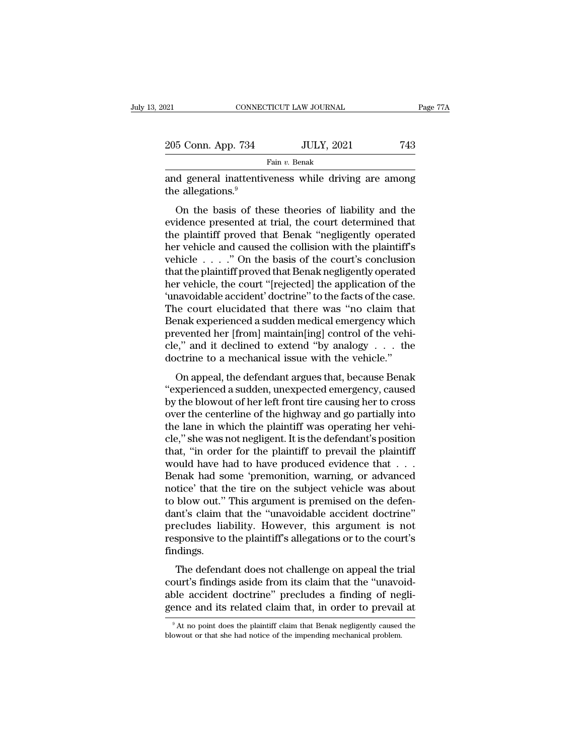| 021                | CONNECTICUT LAW JOURNAL | Page 77A |
|--------------------|-------------------------|----------|
| 205 Conn. App. 734 | <b>JULY, 2021</b>       | 743      |
|                    | Fain v. Benak           |          |

EXECUTE DE TO CONNECTICUT LAW JOURNAL Page 77A<br>
205 Conn. App. 734 JULY, 2021 743<br>
Fain v. Benak<br>
and general inattentiveness while driving are among<br>
the allegations.<sup>9</sup> 205 Conn. App. 734<br>and general inattentive<br>the allegations.<sup>9</sup><br>On the basis of the

 $\frac{100 \text{ UL}}{100 \text{ J}} = 5 \text{ Con.}$  App. 734<br>
Fain v. Benak<br>
d general inattentiveness while driving are among<br>
e allegations.<sup>9</sup><br>
On the basis of these theories of liability and the<br>
idence presented at trial, the court det 205 Conn. App. 734 JULY, 2021 743<br>
Fain v. Benak<br>
and general inattentiveness while driving are among<br>
the allegations.<sup>9</sup><br>
On the basis of these theories of liability and the<br>
evidence presented at trial, the court deter Fain v. Benak<br>
and general inattentiveness while driving are among<br>
the allegations.<sup>9</sup><br>
On the basis of these theories of liability and the<br>
evidence presented at trial, the court determined that<br>
the plaintiff proved th and general inattentiveness while driving are among<br>the allegations.<sup>9</sup><br>On the basis of these theories of liability and the<br>evidence presented at trial, the court determined that<br>the plaintiff proved that Benak "negligent and general mattern ventss while driving are among<br>the allegations.<sup>9</sup><br>On the basis of these theories of liability and the<br>evidence presented at trial, the court determined that<br>the plaintiff proved that Benak "negligently on the basis of these theories of liability and the<br>evidence presented at trial, the court determined that<br>the plaintiff proved that Benak "negligently operated<br>her vehicle and caused the collision with the plaintiff's<br>veh On the basis of these theories of liability and the<br>evidence presented at trial, the court determined that<br>the plaintiff proved that Benak "negligently operated<br>her vehicle  $\dots$ ." On the basis of the court's conclusion<br>th evidence presented at trial, the court determined that<br>the plaintiff proved that Benak "negligently operated<br>her vehicle and caused the collision with the plaintiff's<br>vehicle . . . . ." On the basis of the court's conclusi the plaintiff proved that Benak "negligently operated<br>her vehicle and caused the collision with the plaintiff's<br>vehicle  $\ldots$ ." On the basis of the court's conclusion<br>that the plaintiff proved that Benak negligently opera her vehicle and caused the collision with the plaintiff's<br>vehicle . . . ." On the basis of the court's conclusion<br>that the plaintiff proved that Benak negligently operated<br>her vehicle, the court "[rejected] the application vehicle  $\ldots$  ." On the basis of the court's conclusion<br>that the plaintiff proved that Benak negligently operated<br>her vehicle, the court "[rejected] the application of the<br>"unavoidable accident" doctrine" to the facts of that the plaintiff proved that Benak negligently operated<br>her vehicle, the court "[rejected] the application of the<br>'unavoidable accident' doctrine" to the facts of the case.<br>The court elucidated that there was "no claim t her vehicle, the court "[rejected] the application of the 'unavoidable accident' doctrine" to the facts of the case The court elucidated that there was "no claim that Benak experienced a sudden medical emergency which prev ravoluable accluding to the facts of the case.<br>The court elucidated that there was "no claim that<br>enak experienced a sudden medical emergency which<br>evented her [from] maintain[ing] control of the vehi-<br>e," and it declined The court criteriated that there was no claim that<br>Benak experienced a sudden medical emergency which<br>prevented her [from] maintain[ing] control of the vehi-<br>cle," and it declined to extend "by analogy  $\ldots$  the<br>doctrine

behavior a sudden included energency which<br>prevented her [from] maintain[ing] control of the vehi-<br>cle," and it declined to extend "by analogy . . . the<br>doctrine to a mechanical issue with the vehicle."<br>On appeal, the defe prevented iter [rion] manufam[ng] control of the veni-<br>cle," and it declined to extend "by analogy.... the<br>doctrine to a mechanical issue with the vehicle."<br>On appeal, the defendant argues that, because Benak<br>"experienced the lane in which the plaintiff to provail the vehicle.<br>
The doctrine to a mechanical issue with the vehicle."<br>
On appeal, the defendant argues that, because Benak<br>
"experienced a sudden, unexpected emergency, caused<br>
by cocurric to a incentral issue with the ventere.<br>
"experienced a sudden, unexpected emergency, caused<br>
by the blowout of her left front tire causing her to cross<br>
over the centerline of the highway and go partially into<br>
th On appeal, the defendant argues that, because Benak<br>
"experienced a sudden, unexpected emergency, caused<br>
by the blowout of her left front tire causing her to cross<br>
over the centerline of the highway and go partially into "experienced a sudden, unexpected emergency, caused<br>by the blowout of her left front tire causing her to cross<br>over the centerline of the highway and go partially into<br>the lane in which the plaintiff was operating her veh by the blowout of her left front tire causing her to cross<br>over the centerline of the highway and go partially into<br>the lane in which the plaintiff was operating her vehi-<br>cle," she was not negligent. It is the defendant's over the centerline of the highway and go partially into<br>the lane in which the plaintiff was operating her vehi-<br>cle," she was not negligent. It is the defendant's position<br>that, "in order for the plaintiff to prevail the the lane in which the plaintiff was operating her vehi-<br>cle," she was not negligent. It is the defendant's position<br>that, "in order for the plaintiff to prevail the plaintiff<br>would have had to have produced evidence that . cle," she was not negligent. It is the defendant's position<br>that, "in order for the plaintiff to prevail the plaintiff<br>would have had to have produced evidence that . . .<br>Benak had some 'premonition, warning, or advanced<br>n that, "in order for the plaintiff to prevail the plaintiff<br>would have had to have produced evidence that  $\dots$ <br>Benak had some 'premonition, warning, or advanced<br>notice' that the tire on the subject vehicle was about<br>to blo would have had to have produced evidence that . . .<br>Benak had some 'premonition, warning, or advanced<br>notice' that the tire on the subject vehicle was about<br>to blow out." This argument is premised on the defen-<br>dant's clai findings. blow out." This argument is premised on the defen-<br>nt's claim that the "unavoidable accident doctrine"<br>ecludes liability. However, this argument is not<br>sponsive to the plaintiff's allegations or to the court's<br>dings.<br>The d co blow out. This argument is premised on the determ<br>dant's claim that the "unavoidable accident doctrine"<br>precludes liability. However, this argument is not<br>responsive to the plaintiff's allegations or to the court's<br>find

adate a chain that the "unavolation accrudent doctrine"<br>precludes liability. However, this argument is not<br>responsive to the plaintiff's allegations or to the court's<br>findings.<br>The defendant does not challenge on appeal th responsive to the plaintiff's allegations or to the court's<br>findings.<br>The defendant does not challenge on appeal the trial<br>court's findings aside from its claim that the "unavoid-<br>able accident doctrine" precludes a findin The defendant does not challenge on appeal the trial court's findings aside from its claim that the "unavoidable accident doctrine" precludes a finding of negligence and its related claim that, in order to prevail at  $\frac{$ able accident doctrine" precludes a finding of negli-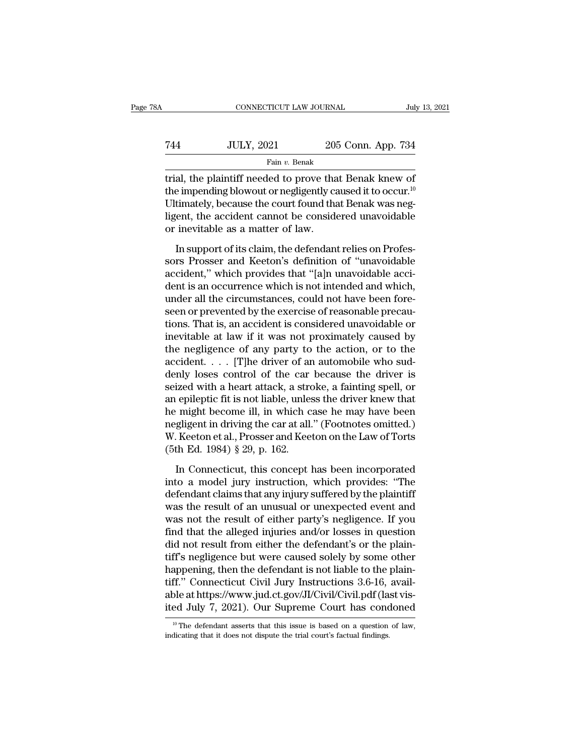| A   | CONNECTICUT LAW JOURNAL |                    | July 13, 2021 |
|-----|-------------------------|--------------------|---------------|
|     |                         |                    |               |
| 744 | <b>JULY, 2021</b>       | 205 Conn. App. 734 |               |
|     | Fain v. Benak           |                    |               |

CONNECTICUT LAW JOURNAL July 13, 202<br>
T44 JULY, 2021 205 Conn. App. 734<br>
Fain v. Benak<br>
Trial, the plaintiff needed to prove that Benak knew of<br>
the impending blowout or negligently caused it to occur.<sup>10</sup> the impending blowout or negligently caused it to occur.<sup>10</sup> Ultimately, because the court found that Benak was neg-Take Train v. 2021 205 Conn. App. 734<br>
Fain v. Benak<br>
Trial, the plaintiff needed to prove that Benak knew of<br>
the impending blowout or negligently caused it to occur.<sup>10</sup><br>
Ultimately, because the court found that Benak w Fain  $v$ . Benak<br>
trial, the plaintiff needed to prove that<br>
the impending blowout or negligently ca<br>
Ultimately, because the court found that<br>
ligent, the accident cannot be consider<br>
or inevitable as a matter of law.<br>
In al, the plaintiff needed to prove that Benak knew of<br>e impending blowout or negligently caused it to occur.<sup>10</sup><br>timately, because the court found that Benak was neg-<br>jent, the accident cannot be considered unavoidable<br>inev solution of the impending blowout or negligently caused it to occur.<sup>10</sup><br>Ultimately, because the court found that Benak was negligent, the accident cannot be considered unavoidable<br>or inevitable as a matter of law.<br>In supp

and inputately, because the court found that Benak was negligent, the accident cannot be considered unavoidable<br>or inevitable as a matter of law.<br>In support of its claim, the defendant relies on Professors Prosser and Keet dent, the accident cannot be considered unavoidable<br>or inevitable as a matter of law.<br>In support of its claim, the defendant relies on Profes-<br>sors Prosser and Keeton's definition of "unavoidable<br>accident," which provides under a matter of law.<br>In support of its claim, the defendant relies on Professors Prosser and Keeton's definition of "unavoidable accident," which provides that "[a]n unavoidable accident is an occurrence which is not int In support of its claim, the defendant relies on Professors Prosser and Keeton's definition of "unavoidable accident," which provides that "[a]n unavoidable accident is an occurrence which is not intended and which, under In support of its claim, the defendant relies on Professors Prosser and Keeton's definition of "unavoidable accident," which provides that "[a]n unavoidable accident is an occurrence which is not intended and which, under sors Prosser and Keeton's definition of "unavoidable<br>accident," which provides that "[a]n unavoidable acci-<br>dent is an occurrence which is not intended and which,<br>under all the circumstances, could not have been fore-<br>seen accident," which provides that "[a]n unavoidable accident is an occurrence which is not intended and which, under all the circumstances, could not have been foreseen or prevented by the exercise of reasonable precautions. dent is an occurrence which is not intended and which,<br>under all the circumstances, could not have been fore-<br>seen or prevented by the exercise of reasonable precau-<br>tions. That is, an accident is considered unavoidable or under all the circumstances, could not have been fore-<br>seen or prevented by the exercise of reasonable precau-<br>tions. That is, an accident is considered unavoidable or<br>inevitable at law if it was not proximately caused by seen or prevented by the exercise of reasonable precautions. That is, an accident is considered unavoidable or<br>inevitable at law if it was not proximately caused by<br>the negligence of any party to the action, or to the<br>acci tions. That is, an accident is considered unavoidable or<br>inevitable at law if it was not proximately caused by<br>the negligence of any party to the action, or to the<br>accident. . . . . [T]he driver of an automobile who sud-<br> inevitable at law if it was not proximately caused by<br>the negligence of any party to the action, or to the<br>accident. . . . . [T]he driver of an automobile who sud-<br>denly loses control of the car because the driver is<br>seiz the negligence of any party to the action, or to the accident. . . . [T]he driver of an automobile who suddenly loses control of the car because the driver is seized with a heart attack, a stroke, a fainting spell, or an accident. . . . . [T]he driver of an automobile who suddenly loses control of the car because the driver is seized with a heart attack, a stroke, a fainting spell, or an epileptic fit is not liable, unless the driver knew denly loses control of the car because the driver is<br>seized with a heart attack, a stroke, a fainting spell, or<br>an epileptic fit is not liable, unless the driver knew that<br>he might become ill, in which case he may have be In Connecticut, this concept has been incorporated<br>In Connecticut, this control is and the case to may have been<br>gligent in driving the car at all." (Footnotes omitted.)<br>Keeton et al., Prosser and Keeton on the Law of Tor into a model jury instruction, which we have been<br>inegligent in driving the car at all." (Footnotes omitted.)<br>W. Keeton et al., Prosser and Keeton on the Law of Torts<br>(5th Ed. 1984) § 29, p. 162.<br>In Connecticut, this conce

In the magnetic matrix of the car at all." (Footnotes omitted.)<br>W. Keeton et al., Prosser and Keeton on the Law of Torts<br>(5th Ed. 1984) § 29, p. 162.<br>In Connecticut, this concept has been incorporated<br>into a model jury ins W. Keeton et al., Prosser and Keeton on the Law of Torts<br>(5th Ed. 1984) § 29, p. 162.<br>In Connecticut, this concept has been incorporated<br>into a model jury instruction, which provides: "The<br>defendant claims that any injury (5th Ed. 1984) § 29, p. 162.<br>In Connecticut, this concept has been incorporated<br>into a model jury instruction, which provides: "The<br>defendant claims that any injury suffered by the plaintiff<br>was the result of an unusual o In Connecticut, this concept has been incorporated<br>into a model jury instruction, which provides: "The<br>defendant claims that any injury suffered by the plaintiff<br>was the result of an unusual or unexpected event and<br>was no In Connecticut, this concept has been incorporated<br>into a model jury instruction, which provides: "The<br>defendant claims that any injury suffered by the plaintiff<br>was the result of an unusual or unexpected event and<br>was not into a model jury instruction, which provides: "The<br>defendant claims that any injury suffered by the plaintiff<br>was the result of an unusual or unexpected event and<br>was not the result of either party's negligence. If you<br>fi defendant claims that any injury suffered by the plaintiff<br>was the result of an unusual or unexpected event and<br>was not the result of either party's negligence. If you<br>find that the alleged injuries and/or losses in questi was the result of an unusual or unexpected event and<br>was not the result of either party's negligence. If you<br>find that the alleged injuries and/or losses in question<br>did not result from either the defendant's or the plainwas not the result of either party's negligence. If you find that the alleged injuries and/or losses in question did not result from either the defendant's or the plaintiff's negligence but were caused solely by some other find that the alleged injuries and/or losses in question<br>did not result from either the defendant's or the plain-<br>tiff's negligence but were caused solely by some other<br>happening, then the defendant is not liable to the p happening, then the defendant is not liable to the plain-<br>tiff." Connecticut Civil Jury Instructions 3.6-16, avail-<br>able at https://www.jud.ct.gov/JI/Civil/Civil.pdf (last vis-<br>ited July 7, 2021). Our Supreme Court has co ited July 7, 2021). Our Supreme Court has condoned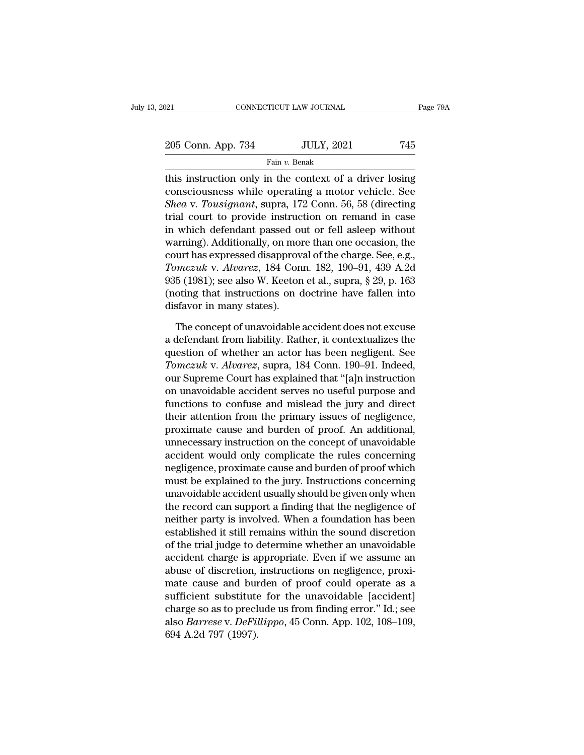| 21                 | CONNECTICUT LAW JOURNAL | Page 79A |
|--------------------|-------------------------|----------|
| 205 Conn. App. 734 | <b>JULY, 2021</b>       | 745      |
|                    | Fain v. Benak           |          |

THE CONNECTICUT LAW JOURNAL Page 79A<br>
205 Conn. App. 734 JULY, 2021 745<br>
Fain v. Benak<br>
This instruction only in the context of a driver losing<br>
consciousness while operating a motor vehicle. See<br>
Sheavy Teusisment supper 205 Conn. App. 734 JULY, 2021 745<br>
Fain v. Benak<br>
this instruction only in the context of a driver losing<br>
consciousness while operating a motor vehicle. See<br> *Sheav. Tousignant*, supra, 172 Conn. 56, 58 (directing<br>
trial *Sheak*<br> *Fain v. Benak*<br> *Fain v. Benak*<br> *Fain v. Benak*<br> *Shea* v. *Tousignant*, supra, 172 Conn. 56, 58 (directing<br>
trial court to provide instruction on remand in case<br>
in which defendent passed out or foll soleon wit 205 Conn. App. 734 JULY, 2021 745<br>
Fain v. Benak<br>
this instruction only in the context of a driver losing<br>
consciousness while operating a motor vehicle. See<br> *Shea* v. *Tousignant*, supra, 172 Conn. 56, 58 (directing<br>
tr Fain v. Benak<br>
this instruction only in the context of a driver losing<br>
consciousness while operating a motor vehicle. See<br> *Shea* v. *Tousignant*, supra, 172 Conn. 56, 58 (directing<br>
trial court to provide instruction on Fant *i*. Benak<br>this instruction only in the context of a driver losing<br>consciousness while operating a motor vehicle. See<br>*Shea* v. *Tousignant*, supra, 172 Conn. 56, 58 (directing<br>trial court to provide instruction on r this instruction only in the context of a driver losing<br>consciousness while operating a motor vehicle. See<br>*Shea* v. *Tousignant*, supra, 172 Conn. 56, 58 (directing<br>trial court to provide instruction on remand in case<br>in consciousness while operating a motor vehicle. See<br> *Shea* v. *Tousignant*, supra, 172 Conn. 56, 58 (directing<br>
trial court to provide instruction on remand in case<br>
in which defendant passed out or fell asleep without<br>
wa Shea v. Tousignant, supra, 172 Conn. 56, 58 (directing<br>trial court to provide instruction on remand in case<br>in which defendant passed out or fell asleep without<br>warning). Additionally, on more than one occasion, the<br>court trial court to provide instruction on remand in case<br>in which defendant passed out or fell asleep without<br>warning). Additionally, on more than one occasion, the<br>court has expressed disapproval of the charge. See, e.g.,<br>*To* in which defendant passed of<br>warning). Additionally, on more<br>court has expressed disapprov<br>*Tomczuk v. Alvarez*, 184 Con<br>935 (1981); see also W. Keeton<br>(noting that instructions on disfavor in many states).<br>The concept of urt has expressed disapproval of the charge. See, e.g.,<br> *mczuk v. Alvarez*, 184 Conn. 182, 190–91, 439 A.2d<br>
5 (1981); see also W. Keeton et al., supra, § 29, p. 163<br>
oting that instructions on doctrine have fallen into<br> Fomczuk v. Alvarez, 184 Conn. 182, 190–91, 439 A.2d<br>935 (1981); see also W. Keeton et al., supra, § 29, p. 163<br>(noting that instructions on doctrine have fallen into<br>disfavor in many states).<br>The concept of unavoidable ac

935 (1981); see also W. Keeton et al., supra, § 29, p. 163<br>(noting that instructions on doctrine have fallen into<br>disfavor in many states).<br>The concept of unavoidable accident does not excuse<br>a defendant from liability. R (noting that instructions on doctrine have fallen into<br>disfavor in many states).<br>The concept of unavoidable accident does not excuse<br>a defendant from liability. Rather, it contextualizes the<br>question of whether an actor ha disfavor in many states).<br>
The concept of unavoidable accident does not excuse<br>
a defendant from liability. Rather, it contextualizes the<br>
question of whether an actor has been negligent. See<br> *Tomczuk* v. *Alvarez*, supra The concept of unavoidable accident does not excuse<br>a defendant from liability. Rather, it contextualizes the<br>question of whether an actor has been negligent. See<br>Tomczuk v. Alvarez, supra, 184 Conn. 190–91. Indeed,<br>our Su The concept of unavoidable accident does not excuse<br>a defendant from liability. Rather, it contextualizes the<br>question of whether an actor has been negligent. See<br> $Tomczuk$  v. Alvarez, supra, 184 Conn. 190–91. Indeed,<br>our Su a defendant from liability. Rather, it contextualizes the<br>question of whether an actor has been negligent. See<br>Tomczuk v. Alvarez, supra, 184 Conn. 190–91. Indeed,<br>our Supreme Court has explained that "[a]n instruction<br>on question of whether an actor has been negligent. See<br> *Tomczuk* v. *Alvarez*, supra, 184 Conn. 190–91. Indeed,<br>
our Supreme Court has explained that "[a]n instruction<br>
on unavoidable accident serves no useful purpose and<br> Tomczuk v. Alvarez, supra, 184 Conn. 190–91. Indeed,<br>our Supreme Court has explained that "[a]n instruction<br>on unavoidable accident serves no useful purpose and<br>functions to confuse and mislead the jury and direct<br>their a our Supreme Court has explained that "[a]n instruction<br>on unavoidable accident serves no useful purpose and<br>functions to confuse and mislead the jury and direct<br>their attention from the primary issues of negligence,<br>proxim on unavoidable accident serves no useful purpose and<br>functions to confuse and mislead the jury and direct<br>their attention from the primary issues of negligence,<br>proximate cause and burden of proof. An additional,<br>unnecessa functions to confuse and mislead the jury and direct<br>their attention from the primary issues of negligence,<br>proximate cause and burden of proof. An additional,<br>unnecessary instruction on the concept of unavoidable<br>accident their attention from the primary issues of negligence,<br>proximate cause and burden of proof. An additional,<br>unnecessary instruction on the concept of unavoidable<br>accident would only complicate the rules concerning<br>negligenc proximate cause and burden of proof. An additional,<br>unnecessary instruction on the concept of unavoidable<br>accident would only complicate the rules concerning<br>negligence, proximate cause and burden of proof which<br>must be ex unnecessary instruction on the concept of unavoidable<br>accident would only complicate the rules concerning<br>negligence, proximate cause and burden of proof which<br>must be explained to the jury. Instructions concerning<br>unavoid accident would only complicate the rules concerning<br>negligence, proximate cause and burden of proof which<br>must be explained to the jury. Instructions concerning<br>unavoidable accident usually should be given only when<br>the re negligence, proximate cause and burden of proof which<br>must be explained to the jury. Instructions concerning<br>unavoidable accident usually should be given only when<br>the record can support a finding that the negligence of<br>ne must be explained to the jury. Instructions concerning<br>unavoidable accident usually should be given only when<br>the record can support a finding that the negligence of<br>neither party is involved. When a foundation has been<br>es unavoidable accident usually should be given only when<br>the record can support a finding that the negligence of<br>neither party is involved. When a foundation has been<br>established it still remains within the sound discretion<br> the record can support a finding that the negligence of<br>neither party is involved. When a foundation has been<br>established it still remains within the sound discretion<br>of the trial judge to determine whether an unavoidable<br> neither party is involved. When a foundation has been<br>established it still remains within the sound discretion<br>of the trial judge to determine whether an unavoidable<br>accident charge is appropriate. Even if we assume an<br>abu established it still remains within the sound discretion<br>of the trial judge to determine whether an unavoidable<br>accident charge is appropriate. Even if we assume an<br>abuse of discretion, instructions on negligence, proxi-<br>m of the trial judge to determine whether an unavoidable<br>accident charge is appropriate. Even if we assume an<br>abuse of discretion, instructions on negligence, proxi-<br>mate cause and burden of proof could operate as a<br>sufficie accident charge is a<br>abuse of discretion,<br>mate cause and bur<br>sufficient substitute<br>charge so as to precl<br>also *Barrese* v. *DeFil*<br>694 A.2d 797 (1997).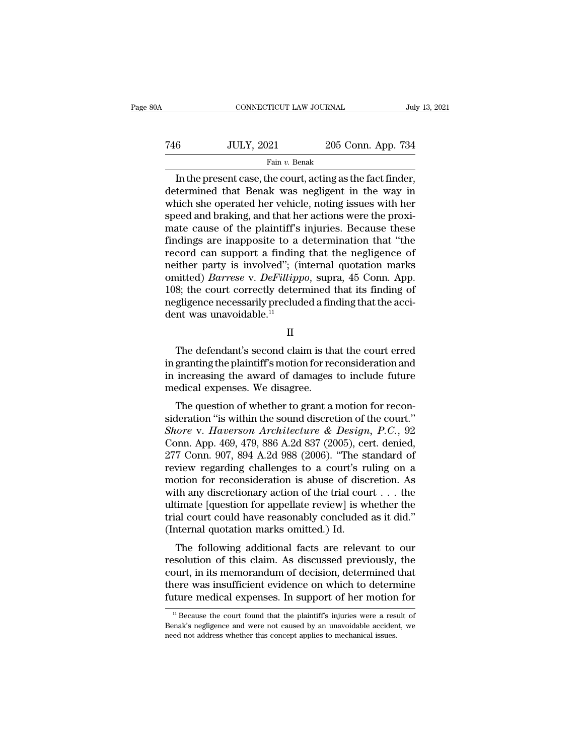| )A  | CONNECTICUT LAW JOURNAL |                    | July 13, 2021 |
|-----|-------------------------|--------------------|---------------|
| 746 | <b>JULY, 2021</b>       | 205 Conn. App. 734 |               |
|     | Fain v. Benak           |                    |               |

CONNECTICUT LAW JOURNAL July 13, 2<br>
6 JULY, 2021 205 Conn. App. 734<br>
Fain v. Benak<br>
In the present case, the court, acting as the fact finder,<br>
termined that Benak was negligent in the way in  $\frac{100 \text{ JULY, } 2021}{1000}$  and the present case, the court, acting as the fact finder, determined that Benak was negligent in the way in which she operated her vehicle, noting issues with her spood and braking and that h T46 JULY, 2021 205 Conn. App. 734<br>Fain v. Benak<br>In the present case, the court, acting as the fact finder,<br>determined that Benak was negligent in the way in<br>which she operated her vehicle, noting issues with her<br>speed and Taking and that Benaking, and that here are the present case, the court, acting as the fact finder, determined that Benaking, and that her actions were the proximate cause of the plaintiff's injuries. Because these findin Fain v. Benak<br>
In the present case, the court, acting as the fact finder,<br>
determined that Benak was negligent in the way in<br>
which she operated her vehicle, noting issues with her<br>
speed and braking, and that her actions Fan v. Benak<br>In the present case, the court, acting as the fact finder,<br>determined that Benak was negligent in the way in<br>which she operated her vehicle, noting issues with her<br>speed and braking, and that her actions were In the present case, the court, acting as the fact finder,<br>determined that Benak was negligent in the way in<br>which she operated her vehicle, noting issues with her<br>speed and braking, and that her actions were the proxi-<br>m determined that Benak was negligent in the way in<br>which she operated her vehicle, noting issues with her<br>speed and braking, and that her actions were the proxi-<br>mate cause of the plaintiff's injuries. Because these<br>finding which she operated her vehicle, noting issues with her speed and braking, and that her actions were the proximate cause of the plaintiff's injuries. Because these findings are inapposite to a determination that "the record speed and braking, and that her actions were the proximate cause of the plaintiff's injuries. Because these findings are inapposite to a determination that "the record can support a finding that the negligence of neither mate cause of the plaintiff's injuries. Because these findings are inapposite to a determination that "the record can support a finding that the negligence of neither party is involved"; (internal quotation marks omitted) findings are inapposite to a<br>record can support a finding<br>neither party is involved"; (in<br>omitted) *Barrese* v. *DeFillipp*<br>108; the court correctly detern<br>negligence necessarily preclud<br>dent was unavoidable.<sup>11</sup> mitted) *Barrese* v. *DeFillippo*, supra, 45 Conn. App.<br>
8; the court correctly determined that its finding of<br>
gligence necessarily precluded a finding that the acci-<br>
mt was unavoidable.<sup>11</sup><br>
II<br>
The defendant's second

II

108; the court correctly determined that its finding of<br>negligence necessarily precluded a finding that the acci-<br>dent was unavoidable.<sup>11</sup><br> $\Pi$ <br>The defendant's second claim is that the court erred<br>in granting the plainti megligence necessarily precluded a finding that the accident was unavoidable.<sup>11</sup><br>
II<br>
The defendant's second claim is that the court erred<br>
in granting the plaintiff's motion for reconsideration and<br>
in increasing the awa dent was unavoidable.<sup>11</sup><br>II<br>The defendant's second claim is the<br>in granting the plaintiff's motion for re-<br>in increasing the award of damages<br>medical expenses. We disagree.<br>The question of whether to grant a The defendant's second claim is that the court erred<br>granting the plaintiff's motion for reconsideration and<br>increasing the award of damages to include future<br>edical expenses. We disagree.<br>The question of whether to grant The defendant's second claim is that the court erred<br>in granting the plaintiff's motion for reconsideration and<br>in increasing the award of damages to include future<br>medical expenses. We disagree.<br>The question of whether t

Ine defendant s second claim is that the court effed<br>in granting the plaintiff's motion for reconsideration and<br>in increasing the award of damages to include future<br>medical expenses. We disagree.<br>The question of whether to In granting the plantin's inotion for reconsideration and<br>in increasing the award of damages to include future<br>medical expenses. We disagree.<br>The question of whether to grant a motion for recon-<br>sideration "is within the s In Increasing the award of damages to include future<br>
medical expenses. We disagree.<br>
The question of whether to grant a motion for recon-<br>
sideration "is within the sound discretion of the court."<br> *Shore* v. *Haverson Ar* The question of whether to grant a motion for reconsideration "is within the sound discretion of the court."<br> *Shore* v. *Haverson Architecture & Design*, *P.C.*, 92<br>
Conn. App. 469, 479, 886 A.2d 837 (2005), cert. denied The question of whether to grant a motion for reconsideration "is within the sound discretion of the court."<br> *Shore* v. *Haverson Architecture & Design*, *P.C.*, 92<br>
Conn. App. 469, 479, 886 A.2d 837 (2005), cert. denied sideration "is within the sound discretion of the court."<br>
Shore v. Haverson Architecture & Design, P.C., 92<br>
Conn. App. 469, 479, 886 A.2d 837 (2005), cert. denied,<br>
277 Conn. 907, 894 A.2d 988 (2006). "The standard of<br> Shore v. Haverson Architecture & Design, P.C., 92<br>Conn. App. 469, 479, 886 A.2d 837 (2005), cert. denied,<br>277 Conn. 907, 894 A.2d 988 (2006). "The standard of<br>review regarding challenges to a court's ruling on a<br>motion fo Conn. App. 469, 479, 886 A.2d 837 (2005), cert. denied, 277 Conn. 907, 894 A.2d 988 (2006). "The standard of review regarding challenges to a court's ruling on a motion for reconsideration is abuse of discretion. As with 277 Conn. 907, 894 A.2d 988 (2006). "The streview regarding challenges to a court's runotion for reconsideration is abuse of disc<br>with any discretionary action of the trial could ultimate [question for appellate review] is Following Chaintinges to a court's runng on a<br>otion for reconsideration is abuse of discretion. As<br>th any discretionary action of the trial court  $\dots$  the<br>timate [question for appellate review] is whether the<br>al court cou resolution for reconsideration is abuse of discretion. As<br>with any discretionary action of the trial court  $\dots$  the<br>ultimate [question for appellate review] is whether the<br>trial court could have reasonably concluded as it

while any discretionary action of the that court  $\ldots$  the<br>ultimate [question for appellate review] is whether the<br>trial court could have reasonably concluded as it did."<br>(Internal quotation marks omitted.) Id.<br>The follow thermal court could have reasonably concluded as it did."<br>(Internal quotation marks omitted.) Id.<br>The following additional facts are relevant to our<br>resolution of this claim. As discussed previously, the<br>court, in its memo (Internal quotation marks omitted.) Id.<br>
The following additional facts are relevant to our<br>
resolution of this claim. As discussed previously, the<br>
court, in its memorandum of decision, determined that<br>
there was insuffi solution of this claim. As discussed previously, the<br>burt, in its memorandum of decision, determined that<br>here was insufficient evidence on which to determine<br>ture medical expenses. In support of her motion for<br><sup>11</sup> Becaus court, in its memorandum of decision, determined that<br>there was insufficient evidence on which to determine<br>future medical expenses. In support of her motion for<br> $\frac{11}{11}$  Because the court found that the plaintiff's inj

there was insufficient evidence on which to detern<br>future medical expenses. In support of her motion<br><sup>11</sup> Because the court found that the plaintiff's injuries were a res<br>Benak's negligence and were not caused by an unavoi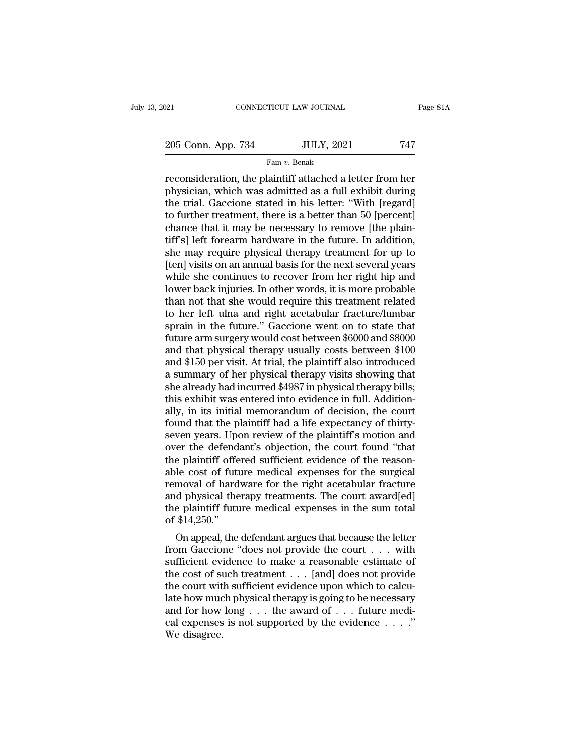205 Conn. App. 734 JULY, 2021 747<br>  $\frac{1}{205}$  Conn. App. 734 JULY, 2021 747

Fain *v.* Benak

reconsideration, the plaintiff attached a letter from her physician, which was admitted as a full exhibit during<br>the trial Gaccione stated in his letter "With Iregard" 205 Conn. App. 734 JULY, 2021 747<br>Fain v. Benak<br>Preconsideration, the plaintiff attached a letter from her<br>physician, which was admitted as a full exhibit during<br>the trial. Gaccione stated in his letter: "With [regard]<br>to 205 Conn. App. 734 JULY, 2021 747<br>
Fain v. Benak<br>
reconsideration, the plaintiff attached a letter from her<br>
physician, which was admitted as a full exhibit during<br>
the trial. Gaccione stated in his letter: "With [regard] 205 Conn. App. 734 JULY, 2021 747<br>
Fain v. Benak<br>
reconsideration, the plaintiff attached a letter from her<br>
physician, which was admitted as a full exhibit during<br>
the trial. Gaccione stated in his letter: "With [regard] Fain v. Benak<br>
Fain v. Benak<br>
reconsideration, the plaintiff attached a letter from her<br>
physician, which was admitted as a full exhibit during<br>
the trial. Gaccione stated in his letter: "With [regard]<br>
to further treatme Fain v. Benak<br>
reconsideration, the plaintiff attached a letter from her<br>
physician, which was admitted as a full exhibit during<br>
the trial. Gaccione stated in his letter: "With [regard]<br>
to further treatment, there is a reconsideration, the plaintiff attached a letter from her<br>physician, which was admitted as a full exhibit during<br>the trial. Gaccione stated in his letter: "With [regard]<br>to further treatment, there is a better than 50 [per physician, which was admitted as a full exhibit during<br>the trial. Gaccione stated in his letter: "With [regard]<br>to further treatment, there is a better than 50 [percent]<br>chance that it may be necessary to remove [the plain the trial. Gaccione stated in his letter: "With [regard]<br>to further treatment, there is a better than 50 [percent]<br>chance that it may be necessary to remove [the plain-<br>tiff's] left forearm hardware in the future. In addit to further treatment, there is a better than 50 [percent]<br>chance that it may be necessary to remove [the plain-<br>tiff's] left forearm hardware in the future. In addition,<br>she may require physical therapy treatment for up to chance that it may be necessary to remove [the plain-<br>tiff's] left forearm hardware in the future. In addition,<br>she may require physical therapy treatment for up to<br>[ten] visits on an annual basis for the next several year tiff's] left forearm hardware in the future. In addition,<br>she may require physical therapy treatment for up to<br>[ten] visits on an annual basis for the next several years<br>while she continues to recover from her right hip an she may require physical therapy treatment for up to<br>[ten] visits on an annual basis for the next several years<br>while she continues to recover from her right hip and<br>lower back injuries. In other words, it is more probable [ten] visits on an annual basis for the next several years<br>while she continues to recover from her right hip and<br>lower back injuries. In other words, it is more probable<br>than not that she would require this treatment relat while she continues to recover from her right hip and<br>lower back injuries. In other words, it is more probable<br>than not that she would require this treatment related<br>to her left ulna and right acetabular fracture/lumbar<br>sp lower back injuries. In other words, it is more probable<br>than not that she would require this treatment related<br>to her left ulna and right acetabular fracture/lumbar<br>sprain in the future." Gaccione went on to state that<br>fu than not that she would require this treatment related<br>to her left ulna and right acetabular fracture/lumbar<br>sprain in the future." Gaccione went on to state that<br>future arm surgery would cost between \$6000 and \$8000<br>and t to her left ulna and right acetabular fracture/lumbar<br>sprain in the future." Gaccione went on to state that<br>future arm surgery would cost between \$6000 and \$8000<br>and that physical therapy usually costs between \$100<br>and \$15 sprain in the future." Gaccione went on to state that<br>future arm surgery would cost between \$6000 and \$8000<br>and that physical therapy usually costs between \$100<br>and \$150 per visit. At trial, the plaintiff also introduced<br>a future arm surgery would cost between \$6000 and \$8000<br>and that physical therapy usually costs between \$100<br>and \$150 per visit. At trial, the plaintiff also introduced<br>a summary of her physical therapy visits showing that<br>s and that physical therapy usually costs between \$100 and \$150 per visit. At trial, the plaintiff also introduced a summary of her physical therapy visits showing that she already had incurred \$4987 in physical therapy bill and \$150 per visit. At trial, the plaintiff also introduced<br>a summary of her physical therapy visits showing that<br>she already had incurred \$4987 in physical therapy bills;<br>this exhibit was entered into evidence in full. Ad a summary of her physical therapy visits showing that<br>she already had incurred \$4987 in physical therapy bills;<br>this exhibit was entered into evidence in full. Addition-<br>ally, in its initial memorandum of decision, the cou she already had incurred \$4987 in physical therapy bills;<br>this exhibit was entered into evidence in full. Addition-<br>ally, in its initial memorandum of decision, the court<br>found that the plaintiff had a life expectancy of t this exhibit was entered into evidence in full. Additionally, in its initial memorandum of decision, the court<br>found that the plaintiff had a life expectancy of thirty-<br>seven years. Upon review of the plaintiff's motion an ally, in its initial memorandum of decision, the court<br>found that the plaintiff had a life expectancy of thirty-<br>seven years. Upon review of the plaintiff's motion and<br>over the defendant's objection, the court found "that<br> found that the plaintiff had a life expectancy of thirty-<br>seven years. Upon review of the plaintiff's motion and<br>over the defendant's objection, the court found "that<br>the plaintiff offered sufficient evidence of the reason seven years. Upon review of the plaintiff's motion and<br>over the defendant's objection, the court found "that<br>the plaintiff offered sufficient evidence of the reason-<br>able cost of future medical expenses for the surgical<br>re over the defend<br>the plaintiff offe<br>able cost of futu<br>removal of hard<br>and physical the<br>the plaintiff futu<br>of \$14,250.''<br>On appeal, the e plaintiff offered sufficient evidence of the reason-<br>le cost of future medical expenses for the surgical<br>moval of hardware for the right acetabular fracture<br>d physical therapy treatments. The court award[ed]<br>e plaintiff able cost of ruture medical expenses for the surgical<br>removal of hardware for the right acetabular fracture<br>and physical therapy treatments. The court award[ed]<br>the plaintiff future medical expenses in the sum total<br>of \$14

removal of nardware for the right acetabular fracture<br>and physical therapy treatments. The court award[ed]<br>the plaintiff future medical expenses in the sum total<br>of \$14,250."<br>On appeal, the defendant argues that because th and physical therapy treatments. The court award[ed]<br>the plaintiff future medical expenses in the sum total<br>of \$14,250."<br>On appeal, the defendant argues that because the letter<br>from Gaccione "does not provide the court  $\d$ the plaintiff future medical expenses in the sum total<br>of \$14,250."<br>On appeal, the defendant argues that because the letter<br>from Gaccione "does not provide the court  $\dots$  with<br>sufficient evidence to make a reasonable esti or \$14,250.<br>
On appeal, the defendant argues that because the letter<br>
from Gaccione "does not provide the court . . . with<br>
sufficient evidence to make a reasonable estimate of<br>
the cost of such treatment . . . [and] does On appeal, the defendant argues that because the letter<br>from Gaccione "does not provide the court . . . with<br>sufficient evidence to make a reasonable estimate of<br>the cost of such treatment . . . [and] does not provide<br>the from Gaccione "does not provide the court . . . with sufficient evidence to make a reasonable estimate of the cost of such treatment . . . [and] does not provide the court with sufficient evidence upon which to calculate sufficient evi<br>the cost of st<br>the court wit<br>late how muc<br>and for how<br>cal expenses<br>We disagree.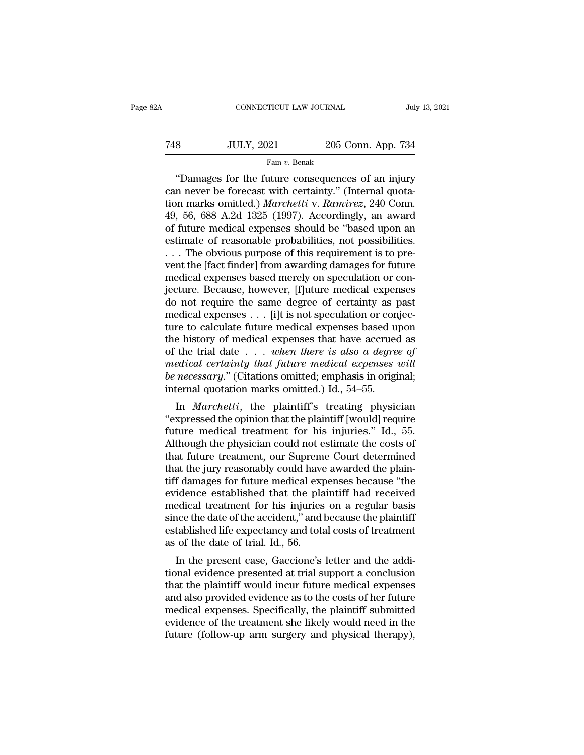# CONNECTICUT LAW JOURNAL July 13, 2021<br>
748 JULY, 2021 205 Conn. App. 734<br>
Fain v. Benak Fain *v.* Benak

CONNECTICUT LAW JOURNAL July 13, 2021<br>
8 JULY, 2021 205 Conn. App. 734<br>
Fain v. Benak<br>
"Damages for the future consequences of an injury<br>
n never be forecast with certainty." (Internal quota-<br>
paralyse onitted ) Marabetti Tam  $\frac{1}{2021}$  205 Conn. App. 734<br>
Fain v. Benak<br>
"Damages for the future consequences of an injury<br>
can never be forecast with certainty." (Internal quota-<br>
tion marks omitted.) *Marchetti* v. Ramirez, 240 Conn.<br>
40 56 Tax JULY, 2021 205 Conn. App. 734<br>
Fain v. Benak<br>
"Damages for the future consequences of an injury<br>
can never be forecast with certainty." (Internal quota-<br>
tion marks omitted.) *Marchetti* v. *Ramirez*, 240 Conn.<br>
49, 56  $348$  JULY, 2021 205 Conn. App. 734<br>
Fain v. Benak<br>
"Damages for the future consequences of an injury<br>
can never be forecast with certainty." (Internal quota-<br>
tion marks omitted.) *Marchetti* v. *Ramirez*, 240 Conn.<br>
49, Fain v. Benak<br>
"Damages for the future consequences of an injury<br>
can never be forecast with certainty." (Internal quota-<br>
tion marks omitted.) *Marchetti* v. Ramirez, 240 Conn.<br>
49, 56, 688 A.2d 1325 (1997). Accordingly, Fan v. Benak<br>
"Damages for the future consequences of an injury<br>
can never be forecast with certainty." (Internal quota-<br>
tion marks omitted.) *Marchetti* v. Ramirez, 240 Conn.<br>
49, 56, 688 A.2d 1325 (1997). Accordingly, "Damages for the future consequences of an injury<br>can never be forecast with certainty." (Internal quota-<br>tion marks omitted.) *Marchetti* v. *Ramirez*, 240 Conn.<br>49, 56, 688 A.2d 1325 (1997). Accordingly, an award<br>of fut can never be forecast with certainty." (Internal quotation marks omitted.) *Marchetti* v. *Ramirez*, 240 Conn.<br>49, 56, 688 A.2d 1325 (1997). Accordingly, an award<br>of future medical expenses should be "based upon an<br>estimat tion marks omitted.) *Marchetti* v. *Ramirez*, 240 Conn.<br>49, 56, 688 A.2d 1325 (1997). Accordingly, an award<br>of future medical expenses should be "based upon an<br>estimate of reasonable probabilities, not possibilities.<br>... 49, 56, 688 A.2d 1325 (1997). Accordingly, an award<br>of future medical expenses should be "based upon an<br>estimate of reasonable probabilities, not possibilities.<br> $\dots$  The obvious purpose of this requirement is to pre-<br>vent of future medical expenses should be "based upon an<br>estimate of reasonable probabilities, not possibilities.<br>... The obvious purpose of this requirement is to pre-<br>vent the [fact finder] from awarding damages for future<br>me estimate of reasonable probabilities, not possibilities.<br>
. . . The obvious purpose of this requirement is to pre-<br>
vent the [fact finder] from awarding damages for future<br>
medical expenses based merely on speculation or c ... The obvious purpose of this requirement is to pre-<br>vent the [fact finder] from awarding damages for future<br>medical expenses based merely on speculation or con-<br>jecture. Because, however, [f]uture medical expenses<br>do n went the [fact finder] from awarding damages for future<br>medical expenses based merely on speculation or con-<br>jecture. Because, however, [f]uture medical expenses<br>do not require the same degree of certainty as past<br>medical medical expenses based merely on speculation or con-<br>jecture. Because, however, [f]uture medical expenses<br>do not require the same degree of certainty as past<br>medical expenses . . . [i]t is not speculation or conjec-<br>ture t *jecture. Because, however, [f]uture medical expenses*<br>do not require the same degree of certainty as past<br>medical expenses . . . [i]t is not speculation or conjec-<br>ture to calculate future medical expenses based upon<br>the do not require the same degree of certainty as past<br>medical expenses . . . [i]t is not speculation or conjec-<br>ture to calculate future medical expenses based upon<br>the history of medical expenses that have accrued as<br>of the medical expenses  $\ldots$  [i]t is not speculation or con<br>ture to calculate future medical expenses based u<br>the history of medical expenses that have accrue<br>of the trial date  $\ldots$  when there is also a degre<br>medical certainty In *Marchetti*, the plaintiff's treating physician<br>xpressed the principle medical expenses that have accrued as<br>the trial date . . . when there is also a degree of<br>edical certainty that future medical expenses will<br>necessa the filstory of inethcal expenses that have accrued as<br>
of the trial date . . . when there is also a degree of<br>
medical certainty that future medical expenses will<br>
be necessary." (Citations omitted; emphasis in original;

of the that date  $\cdot \cdot \cdot$  when there is also a degree of medical certainty that future medical expenses will be necessary." (Citations omitted, emphasis in original; internal quotation marks omitted.) Id., 54–55.<br>
In *Mar* meated certainty that Jatare meated expenses widen<br>the necessary." (Citations omitted.) Id., 54–55.<br>in Marchetti, the plaintiff's treating physician<br>"expressed the opinion that the plaintiff [would] require<br>future medical be *necessary.* (Chatrons omitted, emphasis in original, internal quotation marks omitted.) Id., 54–55.<br>
In *Marchetti*, the plaintiff's treating physician "expressed the opinion that the plaintiff [would] require<br>
future In *Marchetti*, the plaintiff's treating physician<br>
"expressed the opinion that the plaintiff [would] require<br>
future medical treatment for his injuries." Id., 55.<br>
Although the physician could not estimate the costs of<br> In *Marchetti*, the plaintiff's treating physician<br>
"expressed the opinion that the plaintiff [would] require<br>
future medical treatment for his injuries." Id., 55.<br>
Although the physician could not estimate the costs of<br>
t "expressed the opinion that the plaintiff [would] require<br>future medical treatment for his injuries." Id., 55.<br>Although the physician could not estimate the costs of<br>that future treatment, our Supreme Court determined<br>that future medical treatment for his injuries." Id., 55.<br>Although the physician could not estimate the costs of<br>that future treatment, our Supreme Court determined<br>that the jury reasonably could have awarded the plain-<br>tiff da Although the physician could not estimate the costs of<br>that future treatment, our Supreme Court determined<br>that the jury reasonably could have awarded the plain-<br>tiff damages for future medical expenses because "the<br>eviden that future treatment, our Supreme Court determined<br>that the jury reasonably could have awarded the plain-<br>tiff damages for future medical expenses because "the<br>evidence established that the plaintiff had received<br>medical that the jury reasonably could have<br>tiff damages for future medical expevidence established that the pla<br>medical treatment for his injuries<br>since the date of the accident," and<br>established life expectancy and tota<br>as of th I damages for future medical expenses because the<br>idence established that the plaintiff had received<br>edical treatment for his injuries on a regular basis<br>nce the date of the accident," and because the plaintiff<br>tablished l evidence established that the plaintiff had received<br>medical treatment for his injuries on a regular basis<br>since the date of the accident," and because the plaintiff<br>established life expectancy and total costs of treatment

medical dealinent for fits injuries on a regular basis<br>since the date of the accident," and because the plaintiff<br>established life expectancy and total costs of treatment<br>as of the date of trial. Id., 56.<br>In the present ca since the date of the accident, and because the plantifier<br>established life expectancy and total costs of treatment<br>as of the date of trial. Id., 56.<br>In the present case, Gaccione's letter and the addi-<br>tional evidence pre established the expectancy and total costs of treatment<br>as of the date of trial. Id., 56.<br>In the present case, Gaccione's letter and the addi-<br>tional evidence presented at trial support a conclusion<br>that the plaintiff woul as of the trade of that. Id., 50.<br>In the present case, Gaccione's letter and the additional evidence presented at trial support a conclusion<br>that the plaintiff would incur future medical expenses<br>and also provided evidence In the present case, Gaccione's letter and the additional evidence presented at trial support a conclusion that the plaintiff would incur future medical expenses and also provided evidence as to the costs of her future med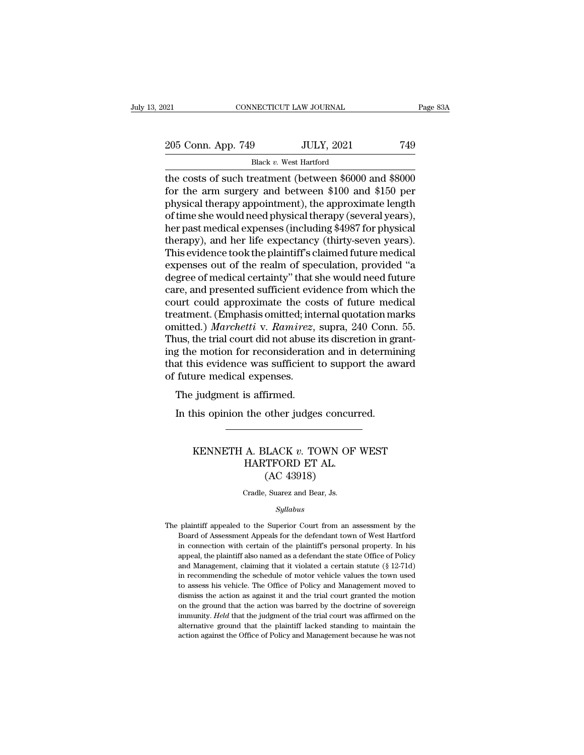| 021                | CONNECTICUT LAW JOURNAL |                                                        | Page 83A |
|--------------------|-------------------------|--------------------------------------------------------|----------|
| 205 Conn. App. 749 |                         | <b>JULY, 2021</b>                                      | 749      |
|                    | Black v. West Hartford  |                                                        |          |
|                    |                         | the costs of such treatment (between \$6000 and \$8000 |          |

The connection of the costs of such treatment (between \$6000 and \$8000<br>
the costs of such treatment (between \$6000 and \$8000<br>
for the arm surgery and between \$100 and \$150 per<br>
physical therapy appointment), the approximat For the arm surgery and between \$6000 and \$8000<br>the costs of such treatment (between \$6000 and \$8000<br>for the arm surgery and between \$100 and \$150 per<br>physical therapy appointment), the approximate length<br>of time sho would 205 Conn. App. 749 JULY, 2021 749<br>Black v. West Hartford<br>the costs of such treatment (between \$6000 and \$8000<br>for the arm surgery and between \$100 and \$150 per<br>physical therapy appointment), the approximate length<br>of time 205 Conn. App. 749 JULY, 2021 749<br>Black v. West Hartford<br>the costs of such treatment (between \$6000 and \$8000<br>for the arm surgery and between \$100 and \$150 per<br>physical therapy appointment), the approximate length<br>of time Black v. West Hartford<br>the costs of such treatment (between \$6000 and \$8000<br>for the arm surgery and between \$100 and \$150 per<br>physical therapy appointment), the approximate length<br>of time she would need physical therapy (s Black v. West Hartford<br>the costs of such treatment (between \$6000 and \$8000<br>for the arm surgery and between \$100 and \$150 per<br>physical therapy appointment), the approximate length<br>of time she would need physical therapy ( the costs of such treatment (between \$6000 and \$8000<br>for the arm surgery and between \$100 and \$150 per<br>physical therapy appointment), the approximate length<br>of time she would need physical therapy (several years),<br>her past for the arm surgery and between \$100 and \$150 per<br>physical therapy appointment), the approximate length<br>of time she would need physical therapy (several years),<br>her past medical expenses (including \$4987 for physical<br>thera physical therapy appointment), the approximate length<br>of time she would need physical therapy (several years),<br>her past medical expenses (including \$4987 for physical<br>therapy), and her life expectancy (thirty-seven years). of time she would need physical therapy (several years),<br>her past medical expenses (including \$4987 for physical<br>therapy), and her life expectancy (thirty-seven years).<br>This evidence took the plaintiff's claimed future med her past medical expenses (including \$4987 for physical<br>therapy), and her life expectancy (thirty-seven years).<br>This evidence took the plaintiff's claimed future medical<br>expenses out of the realm of speculation, provided " therapy), and her life expectancy (thirty-seven years).<br>This evidence took the plaintiff's claimed future medical<br>expenses out of the realm of speculation, provided "a<br>degree of medical certainty" that she would need futur This evidence took the plaintiff's claimed future medical<br>expenses out of the realm of speculation, provided "a<br>degree of medical certainty" that she would need future<br>care, and presented sufficient evidence from which the expenses out of the realm of speculation, provided "a<br>degree of medical certainty" that she would need future<br>care, and presented sufficient evidence from which the<br>court could approximate the costs of future medical<br>treat degree of medical certainty" that she would need future<br>care, and presented sufficient evidence from which the<br>court could approximate the costs of future medical<br>treatment. (Emphasis omitted; internal quotation marks<br>omit care, and presented sufficient evidence from which the<br>court could approximate the costs of future medical<br>treatment. (Emphasis omitted; internal quotation marks<br>omitted.) Marchetti v. Ramirez, supra, 240 Conn. 55.<br>Thus, t court could approximate the cointered treatment. (Emphasis omitted; intimedical experiment of media expenses.<br>Thus, the trial court did not abuse ing the motion for reconsideratic<br>that this evidence was sufficient of futur Frament. (Emphasis ontited, movainted, movainted.) Marchetti v. Ramirez,<br>nus, the trial court did not abuse<br>g the motion for reconsideration<br>at this evidence was sufficient<br>future medical expenses.<br>The judgment is affirmed In the trial court did not abuse its discretion in gradient properties and in determining this evidence was sufficient to support the aware future medical expenses.<br>The judgment is affirmed.<br>In this opinion the other judge

## France Material Articles<br>
France Assembly distributed:<br>
HARTFORD ET AL.<br>
THARTFORD ET AL.<br>
CAC 43018) % is affirmed.<br>
the other judges concurrently the other judges concurrent<br>
A. BLACK  $v.$  TOWN OF HARTFORD ET AL.<br>
(AC 43918) other judges concu<br>
LACK v. TOWN OF<br>
TFORD ET AL.<br>
(AC 43918)<br>
, Suarez and Bear, Js.  $\begin{minipage}{.4\linewidth} \begin{tabular}{ll} \bf KENNETH & A. BLACK $v$. & \bf TOWN OF WEST \\ \bf HARTFORD ET AL. & \bf (AC 43918) \\ \end{tabular} \\ \bf Gradle, Suarez and Bear, Js. \end{minipage}$

## *Syllabus*

(AC 43918)<br>Cradle, Suarez and Bear, Js.<br>Syllabus<br>The plaintiff appealed to the Superior Court from an assessment by the<br>Board of Assessment Appeals for the defendant town of West Hartford Cradle, Suarez and Bear, Js.<br>Syllabus<br>plaintiff appealed to the Superior Court from an assessment by the<br>Board of Assessment Appeals for the defendant town of West Hartford<br>in connection with certain of the plaintiff's per Cradle, Suarez and Bear, Js.<br>
Syllabus<br>
plaintiff appealed to the Superior Court from an assessment by the<br>
Board of Assessment Appeals for the defendant town of West Hartford<br>
in connection with certain of the plaintiff's *Syllabus*<br>
plaintiff appealed to the Superior Court from an assessment by the<br>
Board of Assessment Appeals for the defendant town of West Hartford<br>
in connection with certain of the plaintiff's personal property. In his<br> The plaintiff appealed to the Superior Court from an assessment by the Board of Assessment Appeals for the defendant town of West Hartford in connection with certain of the plaintiff's personal property. In his appeal, the plaintiff appealed to the Superior Court from an assessment by the Board of Assessment Appeals for the defendant town of West Hartford in connection with certain of the plaintiff's personal property. In his appeal, the pla Board of Assessment Appeals for the defendant town of West Hartford<br>in connection with certain of the plaintiff's personal property. In his<br>appeal, the plaintiff also named as a defendant the state Office of Policy<br>and Man in connection with certain of the plaintiff's personal property. In his appeal, the plaintiff also named as a defendant the state Office of Policy and Management, claiming that it violated a certain statute  $(\S 12-71d)$  i any appeal, the plaintiff also named as a defendant the state Office of Policy and Management, claiming that it violated a certain statute (§ 12-71d) in recommending the schedule of motor vehicle values the town used to a eppear, an eparament, claiming that it violated a certain statute (§ 12-71d) in recommending the schedule of motor vehicle values the town used to assess his vehicle. The Office of Policy and Management moved to dismiss th alternative ground that the schedule of motor vehicle values the town used<br>to assess his vehicle. The Office of Policy and Management moved to<br>dismiss the action as against it and the trial court granted the motion<br>on the to assess his vehicle. The Office of Policy and Management moved to dismiss the action as against it and the trial court granted the motion on the ground that the action was barred by the doctrine of sovereign immunity. H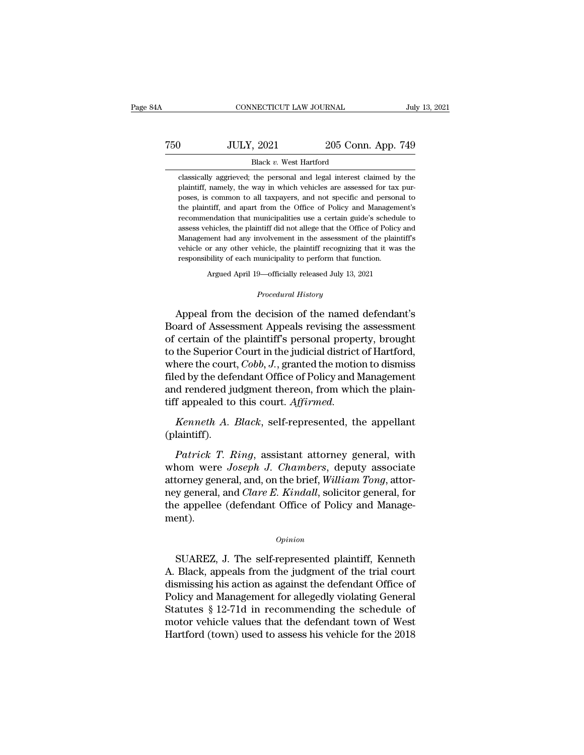## CONNECTICUT LAW JOURNAL July 13, 2021<br>
750 JULY, 2021 205 Conn. App. 749<br>
Black v. West Hartford NECTICUT LAW JOURNAL<br>
, 2021 205 Conn<br>
Black *v*. West Hartford<br>
the personal and legal interest c JULY, 2021 205 Conn. App. 749<br>Black v. West Hartford<br>classically aggrieved; the personal and legal interest claimed by the<br>plaintiff, namely, the way in which vehicles are assessed for tax pur-

JULY, 2021 205 Conn. App. 749<br>Black v. West Hartford<br>classically aggrieved; the personal and legal interest claimed by the<br>plaintiff, namely, the way in which vehicles are assessed for tax pur-<br>poses, is common to all taxp **poses, 19** JULY, 2021 205 Conn. App. 749<br>Black  $v$ . West Hartford<br>classically aggrieved; the personal and legal interest claimed by the<br>plaintiff, namely, the way in which vehicles are assessed for tax pur-<br>poses, is com Black v. West Hartford<br>classically aggrieved; the personal and legal interest claimed by the<br>plaintiff, namely, the way in which vehicles are assessed for tax pur-<br>poses, is common to all taxpayers, and not specific and pe Black v. West Hartford<br>classically aggrieved; the personal and legal interest claimed by the<br>plaintiff, namely, the way in which vehicles are assessed for tax pur-<br>poses, is common to all taxpayers, and not specific and pe classically aggrieved; the personal and legal interest claimed by the plaintiff, namely, the way in which vehicles are assessed for tax purposes, is common to all taxpayers, and not specific and personal to the plaintiff, plaintiff, namely, the way in which vehicles are assessed for tax purposes, is common to all taxpayers, and not specific and personal to the plaintiff, and apart from the Office of Policy and Management's recommendation th poses, is common to all taxpayers, and not specific and personal to the plaintiff, and apart from the Office of Policy and Management's recommendation that municipalities use a certain guide's schedule to assess vehicles, poses, is common to all taxpayers, and not specific and personal to the plaintiff, and apart from the Office of Policy and Management's recommendation that municipalities use a certain guide's schedule to assess vehicles, Argued April 19—officially released July 13, 2021<br>Argued April 19—official April 19—official and any involvement in the assessment of the plaintif<br>pr any other vehicle, the plaintiff recognizing that it was t<br>bility of eac

Argued April 19—officially released July 13, 2021<br>*Procedural History*<br>Appeal from the decision of the named defendant's Management had any involvement in the assessment of the plaintiff's<br>vehicle or any other vehicle, the plaintiff recognizing that it was the<br>responsibility of each municipality to perform that function.<br>Argued April 19—offi France or any other vehicle, the plaintiff recognizing that it was the<br>responsibility of each municipality to perform that function.<br>Argued April 19—officially released July 13, 2021<br>*Procedural History*<br>Appeal from the de Argued April 19—officially released July 13, 2021<br>
Procedural History<br>
Appeal from the decision of the named defendant's<br>
Board of Assessment Appeals revising the assessment<br>
of certain of the plaintiff's personal property Argued April 19—officially released July 13, 2021<br>
Procedural History<br>
Appeal from the decision of the named defendant's<br>
Board of Assessment Appeals revising the assessment<br>
of certain of the plaintiff's personal property *Procedural History*<br>Appeal from the decision of the named defendant's<br>Board of Assessment Appeals revising the assessment<br>of certain of the plaintiff's personal property, brought<br>to the Superior Court in the judicial dist Appeal from the decision of the named defendant's<br>Board of Assessment Appeals revising the assessment<br>of certain of the plaintiff's personal property, brought<br>to the Superior Court in the judicial district of Hartford,<br>wh Appeal from the decision of the named defendant's<br>Board of Assessment Appeals revising the assessment<br>of certain of the plaintiff's personal property, brought<br>to the Superior Court in the judicial district of Hartford,<br>whe Board of Assessment Appeals revising the<br>of certain of the plaintiff's personal prope:<br>to the Superior Court in the judicial district<br>where the court, *Cobb*, *J*., granted the motio<br>filed by the defendant Office of Policy *Kenneth Court in the judicial district of Hartford,*<br>the Superior Court in the judicial district of Hartford,<br>nere the court, *Cobb*, *J*., granted the motion to dismiss<br>ed by the defendant Office of Policy and Management <sup>2</sup> ed by the derendant Urice of Policy and Management<br>*Patrick T. Ringi* and Management<br>*Patrick A. Black*, self-represented, the appellant<br>laintiff).<br>*Patrick T. Ring*, assistant attorney general, with<br>hom were *Joseph J* 

(plaintiff).

and rendered judgment thereon, from which the plain-<br>tiff appealed to this court. Affirmed.<br>Kenneth A. Black, self-represented, the appellant<br>(plaintiff).<br>Patrick T. Ring, assistant attorney general, with<br>whom were Joseph till appealed to this court. Affirmed.<br> *Kenneth A. Black*, self-represented, the appellant<br>
(plaintiff).<br> *Patrick T. Ring*, assistant attorney general, with<br>
whom were Joseph J. Chambers, deputy associate<br>
attorney gener Kenneth A. Black, self-represented, the appellant (plaintiff).<br> *Patrick T. Ring*, assistant attorney general, with<br>
whom were *Joseph J. Chambers*, deputy associate<br>
attorney general, and, on the brief, *William Tong*, at (plaintiff).<br> *Patrick T. Ring*, assistant attorney general, with<br>
whom were *Joseph J. Chambers*, deputy associate<br>
attorney general, and, on the brief, *William Tong*, attor-<br>
ney general, and *Clare E. Kindall*, solici ment). Formey general, and, on the brief, *wutuam Tong*, attor-<br>y general, and *Clare E. Kindall*, solicitor general, for<br>e appellee (defendant Office of Policy and Manage-<br>ant).<br>*Opinion*<br>SUAREZ, J. The self-represented plaintif

## *Opinion*

They general, and Clare E. Kindall, soliction general, for<br>the appellee (defendant Office of Policy and Manage-<br>ment).<br> $\frac{opinion}{D}$ <br>SUAREZ, J. The self-represented plaintiff, Kenneth<br>A. Black, appeals from the judgment of th opinion<br>
SUAREZ, J. The self-represented plaintiff, Kenneth<br>
A. Black, appeals from the judgment of the trial court<br>
dismissing his action as against the defendant Office of<br>
Policy and Management for allegedly violating G opinion<br>
SUAREZ, J. The self-represented plaintiff, Kenneth<br>
A. Black, appeals from the judgment of the trial court<br>
dismissing his action as against the defendant Office of<br>
Policy and Management for allegedly violating G Opinion<br>
SUAREZ, J. The self-represented plaintiff, Kenneth<br>
A. Black, appeals from the judgment of the trial court<br>
dismissing his action as against the defendant Office of<br>
Policy and Management for allegedly violating G SUAREZ, J. The self-represented plaintiff, Kenneth<br>A. Black, appeals from the judgment of the trial court<br>dismissing his action as against the defendant Office of<br>Policy and Management for allegedly violating General<br>Statu SUAREZ, J. The self-represented plaintiff, Kenneth<br>A. Black, appeals from the judgment of the trial court<br>dismissing his action as against the defendant Office of<br>Policy and Management for allegedly violating General<br>Stat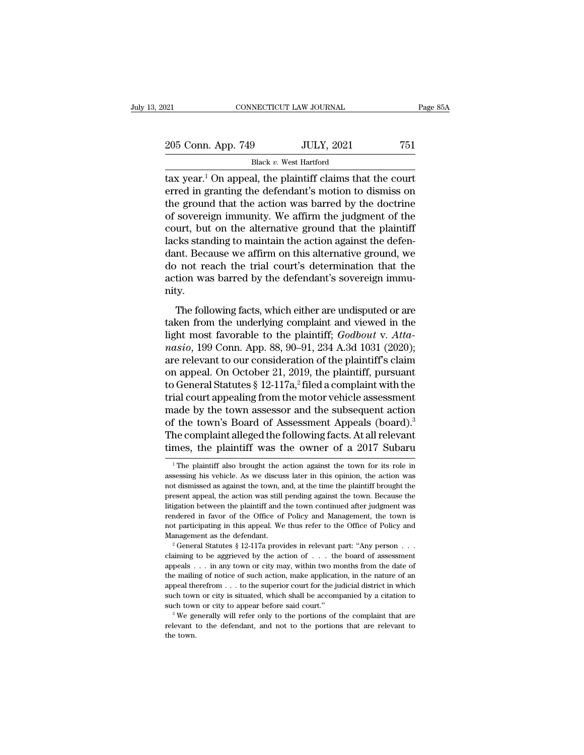| 2021                                                                                                                                                                                     | CONNECTICUT LAW JOURNAL | Page 85A |
|------------------------------------------------------------------------------------------------------------------------------------------------------------------------------------------|-------------------------|----------|
| 205 Conn. App. 749                                                                                                                                                                       | <b>JULY, 2021</b>       | 751      |
|                                                                                                                                                                                          | Black v. West Hartford  |          |
| tax year. <sup>1</sup> On appeal, the plaintiff claims that the court<br>erred in granting the defendant's motion to dismiss on<br>the ground that the action was barred by the doctrine |                         |          |

205 Conn. App. 749 JULY, 2021 751<br>Black v. West Hartford<br>dtax year.<sup>1</sup> On appeal, the plaintiff claims that the court<br>erred in granting the defendant's motion to dismiss on<br>the ground that the action was barred by the doc 205 Conn. App. 749 JULY, 2021 751<br>Black v. West Hartford<br>tax year.<sup>1</sup> On appeal, the plaintiff claims that the court<br>erred in granting the defendant's motion to dismiss on<br>the ground that the action was barred by the doct 205 Conn. App. 749 JULY, 2021 751<br>Black v. West Hartford<br>dax year.<sup>1</sup> On appeal, the plaintiff claims that the court<br>erred in granting the defendant's motion to dismiss on<br>the ground that the action was barred by the doct Black v. West Hartford<br>dtax year.<sup>1</sup> On appeal, the plaintiff claims that the court<br>erred in granting the defendant's motion to dismiss on<br>the ground that the action was barred by the doctrine<br>of sovereign immunity. We af Black v. West Hartford<br>tax year.<sup>1</sup> On appeal, the plaintiff claims that the court<br>erred in granting the defendant's motion to dismiss on<br>the ground that the action was barred by the doctrine<br>of sovereign immunity. We aff tax year.<sup>1</sup> On appeal, the plaintiff claims that the court<br>erred in granting the defendant's motion to dismiss on<br>the ground that the action was barred by the doctrine<br>of sovereign immunity. We affirm the judgment of the<br> erred in granting the defendant's motion to dismiss on<br>the ground that the action was barred by the doctrine<br>of sovereign immunity. We affirm the judgment of the<br>court, but on the alternative ground that the plaintiff<br>lack the ground that the action was barred by the doctrine<br>of sovereign immunity. We affirm the judgment of the<br>court, but on the alternative ground that the plaintiff<br>lacks standing to maintain the action against the defen-<br>da nity. The following facts, which either are undisputed in the method or are ken from the underlying facts, which either are undisputed or are ken from the underlying complaint and viewed in the habit most following facts, which taken standing to maintain the action against the deferminant dance.<br>
dant. Because we affirm on this alternative ground, we<br>
do not reach the trial court's determination that the<br>
action was barred by the defendant's sov

do not reach the trial court's determination that the action was barred by the defendant's sovereign immunity.<br>The following facts, which either are undisputed or are taken from the underlying complaint and viewed in the l action was barred by the defendant's sovereign immu-<br>
nity.<br>
The following facts, which either are undisputed or are<br>
taken from the underlying complaint and viewed in the<br>
light most favorable to the plaintiff; *Godbout* mity.<br>
The following facts, which either are undisputed or are<br>
taken from the underlying complaint and viewed in the<br>
light most favorable to the plaintiff; *Godbout v. Atta-*<br> *nasio*, 199 Conn. App. 88, 90–91, 234 A.3d The following facts, which either are undisputed or are taken from the underlying complaint and viewed in the light most favorable to the plaintiff;  $Godbout$  v. Attanasio, 199 Conn. App. 88, 90–91, 234 A.3d 1031 (2020); are The following facts, which either are undisputed or are taken from the underlying complaint and viewed in the light most favorable to the plaintiff;  $Godbout$  v. Attanasio, 199 Conn. App. 88, 90–91, 234 A.3d 1031 (2020); are taken from the underlying complaint and viewed in the<br>light most favorable to the plaintiff;  $Godbout$  v. Atta-<br>*nasio*, 199 Conn. App. 88, 90–91, 234 A.3d 1031 (2020);<br>are relevant to our consideration of the plaintiff's cla light most favorable to the plaintiff;  $Godbout$  v. Atta-<br>nasio, 199 Conn. App. 88, 90–91, 234 A.3d 1031 (2020);<br>are relevant to our consideration of the plaintiff's claim<br>on appeal. On October 21, 2019, the plaintiff, pursua *nasio*, 199 Conn. App. 88, 90–91, 234 A.3d 1031 (2020);<br>are relevant to our consideration of the plaintiff's claim<br>on appeal. On October 21, 2019, the plaintiff, pursuant<br>to General Statutes § 12-117a,<sup>2</sup> filed a complai are relevant to our consideration of the plaintiff's claim<br>on appeal. On October 21, 2019, the plaintiff, pursuant<br>to General Statutes § 12-117a,<sup>2</sup> filed a complaint with the<br>trial court appealing from the motor vehicle on appeal. On October 21, 2019, the plaintiff, pursuant<br>to General Statutes § 12-117a,<sup>2</sup> filed a complaint with the<br>trial court appealing from the motor vehicle assessment<br>made by the town assessor and the subsequent act Following the town assessor and the subsequent action<br>f the town's Board of Assessment Appeals (board).<sup>3</sup><br>he complaint alleged the following facts. At all relevant<br>mes, the plaintiff was the owner of a 2017 Subaru<br><sup>1</sup>The of the town's Board of Assessment Appeals (board).<sup>3</sup><br>The complaint alleged the following facts. At all relevant<br>times, the plaintiff was the owner of a 2017 Subaru<br> $\frac{1}{1}$ The plaintiff also brought the action against t

The complaint alleged the following facts. At all relevant times, the plaintiff was the owner of a 2017 Subaru<br> $\frac{1}{1}$ The plaintiff also brought the action against the town for its role in assessing his vehicle. As we d times, the plaintiff was the owner of a 2017 Subaru<br>
<sup>1</sup>The plaintiff also brought the action against the town for its role in<br>
assessing his vehicle. As we discuss later in this opinion, the action was<br>
not dismissed as a The plaintiff also brought the action against the town for its role in<br>
assessing his vehicle. As we discuss later in this opinion, the action was<br>
not dismissed as against the town, and, at the time the plaintiff brought <sup>1</sup> The plaintiff also brought the action against the town for its role in assessing his vehicle. As we discuss later in this opinion, the action was not dismissed as against the town, and, at the time the plaintiff broug assessing his vehicle. As we discuss later in this opinion, the action was not dismissed as against the town, and, at the time the plaintiff brought the present appeal, the action was still pending against the town. Becaus mot dismissed as against the town, and, at the time the plaintiff brought the present appeal, the action was still pending against the town. Because the litigation between the plaintiff and the town continued after judgme Fitigation between the plaintiff and the town continued after judgment was<br>rendered in favor of the Office of Policy and Management, the town is<br>not participating in this appeal. We thus refer to the Office of Policy and<br>

rendered in favor of the Office of Policy and Management, the town is<br>not participating in this appeal. We thus refer to the Office of Policy and<br>Management as the defendant.<br><sup>2</sup> General Statutes § 12-117a provides in rel The mailing of notice of such action, make application, in the nature of such an appeal. We thus refer to the Office of Policy and Management as the defendant.<br>
<sup>2</sup> General Statutes § 12-117a provides in relevant part: "A Management as the defendant.<br>
<sup>2</sup> General Statutes § 12-117a provides in relevant part: "Any person . . .<br>
claiming to be aggrieved by the action of . . . the board of assessment<br>
appeals . . . in any town or city may, wi such that is situated, which shall be accompanied by the set of change of containing to be aggrieved by the action of . . . the board of assessment appeals . . . in any town or city may, within two months from the date of claiming to be aggrieved by the action of  $\ldots$  the board of assessment appeals  $\ldots$  in any town or city may, within two months from the date of the mailing of notice of such action, make application, in the nature of an relevant to the defendant, and not to the portions that are relevant to the defendant, and not defend the portions of the companied by a citation to such town or city to appear before said court."<br>
<sup>3</sup> We generally will r the mailing of notice of such action, make application, in the nature of an appeal therefrom . . . to the superior court for the judicial district in which such town or city is situated, which shall be accompanied by a ci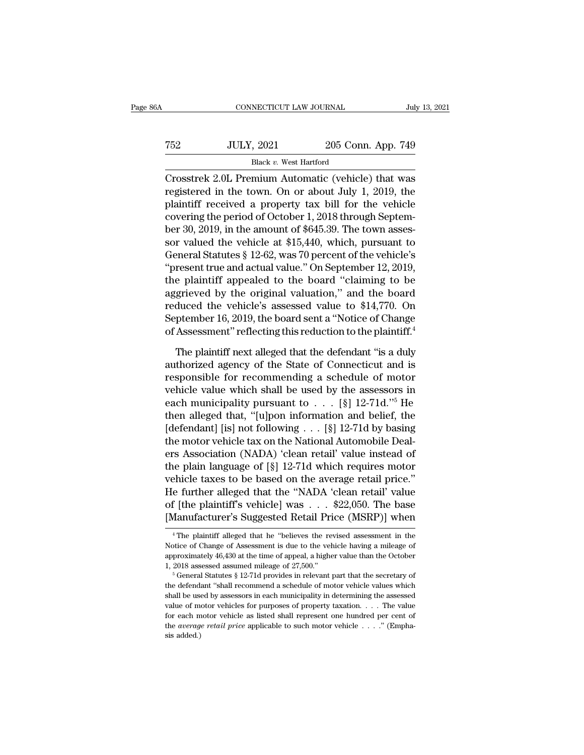| 86A | CONNECTICUT LAW JOURNAL                             |                    | July 13, 2021 |
|-----|-----------------------------------------------------|--------------------|---------------|
| 752 | <b>JULY, 2021</b>                                   | 205 Conn. App. 749 |               |
|     | Black v. West Hartford                              |                    |               |
|     | Crosstrek 2.0L Premium Automatic (vehicle) that was |                    |               |

CONNECTICUT LAW JOURNAL July 13, 2021<br>
T52 JULY, 2021 205 Conn. App. 749<br>
Black v. West Hartford<br>
Crosstrek 2.0L Premium Automatic (vehicle) that was<br>
registered in the town. On or about July 1, 2019, the T52 JULY, 2021 205 Conn. App. 749<br>Black v. West Hartford<br>Crosstrek 2.0L Premium Automatic (vehicle) that was<br>registered in the town. On or about July 1, 2019, the<br>plaintiff received a property tax bill for the vehicle<br>cove Plack v. West Hartford<br>
Black v. West Hartford<br>
Crosstrek 2.0L Premium Automatic (vehicle) that was<br>
registered in the town. On or about July 1, 2019, the<br>
plaintiff received a property tax bill for the vehicle<br>
covering T52 JULY, 2021 205 Conn. App. 749<br>Black v. West Hartford<br>Crosstrek 2.0L Premium Automatic (vehicle) that was<br>registered in the town. On or about July 1, 2019, the<br>plaintiff received a property tax bill for the vehicle<br>cov Black v. West Hartford<br>Crosstrek 2.0L Premium Automatic (vehicle) that was<br>registered in the town. On or about July 1, 2019, the<br>plaintiff received a property tax bill for the vehicle<br>covering the period of October 1, 201 Example 12. ULLET CONSIDER SERVING CREATED STATES are plaintiff received a property tax bill for the vehicle covering the period of October 1, 2018 through September 30, 2019, in the amount of \$645.39. The town assessor v Crosstrek 2.0L Premium Automatic (vehicle) that was<br>registered in the town. On or about July 1, 2019, the<br>plaintiff received a property tax bill for the vehicle<br>covering the period of October 1, 2018 through Septem-<br>ber 30 registered in the town. On or about July 1, 2019, the<br>plaintiff received a property tax bill for the vehicle<br>covering the period of October 1, 2018 through Septem-<br>ber 30, 2019, in the amount of \$645.39. The town asses-<br>so plaintiff received a property tax bill for the vehicle<br>covering the period of October 1, 2018 through Septem-<br>ber 30, 2019, in the amount of \$645.39. The town asses-<br>sor valued the vehicle at \$15,440, which, pursuant to<br>Ge covering the period of October 1, 2018 through Septem-<br>ber 30, 2019, in the amount of \$645.39. The town assessor<br>valued the vehicle at \$15,440, which, pursuant to<br>General Statutes § 12-62, was 70 percent of the vehicle's<br>" ber 30, 2019, in the amount of \$645.39. The town assessor valued the vehicle at \$15,440, which, pursuant to General Statutes § 12-62, was 70 percent of the vehicle's "present true and actual value." On September 12, 2019, sor valued the vehicle at \$15,440, which, pursuant to<br>General Statutes § 12-62, was 70 percent of the vehicle's<br>"present true and actual value." On September 12, 2019,<br>the plaintiff appealed to the board "claiming to be<br>a General Statutes § 12-62, was 70 percent of the vehicle's<br>
"present true and actual value." On September 12, 2019,<br>
the plaintiff appealed to the board "claiming to be<br>
aggrieved by the original valuation," and the board<br> e plaintiff appealed to the board "claiming to be grieved by the original valuation," and the board<br>duced the vehicle's assessed value to \$14,770. On<br>ptember 16, 2019, the board sent a "Notice of Change<br>Assessment" reflect aggrieved by the original valuation," and the board<br>reduced the vehicle's assessed value to \$14,770. On<br>September 16, 2019, the board sent a "Notice of Change<br>of Assessment" reflecting this reduction to the plaintiff.<sup>4</sup><br>T

reduced the vehicle's assessed value to \$14,770. On<br>September 16, 2019, the board sent a "Notice of Change<br>of Assessment" reflecting this reduction to the plaintiff.<sup>4</sup><br>The plaintiff next alleged that the defendant "is a September 16, 2019, the board sent a "Notice of Change<br>of Assessment" reflecting this reduction to the plaintiff.<sup>4</sup><br>The plaintiff next alleged that the defendant "is a duly<br>authorized agency of the State of Connecticut a of Assessment" reflecting this reduction to the plaintiff.<sup>4</sup><br>The plaintiff next alleged that the defendant "is a duly<br>authorized agency of the State of Connecticut and is<br>responsible for recommending a schedule of motor<br> The plaintiff next alleged that the defendant "is a duly<br>authorized agency of the State of Connecticut and is<br>responsible for recommending a schedule of motor<br>vehicle value which shall be used by the assessors in<br>each mun The plaintiff next alleged that the defendant "is a duly<br>authorized agency of the State of Connecticut and is<br>responsible for recommending a schedule of motor<br>vehicle value which shall be used by the assessors in<br>each mun authorized agency of the State of Connecticut and is<br>responsible for recommending a schedule of motor<br>vehicle value which shall be used by the assessors in<br>each municipality pursuant to  $\dots$  [§] 12-71d."<sup>5</sup> He<br>then allege responsible for recommending a schedule of motor<br>vehicle value which shall be used by the assessors in<br>each municipality pursuant to  $\dots$  [§] 12-71d."<sup>5</sup> He<br>then alleged that, "[u]pon information and belief, the<br>[defendan vehicle value which shall be used by the assessors in<br>each municipality pursuant to . . . [§] 12-71d."<sup>5</sup> He<br>then alleged that, "[u]pon information and belief, the<br>[defendant] [is] not following . . . [§] 12-71d by basing each municipality pursuant to  $\ldots$  [§] 12-71d."<sup>5</sup> He<br>then alleged that, "[u]pon information and belief, the<br>[defendant] [is] not following  $\ldots$  [§] 12-71d by basing<br>the motor vehicle tax on the National Automobile Deal then alleged that, "[u]pon information and belief, the<br>[defendant] [is] not following . . . [§] 12-71d by basing<br>the motor vehicle tax on the National Automobile Deal-<br>ers Association (NADA) 'clean retail' value instead o [defendant] [is] not following . . . [§] 12-71d by basing<br>the motor vehicle tax on the National Automobile Deal-<br>ers Association (NADA) 'clean retail' value instead of<br>the plain language of [§] 12-71d which requires motor<br> the motor vehicle tax on the National Automobile Deal-<br>ers Association (NADA) 'clean retail' value instead of<br>the plain language of [§] 12-71d which requires motor<br>vehicle taxes to be based on the average retail price."<br>He vehicle taxes to be based on the average retail price."<br>He further alleged that the "NADA 'clean retail' value<br>of [the plaintiff's vehicle] was  $\dots$  \$22,050. The base<br>[Manufacturer's Suggested Retail Price (MSRP)] when<br> $\$ He further alleged that the "NADA 'clean retail' value<br>of [the plaintiff's vehicle] was . . . \$22,050. The base<br>[Manufacturer's Suggested Retail Price (MSRP)] when<br><sup>4</sup>The plaintiff alleged that he "believes the revised ass

of [the plaintiff's vehicle] was  $\ldots$  \$22,050. The base<br>[Manufacturer's Suggested Retail Price (MSRP)] when<br> $\overline{\phantom{a}}$  <sup>4</sup>The plaintiff alleged that he "believes the revised assessment in the<br>Notice of Change of Assessm [Manufacturer's Suggested Retail Price (MSRP)] when<br>  $\overline{ }$ <sup>4</sup> The plaintiff alleged that he "believes the revised assessment in the<br>
Notice of Change of Assessment is due to the vehicle having a mileage of<br>
approximatel <sup>4</sup> The plaintiff alleged that he "believes the revised assessment in the Notice of Change of Assessment is due to the vehicle having a mileage of approximately 46,430 at the time of appeal, a higher value than the Octobe

Notice of Change of Assessment is due to the vehicle having a mileage of approximately 46,430 at the time of appeal, a higher value than the October 1, 2018 assessed assumed mileage of 27,500."<br>
<sup>5</sup> General Statutes § 12rapproximately 46,430 at the time of appeal, a higher value than the October 1, 2018 assessed assumed mileage of 27,500."<br>
<sup>5</sup> General Statutes § 12-71d provides in relevant part that the secretary of the defendant "shall For each motor vehicle as listed shall represent one hundred per cent of the defendant "shall recommend a schedule of motor vehicle values which shall be used by assessors in each municipality in determining the assessed <sup>5</sup> General Statutes § 12-71d provides in relevant part that the secretary of the defendant "shall recommend a schedule of motor vehicle values which shall be used by assessors in each municipality in determining the asse the defends<br>shall be use<br>value of m<br>for each m<br>the *averag*<br>sis added.)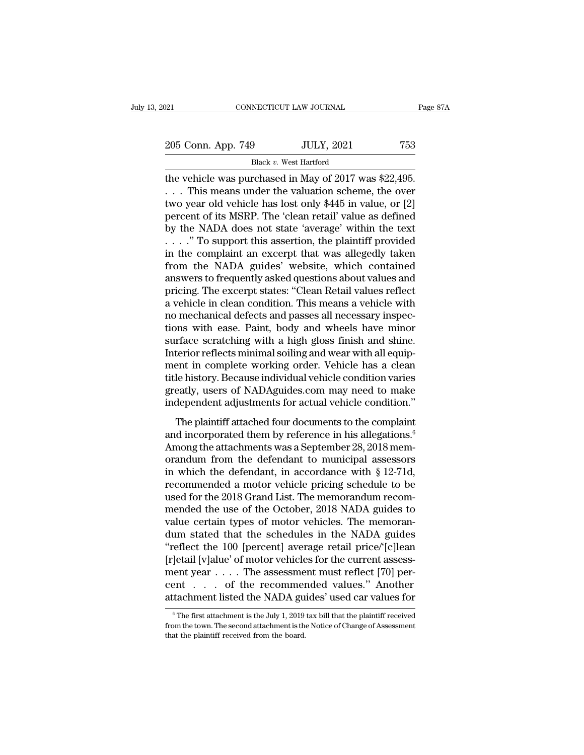205 Conn. App. 749 JULY, 2021 753<br>Black v. West Hartford

NECTICUT LAW JOURNAL<br>9<br>Black *v.* West Hartford<br>rchased in May of 2017 w. Fage 8<br>
205 Conn. App. 749 JULY, 2021 753<br>
Black v. West Hartford<br>
the vehicle was purchased in May of 2017 was \$22,495.<br>
... This means under the valuation scheme, the over<br>
two your old vehicle has lost only \$445 in val 205 Conn. App. 749 JULY, 2021 753<br>Black v. West Hartford<br>the vehicle was purchased in May of 2017 was \$22,495.<br>... This means under the valuation scheme, the over<br>two year old vehicle has lost only \$445 in value, or [2]<br>po 205 Conn. App. 749 JULY, 2021 753<br>Black v. West Hartford<br>the vehicle was purchased in May of 2017 was \$22,495.<br> $\ldots$  This means under the valuation scheme, the over<br>two year old vehicle has lost only \$445 in value, or [2] 205 Conn. App. 749 JULY, 2021 753<br>Black v. West Hartford<br>the vehicle was purchased in May of 2017 was \$22,495.<br> $\ldots$  This means under the valuation scheme, the over<br>two year old vehicle has lost only \$445 in value, or [2] Black v. West Hartford<br>the vehicle was purchased in May of 2017 was \$22,495.<br> $\ldots$  This means under the valuation scheme, the over<br>two year old vehicle has lost only \$445 in value, or [2]<br>percent of its MSRP. The 'clean r Black v. West Hartford<br>the vehicle was purchased in May of 2017 was \$22,495.<br>... This means under the valuation scheme, the over<br>two year old vehicle has lost only \$445 in value, or [2]<br>percent of its MSRP. The 'clean ret the vehicle was purchased in May of 2017 was \$22,495.<br>  $\dots$  This means under the valuation scheme, the over<br>
two year old vehicle has lost only \$445 in value, or [2]<br>
percent of its MSRP. The 'clean retail' value as defin . . . This means under the valuation scheme, the over<br>two year old vehicle has lost only \$445 in value, or [2]<br>percent of its MSRP. The 'clean retail' value as defined<br>by the NADA does not state 'average' within the text<br>. two year old vehicle has lost only \$445 in value, or [2]<br>percent of its MSRP. The 'clean retail' value as defined<br>by the NADA does not state 'average' within the text<br> $\ldots$ ." To support this assertion, the plaintiff provid percent of its MSRP. The 'clean retail' value as defined<br>by the NADA does not state 'average' within the text<br>...." To support this assertion, the plaintiff provided<br>in the complaint an excerpt that was allegedly taken<br>fro by the NADA does not state 'average' within the text<br>
. . . . " To support this assertion, the plaintiff provided<br>
in the complaint an excerpt that was allegedly taken<br>
from the NADA guides' website, which contained<br>
answe no mechanical defects and passes all necessary inspecin the complaint an excerpt that was allegedly taken<br>from the NADA guides' website, which contained<br>answers to frequently asked questions about values and<br>pricing. The excerpt states: "Clean Retail values reflect<br>a vehicle from the NADA guides' website, which contained<br>answers to frequently asked questions about values and<br>pricing. The excerpt states: "Clean Retail values reflect<br>a vehicle in clean condition. This means a vehicle with<br>no mec answers to frequently asked questions about values and<br>pricing. The excerpt states: "Clean Retail values reflect<br>a vehicle in clean condition. This means a vehicle with<br>no mechanical defects and passes all necessary inspec pricing. The excerpt states: "Clean Retail values reflect<br>a vehicle in clean condition. This means a vehicle with<br>no mechanical defects and passes all necessary inspec-<br>tions with ease. Paint, body and wheels have minor<br>su a vehicle in clean condition. This means a vehicle with<br>no mechanical defects and passes all necessary inspec-<br>tions with ease. Paint, body and wheels have minor<br>surface scratching with a high gloss finish and shine.<br>Inter no mechanical defects and passes all necessary inspections with ease. Paint, body and wheels have minor surface scratching with a high gloss finish and shine.<br>Interior reflects minimal soiling and wear with all equipment i tions with ease. Paint, body and wheels have minor<br>surface scratching with a high gloss finish and shine.<br>Interior reflects minimal soiling and wear with all equip-<br>ment in complete working order. Vehicle has a clean<br>title Trace scructurity with a right gloss mish and since.<br>terior reflects minimal soiling and wear with all equip-<br>ent in complete working order. Vehicle has a clean<br>le history. Because individual vehicle condition varies<br>eatly ment in complete working order. Vehicle has a clean<br>title history. Because individual vehicle condition varies<br>greatly, users of NADAguides.com may need to make<br>independent adjustments for actual vehicle condition."<br>The pl

Among the attachments was a September 28, 2018 mem-<br>differently, users of NADAguides.com may need to make<br>independent adjustments for actual vehicle condition."<br>The plaintiff attached four documents to the complaint<br>and i greatly, users of NADAguides.com may need to make<br>independent adjustments for actual vehicle condition."<br>The plaintiff attached four documents to the complaint<br>and incorporated them by reference in his allegations.<sup>6</sup><br>Amo independent adjustments for actual vehicle condition."<br>The plaintiff attached four documents to the complaint<br>and incorporated them by reference in his allegations.<sup>6</sup><br>Among the attachments was a September 28, 2018 mem-<br>o The plaintiff attached four documents to the complaint<br>and incorporated them by reference in his allegations.<sup>6</sup><br>Among the attachments was a September 28, 2018 mem-<br>orandum from the defendant to municipal assessors<br>in whi The plaintiff attached four documents to the complaint<br>and incorporated them by reference in his allegations.<sup>6</sup><br>Among the attachments was a September 28, 2018 memorandum from the defendant to municipal assessors<br>in which and incorporated them by reference in his allegations.<sup>6</sup><br>Among the attachments was a September 28, 2018 mem-<br>orandum from the defendant to municipal assessors<br>in which the defendant, in accordance with § 12-71d,<br>recommend Among the attachments was a September 28, 2018 memorandum from the defendant to municipal assessors<br>in which the defendant, in accordance with § 12-71d,<br>recommended a motor vehicle pricing schedule to be<br>used for the 2018 orandum from the defendant to municipal assessors<br>in which the defendant, in accordance with § 12-71d,<br>recommended a motor vehicle pricing schedule to be<br>used for the 2018 Grand List. The memorandum recom-<br>mended the use o in which the defendant, in accordance with  $\S$  12-71d,<br>recommended a motor vehicle pricing schedule to be<br>used for the 2018 Grand List. The memorandum recom-<br>mended the use of the October, 2018 NADA guides to<br>value certai recommended a motor vehicle pricing schedule to be<br>used for the 2018 Grand List. The memorandum recom-<br>mended the use of the October, 2018 NADA guides to<br>value certain types of motor vehicles. The memoran-<br>dum stated that used for the 2018 Grand List. The memorandum recom-<br>mended the use of the October, 2018 NADA guides to<br>value certain types of motor vehicles. The memoran-<br>dum stated that the schedules in the NADA guides<br>"reflect the 100 mended the use of the October, 2018 NADA guides to<br>value certain types of motor vehicles. The memoran-<br>dum stated that the schedules in the NADA guides<br>"reflect the 100 [percent] average retail price/'[c]lean<br>[r]etail [v]a value certain types of motor vehicles. The memorandum stated that the schedules in the NADA guides<br>''reflect the 100 [percent] average retail price/'[c]lean<br>[r]etail [v]alue' of motor vehicles for the current assessment y [etail [v]alue' of motor venicles for the current assessment year . . . . The assessment must reflect [70] per-<br>ent . . . . of the recommended values." Another<br>tachment listed the NADA guides' used car values for<br> $\frac{6}{10$ ment year . . . . The assessment must reflect [70] percent . . . . of the recommended values." Another attachment listed the NADA guides' used car values for  $\frac{1}{\pi}$  The first attachment is the July 1, 2019 tax bill th

cent . . . . of the recomment attachment listed the NADA guestion from the town. The second attachment is the board.<br>that the plaintiff received from the board.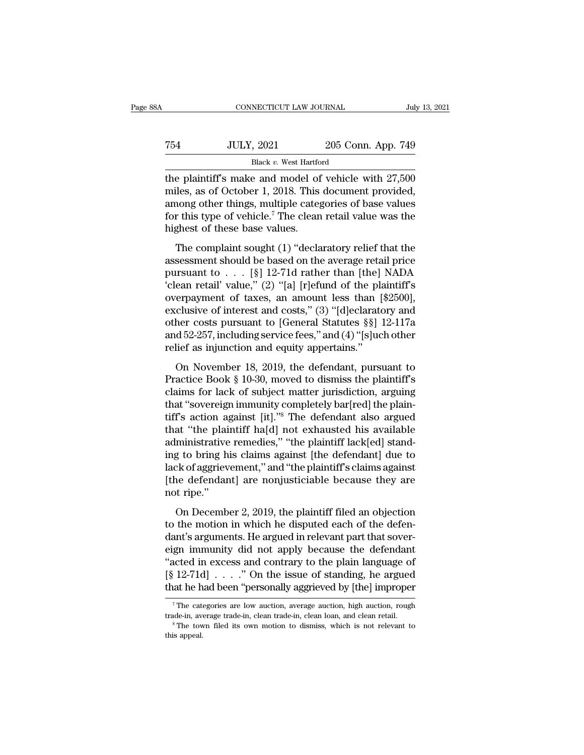| ŝΑ  | CONNECTICUT LAW JOURNAL                               |                    | July 13, 2021 |
|-----|-------------------------------------------------------|--------------------|---------------|
| 754 | <b>JULY, 2021</b>                                     | 205 Conn. App. 749 |               |
|     | Black v. West Hartford                                |                    |               |
|     | the plaintiff's make and model of vehicle with 27.500 |                    |               |

CONNECTICUT LAW JOURNAL July 13, 2021<br>
T54 JULY, 2021 205 Conn. App. 749<br>
Black v. West Hartford<br>
the plaintiff's make and model of vehicle with 27,500<br>
miles, as of October 1, 2018. This document provided, T54 JULY, 2021 205 Conn. App. 749<br>Black v. West Hartford<br>the plaintiff's make and model of vehicle with 27,500<br>miles, as of October 1, 2018. This document provided,<br>among other things, multiple categories of base values<br>f T54 JULY, 2021 205 Conn. App. 749<br>Black v. West Hartford<br>the plaintiff's make and model of vehicle with 27,500<br>miles, as of October 1, 2018. This document provided,<br>among other things, multiple categories of base values<br>f For the plaintiff's make and model of vehicle with  $27,500$  miles, as of October 1, 2018. This document provided, among other things, multiple categories of base values for this type of vehicle.<sup>7</sup> The clean retail value Black v. West Hartford Black v. West Hartford Black v. West Hartford Department of miles, as of October 1, 2018. This among other things, multiple categer for this type of vehicle.<sup>7</sup> The clean highest of these base values e plaintiff's make and model of vehicle with 27,500<br>iles, as of October 1, 2018. This document provided,<br>nong other things, multiple categories of base values<br>r this type of vehicle.<sup>7</sup> The clean retail value was the<br>ghest are plantars make and model of ventere what 21,500<br>miles, as of October 1, 2018. This document provided,<br>among other things, multiple categories of base values<br>for this type of vehicle.<sup>7</sup> The clean retail value was the<br>h

mates, as at electron 1, 2010. This decalited provided,<br>among other things, multiple categories of base values<br>for this type of vehicle.<sup>7</sup> The clean retail value was the<br>highest of these base values.<br>The complaint sought for this type of vehicle.<sup>7</sup> The clean retail value was the highest of these base values.<br>The complaint sought (1) "declaratory relief that the assessment should be based on the average retail price pursuant to . . . [§] be the complaint sought (1) "declaratory relief that the<br>assessment should be based on the average retail price<br>pursuant to  $\dots$  [§] 12-71d rather than [the] NADA<br>"clean retail" value," (2) "[a] [r]efund of the plaintiff' The complaint sought (1) "declaratory relief that the<br>assessment should be based on the average retail price<br>pursuant to . . . [§] 12-71d rather than [the] NADA<br>'clean retail' value," (2) "[a] [r]efund of the plaintiff's<br> The complaint sought (1) "declaratory relief that the<br>assessment should be based on the average retail price<br>pursuant to . . . [§] 12-71d rather than [the] NADA<br>'clean retail' value," (2) "[a] [r]efund of the plaintiff's<br> assessment should be based on the average retail price<br>pursuant to . . . [§] 12-71d rather than [the] NADA<br>'clean retail' value," (2) "[a] [r]efund of the plaintiff's<br>overpayment of taxes, an amount less than [\$2500],<br>excl pursuant to . . . [§] 12-71d rather than [the]<br>
'clean retail' value," (2) "[a] [r]efund of the pla<br>
overpayment of taxes, an amount less than [<br>
exclusive of interest and costs," (3) "[d]eclarate<br>
other costs pursuant to erpayment of taxes, an amount less than [\$2500],<br>clusive of interest and costs," (3) "[d]eclaratory and<br>her costs pursuant to [General Statutes §§] 12-117a<br>d 52-257, including service fees," and (4) "[s]uch other<br>lief as exclusive of interest and costs," (3) "[d]eclaratory and<br>other costs pursuant to [General Statutes §§] 12-117a<br>and 52-257, including service fees," and (4) "[s]uch other<br>relief as injunction and equity appertains."<br>On Nov

other costs pursuant to [General Statutes §§] 12-117a<br>other costs pursuant to [General Statutes §§] 12-117a<br>and 52-257, including service fees," and (4) "[s]uch other<br>relief as injunction and equity appertains."<br>On Novemb and 52-257, including service fees," and (4) "[s]uch other<br>relief as injunction and equity appertains."<br>On November 18, 2019, the defendant, pursuant to<br>Practice Book § 10-30, moved to dismiss the plaintiff's<br>claims for l The defendant pursuant to<br>
the defendant, pursuant to<br>
Practice Book § 10-30, moved to dismiss the plaintiff's<br>
claims for lack of subject matter jurisdiction, arguing<br>
that "sovereign immunity completely bar[red] the pla on November 18, 2019, the defendant, pursuant to<br>Practice Book § 10-30, moved to dismiss the plaintiff's<br>claims for lack of subject matter jurisdiction, arguing<br>that "sovereign immunity completely bar[red] the plain-<br>tiff On November 18, 2019, the defendant, pursuant to<br>Practice Book § 10-30, moved to dismiss the plaintiff's<br>claims for lack of subject matter jurisdiction, arguing<br>that "sovereign immunity completely bar[red] the plain-<br>tiff Practice Book § 10-30, moved to dismiss the plaintiff's<br>claims for lack of subject matter jurisdiction, arguing<br>that "sovereign immunity completely bar[red] the plain-<br>tiff's action against [it]."<sup>8</sup> The defendant also arg claims for lack of subject matter jurisdiction, arguing<br>that "sovereign immunity completely bar[red] the plain-<br>tiff's action against [it]."<sup>8</sup> The defendant also argued<br>that "the plaintiff ha[d] not exhausted his availabl that "sovereign immunity completely bar[red] the plaintiff's action against [it]."<sup>8</sup> The defendant also argued that "the plaintiff ha[d] not exhausted his available administrative remedies," "the plaintiff lack[ed] standi tiff's action a<sub>i</sub><br>that "the plai<br>administrative<br>ing to bring h<br>lack of aggriev<br>(the defendar<br>not ripe."<br>On Decemb ministrative remedies," "the plaintiff lack[ed] stand-<br>g to bring his claims against [the defendant] due to<br>ck of aggrievement," and "the plaintiff's claims against<br>ne defendant] are nonjusticiable because they are<br>t ripe. the motion in which he disputed act of the defendant<br>ting to bring his claims against [the defendant] due to<br>lack of aggrievement," and "the plaintiff's claims against<br>[the defendant] are nonjusticiable because they are<br>no

dack of aggrievement," and "the plaintiff's claims against<br>
[the defendant] are nonjusticiable because they are<br>
not ripe."<br>
On December 2, 2019, the plaintiff filed an objection<br>
to the motion in which he disputed each of Figure 2. 2019, the plaintiff filed an objection<br>to the motion in which he disputed each of the defendant's arguments. He argued in relevant part that sover-<br>eign immunity did not apply because the defendant<br>"acted in exc The distribution of the plaintiff filed an objection<br>
to the motion in which he disputed each of the defen-<br>
dant's arguments. He argued in relevant part that sover-<br>
eign immunity did not apply because the defendant<br>
"ac Isot Treet<br>
(On December 2, 2019, the plaintiff filed an objection<br>
to the motion in which he disputed each of the defen-<br>
dant's arguments. He argued in relevant part that sover-<br>
eign immunity did not apply because the d On December 2, 2019, the plaintiff filed an objection<br>to the motion in which he disputed each of the defen-<br>dant's arguments. He argued in relevant part that sover-<br>eign immunity did not apply because the defendant<br>"acted gn immunity did not apply because the detendant<br>acted in excess and contrary to the plain language of<br> $[12-71d] \ldots$  " On the issue of standing, he argued<br>at he had been "personally aggrieved by [the] improper<br> $\frac{7}{7}$  Th "acted in excess and contrary to the plain language of  $[\S 12-71d] \ldots$ " On the issue of standing, he argued that he had been "personally aggrieved by [the] improper  $\tau$ The categories are low auction, average auction, hig

that he had been "personally aggrieved by [the] improper<br>
The categories are low auction, average auction, high auction, rough<br>
trade-in, average trade-in, clean trade-in, clean loan, and clean retail.<br>
The town filed its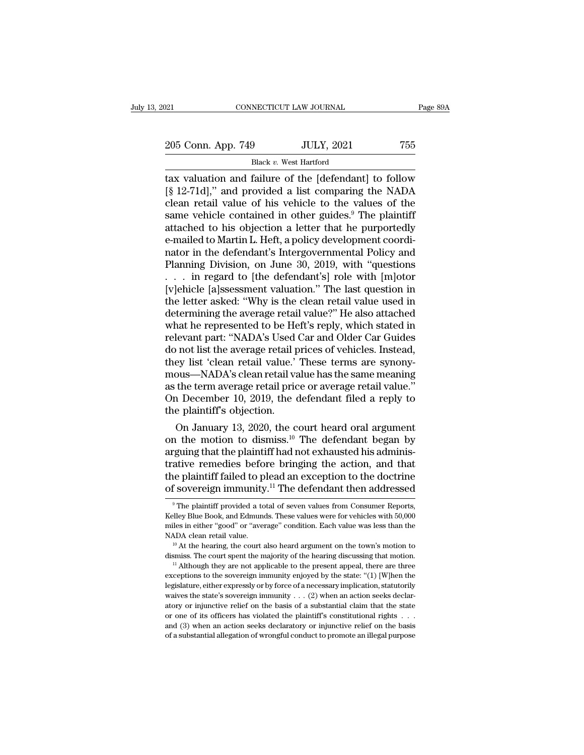# 205 Conn. App. 749 JULY, 2021 755<br>Black v. West Hartford NECTICUT LAW JOURNAL<br>9<br>Black *v.* West Hartford<br>failure of the [defendant]

The CONNECTICUT LAW JOURNAL Page 89A<br>
205 Conn. App. 749 JULY, 2021 755<br>
Black v. West Hartford<br>
tax valuation and failure of the [defendant] to follow<br>
[§ 12-71d]," and provided a list comparing the NADA<br>
cloan rotail val 205 Conn. App. 749 JULY, 2021 755<br>Black v. West Hartford<br>dtax valuation and failure of the [defendant] to follow<br>[§ 12-71d]," and provided a list comparing the NADA<br>clean retail value of his vehicle to the values of the<br>s 205 Conn. App. 749 JULY, 2021 755<br>Black v. West Hartford<br>tax valuation and failure of the [defendant] to follow<br>[§ 12-71d]," and provided a list comparing the NADA<br>clean retail value of his vehicle to the values of the<br>sa 205 Conn. App. 749 JULY, 2021 755<br>Black v. West Hartford<br>dax valuation and failure of the [defendant] to follow<br>[§ 12-71d]," and provided a list comparing the NADA<br>clean retail value of his vehicle to the values of the<br>sa Black v. West Hartford<br>
Elack v. West Hartford<br>
[§ 12-71d]," and provided a list comparing the NADA<br>
clean retail value of his vehicle to the values of the<br>
same vehicle contained in other guides.<sup>9</sup> The plaintiff<br>
attach Black v. West Hartford<br>tax valuation and failure of the [defendant] to follow<br>[§ 12-71d]," and provided a list comparing the NADA<br>clean retail value of his vehicle to the values of the<br>same vehicle contained in other guid tax valuation and failure of the [defendant] to follow<br>[§ 12-71d]," and provided a list comparing the NADA<br>clean retail value of his vehicle to the values of the<br>same vehicle contained in other guides.<sup>9</sup> The plaintiff<br>att [§ 12-71d]," and provided a list comparing the NADA<br>clean retail value of his vehicle to the values of the<br>same vehicle contained in other guides.<sup>9</sup> The plaintiff<br>attached to his objection a letter that he purportedly<br>e-m clean retail value of his vehicle to the values of the<br>same vehicle contained in other guides.<sup>9</sup> The plaintiff<br>attached to his objection a letter that he purportedly<br>e-mailed to Martin L. Heft, a policy development coordi same vehicle contained in other guides.<sup>9</sup> The plaintiff<br>attached to his objection a letter that he purportedly<br>e-mailed to Martin L. Heft, a policy development coordi-<br>nator in the defendant's Intergovernmental Policy and attached to his objection a letter that he purportedly<br>e-mailed to Martin L. Heft, a policy development coordi-<br>nator in the defendant's Intergovernmental Policy and<br>Planning Division, on June 30, 2019, with "questions<br>... e-mailed to Martin L. Heft, a policy development coordinator in the defendant's Intergovernmental Policy and<br>Planning Division, on June 30, 2019, with "questions<br>... in regard to [the defendant's] role with [m]otor<br>[v]ehic nator in the defendant's Intergovernmental Policy and<br>Planning Division, on June 30, 2019, with "questions<br>... in regard to [the defendant's] role with [m]otor<br>[v]ehicle [a]ssessment valuation." The last question in<br>the le Planning Division, on June 30, 2019, with "questions<br>
. . . in regard to [the defendant's] role with [m]otor<br>
[v]ehicle [a]ssessment valuation." The last question in<br>
the letter asked: "Why is the clean retail value used i . . . in regard to [the defendant's] role with [m]otor [v]ehicle [a]ssessment valuation." The last question in the letter asked: "Why is the clean retail value used in determining the average retail value?" He also attache [v]ehicle [a]ssessment valuation." The last question in the letter asked: "Why is the clean retail value used in determining the average retail value?" He also attached what he represented to be Heft's reply, which stated the letter asked: "Why is the clean retail value used in<br>determining the average retail value?" He also attached<br>what he represented to be Heft's reply, which stated in<br>relevant part: "NADA's Used Car and Older Car Guides<br> determining the average retail value?" He also attached<br>what he represented to be Heft's reply, which stated in<br>relevant part: "NADA's Used Car and Older Car Guides<br>do not list the average retail prices of vehicles. Instea what he represented to be Heft's reply, which stated in<br>relevant part: "NADA's Used Car and Older Car Guides<br>do not list the average retail prices of vehicles. Instead,<br>they list 'clean retail value.' These terms are synon relevant part: "NADA's Used do not list the average retail p<br>they list 'clean retail value.'<br>mous—NADA's clean retail value.'<br>as the term average retail pric<br>On December 10, 2019, the c<br>the plaintiff's objection.<br>On Januar on the average retail prices of venicles. Instead,<br>ey list 'clean retail value.' These terms are synony-<br>ous—NADA's clean retail value has the same meaning<br>the term average retail price or average retail value."<br>1 Decembe they list 'clean retail value.' These terms are synony-<br>mous—NADA's clean retail value has the same meaning<br>as the term average retail price or average retail value."<br>On December 10, 2019, the defendant filed a reply to<br>th

mous—NADA's clean retail value has the same meaning<br>as the term average retail price or average retail value."<br>On December 10, 2019, the defendant filed a reply to<br>the plaintiff's objection.<br>On January 13, 2020, the court as the term average retail price or average retail value."<br>On December 10, 2019, the defendant filed a reply to<br>the plaintiff's objection.<br>On January 13, 2020, the court heard oral argument<br>on the motion to dismiss.<sup>10</sup> T On December 10, 2019, the detendant filed a reply to<br>the plaintiff's objection.<br>On January 13, 2020, the court heard oral argument<br>on the motion to dismiss.<sup>10</sup> The defendant began by<br>arguing that the plaintiff had not ex the plantiff's objection.<br>
On January 13, 2020, the court heard oral argument<br>
on the motion to dismiss.<sup>10</sup> The defendant began by<br>
arguing that the plaintiff had not exhausted his adminis-<br>
trative remedies before bring reguing that the plaintiff had not exhausted his administative remedies before bringing the action, and that the plaintiff failed to plead an exception to the doctrine f sovereign immunity.<sup>11</sup> The defendant then addressed trative remedies before bringing the action, and that<br>the plaintiff failed to plead an exception to the doctrine<br>of sovereign immunity.<sup>11</sup> The defendant then addressed<br><sup>9</sup>The plaintiff provided a total of seven values fr

the plaintiff failed to plead an exception to the doctrine<br>of sovereign immunity.<sup>11</sup> The defendant then addressed<br><sup>9</sup>The plaintiff provided a total of seven values from Consumer Reports,<br>Kelley Blue Book, and Edmunds. The of sovereign immunity.<sup>11</sup> The defendant then addressed  $\overline{\phantom{a}}$  The plaintiff provided a total of seven values from Consumer Reports, Kelley Blue Book, and Edmunds. These values were for vehicles with 50,000 miles in <sup>9</sup> The plaintiff provided a total of seven values from Consumer Reports, Kelley Blue Book, and Edmunds. These values were for vehicles with 50,000 miles in either "good" or "average" condition. Each value was less than t

miles in either "good" or "average" condition. Each value was less than the NADA clean retail value.<br>
<sup>10</sup> At the hearing, the court also heard argument on the town's motion to dismiss. The court spent the majority of the MADA clean retail value.<br>
<sup>10</sup> At the hearing, the court also heard argument on the town's motion to dismiss. The court spent the majority of the hearing discussing that motion.<br>
<sup>11</sup> Although they are not applicable to t dismiss. The court spent the majority of the hearing discussing that motion. <br><sup>11</sup> Although they are not applicable to the present appeal, there are three exceptions to the sovereign immunity enjoyed by the state: "(1) [W dismiss. The court spent the majority of the hearing discussing that motion.<br>
<sup>11</sup> Although they are not applicable to the present appeal, there are three exceptions to the sovereign immunity enjoyed by the state: "(1) [W If Although they are not applicable to the present appeal, there are three exceptions to the sovereign immunity enjoyed by the state: "(1) [W]hen the legislature, either expressly or by force of a necessary implication, s exceptions to the sovereign immunity enjoyed by the state: "(1) [W]hen the legislature, either expressly or by force of a necessary implication, statutorily waives the state's sovereign immunity . . . (2) when an action s legislature, either expressly or by force of a necessary implication, statutorily waives the state's sovereign immunity  $\ldots$  (2) when an action seeks declaratory or injunctive relief on the basis of a substantial claim t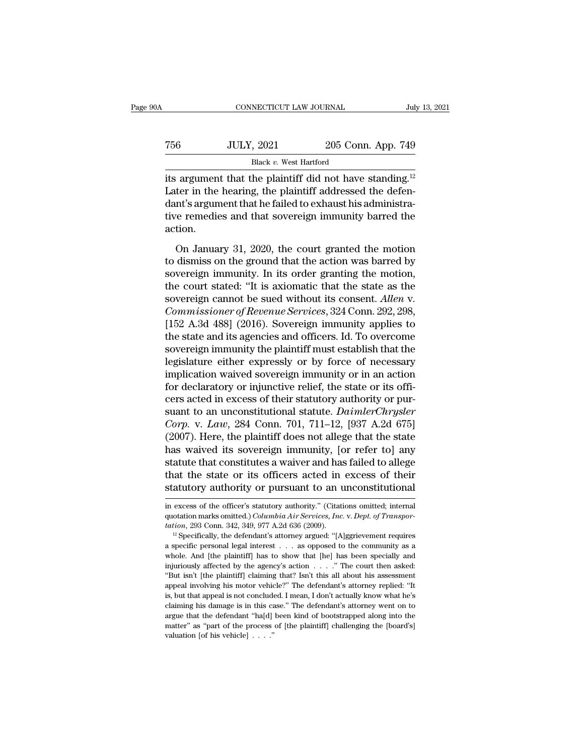| 0A  | CONNECTICUT LAW JOURNAL                                              |                    | July 13, 2021 |
|-----|----------------------------------------------------------------------|--------------------|---------------|
| 756 | <b>JULY, 2021</b>                                                    | 205 Conn. App. 749 |               |
|     | Black v. West Hartford                                               |                    |               |
|     | its argument that the plaintiff did not have standing. <sup>12</sup> |                    |               |

CONNECTICUT LAW JOURNAL July 13, 202<br>
TO JULY, 2021 205 Conn. App. 749<br>
Black v. West Hartford<br>
its argument that the plaintiff did not have standing.<sup>12</sup><br>
Later in the hearing, the plaintiff addressed the defen-Tater in the hearing, the plaintiff and not have standing.<sup>12</sup><br>
Later in the hearing, the plaintiff did not have standing.<sup>12</sup><br>
Later in the hearing, the plaintiff addressed the defen-<br>
dant's argument that he failed to e  $\begin{array}{ll} \text{756} & \text{JULY, } 2021 & \text{205 Conn. App. 749} \\ & \text{Black } v. \text{ West Hartford} \\ \text{its argument that the plaintiff did not have standing.} \\ \text{Later in the hearing, the plaintiff addressed the defendant's argument that he failed to exhaust his administrative remedies and that sovereign immunity barred the action.} \end{array}$ T56 JULY, 2021 205 Conn. App. 749<br>Black v. West Hartford<br>its argument that the plaintiff did not have standing.<sup>12</sup><br>Later in the hearing, the plaintiff addressed the defen-<br>dant's argument that he failed to exhaust his ad action. Following argument that the plaintiff did not have standing.<sup>12</sup><br>ter in the hearing, the plaintiff addressed the defen-<br>nt's argument that he failed to exhaust his administra-<br>re remedies and that sovereign immunity barre Later in the hearing, the plaintiff addressed the defendant's argument that he failed to exhaust his administrative remedies and that sovereign immunity barred the action.<br>On January 31, 2020, the court granted the motion

sate in the hearing, the praining data sissed the deremodent's argument that he failed to exhaust his administrative remedies and that sovereign immunity barred the action,<br>On January 31, 2020, the court granted the motio tive remedies and that sovereign immunity barred the<br>action.<br>On January 31, 2020, the court granted the motion<br>to dismiss on the ground that the action was barred by<br>sovereign immunity. In its order granting the motion,<br>t source remeates and and severely manually samed the<br>action.<br>On January 31, 2020, the court granted the motion<br>to dismiss on the ground that the action was barred by<br>sovereign immunity. In its order granting the motion,<br>the On January 31, 2020, the court granted the motion<br>to dismiss on the ground that the action was barred by<br>sovereign immunity. In its order granting the motion,<br>the court stated: "It is axiomatic that the state as the<br>sovere On January 31, 2020, the court granted the motion<br>to dismiss on the ground that the action was barred by<br>sovereign immunity. In its order granting the motion,<br>the court stated: "It is axiomatic that the state as the<br>sovere to dismiss on the ground that the action was barred by<br>sovereign immunity. In its order granting the motion,<br>the court stated: "It is axiomatic that the state as the<br>sovereign cannot be sued without its consent. Allen v.<br>C sovereign immunity. In its order granting the motion,<br>the court stated: "It is axiomatic that the state as the<br>sovereign cannot be sued without its consent. Allen v.<br>Commissioner of Revenue Services, 324 Conn. 292, 298,<br>[1 the court stated: "It is axiomatic that the state as the sovereign cannot be sued without its consent. Allen v.<br>Commissioner of Revenue Services, 324 Conn. 292, 298, [152 A.3d 488] (2016). Sovereign immunity applies to<br>the sovereign cannot be sued without its consent. Allen v.<br>Commissioner of Revenue Services, 324 Conn. 292, 298,<br>[152 A.3d 488] (2016). Sovereign immunity applies to<br>the state and its agencies and officers. Id. To overcome<br>sov Commissioner of Revenue Services, 324 Conn. 292, 298, [152 A.3d 488] (2016). Sovereign immunity applies to the state and its agencies and officers. Id. To overcome sovereign immunity the plaintiff must establish that the l [152 A.3d 488] (2016). Sovereign immunity applies to<br>the state and its agencies and officers. Id. To overcome<br>sovereign immunity the plaintiff must establish that the<br>legislature either expressly or by force of necessary<br> the state and its agencies and officers. Id. To overcome<br>sovereign immunity the plaintiff must establish that the<br>legislature either expressly or by force of necessary<br>implication waived sovereign immunity or in an action<br> sovereign immunity the plaintiff must establish that the<br>legislature either expressly or by force of necessary<br>implication waived sovereign immunity or in an action<br>for declaratory or injunctive relief, the state or its of legislature either expressly or by force of necessary<br>implication waived sovereign immunity or in an action<br>for declaratory or injunctive relief, the state or its offi-<br>cers acted in excess of their statutory authority or implication waived sovereign immunity or in an action<br>for declaratory or injunctive relief, the state or its offi-<br>cers acted in excess of their statutory authority or pur-<br>suant to an unconstitutional statute. DaimlerChry for declaratory or injunctive relief, the state or its officers acted in excess of their statutory authority or pursuant to an unconstitutional statute. *DaimlerChrysler Corp.* v. *Law*, 284 Conn. 701, 711–12, [937 A.2d cers acted in excess of their statutory authority or pursuant to an unconstitutional statute. *DaimlerChrysler* Corp. v. Law, 284 Conn. 701, 711–12, [937 A.2d 675] (2007). Here, the plaintiff does not allege that the state suant to an unconstitutional statute. *DaimlerChrysler*<br>Corp. v. Law, 284 Conn. 701, 711–12, [937 A.2d 675]<br>(2007). Here, the plaintiff does not allege that the state<br>has waived its sovereign immunity, [or refer to] any<br>st has waived its sovereign immunity, [or refer to] any statute that constitutes a waiver and has failed to allege that the state or its officers acted in excess of their statutory authority or pursuant to an unconstitutiona

that the state or its officers acted in excess of their<br>statutory authority or pursuant to an unconstitutional<br>in excess of the officer's statutory authority." (Citations omitted; internal<br>quotation marks omitted.) *Columb* **that the state or its officers acted in excess of their statutory authority or pursuant to an unconstitutional in excess of the officer's statutory authority." (Citations omitted; internal quotation marks omitted.)** *Colum* 

Exactivity authority of pursuant to an unconstructionar<br>in excess of the officer's statutory authority." (Citations omitted; internal<br>quotation marks omitted.) *Columbia Air Services, Inc.* v. *Dept. of Transpor-*<br>tation, in excess of the officer's statutory authority." (Citations omitted; internal quotation marks omitted.) *Columbia Air Services, Inc. v. Dept. of Transportation*, 293 Conn. 342, 349, 977 A.2d 636 (2009).<br><sup>12</sup> Specifically, quotation marks omitted.) *Columbia Air Services, Inc.* v. *Dept. of Transportation*, 293 Conn. 342, 349, 977 A.2d 636 (2009).<br><sup>12</sup> Specifically, the defendant's attorney argued: "[A]ggrievement requires a specific person tation, 293 Conn. 342, 349, 977 A.2d 636 (2009).<br>
<sup>12</sup> Specifically, the defendant's attorney argued: "[A]ggrievement requires a specific personal legal interest . . . as opposed to the community as a whole. And [the plai <sup>12</sup> Specifically, the defendant's attorney argued: "[A]ggrievement requires a specific personal legal interest . . . as opposed to the community as a whole. And [the plaintiff] has to show that [he] has been specially an a specific personal legal interest  $\ldots$  as opposed to the community as a whole. And [the plaintiff] has to show that [he] has been specially and injuriously affected by the agency's action  $\ldots$ . " The court then asked: whole. And [the plaintiff] has to show that [he] has been specially and injuriously affected by the agency's action  $\ldots$ ." The court then asked: "But isn't [the plaintiff] claiming that? Isn't this all about his assessme injuriously affected by the agency's action  $\ldots$ ." The court then asked:<br>"But isn't [the plaintiff] claiming that? Isn't this all about his assessment<br>appeal involving his motor vehicle?" The defendant's attorney replied in<br>juriously affected by the agency's action . . . . " The court then asked: "But isn't [the plaintiff] claiming that? Isn't this all about his assessment appeal involving his motor vehicle?" The defendant's attorney repl appeal involving his motor vehicle?" The defendant's attorney replied: "It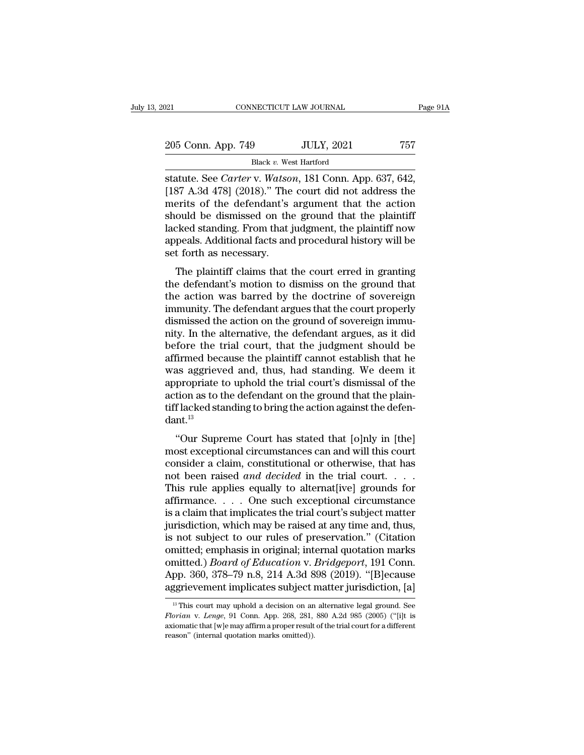| 021                                              | CONNECTICUT LAW JOURNAL |                   | Page 91A |
|--------------------------------------------------|-------------------------|-------------------|----------|
| 205 Conn. App. 749                               |                         | <b>JULY, 2021</b> | 757      |
|                                                  | Black v. West Hartford  |                   |          |
| statute See Carter y Watson 181 Conn App 637 642 |                         |                   |          |

Statute. See *Carter* v. *Watson*, 181 Conn. App. 537, 642, [187 A.3d 478] (2018)." The court did not address the morits of the defendant's argument that the action 205 Conn. App. 749 JULY, 2021 757<br>Black v. West Hartford<br>statute. See *Carter* v. *Watson*, 181 Conn. App. 637, 642,<br>[187 A.3d 478] (2018)." The court did not address the<br>merits of the defendant's argument that the action 205 Conn. App. 749 JULY, 2021 757<br>Black v. West Hartford<br>statute. See *Carter* v. *Watson*, 181 Conn. App. 637, 642,<br>[187 A.3d 478] (2018)." The court did not address the<br>merits of the defendant's argument that the action 205 Conn. App. 749 JULY, 2021 757<br>Black v. West Hartford<br>statute. See *Carter* v. *Watson*, 181 Conn. App. 637, 642,<br>[187 A.3d 478] (2018)." The court did not address the<br>merits of the defendant's argument that the action Black v. West Hartford<br>
statute. See *Carter* v. *Watson*, 181 Conn. App. 637, 642,<br>
[187 A.3d 478] (2018)." The court did not address the<br>
merits of the defendant's argument that the action<br>
should be dismissed on the gr Black v. West Hartford<br>statute. See *Carter* v. *Watson*, 181 Conn. App. 637, 642,<br>[187 A.3d 478] (2018)." The court did not address the<br>merits of the defendant's argument that the action<br>should be dismissed on the ground statute. See *Carter* v. *Watso*<br>[187 A.3d 478] (2018)." The<br>merits of the defendant's<br>should be dismissed on the<br>lacked standing. From that j<br>appeals. Additional facts and<br>set forth as necessary.<br>The plaintiff claims that Friesd 410] (2010). The court dut not address the<br>erits of the defendant's argument that the action<br>ould be dismissed on the ground that the plaintiff<br>ricked standing. From that judgment, the plaintiff now<br>peals. Additiona should be dismissed on the ground that the action<br>should be dismissed on the ground that the plaintiff<br>lacked standing. From that judgment, the plaintiff now<br>appeals. Additional facts and procedural history will be<br>set for

should be dishlissed on the ground that the plaintiff<br>lacked standing. From that judgment, the plaintiff now<br>appeals. Additional facts and procedural history will be<br>set forth as necessary.<br>The plaintiff claims that the co impleads. Additional facts and procedural history will be<br>set forth as necessary.<br>The plaintiff claims that the court erred in granting<br>the defendant's motion to dismiss on the ground that<br>the action was barred by the doct dismissed the action of sovereign immu-<br>interest forth as necessary.<br>The plaintiff claims that the court erred in granting<br>the defendant's motion to dismiss on the ground that<br>the action was barred by the doctrine of sover set form as ficcessary.<br>The plaintiff claims that the court erred in granting<br>the defendant's motion to dismiss on the ground that<br>the action was barred by the doctrine of sovereign<br>immunity. The defendant argues that the The plaintiff claims that the court erred in granting<br>the defendant's motion to dismiss on the ground that<br>the action was barred by the doctrine of sovereign<br>immunity. The defendant argues that the court properly<br>dismissed the defendant's motion to dismiss on the ground that<br>the action was barred by the doctrine of sovereign<br>immunity. The defendant argues that the court properly<br>dismissed the action on the ground of sovereign immu-<br>nity. In the action was barred by the doctrine of sovereign<br>immunity. The defendant argues that the court properly<br>dismissed the action on the ground of sovereign immu-<br>nity. In the alternative, the defendant argues, as it did<br>befo immunity. The defendant argues that the court properly<br>dismissed the action on the ground of sovereign immu-<br>nity. In the alternative, the defendant argues, as it did<br>before the trial court, that the judgment should be<br>aff dismissed the action on the ground of sovereign immu-<br>nity. In the alternative, the defendant argues, as it did<br>before the trial court, that the judgment should be<br>affirmed because the plaintiff cannot establish that he<br>wa nity. In the alternative, the defendant argues, as it did<br>before the trial court, that the judgment should be<br>affirmed because the plaintiff cannot establish that he<br>was aggrieved and, thus, had standing. We deem it<br>approp dant.<sup>13</sup> In the because the plant of calibral transformation as a gaspieved and, thus, had standing. We deem it propriate to uphold the trial court's dismissal of the tion as to the defendant on the ground that the plain-<br>flacked s was aggreved and, thus, had standing. We decid it appropriate to uphold the trial court's dismissal of the action as to the defendant on the ground that the plaintiff lacked standing to bring the action against the defenda

appropriate to uphold the trial court's distinssal of the<br>action as to the defendant on the ground that the plain-<br>tiff lacked standing to bring the action against the defen-<br>dant.<sup>13</sup><br>"Our Supreme Court has stated that [ action as to the defendant on the ground that the paint-<br>tiff lacked standing to bring the action against the defen-<br>dant.<sup>13</sup><br>"Our Supreme Court has stated that [0]nly in [the]<br>most exceptional circumstances can and will The factor standing to bring the action against the defendant.<sup>13</sup><br>
"Our Supreme Court has stated that [o]nly in [the]<br>
most exceptional circumstances can and will this court<br>
consider a claim, constitutional or otherwise "Our Supreme Court has stated that [o]nly in [the]<br>most exceptional circumstances can and will this court<br>consider a claim, constitutional or otherwise, that has<br>not been raised *and decided* in the trial court....<br>This r "Our Supreme Court has stated that [o]nly in [the]<br>most exceptional circumstances can and will this court<br>consider a claim, constitutional or otherwise, that has<br>not been raised *and decided* in the trial court....<br>This r most exceptional circumstances can and will this court<br>consider a claim, constitutional or otherwise, that has<br>not been raised *and decided* in the trial court. . . . .<br>This rule applies equally to alternat[ive] grounds f consider a claim, constitutional or otherwise, that has<br>not been raised *and decided* in the trial court. . . . .<br>This rule applies equally to alternat[ive] grounds for<br>affirmance. . . . One such exceptional circumstance<br> not been raised *and decided* in the trial court. . . . . This rule applies equally to alternat[ive] grounds for affirmance. . . . One such exceptional circumstance is a claim that implicates the trial court's subject mat This rule applies equally to alternat[ive] grounds for affirmance. . . . One such exceptional circumstance is a claim that implicates the trial court's subject matter jurisdiction, which may be raised at any time and, thus affirmance. . . . One such exceptional circumstance<br>is a claim that implicates the trial court's subject matter<br>jurisdiction, which may be raised at any time and, thus,<br>is not subject to our rules of preservation." (Citati is a claim that implicates the trial court's subject matter<br>jurisdiction, which may be raised at any time and, thus,<br>is not subject to our rules of preservation." (Citation<br>omitted; emphasis in original; internal quotatio mitted; emphasis in original; internal quotation marks<br>mitted.) *Board of Education* v. *Bridgeport*, 191 Conn.<br>pp. 360, 378–79 n.8, 214 A.3d 898 (2019). "[B]ecause<br>ggrievement implicates subject matter jurisdiction, [a]<br><sup></sup> omitted.) *Board of Education* v. *Bridgeport*, 191 Conn.<br>App. 360, 378–79 n.8, 214 A.3d 898 (2019). "[B]ecause<br>aggrievement implicates subject matter jurisdiction, [a]<br><sup>13</sup> This court may uphold a decision on an alternati

App. 360, 378–79 n.8, 214 A.3d 898 (2019). "[B]ecause aggrievement implicates subject matter jurisdiction, [a]  $\frac{18}{10}$  This court may uphold a decision on an alternative legal ground. See *Florian v. Lenge*, 91 Conn. aggrievement implicates subject is<br>
<sup>13</sup> This court may uphold a decision on an *Florian* v. *Lenge*, 91 Conn. App. 268, 281, axiomatic that [w]e may affirm a proper result reason" (internal quotation marks omitted)).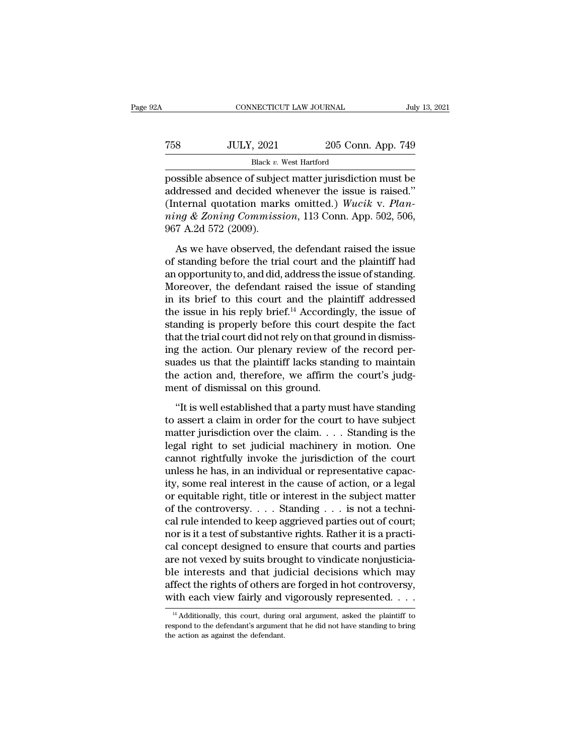|                   |                    | July 13, 2021                                                                                                |
|-------------------|--------------------|--------------------------------------------------------------------------------------------------------------|
| <b>JULY, 2021</b> | 205 Conn. App. 749 |                                                                                                              |
|                   |                    |                                                                                                              |
|                   |                    | CONNECTICUT LAW JOURNAL<br>Black v. West Hartford<br>nossible absence of subject matter jurisdiction must be |

FREE CONNECTICUT LAW JOURNAL July 13, 2021<br>
Possible absence of subject matter jurisdiction must be<br>
addressed and decided whenever the issue is raised."<br>
(Internal quotation marks emitted.) Wasik v. Plane T58 JULY, 2021 205 Conn. App. 749<br>Black v. West Hartford<br>possible absence of subject matter jurisdiction must be<br>addressed and decided whenever the issue is raised.''<br>(Internal quotation marks omitted.) Wucik v. Plan-(IVEX) 758 JULY, 2021 205 Conn. App. 749<br>
Black v. West Hartford<br>
possible absence of subject matter jurisdiction must be<br>
addressed and decided whenever the issue is raised."<br>
(Internal quotation marks omitted.) *Wucik v. ning Black v. West Hartford*<br> *ning Black v. West Hartford*<br> *nossible absence of subject matter jurisdiction must be*<br> *addressed and decided whenever the issue is raised."*<br> *(Internal quotation marks omitted.) Wucik v.* Black v.<br>
possible absence of subjet<br>
addressed and decided w<br>
(Internal quotation mark<br>
ming & Zoning Commiss<br>
967 A.2d 572 (2009).<br>
As we have observed, tl ssible absence of subject matter jurisdiction must be<br>dressed and decided whenever the issue is raised."<br>nternal quotation marks omitted.) Wucik v. Plan-<br> $ng \& Zoning\ Commission, 113 \;Conn.$  App. 502, 506,<br>7 A.2d 572 (2009).<br>As we have ob addressed and decided whenever the issue is raised."<br>(Internal quotation marks omitted.) Wucik v. Plan-<br>ning & Zoning Commission, 113 Conn. App. 502, 506,<br>967 A.2d 572 (2009).<br>As we have observed, the defendant raised the

(Internal quotation marks omitted.) Wucik v. Planning & Zoning Commission, 113 Conn. App. 502, 506, 967 A.2d 572 (2009).<br>As we have observed, the defendant raised the issue of standing before the trial court and the plain ming & Zoning Commission, 113 Conn. App. 502, 506,<br>967 A.2d 572 (2009).<br>As we have observed, the defendant raised the issue<br>of standing before the trial court and the plaintiff had<br>an opportunity to, and did, address the  $967$  A.2d 572 (2009).<br>As we have observed, the defendant raised the issue<br>of standing before the trial court and the plaintiff had<br>an opportunity to, and did, address the issue of standing.<br>Moreover, the defendant raised As we have observed, the defendant raised the issue<br>of standing before the trial court and the plaintiff had<br>an opportunity to, and did, address the issue of standing.<br>Moreover, the defendant raised the issue of standing<br> As we have observed, the defendant raised the issue<br>of standing before the trial court and the plaintiff had<br>an opportunity to, and did, address the issue of standing.<br>Moreover, the defendant raised the issue of standing<br> of standing before the trial court and the plaintiff had<br>an opportunity to, and did, address the issue of standing.<br>Moreover, the defendant raised the issue of standing<br>in its brief to this court and the plaintiff addresse an opportunity to, and did, address the issue of standing.<br>Moreover, the defendant raised the issue of standing<br>in its brief to this court and the plaintiff addressed<br>the issue in his reply brief.<sup>14</sup> Accordingly, the issu Moreover, the defendant raised the issue of standing<br>in its brief to this court and the plaintiff addressed<br>the issue in his reply brief.<sup>14</sup> Accordingly, the issue of<br>standing is properly before this court despite the fac in its brief to this court and the plaintiff addressed<br>the issue in his reply brief.<sup>14</sup> Accordingly, the issue of<br>standing is properly before this court despite the fact<br>that the trial court did not rely on that ground in the issue in his reply brief.<sup>14</sup> According<br>standing is properly before this court of<br>that the trial court did not rely on that ground.<br>ing the action. Our plenary review of<br>suades us that the plaintiff lacks stand<br>the act at the trial court did not rely on that ground in dismiss-<br>g the action. Our plenary review of the record per-<br>ades us that the plaintiff lacks standing to maintain<br>e action and, therefore, we affirm the court's judg-<br>ent ing the action. Our plenary review of the record per-<br>suades us that the plaintiff lacks standing to maintain<br>the action and, therefore, we affirm the court's judg-<br>ment of dismissal on this ground.<br>"It is well established

suades us that the plaintiff lacks standing to maintain<br>the action and, therefore, we affirm the court's judg-<br>ment of dismissal on this ground.<br>"It is well established that a party must have standing<br>to assert a claim in the action and, therefore, we affirm the court's judg-<br>ment of dismissal on this ground.<br>"It is well established that a party must have standing<br>to assert a claim in order for the court to have subject<br>matter jurisdiction ment of dismissal on this ground.<br>
"It is well established that a party must have standing<br>
to assert a claim in order for the court to have subject<br>
matter jurisdiction over the claim.... Standing is the<br>
legal right to "It is well established that a party must have standing<br>to assert a claim in order for the court to have subject<br>matter jurisdiction over the claim.... Standing is the<br>legal right to set judicial machinery in motion. One<br> "It is well established that a party must have standing<br>to assert a claim in order for the court to have subject<br>matter jurisdiction over the claim.... Standing is the<br>legal right to set judicial machinery in motion. One<br> to assert a claim in order for the court to have subject<br>matter jurisdiction over the claim. . . . Standing is the<br>legal right to set judicial machinery in motion. One<br>cannot rightfully invoke the jurisdiction of the cour matter jurisdiction over the claim.... Standing is the legal right to set judicial machinery in motion. One cannot rightfully invoke the jurisdiction of the court unless he has, in an individual or representative capacity legal right to set judicial machinery in motion. One<br>cannot rightfully invoke the jurisdiction of the court<br>unless he has, in an individual or representative capac-<br>ity, some real interest in the cause of action, or a lega cannot rightfully invoke the jurisdiction of the court<br>unless he has, in an individual or representative capac-<br>ity, some real interest in the cause of action, or a legal<br>or equitable right, title or interest in the subje unless he has, in an individual or representative capacity, some real interest in the cause of action, or a legal<br>or equitable right, title or interest in the subject matter<br>of the controversy. . . . Standing . . . is not ity, some real interest in the cause of action, or a legal<br>or equitable right, title or interest in the subject matter<br>of the controversy. . . . Standing . . . is not a techni-<br>cal rule intended to keep aggrieved parties or equitable right, title or interest in the subject matter<br>of the controversy. . . . Standing . . . is not a techni-<br>cal rule intended to keep aggrieved parties out of court;<br>nor is it a test of substantive rights. Rather of the controversy. . . . Standing . . . is not a technical rule intended to keep aggrieved parties out of court;<br>nor is it a test of substantive rights. Rather it is a practical concept designed to ensure that courts and cal rule intended to keep aggrieved parties out of court;<br>nor is it a test of substantive rights. Rather it is a practi-<br>cal concept designed to ensure that courts and parties<br>are not vexed by suits brought to vindicate n The interests and that judicial decisions which may<br>
iffect the rights of others are forged in hot controversy,<br>
ith each view fairly and vigorously represented.  $\dots$ <br>
<sup>14</sup> Additionally, this court, during oral argument, ble interests and that judicial decisions which may<br>affect the rights of others are forged in hot controversy,<br>with each view fairly and vigorously represented. . . .<br> $\frac{14 \text{ Additionally, this court, during oral argument, asked the plaintiff to}$ <br>respond to the defendant's ar

affect the rights of others a<br>with each view fairly and<br> $\frac{14}{4}$  Additionally, this court, during<br>respond to the defendant's argumen<br>the action as against the defendant.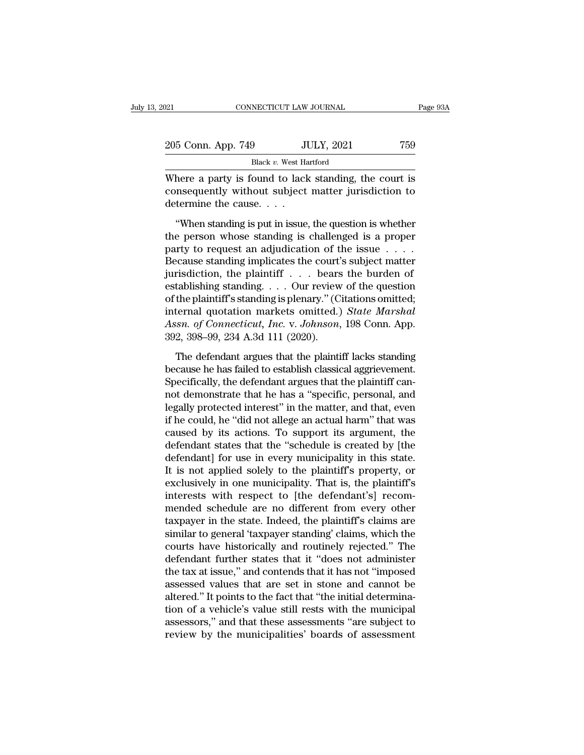| 021                 | CONNECTICUT LAW JOURNAL                                                                                      | Page 93A |
|---------------------|--------------------------------------------------------------------------------------------------------------|----------|
| 205 Conn. App. 749  | <b>JULY, 2021</b>                                                                                            | 759      |
|                     | Black v. West Hartford                                                                                       |          |
| dotormine the couse | Where a party is found to lack standing, the court is<br>consequently without subject matter jurisdiction to |          |

205 Conn. App. 749 JULY, 2021 759<br>Black v. West Hartford<br>Where a party is found to lack standing, the court is<br>consequently without subject matter jurisdiction to<br>determine the cause....  $\frac{205 \text{ Conn. App. 749}}{\text{Black } v. \text{ West Ha}}$ <br>Where a party is found to lack<br>consequently without subject<br>determine the cause. . . .<br>"When standing is put in issue.  $\frac{100 \text{ N}}{100 \text{ N}}$ <br>
Black v. West Hartford<br>
here a party is found to lack standing, the court is<br>
insequently without subject matter jurisdiction to<br>
termine the cause....<br>
"When standing is put in issue, the question

Black v. West Hartford<br>Where a party is found to lack standing, the court is<br>consequently without subject matter jurisdiction to<br>determine the cause. . . .<br>"When standing is put in issue, the question is whether<br>the perso Where a party is found to lack standing, the court is<br>consequently without subject matter jurisdiction to<br>determine the cause. . . .<br>"When standing is put in issue, the question is whether<br>the person whose standing is cha because the cause standing in the court standing is to consequently without subject matter jurisdiction to<br>determine the cause....<br>"When standing is put in issue, the question is whether<br>the person whose standing is chall determine the cause. . . .<br>
"When standing is put in issue, the question is whether<br>
the person whose standing is challenged is a proper<br>
party to request an adjudication of the issue . . . .<br>
Because standing implicates "When standing is put in issue, the question is whether<br>the person whose standing is challenged is a proper<br>party to request an adjudication of the issue  $\dots$ .<br>Because standing implicates the court's subject matter<br>jurisd "When standing is put in issue, the question is whether<br>the person whose standing is challenged is a proper<br>party to request an adjudication of the issue  $\dots$ <br>Because standing implicates the court's subject matter<br>jurisdi the person whose standing is challenged is a proper<br>party to request an adjudication of the issue . . . .<br>Because standing implicates the court's subject matter<br>jurisdiction, the plaintiff . . . bears the burden of<br>establ party to request an adjudication of the issue . . . . . Because standing implicates the court's subject matter jurisdiction, the plaintiff . . . bears the burden of establishing standing . . . . Our review of the question Because standing implicates the court'<br>jurisdiction, the plaintiff . . . bears<br>establishing standing . . . Our review<br>of the plaintiff's standing is plenary." (C<br>internal quotation markets omitted.)<br>Assn. of Connecticut, I tablishing standing. . . . Our review of the question<br>the plaintiff's standing is plenary." (Citations omitted;<br>ternal quotation markets omitted.) *State Marshal*<br>isn. of *Connecticut*, *Inc.* v. *Johnson*, 198 Conn. App. of the plaintiff's standing is plenary." (Citations omitted;<br>internal quotation markets omitted.) *State Marshal*<br>Assn. of Connecticut, Inc. v. Johnson, 198 Conn. App.<br>392, 398–99, 234 A.3d 111 (2020).<br>The defendant argues

internal quotation markets omitted.) State Marshal<br>Assn. of Connecticut, Inc. v. Johnson, 198 Conn. App.<br>392, 398–99, 234 A.3d 111 (2020).<br>The defendant argues that the plaintiff lacks standing<br>because he has failed to est Assn. of Connecticut, Inc. v. Johnson, 198 Conn. App.<br>392, 398–99, 234 A.3d 111 (2020).<br>The defendant argues that the plaintiff lacks standing<br>because he has failed to establish classical aggrievement.<br>Specifically, the de 392, 398–99, 234 A.3d 111 (2020).<br>
The defendant argues that the plaintiff lacks standing<br>
because he has failed to establish classical aggrievement.<br>
Specifically, the defendant argues that the plaintiff can-<br>
not demons The defendant argues that the plaintiff lacks standing<br>because he has failed to establish classical aggrievement.<br>Specifically, the defendant argues that the plaintiff can-<br>not demonstrate that he has a "specific, personal The defendant argues that the plaintiff lacks standing<br>because he has failed to establish classical aggrievement.<br>Specifically, the defendant argues that the plaintiff can-<br>not demonstrate that he has a "specific, personal because he has failed to establish classical aggrievement.<br>Specifically, the defendant argues that the plaintiff can-<br>not demonstrate that he has a "specific, personal, and<br>legally protected interest" in the matter, and th Specifically, the defendant argues that the plaintiff cannot demonstrate that he has a "specific, personal, and legally protected interest" in the matter, and that, even if he could, he "did not allege an actual harm" that not demonstrate that he has a "specific, personal, and<br>legally protected interest" in the matter, and that, even<br>if he could, he "did not allege an actual harm" that was<br>caused by its actions. To support its argument, the<br> legally protected interest" in the matter, and that, even<br>if he could, he "did not allege an actual harm" that was<br>caused by its actions. To support its argument, the<br>defendant states that the "schedule is created by [the<br> if he could, he "did not allege an actual harm" that was<br>caused by its actions. To support its argument, the<br>defendant states that the "schedule is created by [the<br>defendant] for use in every municipality in this state.<br>It caused by its actions. To support its argument, the<br>defendant states that the "schedule is created by [the<br>defendant] for use in every municipality in this state.<br>It is not applied solely to the plaintiff's property, or<br>ex defendant states that the "schedule is created by [the<br>defendant] for use in every municipality in this state.<br>It is not applied solely to the plaintiff's property, or<br>exclusively in one municipality. That is, the plaintif defendant] for use in every municipality in this state.<br>It is not applied solely to the plaintiff's property, or<br>exclusively in one municipality. That is, the plaintiff's<br>interests with respect to [the defendant's] recom-<br> It is not applied solely to the plaintiff's property, or<br>exclusively in one municipality. That is, the plaintiff's<br>interests with respect to [the defendant's] recom-<br>mended schedule are no different from every other<br>taxpay exclusively in one municipality. That is, the plaintiff's<br>interests with respect to [the defendant's] recom-<br>mended schedule are no different from every other<br>taxpayer in the state. Indeed, the plaintiff's claims are<br>simil interests with respect to [the defendant's] recommended schedule are no different from every other taxpayer in the state. Indeed, the plaintiff's claims are similar to general 'taxpayer standing' claims, which the courts h mended schedule are no different from every other<br>taxpayer in the state. Indeed, the plaintiff's claims are<br>similar to general 'taxpayer standing' claims, which the<br>courts have historically and routinely rejected." The<br>def taxpayer in the state. Indeed, the plaintiff's claims are similar to general 'taxpayer standing' claims, which the courts have historically and routinely rejected." The defendant further states that it "does not administer similar to general 'taxpayer standing' claims, which the<br>courts have historically and routinely rejected." The<br>defendant further states that it "does not administer<br>the tax at issue," and contends that it has not "imposed<br> courts have historically and routinely rejected." The<br>defendant further states that it "does not administer<br>the tax at issue," and contends that it has not "imposed<br>assessed values that are set in stone and cannot be<br>alter altered." It points to the fact that "the initial determination of a vehicle's value still rests with the municipal assessors," and that these assessments "are subject to review by the municipalities" boards of assessment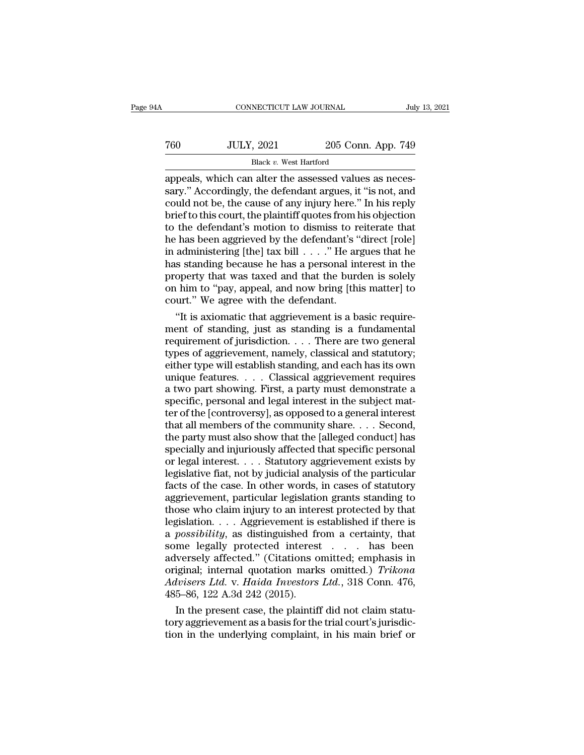|                   | July 13, 2021                                                                                                                    |
|-------------------|----------------------------------------------------------------------------------------------------------------------------------|
| <b>JULY, 2021</b> |                                                                                                                                  |
|                   |                                                                                                                                  |
|                   | CONNECTICUT LAW JOURNAL<br>205 Conn. App. 749<br>Black v. West Hartford<br>appeals which can alter the assessed values as neces- |

CONNECTICUT LAW JOURNAL<br>
TO JULY, 2021 205 Conn. App. 749<br>
Black v. West Hartford<br>
appeals, which can alter the assessed values as neces-<br>
sary.'' Accordingly, the defendant argues, it "is not, and<br>
could not be the cause T60 JULY, 2021 205 Conn. App. 749<br>Black v. West Hartford<br>appeals, which can alter the assessed values as necessary." Accordingly, the defendant argues, it "is not, and<br>could not be, the cause of any injury here." In his re T60 JULY, 2021 205 Conn. App. 749<br>Black v. West Hartford<br>appeals, which can alter the assessed values as neces-<br>sary." Accordingly, the defendant argues, it "is not, and<br>could not be, the cause of any injury here." In his For The Black v. West Hartford<br>Black v. West Hartford<br>appeals, which can alter the assessed values as necessary." Accordingly, the defendant argues, it "is not, and<br>could not be, the cause of any injury here." In his repl Black v. West Hartford<br>appeals, which can alter the assessed values as necessary." Accordingly, the defendant argues, it "is not, and<br>could not be, the cause of any injury here." In his reply<br>brief to this court, the plai Black v. West Hartford<br>appeals, which can alter the assessed values as neces-<br>sary." Accordingly, the defendant argues, it "is not, and<br>could not be, the cause of any injury here." In his reply<br>brief to this court, the pl appeals, which can alter the assessed values as necessary." Accordingly, the defendant argues, it "is not, and could not be, the cause of any injury here." In his reply brief to this court, the plaintiff quotes from his ob sary." Accordingly, the defendant argues, it "is not, and<br>could not be, the cause of any injury here." In his reply<br>brief to this court, the plaintiff quotes from his objection<br>to the defendant's motion to dismiss to reit could not be, the cause of any injury here." In his reply<br>brief to this court, the plaintiff quotes from his objection<br>to the defendant's motion to dismiss to reiterate that<br>he has been aggrieved by the defendant's "direc brief to this court, the plaintiff quotes from his objection<br>to the defendant's motion to dismiss to reiterate that<br>he has been aggrieved by the defendant's "direct [role]<br>in administering [the] tax bill  $\ldots$ ." He argues to the defendant's motion to dismiss to reflect the has been aggrieved by the defendant's "<br>in administering [the] tax bill  $\ldots$ ." He are has standing because he has a personal in<br>property that was taxed and that the bur in administering [the] tax bill  $\ldots$ ." He argues that he has standing because he has a personal interest in the property that was taxed and that the burden is solely on him to "pay, appeal, and now bring [this matter] to in administering [the] tax bill . . . . ." He argues that he<br>has standing because he has a personal interest in the<br>property that was taxed and that the burden is solely<br>on him to "pay, appeal, and now bring [this matter]

has standing because he has a personal interest in the<br>property that was taxed and that the burden is solely<br>on him to "pay, appeal, and now bring [this matter] to<br>court." We agree with the defendant.<br>"It is axiomatic tha property that was taxed and that the burden is solely<br>on him to "pay, appeal, and now bring [this matter] to<br>court." We agree with the defendant.<br>"It is axiomatic that aggrievement is a basic require-<br>ment of standing, jus on him to "pay, appeal, and now bring [this matter] to<br>court." We agree with the defendant.<br>"It is axiomatic that aggrievement is a basic require-<br>ment of standing, just as standing is a fundamental<br>requirement of jurisdic court." We agree with the defendant.<br>
"It is axiomatic that aggrievement is a basic requirement of standing, just as standing is a fundamental<br>
requirement of jurisdiction. . . . There are two general<br>
types of aggrieveme "It is axiomatic that aggrievement is a basic requirement of standing, just as standing is a fundamental<br>requirement of jurisdiction. . . . There are two general<br>types of aggrievement, namely, classical and statutory;<br>eit ment of standing, just as standing is a fundamental<br>requirement of jurisdiction. . . . There are two general<br>types of aggrievement, namely, classical and statutory;<br>either type will establish standing, and each has its own requirement of jurisdiction. . . . There are two general<br>types of aggrievement, namely, classical and statutory;<br>either type will establish standing, and each has its own<br>unique features. . . . Classical aggrievement requi types of aggrievement, namely, classical and statutory;<br>either type will establish standing, and each has its own<br>unique features. . . . . Classical aggrievement requires<br>a two part showing. First, a party must demonstrate either type will establish standing, and each has its own<br>unique features. . . . . Classical aggrievement requires<br>a two part showing. First, a party must demonstrate a<br>specific, personal and legal interest in the subject unique features. . . . Classical aggrievement requires<br>a two part showing. First, a party must demonstrate a<br>specific, personal and legal interest in the subject mat-<br>ter of the [controversy], as opposed to a general inter a two part showing. First, a party must demonstrate a<br>specific, personal and legal interest in the subject mat-<br>ter of the [controversy], as opposed to a general interest<br>that all members of the community share. . . . Seco specific, personal and legal interest in the subject matter of the [controversy], as opposed to a general interest<br>that all members of the community share.... Second,<br>the party must also show that the [alleged conduct] has ter of the [controversy], as opposed to a general interest<br>that all members of the community share. . . . Second,<br>the party must also show that the [alleged conduct] has<br>specially and injuriously affected that specific per that all members of the community share.... Second,<br>the party must also show that the [alleged conduct] has<br>specially and injuriously affected that specific personal<br>or legal interest.... Statutory aggrievement exists by<br> the party must also show that the [alleged conduct] has<br>specially and injuriously affected that specific personal<br>or legal interest. . . . Statutory aggrievement exists by<br>legislative fiat, not by judicial analysis of the specially and injuriously affected that specific personal<br>or legal interest. . . . Statutory aggrievement exists by<br>legislative fiat, not by judicial analysis of the particular<br>facts of the case. In other words, in cases o or legal interest. . . . Statutory aggrievement exists by<br>legislative fiat, not by judicial analysis of the particular<br>facts of the case. In other words, in cases of statutory<br>aggrievement, particular legislation grants st legislative fiat, not by judicial analysis of the particular<br>facts of the case. In other words, in cases of statutory<br>aggrievement, particular legislation grants standing to<br>those who claim injury to an interest protected facts of the case. In other words, in cases of statutory<br>aggrievement, particular legislation grants standing to<br>those who claim injury to an interest protected by that<br>legislation.... Aggrievement is established if there aggrievement, particular legislation grants standing to<br>those who claim injury to an interest protected by that<br>legislation. . . . Aggrievement is established if there is<br>a *possibility*, as distinguished from a certainty, *Advisers Ltd.* v. *Aggrievement is established if there is a possibility, as distinguished from a certainty, that some legally protected interest . . . has been adversely affected." (Citations omitted; emphasis in origina* legislation. . . . Aggrievement is established if there is<br>a *possibility*, as distinguished from a certainty, that<br>some legally protected interest . . . . has been<br>adversely affected." (Citations omitted; emphasis in<br>ori possibility, as distinguished from a certainty, that<br>me legally protected interest . . . has been<br>versely affected." (Citations omitted; emphasis in<br>iginal; internal quotation marks omitted.) *Trikona*<br>livisers Ltd. v. Hai some legally protected interest . . . . has been<br>adversely affected." (Citations omitted; emphasis in<br>original; internal quotation marks omitted.) *Trikona*<br> $Advisers Ltd. v. Haida$  Investors Ltd., 318 Conn. 476,<br>485–86, 122 A.3d 242 ( adversely affected." (Citations omitted; emphasis in original; internal quotation marks omitted.) *Trikona Advisers Ltd.* v. *Haida Investors Ltd.*, 318 Conn. 476, 485–86, 122 A.3d 242 (2015). In the present case, the plai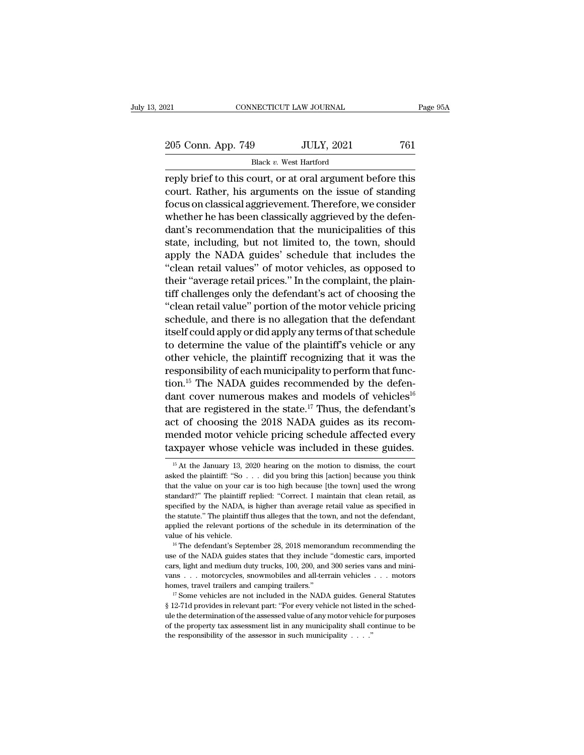| )21                                                       | CONNECTICUT LAW JOURNAL | Page 95A |
|-----------------------------------------------------------|-------------------------|----------|
| 205 Conn. App. 749                                        | <b>JULY, 2021</b>       | 761      |
|                                                           | Black v. West Hartford  |          |
| reply brief to this court or at oral argument before this |                         |          |

reply brief to this court, or at oral argument before this<br>
reply brief to this court, or at oral argument before this<br>
reply brief to this court, or at oral argument before this<br>
court. Rather, his arguments on the issue 205 Conn. App. 749 JULY, 2021 761<br>Black v. West Hartford<br>Treply brief to this court, or at oral argument before this<br>court. Rather, his arguments on the issue of standing<br>focus on classical aggrievement. Therefore, we con 205 Conn. App. 749 JULY, 2021 761<br>Black v. West Hartford<br>reply brief to this court, or at oral argument before this<br>court. Rather, his arguments on the issue of standing<br>focus on classical aggrievement. Therefore, we cons 205 Conn. App. 749 JULY, 2021 761<br>Black v. West Hartford<br>reply brief to this court, or at oral argument before this<br>court. Rather, his arguments on the issue of standing<br>focus on classical aggrievement. Therefore, we cons Black v. West Hartford<br>
reply brief to this court, or at oral argument before this<br>
court. Rather, his arguments on the issue of standing<br>
focus on classical aggrievement. Therefore, we consider<br>
whether he has been class state *b*, west national<br>reply brief to this court, or at oral argument before this<br>court. Rather, his arguments on the issue of standing<br>focus on classical aggrievement. Therefore, we consider<br>whether he has been classic reply brief to this court, or at oral argument before this<br>court. Rather, his arguments on the issue of standing<br>focus on classical aggrievement. Therefore, we consider<br>whether he has been classically aggrieved by the defe court. Rather, his arguments on the issue of standing<br>focus on classical aggrievement. Therefore, we consider<br>whether he has been classically aggrieved by the defen-<br>dant's recommendation that the municipalities of this<br>st focus on classical aggrievement. Therefore, we consider<br>whether he has been classically aggrieved by the defen-<br>dant's recommendation that the municipalities of this<br>state, including, but not limited to, the town, should<br>a whether he has been classically aggrieved by the defen-<br>dant's recommendation that the municipalities of this<br>state, including, but not limited to, the town, should<br>apply the NADA guides' schedule that includes the<br>"clean dant's recommendation that the municipalities of this<br>state, including, but not limited to, the town, should<br>apply the NADA guides' schedule that includes the<br>"clean retail values" of motor vehicles, as opposed to<br>their "a state, including, but not limited to, the town, should<br>apply the NADA guides' schedule that includes the<br>"clean retail values" of motor vehicles, as opposed to<br>their "average retail prices." In the complaint, the plain-<br>ti apply the NADA guides' schedule that includes the<br>
"clean retail values" of motor vehicles, as opposed to<br>
their "average retail prices." In the complaint, the plain-<br>
tiff challenges only the defendant's act of choosing t "clean retail values" of motor vehicles, as opposed to<br>their "average retail prices." In the complaint, the plain-<br>tiff challenges only the defendant's act of choosing the<br>"clean retail value" portion of the motor vehicle their "average retail prices." In the complaint, the plain-<br>tiff challenges only the defendant's act of choosing the<br>"clean retail value" portion of the motor vehicle pricing<br>schedule, and there is no allegation that the d tiff challenges only the defendant's act of choosing the<br>"clean retail value" portion of the motor vehicle pricing<br>schedule, and there is no allegation that the defendant<br>itself could apply or did apply any terms of that s "clean retail value" portion of the motor vehicle pricing<br>schedule, and there is no allegation that the defendant<br>itself could apply or did apply any terms of that schedule<br>to determine the value of the plaintiff's vehicl schedule, and there is no allegation that the defendant<br>itself could apply or did apply any terms of that schedule<br>to determine the value of the plaintiff's vehicle or any<br>other vehicle, the plaintiff recognizing that it itself could apply or did apply any terms of that schedule<br>to determine the value of the plaintiff's vehicle or any<br>other vehicle, the plaintiff recognizing that it was the<br>responsibility of each municipality to perform t to determine the value of the plaintiff's vehicle or any<br>other vehicle, the plaintiff recognizing that it was the<br>responsibility of each municipality to perform that func-<br>tion.<sup>15</sup> The NADA guides recommended by the defe other vehicle, the plaintiff recognizing that it was the<br>responsibility of each municipality to perform that func-<br>tion.<sup>15</sup> The NADA guides recommended by the defen-<br>dant cover numerous makes and models of vehicles<sup>16</sup><br>th responsibility of each municipality to perform that function.<sup>15</sup> The NADA guides recommended by the defendant cover numerous makes and models of vehicles<sup>16</sup> that are registered in the state.<sup>17</sup> Thus, the defendant's ac act of choosing the 2018 NADA guides as its recommended motor vehicle pricing schedule affected every taxpayer whose vehicle was included in these guides.<br> $\frac{15 \text{ At the January 13, 2020 hearing on the motion to dismiss, the court asked the plaintiff: "So . . . did you bring this [action] because you think that the value on your car is too high because [the town] used the wrong$ act of choosing the 2018 NADA guides as its recom-<br>mended motor vehicle pricing schedule affected every<br>taxpayer whose vehicle was included in these guides.<br> $\frac{15}{15}$  At the January 13, 2020 hearing on the motion to dis

mended motor vehicle pricing schedule affected every taxpayer whose vehicle was included in these guides.<br> $\frac{15}{15}$  At the January 13, 2020 hearing on the motion to dismiss, the court asked the plaintiff: "So . . . did taxpayer whose vehicle was included in these guides.<br>
<sup>15</sup> At the January 13, 2020 hearing on the motion to dismiss, the court asked the plaintiff: "So  $\ldots$  did you bring this [action] because you think that the value on Example 18 Whose Vernche Was included in these guides.<br>
<sup>15</sup> At the January 13, 2020 hearing on the motion to dismiss, the court asked the plaintiff: "So  $\ldots$  did you bring this [action] because you think that the value <sup>15</sup> At the January 13, 2020 hearing on the motion to dismiss, the court asked the plaintiff: "So  $\ldots$  did you bring this [action] because you think that the value on your car is too high because [the town] used the wron asked the plaintiff: "So  $\ldots$  did you bring this [action] because you think that the value on your car is too high because [the town] used the wrong standard?" The plaintiff replied: "Correct. I maintain that clean retai what the value on your car is too high because [the town] used the wrong standard?" The plaintiff replied: "Correct. I maintain that clean retail, as specified by the NADA, is higher than average retail value as specified specified by the NADA, is higher than average retail value as specified in the statute." The plaintiff thus alleges that the town, and not the defendant, applied the relevant portions of the schedule in its determination

The statute." The plaintiff thus alleges that the town, and not the defendant, applied the relevant portions of the schedule in its determination of the value of his vehicle.<br>
<sup>16</sup> The defendant's September 28, 2018 memor applied the relevant portions of the schedule in its determination of the value of his vehicle.<br><sup>16</sup> The defendant's September 28, 2018 memorandum recommending the use of the NADA guides states that they include "domestic where of his vehicle.<br>
<sup>16</sup> The defendant's September 28, 2018 memorandum recommending the use of the NADA guides states that they include "domestic cars, imported cars, light and medium duty trucks, 100, 200, and 300 ser **EXECUTE:** 17 Some vehicles states that they include "domestic cars, imported cars, light and medium duty trucks, 100, 200, and 300 series vans and minivans . . . motorcycles, snowmobiles and all-terrain vehicles . . . mo

cars, light and medium duty trucks, 100, 200, and 300 series vans and mini-<br>vans . . . motorcycles, snowmobiles and all-terrain vehicles . . . motors<br>homes, travel trailers and camping trailers."<br> $^{17}$  Some vehicles are being the motorcycles, snowmobiles and all-terrain vehicles . . . motors homes, travel trailers and camping trailers."<br>
<sup>17</sup> Some vehicles are not included in the NADA guides. General Statutes § 12-71d provides in relevan homes, travel trailers and camping trailers."<br>
<sup>I7</sup> Some vehicles are not included in the NADA guides. General Statutes<br>
§ 12-71d provides in relevant part: "For every vehicle not listed in the sched-<br>
ule the determinati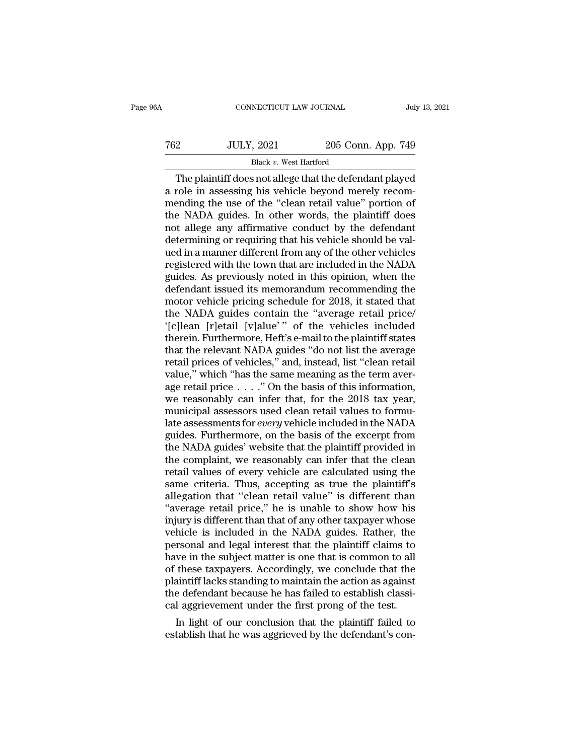| 6A  | CONNECTICUT LAW JOURNAL                                 |                    | July 13, 2021 |
|-----|---------------------------------------------------------|--------------------|---------------|
| 762 | <b>JULY, 2021</b>                                       | 205 Conn. App. 749 |               |
|     | Black v. West Hartford                                  |                    |               |
|     | The plaintiff does not allege that the defendant played |                    |               |

CONNECTICUT LAW JOURNAL July 13, 2021<br>
205 Conn. App. 749<br>
Black v. West Hartford<br>
The plaintiff does not allege that the defendant played<br>
role in assessing his vehicle beyond merely recom-T62 JULY, 2021 205 Conn. App. 749<br>Black v. West Hartford<br>The plaintiff does not allege that the defendant played<br>a role in assessing his vehicle beyond merely recom-<br>mending the use of the "clean retail value" portion of<br>t T62 JULY, 2021 205 Conn. App. 749<br>Black v. West Hartford<br>The plaintiff does not allege that the defendant played<br>a role in assessing his vehicle beyond merely recom-<br>mending the use of the "clean retail value" portion of<br> T62 JULY, 2021 205 Conn. App. 749<br>Black v. West Hartford<br>The plaintiff does not allege that the defendant played<br>a role in assessing his vehicle beyond merely recom-<br>mending the use of the "clean retail value" portion of<br> Black v. West Hartford<br>
The plaintiff does not allege that the defendant played<br>
a role in assessing his vehicle beyond merely recom-<br>
mending the use of the "clean retail value" portion of<br>
the NADA guides. In other word Black v. West Hartford<br>The plaintiff does not allege that the defendant played<br>a role in assessing his vehicle beyond merely recom-<br>mending the use of the "clean retail value" portion of<br>the NADA guides. In other words, t The plaintiff does not allege that the defendant played<br>a role in assessing his vehicle beyond merely recom-<br>mending the use of the "clean retail value" portion of<br>the NADA guides. In other words, the plaintiff does<br>not al a role in assessing his vehicle beyond merely recommending the use of the "clean retail value" portion of the NADA guides. In other words, the plaintiff does not allege any affirmative conduct by the defendant determining mending the use of the "clean retail value" portion of<br>the NADA guides. In other words, the plaintiff does<br>not allege any affirmative conduct by the defendant<br>determining or requiring that his vehicle should be val-<br>ued in the NADA guides. In other words, the plaintiff does<br>not allege any affirmative conduct by the defendant<br>determining or requiring that his vehicle should be val-<br>ued in a manner different from any of the other vehicles<br>regi not allege any affirmative conduct by the defendant<br>determining or requiring that his vehicle should be valued in a manner different from any of the other vehicles<br>registered with the town that are included in the NADA<br>gui determining or requiring that his vehicle should be valued in a manner different from any of the other vehicles<br>registered with the town that are included in the NADA<br>guides. As previously noted in this opinion, when the<br>d ued in a manner different from any of the other vehicles<br>registered with the town that are included in the NADA<br>guides. As previously noted in this opinion, when the<br>defendant issued its memorandum recommending the<br>motor v registered with the town that are included in the NADA<br>guides. As previously noted in this opinion, when the<br>defendant issued its memorandum recommending the<br>motor vehicle pricing schedule for 2018, it stated that<br>the NADA guides. As previously noted in this opinion, when the<br>defendant issued its memorandum recommending the<br>motor vehicle pricing schedule for 2018, it stated that<br>the NADA guides contain the "average retail price/<br>"[c]lean [r] defendant issued its memorandum recommending the<br>motor vehicle pricing schedule for 2018, it stated that<br>the NADA guides contain the "average retail price/<br>'[c]lean [r]etail [v]alue' " of the vehicles included<br>therein. Fur motor vehicle pricing schedule for 2018, it stated that<br>the NADA guides contain the "average retail price/<br>'[c]lean [r]etail [v]alue'" of the vehicles included<br>therein. Furthermore, Heft's e-mail to the plaintiff states<br>t the NADA guides contain the "average retail price/<br>
'[c]lean [r]etail [v]alue'" of the vehicles included<br>
therein. Furthermore, Heft's e-mail to the plaintiff states<br>
that the relevant NADA guides "do not list the average<br> "[c]lean [r]etail [v]alue" " of the vehicles included<br>therein. Furthermore, Heft's e-mail to the plaintiff states<br>that the relevant NADA guides "do not list the average<br>retail prices of vehicles," and, instead, list "clea therein. Furthermore, Heft's e-mail to the plaintiff states<br>that the relevant NADA guides "do not list the average<br>retail prices of vehicles," and, instead, list "clean retail<br>value," which "has the same meaning as the te that the relevant NADA guides "do not list the average<br>retail prices of vehicles," and, instead, list "clean retail<br>value," which "has the same meaning as the term aver-<br>age retail price . . . ." On the basis of this infor retail prices of vehicles," and, instead, list "clean retail<br>value," which "has the same meaning as the term aver-<br>age retail price  $\dots$ ." On the basis of this information,<br>we reasonably can infer that, for the 2018 tax y value," which "has the same meaning as the term aver-<br>age retail price  $\ldots$ ." On the basis of this information,<br>we reasonably can infer that, for the 2018 tax year,<br>municipal assessors used clean retail values to formu-<br> age retail price  $\ldots$ ." On the basis of this information,<br>we reasonably can infer that, for the 2018 tax year,<br>municipal assessors used clean retail values to formu-<br>late assessments for *every* vehicle included in the N we reasonably can infer that, for the 2018 tax year,<br>municipal assessors used clean retail values to formu-<br>late assessments for *every* vehicle included in the NADA<br>guides. Furthermore, on the basis of the excerpt from<br>th municipal assessors used clean retail values to formulate assessments for *every* vehicle included in the NADA guides. Furthermore, on the basis of the excerpt from the NADA guides' website that the plaintiff provided in t late assessments for *every* vehicle included in the NADA<br>guides. Furthermore, on the basis of the excerpt from<br>the NADA guides' website that the plaintiff provided in<br>the complaint, we reasonably can infer that the clean<br> guides. Furthermore, on the basis of the excerpt from<br>the NADA guides' website that the plaintiff provided in<br>the complaint, we reasonably can infer that the clean<br>retail values of every vehicle are calculated using the<br>sa the NADA guides' website that the plaintiff provided in<br>the complaint, we reasonably can infer that the clean<br>retail values of every vehicle are calculated using the<br>same criteria. Thus, accepting as true the plaintiff's<br>a the complaint, we reasonably can infer that the clean<br>retail values of every vehicle are calculated using the<br>same criteria. Thus, accepting as true the plaintiff's<br>allegation that "clean retail value" is different than<br>"a retail values of every vehicle are calculated using the<br>same criteria. Thus, accepting as true the plaintiff's<br>allegation that "clean retail value" is different than<br>"average retail price," he is unable to show how his<br>inj same criteria. Thus, accepting as true the plaintiff's<br>allegation that "clean retail value" is different than<br>"average retail price," he is unable to show how his<br>injury is different than that of any other taxpayer whose<br>v allegation that "clean retail value" is different than<br>"average retail price," he is unable to show how his<br>injury is different than that of any other taxpayer whose<br>vehicle is included in the NADA guides. Rather, the<br>pers "average retail price," he is unable to show how his<br>injury is different than that of any other taxpayer whose<br>vehicle is included in the NADA guides. Rather, the<br>personal and legal interest that the plaintiff claims to<br>ha injury is different than that of any other taxpayer whose<br>vehicle is included in the NADA guides. Rather, the<br>personal and legal interest that the plaintiff claims to<br>have in the subject matter is one that is common to all vehicle is included in the NADA guides. Rather, the<br>personal and legal interest that the plaintiff claims to<br>have in the subject matter is one that is common to all<br>of these taxpayers. Accordingly, we conclude that the<br>pla rsonal and legal interest that the plaintiff claims to<br>we in the subject matter is one that is common to all<br>these taxpayers. Accordingly, we conclude that the<br>aintiff lacks standing to maintain the action as against<br>e def have in the subject matter is one that is common to all<br>of these taxpayers. Accordingly, we conclude that the<br>plaintiff lacks standing to maintain the action as against<br>the defendant because he has failed to establish clas